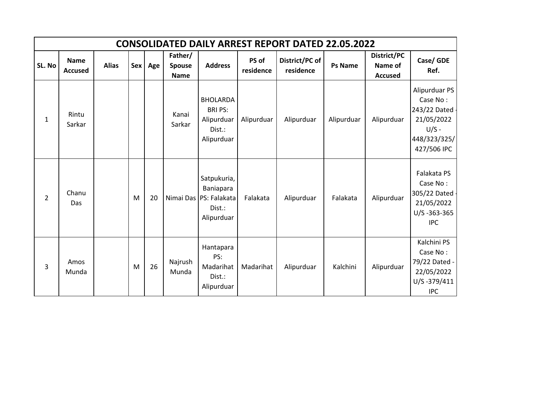|                |                               |              |   |         |                                         |                                                                            |                    | <b>CONSOLIDATED DAILY ARREST REPORT DATED 22.05.2022</b> |                |                                          |                                                                                                   |
|----------------|-------------------------------|--------------|---|---------|-----------------------------------------|----------------------------------------------------------------------------|--------------------|----------------------------------------------------------|----------------|------------------------------------------|---------------------------------------------------------------------------------------------------|
| SL. No         | <b>Name</b><br><b>Accused</b> | <b>Alias</b> |   | Sex Age | Father/<br><b>Spouse</b><br><b>Name</b> | <b>Address</b>                                                             | PS of<br>residence | District/PC of<br>residence                              | <b>Ps Name</b> | District/PC<br>Name of<br><b>Accused</b> | Case/ GDE<br>Ref.                                                                                 |
| 1              | Rintu<br>Sarkar               |              |   |         | Kanai<br>Sarkar                         | <b>BHOLARDA</b><br><b>BRIPS:</b><br>Alipurduar<br>Dist.:<br>Alipurduar     | Alipurduar         | Alipurduar                                               | Alipurduar     | Alipurduar                               | Alipurduar PS<br>Case No:<br>243/22 Dated<br>21/05/2022<br>$U/S -$<br>448/323/325/<br>427/506 IPC |
| $\overline{2}$ | Chanu<br>Das                  |              | M | 20      |                                         | Satpukuria,<br>Baniapara<br>Nimai Das PS: Falakata<br>Dist.:<br>Alipurduar | Falakata           | Alipurduar                                               | Falakata       | Alipurduar                               | Falakata PS<br>Case No:<br>305/22 Dated -<br>21/05/2022<br>$U/S - 363 - 365$<br><b>IPC</b>        |
| $\overline{3}$ | Amos<br>Munda                 |              | M | 26      | Najrush<br>Munda                        | Hantapara<br>PS:<br>Madarihat<br>Dist.:<br>Alipurduar                      | Madarihat          | Alipurduar                                               | Kalchini       | Alipurduar                               | Kalchini PS<br>Case No:<br>79/22 Dated -<br>22/05/2022<br>U/S-379/411<br><b>IPC</b>               |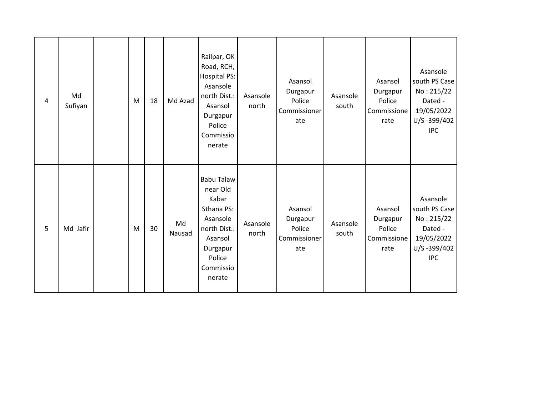| $\overline{a}$ | Md<br>Sufiyan | M | 18 | Md Azad      | Railpar, OK<br>Road, RCH,<br>Hospital PS:<br>Asansole<br>north Dist.:<br>Asansol<br>Durgapur<br>Police<br>Commissio<br>nerate            | Asansole<br>north | Asansol<br>Durgapur<br>Police<br>Commissioner<br>ate | Asansole<br>south | Asansol<br>Durgapur<br>Police<br>Commissione<br>rate | Asansole<br>south PS Case<br>No: 215/22<br>Dated -<br>19/05/2022<br>U/S-399/402<br><b>IPC</b> |
|----------------|---------------|---|----|--------------|------------------------------------------------------------------------------------------------------------------------------------------|-------------------|------------------------------------------------------|-------------------|------------------------------------------------------|-----------------------------------------------------------------------------------------------|
| 5              | Md Jafir      | M | 30 | Md<br>Nausad | <b>Babu Talaw</b><br>near Old<br>Kabar<br>Sthana PS:<br>Asansole<br>north Dist.:<br>Asansol<br>Durgapur<br>Police<br>Commissio<br>nerate | Asansole<br>north | Asansol<br>Durgapur<br>Police<br>Commissioner<br>ate | Asansole<br>south | Asansol<br>Durgapur<br>Police<br>Commissione<br>rate | Asansole<br>south PS Case<br>No: 215/22<br>Dated -<br>19/05/2022<br>U/S-399/402<br><b>IPC</b> |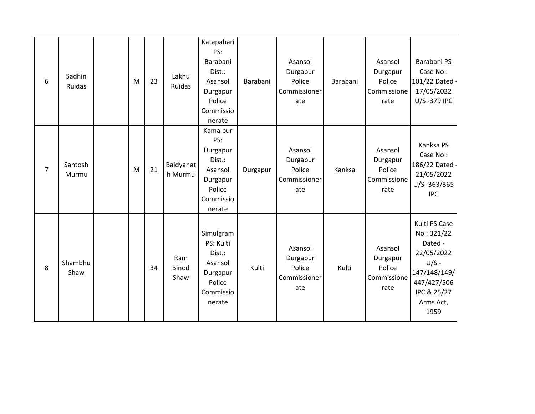| 6              | Sadhin<br>Ruidas | M | 23 | Lakhu<br>Ruidas      | Katapahari<br>PS:<br>Barabani<br>Dist.:<br>Asansol<br>Durgapur<br>Police<br>Commissio<br>nerate | Barabani | Asansol<br>Durgapur<br>Police<br>Commissioner<br>ate | Barabani | Asansol<br>Durgapur<br>Police<br>Commissione<br>rate | Barabani PS<br>Case No:<br>101/22 Dated -<br>17/05/2022<br>U/S-379 IPC                                                             |
|----------------|------------------|---|----|----------------------|-------------------------------------------------------------------------------------------------|----------|------------------------------------------------------|----------|------------------------------------------------------|------------------------------------------------------------------------------------------------------------------------------------|
| $\overline{7}$ | Santosh<br>Murmu | M | 21 | Baidyanat<br>h Murmu | Kamalpur<br>PS:<br>Durgapur<br>Dist.:<br>Asansol<br>Durgapur<br>Police<br>Commissio<br>nerate   | Durgapur | Asansol<br>Durgapur<br>Police<br>Commissioner<br>ate | Kanksa   | Asansol<br>Durgapur<br>Police<br>Commissione<br>rate | Kanksa PS<br>Case No:<br>186/22 Dated<br>21/05/2022<br>U/S-363/365<br><b>IPC</b>                                                   |
| 8              | Shambhu<br>Shaw  |   | 34 | Ram<br>Binod<br>Shaw | Simulgram<br>PS: Kulti<br>Dist.:<br>Asansol<br>Durgapur<br>Police<br>Commissio<br>nerate        | Kulti    | Asansol<br>Durgapur<br>Police<br>Commissioner<br>ate | Kulti    | Asansol<br>Durgapur<br>Police<br>Commissione<br>rate | Kulti PS Case<br>No: 321/22<br>Dated -<br>22/05/2022<br>$U/S -$<br>147/148/149/<br>447/427/506<br>IPC & 25/27<br>Arms Act,<br>1959 |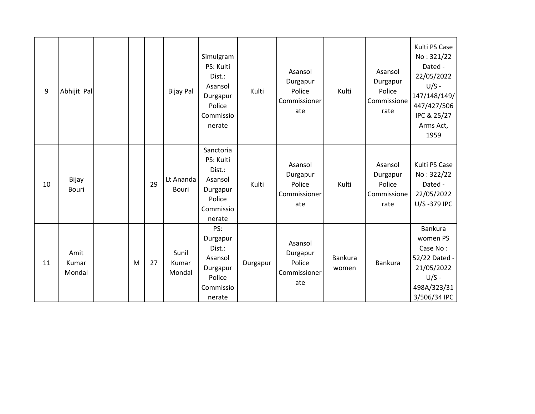| 9  | Abhijit Pal             |   |    | <b>Bijay Pal</b>          | Simulgram<br>PS: Kulti<br>Dist.:<br>Asansol<br>Durgapur<br>Police<br>Commissio<br>nerate | Kulti    | Asansol<br>Durgapur<br>Police<br>Commissioner<br>ate | Kulti                   | Asansol<br>Durgapur<br>Police<br>Commissione<br>rate | Kulti PS Case<br>No: 321/22<br>Dated -<br>22/05/2022<br>$U/S -$<br>147/148/149/<br>447/427/506<br>IPC & 25/27<br>Arms Act,<br>1959 |
|----|-------------------------|---|----|---------------------------|------------------------------------------------------------------------------------------|----------|------------------------------------------------------|-------------------------|------------------------------------------------------|------------------------------------------------------------------------------------------------------------------------------------|
| 10 | Bijay<br><b>Bouri</b>   |   | 29 | Lt Ananda<br><b>Bouri</b> | Sanctoria<br>PS: Kulti<br>Dist.:<br>Asansol<br>Durgapur<br>Police<br>Commissio<br>nerate | Kulti    | Asansol<br>Durgapur<br>Police<br>Commissioner<br>ate | Kulti                   | Asansol<br>Durgapur<br>Police<br>Commissione<br>rate | Kulti PS Case<br>No: 322/22<br>Dated -<br>22/05/2022<br>U/S-379 IPC                                                                |
| 11 | Amit<br>Kumar<br>Mondal | M | 27 | Sunil<br>Kumar<br>Mondal  | PS:<br>Durgapur<br>Dist.:<br>Asansol<br>Durgapur<br>Police<br>Commissio<br>nerate        | Durgapur | Asansol<br>Durgapur<br>Police<br>Commissioner<br>ate | <b>Bankura</b><br>women | Bankura                                              | Bankura<br>women PS<br>Case No:<br>52/22 Dated -<br>21/05/2022<br>$U/S -$<br>498A/323/31<br>3/506/34 IPC                           |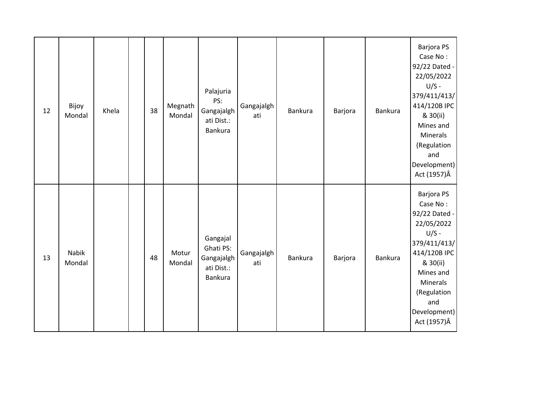| 12 | Bijoy<br>Mondal | Khela | 38 | Megnath<br>Mondal | Palajuria<br>PS:<br>Gangajalgh<br>ati Dist.:<br><b>Bankura</b> | Gangajalgh<br>ati | <b>Bankura</b> | Barjora | <b>Bankura</b> | <b>Barjora PS</b><br>Case No:<br>92/22 Dated -<br>22/05/2022<br>$U/S -$<br>379/411/413/<br>414/120B IPC<br>& 30(ii)<br>Mines and<br>Minerals<br>(Regulation<br>and<br>Development)<br>Act (1957)Â |
|----|-----------------|-------|----|-------------------|----------------------------------------------------------------|-------------------|----------------|---------|----------------|---------------------------------------------------------------------------------------------------------------------------------------------------------------------------------------------------|
| 13 | Nabik<br>Mondal |       | 48 | Motur<br>Mondal   | Gangajal<br>Ghati PS:<br>Gangajalgh<br>ati Dist.:<br>Bankura   | Gangajalgh<br>ati | Bankura        | Barjora | <b>Bankura</b> | <b>Barjora PS</b><br>Case No:<br>92/22 Dated -<br>22/05/2022<br>$U/S -$<br>379/411/413/<br>414/120B IPC<br>& 30(ii)<br>Mines and<br>Minerals<br>(Regulation<br>and<br>Development)<br>Act (1957)Â |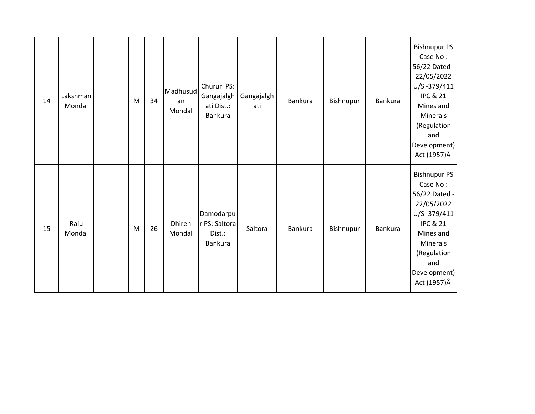| 14 | Lakshman<br>Mondal | ${\sf M}$ | 34 | Madhusud<br>an<br>Mondal | Chururi PS:<br>Gangajalgh<br>ati Dist.:<br>Bankura | Gangajalgh<br>ati | <b>Bankura</b> | Bishnupur | <b>Bankura</b> | <b>Bishnupur PS</b><br>Case No:<br>56/22 Dated -<br>22/05/2022<br>U/S-379/411<br><b>IPC &amp; 21</b><br>Mines and<br><b>Minerals</b><br>(Regulation<br>and<br>Development)<br>Act (1957)Â     |
|----|--------------------|-----------|----|--------------------------|----------------------------------------------------|-------------------|----------------|-----------|----------------|-----------------------------------------------------------------------------------------------------------------------------------------------------------------------------------------------|
| 15 | Raju<br>Mondal     | ${\sf M}$ | 26 | Dhiren<br>Mondal         | Damodarpu<br>r PS: Saltora<br>Dist.:<br>Bankura    | Saltora           | Bankura        | Bishnupur | <b>Bankura</b> | <b>Bishnupur PS</b><br>Case No:<br>56/22 Dated -<br>22/05/2022<br>$U/S - 379/411$<br><b>IPC &amp; 21</b><br>Mines and<br><b>Minerals</b><br>(Regulation<br>and<br>Development)<br>Act (1957)Â |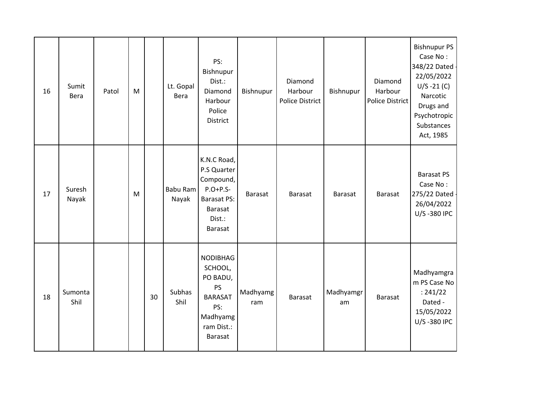| 16 | Sumit<br>Bera   | Patol | M |    | Lt. Gopal<br>Bera        | PS:<br>Bishnupur<br>Dist.:<br>Diamond<br>Harbour<br>Police<br>District                                      | Bishnupur       | Diamond<br>Harbour<br><b>Police District</b> | Bishnupur       | Diamond<br>Harbour<br><b>Police District</b> | <b>Bishnupur PS</b><br>Case No:<br>348/22 Dated -<br>22/05/2022<br>$U/S - 21(C)$<br>Narcotic<br>Drugs and<br>Psychotropic<br>Substances<br>Act, 1985 |
|----|-----------------|-------|---|----|--------------------------|-------------------------------------------------------------------------------------------------------------|-----------------|----------------------------------------------|-----------------|----------------------------------------------|------------------------------------------------------------------------------------------------------------------------------------------------------|
| 17 | Suresh<br>Nayak |       | M |    | <b>Babu Ram</b><br>Nayak | K.N.C Road,<br>P.S Quarter<br>Compound,<br>$P.O+P.S-$<br><b>Barasat PS:</b><br>Barasat<br>Dist.:<br>Barasat | Barasat         | <b>Barasat</b>                               | <b>Barasat</b>  | Barasat                                      | <b>Barasat PS</b><br>Case No:<br>275/22 Dated<br>26/04/2022<br>U/S-380 IPC                                                                           |
| 18 | Sumonta<br>Shil |       |   | 30 | Subhas<br>Shil           | <b>NODIBHAG</b><br>SCHOOL,<br>PO BADU,<br>PS<br><b>BARASAT</b><br>PS:<br>Madhyamg<br>ram Dist.:<br>Barasat  | Madhyamg<br>ram | Barasat                                      | Madhyamgr<br>am | <b>Barasat</b>                               | Madhyamgra<br>m PS Case No<br>: 241/22<br>Dated -<br>15/05/2022<br>U/S-380 IPC                                                                       |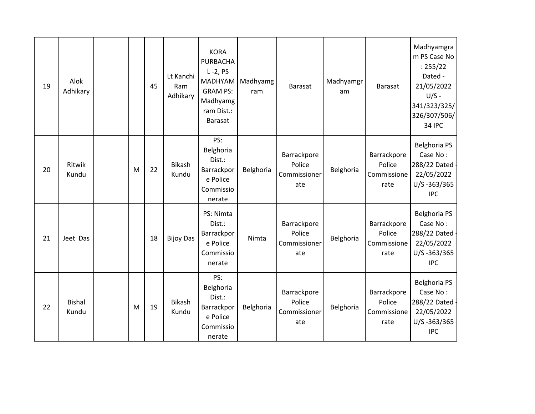| 19 | Alok<br>Adhikary       |   | 45 | Lt Kanchi<br>Ram<br>Adhikary | <b>KORA</b><br><b>PURBACHA</b><br>$L - 2$ , PS<br>MADHYAM<br><b>GRAM PS:</b><br>Madhyamg<br>ram Dist.:<br><b>Barasat</b> | Madhyamg<br>ram | <b>Barasat</b>                               | Madhyamgr<br>am | <b>Barasat</b>                               | Madhyamgra<br>m PS Case No<br>: 255/22<br>Dated -<br>21/05/2022<br>$U/S -$<br>341/323/325/<br>326/307/506/<br><b>34 IPC</b> |
|----|------------------------|---|----|------------------------------|--------------------------------------------------------------------------------------------------------------------------|-----------------|----------------------------------------------|-----------------|----------------------------------------------|-----------------------------------------------------------------------------------------------------------------------------|
| 20 | Ritwik<br>Kundu        | M | 22 | <b>Bikash</b><br>Kundu       | PS:<br>Belghoria<br>Dist.:<br>Barrackpor<br>e Police<br>Commissio<br>nerate                                              | Belghoria       | Barrackpore<br>Police<br>Commissioner<br>ate | Belghoria       | Barrackpore<br>Police<br>Commissione<br>rate | <b>Belghoria PS</b><br>Case No:<br>288/22 Dated<br>22/05/2022<br>U/S-363/365<br><b>IPC</b>                                  |
| 21 | Jeet Das               |   | 18 | <b>Bijoy Das</b>             | PS: Nimta<br>Dist.:<br>Barrackpor<br>e Police<br>Commissio<br>nerate                                                     | Nimta           | Barrackpore<br>Police<br>Commissioner<br>ate | Belghoria       | Barrackpore<br>Police<br>Commissione<br>rate | <b>Belghoria PS</b><br>Case No:<br>288/22 Dated -<br>22/05/2022<br>U/S-363/365<br><b>IPC</b>                                |
| 22 | <b>Bishal</b><br>Kundu | M | 19 | <b>Bikash</b><br>Kundu       | PS:<br>Belghoria<br>Dist.:<br>Barrackpor<br>e Police<br>Commissio<br>nerate                                              | Belghoria       | Barrackpore<br>Police<br>Commissioner<br>ate | Belghoria       | Barrackpore<br>Police<br>Commissione<br>rate | <b>Belghoria PS</b><br>Case No:<br>288/22 Dated -<br>22/05/2022<br>U/S-363/365<br><b>IPC</b>                                |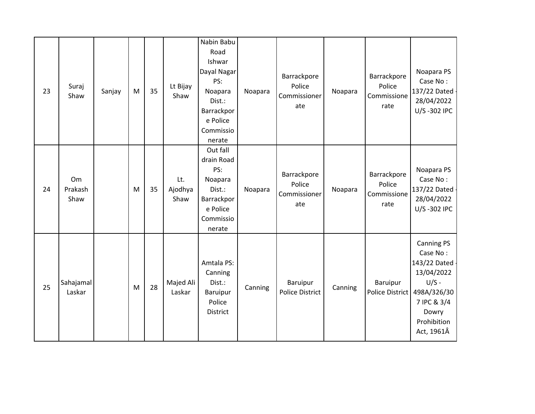| 23 | Suraj<br>Shaw         | Sanjay | M | 35 | Lt Bijay<br>Shaw       | Nabin Babu<br>Road<br>Ishwar<br>Dayal Nagar<br>PS:<br>Noapara<br>Dist.:<br>Barrackpor<br>e Police<br>Commissio<br>nerate | Noapara | Barrackpore<br>Police<br>Commissioner<br>ate | Noapara | Barrackpore<br>Police<br>Commissione<br>rate | Noapara PS<br>Case No:<br>137/22 Dated<br>28/04/2022<br>U/S-302 IPC                                                                          |
|----|-----------------------|--------|---|----|------------------------|--------------------------------------------------------------------------------------------------------------------------|---------|----------------------------------------------|---------|----------------------------------------------|----------------------------------------------------------------------------------------------------------------------------------------------|
| 24 | Om<br>Prakash<br>Shaw |        | M | 35 | Lt.<br>Ajodhya<br>Shaw | Out fall<br>drain Road<br>PS:<br>Noapara<br>Dist.:<br>Barrackpor<br>e Police<br>Commissio<br>nerate                      | Noapara | Barrackpore<br>Police<br>Commissioner<br>ate | Noapara | Barrackpore<br>Police<br>Commissione<br>rate | Noapara PS<br>Case No:<br>137/22 Dated<br>28/04/2022<br>U/S-302 IPC                                                                          |
| 25 | Sahajamal<br>Laskar   |        | M | 28 | Majed Ali<br>Laskar    | Amtala PS:<br>Canning<br>Dist.:<br>Baruipur<br>Police<br>District                                                        | Canning | Baruipur<br><b>Police District</b>           | Canning | <b>Baruipur</b><br><b>Police District</b>    | <b>Canning PS</b><br>Case No:<br>143/22 Dated -<br>13/04/2022<br>$U/S -$<br>498A/326/30<br>7 IPC & 3/4<br>Dowry<br>Prohibition<br>Act, 1961Â |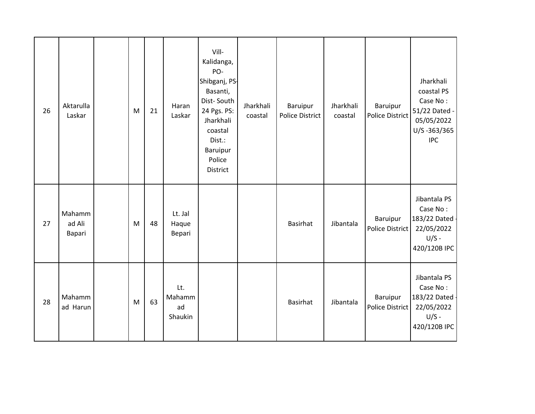| 26 | Aktarulla<br>Laskar        | M         | 21 | Haran<br>Laskar                | Vill-<br>Kalidanga,<br>PO-<br>Shibganj, PS-<br>Basanti,<br>Dist-South<br>24 Pgs. PS:<br>Jharkhali<br>coastal<br>Dist.:<br>Baruipur<br>Police<br><b>District</b> | Jharkhali<br>coastal | Baruipur<br><b>Police District</b> | Jharkhali<br>coastal | Baruipur<br><b>Police District</b> | Jharkhali<br>coastal PS<br>Case No:<br>51/22 Dated -<br>05/05/2022<br>U/S-363/365<br><b>IPC</b> |
|----|----------------------------|-----------|----|--------------------------------|-----------------------------------------------------------------------------------------------------------------------------------------------------------------|----------------------|------------------------------------|----------------------|------------------------------------|-------------------------------------------------------------------------------------------------|
| 27 | Mahamm<br>ad Ali<br>Bapari | M         | 48 | Lt. Jal<br>Haque<br>Bepari     |                                                                                                                                                                 |                      | <b>Basirhat</b>                    | Jibantala            | Baruipur<br><b>Police District</b> | Jibantala PS<br>Case No:<br>183/22 Dated<br>22/05/2022<br>$U/S -$<br>420/120B IPC               |
| 28 | Mahamm<br>ad Harun         | ${\sf M}$ | 63 | Lt.<br>Mahamm<br>ad<br>Shaukin |                                                                                                                                                                 |                      | <b>Basirhat</b>                    | Jibantala            | Baruipur<br>Police District        | Jibantala PS<br>Case No:<br>183/22 Dated -<br>22/05/2022<br>$U/S -$<br>420/120B IPC             |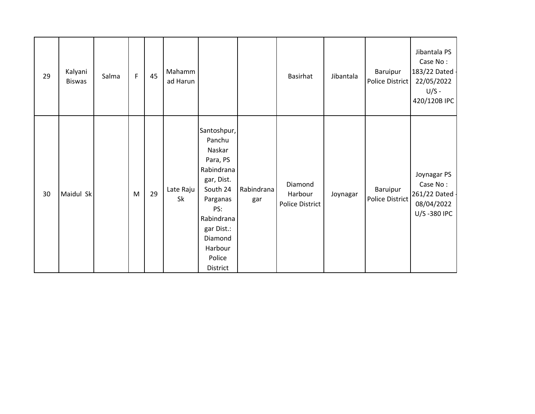| 29 | Kalyani<br><b>Biswas</b> | Salma | $\mathsf F$ | 45 | Mahamm<br>ad Harun |                                                                                                                                                                                |                   | <b>Basirhat</b>                              | Jibantala | Baruipur<br>Police District | Jibantala PS<br>Case No:<br>183/22 Dated -<br>22/05/2022<br>$U/S -$<br>420/120B IPC |
|----|--------------------------|-------|-------------|----|--------------------|--------------------------------------------------------------------------------------------------------------------------------------------------------------------------------|-------------------|----------------------------------------------|-----------|-----------------------------|-------------------------------------------------------------------------------------|
| 30 | Maidul Sk                |       | M           | 29 | Late Raju<br>Sk    | Santoshpur,<br>Panchu<br>Naskar<br>Para, PS<br>Rabindrana<br>gar, Dist.<br>South 24<br>Parganas<br>PS:<br>Rabindrana<br>gar Dist.:<br>Diamond<br>Harbour<br>Police<br>District | Rabindrana<br>gar | Diamond<br>Harbour<br><b>Police District</b> | Joynagar  | Baruipur<br>Police District | Joynagar PS<br>Case No:<br>261/22 Dated -<br>08/04/2022<br>U/S-380 IPC              |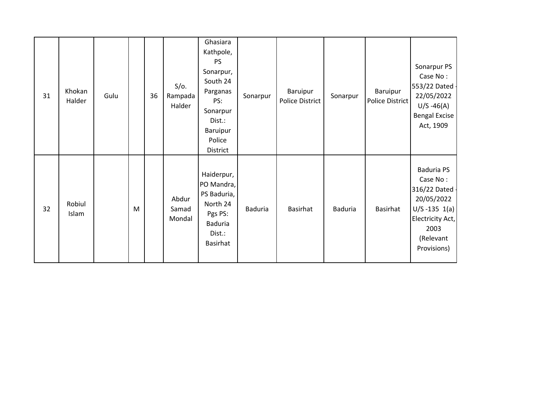| 31 | Khokan<br>Halder | Gulu |   | 36 | $S/O$ .<br>Rampada<br>Halder | Ghasiara<br>Kathpole,<br><b>PS</b><br>Sonarpur,<br>South 24<br>Parganas<br>PS:<br>Sonarpur<br>Dist.:<br>Baruipur<br>Police<br>District | Sonarpur       | Baruipur<br><b>Police District</b> | Sonarpur       | Baruipur<br>Police District | Sonarpur PS<br>Case No:<br>553/22 Dated -<br>22/05/2022<br>$U/S - 46(A)$<br><b>Bengal Excise</b><br>Act, 1909                             |
|----|------------------|------|---|----|------------------------------|----------------------------------------------------------------------------------------------------------------------------------------|----------------|------------------------------------|----------------|-----------------------------|-------------------------------------------------------------------------------------------------------------------------------------------|
| 32 | Robiul<br>Islam  |      | M |    | Abdur<br>Samad<br>Mondal     | Haiderpur,<br>PO Mandra,<br>PS Baduria,<br>North 24<br>Pgs PS:<br><b>Baduria</b><br>Dist.:<br>Basirhat                                 | <b>Baduria</b> | <b>Basirhat</b>                    | <b>Baduria</b> | <b>Basirhat</b>             | <b>Baduria PS</b><br>Case No:<br>316/22 Dated -<br>20/05/2022<br>$U/S - 135 1(a)$<br>Electricity Act,<br>2003<br>(Relevant<br>Provisions) |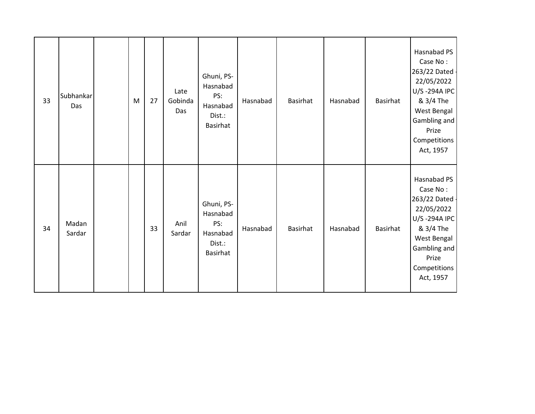| 33 | Subhankar<br>Das | M | 27 | Late<br>Gobinda<br>Das | Ghuni, PS-<br>Hasnabad<br>PS:<br>Hasnabad<br>Dist.:<br><b>Basirhat</b> | Hasnabad | <b>Basirhat</b> | Hasnabad | Basirhat        | Hasnabad PS<br>Case No:<br>263/22 Dated -<br>22/05/2022<br>U/S-294A IPC<br>& 3/4 The<br>West Bengal<br>Gambling and<br>Prize<br>Competitions<br>Act, 1957 |
|----|------------------|---|----|------------------------|------------------------------------------------------------------------|----------|-----------------|----------|-----------------|-----------------------------------------------------------------------------------------------------------------------------------------------------------|
| 34 | Madan<br>Sardar  |   | 33 | Anil<br>Sardar         | Ghuni, PS-<br>Hasnabad<br>PS:<br>Hasnabad<br>Dist.:<br><b>Basirhat</b> | Hasnabad | <b>Basirhat</b> | Hasnabad | <b>Basirhat</b> | Hasnabad PS<br>Case No:<br>263/22 Dated -<br>22/05/2022<br>U/S-294A IPC<br>& 3/4 The<br>West Bengal<br>Gambling and<br>Prize<br>Competitions<br>Act, 1957 |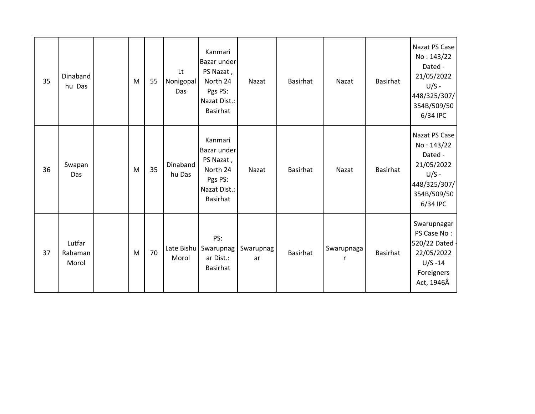| 35 | Dinaband<br>hu Das         | M | 55 | Lt<br>Nonigopal<br>Das | Kanmari<br>Bazar under<br>PS Nazat,<br>North 24<br>Pgs PS:<br>Nazat Dist.:<br><b>Basirhat</b> | Nazat           | Basirhat        | Nazat      | Basirhat | Nazat PS Case<br>No: 143/22<br>Dated -<br>21/05/2022<br>$U/S -$<br>448/325/307/<br>354B/509/50<br>6/34 IPC |
|----|----------------------------|---|----|------------------------|-----------------------------------------------------------------------------------------------|-----------------|-----------------|------------|----------|------------------------------------------------------------------------------------------------------------|
| 36 | Swapan<br>Das              | M | 35 | Dinaband<br>hu Das     | Kanmari<br>Bazar under<br>PS Nazat,<br>North 24<br>Pgs PS:<br>Nazat Dist.:<br><b>Basirhat</b> | Nazat           | <b>Basirhat</b> | Nazat      | Basirhat | Nazat PS Case<br>No: 143/22<br>Dated -<br>21/05/2022<br>$U/S -$<br>448/325/307/<br>354B/509/50<br>6/34 IPC |
| 37 | Lutfar<br>Rahaman<br>Morol | M | 70 | Late Bishu<br>Morol    | PS:<br>Swarupnag<br>ar Dist.:<br>Basirhat                                                     | Swarupnag<br>ar | <b>Basirhat</b> | Swarupnaga | Basirhat | Swarupnagar<br>PS Case No:<br>520/22 Dated -<br>22/05/2022<br>$U/S - 14$<br>Foreigners<br>Act, 1946Â       |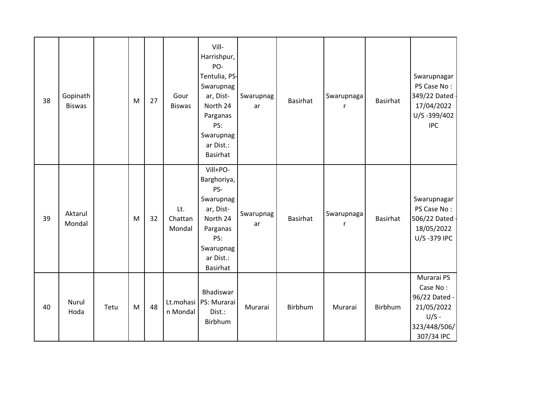| 38 | Gopinath<br><b>Biswas</b> |      | M | 27 | Gour<br><b>Biswas</b>    | Vill-<br>Harrishpur,<br>PO-<br>Tentulia, PS-<br>Swarupnag<br>ar, Dist-<br>North 24<br>Parganas<br>PS:<br>Swarupnag<br>ar Dist.:<br><b>Basirhat</b> | Swarupnag<br>ar | <b>Basirhat</b> | Swarupnaga<br>r | <b>Basirhat</b> | Swarupnagar<br>PS Case No:<br>349/22 Dated -<br>17/04/2022<br>U/S-399/402<br><b>IPC</b>        |
|----|---------------------------|------|---|----|--------------------------|----------------------------------------------------------------------------------------------------------------------------------------------------|-----------------|-----------------|-----------------|-----------------|------------------------------------------------------------------------------------------------|
| 39 | Aktarul<br>Mondal         |      | M | 32 | Lt.<br>Chattan<br>Mondal | Vill+PO-<br>Barghoriya,<br>PS-<br>Swarupnag<br>ar, Dist-<br>North 24<br>Parganas<br>PS:<br>Swarupnag<br>ar Dist.:<br><b>Basirhat</b>               | Swarupnag<br>ar | <b>Basirhat</b> | Swarupnaga<br>r | <b>Basirhat</b> | Swarupnagar<br>PS Case No:<br>506/22 Dated -<br>18/05/2022<br>U/S-379 IPC                      |
| 40 | Nurul<br>Hoda             | Tetu | M | 48 | Lt.mohasi<br>n Mondal    | Bhadiswar<br>PS: Murarai<br>Dist.:<br>Birbhum                                                                                                      | Murarai         | Birbhum         | Murarai         | Birbhum         | Murarai PS<br>Case No:<br>96/22 Dated -<br>21/05/2022<br>$U/S -$<br>323/448/506/<br>307/34 IPC |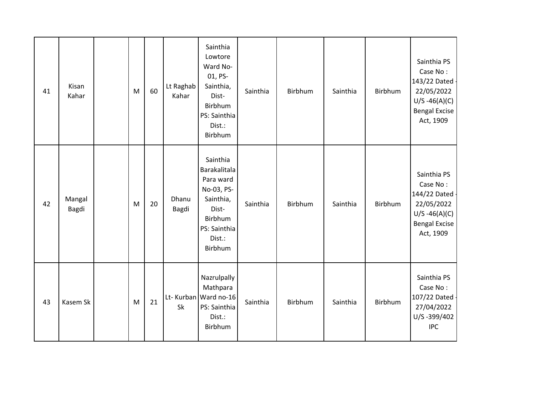| 41 | Kisan<br>Kahar  | M | 60 | Lt Raghab<br>Kahar | Sainthia<br>Lowtore<br>Ward No-<br>01, PS-<br>Sainthia,<br>Dist-<br>Birbhum<br>PS: Sainthia<br>Dist.:<br>Birbhum          | Sainthia | Birbhum | Sainthia | Birbhum | Sainthia PS<br>Case No:<br>143/22 Dated -<br>22/05/2022<br>$U/S -46(A)(C)$<br><b>Bengal Excise</b><br>Act, 1909 |
|----|-----------------|---|----|--------------------|---------------------------------------------------------------------------------------------------------------------------|----------|---------|----------|---------|-----------------------------------------------------------------------------------------------------------------|
| 42 | Mangal<br>Bagdi | M | 20 | Dhanu<br>Bagdi     | Sainthia<br>Barakalitala<br>Para ward<br>No-03, PS-<br>Sainthia,<br>Dist-<br>Birbhum<br>PS: Sainthia<br>Dist.:<br>Birbhum | Sainthia | Birbhum | Sainthia | Birbhum | Sainthia PS<br>Case No:<br>144/22 Dated<br>22/05/2022<br>$U/S -46(A)(C)$<br><b>Bengal Excise</b><br>Act, 1909   |
| 43 | Kasem Sk        | M | 21 | Sk                 | Nazrulpally<br>Mathpara<br>Lt- Kurban Ward no-16<br>PS: Sainthia<br>Dist.:<br>Birbhum                                     | Sainthia | Birbhum | Sainthia | Birbhum | Sainthia PS<br>Case No:<br>107/22 Dated<br>27/04/2022<br>U/S-399/402<br><b>IPC</b>                              |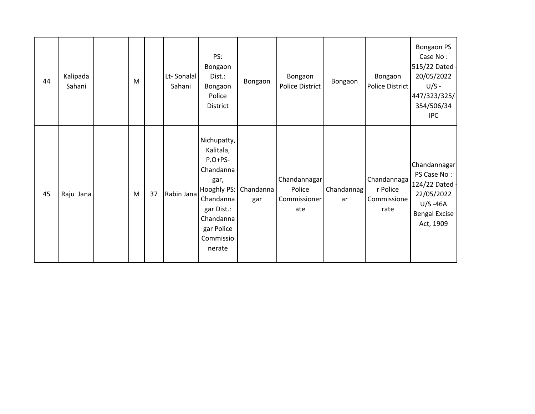| 44 | Kalipada<br>Sahani | M |    | Lt-Sonalal<br>Sahani | PS:<br>Bongaon<br>Dist.:<br>Bongaon<br>Police<br>District                                                                                                        | Bongaon | Bongaon<br><b>Police District</b>             | Bongaon          | Bongaon<br>Police District                     | Bongaon PS<br>Case No:<br>515/22 Dated -<br>20/05/2022<br>$U/S -$<br>447/323/325/<br>354/506/34<br><b>IPC</b>   |
|----|--------------------|---|----|----------------------|------------------------------------------------------------------------------------------------------------------------------------------------------------------|---------|-----------------------------------------------|------------------|------------------------------------------------|-----------------------------------------------------------------------------------------------------------------|
| 45 | Raju Jana          | M | 37 | Rabin Jana           | Nichupatty,<br>Kalitala,<br>$P.O+PS-$<br>Chandanna<br>gar,<br>Hooghly PS: Chandanna<br>Chandanna<br>gar Dist.:<br>Chandanna<br>gar Police<br>Commissio<br>nerate | gar     | Chandannagar<br>Police<br>Commissioner<br>ate | Chandannag<br>ar | Chandannaga<br>r Police<br>Commissione<br>rate | Chandannagar<br>PS Case No:<br>124/22 Dated -<br>22/05/2022<br>$U/S - 46A$<br><b>Bengal Excise</b><br>Act, 1909 |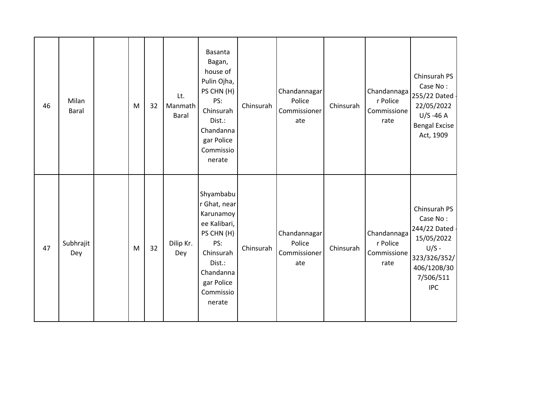| 46 | Milan<br>Baral   | M | 32 | Lt.<br>Manmath<br>Baral | Basanta<br>Bagan,<br>house of<br>Pulin Ojha,<br>PS CHN (H)<br>PS:<br>Chinsurah<br>Dist.:<br>Chandanna<br>gar Police<br>Commissio<br>nerate           | Chinsurah | Chandannagar<br>Police<br>Commissioner<br>ate | Chinsurah | Chandannaga<br>r Police<br>Commissione<br>rate | Chinsurah PS<br>Case No:<br>255/22 Dated -<br>22/05/2022<br>$U/S - 46 A$<br><b>Bengal Excise</b><br>Act, 1909                 |
|----|------------------|---|----|-------------------------|------------------------------------------------------------------------------------------------------------------------------------------------------|-----------|-----------------------------------------------|-----------|------------------------------------------------|-------------------------------------------------------------------------------------------------------------------------------|
| 47 | Subhrajit<br>Dey | M | 32 | Dilip Kr.<br>Dey        | Shyambabu<br>r Ghat, near<br>Karunamoy<br>ee Kalibari,<br>PS CHN (H)<br>PS:<br>Chinsurah<br>Dist.:<br>Chandanna<br>gar Police<br>Commissio<br>nerate | Chinsurah | Chandannagar<br>Police<br>Commissioner<br>ate | Chinsurah | Chandannaga<br>r Police<br>Commissione<br>rate | Chinsurah PS<br>Case No:<br>244/22 Dated -<br>15/05/2022<br>$U/S -$<br>323/326/352/<br>406/120B/30<br>7/506/511<br><b>IPC</b> |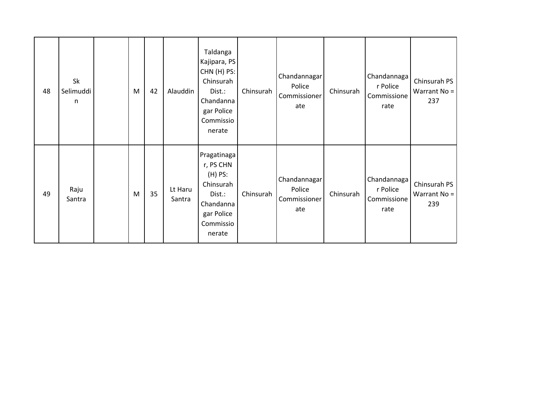| 48 | Sk<br>Selimuddi<br>$\mathsf{n}$ | M | 42 | Alauddin          | Taldanga<br>Kajipara, PS<br>CHN (H) PS:<br>Chinsurah<br>Dist.:<br>Chandanna<br>gar Police<br>Commissio<br>nerate | Chinsurah | Chandannagar<br>Police<br>Commissioner<br>ate | Chinsurah | Chandannaga<br>r Police<br>Commissione<br>rate | Chinsurah PS<br>Warrant $No =$<br>237 |
|----|---------------------------------|---|----|-------------------|------------------------------------------------------------------------------------------------------------------|-----------|-----------------------------------------------|-----------|------------------------------------------------|---------------------------------------|
| 49 | Raju<br>Santra                  | M | 35 | Lt Haru<br>Santra | Pragatinaga<br>r, PS CHN<br>$(H)$ PS:<br>Chinsurah<br>Dist.:<br>Chandanna<br>gar Police<br>Commissio<br>nerate   | Chinsurah | Chandannagar<br>Police<br>Commissioner<br>ate | Chinsurah | Chandannaga<br>r Police<br>Commissione<br>rate | Chinsurah PS<br>Warrant $No =$<br>239 |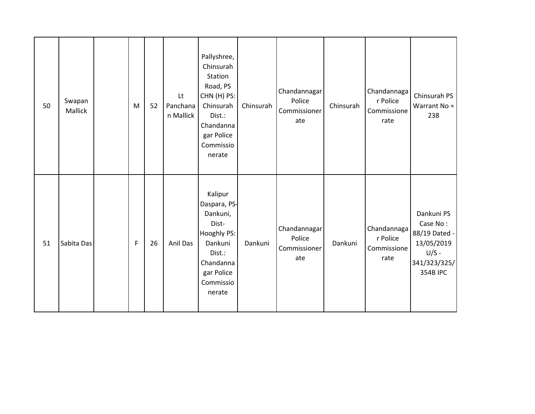| 50 | Swapan<br>Mallick | M           | 52 | Lt<br>Panchana<br>n Mallick | Pallyshree,<br>Chinsurah<br>Station<br>Road, PS<br>CHN (H) PS:<br>Chinsurah<br>Dist.:<br>Chandanna<br>gar Police<br>Commissio<br>nerate | Chinsurah | Chandannagar<br>Police<br>Commissioner<br>ate | Chinsurah | Chandannaga<br>r Police<br>Commissione<br>rate | Chinsurah PS<br>Warrant No =<br>238                                                                 |
|----|-------------------|-------------|----|-----------------------------|-----------------------------------------------------------------------------------------------------------------------------------------|-----------|-----------------------------------------------|-----------|------------------------------------------------|-----------------------------------------------------------------------------------------------------|
| 51 | Sabita Das        | $\mathsf F$ | 26 | Anil Das                    | Kalipur<br>Daspara, PS-<br>Dankuni,<br>Dist-<br>Hooghly PS:<br>Dankuni<br>Dist.:<br>Chandanna<br>gar Police<br>Commissio<br>nerate      | Dankuni   | Chandannagar<br>Police<br>Commissioner<br>ate | Dankuni   | Chandannaga<br>r Police<br>Commissione<br>rate | Dankuni PS<br>Case No:<br>88/19 Dated -<br>13/05/2019<br>$U/S -$<br>341/323/325/<br><b>354B IPC</b> |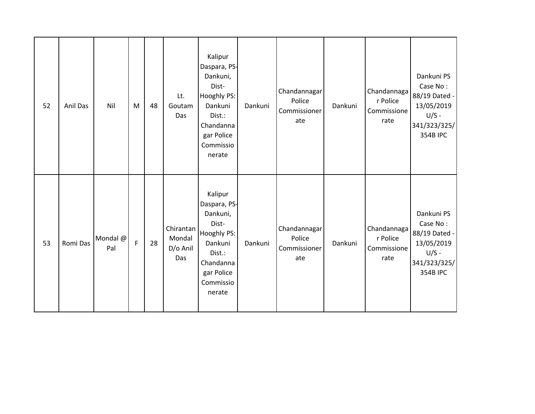| 52 | Anil Das | Nil             | M            | 48 | Lt.<br>Goutam<br>Das                   | Kalipur<br>Daspara, PS-<br>Dankuni,<br>Dist-<br>Hooghly PS:<br>Dankuni<br>Dist.:<br>Chandanna<br>gar Police<br>Commissio<br>nerate | Dankuni | Chandannagar<br>Police<br>Commissioner<br>ate | Dankuni | Chandannaga<br>r Police<br>Commissione<br>rate | Dankuni PS<br>Case No:<br>88/19 Dated -<br>13/05/2019<br>$U/S -$<br>341/323/325/<br><b>354B IPC</b> |
|----|----------|-----------------|--------------|----|----------------------------------------|------------------------------------------------------------------------------------------------------------------------------------|---------|-----------------------------------------------|---------|------------------------------------------------|-----------------------------------------------------------------------------------------------------|
| 53 | Romi Das | Mondal @<br>Pal | $\mathsf{F}$ | 28 | Chirantan<br>Mondal<br>D/o Anil<br>Das | Kalipur<br>Daspara, PS-<br>Dankuni,<br>Dist-<br>Hooghly PS:<br>Dankuni<br>Dist.:<br>Chandanna<br>gar Police<br>Commissio<br>nerate | Dankuni | Chandannagar<br>Police<br>Commissioner<br>ate | Dankuni | Chandannaga<br>r Police<br>Commissione<br>rate | Dankuni PS<br>Case No:<br>88/19 Dated -<br>13/05/2019<br>$U/S -$<br>341/323/325/<br><b>354B IPC</b> |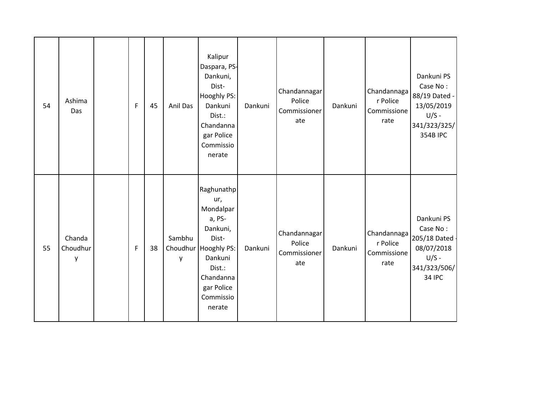| 54 | Ashima<br>Das           | F | 45 | Anil Das    | Kalipur<br>Daspara, PS-<br>Dankuni,<br>Dist-<br>Hooghly PS:<br>Dankuni<br>Dist.:<br>Chandanna<br>gar Police<br>Commissio<br>nerate                           | Dankuni | Chandannagar<br>Police<br>Commissioner<br>ate | Dankuni | Chandannaga<br>r Police<br>Commissione<br>rate | Dankuni PS<br>Case No:<br>88/19 Dated -<br>13/05/2019<br>$U/S -$<br>341/323/325/<br><b>354B IPC</b> |
|----|-------------------------|---|----|-------------|--------------------------------------------------------------------------------------------------------------------------------------------------------------|---------|-----------------------------------------------|---------|------------------------------------------------|-----------------------------------------------------------------------------------------------------|
| 55 | Chanda<br>Choudhur<br>y | F | 38 | Sambhu<br>y | Raghunathp<br>ur,<br>Mondalpar<br>a, PS-<br>Dankuni,<br>Dist-<br>Choudhur Hooghly PS:<br>Dankuni<br>Dist.:<br>Chandanna<br>gar Police<br>Commissio<br>nerate | Dankuni | Chandannagar<br>Police<br>Commissioner<br>ate | Dankuni | Chandannaga<br>r Police<br>Commissione<br>rate | Dankuni PS<br>Case No:<br>205/18 Dated -<br>08/07/2018<br>$U/S -$<br>341/323/506/<br><b>34 IPC</b>  |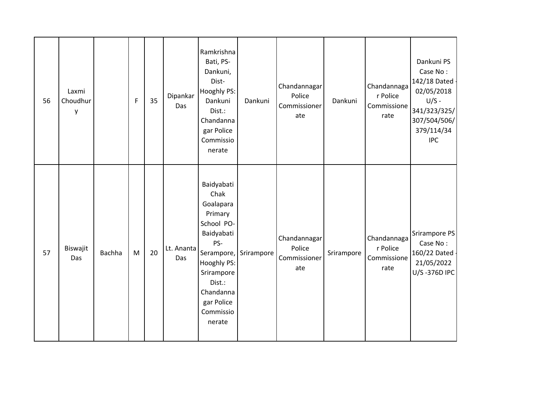| 56 | Laxmi<br>Choudhur<br>y |        | F | 35 | Dipankar<br>Das   | Ramkrishna<br>Bati, PS-<br>Dankuni,<br>Dist-<br>Hooghly PS:<br>Dankuni<br>Dist.:<br>Chandanna<br>gar Police<br>Commissio<br>nerate                                     | Dankuni               | Chandannagar<br>Police<br>Commissioner<br>ate | Dankuni    | Chandannaga<br>r Police<br>Commissione<br>rate | Dankuni PS<br>Case No:<br>142/18 Dated -<br>02/05/2018<br>$U/S -$<br>341/323/325/<br>307/504/506/<br>379/114/34<br><b>IPC</b> |
|----|------------------------|--------|---|----|-------------------|------------------------------------------------------------------------------------------------------------------------------------------------------------------------|-----------------------|-----------------------------------------------|------------|------------------------------------------------|-------------------------------------------------------------------------------------------------------------------------------|
| 57 | Biswajit<br>Das        | Bachha | M | 20 | Lt. Ananta<br>Das | Baidyabati<br>Chak<br>Goalapara<br>Primary<br>School PO-<br>Baidyabati<br>PS-<br>Hooghly PS:<br>Srirampore<br>Dist.:<br>Chandanna<br>gar Police<br>Commissio<br>nerate | Serampore, Srirampore | Chandannagar<br>Police<br>Commissioner<br>ate | Srirampore | Chandannaga<br>r Police<br>Commissione<br>rate | Srirampore PS<br>Case No:<br>160/22 Dated -<br>21/05/2022<br>U/S-376D IPC                                                     |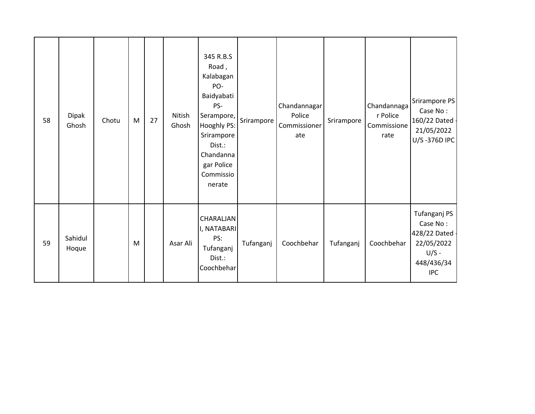| 58 | <b>Dipak</b><br>Ghosh | Chotu | M | 27 | Nitish<br>Ghosh | 345 R.B.S<br>Road,<br>Kalabagan<br>PO-<br>Baidyabati<br>PS-<br>Serampore,<br>Hooghly PS:<br>Srirampore<br>Dist.:<br>Chandanna<br>gar Police<br>Commissio<br>nerate | Srirampore | Chandannagar<br>Police<br>Commissioner<br>ate | Srirampore | Chandannaga<br>r Police<br>Commissione<br>rate | Srirampore PS<br>Case No:<br>160/22 Dated -<br>21/05/2022<br>U/S-376D IPC                       |
|----|-----------------------|-------|---|----|-----------------|--------------------------------------------------------------------------------------------------------------------------------------------------------------------|------------|-----------------------------------------------|------------|------------------------------------------------|-------------------------------------------------------------------------------------------------|
| 59 | Sahidul<br>Hoque      |       | M |    | Asar Ali        | CHARALJAN<br>I, NATABARI<br>PS:<br>Tufanganj<br>Dist.:<br>Coochbehar                                                                                               | Tufanganj  | Coochbehar                                    | Tufanganj  | Coochbehar                                     | Tufanganj PS<br>Case No:<br>428/22 Dated -<br>22/05/2022<br>$U/S -$<br>448/436/34<br><b>IPC</b> |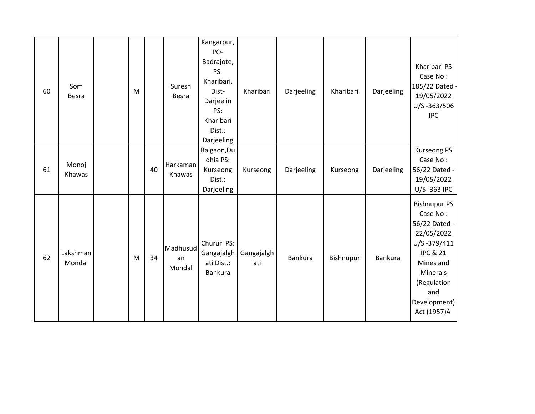| 60 | Som<br>Besra       | M |    | Suresh<br>Besra          | Kangarpur,<br>PO-<br>Badrajote,<br>PS-<br>Kharibari,<br>Dist-<br>Darjeelin<br>PS:<br>Kharibari<br>Dist.:<br>Darjeeling | Kharibari         | Darjeeling | Kharibari | Darjeeling | Kharibari PS<br>Case No:<br>185/22 Dated<br>19/05/2022<br>U/S-363/506<br><b>IPC</b>                                                                                                 |
|----|--------------------|---|----|--------------------------|------------------------------------------------------------------------------------------------------------------------|-------------------|------------|-----------|------------|-------------------------------------------------------------------------------------------------------------------------------------------------------------------------------------|
| 61 | Monoj<br>Khawas    |   | 40 | Harkaman<br>Khawas       | Raigaon, Du<br>dhia PS:<br>Kurseong<br>Dist.:<br>Darjeeling                                                            | Kurseong          | Darjeeling | Kurseong  | Darjeeling | <b>Kurseong PS</b><br>Case No:<br>56/22 Dated -<br>19/05/2022<br>U/S-363 IPC                                                                                                        |
| 62 | Lakshman<br>Mondal | M | 34 | Madhusud<br>an<br>Mondal | Chururi PS:<br>Gangajalgh<br>ati Dist.:<br><b>Bankura</b>                                                              | Gangajalgh<br>ati | Bankura    | Bishnupur | Bankura    | <b>Bishnupur PS</b><br>Case No:<br>56/22 Dated -<br>22/05/2022<br>U/S-379/411<br><b>IPC &amp; 21</b><br>Mines and<br>Minerals<br>(Regulation<br>and<br>Development)<br>Act (1957) Â |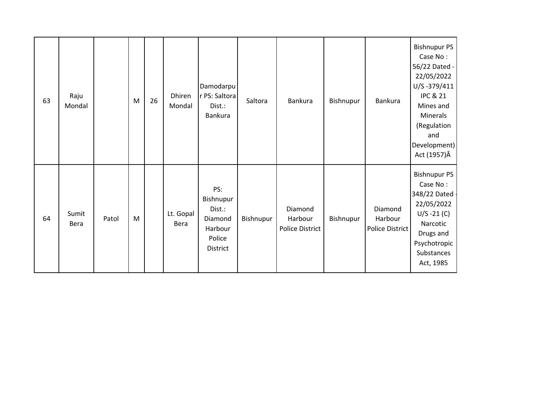| 63 | Raju<br>Mondal |       | ${\sf M}$ | 26 | Dhiren<br>Mondal  | Damodarpu<br>r PS: Saltora<br>Dist.:<br>Bankura                        | Saltora   | <b>Bankura</b>                               | Bishnupur | Bankura                               | <b>Bishnupur PS</b><br>Case No:<br>56/22 Dated -<br>22/05/2022<br>U/S-379/411<br><b>IPC &amp; 21</b><br>Mines and<br>Minerals<br>(Regulation<br>and<br>Development)<br>Act (1957) Â |
|----|----------------|-------|-----------|----|-------------------|------------------------------------------------------------------------|-----------|----------------------------------------------|-----------|---------------------------------------|-------------------------------------------------------------------------------------------------------------------------------------------------------------------------------------|
| 64 | Sumit<br>Bera  | Patol | M         |    | Lt. Gopal<br>Bera | PS:<br>Bishnupur<br>Dist.:<br>Diamond<br>Harbour<br>Police<br>District | Bishnupur | Diamond<br>Harbour<br><b>Police District</b> | Bishnupur | Diamond<br>Harbour<br>Police District | <b>Bishnupur PS</b><br>Case No:<br>348/22 Dated<br>22/05/2022<br>$U/S - 21 (C)$<br>Narcotic<br>Drugs and<br>Psychotropic<br>Substances<br>Act, 1985                                 |

 $\pmb{\cdot}$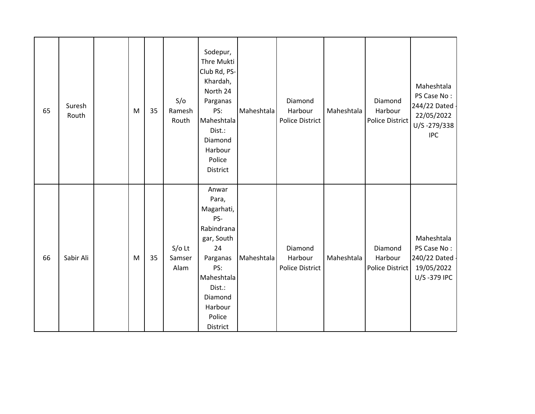| 65 | Suresh<br>Routh | M | 35 | S/O<br>Ramesh<br>Routh     | Sodepur,<br>Thre Mukti<br>Club Rd, PS-<br>Khardah,<br>North 24<br>Parganas<br>PS:<br>Maheshtala<br>Dist.:<br>Diamond<br>Harbour<br>Police<br>District        | Maheshtala | Diamond<br>Harbour<br><b>Police District</b> | Maheshtala | Diamond<br>Harbour<br><b>Police District</b> | Maheshtala<br>PS Case No:<br>244/22 Dated -<br>22/05/2022<br>U/S-279/338<br><b>IPC</b> |
|----|-----------------|---|----|----------------------------|--------------------------------------------------------------------------------------------------------------------------------------------------------------|------------|----------------------------------------------|------------|----------------------------------------------|----------------------------------------------------------------------------------------|
| 66 | Sabir Ali       | M | 35 | $S/O$ Lt<br>Samser<br>Alam | Anwar<br>Para,<br>Magarhati,<br>PS-<br>Rabindrana<br>gar, South<br>24<br>Parganas<br>PS:<br>Maheshtala<br>Dist.:<br>Diamond<br>Harbour<br>Police<br>District | Maheshtala | Diamond<br>Harbour<br><b>Police District</b> | Maheshtala | Diamond<br>Harbour<br>Police District        | Maheshtala<br>PS Case No:<br>240/22 Dated -<br>19/05/2022<br>U/S-379 IPC               |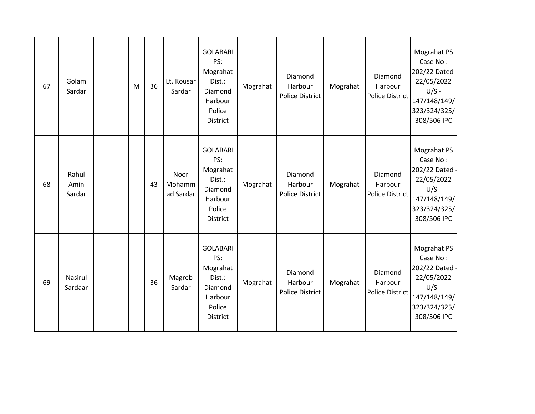| 67 | Golam<br>Sardar         | M | 36 | Lt. Kousar<br>Sardar        | <b>GOLABARI</b><br>PS:<br>Mograhat<br>Dist.:<br>Diamond<br>Harbour<br>Police<br><b>District</b> | Mograhat | Diamond<br>Harbour<br><b>Police District</b> | Mograhat | Diamond<br>Harbour<br>Police District        | Mograhat PS<br>Case No:<br>202/22 Dated -<br>22/05/2022<br>$U/S -$<br>147/148/149/<br>323/324/325/<br>308/506 IPC |
|----|-------------------------|---|----|-----------------------------|-------------------------------------------------------------------------------------------------|----------|----------------------------------------------|----------|----------------------------------------------|-------------------------------------------------------------------------------------------------------------------|
| 68 | Rahul<br>Amin<br>Sardar |   | 43 | Noor<br>Mohamm<br>ad Sardar | <b>GOLABARI</b><br>PS:<br>Mograhat<br>Dist.:<br>Diamond<br>Harbour<br>Police<br>District        | Mograhat | Diamond<br>Harbour<br><b>Police District</b> | Mograhat | Diamond<br>Harbour<br><b>Police District</b> | Mograhat PS<br>Case No:<br>202/22 Dated<br>22/05/2022<br>$U/S -$<br>147/148/149/<br>323/324/325/<br>308/506 IPC   |
| 69 | Nasirul<br>Sardaar      |   | 36 | Magreb<br>Sardar            | <b>GOLABARI</b><br>PS:<br>Mograhat<br>Dist.:<br>Diamond<br>Harbour<br>Police<br>District        | Mograhat | Diamond<br>Harbour<br><b>Police District</b> | Mograhat | Diamond<br>Harbour<br>Police District        | Mograhat PS<br>Case No:<br>202/22 Dated -<br>22/05/2022<br>$U/S -$<br>147/148/149/<br>323/324/325/<br>308/506 IPC |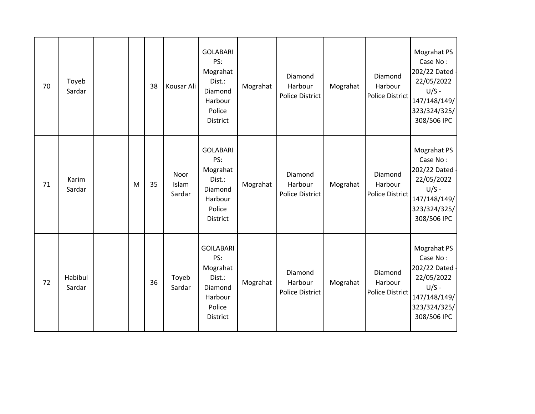| 70 | Toyeb<br>Sardar   |   | 38 | Kousar Ali              | <b>GOLABARI</b><br>PS:<br>Mograhat<br>Dist.:<br>Diamond<br>Harbour<br>Police<br>District  | Mograhat | Diamond<br>Harbour<br><b>Police District</b> | Mograhat | Diamond<br>Harbour<br>Police District | Mograhat PS<br>Case No:<br>202/22 Dated -<br>22/05/2022<br>$U/S -$<br>147/148/149/<br>323/324/325/<br>308/506 IPC |
|----|-------------------|---|----|-------------------------|-------------------------------------------------------------------------------------------|----------|----------------------------------------------|----------|---------------------------------------|-------------------------------------------------------------------------------------------------------------------|
| 71 | Karim<br>Sardar   | M | 35 | Noor<br>Islam<br>Sardar | <b>GOLABARI</b><br>PS:<br>Mograhat<br>Dist.:<br>Diamond<br>Harbour<br>Police<br>District  | Mograhat | Diamond<br>Harbour<br><b>Police District</b> | Mograhat | Diamond<br>Harbour<br>Police District | Mograhat PS<br>Case No:<br>202/22 Dated<br>22/05/2022<br>$U/S -$<br>147/148/149/<br>323/324/325/<br>308/506 IPC   |
| 72 | Habibul<br>Sardar |   | 36 | Toyeb<br>Sardar         | <b>GOILABARI</b><br>PS:<br>Mograhat<br>Dist.:<br>Diamond<br>Harbour<br>Police<br>District | Mograhat | Diamond<br>Harbour<br><b>Police District</b> | Mograhat | Diamond<br>Harbour<br>Police District | Mograhat PS<br>Case No:<br>202/22 Dated -<br>22/05/2022<br>$U/S -$<br>147/148/149/<br>323/324/325/<br>308/506 IPC |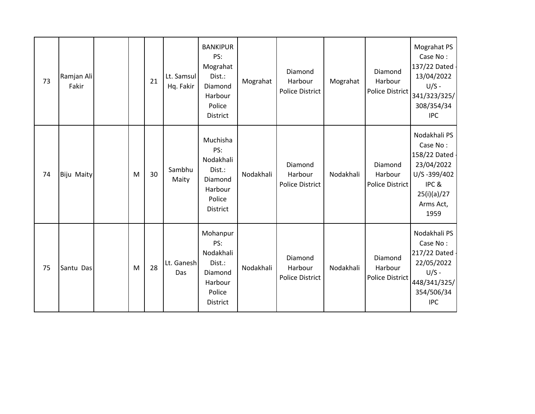| 73 | Ramjan Ali<br>Fakir |   | 21 | Lt. Samsul<br>Hq. Fakir | <b>BANKIPUR</b><br>PS:<br>Mograhat<br>Dist.:<br>Diamond<br>Harbour<br>Police<br><b>District</b> | Mograhat  | Diamond<br>Harbour<br><b>Police District</b> | Mograhat  | Diamond<br>Harbour<br><b>Police District</b> | Mograhat PS<br>Case No:<br>137/22 Dated -<br>13/04/2022<br>$U/S -$<br>341/323/325/<br>308/354/34<br><b>IPC</b>    |
|----|---------------------|---|----|-------------------------|-------------------------------------------------------------------------------------------------|-----------|----------------------------------------------|-----------|----------------------------------------------|-------------------------------------------------------------------------------------------------------------------|
| 74 | <b>Biju Maity</b>   | M | 30 | Sambhu<br>Maity         | Muchisha<br>PS:<br>Nodakhali<br>Dist.:<br>Diamond<br>Harbour<br>Police<br><b>District</b>       | Nodakhali | Diamond<br>Harbour<br><b>Police District</b> | Nodakhali | Diamond<br>Harbour<br>Police District        | Nodakhali PS<br>Case No:<br>158/22 Dated<br>23/04/2022<br>U/S-399/402<br>IPC&<br>25(i)(a)/27<br>Arms Act,<br>1959 |
| 75 | Santu Das           | M | 28 | Lt. Ganesh<br>Das       | Mohanpur<br>PS:<br>Nodakhali<br>Dist.:<br>Diamond<br>Harbour<br>Police<br>District              | Nodakhali | Diamond<br>Harbour<br><b>Police District</b> | Nodakhali | Diamond<br>Harbour<br><b>Police District</b> | Nodakhali PS<br>Case No:<br>217/22 Dated -<br>22/05/2022<br>$U/S -$<br>448/341/325/<br>354/506/34<br><b>IPC</b>   |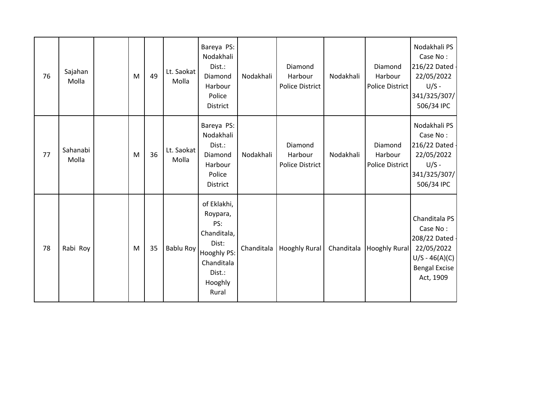| 76 | Sajahan<br>Molla  | M | 49 | Lt. Saokat<br>Molla | Bareya PS:<br>Nodakhali<br>Dist.:<br>Diamond<br>Harbour<br>Police<br>District                                     | Nodakhali  | Diamond<br>Harbour<br><b>Police District</b> | Nodakhali  | Diamond<br>Harbour<br>Police District | Nodakhali PS<br>Case No:<br>216/22 Dated -<br>22/05/2022<br>$U/S -$<br>341/325/307/<br>506/34 IPC                  |
|----|-------------------|---|----|---------------------|-------------------------------------------------------------------------------------------------------------------|------------|----------------------------------------------|------------|---------------------------------------|--------------------------------------------------------------------------------------------------------------------|
| 77 | Sahanabi<br>Molla | M | 36 | Lt. Saokat<br>Molla | Bareya PS:<br>Nodakhali<br>Dist.:<br>Diamond<br>Harbour<br>Police<br>District                                     | Nodakhali  | Diamond<br>Harbour<br><b>Police District</b> | Nodakhali  | Diamond<br>Harbour<br>Police District | Nodakhali PS<br>Case No:<br>216/22 Dated -<br>22/05/2022<br>$U/S -$<br>341/325/307/<br>506/34 IPC                  |
| 78 | Rabi Roy          | M | 35 | Bablu Roy           | of Eklakhi,<br>Roypara,<br>PS:<br>Chanditala,<br>Dist:<br>Hooghly PS:<br>Chanditala<br>Dist.:<br>Hooghly<br>Rural | Chanditala | <b>Hooghly Rural</b>                         | Chanditala | <b>Hooghly Rural</b>                  | Chanditala PS<br>Case No:<br>208/22 Dated -<br>22/05/2022<br>$U/S - 46(A)(C)$<br><b>Bengal Excise</b><br>Act, 1909 |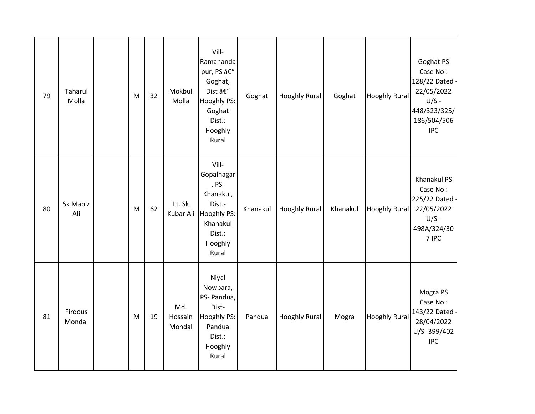| 79 | Taharul<br>Molla  | M | 32 | Mokbul<br>Molla          | Vill-<br>Ramananda<br>pur, PS –<br>Goghat,<br>Dist –<br>Hooghly PS:<br>Goghat<br>Dist.:<br>Hooghly<br>Rural  | Goghat   | <b>Hooghly Rural</b> | Goghat   | <b>Hooghly Rural</b> | Goghat PS<br>Case No:<br>128/22 Dated<br>22/05/2022<br>$U/S -$<br>448/323/325/<br>186/504/506<br><b>IPC</b> |
|----|-------------------|---|----|--------------------------|--------------------------------------------------------------------------------------------------------------|----------|----------------------|----------|----------------------|-------------------------------------------------------------------------------------------------------------|
| 80 | Sk Mabiz<br>Ali   | M | 62 | Lt. Sk<br>Kubar Ali      | Vill-<br>Gopalnagar<br>, PS-<br>Khanakul,<br>Dist.-<br>Hooghly PS:<br>Khanakul<br>Dist.:<br>Hooghly<br>Rural | Khanakul | <b>Hooghly Rural</b> | Khanakul | <b>Hooghly Rural</b> | Khanakul PS<br>Case No:<br>225/22 Dated -<br>22/05/2022<br>$U/S -$<br>498A/324/30<br>7 IPC                  |
| 81 | Firdous<br>Mondal | M | 19 | Md.<br>Hossain<br>Mondal | Niyal<br>Nowpara,<br>PS- Pandua,<br>Dist-<br>Hooghly PS:<br>Pandua<br>Dist.:<br>Hooghly<br>Rural             | Pandua   | <b>Hooghly Rural</b> | Mogra    | <b>Hooghly Rural</b> | Mogra PS<br>Case No:<br>143/22 Dated<br>28/04/2022<br>U/S-399/402<br><b>IPC</b>                             |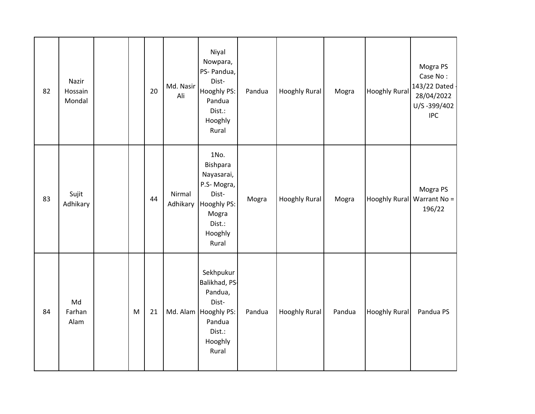| 82 | Nazir<br>Hossain<br>Mondal |           | 20 | Md. Nasir<br>Ali   | Niyal<br>Nowpara,<br>PS- Pandua,<br>Dist-<br>Hooghly PS:<br>Pandua<br>Dist.:<br>Hooghly<br>Rural                 | Pandua | <b>Hooghly Rural</b> | Mogra  | <b>Hooghly Rural</b> | Mogra PS<br>Case No:<br>143/22 Dated<br>28/04/2022<br>U/S-399/402<br><b>IPC</b> |
|----|----------------------------|-----------|----|--------------------|------------------------------------------------------------------------------------------------------------------|--------|----------------------|--------|----------------------|---------------------------------------------------------------------------------|
| 83 | Sujit<br>Adhikary          |           | 44 | Nirmal<br>Adhikary | 1No.<br>Bishpara<br>Nayasarai,<br>P.S-Mogra,<br>Dist-<br>Hooghly PS:<br>Mogra<br>Dist.:<br>Hooghly<br>Rural      | Mogra  | <b>Hooghly Rural</b> | Mogra  |                      | Mogra PS<br>Hooghly Rural Warrant No =<br>196/22                                |
| 84 | Md<br>Farhan<br>Alam       | ${\sf M}$ | 21 |                    | Sekhpukur<br>Balikhad, PS-<br>Pandua,<br>Dist-<br>Md. Alam   Hooghly PS:<br>Pandua<br>Dist.:<br>Hooghly<br>Rural | Pandua | <b>Hooghly Rural</b> | Pandua | <b>Hooghly Rural</b> | Pandua PS                                                                       |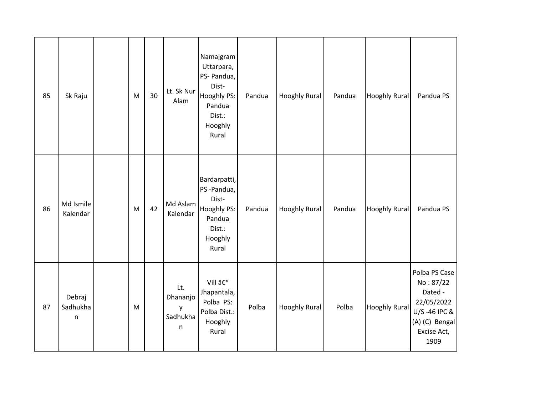| 85 | Sk Raju                            | M | 30 | Lt. Sk Nur<br>Alam                    | Namajgram<br>Uttarpara,<br>PS- Pandua,<br>Dist-<br>Hooghly PS:<br>Pandua<br>Dist.:<br>Hooghly<br>Rural | Pandua | <b>Hooghly Rural</b> | Pandua | <b>Hooghly Rural</b> | Pandua PS                                                                                                    |
|----|------------------------------------|---|----|---------------------------------------|--------------------------------------------------------------------------------------------------------|--------|----------------------|--------|----------------------|--------------------------------------------------------------------------------------------------------------|
| 86 | Md Ismile<br>Kalendar              | M | 42 | Md Aslam<br>Kalendar                  | Bardarpatti,<br>PS-Pandua,<br>Dist-<br>Hooghly PS:<br>Pandua<br>Dist.:<br>Hooghly<br>Rural             | Pandua | Hooghly Rural        | Pandua | <b>Hooghly Rural</b> | Pandua PS                                                                                                    |
| 87 | Debraj<br>Sadhukha<br>$\mathsf{n}$ | M |    | Lt.<br>Dhananjo<br>у<br>Sadhukha<br>n | Vill –<br>Jhapantala,<br>Polba PS:<br>Polba Dist.:<br>Hooghly<br>Rural                                 | Polba  | <b>Hooghly Rural</b> | Polba  | <b>Hooghly Rural</b> | Polba PS Case<br>No: 87/22<br>Dated -<br>22/05/2022<br>U/S-46 IPC &<br>(A) (C) Bengal<br>Excise Act,<br>1909 |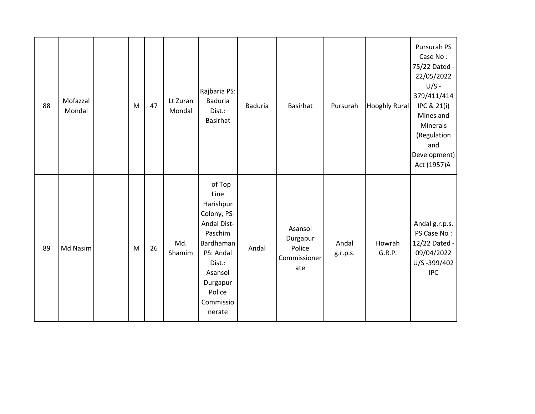| 88 | Mofazzal<br>Mondal | M | 47 | Lt Zuran<br>Mondal | Rajbaria PS:<br><b>Baduria</b><br>Dist.:<br>Basirhat                                                                                                                    | <b>Baduria</b> | Basirhat                                             | Pursurah          | <b>Hooghly Rural</b> | Pursurah PS<br>Case No:<br>75/22 Dated -<br>22/05/2022<br>$U/S -$<br>379/411/414<br>IPC & 21(i)<br>Mines and<br>Minerals<br>(Regulation<br>and<br>Development)<br>Act (1957) Â |
|----|--------------------|---|----|--------------------|-------------------------------------------------------------------------------------------------------------------------------------------------------------------------|----------------|------------------------------------------------------|-------------------|----------------------|--------------------------------------------------------------------------------------------------------------------------------------------------------------------------------|
| 89 | Md Nasim           | M | 26 | Md.<br>Shamim      | of Top<br>Line<br>Harishpur<br>Colony, PS-<br><b>Andal Dist-</b><br>Paschim<br>Bardhaman<br>PS: Andal<br>Dist.:<br>Asansol<br>Durgapur<br>Police<br>Commissio<br>nerate | Andal          | Asansol<br>Durgapur<br>Police<br>Commissioner<br>ate | Andal<br>g.r.p.s. | Howrah<br>G.R.P.     | Andal g.r.p.s.<br>PS Case No:<br>12/22 Dated -<br>09/04/2022<br>U/S-399/402<br><b>IPC</b>                                                                                      |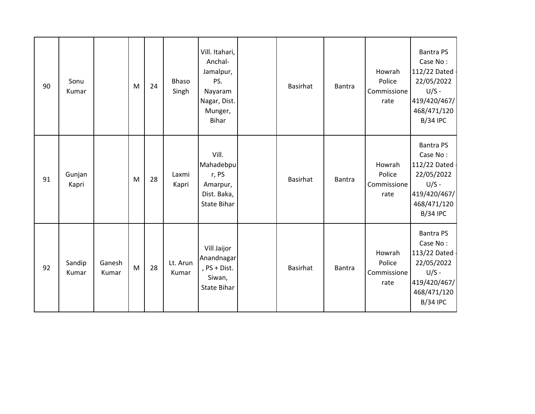| 90 | Sonu<br>Kumar   |                 | M | 24 | Bhaso<br>Singh    | Vill. Itahari,<br>Anchal-<br>Jamalpur,<br>PS.<br>Nayaram<br>Nagar, Dist.<br>Munger,<br><b>Bihar</b> | Basirhat        | Bantra | Howrah<br>Police<br>Commissione<br>rate | <b>Bantra PS</b><br>Case No:<br>112/22 Dated -<br>22/05/2022<br>$U/S -$<br>419/420/467/<br>468/471/120<br><b>B/34 IPC</b> |
|----|-----------------|-----------------|---|----|-------------------|-----------------------------------------------------------------------------------------------------|-----------------|--------|-----------------------------------------|---------------------------------------------------------------------------------------------------------------------------|
| 91 | Gunjan<br>Kapri |                 | M | 28 | Laxmi<br>Kapri    | Vill.<br>Mahadebpu<br>r, PS<br>Amarpur,<br>Dist. Baka,<br>State Bihar                               | <b>Basirhat</b> | Bantra | Howrah<br>Police<br>Commissione<br>rate | <b>Bantra PS</b><br>Case No:<br>112/22 Dated -<br>22/05/2022<br>$U/S -$<br>419/420/467/<br>468/471/120<br><b>B/34 IPC</b> |
| 92 | Sandip<br>Kumar | Ganesh<br>Kumar | M | 28 | Lt. Arun<br>Kumar | Vill Jaijor<br>Anandnagar<br>, PS + Dist.<br>Siwan,<br><b>State Bihar</b>                           | <b>Basirhat</b> | Bantra | Howrah<br>Police<br>Commissione<br>rate | <b>Bantra PS</b><br>Case No:<br>113/22 Dated -<br>22/05/2022<br>$U/S -$<br>419/420/467/<br>468/471/120<br><b>B/34 IPC</b> |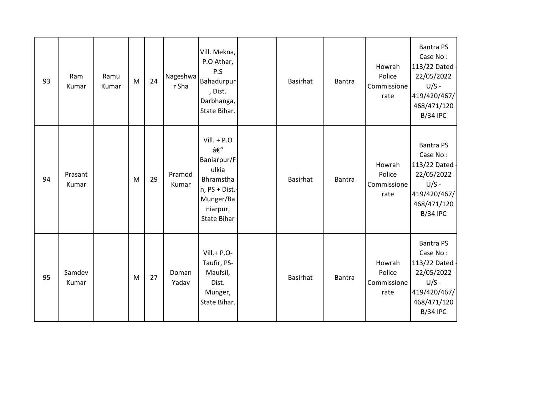| 93 | Ram<br>Kumar     | Ramu<br>Kumar | M | 24 | Nageshwa<br>r Sha | Vill. Mekna,<br>P.O Athar,<br>P.S<br>Bahadurpur<br>, Dist.<br>Darbhanga,<br>State Bihar.                          | <b>Basirhat</b> | Bantra | Howrah<br>Police<br>Commissione<br>rate | <b>Bantra PS</b><br>Case No:<br>113/22 Dated<br>22/05/2022<br>$U/S -$<br>419/420/467/<br>468/471/120<br><b>B/34 IPC</b>   |
|----|------------------|---------------|---|----|-------------------|-------------------------------------------------------------------------------------------------------------------|-----------------|--------|-----------------------------------------|---------------------------------------------------------------------------------------------------------------------------|
| 94 | Prasant<br>Kumar |               | M | 29 | Pramod<br>Kumar   | $Vill. + P.O$<br>–<br>Baniarpur/F<br>ulkia<br>Bhramstha<br>n, PS + Dist.-<br>Munger/Ba<br>niarpur,<br>State Bihar | <b>Basirhat</b> | Bantra | Howrah<br>Police<br>Commissione<br>rate | <b>Bantra PS</b><br>Case No:<br>113/22 Dated<br>22/05/2022<br>$U/S -$<br>419/420/467/<br>468/471/120<br><b>B/34 IPC</b>   |
| 95 | Samdev<br>Kumar  |               | M | 27 | Doman<br>Yadav    | $Vill.+P.O-$<br>Taufir, PS-<br>Maufsil,<br>Dist.<br>Munger,<br>State Bihar.                                       | <b>Basirhat</b> | Bantra | Howrah<br>Police<br>Commissione<br>rate | <b>Bantra PS</b><br>Case No:<br>113/22 Dated -<br>22/05/2022<br>$U/S -$<br>419/420/467/<br>468/471/120<br><b>B/34 IPC</b> |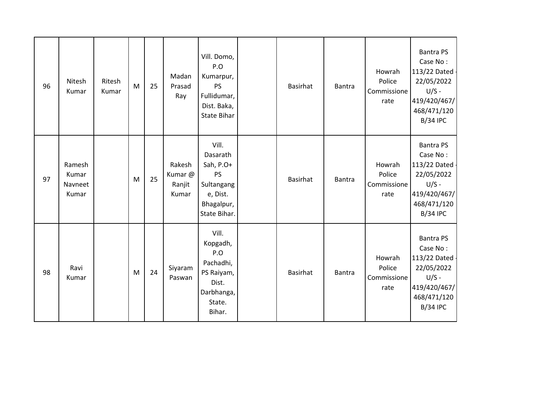| 96 | Nitesh<br>Kumar                     | Ritesh<br>Kumar | M | 25 | Madan<br>Prasad<br>Ray               | Vill. Domo,<br>P.O<br>Kumarpur,<br><b>PS</b><br>Fullidumar,<br>Dist. Baka,<br>State Bihar           | Basirhat        | Bantra | Howrah<br>Police<br>Commissione<br>rate | <b>Bantra PS</b><br>Case No:<br>113/22 Dated<br>22/05/2022<br>$U/S -$<br>419/420/467/<br>468/471/120<br><b>B/34 IPC</b>   |
|----|-------------------------------------|-----------------|---|----|--------------------------------------|-----------------------------------------------------------------------------------------------------|-----------------|--------|-----------------------------------------|---------------------------------------------------------------------------------------------------------------------------|
| 97 | Ramesh<br>Kumar<br>Navneet<br>Kumar |                 | M | 25 | Rakesh<br>Kumar @<br>Ranjit<br>Kumar | Vill.<br>Dasarath<br>Sah, P.O+<br><b>PS</b><br>Sultangang<br>e, Dist.<br>Bhagalpur,<br>State Bihar. | Basirhat        | Bantra | Howrah<br>Police<br>Commissione<br>rate | <b>Bantra PS</b><br>Case No:<br>113/22 Dated<br>22/05/2022<br>$U/S -$<br>419/420/467/<br>468/471/120<br><b>B/34 IPC</b>   |
| 98 | Ravi<br>Kumar                       |                 | M | 24 | Siyaram<br>Paswan                    | Vill.<br>Kopgadh,<br>P.O<br>Pachadhi,<br>PS Raiyam,<br>Dist.<br>Darbhanga,<br>State.<br>Bihar.      | <b>Basirhat</b> | Bantra | Howrah<br>Police<br>Commissione<br>rate | <b>Bantra PS</b><br>Case No:<br>113/22 Dated -<br>22/05/2022<br>$U/S -$<br>419/420/467/<br>468/471/120<br><b>B/34 IPC</b> |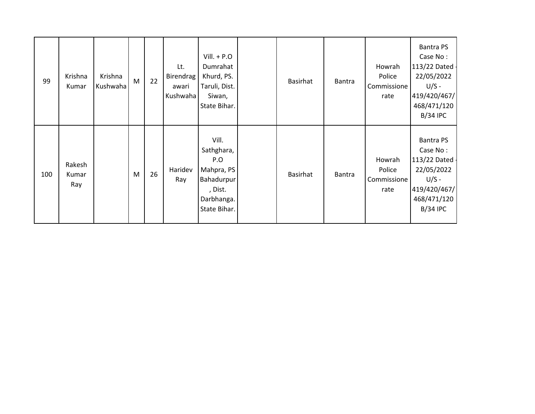| 99  | Krishna<br>Kumar       | Krishna<br>Kushwaha | M | 22 | Lt.<br><b>Birendrag</b><br>awari<br>Kushwaha | $Vill. + P.O$<br>Dumrahat<br>Khurd, PS.<br>Taruli, Dist.<br>Siwan,<br>State Bihar.              | Basirhat | <b>Bantra</b> | Howrah<br>Police<br>Commissione<br>rate | <b>Bantra PS</b><br>Case No:<br>113/22 Dated<br>22/05/2022<br>$U/S -$<br>419/420/467/<br>468/471/120<br><b>B/34 IPC</b> |
|-----|------------------------|---------------------|---|----|----------------------------------------------|-------------------------------------------------------------------------------------------------|----------|---------------|-----------------------------------------|-------------------------------------------------------------------------------------------------------------------------|
| 100 | Rakesh<br>Kumar<br>Ray |                     | M | 26 | Haridev<br>Ray                               | Vill.<br>Sathghara,<br>P.O<br>Mahpra, PS<br>Bahadurpur<br>, Dist.<br>Darbhanga.<br>State Bihar. | Basirhat | <b>Bantra</b> | Howrah<br>Police<br>Commissione<br>rate | <b>Bantra PS</b><br>Case No:<br>113/22 Dated<br>22/05/2022<br>$U/S -$<br>419/420/467/<br>468/471/120<br><b>B/34 IPC</b> |

 $\mathsf{I}$ 

 $\mathsf{I}$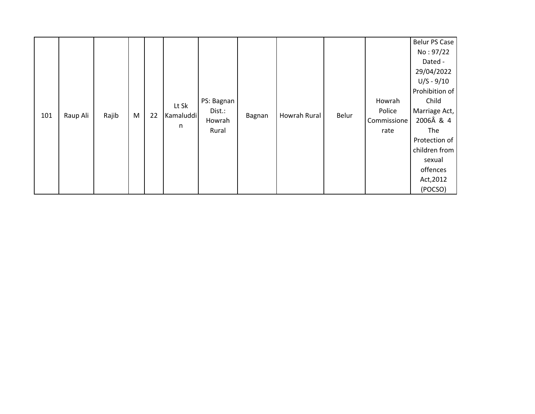|     |          |       |   |    |           |            |        |              |       |             | <b>Belur PS Case</b> |
|-----|----------|-------|---|----|-----------|------------|--------|--------------|-------|-------------|----------------------|
|     |          |       |   |    |           |            |        |              |       |             | No: 97/22            |
|     |          |       |   |    |           |            |        |              |       |             | Dated -              |
|     |          |       |   |    |           |            |        |              |       |             | 29/04/2022           |
|     |          |       |   |    |           |            |        |              |       |             | $U/S - 9/10$         |
|     |          |       |   |    |           |            |        |              |       |             | Prohibition of       |
|     |          |       |   |    | Lt Sk     | PS: Bagnan |        |              |       | Howrah      | Child                |
|     |          |       |   |    |           | Dist.:     |        | Howrah Rural | Belur | Police      | Marriage Act,        |
| 101 | Raup Ali | Rajib | M | 22 | Kamaluddi | Howrah     | Bagnan |              |       | Commissione | 2006Â & 4            |
|     |          |       |   |    | n         | Rural      |        |              |       | rate        | The                  |
|     |          |       |   |    |           |            |        |              |       |             | Protection of        |
|     |          |       |   |    |           |            |        |              |       |             | children from        |
|     |          |       |   |    |           |            |        |              |       |             | sexual               |
|     |          |       |   |    |           |            |        |              |       |             | offences             |
|     |          |       |   |    |           |            |        |              |       |             | Act, 2012            |
|     |          |       |   |    |           |            |        |              |       |             | (POCSO)              |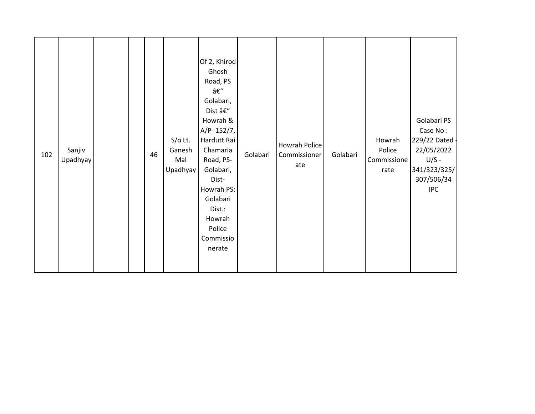| 102 | Sanjiv<br>Upadhyay |  |  | 46 | $S/O$ Lt.<br>Ganesh<br>Mal<br>Upadhyay | Of 2, Khirod<br>Ghosh<br>Road, PS<br>–<br>Golabari,<br>Dist –<br>Howrah &<br>A/P-152/7,<br>Hardutt Rai<br>Chamaria<br>Road, PS-<br>Golabari,<br>Dist-<br>Howrah PS:<br>Golabari<br>Dist.:<br>Howrah<br>Police<br>Commissio<br>nerate | Golabari | Howrah Police<br>Commissioner<br>ate | Golabari | Howrah<br>Police<br>Commissione<br>rate | Golabari PS<br>Case No:<br>229/22 Dated -<br>22/05/2022<br>$U/S -$<br>341/323/325/<br>307/506/34<br><b>IPC</b> |
|-----|--------------------|--|--|----|----------------------------------------|--------------------------------------------------------------------------------------------------------------------------------------------------------------------------------------------------------------------------------------|----------|--------------------------------------|----------|-----------------------------------------|----------------------------------------------------------------------------------------------------------------|
|-----|--------------------|--|--|----|----------------------------------------|--------------------------------------------------------------------------------------------------------------------------------------------------------------------------------------------------------------------------------------|----------|--------------------------------------|----------|-----------------------------------------|----------------------------------------------------------------------------------------------------------------|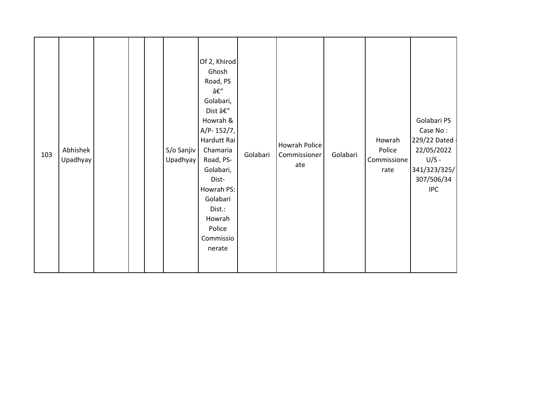| 103 | Abhishek<br>Upadhyay |  |  |  | S/o Sanjiv<br>Upadhyay | Of 2, Khirod<br>Ghosh<br>Road, PS<br>–<br>Golabari,<br>Dist –<br>Howrah &<br>A/P-152/7,<br>Hardutt Rai<br>Chamaria<br>Road, PS-<br>Golabari,<br>Dist-<br>Howrah PS:<br>Golabari<br>Dist.:<br>Howrah<br>Police<br>Commissio<br>nerate | Golabari | Howrah Police<br>Commissioner<br>ate | Golabari | Howrah<br>Police<br>Commissione<br>rate | Golabari PS<br>Case No:<br>229/22 Dated -<br>22/05/2022<br>$U/S -$<br>341/323/325/<br>307/506/34<br><b>IPC</b> |
|-----|----------------------|--|--|--|------------------------|--------------------------------------------------------------------------------------------------------------------------------------------------------------------------------------------------------------------------------------|----------|--------------------------------------|----------|-----------------------------------------|----------------------------------------------------------------------------------------------------------------|
|-----|----------------------|--|--|--|------------------------|--------------------------------------------------------------------------------------------------------------------------------------------------------------------------------------------------------------------------------------|----------|--------------------------------------|----------|-----------------------------------------|----------------------------------------------------------------------------------------------------------------|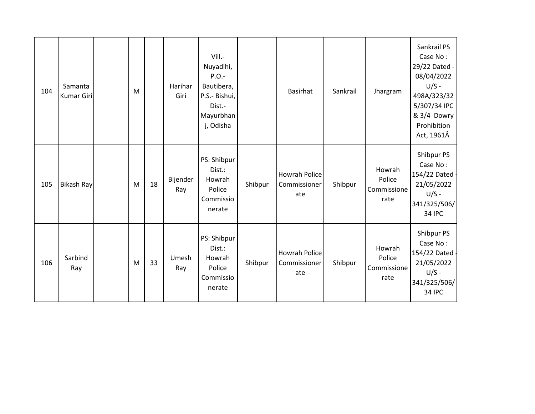| 104 | Samanta<br><b>Kumar Giri</b> | M |    | Harihar<br>Giri | Vill.-<br>Nuyadihi,<br>$P.O.$ -<br>Bautibera,<br>P.S.- Bishui,<br>Dist.-<br>Mayurbhan<br>j, Odisha |         | Basirhat                                    | Sankrail | Jhargram                                | Sankrail PS<br>Case No:<br>29/22 Dated -<br>08/04/2022<br>$U/S -$<br>498A/323/32<br>5/307/34 IPC<br>& 3/4 Dowry<br>Prohibition<br>Act, 1961Â |
|-----|------------------------------|---|----|-----------------|----------------------------------------------------------------------------------------------------|---------|---------------------------------------------|----------|-----------------------------------------|----------------------------------------------------------------------------------------------------------------------------------------------|
| 105 | <b>Bikash Ray</b>            | M | 18 | Bijender<br>Ray | PS: Shibpur<br>Dist.:<br>Howrah<br>Police<br>Commissio<br>nerate                                   | Shibpur | Howrah Police<br>Commissioner<br>ate        | Shibpur  | Howrah<br>Police<br>Commissione<br>rate | Shibpur PS<br>Case No:<br>154/22 Dated -<br>21/05/2022<br>$U/S -$<br>341/325/506/<br><b>34 IPC</b>                                           |
| 106 | Sarbind<br>Ray               | M | 33 | Umesh<br>Ray    | PS: Shibpur<br>Dist.:<br>Howrah<br>Police<br>Commissio<br>nerate                                   | Shibpur | <b>Howrah Police</b><br>Commissioner<br>ate | Shibpur  | Howrah<br>Police<br>Commissione<br>rate | Shibpur PS<br>Case No:<br>154/22 Dated -<br>21/05/2022<br>$U/S -$<br>341/325/506/<br><b>34 IPC</b>                                           |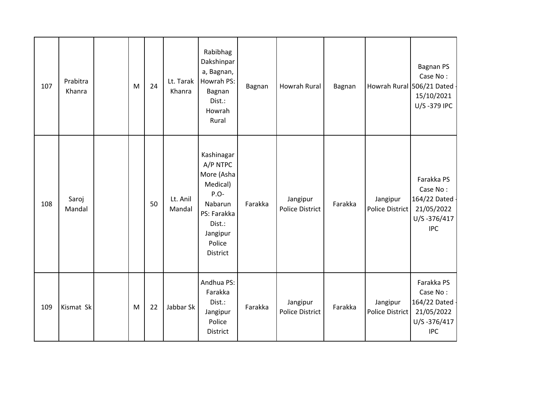| 107 | Prabitra<br>Khanra | M | 24 | Lt. Tarak<br>Khanra | Rabibhag<br>Dakshinpar<br>a, Bagnan,<br>Howrah PS:<br>Bagnan<br>Dist.:<br>Howrah<br>Rural                                      | Bagnan  | <b>Howrah Rural</b>                | Bagnan  |                                    | <b>Bagnan PS</b><br>Case No:<br>Howrah Rural 506/21 Dated<br>15/10/2021<br>U/S-379 IPC |
|-----|--------------------|---|----|---------------------|--------------------------------------------------------------------------------------------------------------------------------|---------|------------------------------------|---------|------------------------------------|----------------------------------------------------------------------------------------|
| 108 | Saroj<br>Mandal    |   | 50 | Lt. Anil<br>Mandal  | Kashinagar<br>A/P NTPC<br>More (Asha<br>Medical)<br>P.O-<br>Nabarun<br>PS: Farakka<br>Dist.:<br>Jangipur<br>Police<br>District | Farakka | Jangipur<br><b>Police District</b> | Farakka | Jangipur<br>Police District        | Farakka PS<br>Case No:<br>164/22 Dated<br>21/05/2022<br>U/S-376/417<br><b>IPC</b>      |
| 109 | Kismat Sk          | M | 22 | Jabbar Sk           | Andhua PS:<br>Farakka<br>Dist.:<br>Jangipur<br>Police<br>District                                                              | Farakka | Jangipur<br><b>Police District</b> | Farakka | Jangipur<br><b>Police District</b> | Farakka PS<br>Case No:<br>164/22 Dated -<br>21/05/2022<br>U/S-376/417<br><b>IPC</b>    |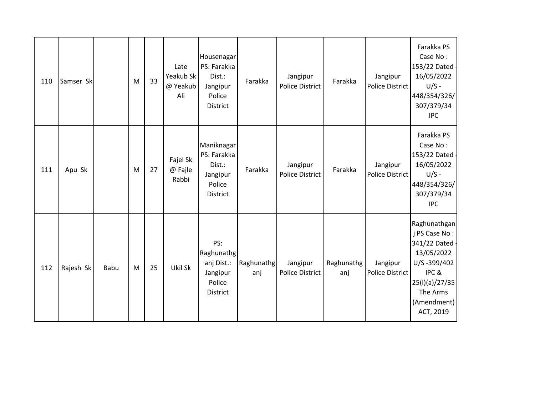| 110 | Samser Sk |      | M | 33 | Late<br>Yeakub Sk<br>@ Yeakub<br>Ali | Housenagar<br>PS: Farakka<br>Dist.:<br>Jangipur<br>Police<br>District    | Farakka           | Jangipur<br><b>Police District</b> | Farakka           | Jangipur<br>Police District | Farakka PS<br>Case No:<br>153/22 Dated<br>16/05/2022<br>$U/S -$<br>448/354/326/<br>307/379/34<br><b>IPC</b>                                    |
|-----|-----------|------|---|----|--------------------------------------|--------------------------------------------------------------------------|-------------------|------------------------------------|-------------------|-----------------------------|------------------------------------------------------------------------------------------------------------------------------------------------|
| 111 | Apu Sk    |      | M | 27 | Fajel Sk<br>@ Fajle<br>Rabbi         | Maniknagar<br>PS: Farakka<br>Dist.:<br>Jangipur<br>Police<br>District    | Farakka           | Jangipur<br><b>Police District</b> | Farakka           | Jangipur<br>Police District | Farakka PS<br>Case No:<br>153/22 Dated -<br>16/05/2022<br>$U/S -$<br>448/354/326/<br>307/379/34<br><b>IPC</b>                                  |
| 112 | Rajesh Sk | Babu | M | 25 | Ukil Sk                              | PS:<br>Raghunathg<br>anj Dist.:<br>Jangipur<br>Police<br><b>District</b> | Raghunathg<br>anj | Jangipur<br><b>Police District</b> | Raghunathg<br>anj | Jangipur<br>Police District | Raghunathgan<br>j PS Case No:<br>341/22 Dated -<br>13/05/2022<br>U/S-399/402<br>IPC&<br>25(i)(a)/27/35<br>The Arms<br>(Amendment)<br>ACT, 2019 |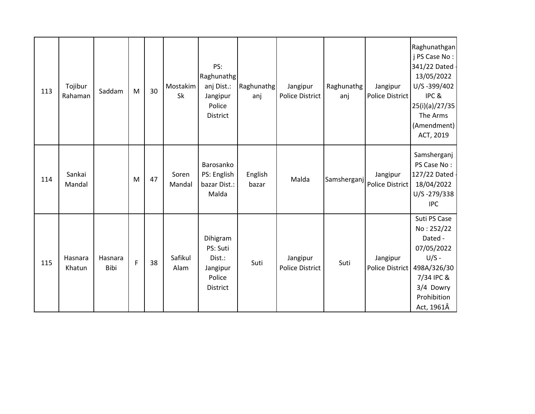| 113 | Tojibur<br>Rahaman | Saddam          | M | 30 | Mostakim<br>Sk  | PS:<br>Raghunathg<br>anj Dist.:<br>Jangipur<br>Police<br><b>District</b> | Raghunathg<br>anj | Jangipur<br><b>Police District</b> | Raghunathg<br>anj | Jangipur<br><b>Police District</b> | Raghunathgan<br>j PS Case No:<br>341/22 Dated -<br>13/05/2022<br>U/S-399/402<br>IPC&<br>25(i)(a)/27/35<br>The Arms<br>(Amendment)<br>ACT, 2019 |
|-----|--------------------|-----------------|---|----|-----------------|--------------------------------------------------------------------------|-------------------|------------------------------------|-------------------|------------------------------------|------------------------------------------------------------------------------------------------------------------------------------------------|
| 114 | Sankai<br>Mandal   |                 | M | 47 | Soren<br>Mandal | Barosanko<br>PS: English<br>bazar Dist.:<br>Malda                        | English<br>bazar  | Malda                              | Samsherganj       | Jangipur<br>Police District        | Samsherganj<br>PS Case No:<br>127/22 Dated<br>18/04/2022<br>U/S-279/338<br><b>IPC</b>                                                          |
| 115 | Hasnara<br>Khatun  | Hasnara<br>Bibi | F | 38 | Safikul<br>Alam | Dihigram<br>PS: Suti<br>Dist.:<br>Jangipur<br>Police<br>District         | Suti              | Jangipur<br><b>Police District</b> | Suti              | Jangipur<br><b>Police District</b> | Suti PS Case<br>No: 252/22<br>Dated -<br>07/05/2022<br>$U/S -$<br>498A/326/30<br>7/34 IPC &<br>3/4 Dowry<br>Prohibition<br>Act, 1961Â          |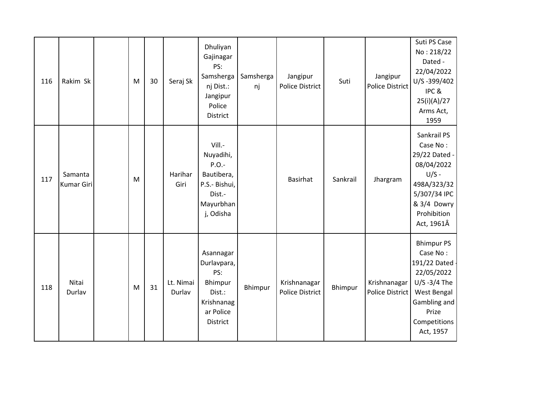| 116 | Rakim Sk              | M | 30 | Seraj Sk            | Dhuliyan<br>Gajinagar<br>PS:<br>Samsherga<br>nj Dist.:<br>Jangipur<br>Police<br>District           | Samsherga<br>nj | Jangipur<br><b>Police District</b>     | Suti     | Jangipur<br><b>Police District</b> | Suti PS Case<br>No: 218/22<br>Dated -<br>22/04/2022<br>U/S-399/402<br>IPC &<br>25(i)(A)/27<br>Arms Act,<br>1959                                    |
|-----|-----------------------|---|----|---------------------|----------------------------------------------------------------------------------------------------|-----------------|----------------------------------------|----------|------------------------------------|----------------------------------------------------------------------------------------------------------------------------------------------------|
| 117 | Samanta<br>Kumar Giri | M |    | Harihar<br>Giri     | Vill.-<br>Nuyadihi,<br>$P.O. -$<br>Bautibera,<br>P.S.- Bishui,<br>Dist.-<br>Mayurbhan<br>j, Odisha |                 | Basirhat                               | Sankrail | Jhargram                           | Sankrail PS<br>Case No:<br>29/22 Dated -<br>08/04/2022<br>$U/S -$<br>498A/323/32<br>5/307/34 IPC<br>& 3/4 Dowry<br>Prohibition<br>Act, 1961Â       |
| 118 | Nitai<br>Durlav       | M | 31 | Lt. Nimai<br>Durlav | Asannagar<br>Durlavpara,<br>PS:<br>Bhimpur<br>Dist.:<br>Krishnanag<br>ar Police<br>District        | Bhimpur         | Krishnanagar<br><b>Police District</b> | Bhimpur  | Krishnanagar<br>Police District    | <b>Bhimpur PS</b><br>Case No:<br>191/22 Dated<br>22/05/2022<br>$U/S -3/4$ The<br>West Bengal<br>Gambling and<br>Prize<br>Competitions<br>Act, 1957 |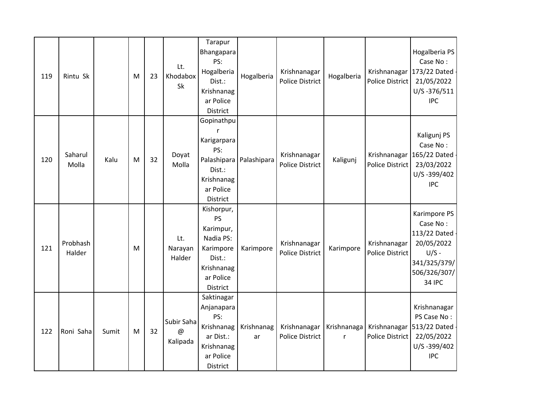| 119 | Rintu Sk           |       | M | 23 | Lt.<br>Khodabox<br>Sk       | Tarapur<br>Bhangapara<br>PS:<br>Hogalberia<br>Dist.:<br>Krishnanag<br>ar Police<br>District                            | Hogalberia                | Krishnanagar<br><b>Police District</b> | Hogalberia                  | Police District                        | Hogalberia PS<br>Case No:<br>Krishnanagar 173/22 Dated<br>21/05/2022<br>U/S-376/511<br><b>IPC</b>                    |
|-----|--------------------|-------|---|----|-----------------------------|------------------------------------------------------------------------------------------------------------------------|---------------------------|----------------------------------------|-----------------------------|----------------------------------------|----------------------------------------------------------------------------------------------------------------------|
| 120 | Saharul<br>Molla   | Kalu  | M | 32 | Doyat<br>Molla              | Gopinathpu<br>Karigarpara<br>PS:<br>Dist.:<br>Krishnanag<br>ar Police<br>District                                      | Palashipara   Palashipara | Krishnanagar<br><b>Police District</b> | Kaligunj                    | Police District                        | Kaligunj PS<br>Case No:<br>Krishnanagar 165/22 Dated<br>23/03/2022<br>U/S-399/402<br><b>IPC</b>                      |
| 121 | Probhash<br>Halder |       | M |    | Lt.<br>Narayan<br>Halder    | Kishorpur,<br><b>PS</b><br>Karimpur,<br>Nadia PS:<br>Karimpore<br>Dist.:<br>Krishnanag<br>ar Police<br><b>District</b> | Karimpore                 | Krishnanagar<br><b>Police District</b> | Karimpore                   | Krishnanagar<br><b>Police District</b> | Karimpore PS<br>Case No:<br>113/22 Dated -<br>20/05/2022<br>$U/S -$<br>341/325/379/<br>506/326/307/<br><b>34 IPC</b> |
| 122 | Roni Saha          | Sumit | M | 32 | Subir Saha<br>@<br>Kalipada | Saktinagar<br>Anjanapara<br>PS:<br>Krishnanag<br>ar Dist.:<br>Krishnanag<br>ar Police<br>District                      | Krishnanag<br>ar          | Krishnanagar<br><b>Police District</b> | Krishnanaga<br>$\mathsf{r}$ | Krishnanagar<br>Police District        | Krishnanagar<br>PS Case No:<br>513/22 Dated<br>22/05/2022<br>U/S-399/402<br><b>IPC</b>                               |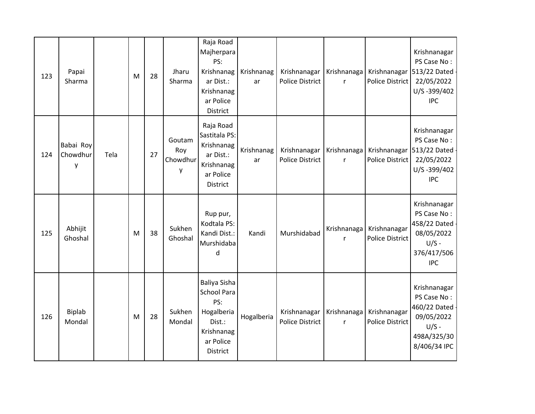| 123 | Papai<br>Sharma            |      | M         | 28 | Jharu<br>Sharma                | Raja Road<br>Majherpara<br>PS:<br>Krishnanag<br>ar Dist.:<br>Krishnanag<br>ar Police<br>District         | Krishnanag<br>ar | Krishnanagar<br><b>Police District</b> | Krishnanaga<br>r            | Krishnanagar<br>Police District        | Krishnanagar<br>PS Case No:<br>513/22 Dated<br>22/05/2022<br>U/S-399/402<br><b>IPC</b>              |
|-----|----------------------------|------|-----------|----|--------------------------------|----------------------------------------------------------------------------------------------------------|------------------|----------------------------------------|-----------------------------|----------------------------------------|-----------------------------------------------------------------------------------------------------|
| 124 | Babai Roy<br>Chowdhur<br>y | Tela |           | 27 | Goutam<br>Roy<br>Chowdhur<br>у | Raja Road<br>Sastitala PS:<br>Krishnanag<br>ar Dist.:<br>Krishnanag<br>ar Police<br>District             | Krishnanag<br>ar | Krishnanagar<br><b>Police District</b> | Krishnanaga<br>r            | Krishnanagar<br><b>Police District</b> | Krishnanagar<br>PS Case No:<br>513/22 Dated<br>22/05/2022<br>U/S-399/402<br><b>IPC</b>              |
| 125 | Abhijit<br>Ghoshal         |      | ${\sf M}$ | 38 | Sukhen<br>Ghoshal              | Rup pur,<br>Kodtala PS:<br>Kandi Dist.:<br>Murshidaba<br>d                                               | Kandi            | Murshidabad                            | Krishnanaga<br>$\mathsf{r}$ | Krishnanagar<br><b>Police District</b> | Krishnanagar<br>PS Case No:<br>458/22 Dated -<br>08/05/2022<br>$U/S -$<br>376/417/506<br><b>IPC</b> |
| 126 | <b>Biplab</b><br>Mondal    |      | M         | 28 | Sukhen<br>Mondal               | Baliya Sisha<br><b>School Para</b><br>PS:<br>Hogalberia<br>Dist.:<br>Krishnanag<br>ar Police<br>District | Hogalberia       | Krishnanagar<br><b>Police District</b> | Krishnanaga<br>$\mathsf{r}$ | Krishnanagar<br><b>Police District</b> | Krishnanagar<br>PS Case No:<br>460/22 Dated<br>09/05/2022<br>$U/S -$<br>498A/325/30<br>8/406/34 IPC |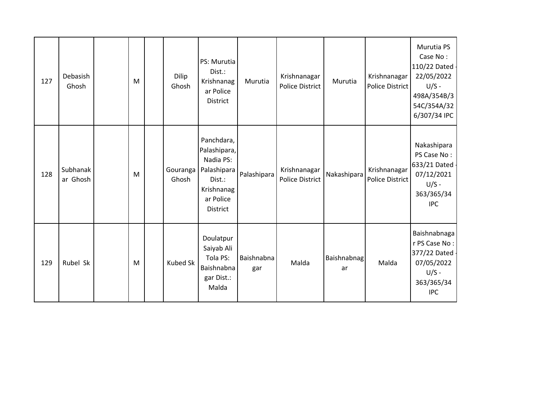| 127 | Debasish<br>Ghosh    | M | Dilip<br>Ghosh    | PS: Murutia<br>Dist.:<br>Krishnanag<br>ar Police<br>District                                            | Murutia           | Krishnanagar<br><b>Police District</b> | Murutia                  | Krishnanagar<br><b>Police District</b> | Murutia PS<br>Case No:<br>110/22 Dated -<br>22/05/2022<br>$U/S -$<br>498A/354B/3<br>54C/354A/32<br>6/307/34 IPC |
|-----|----------------------|---|-------------------|---------------------------------------------------------------------------------------------------------|-------------------|----------------------------------------|--------------------------|----------------------------------------|-----------------------------------------------------------------------------------------------------------------|
| 128 | Subhanak<br>ar Ghosh | M | Gouranga<br>Ghosh | Panchdara,<br>Palashipara,<br>Nadia PS:<br>Palashipara<br>Dist.:<br>Krishnanag<br>ar Police<br>District | Palashipara       | Krishnanagar<br><b>Police District</b> | Nakashipara              | Krishnanagar<br><b>Police District</b> | Nakashipara<br>PS Case No:<br>633/21 Dated -<br>07/12/2021<br>$U/S -$<br>363/365/34<br><b>IPC</b>               |
| 129 | Rubel Sk             | M | <b>Kubed Sk</b>   | Doulatpur<br>Saiyab Ali<br>Tola PS:<br>Baishnabna<br>gar Dist.:<br>Malda                                | Baishnabna<br>gar | Malda                                  | <b>Baishnabnag</b><br>ar | Malda                                  | <b>Baishnabnaga</b><br>r PS Case No:<br>377/22 Dated -<br>07/05/2022<br>$U/S -$<br>363/365/34<br><b>IPC</b>     |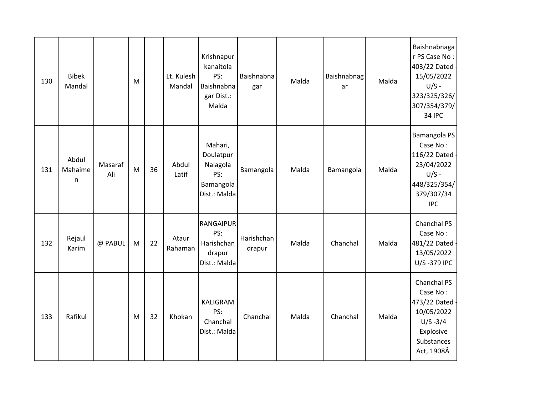| 130 | <b>Bibek</b><br>Mandal |                | M         |    | Lt. Kulesh<br>Mandal | Krishnapur<br>kanaitola<br>PS:<br>Baishnabna<br>gar Dist.:<br>Malda  | Baishnabna<br>gar    | Malda | Baishnabnag<br>ar | Malda | Baishnabnaga<br>r PS Case No:<br>403/22 Dated<br>15/05/2022<br>$U/S -$<br>323/325/326/<br>307/354/379/<br><b>34 IPC</b> |
|-----|------------------------|----------------|-----------|----|----------------------|----------------------------------------------------------------------|----------------------|-------|-------------------|-------|-------------------------------------------------------------------------------------------------------------------------|
| 131 | Abdul<br>Mahaime<br>n  | Masaraf<br>Ali | M         | 36 | Abdul<br>Latif       | Mahari,<br>Doulatpur<br>Nalagola<br>PS:<br>Bamangola<br>Dist.: Malda | Bamangola            | Malda | Bamangola         | Malda | Bamangola PS<br>Case No:<br>116/22 Dated<br>23/04/2022<br>$U/S -$<br>448/325/354/<br>379/307/34<br><b>IPC</b>           |
| 132 | Rejaul<br>Karim        | @ PABUL        | M         | 22 | Ataur<br>Rahaman     | <b>RANGAIPUR</b><br>PS:<br>Harishchan<br>drapur<br>Dist.: Malda      | Harishchan<br>drapur | Malda | Chanchal          | Malda | Chanchal PS<br>Case No:<br>481/22 Dated<br>13/05/2022<br>U/S-379 IPC                                                    |
| 133 | Rafikul                |                | ${\sf M}$ | 32 | Khokan               | KALIGRAM<br>PS:<br>Chanchal<br>Dist.: Malda                          | Chanchal             | Malda | Chanchal          | Malda | Chanchal PS<br>Case No:<br>473/22 Dated<br>10/05/2022<br>$U/S - 3/4$<br>Explosive<br>Substances<br>Act, 1908Â           |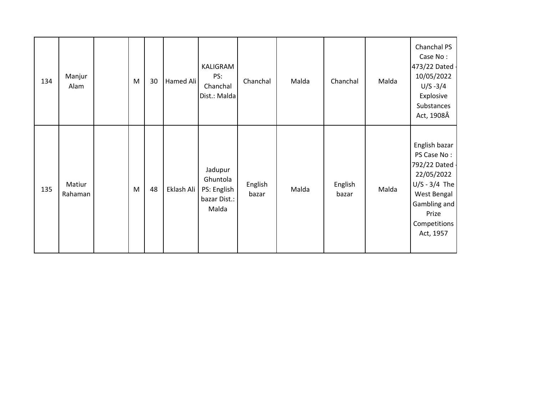| 134 | Manjur<br>Alam    | M         | 30 | Hamed Ali  | KALIGRAM<br>PS:<br>Chanchal<br>Dist.: Malda                 | Chanchal         | Malda | Chanchal         | Malda | Chanchal PS<br>Case No:<br>473/22 Dated -<br>10/05/2022<br>$U/S - 3/4$<br>Explosive<br>Substances<br>Act, 1908Â                                      |
|-----|-------------------|-----------|----|------------|-------------------------------------------------------------|------------------|-------|------------------|-------|------------------------------------------------------------------------------------------------------------------------------------------------------|
| 135 | Matiur<br>Rahaman | ${\sf M}$ | 48 | Eklash Ali | Jadupur<br>Ghuntola<br>PS: English<br>bazar Dist.:<br>Malda | English<br>bazar | Malda | English<br>bazar | Malda | English bazar<br>PS Case No:<br>792/22 Dated -<br>22/05/2022<br>$U/S - 3/4$ The<br>West Bengal<br>Gambling and<br>Prize<br>Competitions<br>Act, 1957 |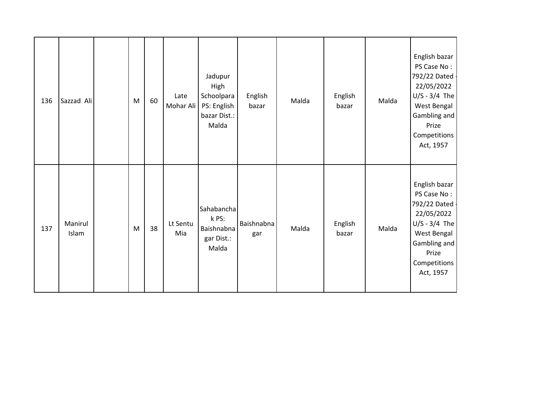| 136 | Sazzad Ali       | M | 60 | Late<br>Mohar Ali | Jadupur<br>High<br>Schoolpara<br>PS: English<br>bazar Dist.:<br>Malda | English<br>bazar         | Malda | English<br>bazar | Malda | English bazar<br>PS Case No:<br>792/22 Dated -<br>22/05/2022<br>$U/S - 3/4$ The<br>West Bengal<br>Gambling and<br>Prize<br><b>Competitions</b><br>Act, 1957 |
|-----|------------------|---|----|-------------------|-----------------------------------------------------------------------|--------------------------|-------|------------------|-------|-------------------------------------------------------------------------------------------------------------------------------------------------------------|
| 137 | Manirul<br>Islam | M | 38 | Lt Sentu<br>Mia   | Sahabancha<br>k PS:<br>Baishnabna<br>gar Dist.:<br>Malda              | <b>Baishnabna</b><br>gar | Malda | English<br>bazar | Malda | English bazar<br>PS Case No:<br>792/22 Dated -<br>22/05/2022<br>$U/S - 3/4$ The<br>West Bengal<br>Gambling and<br>Prize<br>Competitions<br>Act, 1957        |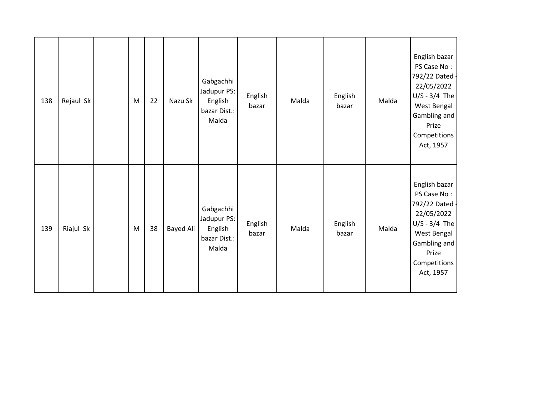| 138 | Rejaul Sk | M | 22 | Nazu Sk   | Gabgachhi<br>Jadupur PS:<br>English<br>bazar Dist.:<br>Malda | English<br>bazar | Malda | English<br>bazar | Malda | English bazar<br>PS Case No:<br>792/22 Dated -<br>22/05/2022<br>$U/S - 3/4$ The<br>West Bengal<br>Gambling and<br>Prize<br><b>Competitions</b><br>Act, 1957 |
|-----|-----------|---|----|-----------|--------------------------------------------------------------|------------------|-------|------------------|-------|-------------------------------------------------------------------------------------------------------------------------------------------------------------|
| 139 | Riajul Sk | M | 38 | Bayed Ali | Gabgachhi<br>Jadupur PS:<br>English<br>bazar Dist.:<br>Malda | English<br>bazar | Malda | English<br>bazar | Malda | English bazar<br>PS Case No:<br>792/22 Dated -<br>22/05/2022<br>$U/S - 3/4$ The<br>West Bengal<br>Gambling and<br>Prize<br>Competitions<br>Act, 1957        |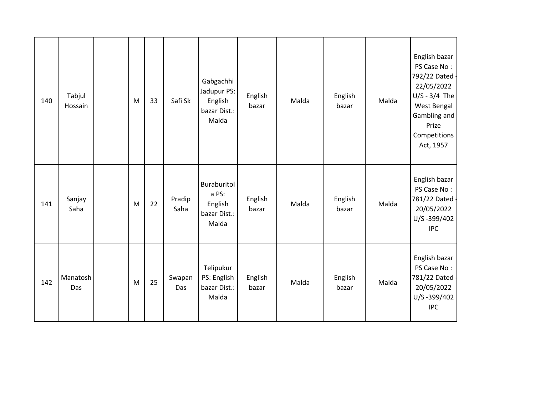| 140 | Tabjul<br>Hossain | M | 33 | Safi Sk        | Gabgachhi<br>Jadupur PS:<br>English<br>bazar Dist.:<br>Malda | English<br>bazar | Malda | English<br>bazar | Malda | English bazar<br>PS Case No:<br>792/22 Dated -<br>22/05/2022<br>$U/S - 3/4$ The<br>West Bengal<br>Gambling and<br>Prize<br>Competitions<br>Act, 1957 |
|-----|-------------------|---|----|----------------|--------------------------------------------------------------|------------------|-------|------------------|-------|------------------------------------------------------------------------------------------------------------------------------------------------------|
| 141 | Sanjay<br>Saha    | M | 22 | Pradip<br>Saha | Buraburitol<br>a PS:<br>English<br>bazar Dist.:<br>Malda     | English<br>bazar | Malda | English<br>bazar | Malda | English bazar<br>PS Case No:<br>781/22 Dated -<br>20/05/2022<br>U/S-399/402<br><b>IPC</b>                                                            |
| 142 | Manatosh<br>Das   | M | 25 | Swapan<br>Das  | Telipukur<br>PS: English<br>bazar Dist.:<br>Malda            | English<br>bazar | Malda | English<br>bazar | Malda | English bazar<br>PS Case No:<br>781/22 Dated -<br>20/05/2022<br>U/S-399/402<br><b>IPC</b>                                                            |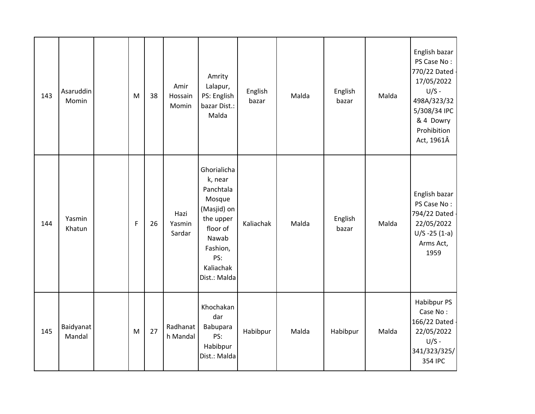| 143 | Asaruddin<br>Momin  | M           | 38 | Amir<br>Hossain<br>Momin | Amrity<br>Lalapur,<br>PS: English<br>bazar Dist.:<br>Malda                                                                                     | English<br>bazar | Malda | English<br>bazar | Malda | English bazar<br>PS Case No:<br>770/22 Dated<br>17/05/2022<br>$U/S -$<br>498A/323/32<br>5/308/34 IPC<br>& 4 Dowry<br>Prohibition<br>Act, 1961Â |
|-----|---------------------|-------------|----|--------------------------|------------------------------------------------------------------------------------------------------------------------------------------------|------------------|-------|------------------|-------|------------------------------------------------------------------------------------------------------------------------------------------------|
| 144 | Yasmin<br>Khatun    | $\mathsf F$ | 26 | Hazi<br>Yasmin<br>Sardar | Ghorialicha<br>k, near<br>Panchtala<br>Mosque<br>(Masjid) on<br>the upper<br>floor of<br>Nawab<br>Fashion,<br>PS:<br>Kaliachak<br>Dist.: Malda | Kaliachak        | Malda | English<br>bazar | Malda | English bazar<br>PS Case No:<br>794/22 Dated -<br>22/05/2022<br>$U/S - 25(1-a)$<br>Arms Act,<br>1959                                           |
| 145 | Baidyanat<br>Mandal | M           | 27 | Radhanat<br>h Mandal     | Khochakan<br>dar<br>Babupara<br>PS:<br>Habibpur<br>Dist.: Malda                                                                                | Habibpur         | Malda | Habibpur         | Malda | Habibpur PS<br>Case No:<br>166/22 Dated<br>22/05/2022<br>$U/S -$<br>341/323/325/<br>354 IPC                                                    |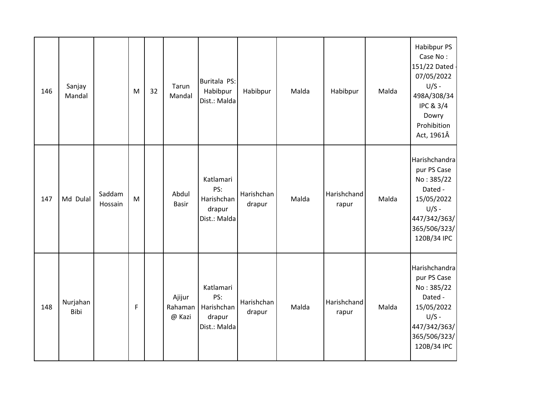| 146 | Sanjay<br>Mandal |                   | M | 32 | Tarun<br>Mandal             | Buritala PS:<br>Habibpur<br>Dist.: Malda                 | Habibpur             | Malda | Habibpur             | Malda | Habibpur PS<br>Case No:<br>151/22 Dated<br>07/05/2022<br>$U/S -$<br>498A/308/34<br><b>IPC &amp; 3/4</b><br>Dowry<br>Prohibition<br>Act, 1961Â |
|-----|------------------|-------------------|---|----|-----------------------------|----------------------------------------------------------|----------------------|-------|----------------------|-------|-----------------------------------------------------------------------------------------------------------------------------------------------|
| 147 | Md Dulal         | Saddam<br>Hossain | M |    | Abdul<br><b>Basir</b>       | Katlamari<br>PS:<br>Harishchan<br>drapur<br>Dist.: Malda | Harishchan<br>drapur | Malda | Harishchand<br>rapur | Malda | Harishchandra<br>pur PS Case<br>No: 385/22<br>Dated -<br>15/05/2022<br>$U/S -$<br>447/342/363/<br>365/506/323/<br>120B/34 IPC                 |
| 148 | Nurjahan<br>Bibi |                   | F |    | Ajijur<br>Rahaman<br>@ Kazi | Katlamari<br>PS:<br>Harishchan<br>drapur<br>Dist.: Malda | Harishchan<br>drapur | Malda | Harishchand<br>rapur | Malda | Harishchandra<br>pur PS Case<br>No: 385/22<br>Dated -<br>15/05/2022<br>$U/S -$<br>447/342/363/<br>365/506/323/<br>120B/34 IPC                 |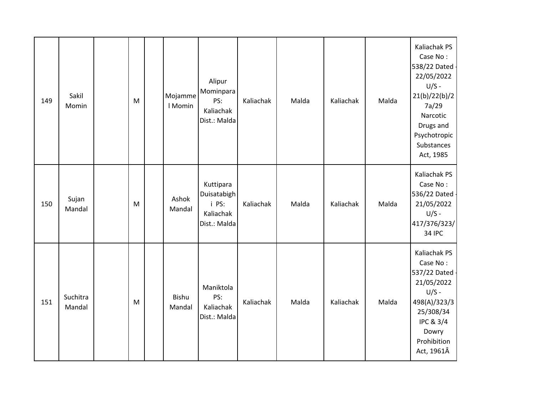| 149 | Sakil<br>Momin     | M | Mojamme<br>I Momin | Alipur<br>Mominpara<br>PS:<br>Kaliachak<br>Dist.: Malda        | Kaliachak | Malda | Kaliachak | Malda | Kaliachak PS<br>Case No:<br>538/22 Dated<br>22/05/2022<br>$U/S -$<br>21(b)/22(b)/2<br>7a/29<br>Narcotic<br>Drugs and<br>Psychotropic<br>Substances<br>Act, 1985 |
|-----|--------------------|---|--------------------|----------------------------------------------------------------|-----------|-------|-----------|-------|-----------------------------------------------------------------------------------------------------------------------------------------------------------------|
| 150 | Sujan<br>Mandal    | M | Ashok<br>Mandal    | Kuttipara<br>Duisatabigh<br>i PS:<br>Kaliachak<br>Dist.: Malda | Kaliachak | Malda | Kaliachak | Malda | Kaliachak PS<br>Case No:<br>536/22 Dated -<br>21/05/2022<br>$U/S -$<br>417/376/323/<br><b>34 IPC</b>                                                            |
| 151 | Suchitra<br>Mandal | M | Bishu<br>Mandal    | Maniktola<br>PS:<br>Kaliachak<br>Dist.: Malda                  | Kaliachak | Malda | Kaliachak | Malda | Kaliachak PS<br>Case No:<br>537/22 Dated<br>21/05/2022<br>$U/S -$<br>498(A)/323/3<br>25/308/34<br><b>IPC &amp; 3/4</b><br>Dowry<br>Prohibition<br>Act, 1961Â    |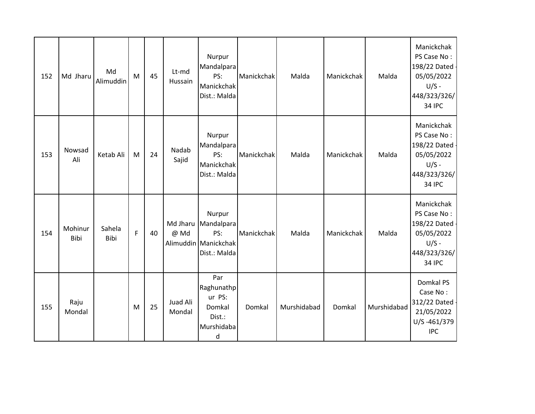| 152 | Md Jharu        | Md<br>Alimuddin | M | 45 | Lt-md<br>Hussain   | Nurpur<br>Mandalpara<br>PS:<br>Manickchak<br>Dist.: Malda           | Manickchak | Malda       | Manickchak | Malda       | Manickchak<br>PS Case No:<br>198/22 Dated<br>05/05/2022<br>$U/S -$<br>448/323/326/<br><b>34 IPC</b>   |
|-----|-----------------|-----------------|---|----|--------------------|---------------------------------------------------------------------|------------|-------------|------------|-------------|-------------------------------------------------------------------------------------------------------|
| 153 | Nowsad<br>Ali   | Ketab Ali       | M | 24 | Nadab<br>Sajid     | Nurpur<br>Mandalpara<br>PS:<br>Manickchak<br>Dist.: Malda           | Manickchak | Malda       | Manickchak | Malda       | Manickchak<br>PS Case No:<br>198/22 Dated -<br>05/05/2022<br>$U/S -$<br>448/323/326/<br><b>34 IPC</b> |
| 154 | Mohinur<br>Bibi | Sahela<br>Bibi  | F | 40 | Md Jharu<br>@ Md   | Nurpur<br>Mandalpara<br>PS:<br>Alimuddin Manickchak<br>Dist.: Malda | Manickchak | Malda       | Manickchak | Malda       | Manickchak<br>PS Case No:<br>198/22 Dated<br>05/05/2022<br>$U/S -$<br>448/323/326/<br><b>34 IPC</b>   |
| 155 | Raju<br>Mondal  |                 | M | 25 | Juad Ali<br>Mondal | Par<br>Raghunathp<br>ur PS:<br>Domkal<br>Dist.:<br>Murshidaba<br>d  | Domkal     | Murshidabad | Domkal     | Murshidabad | Domkal PS<br>Case No:<br>312/22 Dated -<br>21/05/2022<br>U/S-461/379<br><b>IPC</b>                    |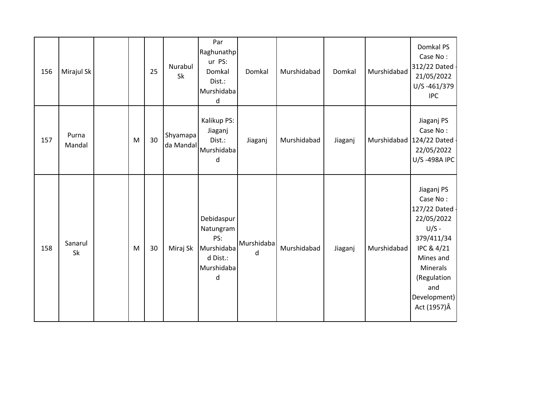| 156 | Mirajul Sk      |           | 25 | Nurabul<br>Sk         | Par<br>Raghunathp<br>ur PS:<br>Domkal<br>Dist.:<br>Murshidaba<br>d          | Domkal          | Murshidabad | Domkal  | Murshidabad | Domkal PS<br>Case No:<br>312/22 Dated<br>21/05/2022<br>U/S-461/379<br><b>IPC</b>                                                                                             |
|-----|-----------------|-----------|----|-----------------------|-----------------------------------------------------------------------------|-----------------|-------------|---------|-------------|------------------------------------------------------------------------------------------------------------------------------------------------------------------------------|
| 157 | Purna<br>Mandal | ${\sf M}$ | 30 | Shyamapa<br>da Mandal | Kalikup PS:<br>Jiaganj<br>Dist.:<br>Murshidaba<br>d                         | Jiaganj         | Murshidabad | Jiaganj |             | Jiaganj PS<br>Case No:<br>Murshidabad 124/22 Dated<br>22/05/2022<br>U/S-498A IPC                                                                                             |
| 158 | Sanarul<br>Sk   | M         | 30 | Miraj Sk              | Debidaspur<br>Natungram<br>PS:<br>Murshidaba<br>d Dist.:<br>Murshidaba<br>d | Murshidaba<br>d | Murshidabad | Jiaganj | Murshidabad | Jiaganj PS<br>Case No:<br>127/22 Dated -<br>22/05/2022<br>$U/S -$<br>379/411/34<br>IPC & 4/21<br>Mines and<br>Minerals<br>(Regulation<br>and<br>Development)<br>Act (1957) Â |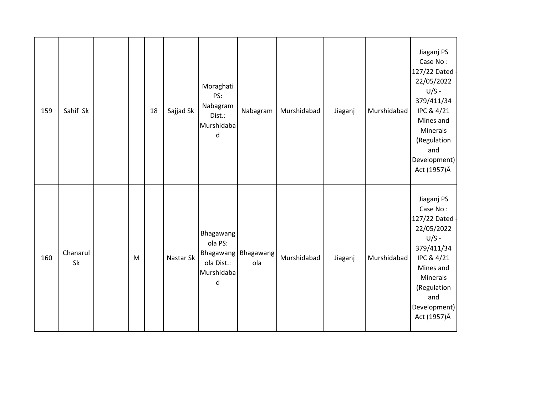| 159 | Sahif Sk       |           | 18 | Sajjad Sk | Moraghati<br>PS:<br>Nabagram<br>Dist.:<br>Murshidaba<br>d | Nabagram                   | Murshidabad | Jiaganj | Murshidabad | Jiaganj PS<br>Case No:<br>127/22 Dated -<br>22/05/2022<br>$U/S -$<br>379/411/34<br>IPC & 4/21<br>Mines and<br>Minerals<br>(Regulation<br>and<br>Development)<br>Act (1957) Â        |
|-----|----------------|-----------|----|-----------|-----------------------------------------------------------|----------------------------|-------------|---------|-------------|-------------------------------------------------------------------------------------------------------------------------------------------------------------------------------------|
| 160 | Chanarul<br>Sk | ${\sf M}$ |    | Nastar Sk | Bhagawang<br>ola PS:<br>ola Dist.:<br>Murshidaba<br>d     | Bhagawang Bhagawang<br>ola | Murshidabad | Jiaganj | Murshidabad | Jiaganj PS<br>Case No:<br>127/22 Dated -<br>22/05/2022<br>$U/S -$<br>379/411/34<br>IPC & 4/21<br>Mines and<br><b>Minerals</b><br>(Regulation<br>and<br>Development)<br>Act (1957) Â |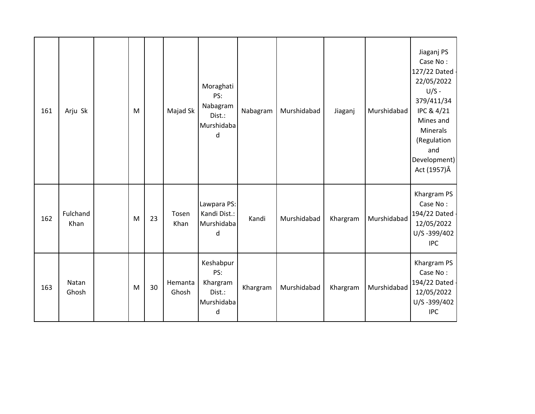| 161 | Arju Sk          | M |    | Majad Sk         | Moraghati<br>PS:<br>Nabagram<br>Dist.:<br>Murshidaba<br>d | Nabagram | Murshidabad | Jiaganj  | Murshidabad | Jiaganj PS<br>Case No:<br>127/22 Dated<br>22/05/2022<br>$U/S -$<br>379/411/34<br>IPC & 4/21<br>Mines and<br>Minerals<br>(Regulation<br>and<br>Development)<br>Act (1957) Â |
|-----|------------------|---|----|------------------|-----------------------------------------------------------|----------|-------------|----------|-------------|----------------------------------------------------------------------------------------------------------------------------------------------------------------------------|
| 162 | Fulchand<br>Khan | M | 23 | Tosen<br>Khan    | Lawpara PS:<br>Kandi Dist.:<br>Murshidaba<br>d            | Kandi    | Murshidabad | Khargram | Murshidabad | Khargram PS<br>Case No:<br>194/22 Dated -<br>12/05/2022<br>U/S-399/402<br><b>IPC</b>                                                                                       |
| 163 | Natan<br>Ghosh   | M | 30 | Hemanta<br>Ghosh | Keshabpur<br>PS:<br>Khargram<br>Dist.:<br>Murshidaba<br>d | Khargram | Murshidabad | Khargram | Murshidabad | Khargram PS<br>Case No:<br>194/22 Dated -<br>12/05/2022<br>U/S-399/402<br><b>IPC</b>                                                                                       |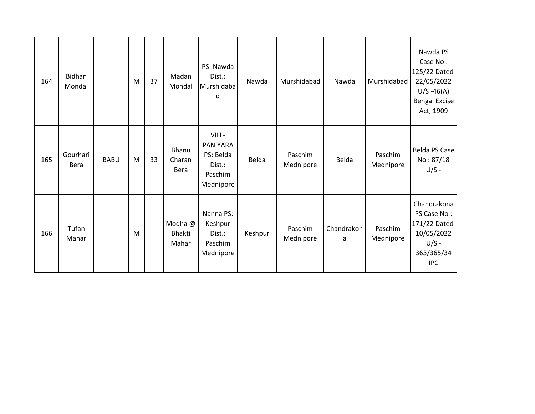| 164 | Bidhan<br>Mondal |             | M | 37 | Madan<br>Mondal                   | PS: Nawda<br>Dist.:<br>Murshidaba<br>d                           | Nawda   | Murshidabad          | Nawda           | Murshidabad          | Nawda PS<br>Case No:<br>125/22 Dated -<br>22/05/2022<br>$U/S -46(A)$<br><b>Bengal Excise</b><br>Act, 1909 |
|-----|------------------|-------------|---|----|-----------------------------------|------------------------------------------------------------------|---------|----------------------|-----------------|----------------------|-----------------------------------------------------------------------------------------------------------|
| 165 | Gourhari<br>Bera | <b>BABU</b> | M | 33 | Bhanu<br>Charan<br><b>Bera</b>    | VILL-<br>PANIYARA<br>PS: Belda<br>Dist.:<br>Paschim<br>Mednipore | Belda   | Paschim<br>Mednipore | Belda           | Paschim<br>Mednipore | Belda PS Case<br>No: 87/18<br>$U/S -$                                                                     |
| 166 | Tufan<br>Mahar   |             | M |    | Modha @<br><b>Bhakti</b><br>Mahar | Nanna PS:<br>Keshpur<br>Dist.:<br>Paschim<br>Mednipore           | Keshpur | Paschim<br>Mednipore | Chandrakon<br>a | Paschim<br>Mednipore | Chandrakona<br>PS Case No:<br>171/22 Dated -<br>10/05/2022<br>$U/S -$<br>363/365/34<br><b>IPC</b>         |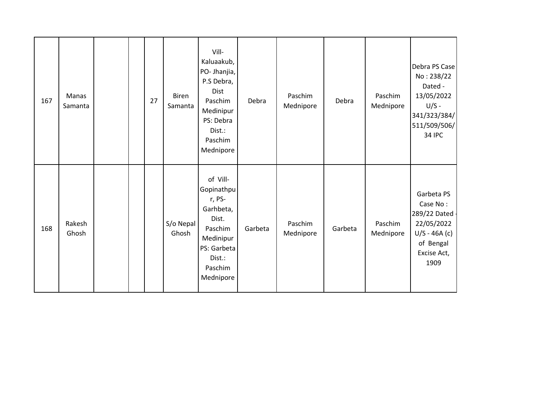| 167 | Manas<br>Samanta |  | 27 | Biren<br>Samanta   | Vill-<br>Kaluaakub,<br>PO- Jhanjia,<br>P.S Debra,<br><b>Dist</b><br>Paschim<br>Medinipur<br>PS: Debra<br>Dist.:<br>Paschim<br>Mednipore | Debra   | Paschim<br>Mednipore | Debra   | Paschim<br>Mednipore | Debra PS Case<br>No: 238/22<br>Dated -<br>13/05/2022<br>$U/S -$<br>341/323/384/<br>511/509/506/<br><b>34 IPC</b> |
|-----|------------------|--|----|--------------------|-----------------------------------------------------------------------------------------------------------------------------------------|---------|----------------------|---------|----------------------|------------------------------------------------------------------------------------------------------------------|
| 168 | Rakesh<br>Ghosh  |  |    | S/o Nepal<br>Ghosh | of Vill-<br>Gopinathpu<br>r, PS-<br>Garhbeta,<br>Dist.<br>Paschim<br>Medinipur<br>PS: Garbeta<br>Dist.:<br>Paschim<br>Mednipore         | Garbeta | Paschim<br>Mednipore | Garbeta | Paschim<br>Mednipore | Garbeta PS<br>Case No:<br>289/22 Dated -<br>22/05/2022<br>$U/S - 46A(c)$<br>of Bengal<br>Excise Act,<br>1909     |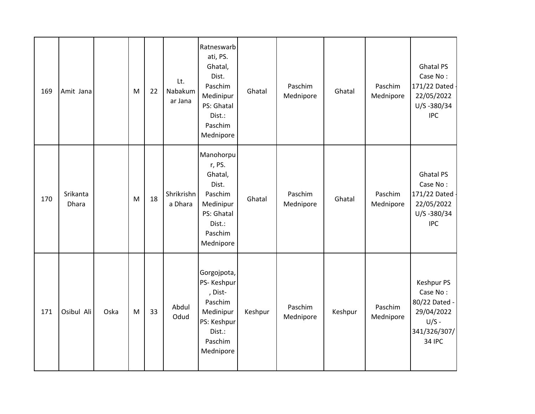| 169 | Amit Jana         |      | M | 22 | Lt.<br>Nabakum<br>ar Jana | Ratneswarb<br>ati, PS.<br>Ghatal,<br>Dist.<br>Paschim<br>Medinipur<br>PS: Ghatal<br>Dist.:<br>Paschim<br>Mednipore | Ghatal  | Paschim<br>Mednipore | Ghatal  | Paschim<br>Mednipore | <b>Ghatal PS</b><br>Case No:<br>171/22 Dated<br>22/05/2022<br>U/S-380/34<br><b>IPC</b>                   |
|-----|-------------------|------|---|----|---------------------------|--------------------------------------------------------------------------------------------------------------------|---------|----------------------|---------|----------------------|----------------------------------------------------------------------------------------------------------|
| 170 | Srikanta<br>Dhara |      | M | 18 | Shrikrishn<br>a Dhara     | Manohorpu<br>r, PS.<br>Ghatal,<br>Dist.<br>Paschim<br>Medinipur<br>PS: Ghatal<br>Dist.:<br>Paschim<br>Mednipore    | Ghatal  | Paschim<br>Mednipore | Ghatal  | Paschim<br>Mednipore | <b>Ghatal PS</b><br>Case No:<br>171/22 Dated<br>22/05/2022<br>U/S-380/34<br><b>IPC</b>                   |
| 171 | Osibul Ali        | Oska | M | 33 | Abdul<br>Odud             | Gorgojpota,<br>PS-Keshpur<br>, Dist-<br>Paschim<br>Medinipur<br>PS: Keshpur<br>Dist.:<br>Paschim<br>Mednipore      | Keshpur | Paschim<br>Mednipore | Keshpur | Paschim<br>Mednipore | <b>Keshpur PS</b><br>Case No:<br>80/22 Dated -<br>29/04/2022<br>$U/S -$<br>341/326/307/<br><b>34 IPC</b> |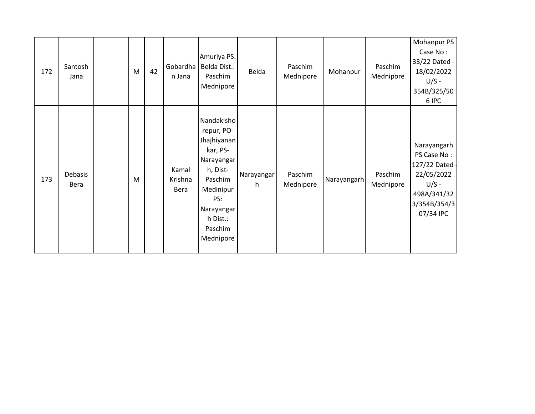| 172 | Santosh<br>Jana | M | 42 | Gobardha<br>n Jana       | Amuriya PS:<br>Belda Dist.:<br>Paschim<br>Mednipore                                                                                                            | Belda            | Paschim<br>Mednipore | Mohanpur    | Paschim<br>Mednipore | Mohanpur PS<br>Case No:<br>33/22 Dated -<br>18/02/2022<br>$U/S -$<br>354B/325/50<br>6 IPC                         |
|-----|-----------------|---|----|--------------------------|----------------------------------------------------------------------------------------------------------------------------------------------------------------|------------------|----------------------|-------------|----------------------|-------------------------------------------------------------------------------------------------------------------|
| 173 | Debasis<br>Bera | M |    | Kamal<br>Krishna<br>Bera | Nandakisho<br>repur, PO-<br>Jhajhiyanan<br>kar, PS-<br>Narayangar<br>h, Dist-<br>Paschim<br>Medinipur<br>PS:<br>Narayangar<br>h Dist.:<br>Paschim<br>Mednipore | Narayangar<br>h. | Paschim<br>Mednipore | Narayangarh | Paschim<br>Mednipore | Narayangarh<br>PS Case No:<br>127/22 Dated -<br>22/05/2022<br>$U/S -$<br>498A/341/32<br>3/354B/354/3<br>07/34 IPC |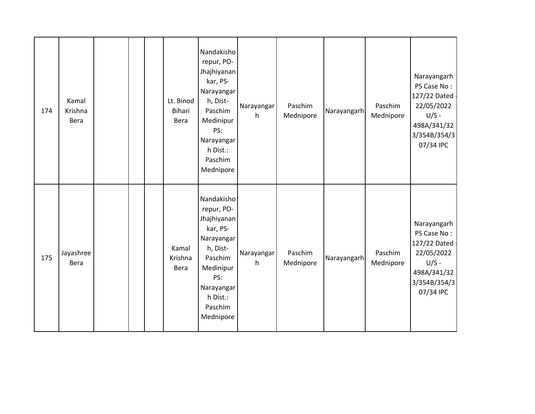| 174 | Kamal<br>Krishna<br>Bera |  | Lt. Binod<br><b>Bihari</b><br>Bera | Nandakisho<br>repur, PO-<br>Jhajhiyanan<br>kar, PS-<br>Narayangar<br>h, Dist-<br>Paschim<br>Medinipur<br>PS:<br>Narayangar<br>h Dist.:<br>Paschim<br>Mednipore | Narayangar<br>h | Paschim<br>Mednipore | Narayangarh | Paschim<br>Mednipore | Narayangarh<br>PS Case No:<br>127/22 Dated -<br>22/05/2022<br>$U/S -$<br>498A/341/32<br>3/354B/354/3<br>07/34 IPC |
|-----|--------------------------|--|------------------------------------|----------------------------------------------------------------------------------------------------------------------------------------------------------------|-----------------|----------------------|-------------|----------------------|-------------------------------------------------------------------------------------------------------------------|
| 175 | Jayashree<br>Bera        |  | Kamal<br>Krishna<br>Bera           | Nandakisho<br>repur, PO-<br>Jhajhiyanan<br>kar, PS-<br>Narayangar<br>h, Dist-<br>Paschim<br>Medinipur<br>PS:<br>Narayangar<br>h Dist.:<br>Paschim<br>Mednipore | Narayangar<br>h | Paschim<br>Mednipore | Narayangarh | Paschim<br>Mednipore | Narayangarh<br>PS Case No:<br>127/22 Dated -<br>22/05/2022<br>$U/S -$<br>498A/341/32<br>3/354B/354/3<br>07/34 IPC |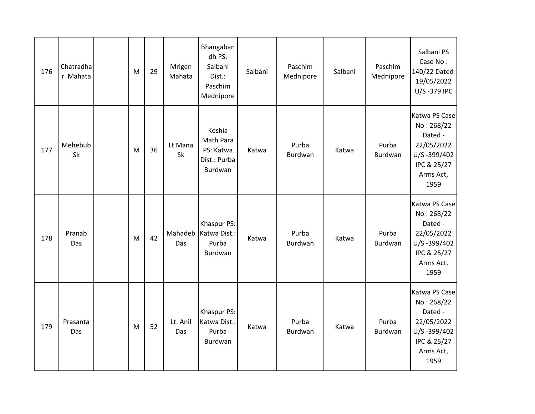| 176 | Chatradha<br>r Mahata | M         | 29 | Mrigen<br>Mahata | Bhangaban<br>dh PS:<br>Salbani<br>Dist.:<br>Paschim<br>Mednipore | Salbani | Paschim<br>Mednipore | Salbani | Paschim<br>Mednipore | Salbani PS<br>Case No:<br>140/22 Dated<br>19/05/2022<br>U/S-379 IPC                                     |
|-----|-----------------------|-----------|----|------------------|------------------------------------------------------------------|---------|----------------------|---------|----------------------|---------------------------------------------------------------------------------------------------------|
| 177 | Mehebub<br>Sk         | ${\sf M}$ | 36 | Lt Mana<br>Sk    | Keshia<br>Math Para<br>PS: Katwa<br>Dist.: Purba<br>Burdwan      | Katwa   | Purba<br>Burdwan     | Katwa   | Purba<br>Burdwan     | Katwa PS Case<br>No: 268/22<br>Dated -<br>22/05/2022<br>U/S-399/402<br>IPC & 25/27<br>Arms Act,<br>1959 |
| 178 | Pranab<br>Das         | ${\sf M}$ | 42 | Mahadeb<br>Das   | Khaspur PS:<br>Katwa Dist.:<br>Purba<br>Burdwan                  | Katwa   | Purba<br>Burdwan     | Katwa   | Purba<br>Burdwan     | Katwa PS Case<br>No: 268/22<br>Dated -<br>22/05/2022<br>U/S-399/402<br>IPC & 25/27<br>Arms Act,<br>1959 |
| 179 | Prasanta<br>Das       | M         | 52 | Lt. Anil<br>Das  | Khaspur PS:<br>Katwa Dist.:<br>Purba<br>Burdwan                  | Katwa   | Purba<br>Burdwan     | Katwa   | Purba<br>Burdwan     | Katwa PS Case<br>No: 268/22<br>Dated -<br>22/05/2022<br>U/S-399/402<br>IPC & 25/27<br>Arms Act,<br>1959 |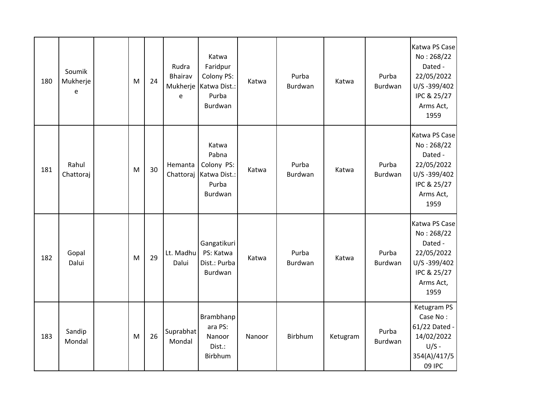| 180 | Soumik<br>Mukherje<br>e | M | 24 | Rudra<br><b>Bhairav</b><br>Mukherje<br>e | Katwa<br>Faridpur<br>Colony PS:<br>Katwa Dist.:<br>Purba<br>Burdwan | Katwa  | Purba<br>Burdwan | Katwa    | Purba<br>Burdwan | Katwa PS Case<br>No: 268/22<br>Dated -<br>22/05/2022<br>U/S-399/402<br>IPC & 25/27<br>Arms Act,<br>1959 |
|-----|-------------------------|---|----|------------------------------------------|---------------------------------------------------------------------|--------|------------------|----------|------------------|---------------------------------------------------------------------------------------------------------|
| 181 | Rahul<br>Chattoraj      | M | 30 | Hemanta<br>Chattoraj                     | Katwa<br>Pabna<br>Colony PS:<br>Katwa Dist.:<br>Purba<br>Burdwan    | Katwa  | Purba<br>Burdwan | Katwa    | Purba<br>Burdwan | Katwa PS Case<br>No: 268/22<br>Dated -<br>22/05/2022<br>U/S-399/402<br>IPC & 25/27<br>Arms Act,<br>1959 |
| 182 | Gopal<br>Dalui          | M | 29 | Lt. Madhu<br>Dalui                       | Gangatikuri<br>PS: Katwa<br>Dist.: Purba<br>Burdwan                 | Katwa  | Purba<br>Burdwan | Katwa    | Purba<br>Burdwan | Katwa PS Case<br>No: 268/22<br>Dated -<br>22/05/2022<br>U/S-399/402<br>IPC & 25/27<br>Arms Act,<br>1959 |
| 183 | Sandip<br>Mondal        | M | 26 | Suprabhat<br>Mondal                      | Brambhanp<br>ara PS:<br>Nanoor<br>Dist.:<br>Birbhum                 | Nanoor | Birbhum          | Ketugram | Purba<br>Burdwan | Ketugram PS<br>Case No:<br>61/22 Dated -<br>14/02/2022<br>$U/S -$<br>354(A)/417/5<br>09 IPC             |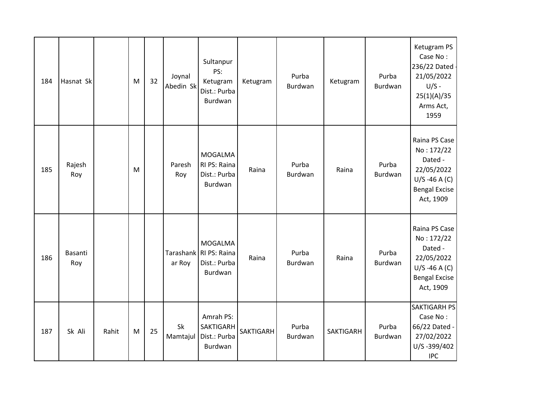| 184 | Hasnat Sk      |       | M | 32 | Joynal<br>Abedin Sk | Sultanpur<br>PS:<br>Ketugram<br>Dist.: Purba<br>Burdwan             | Ketugram  | Purba<br>Burdwan | Ketugram         | Purba<br>Burdwan | Ketugram PS<br>Case No:<br>236/22 Dated<br>21/05/2022<br>$U/S -$<br>25(1)(A)/35<br>Arms Act,<br>1959          |
|-----|----------------|-------|---|----|---------------------|---------------------------------------------------------------------|-----------|------------------|------------------|------------------|---------------------------------------------------------------------------------------------------------------|
| 185 | Rajesh<br>Roy  |       | M |    | Paresh<br>Roy       | <b>MOGALMA</b><br>RI PS: Raina<br>Dist.: Purba<br>Burdwan           | Raina     | Purba<br>Burdwan | Raina            | Purba<br>Burdwan | Raina PS Case<br>No: 172/22<br>Dated -<br>22/05/2022<br>$U/S - 46 A (C)$<br><b>Bengal Excise</b><br>Act, 1909 |
| 186 | Basanti<br>Roy |       |   |    | ar Roy              | <b>MOGALMA</b><br>Tarashank RI PS: Raina<br>Dist.: Purba<br>Burdwan | Raina     | Purba<br>Burdwan | Raina            | Purba<br>Burdwan | Raina PS Case<br>No: 172/22<br>Dated -<br>22/05/2022<br>$U/S - 46 A (C)$<br><b>Bengal Excise</b><br>Act, 1909 |
| 187 | Sk Ali         | Rahit | M | 25 | Sk<br>Mamtajul      | Amrah PS:<br>SAKTIGARH<br>Dist.: Purba<br>Burdwan                   | SAKTIGARH | Purba<br>Burdwan | <b>SAKTIGARH</b> | Purba<br>Burdwan | <b>SAKTIGARH PS</b><br>Case No:<br>66/22 Dated -<br>27/02/2022<br>U/S-399/402<br><b>IPC</b>                   |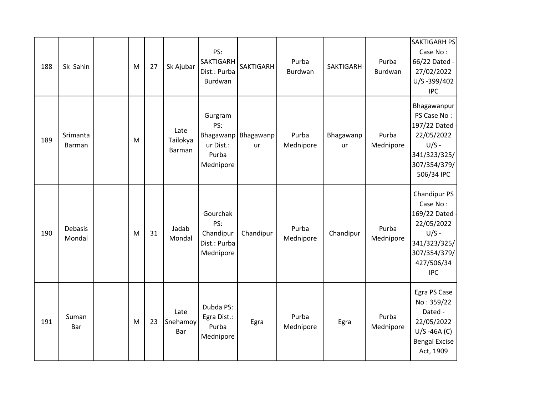| 188 | Sk Sahin                  | M         | 27 | Sk Ajubar                  | PS:<br><b>SAKTIGARH</b><br>Dist.: Purba<br>Burdwan        | <b>SAKTIGARH</b>          | Purba<br>Burdwan   | <b>SAKTIGARH</b> | Purba<br>Burdwan   | <b>SAKTIGARH PS</b><br>Case No:<br>66/22 Dated -<br>27/02/2022<br>U/S-399/402<br><b>IPC</b>                                   |
|-----|---------------------------|-----------|----|----------------------------|-----------------------------------------------------------|---------------------------|--------------------|------------------|--------------------|-------------------------------------------------------------------------------------------------------------------------------|
| 189 | Srimanta<br><b>Barman</b> | M         |    | Late<br>Tailokya<br>Barman | Gurgram<br>PS:<br>ur Dist.:<br>Purba<br>Mednipore         | Bhagawanp Bhagawanp<br>ur | Purba<br>Mednipore | Bhagawanp<br>ur  | Purba<br>Mednipore | Bhagawanpur<br>PS Case No:<br>197/22 Dated -<br>22/05/2022<br>$U/S -$<br>341/323/325/<br>307/354/379/<br>506/34 IPC           |
| 190 | Debasis<br>Mondal         | M         | 31 | Jadab<br>Mondal            | Gourchak<br>PS:<br>Chandipur<br>Dist.: Purba<br>Mednipore | Chandipur                 | Purba<br>Mednipore | Chandipur        | Purba<br>Mednipore | Chandipur PS<br>Case No:<br>169/22 Dated<br>22/05/2022<br>$U/S -$<br>341/323/325/<br>307/354/379/<br>427/506/34<br><b>IPC</b> |
| 191 | Suman<br>Bar              | ${\sf M}$ | 23 | Late<br>Snehamoy<br>Bar    | Dubda PS:<br>Egra Dist.:<br>Purba<br>Mednipore            | Egra                      | Purba<br>Mednipore | Egra             | Purba<br>Mednipore | Egra PS Case<br>No: 359/22<br>Dated -<br>22/05/2022<br>$U/S - 46A(C)$<br><b>Bengal Excise</b><br>Act, 1909                    |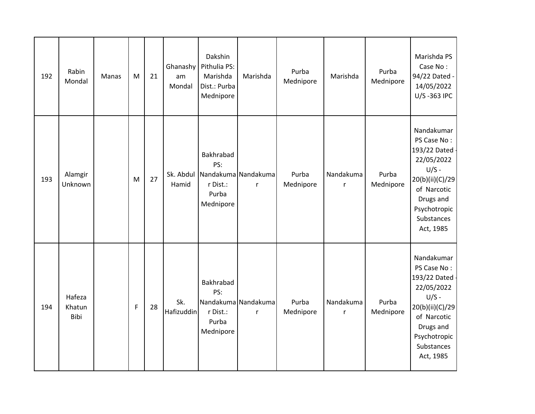| 192 | Rabin<br>Mondal          | Manas | M           | 21 | Ghanashy<br>am<br>Mondal | Dakshin<br>Pithulia PS:<br>Marishda<br>Dist.: Purba<br>Mednipore | Marishda                            | Purba<br>Mednipore | Marishda                  | Purba<br>Mednipore | Marishda PS<br>Case No:<br>94/22 Dated -<br>14/05/2022<br>U/S-363 IPC                                                                                          |
|-----|--------------------------|-------|-------------|----|--------------------------|------------------------------------------------------------------|-------------------------------------|--------------------|---------------------------|--------------------|----------------------------------------------------------------------------------------------------------------------------------------------------------------|
| 193 | Alamgir<br>Unknown       |       | M           | 27 | Hamid                    | Bakhrabad<br>PS:<br>r Dist.:<br>Purba<br>Mednipore               | Sk. Abdul Nandakuma Nandakuma<br>r  | Purba<br>Mednipore | Nandakuma<br>$\mathsf{r}$ | Purba<br>Mednipore | Nandakumar<br>PS Case No:<br>193/22 Dated ·<br>22/05/2022<br>$U/S -$<br>20(b)(ii)(C)/29<br>of Narcotic<br>Drugs and<br>Psychotropic<br>Substances<br>Act, 1985 |
| 194 | Hafeza<br>Khatun<br>Bibi |       | $\mathsf F$ | 28 | Sk.<br>Hafizuddin        | Bakhrabad<br>PS:<br>r Dist.:<br>Purba<br>Mednipore               | Nandakuma Nandakuma<br>$\mathsf{r}$ | Purba<br>Mednipore | Nandakuma<br>$\mathsf{r}$ | Purba<br>Mednipore | Nandakumar<br>PS Case No:<br>193/22 Dated ·<br>22/05/2022<br>$U/S -$<br>20(b)(ii)(C)/29<br>of Narcotic<br>Drugs and<br>Psychotropic<br>Substances<br>Act, 1985 |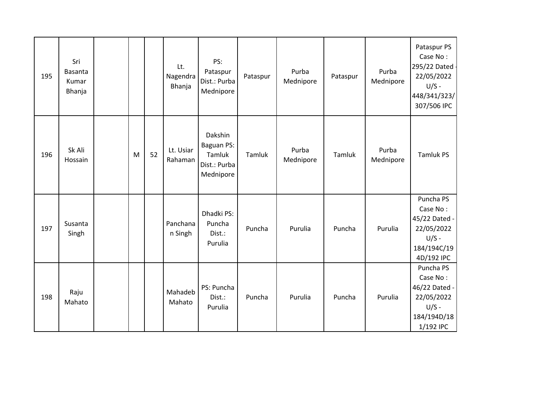| 195 | Sri<br><b>Basanta</b><br>Kumar<br>Bhanja |   |    | Lt.<br>Nagendra<br>Bhanja | PS:<br>Pataspur<br>Dist.: Purba<br>Mednipore                 | Pataspur | Purba<br>Mednipore | Pataspur | Purba<br>Mednipore | Pataspur PS<br>Case No:<br>295/22 Dated -<br>22/05/2022<br>$U/S -$<br>448/341/323/<br>307/506 IPC |
|-----|------------------------------------------|---|----|---------------------------|--------------------------------------------------------------|----------|--------------------|----------|--------------------|---------------------------------------------------------------------------------------------------|
| 196 | Sk Ali<br>Hossain                        | M | 52 | Lt. Usiar<br>Rahaman      | Dakshin<br>Baguan PS:<br>Tamluk<br>Dist.: Purba<br>Mednipore | Tamluk   | Purba<br>Mednipore | Tamluk   | Purba<br>Mednipore | <b>Tamluk PS</b>                                                                                  |
| 197 | Susanta<br>Singh                         |   |    | Panchana<br>n Singh       | Dhadki PS:<br>Puncha<br>Dist.:<br>Purulia                    | Puncha   | Purulia            | Puncha   | Purulia            | Puncha PS<br>Case No:<br>45/22 Dated -<br>22/05/2022<br>$U/S -$<br>184/194C/19<br>4D/192 IPC      |
| 198 | Raju<br>Mahato                           |   |    | Mahadeb<br>Mahato         | PS: Puncha<br>Dist.:<br>Purulia                              | Puncha   | Purulia            | Puncha   | Purulia            | Puncha PS<br>Case No:<br>46/22 Dated -<br>22/05/2022<br>$U/S -$<br>184/194D/18<br>1/192 IPC       |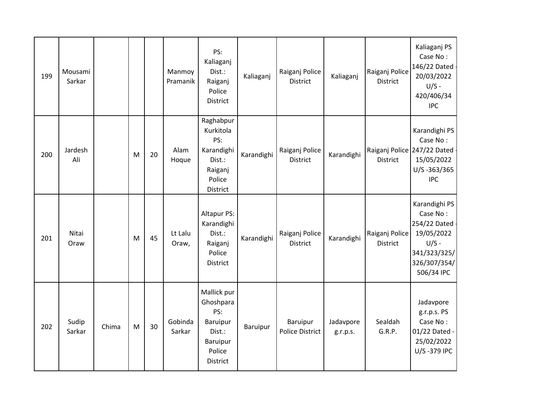| 199 | Mousami<br>Sarkar |       |   |    | Manmoy<br>Pramanik | PS:<br>Kaliaganj<br>Dist.:<br>Raiganj<br>Police<br>District                             | Kaliaganj  | Raiganj Police<br><b>District</b>         | Kaliaganj             | Raiganj Police<br><b>District</b> | Kaliaganj PS<br>Case No:<br>146/22 Dated<br>20/03/2022<br>$U/S -$<br>420/406/34<br><b>IPC</b>                    |
|-----|-------------------|-------|---|----|--------------------|-----------------------------------------------------------------------------------------|------------|-------------------------------------------|-----------------------|-----------------------------------|------------------------------------------------------------------------------------------------------------------|
| 200 | Jardesh<br>Ali    |       | M | 20 | Alam<br>Hoque      | Raghabpur<br>Kurkitola<br>PS:<br>Karandighi<br>Dist.:<br>Raiganj<br>Police<br>District  | Karandighi | Raiganj Police<br>District                | Karandighi            | <b>District</b>                   | Karandighi PS<br>Case No:<br>Raiganj Police 247/22 Dated<br>15/05/2022<br>U/S-363/365<br><b>IPC</b>              |
| 201 | Nitai<br>Oraw     |       | M | 45 | Lt Lalu<br>Oraw,   | <b>Altapur PS:</b><br>Karandighi<br>Dist.:<br>Raiganj<br>Police<br><b>District</b>      | Karandighi | Raiganj Police<br><b>District</b>         | Karandighi            | Raiganj Police<br>District        | Karandighi PS<br>Case No:<br>254/22 Dated<br>19/05/2022<br>$U/S -$<br>341/323/325/<br>326/307/354/<br>506/34 IPC |
| 202 | Sudip<br>Sarkar   | Chima | M | 30 | Gobinda<br>Sarkar  | Mallick pur<br>Ghoshpara<br>PS:<br>Baruipur<br>Dist.:<br>Baruipur<br>Police<br>District | Baruipur   | <b>Baruipur</b><br><b>Police District</b> | Jadavpore<br>g.r.p.s. | Sealdah<br>G.R.P.                 | Jadavpore<br>g.r.p.s. PS<br>Case No:<br>01/22 Dated -<br>25/02/2022<br>U/S-379 IPC                               |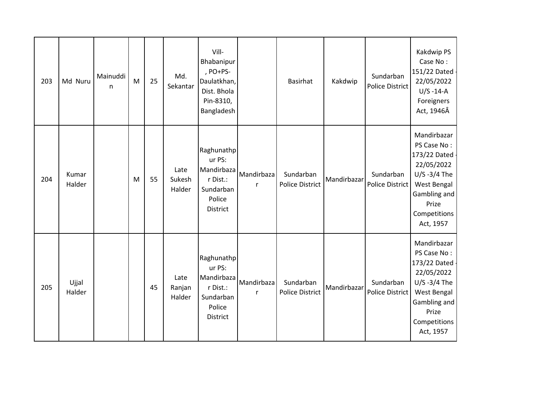| 203 | Md Nuru         | Mainuddi<br>n. | M | 25 | Md.<br>Sekantar          | Vill-<br>Bhabanipur<br>, PO+PS-<br>Daulatkhan,<br>Dist. Bhola<br>Pin-8310,<br>Bangladesh |                            | <b>Basirhat</b>                     | Kakdwip     | Sundarban<br>Police District | Kakdwip PS<br>Case No:<br>151/22 Dated<br>22/05/2022<br>$U/S - 14-A$<br>Foreigners<br>Act, 1946Â                                                |
|-----|-----------------|----------------|---|----|--------------------------|------------------------------------------------------------------------------------------|----------------------------|-------------------------------------|-------------|------------------------------|-------------------------------------------------------------------------------------------------------------------------------------------------|
| 204 | Kumar<br>Halder |                | M | 55 | Late<br>Sukesh<br>Halder | Raghunathp<br>ur PS:<br>Mandirbaza<br>r Dist.:<br>Sundarban<br>Police<br>District        | Mandirbaza<br>$\mathsf{r}$ | Sundarban<br><b>Police District</b> | Mandirbazar | Sundarban<br>Police District | Mandirbazar<br>PS Case No:<br>173/22 Dated<br>22/05/2022<br>$U/S -3/4$ The<br>West Bengal<br>Gambling and<br>Prize<br>Competitions<br>Act, 1957 |
| 205 | Ujjal<br>Halder |                |   | 45 | Late<br>Ranjan<br>Halder | Raghunathp<br>ur PS:<br>Mandirbaza<br>r Dist.:<br>Sundarban<br>Police<br>District        | Mandirbaza<br>r            | Sundarban<br><b>Police District</b> | Mandirbazar | Sundarban<br>Police District | Mandirbazar<br>PS Case No:<br>173/22 Dated<br>22/05/2022<br>$U/S -3/4$ The<br>West Bengal<br>Gambling and<br>Prize<br>Competitions<br>Act, 1957 |

 $\pmb{\cdot}$ 

 $\pmb{\cdot}$ 

 $\pmb{\cdot}$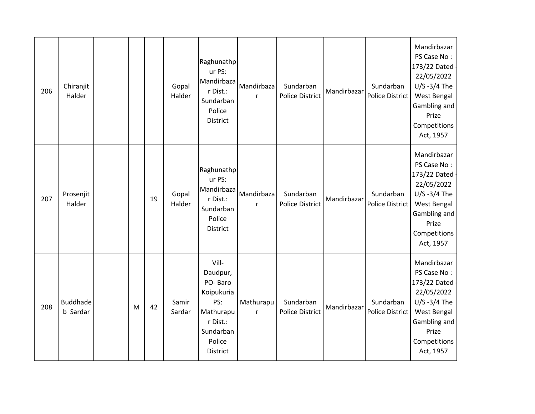| 206 | Chiranjit<br>Halder         |   |    | Gopal<br>Halder | Raghunathp<br>ur PS:<br>Mandirbaza<br>r Dist.:<br>Sundarban<br>Police<br>District                             | Mandirbaza<br>$\mathsf{r}$ | Sundarban<br><b>Police District</b> | Mandirbazar | Sundarban<br>Police District        | Mandirbazar<br>PS Case No:<br>173/22 Dated<br>22/05/2022<br>$U/S -3/4$ The<br>West Bengal<br>Gambling and<br>Prize<br>Competitions<br>Act, 1957 |
|-----|-----------------------------|---|----|-----------------|---------------------------------------------------------------------------------------------------------------|----------------------------|-------------------------------------|-------------|-------------------------------------|-------------------------------------------------------------------------------------------------------------------------------------------------|
| 207 | Prosenjit<br>Halder         |   | 19 | Gopal<br>Halder | Raghunathp<br>ur PS:<br>Mandirbaza<br>r Dist.:<br>Sundarban<br>Police<br>District                             | Mandirbaza<br>$\mathsf{r}$ | Sundarban<br><b>Police District</b> | Mandirbazar | Sundarban<br><b>Police District</b> | Mandirbazar<br>PS Case No:<br>173/22 Dated<br>22/05/2022<br>$U/S -3/4$ The<br>West Bengal<br>Gambling and<br>Prize<br>Competitions<br>Act, 1957 |
| 208 | <b>Buddhade</b><br>b Sardar | M | 42 | Samir<br>Sardar | Vill-<br>Daudpur,<br>PO-Baro<br>Koipukuria<br>PS:<br>Mathurapu<br>r Dist.:<br>Sundarban<br>Police<br>District | Mathurapu<br>$\mathsf{r}$  | Sundarban<br><b>Police District</b> | Mandirbazar | Sundarban<br>Police District        | Mandirbazar<br>PS Case No:<br>173/22 Dated<br>22/05/2022<br>$U/S -3/4$ The<br>West Bengal<br>Gambling and<br>Prize<br>Competitions<br>Act, 1957 |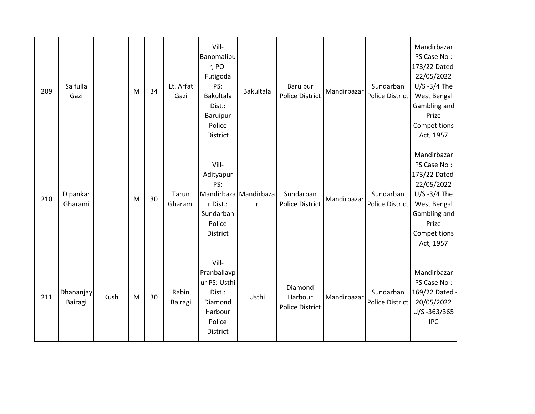| 209 | Saifulla<br>Gazi            |      | M | 34 | Lt. Arfat<br>Gazi | Vill-<br>Banomalipu<br>r, PO-<br>Futigoda<br>PS:<br><b>Bakultala</b><br>Dist.:<br>Baruipur<br>Police<br>District | <b>Bakultala</b>                      | Baruipur<br><b>Police District</b>           | Mandirbazar | Sundarban<br><b>Police District</b> | Mandirbazar<br>PS Case No:<br>173/22 Dated<br>22/05/2022<br>$U/S -3/4$ The<br>West Bengal<br>Gambling and<br>Prize<br>Competitions<br>Act, 1957 |
|-----|-----------------------------|------|---|----|-------------------|------------------------------------------------------------------------------------------------------------------|---------------------------------------|----------------------------------------------|-------------|-------------------------------------|-------------------------------------------------------------------------------------------------------------------------------------------------|
| 210 | Dipankar<br>Gharami         |      | M | 30 | Tarun<br>Gharami  | Vill-<br>Adityapur<br>PS:<br>r Dist.:<br>Sundarban<br>Police<br>District                                         | Mandirbaza Mandirbaza<br>$\mathsf{r}$ | Sundarban<br><b>Police District</b>          | Mandirbazar | Sundarban<br><b>Police District</b> | Mandirbazar<br>PS Case No:<br>173/22 Dated<br>22/05/2022<br>$U/S -3/4$ The<br>West Bengal<br>Gambling and<br>Prize<br>Competitions<br>Act, 1957 |
| 211 | <b>Dhananjay</b><br>Bairagi | Kush | M | 30 | Rabin<br>Bairagi  | Vill-<br>Pranballavp<br>ur PS: Usthi<br>Dist.:<br>Diamond<br>Harbour<br>Police<br>District                       | Usthi                                 | Diamond<br>Harbour<br><b>Police District</b> | Mandirbazar | Sundarban<br><b>Police District</b> | Mandirbazar<br>PS Case No:<br>169/22 Dated<br>20/05/2022<br>U/S-363/365<br><b>IPC</b>                                                           |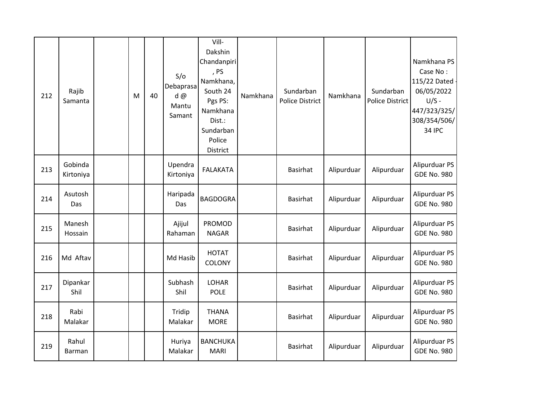| 212 | Rajib<br>Samanta     | M | 40 | S/O<br>Debaprasa<br>d@<br>Mantu<br>Samant | Vill-<br>Dakshin<br>Chandanpiri<br>, PS<br>Namkhana,<br>South 24<br>Pgs PS:<br>Namkhana<br>Dist.:<br>Sundarban<br>Police<br>District | Namkhana | Sundarban<br><b>Police District</b> | Namkhana   | Sundarban<br>Police District | Namkhana PS<br>Case No:<br>115/22 Dated -<br>06/05/2022<br>$U/S -$<br>447/323/325/<br>308/354/506/<br><b>34 IPC</b> |
|-----|----------------------|---|----|-------------------------------------------|--------------------------------------------------------------------------------------------------------------------------------------|----------|-------------------------------------|------------|------------------------------|---------------------------------------------------------------------------------------------------------------------|
| 213 | Gobinda<br>Kirtoniya |   |    | Upendra<br>Kirtoniya                      | <b>FALAKATA</b>                                                                                                                      |          | <b>Basirhat</b>                     | Alipurduar | Alipurduar                   | Alipurduar PS<br><b>GDE No. 980</b>                                                                                 |
| 214 | Asutosh<br>Das       |   |    | Haripada<br>Das                           | <b>BAGDOGRA</b>                                                                                                                      |          | <b>Basirhat</b>                     | Alipurduar | Alipurduar                   | Alipurduar PS<br><b>GDE No. 980</b>                                                                                 |
| 215 | Manesh<br>Hossain    |   |    | Ajijul<br>Rahaman                         | <b>PROMOD</b><br><b>NAGAR</b>                                                                                                        |          | <b>Basirhat</b>                     | Alipurduar | Alipurduar                   | Alipurduar PS<br><b>GDE No. 980</b>                                                                                 |
| 216 | Md Aftav             |   |    | Md Hasib                                  | <b>HOTAT</b><br>COLONY                                                                                                               |          | Basirhat                            | Alipurduar | Alipurduar                   | Alipurduar PS<br><b>GDE No. 980</b>                                                                                 |
| 217 | Dipankar<br>Shil     |   |    | Subhash<br>Shil                           | <b>LOHAR</b><br><b>POLE</b>                                                                                                          |          | Basirhat                            | Alipurduar | Alipurduar                   | Alipurduar PS<br><b>GDE No. 980</b>                                                                                 |
| 218 | Rabi<br>Malakar      |   |    | Tridip<br>Malakar                         | <b>THANA</b><br><b>MORE</b>                                                                                                          |          | <b>Basirhat</b>                     | Alipurduar | Alipurduar                   | Alipurduar PS<br><b>GDE No. 980</b>                                                                                 |
| 219 | Rahul<br>Barman      |   |    | Huriya<br>Malakar                         | <b>BANCHUKA</b><br><b>MARI</b>                                                                                                       |          | <b>Basirhat</b>                     | Alipurduar | Alipurduar                   | Alipurduar PS<br><b>GDE No. 980</b>                                                                                 |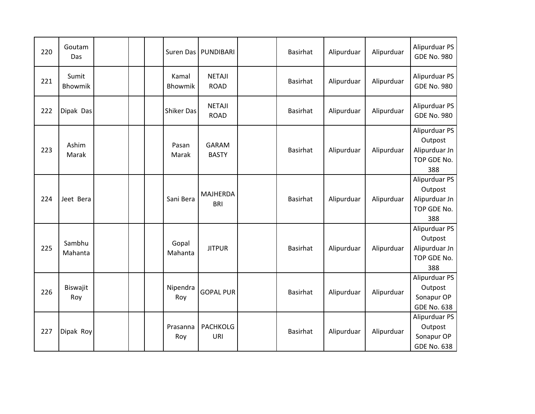| 220 | Goutam<br>Das           |  | Suren Das         | PUNDIBARI                     | <b>Basirhat</b> | Alipurduar | Alipurduar | Alipurduar PS<br><b>GDE No. 980</b>                             |
|-----|-------------------------|--|-------------------|-------------------------------|-----------------|------------|------------|-----------------------------------------------------------------|
| 221 | Sumit<br><b>Bhowmik</b> |  | Kamal<br>Bhowmik  | <b>NETAJI</b><br><b>ROAD</b>  | <b>Basirhat</b> | Alipurduar | Alipurduar | Alipurduar PS<br><b>GDE No. 980</b>                             |
| 222 | Dipak Das               |  | <b>Shiker Das</b> | <b>NETAJI</b><br><b>ROAD</b>  | <b>Basirhat</b> | Alipurduar | Alipurduar | Alipurduar PS<br><b>GDE No. 980</b>                             |
| 223 | Ashim<br>Marak          |  | Pasan<br>Marak    | <b>GARAM</b><br><b>BASTY</b>  | <b>Basirhat</b> | Alipurduar | Alipurduar | Alipurduar PS<br>Outpost<br>Alipurduar Jn<br>TOP GDE No.<br>388 |
| 224 | Jeet Bera               |  | Sani Bera         | <b>MAJHERDA</b><br><b>BRI</b> | <b>Basirhat</b> | Alipurduar | Alipurduar | Alipurduar PS<br>Outpost<br>Alipurduar Jn<br>TOP GDE No.<br>388 |
| 225 | Sambhu<br>Mahanta       |  | Gopal<br>Mahanta  | <b>JITPUR</b>                 | <b>Basirhat</b> | Alipurduar | Alipurduar | Alipurduar PS<br>Outpost<br>Alipurduar Jn<br>TOP GDE No.<br>388 |
| 226 | Biswajit<br>Roy         |  | Nipendra<br>Roy   | <b>GOPAL PUR</b>              | <b>Basirhat</b> | Alipurduar | Alipurduar | Alipurduar PS<br>Outpost<br>Sonapur OP<br><b>GDE No. 638</b>    |
| 227 | Dipak Roy               |  | Prasanna<br>Roy   | <b>PACHKOLG</b><br>URI        | <b>Basirhat</b> | Alipurduar | Alipurduar | Alipurduar PS<br>Outpost<br>Sonapur OP<br><b>GDE No. 638</b>    |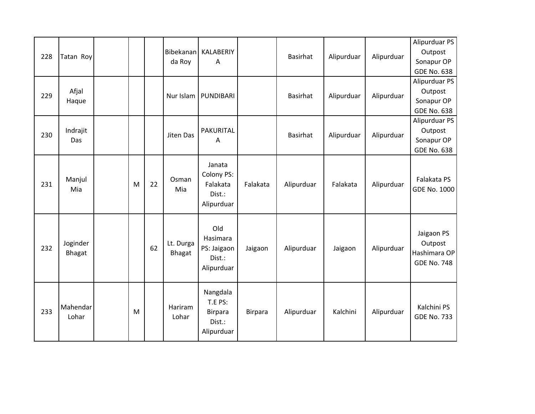| 228 | Tatan Roy          |   |    | Bibekanan<br>da Roy | KALABERIY<br>A                                                |                | Basirhat   | Alipurduar | Alipurduar | Alipurduar PS<br>Outpost<br>Sonapur OP<br><b>GDE No. 638</b> |
|-----|--------------------|---|----|---------------------|---------------------------------------------------------------|----------------|------------|------------|------------|--------------------------------------------------------------|
| 229 | Afjal<br>Haque     |   |    | Nur Islam           | PUNDIBARI                                                     |                | Basirhat   | Alipurduar | Alipurduar | Alipurduar PS<br>Outpost<br>Sonapur OP<br><b>GDE No. 638</b> |
| 230 | Indrajit<br>Das    |   |    | Jiten Das           | PAKURITAL<br>A                                                |                | Basirhat   | Alipurduar | Alipurduar | Alipurduar PS<br>Outpost<br>Sonapur OP<br><b>GDE No. 638</b> |
| 231 | Manjul<br>Mia      | M | 22 | Osman<br>Mia        | Janata<br>Colony PS:<br>Falakata<br>Dist.:<br>Alipurduar      | Falakata       | Alipurduar | Falakata   | Alipurduar | Falakata PS<br><b>GDE No. 1000</b>                           |
| 232 | Joginder<br>Bhagat |   | 62 | Lt. Durga<br>Bhagat | Old<br>Hasimara<br>PS: Jaigaon<br>Dist.:<br>Alipurduar        | Jaigaon        | Alipurduar | Jaigaon    | Alipurduar | Jaigaon PS<br>Outpost<br>Hashimara OP<br><b>GDE No. 748</b>  |
| 233 | Mahendar<br>Lohar  | M |    | Hariram<br>Lohar    | Nangdala<br>T.E PS:<br><b>Birpara</b><br>Dist.:<br>Alipurduar | <b>Birpara</b> | Alipurduar | Kalchini   | Alipurduar | Kalchini PS<br><b>GDE No. 733</b>                            |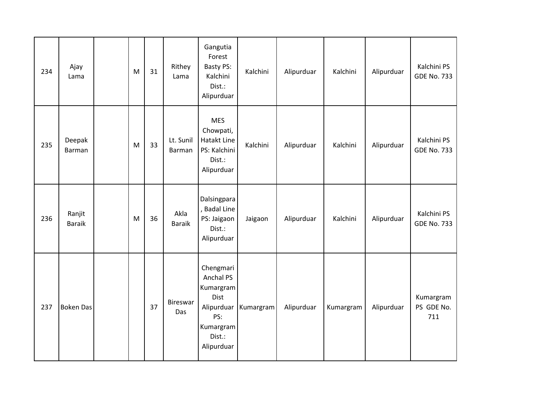| 234 | Ajay<br>Lama            | M | 31 | Rithey<br>Lama        | Gangutia<br>Forest<br><b>Basty PS:</b><br>Kalchini<br>Dist.:<br>Alipurduar              | Kalchini             | Alipurduar | Kalchini  | Alipurduar | Kalchini PS<br><b>GDE No. 733</b> |
|-----|-------------------------|---|----|-----------------------|-----------------------------------------------------------------------------------------|----------------------|------------|-----------|------------|-----------------------------------|
| 235 | Deepak<br><b>Barman</b> | M | 33 | Lt. Sunil<br>Barman   | <b>MES</b><br>Chowpati,<br>Hatakt Line<br>PS: Kalchini<br>Dist.:<br>Alipurduar          | Kalchini             | Alipurduar | Kalchini  | Alipurduar | Kalchini PS<br><b>GDE No. 733</b> |
| 236 | Ranjit<br><b>Baraik</b> | M | 36 | Akla<br><b>Baraik</b> | Dalsingpara<br>, Badal Line<br>PS: Jaigaon<br>Dist.:<br>Alipurduar                      | Jaigaon              | Alipurduar | Kalchini  | Alipurduar | Kalchini PS<br><b>GDE No. 733</b> |
| 237 | <b>Boken Das</b>        |   | 37 | Bireswar<br>Das       | Chengmari<br>Anchal PS<br>Kumargram<br>Dist<br>PS:<br>Kumargram<br>Dist.:<br>Alipurduar | Alipurduar Kumargram | Alipurduar | Kumargram | Alipurduar | Kumargram<br>PS GDE No.<br>711    |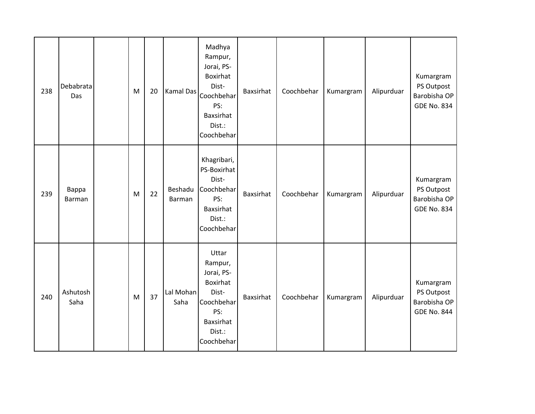| 238 | <b>Debabrata</b><br>Das | ${\sf M}$ | 20 | Kamal Das         | Madhya<br>Rampur,<br>Jorai, PS-<br>Boxirhat<br>Dist-<br>Coochbehar<br>PS:<br>Baxsirhat<br>Dist.:<br>Coochbehar | Baxsirhat | Coochbehar | Kumargram | Alipurduar | Kumargram<br>PS Outpost<br>Barobisha OP<br><b>GDE No. 834</b> |
|-----|-------------------------|-----------|----|-------------------|----------------------------------------------------------------------------------------------------------------|-----------|------------|-----------|------------|---------------------------------------------------------------|
| 239 | Bappa<br>Barman         | M         | 22 | Beshadu<br>Barman | Khagribari,<br>PS-Boxirhat<br>Dist-<br>Coochbehar<br>PS:<br>Baxsirhat<br>Dist.:<br>Coochbehar                  | Baxsirhat | Coochbehar | Kumargram | Alipurduar | Kumargram<br>PS Outpost<br>Barobisha OP<br><b>GDE No. 834</b> |
| 240 | Ashutosh<br>Saha        | M         | 37 | Lal Mohan<br>Saha | Uttar<br>Rampur,<br>Jorai, PS-<br>Boxirhat<br>Dist-<br>Coochbehar<br>PS:<br>Baxsirhat<br>Dist.:<br>Coochbehar  | Baxsirhat | Coochbehar | Kumargram | Alipurduar | Kumargram<br>PS Outpost<br>Barobisha OP<br><b>GDE No. 844</b> |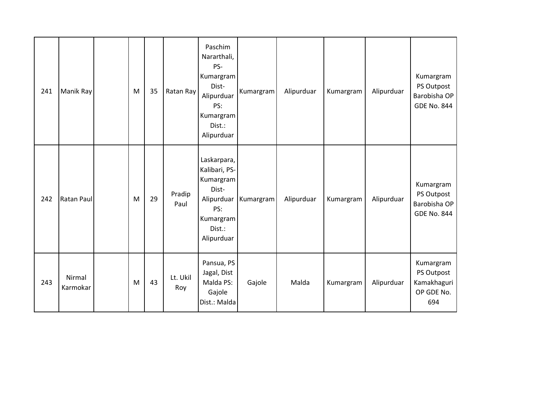| 241 | Manik Ray          | M | 35 | Ratan Ray       | Paschim<br>Nararthali,<br>PS-<br>Kumargram<br>Dist-<br>Alipurduar<br>PS:<br>Kumargram<br>Dist.:<br>Alipurduar | Kumargram              | Alipurduar | Kumargram | Alipurduar | Kumargram<br>PS Outpost<br>Barobisha OP<br><b>GDE No. 844</b> |
|-----|--------------------|---|----|-----------------|---------------------------------------------------------------------------------------------------------------|------------------------|------------|-----------|------------|---------------------------------------------------------------|
| 242 | Ratan Paul         | M | 29 | Pradip<br>Paul  | Laskarpara,<br>Kalibari, PS-<br>Kumargram<br>Dist-<br>PS:<br>Kumargram<br>Dist.:<br>Alipurduar                | Alipurduar   Kumargram | Alipurduar | Kumargram | Alipurduar | Kumargram<br>PS Outpost<br>Barobisha OP<br><b>GDE No. 844</b> |
| 243 | Nirmal<br>Karmokar | M | 43 | Lt. Ukil<br>Roy | Pansua, PS<br>Jagal, Dist<br>Malda PS:<br>Gajole<br>Dist.: Malda                                              | Gajole                 | Malda      | Kumargram | Alipurduar | Kumargram<br>PS Outpost<br>Kamakhaguri<br>OP GDE No.<br>694   |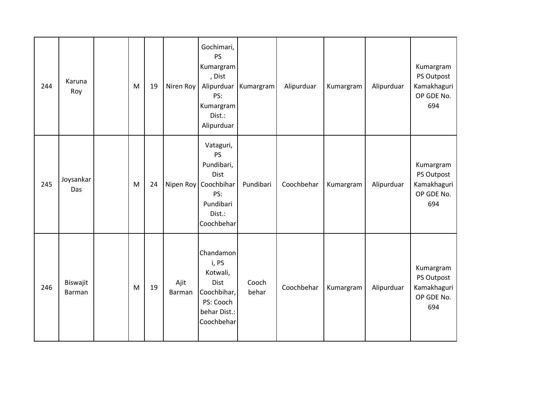| 244 | Karuna<br>Roy                    | M | 19 | Niren Roy      | Gochimari,<br><b>PS</b><br>Kumargram<br>, Dist<br>Alipurduar<br>PS:<br>Kumargram<br>Dist.:<br>Alipurduar | Kumargram      | Alipurduar | Kumargram | Alipurduar | Kumargram<br>PS Outpost<br>Kamakhaguri<br>OP GDE No.<br>694 |
|-----|----------------------------------|---|----|----------------|----------------------------------------------------------------------------------------------------------|----------------|------------|-----------|------------|-------------------------------------------------------------|
| 245 | Joysankar<br>Das                 | M | 24 | Nipen Roy      | Vataguri,<br>PS<br>Pundibari,<br>Dist<br>Coochbihar<br>PS:<br>Pundibari<br>Dist.:<br>Coochbehar          | Pundibari      | Coochbehar | Kumargram | Alipurduar | Kumargram<br>PS Outpost<br>Kamakhaguri<br>OP GDE No.<br>694 |
| 246 | <b>Biswajit</b><br><b>Barman</b> | M | 19 | Ajit<br>Barman | Chandamon<br>i, PS<br>Kotwali,<br>Dist<br>Coochbihar,<br>PS: Cooch<br>behar Dist.:<br>Coochbehar         | Cooch<br>behar | Coochbehar | Kumargram | Alipurduar | Kumargram<br>PS Outpost<br>Kamakhaguri<br>OP GDE No.<br>694 |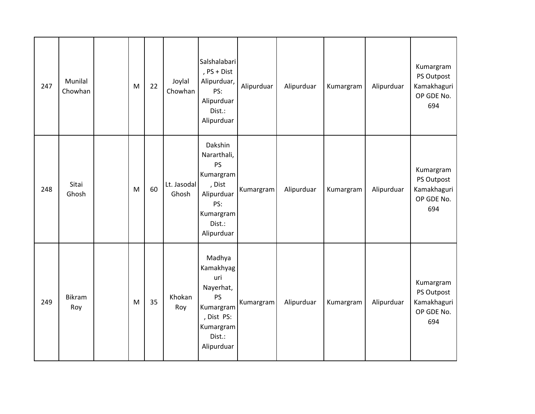| 247 | Munilal<br>Chowhan | M | 22 | Joylal<br>Chowhan    | Salshalabari<br>, PS + Dist<br>Alipurduar,<br>PS:<br>Alipurduar<br>Dist.:<br>Alipurduar                              | Alipurduar | Alipurduar | Kumargram | Alipurduar | Kumargram<br>PS Outpost<br>Kamakhaguri<br>OP GDE No.<br>694 |
|-----|--------------------|---|----|----------------------|----------------------------------------------------------------------------------------------------------------------|------------|------------|-----------|------------|-------------------------------------------------------------|
| 248 | Sitai<br>Ghosh     | M | 60 | Lt. Jasodal<br>Ghosh | Dakshin<br>Nararthali,<br><b>PS</b><br>Kumargram<br>, Dist<br>Alipurduar<br>PS:<br>Kumargram<br>Dist.:<br>Alipurduar | Kumargram  | Alipurduar | Kumargram | Alipurduar | Kumargram<br>PS Outpost<br>Kamakhaguri<br>OP GDE No.<br>694 |
| 249 | Bikram<br>Roy      | M | 35 | Khokan<br>Roy        | Madhya<br>Kamakhyag<br>uri<br>Nayerhat,<br>PS<br>Kumargram<br>, Dist PS:<br>Kumargram<br>Dist.:<br>Alipurduar        | Kumargram  | Alipurduar | Kumargram | Alipurduar | Kumargram<br>PS Outpost<br>Kamakhaguri<br>OP GDE No.<br>694 |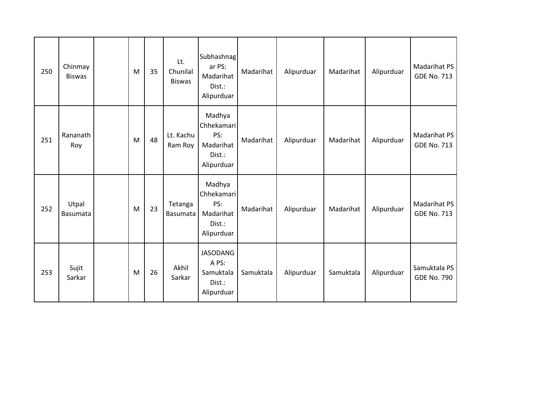| 250 | Chinmay<br><b>Biswas</b> | M | 35 | Lt.<br>Chunilal<br><b>Biswas</b> | Subhashnag<br>ar PS:<br>Madarihat<br>Dist.:<br>Alipurduar        | Madarihat | Alipurduar | Madarihat | Alipurduar | <b>Madarihat PS</b><br><b>GDE No. 713</b> |
|-----|--------------------------|---|----|----------------------------------|------------------------------------------------------------------|-----------|------------|-----------|------------|-------------------------------------------|
| 251 | Rananath<br>Roy          | M | 48 | Lt. Kachu<br>Ram Roy             | Madhya<br>Chhekamari<br>PS:<br>Madarihat<br>Dist.:<br>Alipurduar | Madarihat | Alipurduar | Madarihat | Alipurduar | Madarihat PS<br><b>GDE No. 713</b>        |
| 252 | Utpal<br>Basumata        | M | 23 | Tetanga<br>Basumata              | Madhya<br>Chhekamari<br>PS:<br>Madarihat<br>Dist.:<br>Alipurduar | Madarihat | Alipurduar | Madarihat | Alipurduar | <b>Madarihat PS</b><br><b>GDE No. 713</b> |
| 253 | Sujit<br>Sarkar          | M | 26 | Akhil<br>Sarkar                  | <b>JASODANG</b><br>A PS:<br>Samuktala<br>Dist.:<br>Alipurduar    | Samuktala | Alipurduar | Samuktala | Alipurduar | Samuktala PS<br><b>GDE No. 790</b>        |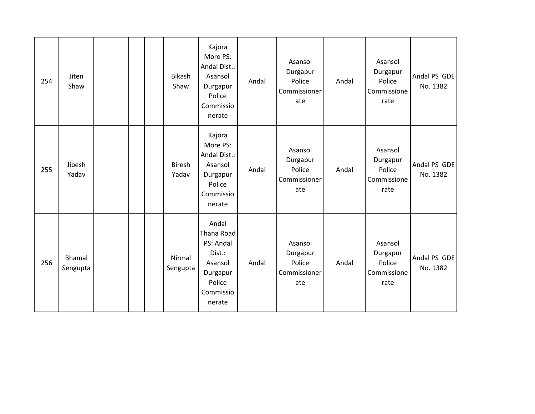| 254 | Jiten<br>Shaw      |  | <b>Bikash</b><br>Shaw  | Kajora<br>More PS:<br>Andal Dist.:<br>Asansol<br>Durgapur<br>Police<br>Commissio<br>nerate         | Andal | Asansol<br>Durgapur<br>Police<br>Commissioner<br>ate | Andal | Asansol<br>Durgapur<br>Police<br>Commissione<br>rate | Andal PS GDE<br>No. 1382 |
|-----|--------------------|--|------------------------|----------------------------------------------------------------------------------------------------|-------|------------------------------------------------------|-------|------------------------------------------------------|--------------------------|
| 255 | Jibesh<br>Yadav    |  | <b>Biresh</b><br>Yadav | Kajora<br>More PS:<br>Andal Dist.:<br>Asansol<br>Durgapur<br>Police<br>Commissio<br>nerate         | Andal | Asansol<br>Durgapur<br>Police<br>Commissioner<br>ate | Andal | Asansol<br>Durgapur<br>Police<br>Commissione<br>rate | Andal PS GDE<br>No. 1382 |
| 256 | Bhamal<br>Sengupta |  | Nirmal<br>Sengupta     | Andal<br>Thana Road<br>PS: Andal<br>Dist.:<br>Asansol<br>Durgapur<br>Police<br>Commissio<br>nerate | Andal | Asansol<br>Durgapur<br>Police<br>Commissioner<br>ate | Andal | Asansol<br>Durgapur<br>Police<br>Commissione<br>rate | Andal PS GDE<br>No. 1382 |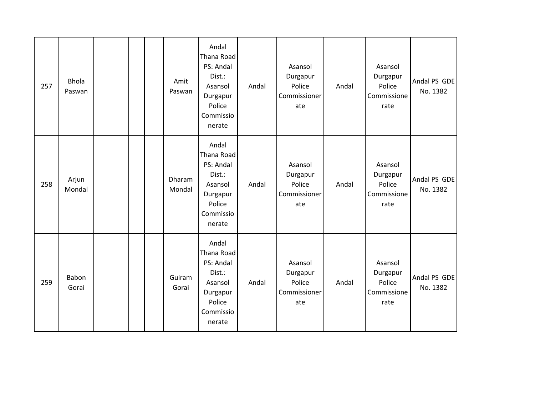| 257 | <b>Bhola</b><br>Paswan |  | Amit<br>Paswan   | Andal<br>Thana Road<br>PS: Andal<br>Dist.:<br>Asansol<br>Durgapur<br>Police<br>Commissio<br>nerate | Andal | Asansol<br>Durgapur<br>Police<br>Commissioner<br>ate | Andal | Asansol<br>Durgapur<br>Police<br>Commissione<br>rate | Andal PS GDE<br>No. 1382 |
|-----|------------------------|--|------------------|----------------------------------------------------------------------------------------------------|-------|------------------------------------------------------|-------|------------------------------------------------------|--------------------------|
| 258 | Arjun<br>Mondal        |  | Dharam<br>Mondal | Andal<br>Thana Road<br>PS: Andal<br>Dist.:<br>Asansol<br>Durgapur<br>Police<br>Commissio<br>nerate | Andal | Asansol<br>Durgapur<br>Police<br>Commissioner<br>ate | Andal | Asansol<br>Durgapur<br>Police<br>Commissione<br>rate | Andal PS GDE<br>No. 1382 |
| 259 | Babon<br>Gorai         |  | Guiram<br>Gorai  | Andal<br>Thana Road<br>PS: Andal<br>Dist.:<br>Asansol<br>Durgapur<br>Police<br>Commissio<br>nerate | Andal | Asansol<br>Durgapur<br>Police<br>Commissioner<br>ate | Andal | Asansol<br>Durgapur<br>Police<br>Commissione<br>rate | Andal PS GDE<br>No. 1382 |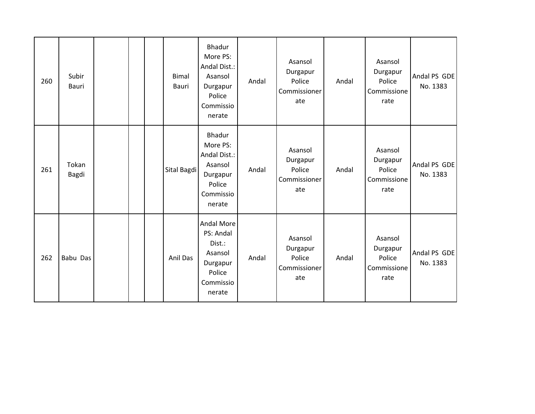| 260 | Subir<br>Bauri |  | <b>Bimal</b><br>Bauri | <b>Bhadur</b><br>More PS:<br>Andal Dist.:<br>Asansol<br>Durgapur<br>Police<br>Commissio<br>nerate | Andal | Asansol<br>Durgapur<br>Police<br>Commissioner<br>ate | Andal | Asansol<br>Durgapur<br>Police<br>Commissione<br>rate | Andal PS GDE<br>No. 1383 |
|-----|----------------|--|-----------------------|---------------------------------------------------------------------------------------------------|-------|------------------------------------------------------|-------|------------------------------------------------------|--------------------------|
| 261 | Tokan<br>Bagdi |  | Sital Bagdi           | Bhadur<br>More PS:<br>Andal Dist.:<br>Asansol<br>Durgapur<br>Police<br>Commissio<br>nerate        | Andal | Asansol<br>Durgapur<br>Police<br>Commissioner<br>ate | Andal | Asansol<br>Durgapur<br>Police<br>Commissione<br>rate | Andal PS GDE<br>No. 1383 |
| 262 | Babu Das       |  | Anil Das              | Andal More<br>PS: Andal<br>Dist.:<br>Asansol<br>Durgapur<br>Police<br>Commissio<br>nerate         | Andal | Asansol<br>Durgapur<br>Police<br>Commissioner<br>ate | Andal | Asansol<br>Durgapur<br>Police<br>Commissione<br>rate | Andal PS GDE<br>No. 1383 |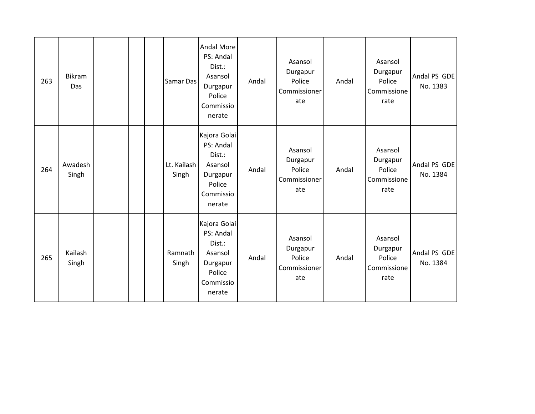| 263 | Bikram<br>Das    |  | Samar Das            | Andal More<br>PS: Andal<br>Dist.:<br>Asansol<br>Durgapur<br>Police<br>Commissio<br>nerate   | Andal | Asansol<br>Durgapur<br>Police<br>Commissioner<br>ate | Andal | Asansol<br>Durgapur<br>Police<br>Commissione<br>rate | Andal PS GDE<br>No. 1383 |
|-----|------------------|--|----------------------|---------------------------------------------------------------------------------------------|-------|------------------------------------------------------|-------|------------------------------------------------------|--------------------------|
| 264 | Awadesh<br>Singh |  | Lt. Kailash<br>Singh | Kajora Golai<br>PS: Andal<br>Dist.:<br>Asansol<br>Durgapur<br>Police<br>Commissio<br>nerate | Andal | Asansol<br>Durgapur<br>Police<br>Commissioner<br>ate | Andal | Asansol<br>Durgapur<br>Police<br>Commissione<br>rate | Andal PS GDE<br>No. 1384 |
| 265 | Kailash<br>Singh |  | Ramnath<br>Singh     | Kajora Golai<br>PS: Andal<br>Dist.:<br>Asansol<br>Durgapur<br>Police<br>Commissio<br>nerate | Andal | Asansol<br>Durgapur<br>Police<br>Commissioner<br>ate | Andal | Asansol<br>Durgapur<br>Police<br>Commissione<br>rate | Andal PS GDE<br>No. 1384 |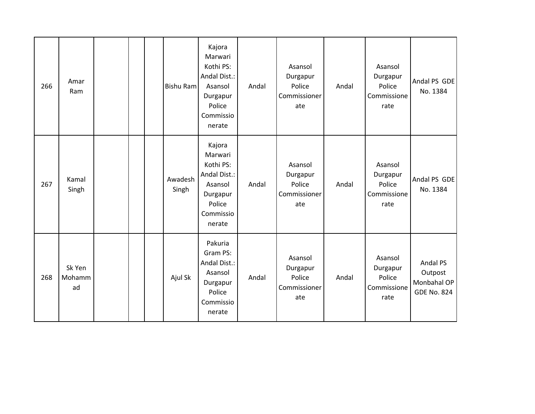| 266 | Amar<br>Ram            |  | Bishu Ram        | Kajora<br>Marwari<br>Kothi PS:<br>Andal Dist.:<br>Asansol<br>Durgapur<br>Police<br>Commissio<br>nerate | Andal | Asansol<br>Durgapur<br>Police<br>Commissioner<br>ate | Andal | Asansol<br>Durgapur<br>Police<br>Commissione<br>rate | Andal PS GDE<br>No. 1384                                 |
|-----|------------------------|--|------------------|--------------------------------------------------------------------------------------------------------|-------|------------------------------------------------------|-------|------------------------------------------------------|----------------------------------------------------------|
| 267 | Kamal<br>Singh         |  | Awadesh<br>Singh | Kajora<br>Marwari<br>Kothi PS:<br>Andal Dist.:<br>Asansol<br>Durgapur<br>Police<br>Commissio<br>nerate | Andal | Asansol<br>Durgapur<br>Police<br>Commissioner<br>ate | Andal | Asansol<br>Durgapur<br>Police<br>Commissione<br>rate | Andal PS GDE<br>No. 1384                                 |
| 268 | Sk Yen<br>Mohamm<br>ad |  | Ajul Sk          | Pakuria<br>Gram PS:<br>Andal Dist.:<br>Asansol<br>Durgapur<br>Police<br>Commissio<br>nerate            | Andal | Asansol<br>Durgapur<br>Police<br>Commissioner<br>ate | Andal | Asansol<br>Durgapur<br>Police<br>Commissione<br>rate | Andal PS<br>Outpost<br>Monbahal OP<br><b>GDE No. 824</b> |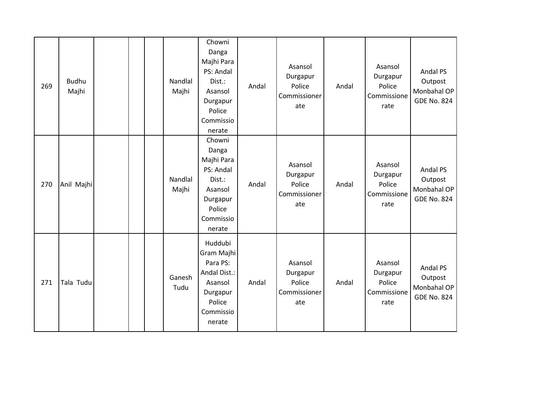| 269 | <b>Budhu</b><br>Majhi |  | Nandlal<br>Majhi | Chowni<br>Danga<br>Majhi Para<br>PS: Andal<br>Dist.:<br>Asansol<br>Durgapur<br>Police<br>Commissio<br>nerate | Andal | Asansol<br>Durgapur<br>Police<br>Commissioner<br>ate | Andal | Asansol<br>Durgapur<br>Police<br>Commissione<br>rate | Andal PS<br>Outpost<br>Monbahal OP<br><b>GDE No. 824</b> |
|-----|-----------------------|--|------------------|--------------------------------------------------------------------------------------------------------------|-------|------------------------------------------------------|-------|------------------------------------------------------|----------------------------------------------------------|
| 270 | Anil Majhi            |  | Nandlal<br>Majhi | Chowni<br>Danga<br>Majhi Para<br>PS: Andal<br>Dist.:<br>Asansol<br>Durgapur<br>Police<br>Commissio<br>nerate | Andal | Asansol<br>Durgapur<br>Police<br>Commissioner<br>ate | Andal | Asansol<br>Durgapur<br>Police<br>Commissione<br>rate | Andal PS<br>Outpost<br>Monbahal OP<br><b>GDE No. 824</b> |
| 271 | Tala Tudu             |  | Ganesh<br>Tudu   | Huddubi<br>Gram Majhi<br>Para PS:<br>Andal Dist.:<br>Asansol<br>Durgapur<br>Police<br>Commissio<br>nerate    | Andal | Asansol<br>Durgapur<br>Police<br>Commissioner<br>ate | Andal | Asansol<br>Durgapur<br>Police<br>Commissione<br>rate | Andal PS<br>Outpost<br>Monbahal OP<br><b>GDE No. 824</b> |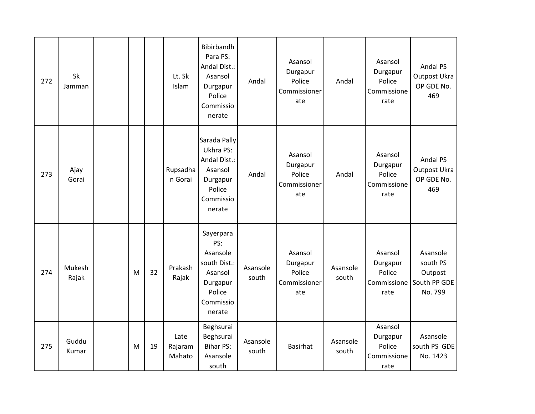| 272 | Sk<br>Jamman    |   |    | Lt. Sk<br>Islam           | Bibirbandh<br>Para PS:<br>Andal Dist.:<br>Asansol<br>Durgapur<br>Police<br>Commissio<br>nerate       | Andal             | Asansol<br>Durgapur<br>Police<br>Commissioner<br>ate | Andal             | Asansol<br>Durgapur<br>Police<br>Commissione<br>rate | Andal PS<br>Outpost Ukra<br>OP GDE No.<br>469              |
|-----|-----------------|---|----|---------------------------|------------------------------------------------------------------------------------------------------|-------------------|------------------------------------------------------|-------------------|------------------------------------------------------|------------------------------------------------------------|
| 273 | Ajay<br>Gorai   |   |    | Rupsadha<br>n Gorai       | Sarada Pally<br>Ukhra PS:<br>Andal Dist.:<br>Asansol<br>Durgapur<br>Police<br>Commissio<br>nerate    | Andal             | Asansol<br>Durgapur<br>Police<br>Commissioner<br>ate | Andal             | Asansol<br>Durgapur<br>Police<br>Commissione<br>rate | Andal PS<br>Outpost Ukra<br>OP GDE No.<br>469              |
| 274 | Mukesh<br>Rajak | M | 32 | Prakash<br>Rajak          | Sayerpara<br>PS:<br>Asansole<br>south Dist.:<br>Asansol<br>Durgapur<br>Police<br>Commissio<br>nerate | Asansole<br>south | Asansol<br>Durgapur<br>Police<br>Commissioner<br>ate | Asansole<br>south | Asansol<br>Durgapur<br>Police<br>Commissione<br>rate | Asansole<br>south PS<br>Outpost<br>South PP GDE<br>No. 799 |
| 275 | Guddu<br>Kumar  | M | 19 | Late<br>Rajaram<br>Mahato | Beghsurai<br>Beghsurai<br><b>Bihar PS:</b><br>Asansole<br>south                                      | Asansole<br>south | <b>Basirhat</b>                                      | Asansole<br>south | Asansol<br>Durgapur<br>Police<br>Commissione<br>rate | Asansole<br>south PS GDE<br>No. 1423                       |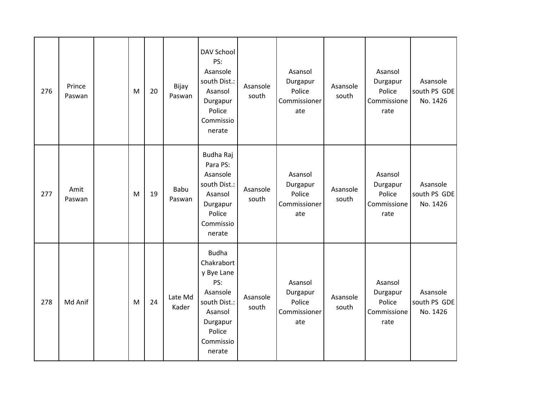| 276 | Prince<br>Paswan | M | 20 | Bijay<br>Paswan  | <b>DAV School</b><br>PS:<br>Asansole<br>south Dist.:<br>Asansol<br>Durgapur<br>Police<br>Commissio<br>nerate                        | Asansole<br>south | Asansol<br>Durgapur<br>Police<br>Commissioner<br>ate | Asansole<br>south | Asansol<br>Durgapur<br>Police<br>Commissione<br>rate | Asansole<br>south PS GDE<br>No. 1426 |
|-----|------------------|---|----|------------------|-------------------------------------------------------------------------------------------------------------------------------------|-------------------|------------------------------------------------------|-------------------|------------------------------------------------------|--------------------------------------|
| 277 | Amit<br>Paswan   | M | 19 | Babu<br>Paswan   | Budha Raj<br>Para PS:<br>Asansole<br>south Dist.:<br>Asansol<br>Durgapur<br>Police<br>Commissio<br>nerate                           | Asansole<br>south | Asansol<br>Durgapur<br>Police<br>Commissioner<br>ate | Asansole<br>south | Asansol<br>Durgapur<br>Police<br>Commissione<br>rate | Asansole<br>south PS GDE<br>No. 1426 |
| 278 | Md Anif          | M | 24 | Late Md<br>Kader | <b>Budha</b><br>Chakrabort<br>y Bye Lane<br>PS:<br>Asansole<br>south Dist.:<br>Asansol<br>Durgapur<br>Police<br>Commissio<br>nerate | Asansole<br>south | Asansol<br>Durgapur<br>Police<br>Commissioner<br>ate | Asansole<br>south | Asansol<br>Durgapur<br>Police<br>Commissione<br>rate | Asansole<br>south PS GDE<br>No. 1426 |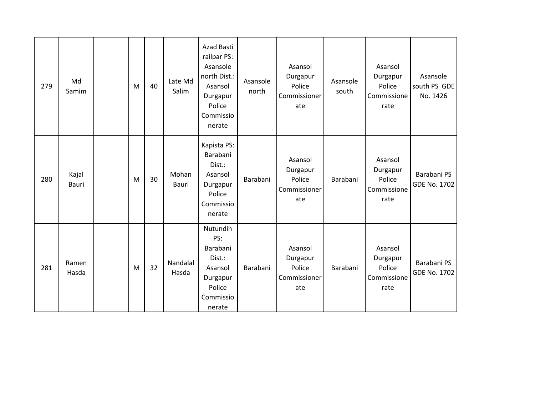| 279 | Md<br>Samim    | M | 40 | Late Md<br>Salim  | Azad Basti<br>railpar PS:<br>Asansole<br>north Dist.:<br>Asansol<br>Durgapur<br>Police<br>Commissio<br>nerate | Asansole<br>north | Asansol<br>Durgapur<br>Police<br>Commissioner<br>ate | Asansole<br>south | Asansol<br>Durgapur<br>Police<br>Commissione<br>rate | Asansole<br>south PS GDE<br>No. 1426 |
|-----|----------------|---|----|-------------------|---------------------------------------------------------------------------------------------------------------|-------------------|------------------------------------------------------|-------------------|------------------------------------------------------|--------------------------------------|
| 280 | Kajal<br>Bauri | M | 30 | Mohan<br>Bauri    | Kapista PS:<br>Barabani<br>Dist.:<br>Asansol<br>Durgapur<br>Police<br>Commissio<br>nerate                     | Barabani          | Asansol<br>Durgapur<br>Police<br>Commissioner<br>ate | Barabani          | Asansol<br>Durgapur<br>Police<br>Commissione<br>rate | Barabani PS<br><b>GDE No. 1702</b>   |
| 281 | Ramen<br>Hasda | M | 32 | Nandalal<br>Hasda | Nutundih<br>PS:<br>Barabani<br>Dist.:<br>Asansol<br>Durgapur<br>Police<br>Commissio<br>nerate                 | Barabani          | Asansol<br>Durgapur<br>Police<br>Commissioner<br>ate | Barabani          | Asansol<br>Durgapur<br>Police<br>Commissione<br>rate | Barabani PS<br><b>GDE No. 1702</b>   |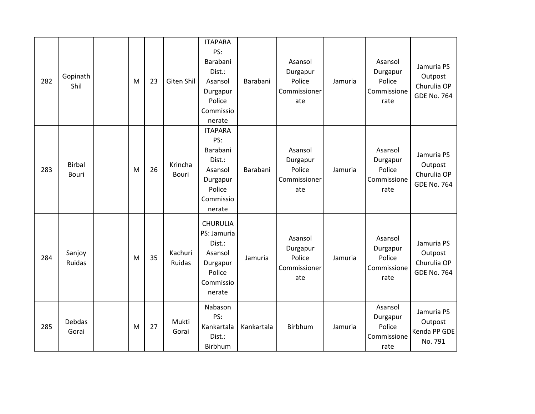| 282 | Gopinath<br>Shil       | M | 23 | Giten Shil              | <b>ITAPARA</b><br>PS:<br>Barabani<br>Dist.:<br>Asansol<br>Durgapur<br>Police<br>Commissio<br>nerate | Barabani   | Asansol<br>Durgapur<br>Police<br>Commissioner<br>ate | Jamuria | Asansol<br>Durgapur<br>Police<br>Commissione<br>rate | Jamuria PS<br>Outpost<br>Churulia OP<br><b>GDE No. 764</b> |
|-----|------------------------|---|----|-------------------------|-----------------------------------------------------------------------------------------------------|------------|------------------------------------------------------|---------|------------------------------------------------------|------------------------------------------------------------|
| 283 | <b>Birbal</b><br>Bouri | M | 26 | Krincha<br><b>Bouri</b> | <b>ITAPARA</b><br>PS:<br>Barabani<br>Dist.:<br>Asansol<br>Durgapur<br>Police<br>Commissio<br>nerate | Barabani   | Asansol<br>Durgapur<br>Police<br>Commissioner<br>ate | Jamuria | Asansol<br>Durgapur<br>Police<br>Commissione<br>rate | Jamuria PS<br>Outpost<br>Churulia OP<br><b>GDE No. 764</b> |
| 284 | Sanjoy<br>Ruidas       | M | 35 | Kachuri<br>Ruidas       | <b>CHURULIA</b><br>PS: Jamuria<br>Dist.:<br>Asansol<br>Durgapur<br>Police<br>Commissio<br>nerate    | Jamuria    | Asansol<br>Durgapur<br>Police<br>Commissioner<br>ate | Jamuria | Asansol<br>Durgapur<br>Police<br>Commissione<br>rate | Jamuria PS<br>Outpost<br>Churulia OP<br><b>GDE No. 764</b> |
| 285 | Debdas<br>Gorai        | M | 27 | Mukti<br>Gorai          | Nabason<br>PS:<br>Kankartala<br>Dist.:<br>Birbhum                                                   | Kankartala | Birbhum                                              | Jamuria | Asansol<br>Durgapur<br>Police<br>Commissione<br>rate | Jamuria PS<br>Outpost<br>Kenda PP GDE<br>No. 791           |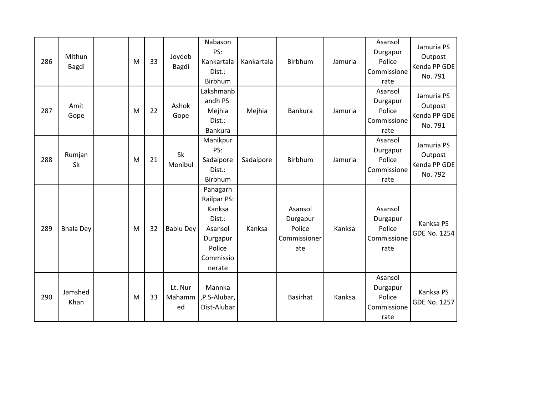| 286 | Mithun<br>Bagdi  | M | 33 | Joydeb<br>Bagdi         | Nabason<br>PS:<br>Kankartala<br>Dist.:<br>Birbhum                                                   | Kankartala | Birbhum                                              | Jamuria | Asansol<br>Durgapur<br>Police<br>Commissione<br>rate | Jamuria PS<br>Outpost<br>Kenda PP GDE<br>No. 791 |
|-----|------------------|---|----|-------------------------|-----------------------------------------------------------------------------------------------------|------------|------------------------------------------------------|---------|------------------------------------------------------|--------------------------------------------------|
| 287 | Amit<br>Gope     | M | 22 | Ashok<br>Gope           | Lakshmanb<br>andh PS:<br>Mejhia<br>Dist.:<br><b>Bankura</b>                                         | Mejhia     | Bankura                                              | Jamuria | Asansol<br>Durgapur<br>Police<br>Commissione<br>rate | Jamuria PS<br>Outpost<br>Kenda PP GDE<br>No. 791 |
| 288 | Rumjan<br>Sk     | M | 21 | Sk<br>Monibul           | Manikpur<br>PS:<br>Sadaipore<br>Dist.:<br>Birbhum                                                   | Sadaipore  | <b>Birbhum</b>                                       | Jamuria | Asansol<br>Durgapur<br>Police<br>Commissione<br>rate | Jamuria PS<br>Outpost<br>Kenda PP GDE<br>No. 792 |
| 289 | <b>Bhala Dey</b> | M | 32 | Bablu Dey               | Panagarh<br>Railpar PS:<br>Kanksa<br>Dist.:<br>Asansol<br>Durgapur<br>Police<br>Commissio<br>nerate | Kanksa     | Asansol<br>Durgapur<br>Police<br>Commissioner<br>ate | Kanksa  | Asansol<br>Durgapur<br>Police<br>Commissione<br>rate | Kanksa PS<br><b>GDE No. 1254</b>                 |
| 290 | Jamshed<br>Khan  | M | 33 | Lt. Nur<br>Mahamm<br>ed | Mannka<br>,P.S-Alubar,<br>Dist-Alubar                                                               |            | <b>Basirhat</b>                                      | Kanksa  | Asansol<br>Durgapur<br>Police<br>Commissione<br>rate | Kanksa PS<br>GDE No. 1257                        |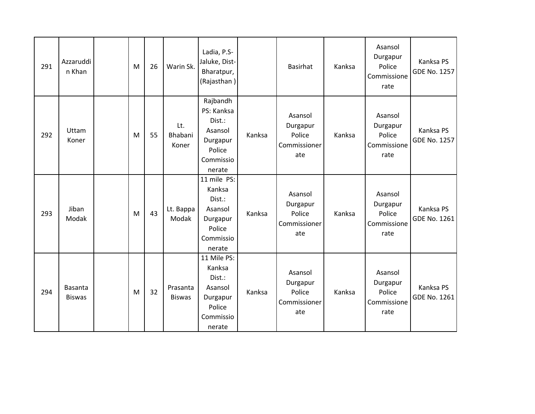| 291 | Azzaruddi<br>n Khan             | M | 26 | Warin Sk.                 | Ladia, P.S-<br>Jaluke, Dist-<br>Bharatpur,<br>(Rajasthan)                                |        | <b>Basirhat</b>                                      | Kanksa | Asansol<br>Durgapur<br>Police<br>Commissione<br>rate | Kanksa PS<br>GDE No. 1257        |
|-----|---------------------------------|---|----|---------------------------|------------------------------------------------------------------------------------------|--------|------------------------------------------------------|--------|------------------------------------------------------|----------------------------------|
| 292 | Uttam<br>Koner                  | M | 55 | Lt.<br>Bhabani<br>Koner   | Rajbandh<br>PS: Kanksa<br>Dist.:<br>Asansol<br>Durgapur<br>Police<br>Commissio<br>nerate | Kanksa | Asansol<br>Durgapur<br>Police<br>Commissioner<br>ate | Kanksa | Asansol<br>Durgapur<br>Police<br>Commissione<br>rate | Kanksa PS<br>GDE No. 1257        |
| 293 | Jiban<br>Modak                  | M | 43 | Lt. Bappa<br>Modak        | 11 mile PS:<br>Kanksa<br>Dist.:<br>Asansol<br>Durgapur<br>Police<br>Commissio<br>nerate  | Kanksa | Asansol<br>Durgapur<br>Police<br>Commissioner<br>ate | Kanksa | Asansol<br>Durgapur<br>Police<br>Commissione<br>rate | Kanksa PS<br>GDE No. 1261        |
| 294 | <b>Basanta</b><br><b>Biswas</b> | M | 32 | Prasanta<br><b>Biswas</b> | 11 Mile PS:<br>Kanksa<br>Dist.:<br>Asansol<br>Durgapur<br>Police<br>Commissio<br>nerate  | Kanksa | Asansol<br>Durgapur<br>Police<br>Commissioner<br>ate | Kanksa | Asansol<br>Durgapur<br>Police<br>Commissione<br>rate | Kanksa PS<br><b>GDE No. 1261</b> |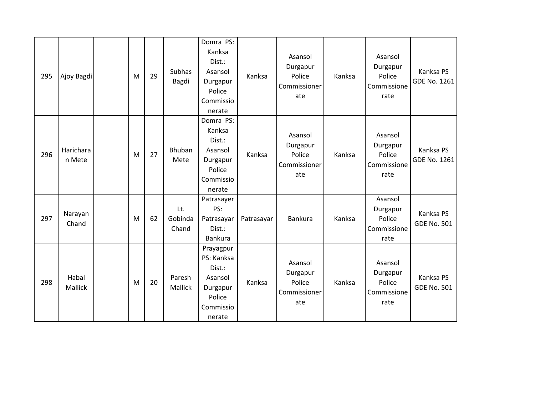| 295 | Ajoy Bagdi          | M | 29 | Subhas<br>Bagdi         | Domra PS:<br>Kanksa<br>Dist.:<br>Asansol<br>Durgapur<br>Police<br>Commissio<br>nerate     | Kanksa     | Asansol<br>Durgapur<br>Police<br>Commissioner<br>ate | Kanksa | Asansol<br>Durgapur<br>Police<br>Commissione<br>rate | Kanksa PS<br>GDE No. 1261       |
|-----|---------------------|---|----|-------------------------|-------------------------------------------------------------------------------------------|------------|------------------------------------------------------|--------|------------------------------------------------------|---------------------------------|
| 296 | Harichara<br>n Mete | M | 27 | Bhuban<br>Mete          | Domra PS:<br>Kanksa<br>Dist.:<br>Asansol<br>Durgapur<br>Police<br>Commissio<br>nerate     | Kanksa     | Asansol<br>Durgapur<br>Police<br>Commissioner<br>ate | Kanksa | Asansol<br>Durgapur<br>Police<br>Commissione<br>rate | Kanksa PS<br>GDE No. 1261       |
| 297 | Narayan<br>Chand    | M | 62 | Lt.<br>Gobinda<br>Chand | Patrasayer<br>PS:<br>Patrasayar<br>Dist.:<br>Bankura                                      | Patrasayar | <b>Bankura</b>                                       | Kanksa | Asansol<br>Durgapur<br>Police<br>Commissione<br>rate | Kanksa PS<br><b>GDE No. 501</b> |
| 298 | Habal<br>Mallick    | M | 20 | Paresh<br>Mallick       | Prayagpur<br>PS: Kanksa<br>Dist.:<br>Asansol<br>Durgapur<br>Police<br>Commissio<br>nerate | Kanksa     | Asansol<br>Durgapur<br>Police<br>Commissioner<br>ate | Kanksa | Asansol<br>Durgapur<br>Police<br>Commissione<br>rate | Kanksa PS<br><b>GDE No. 501</b> |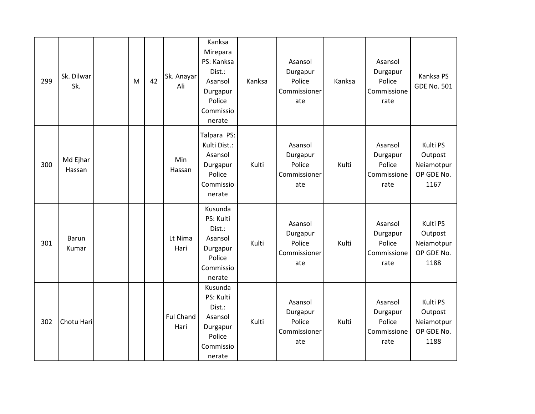| 299 | Sk. Dilwar<br>Sk.     | M | 42 | Sk. Anayar<br>Ali        | Kanksa<br>Mirepara<br>PS: Kanksa<br>Dist.:<br>Asansol<br>Durgapur<br>Police<br>Commissio<br>nerate | Kanksa | Asansol<br>Durgapur<br>Police<br>Commissioner<br>ate | Kanksa | Asansol<br>Durgapur<br>Police<br>Commissione<br>rate | Kanksa PS<br><b>GDE No. 501</b>                         |
|-----|-----------------------|---|----|--------------------------|----------------------------------------------------------------------------------------------------|--------|------------------------------------------------------|--------|------------------------------------------------------|---------------------------------------------------------|
| 300 | Md Ejhar<br>Hassan    |   |    | <b>Min</b><br>Hassan     | Talpara PS:<br>Kulti Dist.:<br>Asansol<br>Durgapur<br>Police<br>Commissio<br>nerate                | Kulti  | Asansol<br>Durgapur<br>Police<br>Commissioner<br>ate | Kulti  | Asansol<br>Durgapur<br>Police<br>Commissione<br>rate | Kulti PS<br>Outpost<br>Neiamotpur<br>OP GDE No.<br>1167 |
| 301 | <b>Barun</b><br>Kumar |   |    | Lt Nima<br>Hari          | Kusunda<br>PS: Kulti<br>Dist.:<br>Asansol<br>Durgapur<br>Police<br>Commissio<br>nerate             | Kulti  | Asansol<br>Durgapur<br>Police<br>Commissioner<br>ate | Kulti  | Asansol<br>Durgapur<br>Police<br>Commissione<br>rate | Kulti PS<br>Outpost<br>Neiamotpur<br>OP GDE No.<br>1188 |
| 302 | Chotu Hari            |   |    | <b>Ful Chand</b><br>Hari | Kusunda<br>PS: Kulti<br>Dist.:<br>Asansol<br>Durgapur<br>Police<br>Commissio<br>nerate             | Kulti  | Asansol<br>Durgapur<br>Police<br>Commissioner<br>ate | Kulti  | Asansol<br>Durgapur<br>Police<br>Commissione<br>rate | Kulti PS<br>Outpost<br>Neiamotpur<br>OP GDE No.<br>1188 |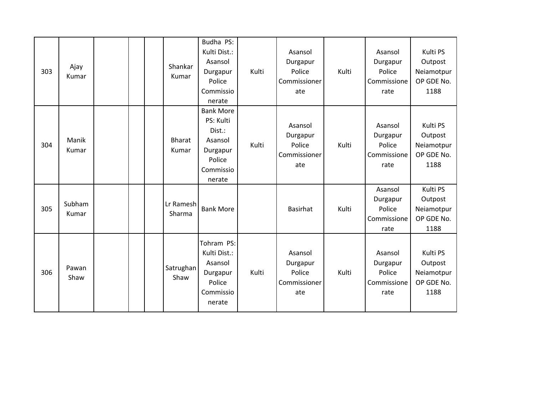| 303 | Ajay<br>Kumar   |  | Shankar<br>Kumar       | Budha PS:<br>Kulti Dist.:<br>Asansol<br>Durgapur<br>Police<br>Commissio<br>nerate               | Kulti | Asansol<br>Durgapur<br>Police<br>Commissioner<br>ate | Kulti | Asansol<br>Durgapur<br>Police<br>Commissione<br>rate | Kulti PS<br>Outpost<br>Neiamotpur<br>OP GDE No.<br>1188 |
|-----|-----------------|--|------------------------|-------------------------------------------------------------------------------------------------|-------|------------------------------------------------------|-------|------------------------------------------------------|---------------------------------------------------------|
| 304 | Manik<br>Kumar  |  | <b>Bharat</b><br>Kumar | <b>Bank More</b><br>PS: Kulti<br>Dist.:<br>Asansol<br>Durgapur<br>Police<br>Commissio<br>nerate | Kulti | Asansol<br>Durgapur<br>Police<br>Commissioner<br>ate | Kulti | Asansol<br>Durgapur<br>Police<br>Commissione<br>rate | Kulti PS<br>Outpost<br>Neiamotpur<br>OP GDE No.<br>1188 |
| 305 | Subham<br>Kumar |  | Lr Ramesh<br>Sharma    | <b>Bank More</b>                                                                                |       | <b>Basirhat</b>                                      | Kulti | Asansol<br>Durgapur<br>Police<br>Commissione<br>rate | Kulti PS<br>Outpost<br>Neiamotpur<br>OP GDE No.<br>1188 |
| 306 | Pawan<br>Shaw   |  | Satrughan<br>Shaw      | Tohram PS:<br>Kulti Dist.:<br>Asansol<br>Durgapur<br>Police<br>Commissio<br>nerate              | Kulti | Asansol<br>Durgapur<br>Police<br>Commissioner<br>ate | Kulti | Asansol<br>Durgapur<br>Police<br>Commissione<br>rate | Kulti PS<br>Outpost<br>Neiamotpur<br>OP GDE No.<br>1188 |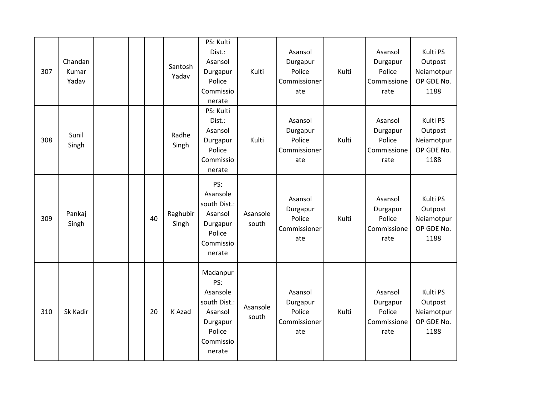| 307 | Chandan<br>Kumar<br>Yadav |  |    | Santosh<br>Yadav  | PS: Kulti<br>Dist.:<br>Asansol<br>Durgapur<br>Police<br>Commissio<br>nerate                         | Kulti             | Asansol<br>Durgapur<br>Police<br>Commissioner<br>ate | Kulti | Asansol<br>Durgapur<br>Police<br>Commissione<br>rate | Kulti PS<br>Outpost<br>Neiamotpur<br>OP GDE No.<br>1188 |
|-----|---------------------------|--|----|-------------------|-----------------------------------------------------------------------------------------------------|-------------------|------------------------------------------------------|-------|------------------------------------------------------|---------------------------------------------------------|
| 308 | Sunil<br>Singh            |  |    | Radhe<br>Singh    | PS: Kulti<br>Dist.:<br>Asansol<br>Durgapur<br>Police<br>Commissio<br>nerate                         | Kulti             | Asansol<br>Durgapur<br>Police<br>Commissioner<br>ate | Kulti | Asansol<br>Durgapur<br>Police<br>Commissione<br>rate | Kulti PS<br>Outpost<br>Neiamotpur<br>OP GDE No.<br>1188 |
| 309 | Pankaj<br>Singh           |  | 40 | Raghubir<br>Singh | PS:<br>Asansole<br>south Dist.:<br>Asansol<br>Durgapur<br>Police<br>Commissio<br>nerate             | Asansole<br>south | Asansol<br>Durgapur<br>Police<br>Commissioner<br>ate | Kulti | Asansol<br>Durgapur<br>Police<br>Commissione<br>rate | Kulti PS<br>Outpost<br>Neiamotpur<br>OP GDE No.<br>1188 |
| 310 | Sk Kadir                  |  | 20 | K Azad            | Madanpur<br>PS:<br>Asansole<br>south Dist.:<br>Asansol<br>Durgapur<br>Police<br>Commissio<br>nerate | Asansole<br>south | Asansol<br>Durgapur<br>Police<br>Commissioner<br>ate | Kulti | Asansol<br>Durgapur<br>Police<br>Commissione<br>rate | Kulti PS<br>Outpost<br>Neiamotpur<br>OP GDE No.<br>1188 |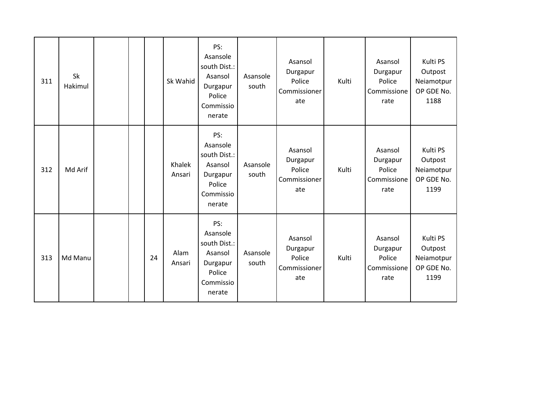| 311 | Sk<br>Hakimul |  |    | Sk Wahid         | PS:<br>Asansole<br>south Dist.:<br>Asansol<br>Durgapur<br>Police<br>Commissio<br>nerate | Asansole<br>south | Asansol<br>Durgapur<br>Police<br>Commissioner<br>ate | Kulti | Asansol<br>Durgapur<br>Police<br>Commissione<br>rate | Kulti PS<br>Outpost<br>Neiamotpur<br>OP GDE No.<br>1188 |
|-----|---------------|--|----|------------------|-----------------------------------------------------------------------------------------|-------------------|------------------------------------------------------|-------|------------------------------------------------------|---------------------------------------------------------|
| 312 | Md Arif       |  |    | Khalek<br>Ansari | PS:<br>Asansole<br>south Dist.:<br>Asansol<br>Durgapur<br>Police<br>Commissio<br>nerate | Asansole<br>south | Asansol<br>Durgapur<br>Police<br>Commissioner<br>ate | Kulti | Asansol<br>Durgapur<br>Police<br>Commissione<br>rate | Kulti PS<br>Outpost<br>Neiamotpur<br>OP GDE No.<br>1199 |
| 313 | Md Manu       |  | 24 | Alam<br>Ansari   | PS:<br>Asansole<br>south Dist.:<br>Asansol<br>Durgapur<br>Police<br>Commissio<br>nerate | Asansole<br>south | Asansol<br>Durgapur<br>Police<br>Commissioner<br>ate | Kulti | Asansol<br>Durgapur<br>Police<br>Commissione<br>rate | Kulti PS<br>Outpost<br>Neiamotpur<br>OP GDE No.<br>1199 |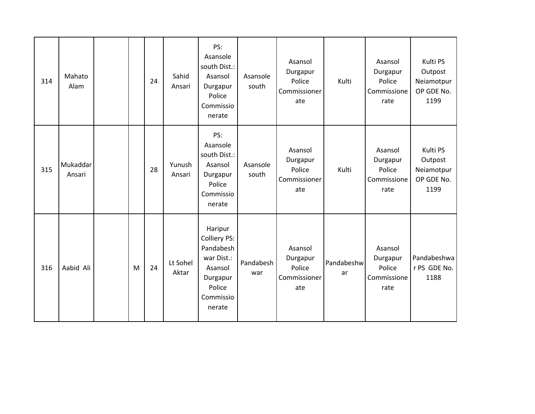| 314 | Mahato<br>Alam     |   | 24 | Sahid<br>Ansari   | PS:<br>Asansole<br>south Dist.:<br>Asansol<br>Durgapur<br>Police<br>Commissio<br>nerate                    | Asansole<br>south | Asansol<br>Durgapur<br>Police<br>Commissioner<br>ate | Kulti            | Asansol<br>Durgapur<br>Police<br>Commissione<br>rate | Kulti PS<br>Outpost<br>Neiamotpur<br>OP GDE No.<br>1199 |
|-----|--------------------|---|----|-------------------|------------------------------------------------------------------------------------------------------------|-------------------|------------------------------------------------------|------------------|------------------------------------------------------|---------------------------------------------------------|
| 315 | Mukaddar<br>Ansari |   | 28 | Yunush<br>Ansari  | PS:<br>Asansole<br>south Dist.:<br>Asansol<br>Durgapur<br>Police<br>Commissio<br>nerate                    | Asansole<br>south | Asansol<br>Durgapur<br>Police<br>Commissioner<br>ate | Kulti            | Asansol<br>Durgapur<br>Police<br>Commissione<br>rate | Kulti PS<br>Outpost<br>Neiamotpur<br>OP GDE No.<br>1199 |
| 316 | Aabid Ali          | M | 24 | Lt Sohel<br>Aktar | Haripur<br>Colliery PS:<br>Pandabesh<br>war Dist.:<br>Asansol<br>Durgapur<br>Police<br>Commissio<br>nerate | Pandabesh<br>war  | Asansol<br>Durgapur<br>Police<br>Commissioner<br>ate | Pandabeshw<br>ar | Asansol<br>Durgapur<br>Police<br>Commissione<br>rate | Pandabeshwa<br>r PS GDE No.<br>1188                     |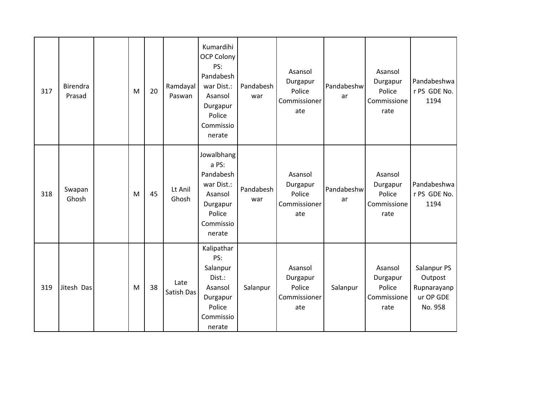| 317 | Birendra<br>Prasad | M | 20 | Ramdayal<br>Paswan | Kumardihi<br><b>OCP Colony</b><br>PS:<br>Pandabesh<br>war Dist.:<br>Asansol<br>Durgapur<br>Police<br>Commissio<br>nerate | Pandabesh<br>war | Asansol<br>Durgapur<br>Police<br>Commissioner<br>ate | Pandabeshw<br>ar | Asansol<br>Durgapur<br>Police<br>Commissione<br>rate | Pandabeshwa<br>r PS GDE No.<br>1194                           |
|-----|--------------------|---|----|--------------------|--------------------------------------------------------------------------------------------------------------------------|------------------|------------------------------------------------------|------------------|------------------------------------------------------|---------------------------------------------------------------|
| 318 | Swapan<br>Ghosh    | M | 45 | Lt Anil<br>Ghosh   | Jowalbhang<br>a PS:<br>Pandabesh<br>war Dist.:<br>Asansol<br>Durgapur<br>Police<br>Commissio<br>nerate                   | Pandabesh<br>war | Asansol<br>Durgapur<br>Police<br>Commissioner<br>ate | Pandabeshw<br>ar | Asansol<br>Durgapur<br>Police<br>Commissione<br>rate | Pandabeshwa<br>r PS GDE No.<br>1194                           |
| 319 | Jitesh Das         | M | 38 | Late<br>Satish Das | Kalipathar<br>PS:<br>Salanpur<br>Dist.:<br>Asansol<br>Durgapur<br>Police<br>Commissio<br>nerate                          | Salanpur         | Asansol<br>Durgapur<br>Police<br>Commissioner<br>ate | Salanpur         | Asansol<br>Durgapur<br>Police<br>Commissione<br>rate | Salanpur PS<br>Outpost<br>Rupnarayanp<br>ur OP GDE<br>No. 958 |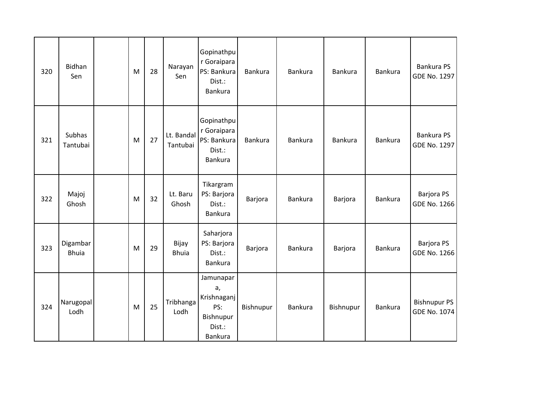| 320 | <b>Bidhan</b><br>Sen     | M | 28 | Narayan<br>Sen         | Gopinathpu<br>r Goraipara<br>PS: Bankura<br>Dist.:<br><b>Bankura</b>           | <b>Bankura</b> | Bankura | <b>Bankura</b> | <b>Bankura</b> | Bankura PS<br>GDE No. 1297               |
|-----|--------------------------|---|----|------------------------|--------------------------------------------------------------------------------|----------------|---------|----------------|----------------|------------------------------------------|
| 321 | Subhas<br>Tantubai       | M | 27 | Lt. Bandal<br>Tantubai | Gopinathpu<br>r Goraipara<br>PS: Bankura<br>Dist.:<br>Bankura                  | <b>Bankura</b> | Bankura | <b>Bankura</b> | <b>Bankura</b> | <b>Bankura PS</b><br><b>GDE No. 1297</b> |
| 322 | Majoj<br>Ghosh           | M | 32 | Lt. Baru<br>Ghosh      | Tikargram<br>PS: Barjora<br>Dist.:<br><b>Bankura</b>                           | Barjora        | Bankura | Barjora        | <b>Bankura</b> | Barjora PS<br><b>GDE No. 1266</b>        |
| 323 | Digambar<br><b>Bhuia</b> | M | 29 | Bijay<br><b>Bhuia</b>  | Saharjora<br>PS: Barjora<br>Dist.:<br>Bankura                                  | Barjora        | Bankura | Barjora        | Bankura        | Barjora PS<br><b>GDE No. 1266</b>        |
| 324 | Narugopal<br>Lodh        | M | 25 | Tribhanga<br>Lodh      | Jamunapar<br>a,<br>Krishnaganj<br>PS:<br>Bishnupur<br>Dist.:<br><b>Bankura</b> | Bishnupur      | Bankura | Bishnupur      | <b>Bankura</b> | <b>Bishnupur PS</b><br>GDE No. 1074      |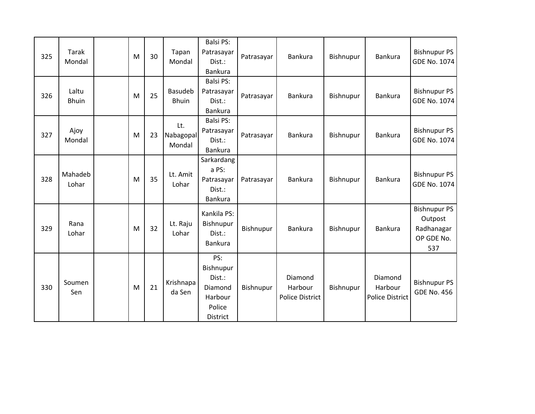| 325 | Tarak<br>Mondal       | M | 30 | Tapan<br>Mondal                | <b>Balsi PS:</b><br>Patrasayar<br>Dist.:<br><b>Bankura</b>                    | Patrasayar | <b>Bankura</b>                               | Bishnupur | Bankura                               | <b>Bishnupur PS</b><br><b>GDE No. 1074</b>                        |
|-----|-----------------------|---|----|--------------------------------|-------------------------------------------------------------------------------|------------|----------------------------------------------|-----------|---------------------------------------|-------------------------------------------------------------------|
| 326 | Laltu<br><b>Bhuin</b> | M | 25 | <b>Basudeb</b><br><b>Bhuin</b> | <b>Balsi PS:</b><br>Patrasayar<br>Dist.:<br><b>Bankura</b>                    | Patrasayar | <b>Bankura</b>                               | Bishnupur | <b>Bankura</b>                        | <b>Bishnupur PS</b><br><b>GDE No. 1074</b>                        |
| 327 | Ajoy<br>Mondal        | M | 23 | Lt.<br>Nabagopal<br>Mondal     | <b>Balsi PS:</b><br>Patrasayar<br>Dist.:<br><b>Bankura</b>                    | Patrasayar | <b>Bankura</b>                               | Bishnupur | Bankura                               | <b>Bishnupur PS</b><br>GDE No. 1074                               |
| 328 | Mahadeb<br>Lohar      | M | 35 | Lt. Amit<br>Lohar              | Sarkardang<br>a PS:<br>Patrasayar<br>Dist.:<br>Bankura                        | Patrasayar | <b>Bankura</b>                               | Bishnupur | <b>Bankura</b>                        | <b>Bishnupur PS</b><br><b>GDE No. 1074</b>                        |
| 329 | Rana<br>Lohar         | M | 32 | Lt. Raju<br>Lohar              | Kankila PS:<br>Bishnupur<br>Dist.:<br><b>Bankura</b>                          | Bishnupur  | <b>Bankura</b>                               | Bishnupur | <b>Bankura</b>                        | <b>Bishnupur PS</b><br>Outpost<br>Radhanagar<br>OP GDE No.<br>537 |
| 330 | Soumen<br>Sen         | M | 21 | Krishnapa<br>da Sen            | PS:<br>Bishnupur<br>Dist.:<br>Diamond<br>Harbour<br>Police<br><b>District</b> | Bishnupur  | Diamond<br>Harbour<br><b>Police District</b> | Bishnupur | Diamond<br>Harbour<br>Police District | <b>Bishnupur PS</b><br><b>GDE No. 456</b>                         |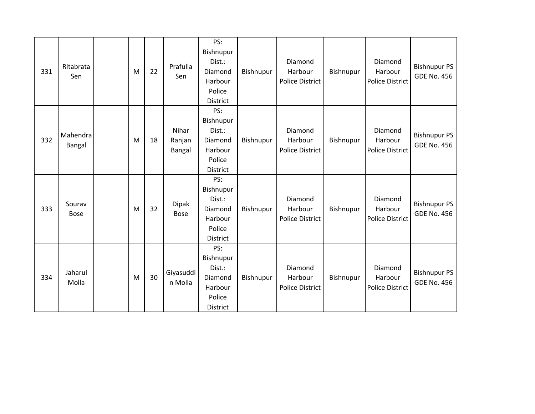| 331 | Ritabrata<br>Sen      | M | 22 | Prafulla<br>Sen           | PS:<br>Bishnupur<br>Dist.:<br>Diamond<br>Harbour<br>Police<br><b>District</b> | Bishnupur | Diamond<br>Harbour<br><b>Police District</b> | Bishnupur | Diamond<br>Harbour<br><b>Police District</b> | <b>Bishnupur PS</b><br><b>GDE No. 456</b> |
|-----|-----------------------|---|----|---------------------------|-------------------------------------------------------------------------------|-----------|----------------------------------------------|-----------|----------------------------------------------|-------------------------------------------|
| 332 | Mahendra<br>Bangal    | M | 18 | Nihar<br>Ranjan<br>Bangal | PS:<br>Bishnupur<br>Dist.:<br>Diamond<br>Harbour<br>Police<br><b>District</b> | Bishnupur | Diamond<br>Harbour<br><b>Police District</b> | Bishnupur | Diamond<br>Harbour<br><b>Police District</b> | <b>Bishnupur PS</b><br><b>GDE No. 456</b> |
| 333 | Sourav<br><b>Bose</b> | M | 32 | Dipak<br><b>Bose</b>      | PS:<br>Bishnupur<br>Dist.:<br>Diamond<br>Harbour<br>Police<br><b>District</b> | Bishnupur | Diamond<br>Harbour<br><b>Police District</b> | Bishnupur | Diamond<br>Harbour<br>Police District        | <b>Bishnupur PS</b><br><b>GDE No. 456</b> |
| 334 | Jaharul<br>Molla      | M | 30 | Giyasuddi<br>n Molla      | PS:<br>Bishnupur<br>Dist.:<br>Diamond<br>Harbour<br>Police<br><b>District</b> | Bishnupur | Diamond<br>Harbour<br><b>Police District</b> | Bishnupur | Diamond<br>Harbour<br><b>Police District</b> | <b>Bishnupur PS</b><br><b>GDE No. 456</b> |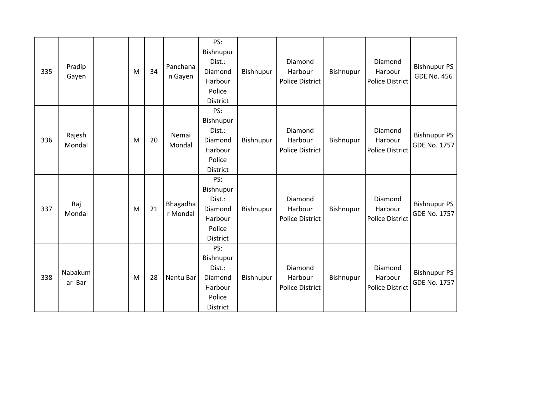| 335 | Pradip<br>Gayen   | M | 34 | Panchana<br>n Gayen  | PS:<br>Bishnupur<br>Dist.:<br>Diamond<br>Harbour<br>Police<br>District        | Bishnupur | Diamond<br>Harbour<br><b>Police District</b> | Bishnupur | Diamond<br>Harbour<br><b>Police District</b> | <b>Bishnupur PS</b><br><b>GDE No. 456</b>  |
|-----|-------------------|---|----|----------------------|-------------------------------------------------------------------------------|-----------|----------------------------------------------|-----------|----------------------------------------------|--------------------------------------------|
| 336 | Rajesh<br>Mondal  | M | 20 | Nemai<br>Mondal      | PS:<br>Bishnupur<br>Dist.:<br>Diamond<br>Harbour<br>Police<br><b>District</b> | Bishnupur | Diamond<br>Harbour<br><b>Police District</b> | Bishnupur | Diamond<br>Harbour<br><b>Police District</b> | <b>Bishnupur PS</b><br><b>GDE No. 1757</b> |
| 337 | Raj<br>Mondal     | M | 21 | Bhagadha<br>r Mondal | PS:<br>Bishnupur<br>Dist.:<br>Diamond<br>Harbour<br>Police<br>District        | Bishnupur | Diamond<br>Harbour<br><b>Police District</b> | Bishnupur | Diamond<br>Harbour<br><b>Police District</b> | <b>Bishnupur PS</b><br><b>GDE No. 1757</b> |
| 338 | Nabakum<br>ar Bar | M | 28 | Nantu Bar            | PS:<br>Bishnupur<br>Dist.:<br>Diamond<br>Harbour<br>Police<br><b>District</b> | Bishnupur | Diamond<br>Harbour<br><b>Police District</b> | Bishnupur | Diamond<br>Harbour<br><b>Police District</b> | <b>Bishnupur PS</b><br><b>GDE No. 1757</b> |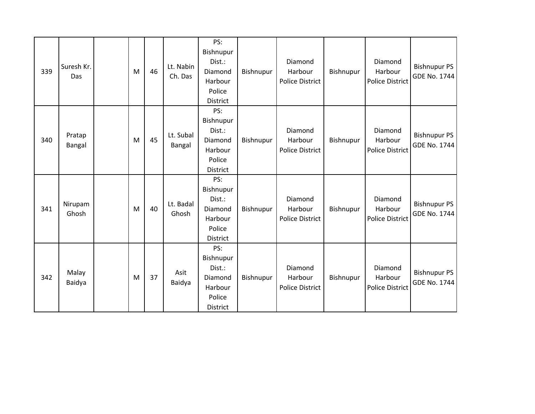| 339 | Suresh Kr.<br>Das | M | 46 | Lt. Nabin<br>Ch. Das | PS:<br>Bishnupur<br>Dist.:<br>Diamond<br>Harbour<br>Police<br><b>District</b> | Bishnupur | Diamond<br>Harbour<br><b>Police District</b> | Bishnupur | Diamond<br>Harbour<br><b>Police District</b> | <b>Bishnupur PS</b><br><b>GDE No. 1744</b> |
|-----|-------------------|---|----|----------------------|-------------------------------------------------------------------------------|-----------|----------------------------------------------|-----------|----------------------------------------------|--------------------------------------------|
| 340 | Pratap<br>Bangal  | M | 45 | Lt. Subal<br>Bangal  | PS:<br>Bishnupur<br>Dist.:<br>Diamond<br>Harbour<br>Police<br><b>District</b> | Bishnupur | Diamond<br>Harbour<br><b>Police District</b> | Bishnupur | Diamond<br>Harbour<br><b>Police District</b> | <b>Bishnupur PS</b><br><b>GDE No. 1744</b> |
| 341 | Nirupam<br>Ghosh  | M | 40 | Lt. Badal<br>Ghosh   | PS:<br>Bishnupur<br>Dist.:<br>Diamond<br>Harbour<br>Police<br><b>District</b> | Bishnupur | Diamond<br>Harbour<br><b>Police District</b> | Bishnupur | Diamond<br>Harbour<br><b>Police District</b> | <b>Bishnupur PS</b><br><b>GDE No. 1744</b> |
| 342 | Malay<br>Baidya   | M | 37 | Asit<br>Baidya       | PS:<br>Bishnupur<br>Dist.:<br>Diamond<br>Harbour<br>Police<br><b>District</b> | Bishnupur | Diamond<br>Harbour<br><b>Police District</b> | Bishnupur | Diamond<br>Harbour<br><b>Police District</b> | <b>Bishnupur PS</b><br><b>GDE No. 1744</b> |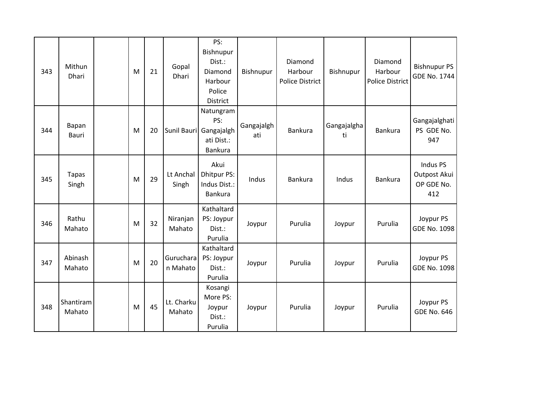| 343 | Mithun<br>Dhari       | M | 21 | Gopal<br>Dhari        | PS:<br>Bishnupur<br>Dist.:<br>Diamond<br>Harbour<br>Police<br>District | Bishnupur         | Diamond<br>Harbour<br><b>Police District</b> | Bishnupur         | Diamond<br>Harbour<br><b>Police District</b> | <b>Bishnupur PS</b><br>GDE No. 1744           |
|-----|-----------------------|---|----|-----------------------|------------------------------------------------------------------------|-------------------|----------------------------------------------|-------------------|----------------------------------------------|-----------------------------------------------|
| 344 | Bapan<br>Bauri        | M | 20 |                       | Natungram<br>PS:<br>Sunil Bauri Gangajalgh<br>ati Dist.:<br>Bankura    | Gangajalgh<br>ati | Bankura                                      | Gangajalgha<br>ti | Bankura                                      | Gangajalghati<br>PS GDE No.<br>947            |
| 345 | <b>Tapas</b><br>Singh | M | 29 | Lt Anchal<br>Singh    | Akui<br><b>Dhitpur PS:</b><br>Indus Dist.:<br>Bankura                  | Indus             | <b>Bankura</b>                               | Indus             | <b>Bankura</b>                               | Indus PS<br>Outpost Akui<br>OP GDE No.<br>412 |
| 346 | Rathu<br>Mahato       | M | 32 | Niranjan<br>Mahato    | Kathaltard<br>PS: Joypur<br>Dist.:<br>Purulia                          | Joypur            | Purulia                                      | Joypur            | Purulia                                      | Joypur PS<br><b>GDE No. 1098</b>              |
| 347 | Abinash<br>Mahato     | M | 20 | Guruchara<br>n Mahato | Kathaltard<br>PS: Joypur<br>Dist.:<br>Purulia                          | Joypur            | Purulia                                      | Joypur            | Purulia                                      | Joypur PS<br><b>GDE No. 1098</b>              |
| 348 | Shantiram<br>Mahato   | M | 45 | Lt. Charku<br>Mahato  | Kosangi<br>More PS:<br>Joypur<br>Dist.:<br>Purulia                     | Joypur            | Purulia                                      | Joypur            | Purulia                                      | Joypur PS<br><b>GDE No. 646</b>               |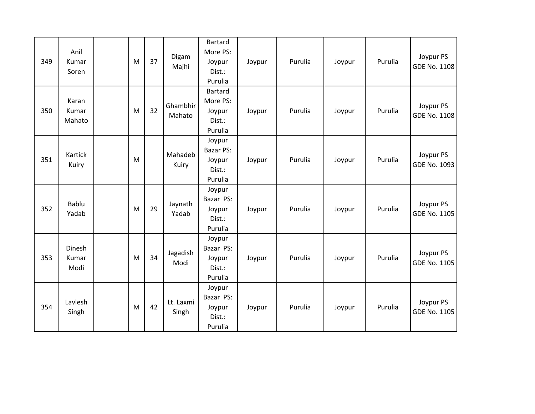| 349 | Anil<br>Kumar<br>Soren   | M | 37 | Digam<br>Majhi     | <b>Bartard</b><br>More PS:<br>Joypur<br>Dist.:<br>Purulia | Joypur | Purulia | Joypur | Purulia | Joypur PS<br>GDE No. 1108        |
|-----|--------------------------|---|----|--------------------|-----------------------------------------------------------|--------|---------|--------|---------|----------------------------------|
| 350 | Karan<br>Kumar<br>Mahato | M | 32 | Ghambhir<br>Mahato | Bartard<br>More PS:<br>Joypur<br>Dist.:<br>Purulia        | Joypur | Purulia | Joypur | Purulia | Joypur PS<br><b>GDE No. 1108</b> |
| 351 | Kartick<br>Kuiry         | M |    | Mahadeb<br>Kuiry   | Joypur<br><b>Bazar PS:</b><br>Joypur<br>Dist.:<br>Purulia | Joypur | Purulia | Joypur | Purulia | Joypur PS<br>GDE No. 1093        |
| 352 | Bablu<br>Yadab           | M | 29 | Jaynath<br>Yadab   | Joypur<br>Bazar PS:<br>Joypur<br>Dist.:<br>Purulia        | Joypur | Purulia | Joypur | Purulia | Joypur PS<br>GDE No. 1105        |
| 353 | Dinesh<br>Kumar<br>Modi  | M | 34 | Jagadish<br>Modi   | Joypur<br>Bazar PS:<br>Joypur<br>Dist.:<br>Purulia        | Joypur | Purulia | Joypur | Purulia | Joypur PS<br>GDE No. 1105        |
| 354 | Lavlesh<br>Singh         | M | 42 | Lt. Laxmi<br>Singh | Joypur<br>Bazar PS:<br>Joypur<br>Dist.:<br>Purulia        | Joypur | Purulia | Joypur | Purulia | Joypur PS<br>GDE No. 1105        |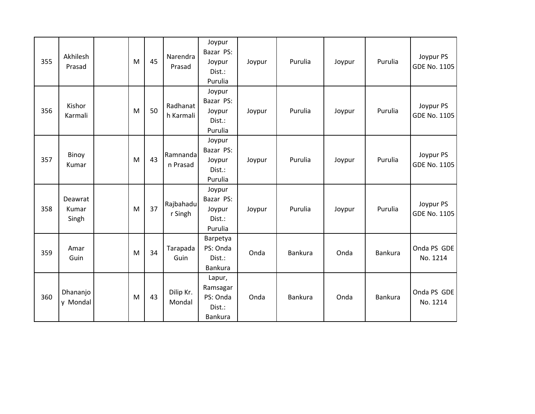| 355 | Akhilesh<br>Prasad        | M | 45 | Narendra<br>Prasad    | Joypur<br>Bazar PS:<br>Joypur<br>Dist.:<br>Purulia         | Joypur | Purulia        | Joypur | Purulia | Joypur PS<br>GDE No. 1105 |
|-----|---------------------------|---|----|-----------------------|------------------------------------------------------------|--------|----------------|--------|---------|---------------------------|
| 356 | Kishor<br>Karmali         | M | 50 | Radhanat<br>h Karmali | Joypur<br>Bazar PS:<br>Joypur<br>Dist.:<br>Purulia         | Joypur | Purulia        | Joypur | Purulia | Joypur PS<br>GDE No. 1105 |
| 357 | Binoy<br>Kumar            | M | 43 | Ramnanda<br>n Prasad  | Joypur<br>Bazar PS:<br>Joypur<br>Dist.:<br>Purulia         | Joypur | Purulia        | Joypur | Purulia | Joypur PS<br>GDE No. 1105 |
| 358 | Deawrat<br>Kumar<br>Singh | M | 37 | Rajbahadu<br>r Singh  | Joypur<br>Bazar PS:<br>Joypur<br>Dist.:<br>Purulia         | Joypur | Purulia        | Joypur | Purulia | Joypur PS<br>GDE No. 1105 |
| 359 | Amar<br>Guin              | M | 34 | Tarapada<br>Guin      | Barpetya<br>PS: Onda<br>Dist.:<br><b>Bankura</b>           | Onda   | Bankura        | Onda   | Bankura | Onda PS GDE<br>No. 1214   |
| 360 | Dhananjo<br>y Mondal      | M | 43 | Dilip Kr.<br>Mondal   | Lapur,<br>Ramsagar<br>PS: Onda<br>Dist.:<br><b>Bankura</b> | Onda   | <b>Bankura</b> | Onda   | Bankura | Onda PS GDE<br>No. 1214   |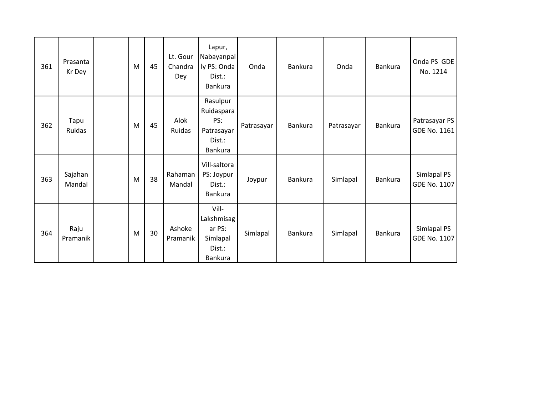| 361 | Prasanta<br>Kr Dey | M | 45 | Lt. Gour<br>Chandra<br>Dey | Lapur,<br>Nabayanpal<br>ly PS: Onda<br>Dist.:<br>Bankura         | Onda       | <b>Bankura</b> | Onda       | <b>Bankura</b> | Onda PS GDE<br>No. 1214       |
|-----|--------------------|---|----|----------------------------|------------------------------------------------------------------|------------|----------------|------------|----------------|-------------------------------|
| 362 | Tapu<br>Ruidas     | M | 45 | Alok<br>Ruidas             | Rasulpur<br>Ruidaspara<br>PS:<br>Patrasayar<br>Dist.:<br>Bankura | Patrasayar | Bankura        | Patrasayar | Bankura        | Patrasayar PS<br>GDE No. 1161 |
| 363 | Sajahan<br>Mandal  | M | 38 | Rahaman<br>Mandal          | Vill-saltora<br>PS: Joypur<br>Dist.:<br>Bankura                  | Joypur     | <b>Bankura</b> | Simlapal   | Bankura        | Simlapal PS<br>GDE No. 1107   |
| 364 | Raju<br>Pramanik   | M | 30 | Ashoke<br>Pramanik         | Vill-<br>Lakshmisag<br>ar PS:<br>Simlapal<br>Dist.:<br>Bankura   | Simlapal   | Bankura        | Simlapal   | Bankura        | Simlapal PS<br>GDE No. 1107   |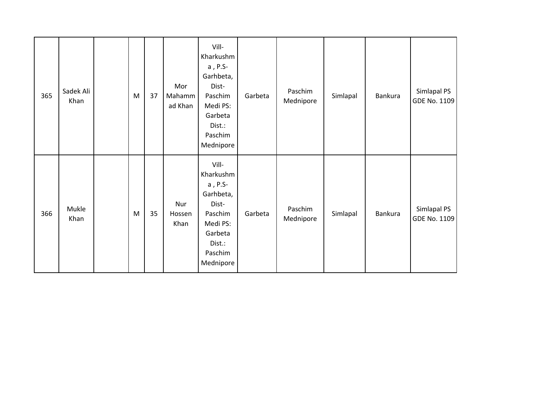| 365 | Sadek Ali<br>Khan | M | 37 | Mor<br>Mahamm<br>ad Khan | Vill-<br>Kharkushm<br>a, P.S-<br>Garhbeta,<br>Dist-<br>Paschim<br>Medi PS:<br>Garbeta<br>Dist.:<br>Paschim<br>Mednipore | Garbeta | Paschim<br>Mednipore | Simlapal | <b>Bankura</b> | Simlapal PS<br>GDE No. 1109 |
|-----|-------------------|---|----|--------------------------|-------------------------------------------------------------------------------------------------------------------------|---------|----------------------|----------|----------------|-----------------------------|
| 366 | Mukle<br>Khan     | M | 35 | Nur<br>Hossen<br>Khan    | Vill-<br>Kharkushm<br>a, P.S-<br>Garhbeta,<br>Dist-<br>Paschim<br>Medi PS:<br>Garbeta<br>Dist.:<br>Paschim<br>Mednipore | Garbeta | Paschim<br>Mednipore | Simlapal | <b>Bankura</b> | Simlapal PS<br>GDE No. 1109 |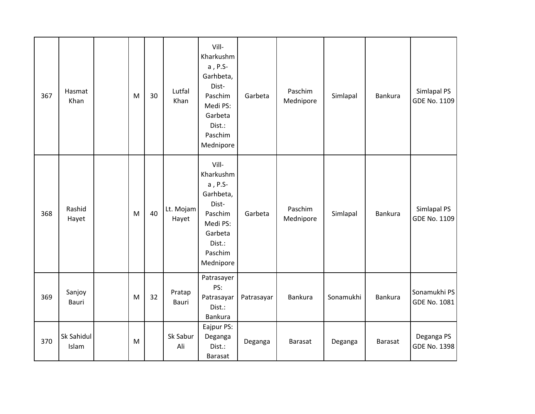| 367 | Hasmat<br>Khan      | M | 30 | Lutfal<br>Khan     | Vill-<br>Kharkushm<br>a, P.S-<br>Garhbeta,<br>Dist-<br>Paschim<br>Medi PS:<br>Garbeta<br>Dist.:<br>Paschim<br>Mednipore | Garbeta    | Paschim<br>Mednipore | Simlapal  | Bankura        | Simlapal PS<br><b>GDE No. 1109</b> |
|-----|---------------------|---|----|--------------------|-------------------------------------------------------------------------------------------------------------------------|------------|----------------------|-----------|----------------|------------------------------------|
| 368 | Rashid<br>Hayet     | M | 40 | Lt. Mojam<br>Hayet | Vill-<br>Kharkushm<br>a, P.S-<br>Garhbeta,<br>Dist-<br>Paschim<br>Medi PS:<br>Garbeta<br>Dist.:<br>Paschim<br>Mednipore | Garbeta    | Paschim<br>Mednipore | Simlapal  | Bankura        | Simlapal PS<br><b>GDE No. 1109</b> |
| 369 | Sanjoy<br>Bauri     | M | 32 | Pratap<br>Bauri    | Patrasayer<br>PS:<br>Patrasayar<br>Dist.:<br><b>Bankura</b>                                                             | Patrasayar | <b>Bankura</b>       | Sonamukhi | <b>Bankura</b> | Sonamukhi PS<br>GDE No. 1081       |
| 370 | Sk Sahidul<br>Islam | M |    | Sk Sabur<br>Ali    | Eajpur PS:<br>Deganga<br>Dist.:<br>Barasat                                                                              | Deganga    | Barasat              | Deganga   | <b>Barasat</b> | Deganga PS<br><b>GDE No. 1398</b>  |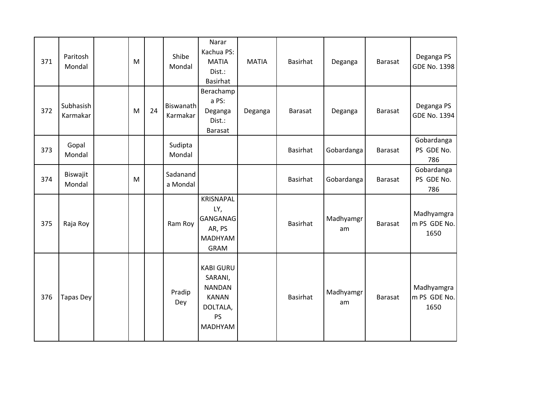| 371 | Paritosh<br>Mondal    | M |    | Shibe<br>Mondal       | Narar<br>Kachua PS:<br><b>MATIA</b><br>Dist.:<br><b>Basirhat</b>                                        | <b>MATIA</b> | <b>Basirhat</b> | Deganga         | <b>Barasat</b> | Deganga PS<br>GDE No. 1398         |
|-----|-----------------------|---|----|-----------------------|---------------------------------------------------------------------------------------------------------|--------------|-----------------|-----------------|----------------|------------------------------------|
| 372 | Subhasish<br>Karmakar | M | 24 | Biswanath<br>Karmakar | Berachamp<br>a PS:<br>Deganga<br>Dist.:<br><b>Barasat</b>                                               | Deganga      | <b>Barasat</b>  | Deganga         | <b>Barasat</b> | Deganga PS<br><b>GDE No. 1394</b>  |
| 373 | Gopal<br>Mondal       |   |    | Sudipta<br>Mondal     |                                                                                                         |              | <b>Basirhat</b> | Gobardanga      | Barasat        | Gobardanga<br>PS GDE No.<br>786    |
| 374 | Biswajit<br>Mondal    | M |    | Sadanand<br>a Mondal  |                                                                                                         |              | <b>Basirhat</b> | Gobardanga      | <b>Barasat</b> | Gobardanga<br>PS GDE No.<br>786    |
| 375 | Raja Roy              |   |    | Ram Roy               | <b>KRISNAPAL</b><br>LY,<br>GANGANAG<br>AR, PS<br>MADHYAM<br><b>GRAM</b>                                 |              | <b>Basirhat</b> | Madhyamgr<br>am | <b>Barasat</b> | Madhyamgra<br>m PS GDE No.<br>1650 |
| 376 | <b>Tapas Dey</b>      |   |    | Pradip<br>Dey         | <b>KABI GURU</b><br>SARANI,<br><b>NANDAN</b><br><b>KANAN</b><br>DOLTALA,<br><b>PS</b><br><b>MADHYAM</b> |              | <b>Basirhat</b> | Madhyamgr<br>am | <b>Barasat</b> | Madhyamgra<br>m PS GDE No.<br>1650 |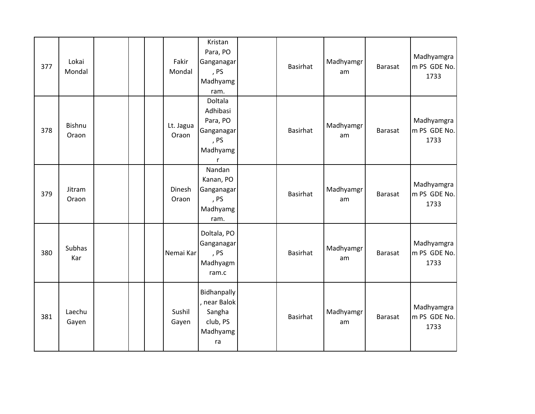| 377 | Lokai<br>Mondal        |  | Fakir<br>Mondal    | Kristan<br>Para, PO<br>Ganganagar<br>, PS<br>Madhyamg<br>ram.          | <b>Basirhat</b> | Madhyamgr<br>am | <b>Barasat</b> | Madhyamgra<br>m PS GDE No.<br>1733 |
|-----|------------------------|--|--------------------|------------------------------------------------------------------------|-----------------|-----------------|----------------|------------------------------------|
| 378 | <b>Bishnu</b><br>Oraon |  | Lt. Jagua<br>Oraon | Doltala<br>Adhibasi<br>Para, PO<br>Ganganagar<br>, PS<br>Madhyamg<br>r | <b>Basirhat</b> | Madhyamgr<br>am | <b>Barasat</b> | Madhyamgra<br>m PS GDE No.<br>1733 |
| 379 | Jitram<br>Oraon        |  | Dinesh<br>Oraon    | Nandan<br>Kanan, PO<br>Ganganagar<br>, PS<br>Madhyamg<br>ram.          | <b>Basirhat</b> | Madhyamgr<br>am | Barasat        | Madhyamgra<br>m PS GDE No.<br>1733 |
| 380 | Subhas<br>Kar          |  | Nemai Kar          | Doltala, PO<br>Ganganagar<br>, PS<br>Madhyagm<br>ram.c                 | <b>Basirhat</b> | Madhyamgr<br>am | <b>Barasat</b> | Madhyamgra<br>m PS GDE No.<br>1733 |
| 381 | Laechu<br>Gayen        |  | Sushil<br>Gayen    | Bidhanpally<br>, near Balok<br>Sangha<br>club, PS<br>Madhyamg<br>ra    | <b>Basirhat</b> | Madhyamgr<br>am | Barasat        | Madhyamgra<br>m PS GDE No.<br>1733 |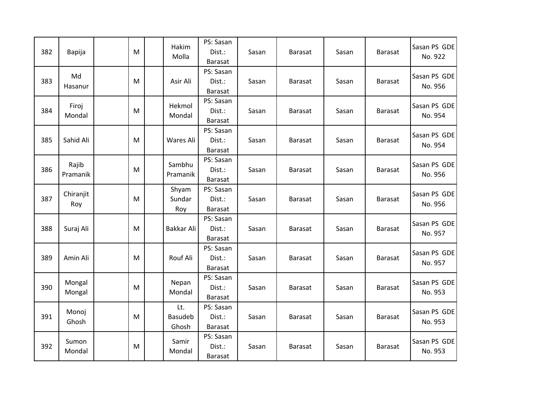| 382 | Bapija            | M | Hakim<br>Molla                 | PS: Sasan<br>Dist.:<br><b>Barasat</b> | Sasan | <b>Barasat</b> | Sasan | <b>Barasat</b> | Sasan PS GDE<br>No. 922 |
|-----|-------------------|---|--------------------------------|---------------------------------------|-------|----------------|-------|----------------|-------------------------|
| 383 | Md<br>Hasanur     | M | Asir Ali                       | PS: Sasan<br>Dist.:<br><b>Barasat</b> | Sasan | <b>Barasat</b> | Sasan | <b>Barasat</b> | Sasan PS GDE<br>No. 956 |
| 384 | Firoj<br>Mondal   | M | Hekmol<br>Mondal               | PS: Sasan<br>Dist.:<br>Barasat        | Sasan | <b>Barasat</b> | Sasan | <b>Barasat</b> | Sasan PS GDE<br>No. 954 |
| 385 | Sahid Ali         | M | Wares Ali                      | PS: Sasan<br>Dist.:<br>Barasat        | Sasan | <b>Barasat</b> | Sasan | <b>Barasat</b> | Sasan PS GDE<br>No. 954 |
| 386 | Rajib<br>Pramanik | M | Sambhu<br>Pramanik             | PS: Sasan<br>Dist.:<br>Barasat        | Sasan | <b>Barasat</b> | Sasan | <b>Barasat</b> | Sasan PS GDE<br>No. 956 |
| 387 | Chiranjit<br>Roy  | M | Shyam<br>Sundar<br>Roy         | PS: Sasan<br>Dist.:<br><b>Barasat</b> | Sasan | <b>Barasat</b> | Sasan | <b>Barasat</b> | Sasan PS GDE<br>No. 956 |
| 388 | Suraj Ali         | M | Bakkar Ali                     | PS: Sasan<br>Dist.:<br>Barasat        | Sasan | <b>Barasat</b> | Sasan | <b>Barasat</b> | Sasan PS GDE<br>No. 957 |
| 389 | Amin Ali          | M | Rouf Ali                       | PS: Sasan<br>Dist.:<br>Barasat        | Sasan | <b>Barasat</b> | Sasan | <b>Barasat</b> | Sasan PS GDE<br>No. 957 |
| 390 | Mongal<br>Mongal  | M | Nepan<br>Mondal                | PS: Sasan<br>Dist.:<br><b>Barasat</b> | Sasan | <b>Barasat</b> | Sasan | <b>Barasat</b> | Sasan PS GDE<br>No. 953 |
| 391 | Monoj<br>Ghosh    | M | Lt.<br><b>Basudeb</b><br>Ghosh | PS: Sasan<br>Dist.:<br><b>Barasat</b> | Sasan | <b>Barasat</b> | Sasan | <b>Barasat</b> | Sasan PS GDE<br>No. 953 |
| 392 | Sumon<br>Mondal   | M | Samir<br>Mondal                | PS: Sasan<br>Dist.:<br><b>Barasat</b> | Sasan | <b>Barasat</b> | Sasan | <b>Barasat</b> | Sasan PS GDE<br>No. 953 |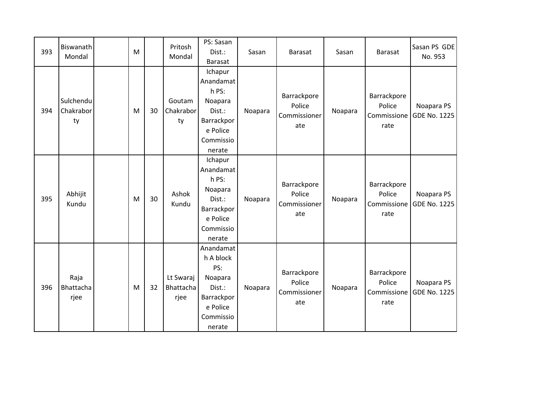| 393 | Biswanath<br>Mondal          | M |    | Pritosh<br>Mondal              | PS: Sasan<br>Dist.:<br>Barasat                                                                      | Sasan   | <b>Barasat</b>                               | Sasan   | <b>Barasat</b>                               | Sasan PS GDE<br>No. 953           |
|-----|------------------------------|---|----|--------------------------------|-----------------------------------------------------------------------------------------------------|---------|----------------------------------------------|---------|----------------------------------------------|-----------------------------------|
| 394 | Sulchendu<br>Chakrabor<br>ty | M | 30 | Goutam<br>Chakrabor<br>ty      | Ichapur<br>Anandamat<br>h PS:<br>Noapara<br>Dist.:<br>Barrackpor<br>e Police<br>Commissio<br>nerate | Noapara | Barrackpore<br>Police<br>Commissioner<br>ate | Noapara | Barrackpore<br>Police<br>Commissione<br>rate | Noapara PS<br>GDE No. 1225        |
| 395 | Abhijit<br>Kundu             | M | 30 | Ashok<br>Kundu                 | Ichapur<br>Anandamat<br>h PS:<br>Noapara<br>Dist.:<br>Barrackpor<br>e Police<br>Commissio<br>nerate | Noapara | Barrackpore<br>Police<br>Commissioner<br>ate | Noapara | Barrackpore<br>Police<br>Commissione<br>rate | Noapara PS<br><b>GDE No. 1225</b> |
| 396 | Raja<br>Bhattacha<br>rjee    | M | 32 | Lt Swaraj<br>Bhattacha<br>rjee | Anandamat<br>h A block<br>PS:<br>Noapara<br>Dist.:<br>Barrackpor<br>e Police<br>Commissio<br>nerate | Noapara | Barrackpore<br>Police<br>Commissioner<br>ate | Noapara | Barrackpore<br>Police<br>Commissione<br>rate | Noapara PS<br><b>GDE No. 1225</b> |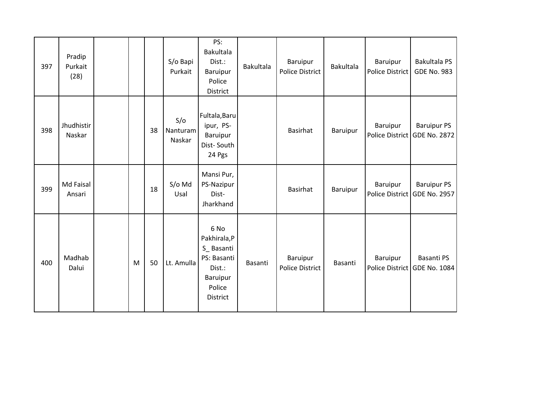| 397 | Pradip<br>Purkait<br>(28) |   |    | S/o Bapi<br>Purkait       | PS:<br>Bakultala<br>Dist.:<br>Baruipur<br>Police<br>District                                       | <b>Bakultala</b> | Baruipur<br><b>Police District</b> | <b>Bakultala</b> | Baruipur<br>Police District | Bakultala PS<br><b>GDE No. 983</b>                 |
|-----|---------------------------|---|----|---------------------------|----------------------------------------------------------------------------------------------------|------------------|------------------------------------|------------------|-----------------------------|----------------------------------------------------|
| 398 | Jhudhistir<br>Naskar      |   | 38 | S/O<br>Nanturam<br>Naskar | Fultala, Baru<br>ipur, PS-<br>Baruipur<br>Dist-South<br>24 Pgs                                     |                  | Basirhat                           | Baruipur         | Baruipur                    | <b>Baruipur PS</b><br>Police District GDE No. 2872 |
| 399 | Md Faisal<br>Ansari       |   | 18 | S/o Md<br>Usal            | Mansi Pur,<br>PS-Nazipur<br>Dist-<br>Jharkhand                                                     |                  | Basirhat                           | Baruipur         | Baruipur                    | <b>Baruipur PS</b><br>Police District GDE No. 2957 |
| 400 | Madhab<br>Dalui           | M | 50 | Lt. Amulla                | 6 No<br>Pakhirala,P<br>S_Basanti<br>PS: Basanti<br>Dist.:<br>Baruipur<br>Police<br><b>District</b> | Basanti          | Baruipur<br><b>Police District</b> | Basanti          | Baruipur                    | Basanti PS<br>Police District GDE No. 1084         |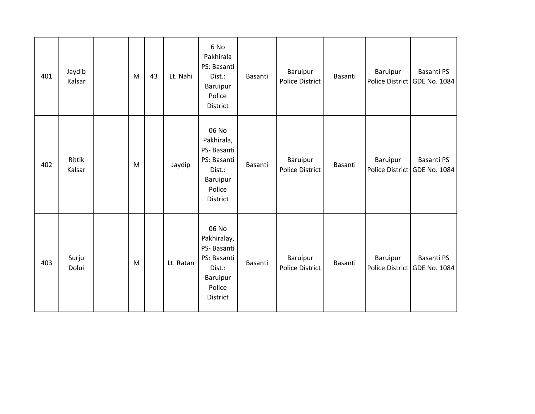| 401 | Jaydib<br>Kalsar | M | 43 | Lt. Nahi  | 6 No<br>Pakhirala<br>PS: Basanti<br>Dist.:<br>Baruipur<br>Police<br>District                         | Basanti | Baruipur<br><b>Police District</b> | Basanti | Baruipur | Basanti PS<br>Police District GDE No. 1084 |
|-----|------------------|---|----|-----------|------------------------------------------------------------------------------------------------------|---------|------------------------------------|---------|----------|--------------------------------------------|
| 402 | Rittik<br>Kalsar | M |    | Jaydip    | 06 No<br>Pakhirala,<br>PS-Basanti<br>PS: Basanti<br>Dist.:<br>Baruipur<br>Police<br>District         | Basanti | Baruipur<br><b>Police District</b> | Basanti | Baruipur | Basanti PS<br>Police District GDE No. 1084 |
| 403 | Surju<br>Dolui   | M |    | Lt. Ratan | 06 No<br>Pakhiralay,<br>PS-Basanti<br>PS: Basanti<br>Dist.:<br>Baruipur<br>Police<br><b>District</b> | Basanti | Baruipur<br>Police District        | Basanti | Baruipur | Basanti PS<br>Police District GDE No. 1084 |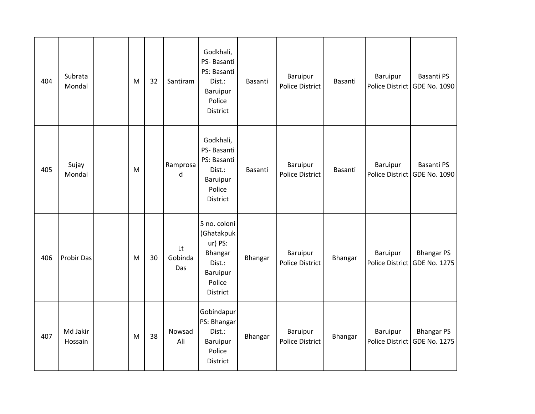| 404 | Subrata<br>Mondal   | M | 32 | Santiram             | Godkhali,<br>PS-Basanti<br>PS: Basanti<br>Dist.:<br>Baruipur<br>Police<br>District           | Basanti | Baruipur<br><b>Police District</b> | Basanti | Baruipur        | <b>Basanti PS</b><br>Police District GDE No. 1090 |
|-----|---------------------|---|----|----------------------|----------------------------------------------------------------------------------------------|---------|------------------------------------|---------|-----------------|---------------------------------------------------|
| 405 | Sujay<br>Mondal     | M |    | Ramprosa<br>d        | Godkhali,<br>PS- Basanti<br>PS: Basanti<br>Dist.:<br>Baruipur<br>Police<br>District          | Basanti | Baruipur<br><b>Police District</b> | Basanti | Baruipur        | Basanti PS<br>Police District GDE No. 1090        |
| 406 | Probir Das          | M | 30 | Lt<br>Gobinda<br>Das | 5 no. coloni<br>(Ghatakpuk<br>ur) PS:<br>Bhangar<br>Dist.:<br>Baruipur<br>Police<br>District | Bhangar | Baruipur<br><b>Police District</b> | Bhangar | <b>Baruipur</b> | <b>Bhangar PS</b><br>Police District GDE No. 1275 |
| 407 | Md Jakir<br>Hossain | M | 38 | Nowsad<br>Ali        | Gobindapur<br>PS: Bhangar<br>Dist.:<br>Baruipur<br>Police<br>District                        | Bhangar | Baruipur<br><b>Police District</b> | Bhangar | Baruipur        | <b>Bhangar PS</b><br>Police District GDE No. 1275 |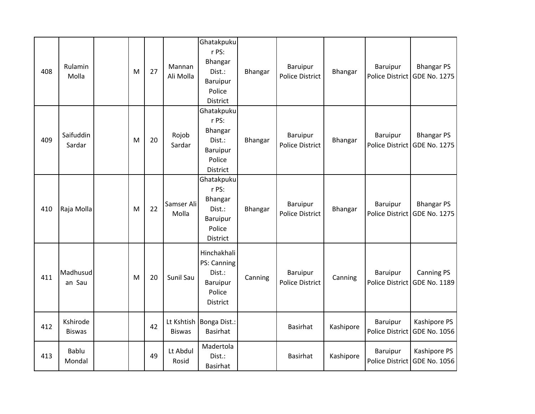| 408 | Rulamin<br>Molla          | M | 27 | Mannan<br>Ali Molla | Ghatakpuku<br>r PS:<br>Bhangar<br>Dist.:<br>Baruipur<br>Police<br>District               | Bhangar | Baruipur<br><b>Police District</b> | Bhangar   | <b>Baruipur</b><br><b>Police District</b> | <b>Bhangar PS</b><br><b>GDE No. 1275</b>          |
|-----|---------------------------|---|----|---------------------|------------------------------------------------------------------------------------------|---------|------------------------------------|-----------|-------------------------------------------|---------------------------------------------------|
| 409 | Saifuddin<br>Sardar       | M | 20 | Rojob<br>Sardar     | Ghatakpuku<br>r PS:<br>Bhangar<br>Dist.:<br><b>Baruipur</b><br>Police<br><b>District</b> | Bhangar | Baruipur<br><b>Police District</b> | Bhangar   | Baruipur<br><b>Police District</b>        | <b>Bhangar PS</b><br><b>GDE No. 1275</b>          |
| 410 | Raja Molla                | M | 22 | Samser Ali<br>Molla | Ghatakpuku<br>r PS:<br>Bhangar<br>Dist.:<br>Baruipur<br>Police<br><b>District</b>        | Bhangar | Baruipur<br><b>Police District</b> | Bhangar   | Baruipur                                  | <b>Bhangar PS</b><br>Police District GDE No. 1275 |
| 411 | Madhusud<br>an Sau        | M | 20 | Sunil Sau           | Hinchakhali<br>PS: Canning<br>Dist.:<br>Baruipur<br>Police<br>District                   | Canning | Baruipur<br><b>Police District</b> | Canning   | Baruipur<br><b>Police District</b>        | <b>Canning PS</b><br>GDE No. 1189                 |
| 412 | Kshirode<br><b>Biswas</b> |   | 42 | <b>Biswas</b>       | Lt Kshtish   Bonga Dist.:<br><b>Basirhat</b>                                             |         | <b>Basirhat</b>                    | Kashipore | Baruipur<br><b>Police District</b>        | Kashipore PS<br>GDE No. 1056                      |
| 413 | Bablu<br>Mondal           |   | 49 | Lt Abdul<br>Rosid   | Madertola<br>Dist.:<br><b>Basirhat</b>                                                   |         | <b>Basirhat</b>                    | Kashipore | Baruipur<br>Police District               | Kashipore PS<br><b>GDE No. 1056</b>               |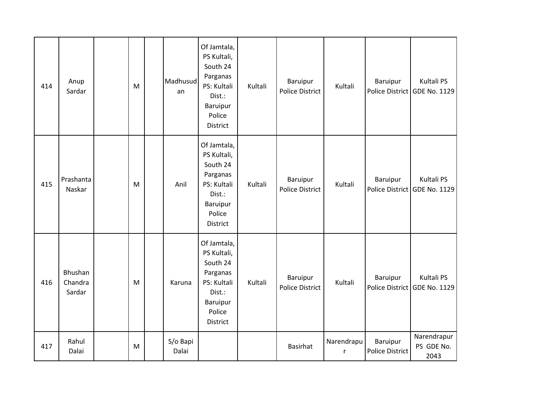| 414 | Anup<br>Sardar               | M         | Madhusud<br>an    | Of Jamtala,<br>PS Kultali,<br>South 24<br>Parganas<br>PS: Kultali<br>Dist.:<br>Baruipur<br>Police<br><b>District</b> | Kultali | <b>Baruipur</b><br><b>Police District</b> | Kultali                    | Baruipur                           | Kultali PS<br>Police District GDE No. 1129 |
|-----|------------------------------|-----------|-------------------|----------------------------------------------------------------------------------------------------------------------|---------|-------------------------------------------|----------------------------|------------------------------------|--------------------------------------------|
| 415 | Prashanta<br>Naskar          | ${\sf M}$ | Anil              | Of Jamtala,<br>PS Kultali,<br>South 24<br>Parganas<br>PS: Kultali<br>Dist.:<br>Baruipur<br>Police<br>District        | Kultali | Baruipur<br><b>Police District</b>        | Kultali                    | Baruipur                           | Kultali PS<br>Police District GDE No. 1129 |
| 416 | Bhushan<br>Chandra<br>Sardar | M         | Karuna            | Of Jamtala,<br>PS Kultali,<br>South 24<br>Parganas<br>PS: Kultali<br>Dist.:<br>Baruipur<br>Police<br>District        | Kultali | Baruipur<br><b>Police District</b>        | Kultali                    | Baruipur                           | Kultali PS<br>Police District GDE No. 1129 |
| 417 | Rahul<br>Dalai               | M         | S/o Bapi<br>Dalai |                                                                                                                      |         | Basirhat                                  | Narendrapu<br>$\mathsf{r}$ | Baruipur<br><b>Police District</b> | Narendrapur<br>PS GDE No.<br>2043          |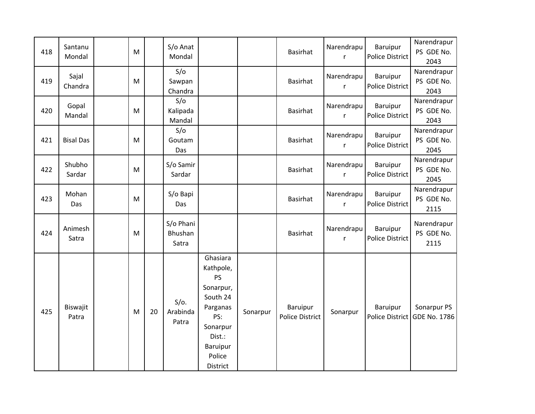| 418 | Santanu<br>Mondal | ${\sf M}$ |    | S/o Anat<br>Mondal            |                                                                                                                                               |          | <b>Basirhat</b>                    | Narendrapu<br>r            | Baruipur<br><b>Police District</b> | Narendrapur<br>PS GDE No.<br>2043           |
|-----|-------------------|-----------|----|-------------------------------|-----------------------------------------------------------------------------------------------------------------------------------------------|----------|------------------------------------|----------------------------|------------------------------------|---------------------------------------------|
| 419 | Sajal<br>Chandra  | M         |    | S/O<br>Sawpan<br>Chandra      |                                                                                                                                               |          | <b>Basirhat</b>                    | Narendrapu<br>r            | Baruipur<br>Police District        | Narendrapur<br>PS GDE No.<br>2043           |
| 420 | Gopal<br>Mandal   | M         |    | S/O<br>Kalipada<br>Mandal     |                                                                                                                                               |          | <b>Basirhat</b>                    | Narendrapu<br>r            | Baruipur<br><b>Police District</b> | Narendrapur<br>PS GDE No.<br>2043           |
| 421 | <b>Bisal Das</b>  | ${\sf M}$ |    | S/O<br>Goutam<br>Das          |                                                                                                                                               |          | <b>Basirhat</b>                    | Narendrapu<br>r            | Baruipur<br><b>Police District</b> | Narendrapur<br>PS GDE No.<br>2045           |
| 422 | Shubho<br>Sardar  | M         |    | S/o Samir<br>Sardar           |                                                                                                                                               |          | <b>Basirhat</b>                    | Narendrapu<br>$\mathsf{r}$ | Baruipur<br><b>Police District</b> | Narendrapur<br>PS GDE No.<br>2045           |
| 423 | Mohan<br>Das      | M         |    | S/o Bapi<br>Das               |                                                                                                                                               |          | <b>Basirhat</b>                    | Narendrapu<br>r            | Baruipur<br><b>Police District</b> | Narendrapur<br>PS GDE No.<br>2115           |
| 424 | Animesh<br>Satra  | M         |    | S/o Phani<br>Bhushan<br>Satra |                                                                                                                                               |          | <b>Basirhat</b>                    | Narendrapu<br>r            | Baruipur<br>Police District        | Narendrapur<br>PS GDE No.<br>2115           |
| 425 | Biswajit<br>Patra | M         | 20 | $S/O$ .<br>Arabinda<br>Patra  | Ghasiara<br>Kathpole,<br><b>PS</b><br>Sonarpur,<br>South 24<br>Parganas<br>PS:<br>Sonarpur<br>Dist.:<br><b>Baruipur</b><br>Police<br>District | Sonarpur | Baruipur<br><b>Police District</b> | Sonarpur                   | Baruipur                           | Sonarpur PS<br>Police District GDE No. 1786 |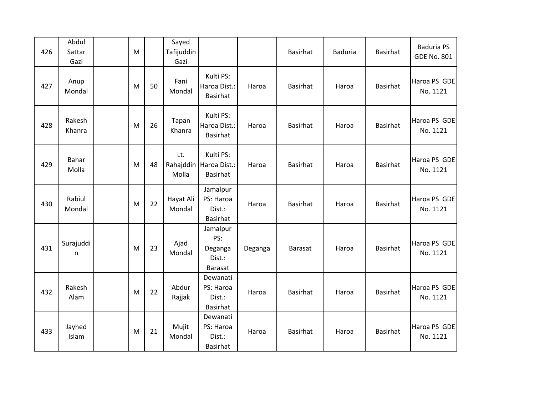| 426 | Abdul<br>Sattar<br>Gazi | M |    | Sayed<br>Tafijuddin<br>Gazi |                                                          |         | <b>Basirhat</b> | <b>Baduria</b> | <b>Basirhat</b> | <b>Baduria PS</b><br><b>GDE No. 801</b> |
|-----|-------------------------|---|----|-----------------------------|----------------------------------------------------------|---------|-----------------|----------------|-----------------|-----------------------------------------|
| 427 | Anup<br>Mondal          | M | 50 | Fani<br>Mondal              | Kulti PS:<br>Haroa Dist.:<br><b>Basirhat</b>             | Haroa   | <b>Basirhat</b> | Haroa          | <b>Basirhat</b> | Haroa PS GDE<br>No. 1121                |
| 428 | Rakesh<br>Khanra        | M | 26 | Tapan<br>Khanra             | Kulti PS:<br>Haroa Dist.:<br><b>Basirhat</b>             | Haroa   | <b>Basirhat</b> | Haroa          | <b>Basirhat</b> | Haroa PS GDE<br>No. 1121                |
| 429 | Bahar<br>Molla          | M | 48 | Lt.<br>Molla                | Kulti PS:<br>Rahajddin   Haroa Dist.:<br><b>Basirhat</b> | Haroa   | <b>Basirhat</b> | Haroa          | <b>Basirhat</b> | Haroa PS GDE<br>No. 1121                |
| 430 | Rabiul<br>Mondal        | M | 22 | Hayat Ali<br>Mondal         | Jamalpur<br>PS: Haroa<br>Dist.:<br><b>Basirhat</b>       | Haroa   | <b>Basirhat</b> | Haroa          | <b>Basirhat</b> | Haroa PS GDE<br>No. 1121                |
| 431 | Surajuddi<br>n          | M | 23 | Ajad<br>Mondal              | Jamalpur<br>PS:<br>Deganga<br>Dist.:<br><b>Barasat</b>   | Deganga | <b>Barasat</b>  | Haroa          | <b>Basirhat</b> | Haroa PS GDE<br>No. 1121                |
| 432 | Rakesh<br>Alam          | M | 22 | Abdur<br>Rajjak             | Dewanati<br>PS: Haroa<br>Dist.:<br>Basirhat              | Haroa   | <b>Basirhat</b> | Haroa          | <b>Basirhat</b> | Haroa PS GDE<br>No. 1121                |
| 433 | Jayhed<br>Islam         | M | 21 | Mujit<br>Mondal             | Dewanati<br>PS: Haroa<br>Dist.:<br>Basirhat              | Haroa   | <b>Basirhat</b> | Haroa          | <b>Basirhat</b> | Haroa PS GDE<br>No. 1121                |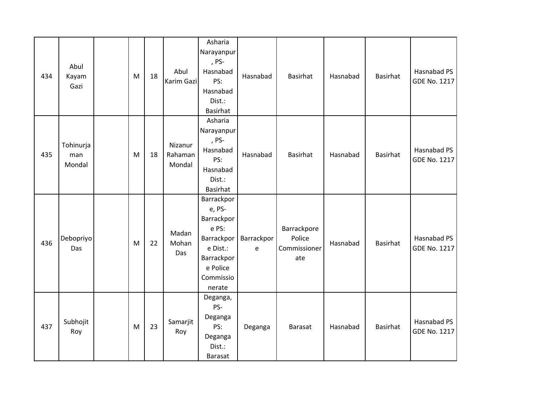| 434 | Abul<br>Kayam<br>Gazi      | M | 18 | Abul<br>Karim Gazi           | Asharia<br>Narayanpur<br>, PS-<br>Hasnabad<br>PS:<br>Hasnabad<br>Dist.:<br><b>Basirhat</b>                                    | Hasnabad        | <b>Basirhat</b>                              | Hasnabad | Basirhat        | Hasnabad PS<br>GDE No. 1217 |
|-----|----------------------------|---|----|------------------------------|-------------------------------------------------------------------------------------------------------------------------------|-----------------|----------------------------------------------|----------|-----------------|-----------------------------|
| 435 | Tohinurja<br>man<br>Mondal | M | 18 | Nizanur<br>Rahaman<br>Mondal | Asharia<br>Narayanpur<br>, PS-<br>Hasnabad<br>PS:<br>Hasnabad<br>Dist.:<br><b>Basirhat</b>                                    | Hasnabad        | <b>Basirhat</b>                              | Hasnabad | Basirhat        | Hasnabad PS<br>GDE No. 1217 |
| 436 | Debopriyo<br>Das           | M | 22 | Madan<br>Mohan<br>Das        | Barrackpor<br>e, PS-<br>Barrackpor<br>e PS:<br><b>Barrackpor</b><br>e Dist.:<br>Barrackpor<br>e Police<br>Commissio<br>nerate | Barrackpor<br>e | Barrackpore<br>Police<br>Commissioner<br>ate | Hasnabad | <b>Basirhat</b> | Hasnabad PS<br>GDE No. 1217 |
| 437 | Subhojit<br>Roy            | M | 23 | Samarjit<br>Roy              | Deganga,<br>PS-<br>Deganga<br>PS:<br>Deganga<br>Dist.:<br>Barasat                                                             | Deganga         | Barasat                                      | Hasnabad | Basirhat        | Hasnabad PS<br>GDE No. 1217 |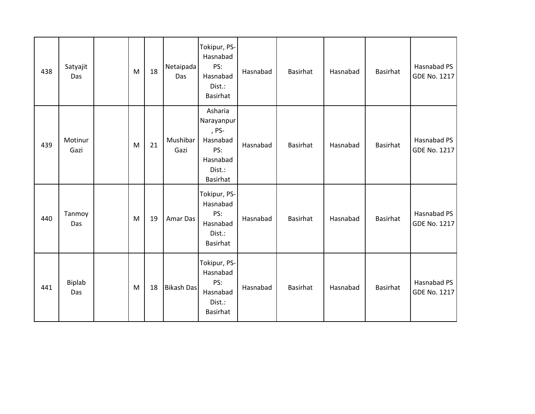| 438 | Satyajit<br>Das | ${\sf M}$ | 18 | Netaipada<br>Das  | Tokipur, PS-<br>Hasnabad<br>PS:<br>Hasnabad<br>Dist.:<br><b>Basirhat</b>                   | Hasnabad | Basirhat        | Hasnabad | Basirhat | Hasnabad PS<br>GDE No. 1217        |
|-----|-----------------|-----------|----|-------------------|--------------------------------------------------------------------------------------------|----------|-----------------|----------|----------|------------------------------------|
| 439 | Motinur<br>Gazi | ${\sf M}$ | 21 | Mushibar<br>Gazi  | Asharia<br>Narayanpur<br>, PS-<br>Hasnabad<br>PS:<br>Hasnabad<br>Dist.:<br><b>Basirhat</b> | Hasnabad | Basirhat        | Hasnabad | Basirhat | Hasnabad PS<br><b>GDE No. 1217</b> |
| 440 | Tanmoy<br>Das   | M         | 19 | Amar Das          | Tokipur, PS-<br>Hasnabad<br>PS:<br>Hasnabad<br>Dist.:<br>Basirhat                          | Hasnabad | <b>Basirhat</b> | Hasnabad | Basirhat | Hasnabad PS<br><b>GDE No. 1217</b> |
| 441 | Biplab<br>Das   | M         | 18 | <b>Bikash Das</b> | Tokipur, PS-<br>Hasnabad<br>PS:<br>Hasnabad<br>Dist.:<br><b>Basirhat</b>                   | Hasnabad | Basirhat        | Hasnabad | Basirhat | Hasnabad PS<br><b>GDE No. 1217</b> |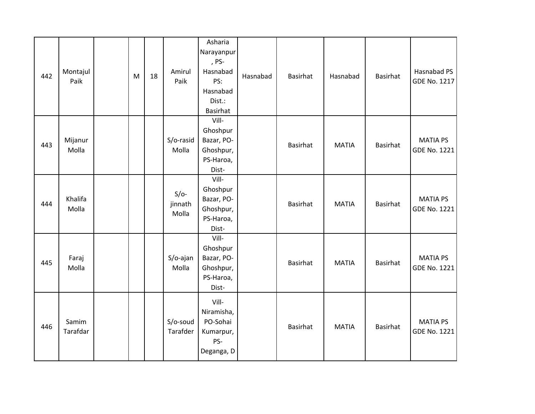| 442 | Montajul<br>Paik  | ${\sf M}$ | 18 | Amirul<br>Paik             | Asharia<br>Narayanpur<br>, PS-<br>Hasnabad<br>PS:<br>Hasnabad<br>Dist.:<br><b>Basirhat</b> | Hasnabad | <b>Basirhat</b> | Hasnabad     | Basirhat        | Hasnabad PS<br>GDE No. 1217            |
|-----|-------------------|-----------|----|----------------------------|--------------------------------------------------------------------------------------------|----------|-----------------|--------------|-----------------|----------------------------------------|
| 443 | Mijanur<br>Molla  |           |    | S/o-rasid<br>Molla         | Vill-<br>Ghoshpur<br>Bazar, PO-<br>Ghoshpur,<br>PS-Haroa,<br>Dist-                         |          | <b>Basirhat</b> | <b>MATIA</b> | Basirhat        | <b>MATIA PS</b><br><b>GDE No. 1221</b> |
| 444 | Khalifa<br>Molla  |           |    | $S/O-$<br>jinnath<br>Molla | Vill-<br>Ghoshpur<br>Bazar, PO-<br>Ghoshpur,<br>PS-Haroa,<br>Dist-                         |          | Basirhat        | <b>MATIA</b> | Basirhat        | <b>MATIA PS</b><br>GDE No. 1221        |
| 445 | Faraj<br>Molla    |           |    | S/o-ajan<br>Molla          | Vill-<br>Ghoshpur<br>Bazar, PO-<br>Ghoshpur,<br>PS-Haroa,<br>Dist-                         |          | Basirhat        | <b>MATIA</b> | <b>Basirhat</b> | <b>MATIA PS</b><br>GDE No. 1221        |
| 446 | Samim<br>Tarafdar |           |    | S/o-soud<br>Tarafder       | Vill-<br>Niramisha,<br>PO-Sohai<br>Kumarpur,<br>PS-<br>Deganga, D                          |          | <b>Basirhat</b> | <b>MATIA</b> | Basirhat        | <b>MATIA PS</b><br>GDE No. 1221        |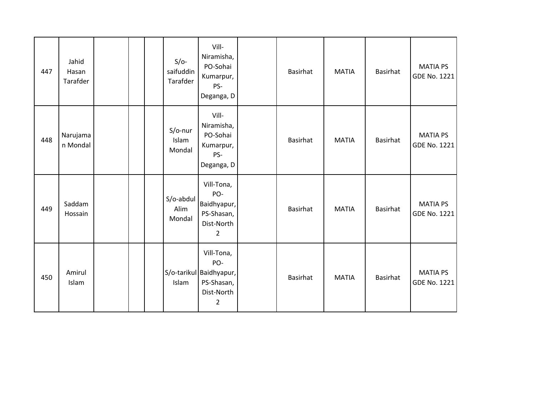| 447 | Jahid<br>Hasan<br>Tarafder |  | $S/O-$<br>saifuddin<br>Tarafder | Vill-<br>Niramisha,<br>PO-Sohai<br>Kumarpur,<br>PS-<br>Deganga, D              | <b>Basirhat</b> | <b>MATIA</b> | <b>Basirhat</b> | <b>MATIA PS</b><br><b>GDE No. 1221</b> |
|-----|----------------------------|--|---------------------------------|--------------------------------------------------------------------------------|-----------------|--------------|-----------------|----------------------------------------|
| 448 | Narujama<br>n Mondal       |  | $S/O$ -nur<br>Islam<br>Mondal   | Vill-<br>Niramisha,<br>PO-Sohai<br>Kumarpur,<br>PS-<br>Deganga, D              | <b>Basirhat</b> | <b>MATIA</b> | <b>Basirhat</b> | <b>MATIA PS</b><br><b>GDE No. 1221</b> |
| 449 | Saddam<br>Hossain          |  | S/o-abdul<br>Alim<br>Mondal     | Vill-Tona,<br>PO-<br>Baidhyapur,<br>PS-Shasan,<br>Dist-North<br>$\overline{2}$ | <b>Basirhat</b> | <b>MATIA</b> | <b>Basirhat</b> | <b>MATIA PS</b><br>GDE No. 1221        |
| 450 | Amirul<br>Islam            |  | Islam                           | Vill-Tona,<br>PO-<br>S/o-tarikul Baidhyapur,<br>PS-Shasan,<br>Dist-North<br>2  | <b>Basirhat</b> | <b>MATIA</b> | <b>Basirhat</b> | <b>MATIA PS</b><br><b>GDE No. 1221</b> |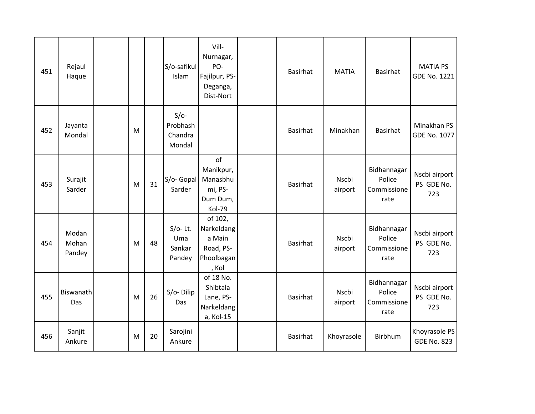| 451 | Rejaul<br>Haque          |   |    | S/o-safikul<br>Islam                    | Vill-<br>Nurnagar,<br>PO-<br>Fajilpur, PS-<br>Deganga,<br>Dist-Nort | <b>Basirhat</b> | <b>MATIA</b>     | <b>Basirhat</b>                              | <b>MATIA PS</b><br>GDE No. 1221     |
|-----|--------------------------|---|----|-----------------------------------------|---------------------------------------------------------------------|-----------------|------------------|----------------------------------------------|-------------------------------------|
| 452 | Jayanta<br>Mondal        | M |    | $S/O-$<br>Probhash<br>Chandra<br>Mondal |                                                                     | Basirhat        | Minakhan         | <b>Basirhat</b>                              | Minakhan PS<br><b>GDE No. 1077</b>  |
| 453 | Surajit<br>Sarder        | M | 31 | S/o- Gopal<br>Sarder                    | of<br>Manikpur,<br>Manasbhu<br>mi, PS-<br>Dum Dum,<br>Kol-79        | Basirhat        | Nscbi<br>airport | Bidhannagar<br>Police<br>Commissione<br>rate | Nscbi airport<br>PS GDE No.<br>723  |
| 454 | Modan<br>Mohan<br>Pandey | M | 48 | $S/O-$ Lt.<br>Uma<br>Sankar<br>Pandey   | of 102,<br>Narkeldang<br>a Main<br>Road, PS-<br>Phoolbagan<br>, Kol | <b>Basirhat</b> | Nscbi<br>airport | Bidhannagar<br>Police<br>Commissione<br>rate | Nscbi airport<br>PS GDE No.<br>723  |
| 455 | Biswanath<br>Das         | M | 26 | S/o-Dilip<br>Das                        | of 18 No.<br>Shibtala<br>Lane, PS-<br>Narkeldang<br>a, Kol-15       | Basirhat        | Nscbi<br>airport | Bidhannagar<br>Police<br>Commissione<br>rate | Nscbi airport<br>PS GDE No.<br>723  |
| 456 | Sanjit<br>Ankure         | M | 20 | Sarojini<br>Ankure                      |                                                                     | <b>Basirhat</b> | Khoyrasole       | Birbhum                                      | Khoyrasole PS<br><b>GDE No. 823</b> |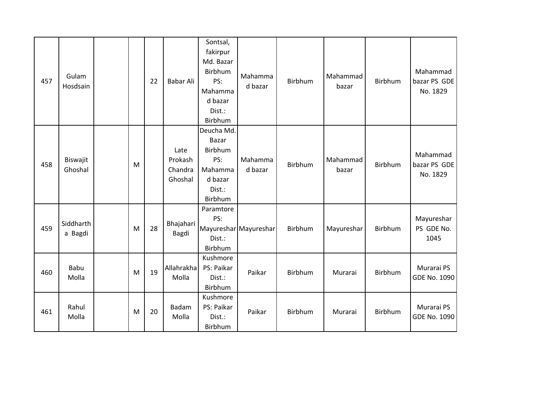| 457 | Gulam<br>Hosdsain    |   | 22 | Babar Ali                             | Sontsal,<br>fakirpur<br>Md. Bazar<br>Birbhum<br>PS:<br>Mahamma<br>d bazar<br>Dist.:<br>Birbhum | Mahamma<br>d bazar    | Birbhum | Mahammad<br>bazar | Birbhum | Mahammad<br>bazar PS GDE<br>No. 1829 |
|-----|----------------------|---|----|---------------------------------------|------------------------------------------------------------------------------------------------|-----------------------|---------|-------------------|---------|--------------------------------------|
| 458 | Biswajit<br>Ghoshal  | M |    | Late<br>Prokash<br>Chandra<br>Ghoshal | Deucha Md.<br>Bazar<br>Birbhum<br>PS:<br>Mahamma<br>d bazar<br>Dist.:<br>Birbhum               | Mahamma<br>d bazar    | Birbhum | Mahammad<br>bazar | Birbhum | Mahammad<br>bazar PS GDE<br>No. 1829 |
| 459 | Siddharth<br>a Bagdi | M | 28 | Bhajahari<br>Bagdi                    | Paramtore<br>PS:<br>Dist.:<br>Birbhum                                                          | Mayureshar Mayureshar | Birbhum | Mayureshar        | Birbhum | Mayureshar<br>PS GDE No.<br>1045     |
| 460 | <b>Babu</b><br>Molla | M | 19 | Allahrakha<br>Molla                   | Kushmore<br>PS: Paikar<br>Dist.:<br>Birbhum                                                    | Paikar                | Birbhum | Murarai           | Birbhum | Murarai PS<br>GDE No. 1090           |
| 461 | Rahul<br>Molla       | M | 20 | Badam<br>Molla                        | Kushmore<br>PS: Paikar<br>Dist.:<br>Birbhum                                                    | Paikar                | Birbhum | Murarai           | Birbhum | Murarai PS<br>GDE No. 1090           |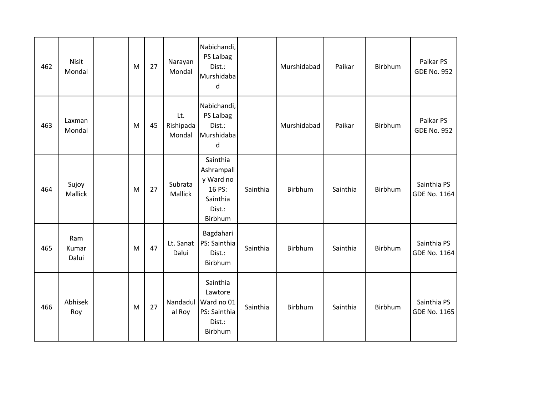| 462 | <b>Nisit</b><br>Mondal | M | 27 | Narayan<br>Mondal          | Nabichandi,<br>PS Lalbag<br>Dist.:<br>Murshidaba<br>d                          |          | Murshidabad | Paikar   | Birbhum | Paikar PS<br><b>GDE No. 952</b> |
|-----|------------------------|---|----|----------------------------|--------------------------------------------------------------------------------|----------|-------------|----------|---------|---------------------------------|
| 463 | Laxman<br>Mondal       | M | 45 | Lt.<br>Rishipada<br>Mondal | Nabichandi,<br>PS Lalbag<br>Dist.:<br>Murshidaba<br>d                          |          | Murshidabad | Paikar   | Birbhum | Paikar PS<br><b>GDE No. 952</b> |
| 464 | Sujoy<br>Mallick       | M | 27 | Subrata<br>Mallick         | Sainthia<br>Ashrampall<br>y Ward no<br>16 PS:<br>Sainthia<br>Dist.:<br>Birbhum | Sainthia | Birbhum     | Sainthia | Birbhum | Sainthia PS<br>GDE No. 1164     |
| 465 | Ram<br>Kumar<br>Dalui  | M | 47 | Lt. Sanat<br>Dalui         | Bagdahari<br>PS: Sainthia<br>Dist.:<br>Birbhum                                 | Sainthia | Birbhum     | Sainthia | Birbhum | Sainthia PS<br>GDE No. 1164     |
| 466 | Abhisek<br>Roy         | M | 27 | Nandadul<br>al Roy         | Sainthia<br>Lawtore<br>Ward no 01<br>PS: Sainthia<br>Dist.:<br>Birbhum         | Sainthia | Birbhum     | Sainthia | Birbhum | Sainthia PS<br>GDE No. 1165     |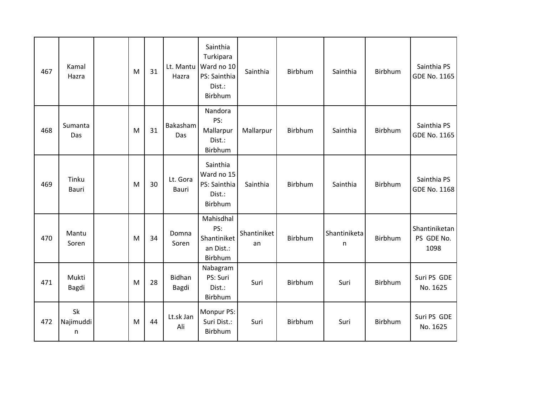| 467 | Kamal<br>Hazra        | M | 31 | Lt. Mantu<br>Hazra | Sainthia<br>Turkipara<br>Ward no 10<br>PS: Sainthia<br>Dist.:<br>Birbhum | Sainthia          | Birbhum | Sainthia          | Birbhum        | Sainthia PS<br>GDE No. 1165         |
|-----|-----------------------|---|----|--------------------|--------------------------------------------------------------------------|-------------------|---------|-------------------|----------------|-------------------------------------|
| 468 | Sumanta<br>Das        | M | 31 | Bakasham<br>Das    | Nandora<br>PS:<br>Mallarpur<br>Dist.:<br>Birbhum                         | Mallarpur         | Birbhum | Sainthia          | Birbhum        | Sainthia PS<br>GDE No. 1165         |
| 469 | Tinku<br><b>Bauri</b> | M | 30 | Lt. Gora<br>Bauri  | Sainthia<br>Ward no 15<br>PS: Sainthia<br>Dist.:<br>Birbhum              | Sainthia          | Birbhum | Sainthia          | <b>Birbhum</b> | Sainthia PS<br><b>GDE No. 1168</b>  |
| 470 | Mantu<br>Soren        | M | 34 | Domna<br>Soren     | Mahisdhal<br>PS:<br>Shantiniket<br>an Dist.:<br>Birbhum                  | Shantiniket<br>an | Birbhum | Shantiniketa<br>n | Birbhum        | Shantiniketan<br>PS GDE No.<br>1098 |
| 471 | Mukti<br>Bagdi        | M | 28 | Bidhan<br>Bagdi    | Nabagram<br>PS: Suri<br>Dist.:<br>Birbhum                                | Suri              | Birbhum | Suri              | Birbhum        | Suri PS GDE<br>No. 1625             |
| 472 | Sk<br>Najimuddi<br>n  | M | 44 | Lt.sk Jan<br>Ali   | Monpur PS:<br>Suri Dist.:<br>Birbhum                                     | Suri              | Birbhum | Suri              | Birbhum        | Suri PS GDE<br>No. 1625             |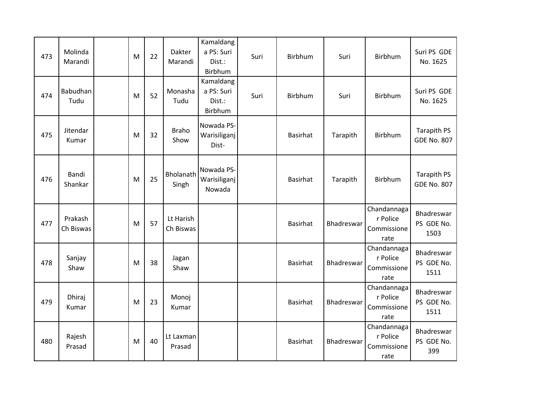| 473 | Molinda<br>Marandi   | M | 22 | Dakter<br>Marandi      | Kamaldang<br>a PS: Suri<br>Dist.:<br>Birbhum | Suri | Birbhum         | Suri       | Birbhum                                        | Suri PS GDE<br>No. 1625                  |
|-----|----------------------|---|----|------------------------|----------------------------------------------|------|-----------------|------------|------------------------------------------------|------------------------------------------|
| 474 | Babudhan<br>Tudu     | M | 52 | Monasha<br>Tudu        | Kamaldang<br>a PS: Suri<br>Dist.:<br>Birbhum | Suri | Birbhum         | Suri       | Birbhum                                        | Suri PS GDE<br>No. 1625                  |
| 475 | Jitendar<br>Kumar    | M | 32 | <b>Braho</b><br>Show   | Nowada PS-<br>Warisiliganj<br>Dist-          |      | Basirhat        | Tarapith   | Birbhum                                        | Tarapith PS<br><b>GDE No. 807</b>        |
| 476 | Bandi<br>Shankar     | M | 25 | Bholanath<br>Singh     | Nowada PS-<br>Warisiliganj<br>Nowada         |      | Basirhat        | Tarapith   | Birbhum                                        | <b>Tarapith PS</b><br><b>GDE No. 807</b> |
| 477 | Prakash<br>Ch Biswas | M | 57 | Lt Harish<br>Ch Biswas |                                              |      | <b>Basirhat</b> | Bhadreswar | Chandannaga<br>r Police<br>Commissione<br>rate | Bhadreswar<br>PS GDE No.<br>1503         |
| 478 | Sanjay<br>Shaw       | M | 38 | Jagan<br>Shaw          |                                              |      | <b>Basirhat</b> | Bhadreswar | Chandannaga<br>r Police<br>Commissione<br>rate | Bhadreswar<br>PS GDE No.<br>1511         |
| 479 | Dhiraj<br>Kumar      | M | 23 | Monoj<br>Kumar         |                                              |      | <b>Basirhat</b> | Bhadreswar | Chandannaga<br>r Police<br>Commissione<br>rate | Bhadreswar<br>PS GDE No.<br>1511         |
| 480 | Rajesh<br>Prasad     | M | 40 | Lt Laxman<br>Prasad    |                                              |      | <b>Basirhat</b> | Bhadreswar | Chandannaga<br>r Police<br>Commissione<br>rate | Bhadreswar<br>PS GDE No.<br>399          |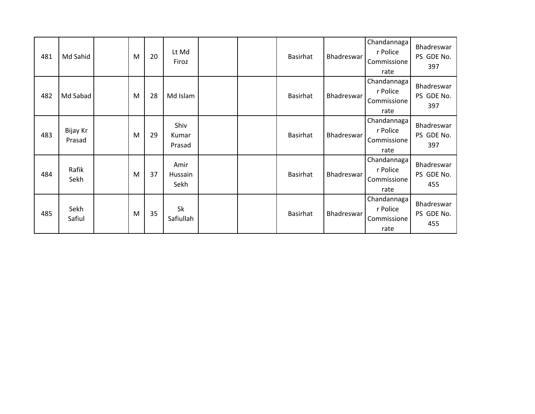| 481 | Md Sahid           | M | 20 | Lt Md<br>Firoz          |  | <b>Basirhat</b> | Bhadreswar | Chandannaga<br>r Police<br>Commissione<br>rate | Bhadreswar<br>PS GDE No.<br>397 |
|-----|--------------------|---|----|-------------------------|--|-----------------|------------|------------------------------------------------|---------------------------------|
| 482 | Md Sabad           | M | 28 | Md Islam                |  | Basirhat        | Bhadreswar | Chandannaga<br>r Police<br>Commissione<br>rate | Bhadreswar<br>PS GDE No.<br>397 |
| 483 | Bijay Kr<br>Prasad | M | 29 | Shiv<br>Kumar<br>Prasad |  | Basirhat        | Bhadreswar | Chandannaga<br>r Police<br>Commissione<br>rate | Bhadreswar<br>PS GDE No.<br>397 |
| 484 | Rafik<br>Sekh      | M | 37 | Amir<br>Hussain<br>Sekh |  | <b>Basirhat</b> | Bhadreswar | Chandannaga<br>r Police<br>Commissione<br>rate | Bhadreswar<br>PS GDE No.<br>455 |
| 485 | Sekh<br>Safiul     | M | 35 | Sk<br>Safiullah         |  | <b>Basirhat</b> | Bhadreswar | Chandannaga<br>r Police<br>Commissione<br>rate | Bhadreswar<br>PS GDE No.<br>455 |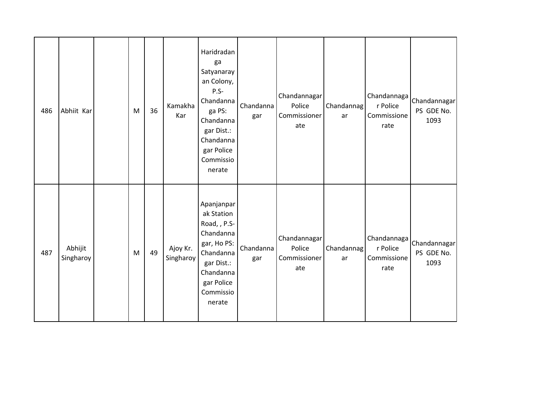| 486 | Abhiit Kar           | M | 36 | Kamakha<br>Kar        | Haridradan<br>ga<br>Satyanaray<br>an Colony,<br>$P.S-$<br>Chandanna<br>ga PS:<br>Chandanna<br>gar Dist.:<br>Chandanna<br>gar Police<br>Commissio<br>nerate | Chandanna<br>gar | Chandannagar<br>Police<br>Commissioner<br>ate | Chandannag<br>ar | Chandannaga<br>r Police<br>Commissione<br>rate | Chandannagar<br>PS GDE No.<br>1093 |
|-----|----------------------|---|----|-----------------------|------------------------------------------------------------------------------------------------------------------------------------------------------------|------------------|-----------------------------------------------|------------------|------------------------------------------------|------------------------------------|
| 487 | Abhijit<br>Singharoy | M | 49 | Ajoy Kr.<br>Singharoy | Apanjanpar<br>ak Station<br>Road, , P.S-<br>Chandanna<br>gar, Ho PS:<br>Chandanna<br>gar Dist.:<br>Chandanna<br>gar Police<br>Commissio<br>nerate          | Chandanna<br>gar | Chandannagar<br>Police<br>Commissioner<br>ate | Chandannag<br>ar | Chandannaga<br>r Police<br>Commissione<br>rate | Chandannagar<br>PS GDE No.<br>1093 |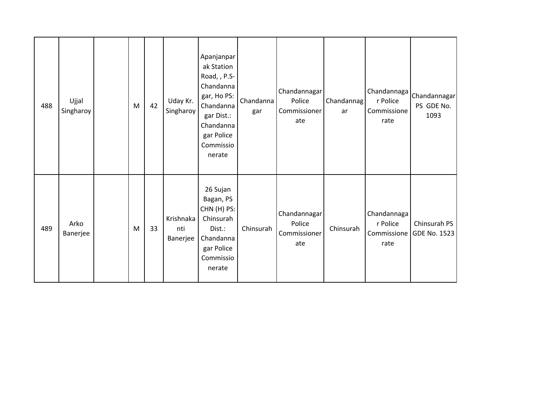| 488 | Ujjal<br>Singharoy | ${\sf M}$ | 42 | Uday Kr.<br>Singharoy        | Apanjanpar<br>ak Station<br>Road, , P.S-<br>Chandanna<br>gar, Ho PS:<br>Chandanna<br>gar Dist.:<br>Chandanna<br>gar Police<br>Commissio<br>nerate | Chandanna<br>gar | Chandannagar<br>Police<br>Commissioner<br>ate | Chandannag<br>ar | Chandannaga<br>r Police<br>Commissione<br>rate | Chandannagar<br>PS GDE No.<br>1093 |
|-----|--------------------|-----------|----|------------------------------|---------------------------------------------------------------------------------------------------------------------------------------------------|------------------|-----------------------------------------------|------------------|------------------------------------------------|------------------------------------|
| 489 | Arko<br>Banerjee   | M         | 33 | Krishnaka<br>nti<br>Banerjee | 26 Sujan<br>Bagan, PS<br>CHN (H) PS:<br>Chinsurah<br>Dist.:<br>Chandanna<br>gar Police<br>Commissio<br>nerate                                     | Chinsurah        | Chandannagar<br>Police<br>Commissioner<br>ate | Chinsurah        | Chandannaga<br>r Police<br>Commissione<br>rate | Chinsurah PS<br>GDE No. 1523       |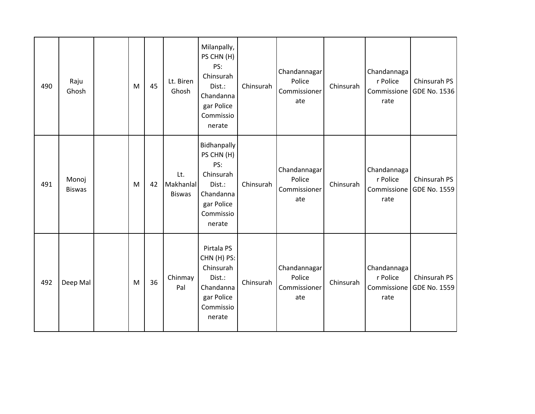| 490 | Raju<br>Ghosh          | M | 45 | Lt. Biren<br>Ghosh                | Milanpally,<br>PS CHN (H)<br>PS:<br>Chinsurah<br>Dist.:<br>Chandanna<br>gar Police<br>Commissio<br>nerate | Chinsurah | Chandannagar<br>Police<br>Commissioner<br>ate | Chinsurah | Chandannaga<br>r Police<br>Commissione<br>rate | Chinsurah PS<br>GDE No. 1536 |
|-----|------------------------|---|----|-----------------------------------|-----------------------------------------------------------------------------------------------------------|-----------|-----------------------------------------------|-----------|------------------------------------------------|------------------------------|
| 491 | Monoj<br><b>Biswas</b> | M | 42 | Lt.<br>Makhanlal<br><b>Biswas</b> | Bidhanpally<br>PS CHN (H)<br>PS:<br>Chinsurah<br>Dist.:<br>Chandanna<br>gar Police<br>Commissio<br>nerate | Chinsurah | Chandannagar<br>Police<br>Commissioner<br>ate | Chinsurah | Chandannaga<br>r Police<br>Commissione<br>rate | Chinsurah PS<br>GDE No. 1559 |
| 492 | Deep Mal               | M | 36 | Chinmay<br>Pal                    | Pirtala PS<br>CHN (H) PS:<br>Chinsurah<br>Dist.:<br>Chandanna<br>gar Police<br>Commissio<br>nerate        | Chinsurah | Chandannagar<br>Police<br>Commissioner<br>ate | Chinsurah | Chandannaga<br>r Police<br>Commissione<br>rate | Chinsurah PS<br>GDE No. 1559 |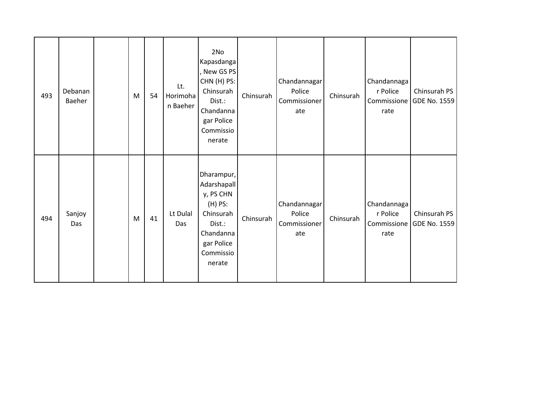| 493 | Debanan<br>Baeher | M         | 54 | Lt.<br>Horimoha<br>n Baeher | 2No<br>Kapasdanga<br>, New GS PS<br>CHN (H) PS:<br>Chinsurah<br>Dist.:<br>Chandanna<br>gar Police<br>Commissio<br>nerate     | Chinsurah | Chandannagar<br>Police<br>Commissioner<br>ate | Chinsurah | Chandannaga<br>r Police<br>rate                | Chinsurah PS<br>Commissione GDE No. 1559 |
|-----|-------------------|-----------|----|-----------------------------|------------------------------------------------------------------------------------------------------------------------------|-----------|-----------------------------------------------|-----------|------------------------------------------------|------------------------------------------|
| 494 | Sanjoy<br>Das     | ${\sf M}$ | 41 | Lt Dulal<br>Das             | Dharampur,<br>Adarshapall<br>y, PS CHN<br>$(H)$ PS:<br>Chinsurah<br>Dist.:<br>Chandanna<br>gar Police<br>Commissio<br>nerate | Chinsurah | Chandannagar<br>Police<br>Commissioner<br>ate | Chinsurah | Chandannaga<br>r Police<br>Commissione<br>rate | Chinsurah PS<br>GDE No. 1559             |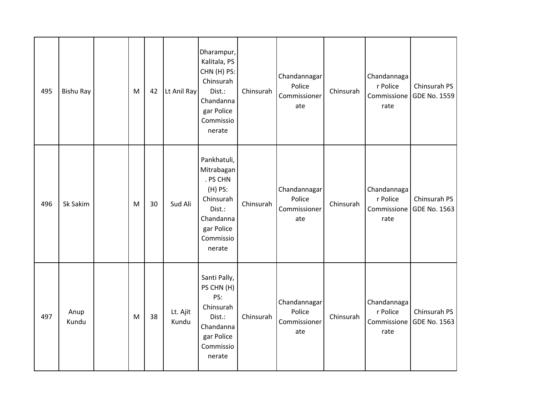| 495 | <b>Bishu Ray</b> | M | 42 | Lt Anil Ray       | Dharampur,<br>Kalitala, PS<br>CHN (H) PS:<br>Chinsurah<br>Dist.:<br>Chandanna<br>gar Police<br>Commissio<br>nerate        | Chinsurah | Chandannagar<br>Police<br>Commissioner<br>ate | Chinsurah | Chandannaga<br>r Police<br>Commissione<br>rate | Chinsurah PS<br>GDE No. 1559 |
|-----|------------------|---|----|-------------------|---------------------------------------------------------------------------------------------------------------------------|-----------|-----------------------------------------------|-----------|------------------------------------------------|------------------------------|
| 496 | Sk Sakim         | M | 30 | Sud Ali           | Pankhatuli,<br>Mitrabagan<br>. PS CHN<br>(H) PS:<br>Chinsurah<br>Dist.:<br>Chandanna<br>gar Police<br>Commissio<br>nerate | Chinsurah | Chandannagar<br>Police<br>Commissioner<br>ate | Chinsurah | Chandannaga<br>r Police<br>Commissione<br>rate | Chinsurah PS<br>GDE No. 1563 |
| 497 | Anup<br>Kundu    | M | 38 | Lt. Ajit<br>Kundu | Santi Pally,<br>PS CHN (H)<br>PS:<br>Chinsurah<br>Dist.:<br>Chandanna<br>gar Police<br>Commissio<br>nerate                | Chinsurah | Chandannagar<br>Police<br>Commissioner<br>ate | Chinsurah | Chandannaga<br>r Police<br>Commissione<br>rate | Chinsurah PS<br>GDE No. 1563 |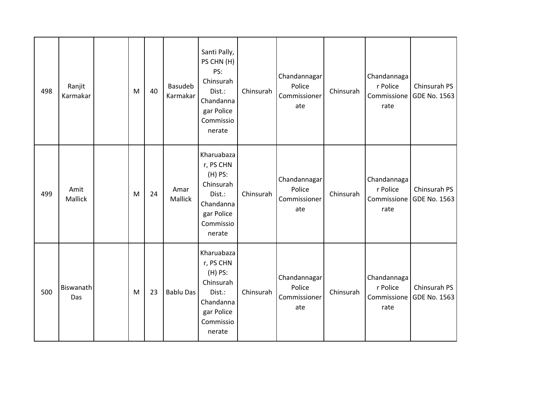| 498 | Ranjit<br>Karmakar | M | 40 | Basudeb<br>Karmakar | Santi Pally,<br>PS CHN (H)<br>PS:<br>Chinsurah<br>Dist.:<br>Chandanna<br>gar Police<br>Commissio<br>nerate    | Chinsurah | Chandannagar<br>Police<br>Commissioner<br>ate | Chinsurah | Chandannaga<br>r Police<br>Commissione<br>rate | Chinsurah PS<br><b>GDE No. 1563</b> |
|-----|--------------------|---|----|---------------------|---------------------------------------------------------------------------------------------------------------|-----------|-----------------------------------------------|-----------|------------------------------------------------|-------------------------------------|
| 499 | Amit<br>Mallick    | M | 24 | Amar<br>Mallick     | Kharuabaza<br>r, PS CHN<br>$(H)$ PS:<br>Chinsurah<br>Dist.:<br>Chandanna<br>gar Police<br>Commissio<br>nerate | Chinsurah | Chandannagar<br>Police<br>Commissioner<br>ate | Chinsurah | Chandannaga<br>r Police<br>Commissione<br>rate | Chinsurah PS<br>GDE No. 1563        |
| 500 | Biswanath<br>Das   | M | 23 | Bablu Das           | Kharuabaza<br>r, PS CHN<br>$(H)$ PS:<br>Chinsurah<br>Dist.:<br>Chandanna<br>gar Police<br>Commissio<br>nerate | Chinsurah | Chandannagar<br>Police<br>Commissioner<br>ate | Chinsurah | Chandannaga<br>r Police<br>Commissione<br>rate | Chinsurah PS<br>GDE No. 1563        |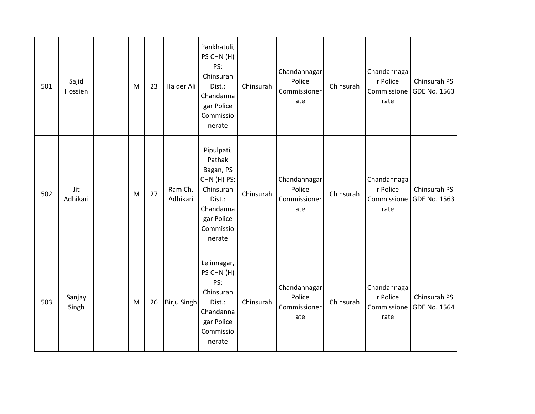| 501 | Sajid<br>Hossien | M         | 23 | Haider Ali          | Pankhatuli,<br>PS CHN (H)<br>PS:<br>Chinsurah<br>Dist.:<br>Chandanna<br>gar Police<br>Commissio<br>nerate                 | Chinsurah | Chandannagar<br>Police<br>Commissioner<br>ate | Chinsurah | Chandannaga<br>r Police<br>Commissione<br>rate | Chinsurah PS<br>GDE No. 1563 |
|-----|------------------|-----------|----|---------------------|---------------------------------------------------------------------------------------------------------------------------|-----------|-----------------------------------------------|-----------|------------------------------------------------|------------------------------|
| 502 | Jit<br>Adhikari  | ${\sf M}$ | 27 | Ram Ch.<br>Adhikari | Pipulpati,<br>Pathak<br>Bagan, PS<br>CHN (H) PS:<br>Chinsurah<br>Dist.:<br>Chandanna<br>gar Police<br>Commissio<br>nerate | Chinsurah | Chandannagar<br>Police<br>Commissioner<br>ate | Chinsurah | Chandannaga<br>r Police<br>Commissione<br>rate | Chinsurah PS<br>GDE No. 1563 |
| 503 | Sanjay<br>Singh  | M         | 26 | <b>Birju Singh</b>  | Lelinnagar,<br>PS CHN (H)<br>PS:<br>Chinsurah<br>Dist.:<br>Chandanna<br>gar Police<br>Commissio<br>nerate                 | Chinsurah | Chandannagar<br>Police<br>Commissioner<br>ate | Chinsurah | Chandannaga<br>r Police<br>Commissione<br>rate | Chinsurah PS<br>GDE No. 1564 |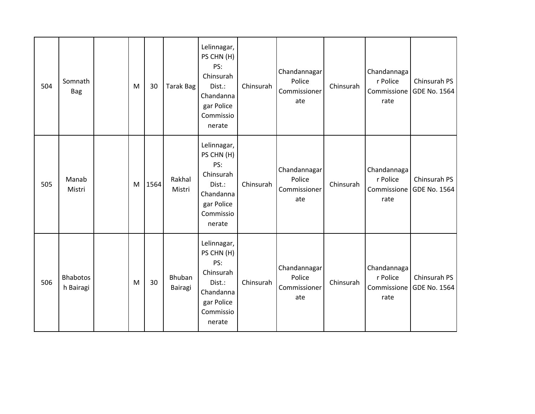| 504 | Somnath<br><b>Bag</b>        | M | 30   | Tarak Bag         | Lelinnagar,<br>PS CHN (H)<br>PS:<br>Chinsurah<br>Dist.:<br>Chandanna<br>gar Police<br>Commissio<br>nerate | Chinsurah | Chandannagar<br>Police<br>Commissioner<br>ate | Chinsurah | Chandannaga<br>r Police<br>Commissione<br>rate | Chinsurah PS<br>GDE No. 1564        |
|-----|------------------------------|---|------|-------------------|-----------------------------------------------------------------------------------------------------------|-----------|-----------------------------------------------|-----------|------------------------------------------------|-------------------------------------|
| 505 | Manab<br>Mistri              | M | 1564 | Rakhal<br>Mistri  | Lelinnagar,<br>PS CHN (H)<br>PS:<br>Chinsurah<br>Dist.:<br>Chandanna<br>gar Police<br>Commissio<br>nerate | Chinsurah | Chandannagar<br>Police<br>Commissioner<br>ate | Chinsurah | Chandannaga<br>r Police<br>Commissione<br>rate | Chinsurah PS<br><b>GDE No. 1564</b> |
| 506 | <b>Bhabotos</b><br>h Bairagi | M | 30   | Bhuban<br>Bairagi | Lelinnagar,<br>PS CHN (H)<br>PS:<br>Chinsurah<br>Dist.:<br>Chandanna<br>gar Police<br>Commissio<br>nerate | Chinsurah | Chandannagar<br>Police<br>Commissioner<br>ate | Chinsurah | Chandannaga<br>r Police<br>Commissione<br>rate | Chinsurah PS<br><b>GDE No. 1564</b> |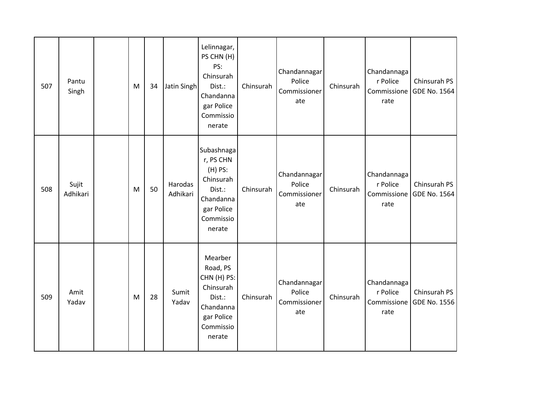| 507 | Pantu<br>Singh    | M         | 34 | Jatin Singh         | Lelinnagar,<br>PS CHN (H)<br>PS:<br>Chinsurah<br>Dist.:<br>Chandanna<br>gar Police<br>Commissio<br>nerate   | Chinsurah | Chandannagar<br>Police<br>Commissioner<br>ate | Chinsurah | Chandannaga<br>r Police<br>Commissione<br>rate | Chinsurah PS<br>GDE No. 1564 |
|-----|-------------------|-----------|----|---------------------|-------------------------------------------------------------------------------------------------------------|-----------|-----------------------------------------------|-----------|------------------------------------------------|------------------------------|
| 508 | Sujit<br>Adhikari | ${\sf M}$ | 50 | Harodas<br>Adhikari | Subashnaga<br>r, PS CHN<br>(H) PS:<br>Chinsurah<br>Dist.:<br>Chandanna<br>gar Police<br>Commissio<br>nerate | Chinsurah | Chandannagar<br>Police<br>Commissioner<br>ate | Chinsurah | Chandannaga<br>r Police<br>Commissione<br>rate | Chinsurah PS<br>GDE No. 1564 |
| 509 | Amit<br>Yadav     | M         | 28 | Sumit<br>Yadav      | Mearber<br>Road, PS<br>CHN (H) PS:<br>Chinsurah<br>Dist.:<br>Chandanna<br>gar Police<br>Commissio<br>nerate | Chinsurah | Chandannagar<br>Police<br>Commissioner<br>ate | Chinsurah | Chandannaga<br>r Police<br>Commissione<br>rate | Chinsurah PS<br>GDE No. 1556 |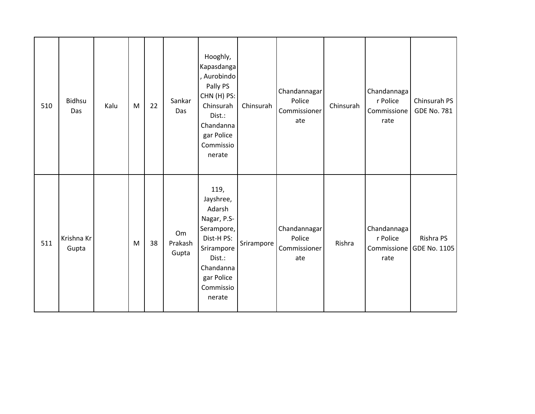| 510 | Bidhsu<br>Das       | Kalu | M         | 22 | Sankar<br>Das          | Hooghly,<br>Kapasdanga<br>, Aurobindo<br>Pally PS<br>CHN (H) PS:<br>Chinsurah<br>Dist.:<br>Chandanna<br>gar Police<br>Commissio<br>nerate        | Chinsurah  | Chandannagar<br>Police<br>Commissioner<br>ate | Chinsurah | Chandannaga<br>r Police<br>Commissione<br>rate | Chinsurah PS<br><b>GDE No. 781</b> |
|-----|---------------------|------|-----------|----|------------------------|--------------------------------------------------------------------------------------------------------------------------------------------------|------------|-----------------------------------------------|-----------|------------------------------------------------|------------------------------------|
| 511 | Krishna Kr<br>Gupta |      | ${\sf M}$ | 38 | Om<br>Prakash<br>Gupta | 119,<br>Jayshree,<br>Adarsh<br>Nagar, P.S-<br>Serampore,<br>Dist-H PS:<br>Srirampore<br>Dist.:<br>Chandanna<br>gar Police<br>Commissio<br>nerate | Srirampore | Chandannagar<br>Police<br>Commissioner<br>ate | Rishra    | Chandannaga<br>r Police<br>Commissione<br>rate | Rishra PS<br>GDE No. 1105          |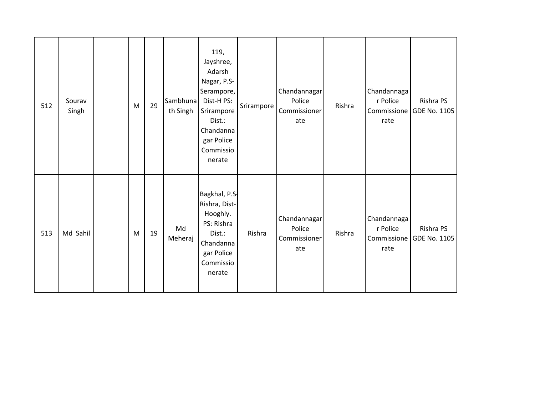| 512 | Sourav<br>Singh | M | 29 | Sambhuna<br>th Singh | 119,<br>Jayshree,<br>Adarsh<br>Nagar, P.S-<br>Serampore,<br>Dist-H PS:<br>Srirampore<br>Dist.:<br>Chandanna<br>gar Police<br>Commissio<br>nerate | Srirampore | Chandannagar<br>Police<br>Commissioner<br>ate | Rishra | Chandannaga<br>r Police<br>Commissione<br>rate | Rishra PS<br>GDE No. 1105        |
|-----|-----------------|---|----|----------------------|--------------------------------------------------------------------------------------------------------------------------------------------------|------------|-----------------------------------------------|--------|------------------------------------------------|----------------------------------|
| 513 | Md Sahil        | M | 19 | Md<br>Meheraj        | Bagkhal, P.S.<br>Rishra, Dist-<br>Hooghly.<br>PS: Rishra<br>Dist.:<br>Chandanna<br>gar Police<br>Commissio<br>nerate                             | Rishra     | Chandannagar<br>Police<br>Commissioner<br>ate | Rishra | Chandannaga<br>r Police<br>Commissione<br>rate | Rishra PS<br><b>GDE No. 1105</b> |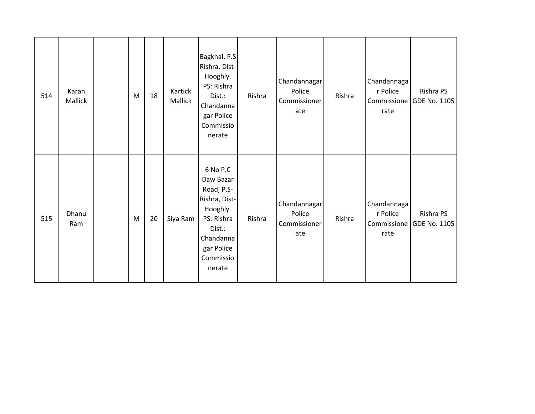| 514 | Karan<br>Mallick | ${\sf M}$ | 18 | Kartick<br>Mallick | Bagkhal, P.S.<br>Rishra, Dist-<br>Hooghly.<br>PS: Rishra<br>Dist.:<br>Chandanna<br>gar Police<br>Commissio<br>nerate                       | Rishra | Chandannagar<br>Police<br>Commissioner<br>ate | Rishra | Chandannaga<br>r Police<br>rate                | Rishra PS<br>Commissione   GDE No. 1105 |
|-----|------------------|-----------|----|--------------------|--------------------------------------------------------------------------------------------------------------------------------------------|--------|-----------------------------------------------|--------|------------------------------------------------|-----------------------------------------|
| 515 | Dhanu<br>Ram     | M         | 20 | Siya Ram           | 6 No P.C<br>Daw Bazar<br>Road, P.S-<br>Rishra, Dist-<br>Hooghly.<br>PS: Rishra<br>Dist.:<br>Chandanna<br>gar Police<br>Commissio<br>nerate | Rishra | Chandannagar<br>Police<br>Commissioner<br>ate | Rishra | Chandannaga<br>r Police<br>Commissione<br>rate | Rishra PS<br>GDE No. 1105               |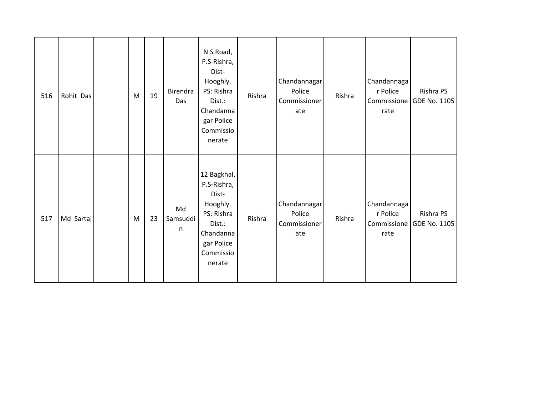| 516 | Rohit Das | M | 19 | Birendra<br>Das     | N.S Road,<br>P.S-Rishra,<br>Dist-<br>Hooghly.<br>PS: Rishra<br>Dist.:<br>Chandanna<br>gar Police<br>Commissio<br>nerate   | Rishra | Chandannagar<br>Police<br>Commissioner<br>ate | Rishra | Chandannaga<br>r Police<br>rate                | Rishra PS<br>Commissione GDE No. 1105 |
|-----|-----------|---|----|---------------------|---------------------------------------------------------------------------------------------------------------------------|--------|-----------------------------------------------|--------|------------------------------------------------|---------------------------------------|
| 517 | Md Sartaj | M | 23 | Md<br>Samsuddi<br>n | 12 Bagkhal,<br>P.S-Rishra,<br>Dist-<br>Hooghly.<br>PS: Rishra<br>Dist.:<br>Chandanna<br>gar Police<br>Commissio<br>nerate | Rishra | Chandannagar<br>Police<br>Commissioner<br>ate | Rishra | Chandannaga<br>r Police<br>Commissione<br>rate | Rishra PS<br>GDE No. 1105             |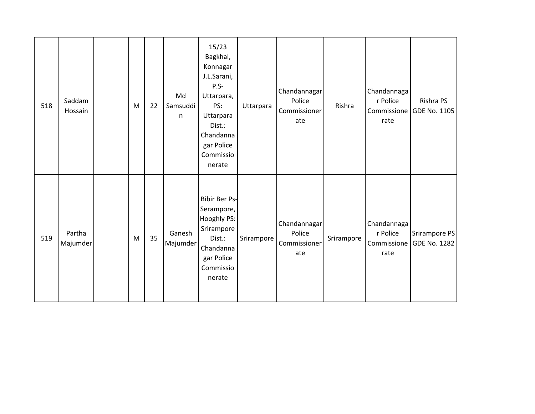| 518 | Saddam<br>Hossain  | M | 22 | Md<br>Samsuddi<br>n | 15/23<br>Bagkhal,<br>Konnagar<br>J.L.Sarani,<br>$P.S -$<br>Uttarpara,<br>PS:<br>Uttarpara<br>Dist.:<br>Chandanna<br>gar Police<br>Commissio<br>nerate | Uttarpara  | Chandannagar<br>Police<br>Commissioner<br>ate | Rishra     | Chandannaga<br>r Police<br>Commissione<br>rate | Rishra PS<br>GDE No. 1105            |
|-----|--------------------|---|----|---------------------|-------------------------------------------------------------------------------------------------------------------------------------------------------|------------|-----------------------------------------------|------------|------------------------------------------------|--------------------------------------|
| 519 | Partha<br>Majumder | M | 35 | Ganesh<br>Majumder  | <b>Bibir Ber Ps-</b><br>Serampore,<br>Hooghly PS:<br>Srirampore<br>Dist.:<br>Chandanna<br>gar Police<br>Commissio<br>nerate                           | Srirampore | Chandannagar<br>Police<br>Commissioner<br>ate | Srirampore | Chandannaga<br>r Police<br>Commissione<br>rate | Srirampore PS<br><b>GDE No. 1282</b> |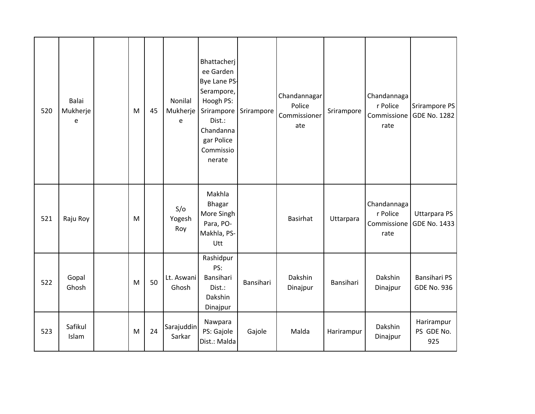| 520 | <b>Balai</b><br>Mukherje<br>e | M         | 45 | Nonilal<br>Mukherje<br>e | Bhattacherj<br>ee Garden<br>Bye Lane PS-<br>Serampore,<br>Hoogh PS:<br>Srirampore<br>Dist.:<br>Chandanna<br>gar Police<br>Commissio<br>nerate | Srirampore | Chandannagar<br>Police<br>Commissioner<br>ate | Srirampore | Chandannaga<br>r Police<br>Commissione<br>rate | Srirampore PS<br>GDE No. 1282             |
|-----|-------------------------------|-----------|----|--------------------------|-----------------------------------------------------------------------------------------------------------------------------------------------|------------|-----------------------------------------------|------------|------------------------------------------------|-------------------------------------------|
| 521 | Raju Roy                      | M         |    | S/O<br>Yogesh<br>Roy     | Makhla<br><b>Bhagar</b><br>More Singh<br>Para, PO-<br>Makhla, PS-<br>Utt                                                                      |            | <b>Basirhat</b>                               | Uttarpara  | Chandannaga<br>r Police<br>Commissione<br>rate | <b>Uttarpara PS</b><br>GDE No. 1433       |
| 522 | Gopal<br>Ghosh                | ${\sf M}$ | 50 | Lt. Aswani<br>Ghosh      | Rashidpur<br>PS:<br>Bansihari<br>Dist.:<br>Dakshin<br>Dinajpur                                                                                | Bansihari  | Dakshin<br>Dinajpur                           | Bansihari  | Dakshin<br>Dinajpur                            | <b>Bansihari PS</b><br><b>GDE No. 936</b> |
| 523 | Safikul<br>Islam              | M         | 24 | Sarajuddin<br>Sarkar     | Nawpara<br>PS: Gajole<br>Dist.: Malda                                                                                                         | Gajole     | Malda                                         | Harirampur | Dakshin<br>Dinajpur                            | Harirampur<br>PS GDE No.<br>925           |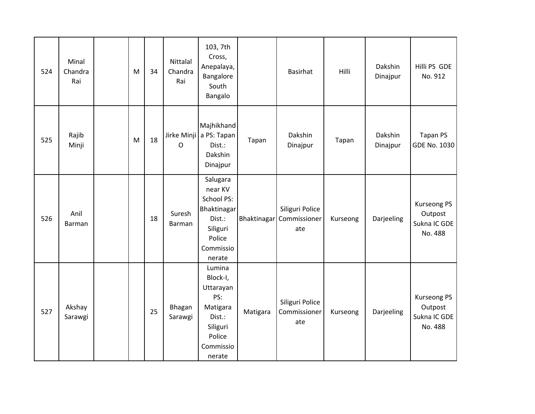| 524 | Minal<br>Chandra<br>Rai | M | 34 | Nittalal<br>Chandra<br>Rai | 103, 7th<br>Cross,<br>Anepalaya,<br>Bangalore<br>South<br>Bangalo                                              |          | <b>Basirhat</b>                                    | Hilli    | Dakshin<br>Dinajpur | Hilli PS GDE<br>No. 912                                  |
|-----|-------------------------|---|----|----------------------------|----------------------------------------------------------------------------------------------------------------|----------|----------------------------------------------------|----------|---------------------|----------------------------------------------------------|
| 525 | Rajib<br>Minji          | M | 18 | O                          | Majhikhand<br>Jirke Minji a PS: Tapan<br>Dist.:<br>Dakshin<br>Dinajpur                                         | Tapan    | Dakshin<br>Dinajpur                                | Tapan    | Dakshin<br>Dinajpur | Tapan PS<br><b>GDE No. 1030</b>                          |
| 526 | Anil<br>Barman          |   | 18 | Suresh<br>Barman           | Salugara<br>near KV<br><b>School PS:</b><br>Bhaktinagar<br>Dist.:<br>Siliguri<br>Police<br>Commissio<br>nerate |          | Siliguri Police<br>Bhaktinagar Commissioner<br>ate | Kurseong | Darjeeling          | <b>Kurseong PS</b><br>Outpost<br>Sukna IC GDE<br>No. 488 |
| 527 | Akshay<br>Sarawgi       |   | 25 | Bhagan<br>Sarawgi          | Lumina<br>Block-I,<br>Uttarayan<br>PS:<br>Matigara<br>Dist.:<br>Siliguri<br>Police<br>Commissio<br>nerate      | Matigara | Siliguri Police<br>Commissioner<br>ate             | Kurseong | Darjeeling          | <b>Kurseong PS</b><br>Outpost<br>Sukna IC GDE<br>No. 488 |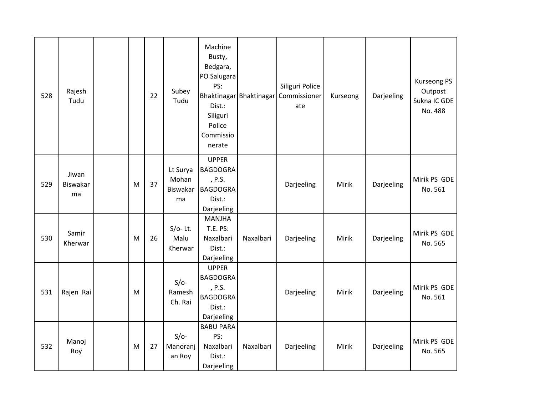| 528 | Rajesh<br>Tudu          |   | 22 | Subey<br>Tudu                       | Machine<br>Busty,<br>Bedgara,<br>PO Salugara<br>PS:<br>Dist.:<br>Siliguri<br>Police<br>Commissio<br>nerate |           | Siliguri Police<br>Bhaktinagar Bhaktinagar Commissioner<br>ate | Kurseong | Darjeeling | <b>Kurseong PS</b><br>Outpost<br>Sukna IC GDE<br>No. 488 |
|-----|-------------------------|---|----|-------------------------------------|------------------------------------------------------------------------------------------------------------|-----------|----------------------------------------------------------------|----------|------------|----------------------------------------------------------|
| 529 | Jiwan<br>Biswakar<br>ma | M | 37 | Lt Surya<br>Mohan<br>Biswakar<br>ma | <b>UPPER</b><br><b>BAGDOGRA</b><br>, P.S.<br><b>BAGDOGRA</b><br>Dist.:<br>Darjeeling                       |           | Darjeeling                                                     | Mirik    | Darjeeling | Mirik PS GDE<br>No. 561                                  |
| 530 | Samir<br>Kherwar        | M | 26 | $S/O-$ Lt.<br>Malu<br>Kherwar       | <b>MANJHA</b><br><b>T.E. PS:</b><br>Naxalbari<br>Dist.:<br>Darjeeling                                      | Naxalbari | Darjeeling                                                     | Mirik    | Darjeeling | Mirik PS GDE<br>No. 565                                  |
| 531 | Rajen Rai               | M |    | $S/O-$<br>Ramesh<br>Ch. Rai         | <b>UPPER</b><br><b>BAGDOGRA</b><br>, P.S.<br><b>BAGDOGRA</b><br>Dist.:<br>Darjeeling                       |           | Darjeeling                                                     | Mirik    | Darjeeling | Mirik PS GDE<br>No. 561                                  |
| 532 | Manoj<br>Roy            | M | 27 | $S/O-$<br>Manoranj<br>an Roy        | <b>BABU PARA</b><br>PS:<br>Naxalbari<br>Dist.:<br>Darjeeling                                               | Naxalbari | Darjeeling                                                     | Mirik    | Darjeeling | Mirik PS GDE<br>No. 565                                  |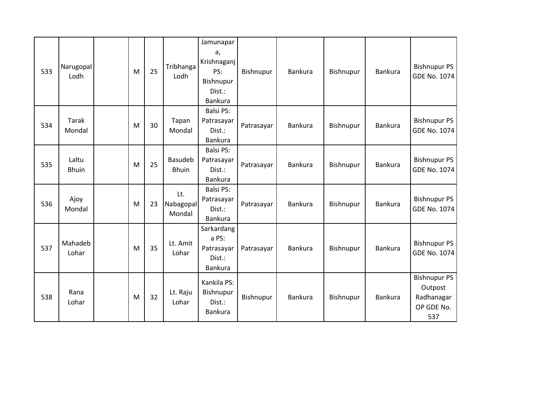| 533 | Narugopal<br>Lodh      | M | 25 | Tribhanga<br>Lodh              | Jamunapar<br>a,<br>Krishnaganj<br>PS:<br>Bishnupur<br>Dist.:<br><b>Bankura</b> | Bishnupur  | <b>Bankura</b> | Bishnupur | <b>Bankura</b> | <b>Bishnupur PS</b><br><b>GDE No. 1074</b>                        |
|-----|------------------------|---|----|--------------------------------|--------------------------------------------------------------------------------|------------|----------------|-----------|----------------|-------------------------------------------------------------------|
| 534 | <b>Tarak</b><br>Mondal | M | 30 | Tapan<br>Mondal                | <b>Balsi PS:</b><br>Patrasayar<br>Dist.:<br><b>Bankura</b>                     | Patrasayar | <b>Bankura</b> | Bishnupur | <b>Bankura</b> | <b>Bishnupur PS</b><br><b>GDE No. 1074</b>                        |
| 535 | Laltu<br><b>Bhuin</b>  | M | 25 | <b>Basudeb</b><br><b>Bhuin</b> | <b>Balsi PS:</b><br>Patrasayar<br>Dist.:<br>Bankura                            | Patrasayar | <b>Bankura</b> | Bishnupur | <b>Bankura</b> | <b>Bishnupur PS</b><br><b>GDE No. 1074</b>                        |
| 536 | Ajoy<br>Mondal         | M | 23 | Lt.<br>Nabagopal<br>Mondal     | <b>Balsi PS:</b><br>Patrasayar<br>Dist.:<br>Bankura                            | Patrasayar | <b>Bankura</b> | Bishnupur | <b>Bankura</b> | <b>Bishnupur PS</b><br><b>GDE No. 1074</b>                        |
| 537 | Mahadeb<br>Lohar       | M | 35 | Lt. Amit<br>Lohar              | Sarkardang<br>a PS:<br>Patrasayar<br>Dist.:<br>Bankura                         | Patrasayar | <b>Bankura</b> | Bishnupur | <b>Bankura</b> | <b>Bishnupur PS</b><br><b>GDE No. 1074</b>                        |
| 538 | Rana<br>Lohar          | M | 32 | Lt. Raju<br>Lohar              | Kankila PS:<br>Bishnupur<br>Dist.:<br><b>Bankura</b>                           | Bishnupur  | <b>Bankura</b> | Bishnupur | Bankura        | <b>Bishnupur PS</b><br>Outpost<br>Radhanagar<br>OP GDE No.<br>537 |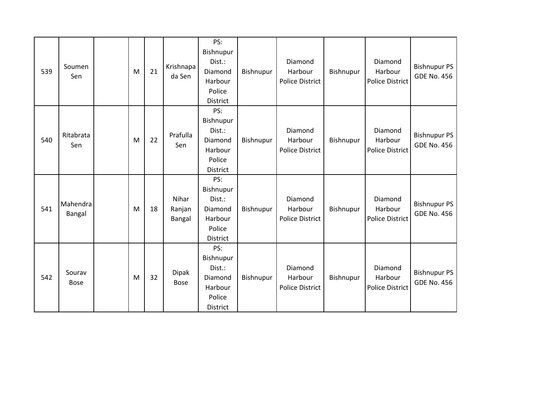| 539 | Soumen<br>Sen         | M | 21 | Krishnapa<br>da Sen         | PS:<br>Bishnupur<br>Dist.:<br>Diamond<br>Harbour<br>Police<br><b>District</b> | Bishnupur | Diamond<br>Harbour<br><b>Police District</b> | Bishnupur | Diamond<br>Harbour<br><b>Police District</b> | <b>Bishnupur PS</b><br><b>GDE No. 456</b> |
|-----|-----------------------|---|----|-----------------------------|-------------------------------------------------------------------------------|-----------|----------------------------------------------|-----------|----------------------------------------------|-------------------------------------------|
| 540 | Ritabrata<br>Sen      | M | 22 | Prafulla<br>Sen             | PS:<br>Bishnupur<br>Dist.:<br>Diamond<br>Harbour<br>Police<br>District        | Bishnupur | Diamond<br>Harbour<br><b>Police District</b> | Bishnupur | Diamond<br>Harbour<br>Police District        | <b>Bishnupur PS</b><br><b>GDE No. 456</b> |
| 541 | Mahendra<br>Bangal    | M | 18 | Nihar<br>Ranjan<br>Bangal   | PS:<br>Bishnupur<br>Dist.:<br>Diamond<br>Harbour<br>Police<br><b>District</b> | Bishnupur | Diamond<br>Harbour<br><b>Police District</b> | Bishnupur | Diamond<br>Harbour<br><b>Police District</b> | <b>Bishnupur PS</b><br><b>GDE No. 456</b> |
| 542 | Sourav<br><b>Bose</b> | M | 32 | <b>Dipak</b><br><b>Bose</b> | PS:<br>Bishnupur<br>Dist.:<br>Diamond<br>Harbour<br>Police<br><b>District</b> | Bishnupur | Diamond<br>Harbour<br><b>Police District</b> | Bishnupur | Diamond<br>Harbour<br><b>Police District</b> | <b>Bishnupur PS</b><br><b>GDE No. 456</b> |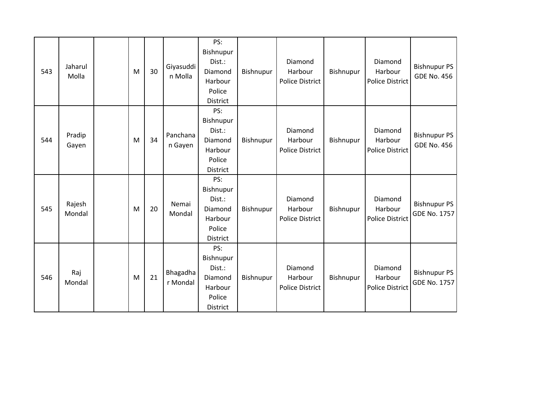| 543 | Jaharul<br>Molla | M | 30 | Giyasuddi<br>n Molla | PS:<br>Bishnupur<br>Dist.:<br>Diamond<br>Harbour<br>Police<br>District        | Bishnupur | Diamond<br>Harbour<br><b>Police District</b> | Bishnupur | Diamond<br>Harbour<br><b>Police District</b> | <b>Bishnupur PS</b><br><b>GDE No. 456</b>  |
|-----|------------------|---|----|----------------------|-------------------------------------------------------------------------------|-----------|----------------------------------------------|-----------|----------------------------------------------|--------------------------------------------|
| 544 | Pradip<br>Gayen  | M | 34 | Panchana<br>n Gayen  | PS:<br>Bishnupur<br>Dist.:<br>Diamond<br>Harbour<br>Police<br><b>District</b> | Bishnupur | Diamond<br>Harbour<br><b>Police District</b> | Bishnupur | Diamond<br>Harbour<br><b>Police District</b> | <b>Bishnupur PS</b><br><b>GDE No. 456</b>  |
| 545 | Rajesh<br>Mondal | M | 20 | Nemai<br>Mondal      | PS:<br>Bishnupur<br>Dist.:<br>Diamond<br>Harbour<br>Police<br>District        | Bishnupur | Diamond<br>Harbour<br><b>Police District</b> | Bishnupur | Diamond<br>Harbour<br><b>Police District</b> | <b>Bishnupur PS</b><br><b>GDE No. 1757</b> |
| 546 | Raj<br>Mondal    | M | 21 | Bhagadha<br>r Mondal | PS:<br>Bishnupur<br>Dist.:<br>Diamond<br>Harbour<br>Police<br><b>District</b> | Bishnupur | Diamond<br>Harbour<br><b>Police District</b> | Bishnupur | Diamond<br>Harbour<br><b>Police District</b> | <b>Bishnupur PS</b><br><b>GDE No. 1757</b> |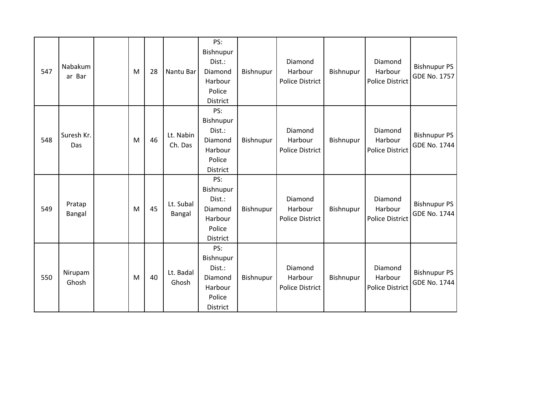| 547 | Nabakum<br>ar Bar | M | 28 | Nantu Bar            | PS:<br>Bishnupur<br>Dist.:<br>Diamond<br>Harbour<br>Police<br><b>District</b> | Bishnupur | Diamond<br>Harbour<br><b>Police District</b> | Bishnupur | Diamond<br>Harbour<br><b>Police District</b> | <b>Bishnupur PS</b><br><b>GDE No. 1757</b> |
|-----|-------------------|---|----|----------------------|-------------------------------------------------------------------------------|-----------|----------------------------------------------|-----------|----------------------------------------------|--------------------------------------------|
| 548 | Suresh Kr.<br>Das | M | 46 | Lt. Nabin<br>Ch. Das | PS:<br>Bishnupur<br>Dist.:<br>Diamond<br>Harbour<br>Police<br><b>District</b> | Bishnupur | Diamond<br>Harbour<br><b>Police District</b> | Bishnupur | Diamond<br>Harbour<br><b>Police District</b> | <b>Bishnupur PS</b><br><b>GDE No. 1744</b> |
| 549 | Pratap<br>Bangal  | M | 45 | Lt. Subal<br>Bangal  | PS:<br>Bishnupur<br>Dist.:<br>Diamond<br>Harbour<br>Police<br><b>District</b> | Bishnupur | Diamond<br>Harbour<br><b>Police District</b> | Bishnupur | Diamond<br>Harbour<br><b>Police District</b> | <b>Bishnupur PS</b><br><b>GDE No. 1744</b> |
| 550 | Nirupam<br>Ghosh  | M | 40 | Lt. Badal<br>Ghosh   | PS:<br>Bishnupur<br>Dist.:<br>Diamond<br>Harbour<br>Police<br><b>District</b> | Bishnupur | Diamond<br>Harbour<br><b>Police District</b> | Bishnupur | Diamond<br>Harbour<br><b>Police District</b> | <b>Bishnupur PS</b><br><b>GDE No. 1744</b> |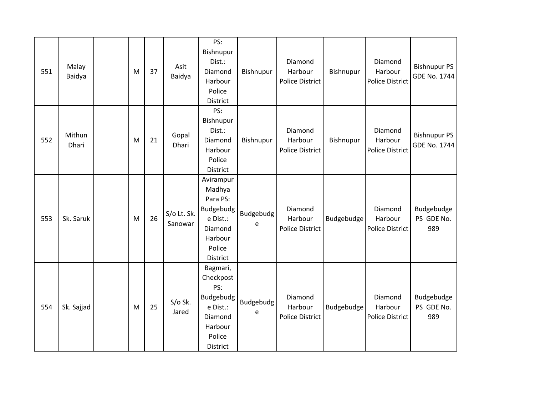| 551 | Malay<br>Baidya | M | 37 | Asit<br>Baidya         | PS:<br>Bishnupur<br>Dist.:<br>Diamond<br>Harbour<br>Police<br>District                               | Bishnupur      | Diamond<br>Harbour<br>Police District        | Bishnupur  | Diamond<br>Harbour<br><b>Police District</b> | <b>Bishnupur PS</b><br><b>GDE No. 1744</b> |
|-----|-----------------|---|----|------------------------|------------------------------------------------------------------------------------------------------|----------------|----------------------------------------------|------------|----------------------------------------------|--------------------------------------------|
| 552 | Mithun<br>Dhari | M | 21 | Gopal<br>Dhari         | PS:<br>Bishnupur<br>Dist.:<br>Diamond<br>Harbour<br>Police<br>District                               | Bishnupur      | Diamond<br>Harbour<br><b>Police District</b> | Bishnupur  | Diamond<br>Harbour<br><b>Police District</b> | <b>Bishnupur PS</b><br>GDE No. 1744        |
| 553 | Sk. Saruk       | M | 26 | S/o Lt. Sk.<br>Sanowar | Avirampur<br>Madhya<br>Para PS:<br>Budgebudg<br>e Dist.:<br>Diamond<br>Harbour<br>Police<br>District | Budgebudg<br>e | Diamond<br>Harbour<br><b>Police District</b> | Budgebudge | Diamond<br>Harbour<br><b>Police District</b> | Budgebudge<br>PS GDE No.<br>989            |
| 554 | Sk. Sajjad      | M | 25 | $S/O$ Sk.<br>Jared     | Bagmari,<br>Checkpost<br>PS:<br>Budgebudg<br>e Dist.:<br>Diamond<br>Harbour<br>Police<br>District    | Budgebudg<br>e | Diamond<br>Harbour<br><b>Police District</b> | Budgebudge | Diamond<br>Harbour<br><b>Police District</b> | Budgebudge<br>PS GDE No.<br>989            |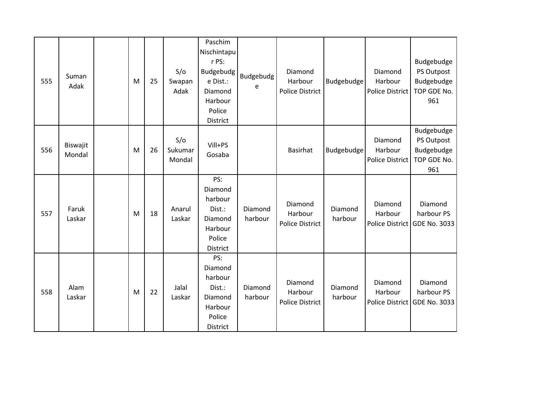| 555 | Suman<br>Adak      | M | 25 | S/O<br>Swapan<br>Adak    | Paschim<br>Nischintapu<br>r PS:<br>Budgebudg<br>e Dist.:<br>Diamond<br>Harbour<br>Police<br><b>District</b> | Budgebudg<br>e     | Diamond<br>Harbour<br><b>Police District</b> | Budgebudge         | Diamond<br>Harbour<br>Police District | Budgebudge<br>PS Outpost<br>Budgebudge<br>TOP GDE No.<br>961 |
|-----|--------------------|---|----|--------------------------|-------------------------------------------------------------------------------------------------------------|--------------------|----------------------------------------------|--------------------|---------------------------------------|--------------------------------------------------------------|
| 556 | Biswajit<br>Mondal | M | 26 | S/O<br>Sukumar<br>Mondal | Vill+PS<br>Gosaba                                                                                           |                    | <b>Basirhat</b>                              | Budgebudge         | Diamond<br>Harbour<br>Police District | Budgebudge<br>PS Outpost<br>Budgebudge<br>TOP GDE No.<br>961 |
| 557 | Faruk<br>Laskar    | M | 18 | Anarul<br>Laskar         | PS:<br>Diamond<br>harbour<br>Dist.:<br>Diamond<br>Harbour<br>Police<br>District                             | Diamond<br>harbour | Diamond<br>Harbour<br><b>Police District</b> | Diamond<br>harbour | Diamond<br>Harbour                    | Diamond<br>harbour PS<br>Police District GDE No. 3033        |
| 558 | Alam<br>Laskar     | M | 22 | Jalal<br>Laskar          | PS:<br>Diamond<br>harbour<br>Dist.:<br>Diamond<br>Harbour<br>Police<br><b>District</b>                      | Diamond<br>harbour | Diamond<br>Harbour<br><b>Police District</b> | Diamond<br>harbour | Diamond<br>Harbour                    | Diamond<br>harbour PS<br>Police District GDE No. 3033        |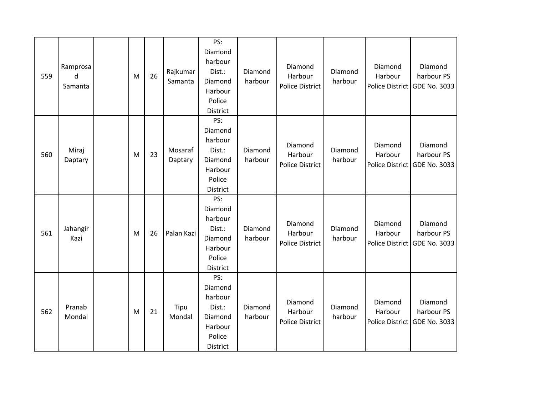| 559 | Ramprosa<br>d<br>Samanta | M | 26 | Rajkumar<br>Samanta | PS:<br>Diamond<br>harbour<br>Dist.:<br>Diamond<br>Harbour<br>Police<br><b>District</b> | Diamond<br>harbour | Diamond<br>Harbour<br><b>Police District</b> | Diamond<br>harbour | Diamond<br>Harbour | Diamond<br>harbour PS<br>Police District GDE No. 3033 |
|-----|--------------------------|---|----|---------------------|----------------------------------------------------------------------------------------|--------------------|----------------------------------------------|--------------------|--------------------|-------------------------------------------------------|
| 560 | Miraj<br>Daptary         | M | 23 | Mosaraf<br>Daptary  | PS:<br>Diamond<br>harbour<br>Dist.:<br>Diamond<br>Harbour<br>Police<br>District        | Diamond<br>harbour | Diamond<br>Harbour<br><b>Police District</b> | Diamond<br>harbour | Diamond<br>Harbour | Diamond<br>harbour PS<br>Police District GDE No. 3033 |
| 561 | Jahangir<br>Kazi         | M | 26 | Palan Kazi          | PS:<br>Diamond<br>harbour<br>Dist.:<br>Diamond<br>Harbour<br>Police<br>District        | Diamond<br>harbour | Diamond<br>Harbour<br><b>Police District</b> | Diamond<br>harbour | Diamond<br>Harbour | Diamond<br>harbour PS<br>Police District GDE No. 3033 |
| 562 | Pranab<br>Mondal         | M | 21 | Tipu<br>Mondal      | PS:<br>Diamond<br>harbour<br>Dist.:<br>Diamond<br>Harbour<br>Police<br><b>District</b> | Diamond<br>harbour | Diamond<br>Harbour<br><b>Police District</b> | Diamond<br>harbour | Diamond<br>Harbour | Diamond<br>harbour PS<br>Police District GDE No. 3033 |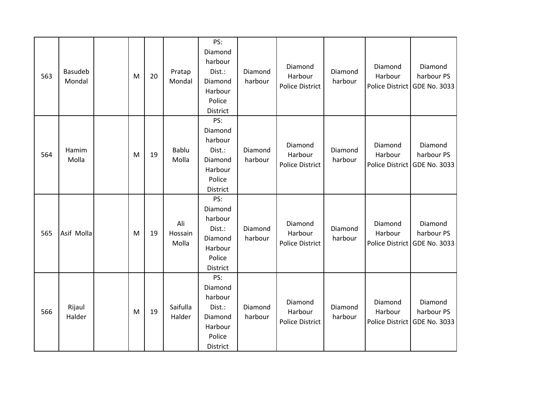| 563 | <b>Basudeb</b><br>Mondal | M | 20 | Pratap<br>Mondal        | PS:<br>Diamond<br>harbour<br>Dist.:<br>Diamond<br>Harbour<br>Police<br>District        | Diamond<br>harbour | Diamond<br>Harbour<br><b>Police District</b> | Diamond<br>harbour | Diamond<br>Harbour<br><b>Police District</b> | Diamond<br>harbour PS<br><b>GDE No. 3033</b>          |
|-----|--------------------------|---|----|-------------------------|----------------------------------------------------------------------------------------|--------------------|----------------------------------------------|--------------------|----------------------------------------------|-------------------------------------------------------|
| 564 | Hamim<br>Molla           | M | 19 | Bablu<br>Molla          | PS:<br>Diamond<br>harbour<br>Dist.:<br>Diamond<br>Harbour<br>Police<br>District        | Diamond<br>harbour | Diamond<br>Harbour<br><b>Police District</b> | Diamond<br>harbour | Diamond<br>Harbour                           | Diamond<br>harbour PS<br>Police District GDE No. 3033 |
| 565 | Asif Molla               | M | 19 | Ali<br>Hossain<br>Molla | PS:<br>Diamond<br>harbour<br>Dist.:<br>Diamond<br>Harbour<br>Police<br>District        | Diamond<br>harbour | Diamond<br>Harbour<br><b>Police District</b> | Diamond<br>harbour | Diamond<br>Harbour                           | Diamond<br>harbour PS<br>Police District GDE No. 3033 |
| 566 | Rijaul<br>Halder         | M | 19 | Saifulla<br>Halder      | PS:<br>Diamond<br>harbour<br>Dist.:<br>Diamond<br>Harbour<br>Police<br><b>District</b> | Diamond<br>harbour | Diamond<br>Harbour<br>Police District        | Diamond<br>harbour | Diamond<br>Harbour                           | Diamond<br>harbour PS<br>Police District GDE No. 3033 |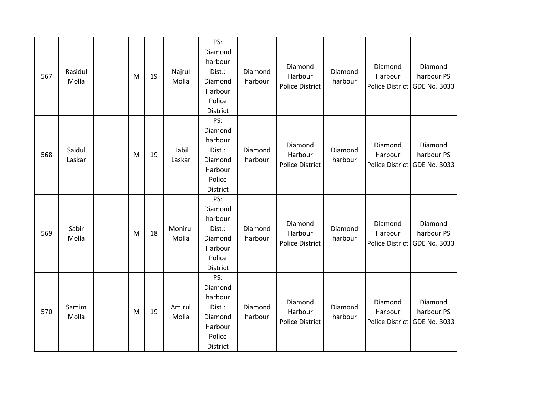| 567 | Rasidul<br>Molla | M | 19 | Najrul<br>Molla  | PS:<br>Diamond<br>harbour<br>Dist.:<br>Diamond<br>Harbour<br>Police<br>District | Diamond<br>harbour | Diamond<br>Harbour<br><b>Police District</b> | Diamond<br>harbour | Diamond<br>Harbour<br><b>Police District</b> | Diamond<br>harbour PS<br><b>GDE No. 3033</b>          |
|-----|------------------|---|----|------------------|---------------------------------------------------------------------------------|--------------------|----------------------------------------------|--------------------|----------------------------------------------|-------------------------------------------------------|
| 568 | Saidul<br>Laskar | M | 19 | Habil<br>Laskar  | PS:<br>Diamond<br>harbour<br>Dist.:<br>Diamond<br>Harbour<br>Police<br>District | Diamond<br>harbour | Diamond<br>Harbour<br><b>Police District</b> | Diamond<br>harbour | Diamond<br>Harbour                           | Diamond<br>harbour PS<br>Police District GDE No. 3033 |
| 569 | Sabir<br>Molla   | M | 18 | Monirul<br>Molla | PS:<br>Diamond<br>harbour<br>Dist.:<br>Diamond<br>Harbour<br>Police<br>District | Diamond<br>harbour | Diamond<br>Harbour<br><b>Police District</b> | Diamond<br>harbour | Diamond<br>Harbour                           | Diamond<br>harbour PS<br>Police District GDE No. 3033 |
| 570 | Samim<br>Molla   | M | 19 | Amirul<br>Molla  | PS:<br>Diamond<br>harbour<br>Dist.:<br>Diamond<br>Harbour<br>Police<br>District | Diamond<br>harbour | Diamond<br>Harbour<br><b>Police District</b> | Diamond<br>harbour | Diamond<br>Harbour                           | Diamond<br>harbour PS<br>Police District GDE No. 3033 |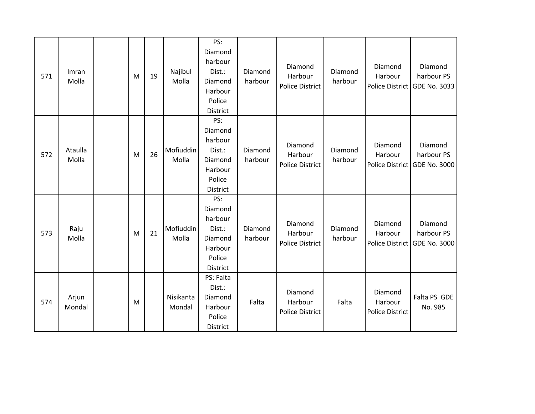|     |         |  |   |    |           | PS:             |         |                        |         |                        |                              |
|-----|---------|--|---|----|-----------|-----------------|---------|------------------------|---------|------------------------|------------------------------|
|     |         |  |   |    |           | Diamond         |         |                        |         |                        |                              |
|     |         |  |   |    |           | harbour         |         | Diamond                |         | Diamond                | Diamond                      |
| 571 | Imran   |  | M | 19 | Najibul   | Dist.:          | Diamond | Harbour                | Diamond | Harbour                | harbour PS                   |
|     | Molla   |  |   |    | Molla     | Diamond         | harbour | <b>Police District</b> | harbour |                        | Police District GDE No. 3033 |
|     |         |  |   |    |           | Harbour         |         |                        |         |                        |                              |
|     |         |  |   |    |           | Police          |         |                        |         |                        |                              |
|     |         |  |   |    |           | District<br>PS: |         |                        |         |                        |                              |
|     |         |  |   |    |           | Diamond         |         |                        |         |                        |                              |
|     |         |  |   |    |           | harbour         |         |                        |         |                        |                              |
|     | Ataulla |  |   |    | Mofiuddin | Dist.:          | Diamond | Diamond                | Diamond | Diamond                | Diamond                      |
| 572 | Molla   |  | M | 26 | Molla     | Diamond         | harbour | Harbour                | harbour | Harbour                | harbour PS                   |
|     |         |  |   |    |           | Harbour         |         | <b>Police District</b> |         |                        | Police District GDE No. 3000 |
|     |         |  |   |    |           | Police          |         |                        |         |                        |                              |
|     |         |  |   |    |           | District        |         |                        |         |                        |                              |
|     |         |  |   |    |           | PS:             |         |                        |         |                        |                              |
|     |         |  |   |    |           | Diamond         |         |                        |         |                        |                              |
|     |         |  |   |    |           | harbour         |         |                        |         |                        |                              |
|     | Raju    |  |   |    | Mofiuddin | Dist.:          | Diamond | Diamond                | Diamond | Diamond                | Diamond                      |
| 573 | Molla   |  | M | 21 | Molla     | Diamond         | harbour | Harbour                | harbour | Harbour                | harbour PS                   |
|     |         |  |   |    |           | Harbour         |         | <b>Police District</b> |         | Police District        | <b>GDE No. 3000</b>          |
|     |         |  |   |    |           | Police          |         |                        |         |                        |                              |
|     |         |  |   |    |           | District        |         |                        |         |                        |                              |
| 574 |         |  |   |    |           | PS: Falta       |         |                        |         |                        |                              |
|     |         |  |   |    |           | Dist.:          |         | Diamond                |         | Diamond                |                              |
|     | Arjun   |  | M |    | Nisikanta | Diamond         | Falta   | Harbour                | Falta   | Harbour                | Falta PS GDE                 |
|     | Mondal  |  |   |    | Mondal    | Harbour         |         | <b>Police District</b> |         | <b>Police District</b> | No. 985                      |
|     |         |  |   |    |           | Police          |         |                        |         |                        |                              |
|     |         |  |   |    |           | <b>District</b> |         |                        |         |                        |                              |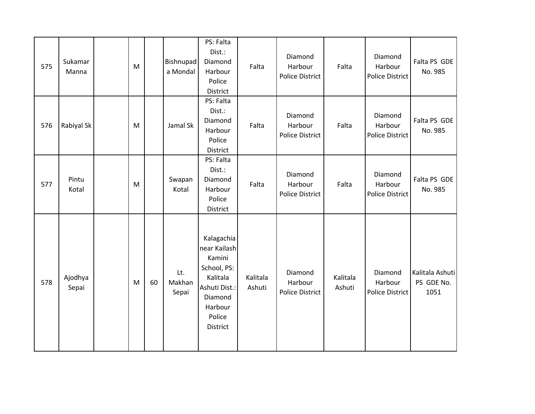| 575 | Sukamar<br>Manna | ${\sf M}$ |    | Bishnupad<br>a Mondal  | PS: Falta<br>Dist.:<br>Diamond<br>Harbour<br>Police<br>District                                                              | Falta              | Diamond<br>Harbour<br><b>Police District</b> | Falta              | Diamond<br>Harbour<br><b>Police District</b> | Falta PS GDE<br>No. 985               |
|-----|------------------|-----------|----|------------------------|------------------------------------------------------------------------------------------------------------------------------|--------------------|----------------------------------------------|--------------------|----------------------------------------------|---------------------------------------|
| 576 | Rabiyal Sk       | M         |    | Jamal Sk               | PS: Falta<br>Dist.:<br>Diamond<br>Harbour<br>Police<br>District                                                              | Falta              | Diamond<br>Harbour<br><b>Police District</b> | Falta              | Diamond<br>Harbour<br><b>Police District</b> | Falta PS GDE<br>No. 985               |
| 577 | Pintu<br>Kotal   | ${\sf M}$ |    | Swapan<br>Kotal        | PS: Falta<br>Dist.:<br>Diamond<br>Harbour<br>Police<br>District                                                              | Falta              | Diamond<br>Harbour<br><b>Police District</b> | Falta              | Diamond<br>Harbour<br><b>Police District</b> | Falta PS GDE<br>No. 985               |
| 578 | Ajodhya<br>Sepai | M         | 60 | Lt.<br>Makhan<br>Sepai | Kalagachia<br>near Kailash<br>Kamini<br>School, PS:<br>Kalitala<br>Ashuti Dist.:<br>Diamond<br>Harbour<br>Police<br>District | Kalitala<br>Ashuti | Diamond<br>Harbour<br>Police District        | Kalitala<br>Ashuti | Diamond<br>Harbour<br><b>Police District</b> | Kalitala Ashuti<br>PS GDE No.<br>1051 |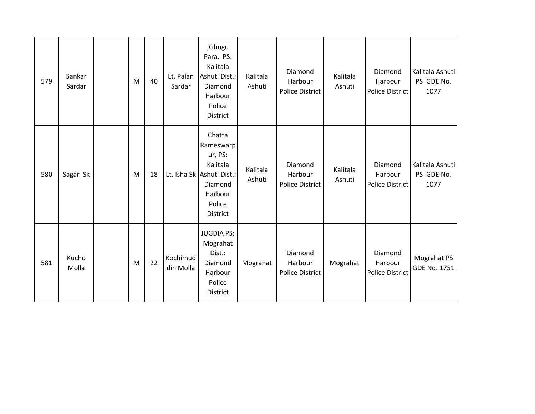| 579 | Sankar<br>Sardar | M | 40 | Lt. Palan<br>Sardar   | ,Ghugu<br>Para, PS:<br>Kalitala<br>Ashuti Dist.:<br>Diamond<br>Harbour<br>Police<br><b>District</b>                 | Kalitala<br>Ashuti | Diamond<br>Harbour<br><b>Police District</b> | Kalitala<br>Ashuti | Diamond<br>Harbour<br><b>Police District</b> | Kalitala Ashuti<br>PS GDE No.<br>1077 |
|-----|------------------|---|----|-----------------------|---------------------------------------------------------------------------------------------------------------------|--------------------|----------------------------------------------|--------------------|----------------------------------------------|---------------------------------------|
| 580 | Sagar Sk         | M | 18 |                       | Chatta<br>Rameswarp<br>ur, PS:<br>Kalitala<br>Lt. Isha Sk Ashuti Dist.:<br>Diamond<br>Harbour<br>Police<br>District | Kalitala<br>Ashuti | Diamond<br>Harbour<br><b>Police District</b> | Kalitala<br>Ashuti | Diamond<br>Harbour<br>Police District        | Kalitala Ashuti<br>PS GDE No.<br>1077 |
| 581 | Kucho<br>Molla   | M | 22 | Kochimud<br>din Molla | <b>JUGDIA PS:</b><br>Mograhat<br>Dist.:<br>Diamond<br>Harbour<br>Police<br>District                                 | Mograhat           | Diamond<br>Harbour<br><b>Police District</b> | Mograhat           | Diamond<br>Harbour<br><b>Police District</b> | Mograhat PS<br>GDE No. 1751           |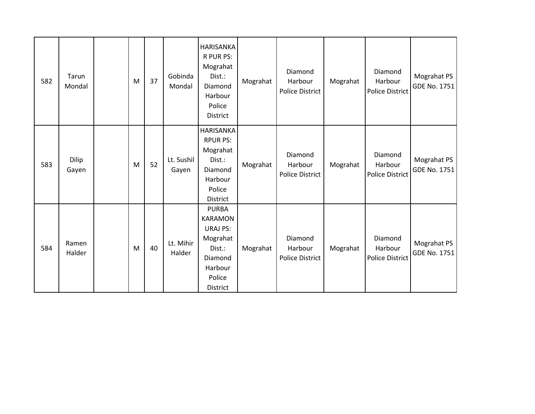| 582 | Tarun<br>Mondal | M | 37 | Gobinda<br>Mondal   | <b>HARISANKA</b><br>R PUR PS:<br>Mograhat<br>Dist.:<br>Diamond<br>Harbour<br>Police<br>District                     | Mograhat | Diamond<br>Harbour<br><b>Police District</b> | Mograhat | Diamond<br>Harbour<br><b>Police District</b> | Mograhat PS<br>GDE No. 1751        |
|-----|-----------------|---|----|---------------------|---------------------------------------------------------------------------------------------------------------------|----------|----------------------------------------------|----------|----------------------------------------------|------------------------------------|
| 583 | Dilip<br>Gayen  | M | 52 | Lt. Sushil<br>Gayen | <b>HARISANKA</b><br><b>RPUR PS:</b><br>Mograhat<br>Dist.:<br>Diamond<br>Harbour<br>Police<br><b>District</b>        | Mograhat | Diamond<br>Harbour<br><b>Police District</b> | Mograhat | Diamond<br>Harbour<br><b>Police District</b> | Mograhat PS<br>GDE No. 1751        |
| 584 | Ramen<br>Halder | M | 40 | Lt. Mihir<br>Halder | <b>PURBA</b><br><b>KARAMON</b><br><b>URAJ PS:</b><br>Mograhat<br>Dist.:<br>Diamond<br>Harbour<br>Police<br>District | Mograhat | Diamond<br>Harbour<br><b>Police District</b> | Mograhat | Diamond<br>Harbour<br><b>Police District</b> | Mograhat PS<br><b>GDE No. 1751</b> |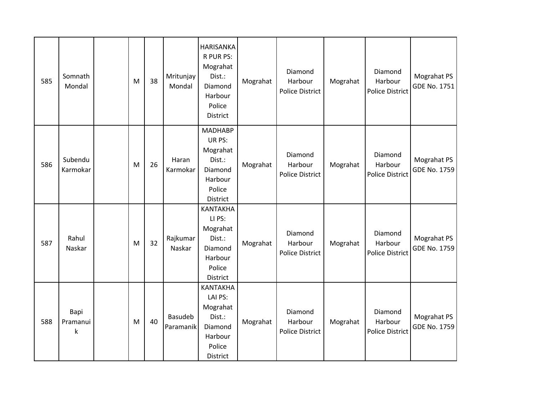| 585 | Somnath<br>Mondal     | M | 38 | Mritunjay<br>Mondal  | <b>HARISANKA</b><br>R PUR PS:<br>Mograhat<br>Dist.:<br>Diamond<br>Harbour<br>Police<br>District | Mograhat | Diamond<br>Harbour<br><b>Police District</b> | Mograhat | Diamond<br>Harbour<br><b>Police District</b> | Mograhat PS<br>GDE No. 1751        |
|-----|-----------------------|---|----|----------------------|-------------------------------------------------------------------------------------------------|----------|----------------------------------------------|----------|----------------------------------------------|------------------------------------|
| 586 | Subendu<br>Karmokar   | M | 26 | Haran<br>Karmokar    | <b>MADHABP</b><br>UR PS:<br>Mograhat<br>Dist.:<br>Diamond<br>Harbour<br>Police<br>District      | Mograhat | Diamond<br>Harbour<br><b>Police District</b> | Mograhat | Diamond<br>Harbour<br><b>Police District</b> | Mograhat PS<br><b>GDE No. 1759</b> |
| 587 | Rahul<br>Naskar       | M | 32 | Rajkumar<br>Naskar   | <b>KANTAKHA</b><br>LI PS:<br>Mograhat<br>Dist.:<br>Diamond<br>Harbour<br>Police<br>District     | Mograhat | Diamond<br>Harbour<br><b>Police District</b> | Mograhat | Diamond<br>Harbour<br><b>Police District</b> | Mograhat PS<br><b>GDE No. 1759</b> |
| 588 | Bapi<br>Pramanui<br>k | M | 40 | Basudeb<br>Paramanik | <b>KANTAKHA</b><br>LAI PS:<br>Mograhat<br>Dist.:<br>Diamond<br>Harbour<br>Police<br>District    | Mograhat | Diamond<br>Harbour<br><b>Police District</b> | Mograhat | Diamond<br>Harbour<br><b>Police District</b> | Mograhat PS<br><b>GDE No. 1759</b> |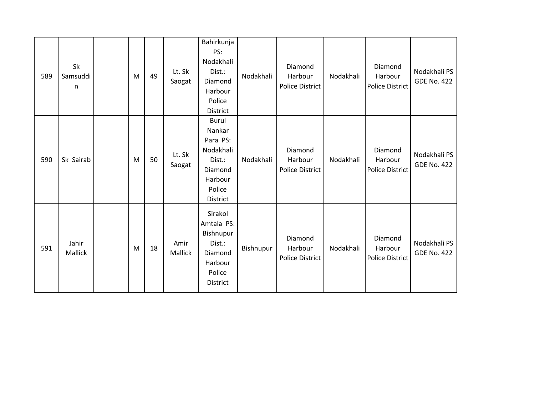| 589 | Sk<br>Samsuddi<br>n | M | 49 | Lt. Sk<br>Saogat | Bahirkunja<br>PS:<br>Nodakhali<br>Dist.:<br>Diamond<br>Harbour<br>Police<br>District                  | Nodakhali | Diamond<br>Harbour<br><b>Police District</b> | Nodakhali | Diamond<br>Harbour<br>Police District        | Nodakhali PS<br><b>GDE No. 422</b> |
|-----|---------------------|---|----|------------------|-------------------------------------------------------------------------------------------------------|-----------|----------------------------------------------|-----------|----------------------------------------------|------------------------------------|
| 590 | Sk Sairab           | M | 50 | Lt. Sk<br>Saogat | <b>Burul</b><br>Nankar<br>Para PS:<br>Nodakhali<br>Dist.:<br>Diamond<br>Harbour<br>Police<br>District | Nodakhali | Diamond<br>Harbour<br><b>Police District</b> | Nodakhali | Diamond<br>Harbour<br><b>Police District</b> | Nodakhali PS<br><b>GDE No. 422</b> |
| 591 | Jahir<br>Mallick    | M | 18 | Amir<br>Mallick  | Sirakol<br>Amtala PS:<br>Bishnupur<br>Dist.:<br>Diamond<br>Harbour<br>Police<br>District              | Bishnupur | Diamond<br>Harbour<br><b>Police District</b> | Nodakhali | Diamond<br>Harbour<br><b>Police District</b> | Nodakhali PS<br><b>GDE No. 422</b> |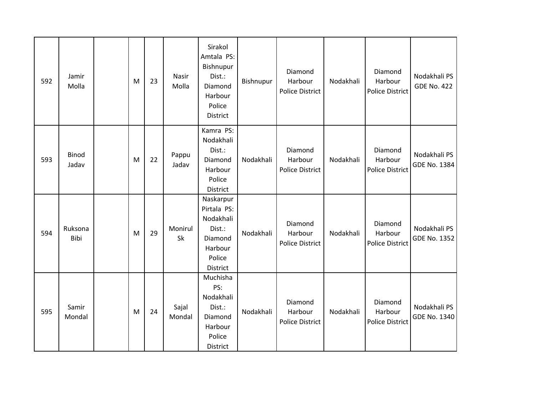| 592 | Jamir<br>Molla  | M | 23 | Nasir<br>Molla  | Sirakol<br>Amtala PS:<br>Bishnupur<br>Dist.:<br>Diamond<br>Harbour<br>Police<br>District    | Bishnupur | Diamond<br>Harbour<br><b>Police District</b> | Nodakhali | Diamond<br>Harbour<br><b>Police District</b> | Nodakhali PS<br><b>GDE No. 422</b> |
|-----|-----------------|---|----|-----------------|---------------------------------------------------------------------------------------------|-----------|----------------------------------------------|-----------|----------------------------------------------|------------------------------------|
| 593 | Binod<br>Jadav  | M | 22 | Pappu<br>Jadav  | Kamra PS:<br>Nodakhali<br>Dist.:<br>Diamond<br>Harbour<br>Police<br>District                | Nodakhali | Diamond<br>Harbour<br><b>Police District</b> | Nodakhali | Diamond<br>Harbour<br><b>Police District</b> | Nodakhali PS<br>GDE No. 1384       |
| 594 | Ruksona<br>Bibi | M | 29 | Monirul<br>Sk   | Naskarpur<br>Pirtala PS:<br>Nodakhali<br>Dist.:<br>Diamond<br>Harbour<br>Police<br>District | Nodakhali | Diamond<br>Harbour<br><b>Police District</b> | Nodakhali | Diamond<br>Harbour<br><b>Police District</b> | Nodakhali PS<br>GDE No. 1352       |
| 595 | Samir<br>Mondal | M | 24 | Sajal<br>Mondal | Muchisha<br>PS:<br>Nodakhali<br>Dist.:<br>Diamond<br>Harbour<br>Police<br>District          | Nodakhali | Diamond<br>Harbour<br><b>Police District</b> | Nodakhali | Diamond<br>Harbour<br><b>Police District</b> | Nodakhali PS<br>GDE No. 1340       |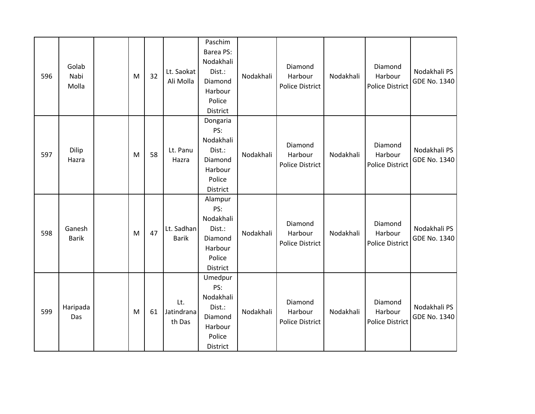| 596 | Golab<br>Nabi<br>Molla | M         | 32 | Lt. Saokat<br>Ali Molla     | Paschim<br>Barea PS:<br>Nodakhali<br>Dist.:<br>Diamond<br>Harbour<br>Police<br>District | Nodakhali | Diamond<br>Harbour<br><b>Police District</b> | Nodakhali | Diamond<br>Harbour<br><b>Police District</b> | Nodakhali PS<br><b>GDE No. 1340</b> |
|-----|------------------------|-----------|----|-----------------------------|-----------------------------------------------------------------------------------------|-----------|----------------------------------------------|-----------|----------------------------------------------|-------------------------------------|
| 597 | Dilip<br>Hazra         | M         | 58 | Lt. Panu<br>Hazra           | Dongaria<br>PS:<br>Nodakhali<br>Dist.:<br>Diamond<br>Harbour<br>Police<br>District      | Nodakhali | Diamond<br>Harbour<br><b>Police District</b> | Nodakhali | Diamond<br>Harbour<br><b>Police District</b> | Nodakhali PS<br><b>GDE No. 1340</b> |
| 598 | Ganesh<br><b>Barik</b> | ${\sf M}$ | 47 | Lt. Sadhan<br><b>Barik</b>  | Alampur<br>PS:<br>Nodakhali<br>Dist.:<br>Diamond<br>Harbour<br>Police<br>District       | Nodakhali | Diamond<br>Harbour<br><b>Police District</b> | Nodakhali | Diamond<br>Harbour<br><b>Police District</b> | Nodakhali PS<br><b>GDE No. 1340</b> |
| 599 | Haripada<br>Das        | M         | 61 | Lt.<br>Jatindrana<br>th Das | Umedpur<br>PS:<br>Nodakhali<br>Dist.:<br>Diamond<br>Harbour<br>Police<br>District       | Nodakhali | Diamond<br>Harbour<br><b>Police District</b> | Nodakhali | Diamond<br>Harbour<br><b>Police District</b> | Nodakhali PS<br>GDE No. 1340        |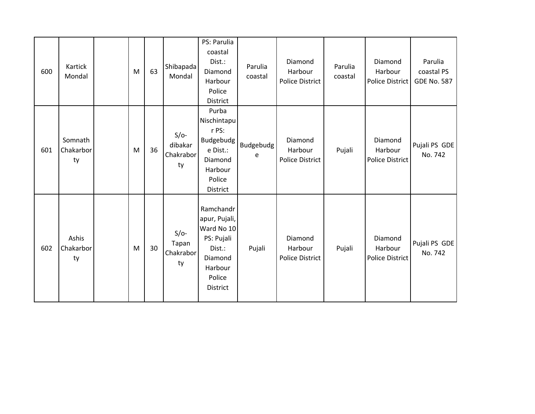| 600 | Kartick<br>Mondal          | M | 63 | Shibapada<br>Mondal                  | PS: Parulia<br>coastal<br>Dist.:<br>Diamond<br>Harbour<br>Police<br>District                                        | Parulia<br>coastal | Diamond<br>Harbour<br><b>Police District</b> | Parulia<br>coastal | Diamond<br>Harbour<br>Police District        | Parulia<br>coastal PS<br><b>GDE No. 587</b> |
|-----|----------------------------|---|----|--------------------------------------|---------------------------------------------------------------------------------------------------------------------|--------------------|----------------------------------------------|--------------------|----------------------------------------------|---------------------------------------------|
| 601 | Somnath<br>Chakarbor<br>ty | M | 36 | $S/O-$<br>dibakar<br>Chakrabor<br>ty | Purba<br>Nischintapu<br>r PS:<br>Budgebudg<br>e Dist.:<br>Diamond<br>Harbour<br>Police<br>District                  | Budgebudg<br>e     | Diamond<br>Harbour<br><b>Police District</b> | Pujali             | Diamond<br>Harbour<br>Police District        | Pujali PS GDE<br>No. 742                    |
| 602 | Ashis<br>Chakarbor<br>ty   | M | 30 | $S/O-$<br>Tapan<br>Chakrabor<br>ty   | Ramchandr<br>apur, Pujali,<br>Ward No 10<br>PS: Pujali<br>Dist.:<br>Diamond<br>Harbour<br>Police<br><b>District</b> | Pujali             | Diamond<br>Harbour<br><b>Police District</b> | Pujali             | Diamond<br>Harbour<br><b>Police District</b> | Pujali PS GDE<br>No. 742                    |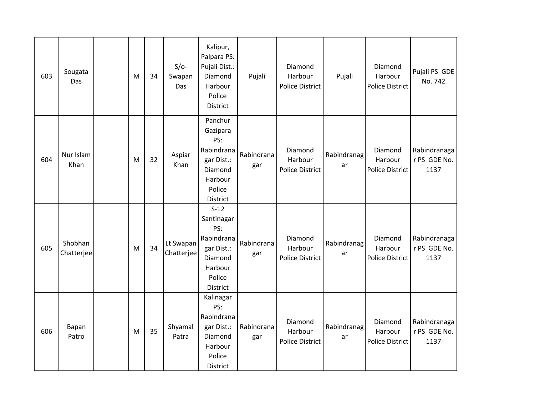| 603 | Sougata<br>Das        | M         | 34 | $S/O-$<br>Swapan<br>Das | Kalipur,<br>Palpara PS:<br>Pujali Dist.:<br>Diamond<br>Harbour<br>Police<br>District                       | Pujali            | Diamond<br>Harbour<br><b>Police District</b> | Pujali            | Diamond<br>Harbour<br><b>Police District</b> | Pujali PS GDE<br>No. 742             |
|-----|-----------------------|-----------|----|-------------------------|------------------------------------------------------------------------------------------------------------|-------------------|----------------------------------------------|-------------------|----------------------------------------------|--------------------------------------|
| 604 | Nur Islam<br>Khan     | M         | 32 | Aspiar<br>Khan          | Panchur<br>Gazipara<br>PS:<br>Rabindrana<br>gar Dist.:<br>Diamond<br>Harbour<br>Police<br>District         | Rabindrana<br>gar | Diamond<br>Harbour<br><b>Police District</b> | Rabindranag<br>ar | Diamond<br>Harbour<br>Police District        | Rabindranaga<br>r PS GDE No.<br>1137 |
| 605 | Shobhan<br>Chatterjee | ${\sf M}$ | 34 | Lt Swapan<br>Chatterjee | $S-12$<br>Santinagar<br>PS:<br>Rabindrana<br>gar Dist.:<br>Diamond<br>Harbour<br>Police<br><b>District</b> | Rabindrana<br>gar | Diamond<br>Harbour<br><b>Police District</b> | Rabindranag<br>ar | Diamond<br>Harbour<br><b>Police District</b> | Rabindranaga<br>r PS GDE No.<br>1137 |
| 606 | Bapan<br>Patro        | M         | 35 | Shyamal<br>Patra        | Kalinagar<br>PS:<br>Rabindrana<br>gar Dist.:<br>Diamond<br>Harbour<br>Police<br><b>District</b>            | Rabindrana<br>gar | Diamond<br>Harbour<br><b>Police District</b> | Rabindranag<br>ar | Diamond<br>Harbour<br>Police District        | Rabindranaga<br>r PS GDE No.<br>1137 |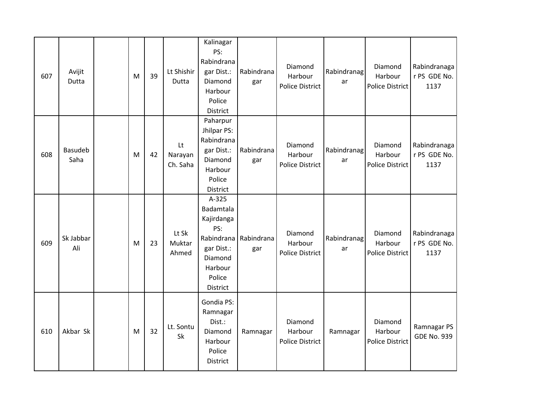| 607 | Avijit<br>Dutta        | M         | 39 | Lt Shishir<br>Dutta       | Kalinagar<br>PS:<br>Rabindrana<br>gar Dist.:<br>Diamond<br>Harbour<br>Police<br>District                          | Rabindrana<br>gar | Diamond<br>Harbour<br><b>Police District</b> | Rabindranag<br>ar | Diamond<br>Harbour<br>Police District        | Rabindranaga<br>r PS GDE No.<br>1137 |
|-----|------------------------|-----------|----|---------------------------|-------------------------------------------------------------------------------------------------------------------|-------------------|----------------------------------------------|-------------------|----------------------------------------------|--------------------------------------|
| 608 | <b>Basudeb</b><br>Saha | ${\sf M}$ | 42 | Lt<br>Narayan<br>Ch. Saha | Paharpur<br>Jhilpar PS:<br>Rabindrana<br>gar Dist.:<br>Diamond<br>Harbour<br>Police<br>District                   | Rabindrana<br>gar | Diamond<br>Harbour<br><b>Police District</b> | Rabindranag<br>ar | Diamond<br>Harbour<br>Police District        | Rabindranaga<br>r PS GDE No.<br>1137 |
| 609 | Sk Jabbar<br>Ali       | ${\sf M}$ | 23 | Lt Sk<br>Muktar<br>Ahmed  | $A-325$<br>Badamtala<br>Kajirdanga<br>PS:<br>Rabindrana<br>gar Dist.:<br>Diamond<br>Harbour<br>Police<br>District | Rabindrana<br>gar | Diamond<br>Harbour<br><b>Police District</b> | Rabindranag<br>ar | Diamond<br>Harbour<br>Police District        | Rabindranaga<br>r PS GDE No.<br>1137 |
| 610 | Akbar Sk               | M         | 32 | Lt. Sontu<br>Sk           | Gondia PS:<br>Ramnagar<br>Dist.:<br>Diamond<br>Harbour<br>Police<br>District                                      | Ramnagar          | Diamond<br>Harbour<br><b>Police District</b> | Ramnagar          | Diamond<br>Harbour<br><b>Police District</b> | Ramnagar PS<br><b>GDE No. 939</b>    |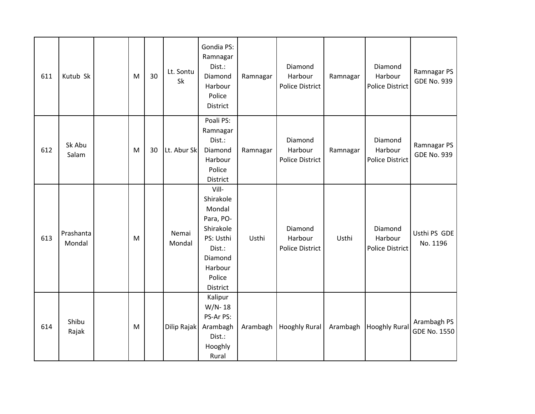| 611 | Kutub Sk            | ${\sf M}$ | 30 | Lt. Sontu<br>Sk | Gondia PS:<br>Ramnagar<br>Dist.:<br>Diamond<br>Harbour<br>Police<br>District                                              | Ramnagar | Diamond<br>Harbour<br><b>Police District</b> | Ramnagar | Diamond<br>Harbour<br><b>Police District</b> | Ramnagar PS<br><b>GDE No. 939</b>  |
|-----|---------------------|-----------|----|-----------------|---------------------------------------------------------------------------------------------------------------------------|----------|----------------------------------------------|----------|----------------------------------------------|------------------------------------|
| 612 | Sk Abu<br>Salam     | M         | 30 | Lt. Abur Sk     | Poali PS:<br>Ramnagar<br>Dist.:<br>Diamond<br>Harbour<br>Police<br>District                                               | Ramnagar | Diamond<br>Harbour<br><b>Police District</b> | Ramnagar | Diamond<br>Harbour<br><b>Police District</b> | Ramnagar PS<br><b>GDE No. 939</b>  |
| 613 | Prashanta<br>Mondal | M         |    | Nemai<br>Mondal | Vill-<br>Shirakole<br>Mondal<br>Para, PO-<br>Shirakole<br>PS: Usthi<br>Dist.:<br>Diamond<br>Harbour<br>Police<br>District | Usthi    | Diamond<br>Harbour<br><b>Police District</b> | Usthi    | Diamond<br>Harbour<br><b>Police District</b> | Usthi PS GDE<br>No. 1196           |
| 614 | Shibu<br>Rajak      | M         |    | Dilip Rajak     | Kalipur<br>$W/N-18$<br>PS-Ar PS:<br>Arambagh<br>Dist.:<br>Hooghly<br>Rural                                                | Arambagh | <b>Hooghly Rural</b>                         | Arambagh | <b>Hooghly Rural</b>                         | Arambagh PS<br><b>GDE No. 1550</b> |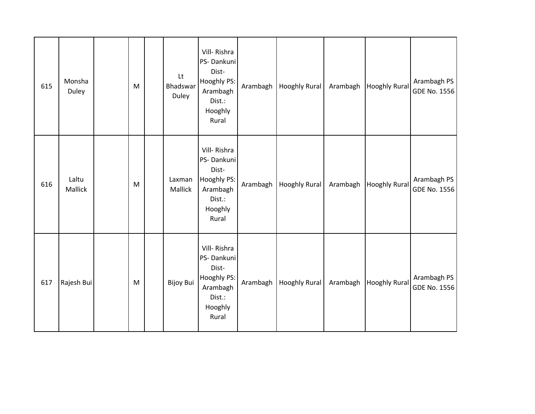| 615 | Monsha<br>Duley  | ${\sf M}$ | Lt<br>Bhadswar<br>Duley | Vill-Rishra<br>PS-Dankuni<br>Dist-<br>Hooghly PS:<br>Arambagh<br>Dist.:<br>Hooghly<br>Rural | Arambagh | <b>Hooghly Rural</b> | Arambagh | <b>Hooghly Rural</b> | Arambagh PS<br>GDE No. 1556 |
|-----|------------------|-----------|-------------------------|---------------------------------------------------------------------------------------------|----------|----------------------|----------|----------------------|-----------------------------|
| 616 | Laltu<br>Mallick | M         | Laxman<br>Mallick       | Vill-Rishra<br>PS-Dankuni<br>Dist-<br>Hooghly PS:<br>Arambagh<br>Dist.:<br>Hooghly<br>Rural | Arambagh | <b>Hooghly Rural</b> | Arambagh | <b>Hooghly Rural</b> | Arambagh PS<br>GDE No. 1556 |
| 617 | Rajesh Bui       | ${\sf M}$ | Bijoy Bui               | Vill-Rishra<br>PS-Dankuni<br>Dist-<br>Hooghly PS:<br>Arambagh<br>Dist.:<br>Hooghly<br>Rural | Arambagh | <b>Hooghly Rural</b> | Arambagh | <b>Hooghly Rural</b> | Arambagh PS<br>GDE No. 1556 |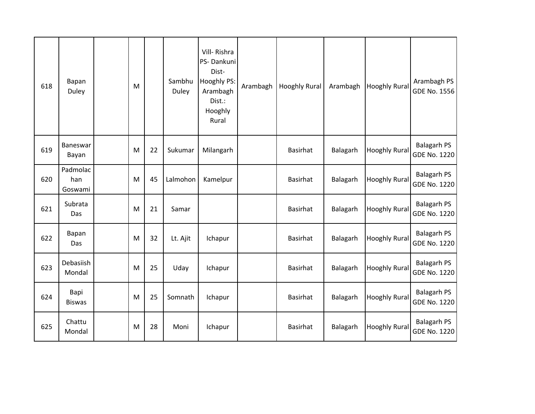| 618 | Bapan<br>Duley             | M |    | Sambhu<br>Duley | Vill-Rishra<br>PS-Dankuni<br>Dist-<br>Hooghly PS:<br>Arambagh<br>Dist.:<br>Hooghly<br>Rural | Arambagh | <b>Hooghly Rural</b> | Arambagh | <b>Hooghly Rural</b> | Arambagh PS<br><b>GDE No. 1556</b>        |
|-----|----------------------------|---|----|-----------------|---------------------------------------------------------------------------------------------|----------|----------------------|----------|----------------------|-------------------------------------------|
| 619 | Baneswar<br>Bayan          | M | 22 | Sukumar         | Milangarh                                                                                   |          | <b>Basirhat</b>      | Balagarh | <b>Hooghly Rural</b> | <b>Balagarh PS</b><br><b>GDE No. 1220</b> |
| 620 | Padmolac<br>han<br>Goswami | M | 45 | Lalmohon        | Kamelpur                                                                                    |          | <b>Basirhat</b>      | Balagarh | <b>Hooghly Rural</b> | <b>Balagarh PS</b><br><b>GDE No. 1220</b> |
| 621 | Subrata<br>Das             | M | 21 | Samar           |                                                                                             |          | <b>Basirhat</b>      | Balagarh | <b>Hooghly Rural</b> | <b>Balagarh PS</b><br><b>GDE No. 1220</b> |
| 622 | Bapan<br>Das               | M | 32 | Lt. Ajit        | Ichapur                                                                                     |          | <b>Basirhat</b>      | Balagarh | <b>Hooghly Rural</b> | <b>Balagarh PS</b><br><b>GDE No. 1220</b> |
| 623 | Debasiish<br>Mondal        | M | 25 | Uday            | Ichapur                                                                                     |          | <b>Basirhat</b>      | Balagarh | <b>Hooghly Rural</b> | <b>Balagarh PS</b><br><b>GDE No. 1220</b> |
| 624 | Bapi<br><b>Biswas</b>      | M | 25 | Somnath         | Ichapur                                                                                     |          | <b>Basirhat</b>      | Balagarh | <b>Hooghly Rural</b> | <b>Balagarh PS</b><br><b>GDE No. 1220</b> |
| 625 | Chattu<br>Mondal           | M | 28 | Moni            | Ichapur                                                                                     |          | <b>Basirhat</b>      | Balagarh | <b>Hooghly Rural</b> | <b>Balagarh PS</b><br><b>GDE No. 1220</b> |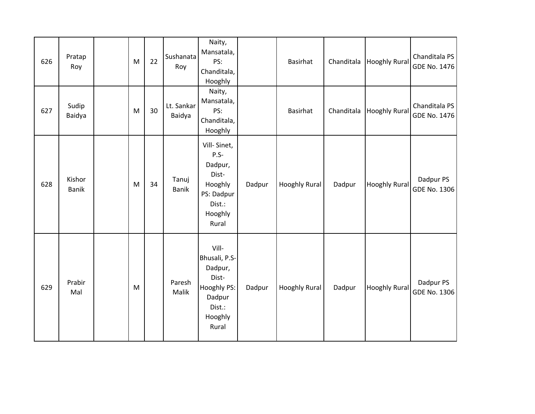| 626 | Pratap<br>Roy          | M         | 22 | Sushanata<br>Roy      | Naity,<br>Mansatala,<br>PS:<br>Chanditala,<br>Hooghly                                             |        | Basirhat             | Chanditala | <b>Hooghly Rural</b> | Chanditala PS<br>GDE No. 1476 |
|-----|------------------------|-----------|----|-----------------------|---------------------------------------------------------------------------------------------------|--------|----------------------|------------|----------------------|-------------------------------|
| 627 | Sudip<br>Baidya        | ${\sf M}$ | 30 | Lt. Sankar<br>Baidya  | Naity,<br>Mansatala,<br>PS:<br>Chanditala,<br>Hooghly                                             |        | Basirhat             | Chanditala | <b>Hooghly Rural</b> | Chanditala PS<br>GDE No. 1476 |
| 628 | Kishor<br><b>Banik</b> | ${\sf M}$ | 34 | Tanuj<br><b>Banik</b> | Vill-Sinet,<br>$P.S -$<br>Dadpur,<br>Dist-<br>Hooghly<br>PS: Dadpur<br>Dist.:<br>Hooghly<br>Rural | Dadpur | <b>Hooghly Rural</b> | Dadpur     | <b>Hooghly Rural</b> | Dadpur PS<br>GDE No. 1306     |
| 629 | Prabir<br>Mal          | ${\sf M}$ |    | Paresh<br>Malik       | Vill-<br>Bhusali, P.S-<br>Dadpur,<br>Dist-<br>Hooghly PS:<br>Dadpur<br>Dist.:<br>Hooghly<br>Rural | Dadpur | <b>Hooghly Rural</b> | Dadpur     | Hooghly Rural        | Dadpur PS<br>GDE No. 1306     |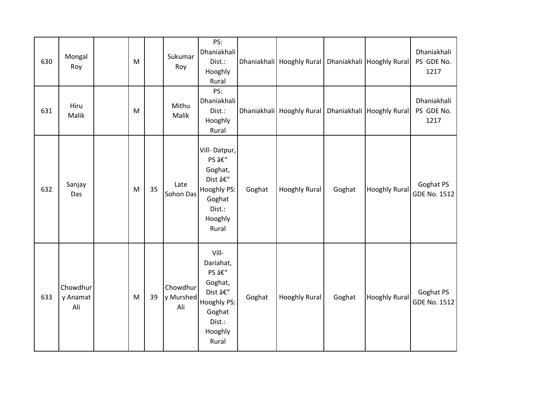| 630 | Mongal<br>Roy               | M         |    | Sukumar<br>Roy               | PS:<br>Dhaniakhali<br>Dist.:<br>Hooghly<br>Rural                                                       |        | Dhaniakhali   Hooghly Rural                               |        | Dhaniakhali   Hooghly Rural | Dhaniakhali<br>PS GDE No.<br>1217 |
|-----|-----------------------------|-----------|----|------------------------------|--------------------------------------------------------------------------------------------------------|--------|-----------------------------------------------------------|--------|-----------------------------|-----------------------------------|
| 631 | Hiru<br>Malik               | ${\sf M}$ |    | Mithu<br>Malik               | PS:<br>Dhaniakhali<br>Dist.:<br>Hooghly<br>Rural                                                       |        | Dhaniakhali   Hooghly Rural   Dhaniakhali   Hooghly Rural |        |                             | Dhaniakhali<br>PS GDE No.<br>1217 |
| 632 | Sanjay<br>Das               | ${\sf M}$ | 35 | Late<br>Sohon Das            | Vill-Datpur,<br>PS –<br>Goghat,<br>Dist –<br>Hooghly PS:<br>Goghat<br>Dist.:<br>Hooghly<br>Rural       | Goghat | <b>Hooghly Rural</b>                                      | Goghat | <b>Hooghly Rural</b>        | Goghat PS<br><b>GDE No. 1512</b>  |
| 633 | Chowdhur<br>y Anamat<br>Ali | M         | 39 | Chowdhur<br>y Murshed<br>Ali | Vill-<br>Dariahat,<br>PS –<br>Goghat,<br>Dist –<br>Hooghly PS:<br>Goghat<br>Dist.:<br>Hooghly<br>Rural | Goghat | <b>Hooghly Rural</b>                                      | Goghat | <b>Hooghly Rural</b>        | Goghat PS<br><b>GDE No. 1512</b>  |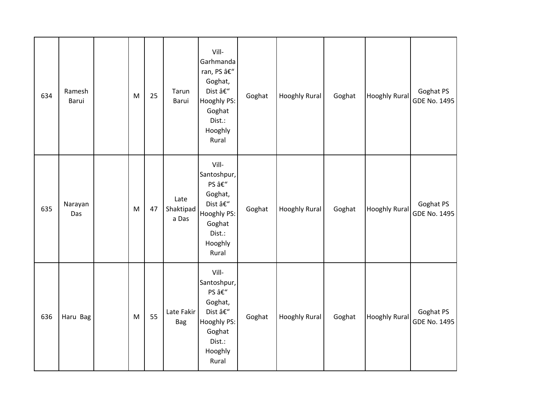| 634 | Ramesh<br>Barui | ${\sf M}$                                                                                                  | 25 | Tarun<br>Barui             | Vill-<br>Garhmanda<br>ran, PS –<br>Goghat,<br>Dist –<br>Hooghly PS:<br>Goghat<br>Dist.:<br>Hooghly<br>Rural | Goghat | <b>Hooghly Rural</b> | Goghat | <b>Hooghly Rural</b> | Goghat PS<br>GDE No. 1495        |
|-----|-----------------|------------------------------------------------------------------------------------------------------------|----|----------------------------|-------------------------------------------------------------------------------------------------------------|--------|----------------------|--------|----------------------|----------------------------------|
| 635 | Narayan<br>Das  | $\mathsf{M}% _{T}=\mathsf{M}_{T}\!\left( a,b\right) ,\ \mathsf{M}_{T}=\mathsf{M}_{T}\!\left( a,b\right) ,$ | 47 | Late<br>Shaktipad<br>a Das | Vill-<br>Santoshpur,<br>PS –<br>Goghat,<br>Dist –<br>Hooghly PS:<br>Goghat<br>Dist.:<br>Hooghly<br>Rural    | Goghat | <b>Hooghly Rural</b> | Goghat | <b>Hooghly Rural</b> | Goghat PS<br>GDE No. 1495        |
| 636 | Haru Bag        | ${\sf M}$                                                                                                  | 55 | Late Fakir<br><b>Bag</b>   | Vill-<br>Santoshpur,<br>PS –<br>Goghat,<br>Dist –<br>Hooghly PS:<br>Goghat<br>Dist.:<br>Hooghly<br>Rural    | Goghat | <b>Hooghly Rural</b> | Goghat | <b>Hooghly Rural</b> | Goghat PS<br><b>GDE No. 1495</b> |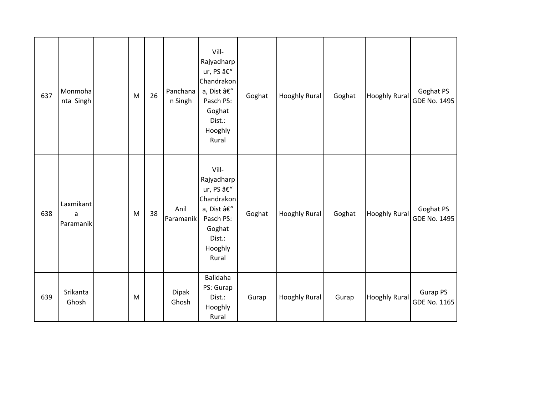| 637 | Monmoha<br>nta Singh        | M | 26 | Panchana<br>n Singh | Vill-<br>Rajyadharp<br>ur, PS –<br>Chandrakon<br>a, Dist –<br>Pasch PS:<br>Goghat<br>Dist.:<br>Hooghly<br>Rural | Goghat | <b>Hooghly Rural</b> | Goghat | <b>Hooghly Rural</b> | Goghat PS<br><b>GDE No. 1495</b> |
|-----|-----------------------------|---|----|---------------------|-----------------------------------------------------------------------------------------------------------------|--------|----------------------|--------|----------------------|----------------------------------|
| 638 | Laxmikant<br>a<br>Paramanik | M | 38 | Anil<br>Paramanik   | Vill-<br>Rajyadharp<br>ur, PS –<br>Chandrakon<br>a, Dist –<br>Pasch PS:<br>Goghat<br>Dist.:<br>Hooghly<br>Rural | Goghat | Hooghly Rural        | Goghat | <b>Hooghly Rural</b> | Goghat PS<br><b>GDE No. 1495</b> |
| 639 | Srikanta<br>Ghosh           | M |    | Dipak<br>Ghosh      | Balidaha<br>PS: Gurap<br>Dist.:<br>Hooghly<br>Rural                                                             | Gurap  | <b>Hooghly Rural</b> | Gurap  | <b>Hooghly Rural</b> | <b>Gurap PS</b><br>GDE No. 1165  |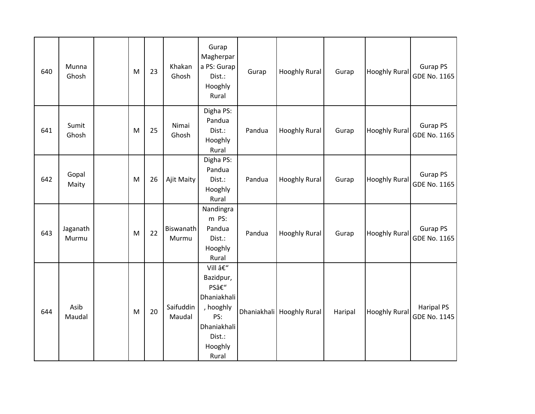| 640 | Munna<br>Ghosh    | M         | 23 | Khakan<br>Ghosh     | Gurap<br>Magherpar<br>a PS: Gurap<br>Dist.:<br>Hooghly<br>Rural                                            | Gurap  | <b>Hooghly Rural</b>      | Gurap   | <b>Hooghly Rural</b> | Gurap PS<br>GDE No. 1165          |
|-----|-------------------|-----------|----|---------------------|------------------------------------------------------------------------------------------------------------|--------|---------------------------|---------|----------------------|-----------------------------------|
| 641 | Sumit<br>Ghosh    | ${\sf M}$ | 25 | Nimai<br>Ghosh      | Digha PS:<br>Pandua<br>Dist.:<br>Hooghly<br>Rural                                                          | Pandua | <b>Hooghly Rural</b>      | Gurap   | <b>Hooghly Rural</b> | Gurap PS<br>GDE No. 1165          |
| 642 | Gopal<br>Maity    | ${\sf M}$ | 26 | Ajit Maity          | Digha PS:<br>Pandua<br>Dist.:<br>Hooghly<br>Rural                                                          | Pandua | <b>Hooghly Rural</b>      | Gurap   | <b>Hooghly Rural</b> | Gurap PS<br>GDE No. 1165          |
| 643 | Jaganath<br>Murmu | M         | 22 | Biswanath<br>Murmu  | Nandingra<br>m PS:<br>Pandua<br>Dist.:<br>Hooghly<br>Rural                                                 | Pandua | <b>Hooghly Rural</b>      | Gurap   | Hooghly Rural        | <b>Gurap PS</b><br>GDE No. 1165   |
| 644 | Asib<br>Maudal    | ${\sf M}$ | 20 | Saifuddin<br>Maudal | Vill –<br>Bazidpur,<br>PS–<br>Dhaniakhali<br>, hooghly<br>PS:<br>Dhaniakhali<br>Dist.:<br>Hooghly<br>Rural |        | Dhaniakhali Hooghly Rural | Haripal | <b>Hooghly Rural</b> | <b>Haripal PS</b><br>GDE No. 1145 |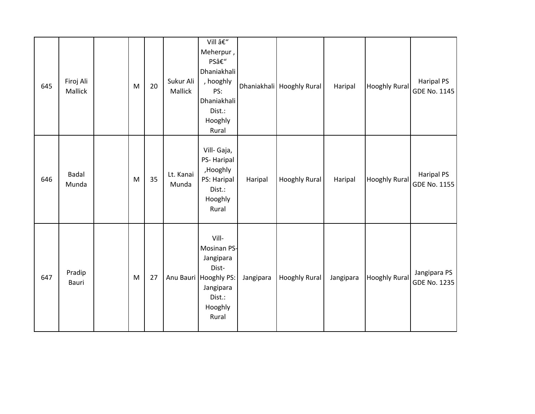| 645 | Firoj Ali<br>Mallick | $\mathsf{M}% _{T}=\mathsf{M}_{T}\!\left( a,b\right) ,\ \mathsf{M}_{T}=\mathsf{M}_{T}$ | 20 | Sukur Ali<br>Mallick | Vill –<br>Meherpur,<br>PS–<br>Dhaniakhali<br>, hooghly<br>PS:<br>Dhaniakhali<br>Dist.:<br>Hooghly<br>Rural     |           | Dhaniakhali Hooghly Rural | Haripal   | <b>Hooghly Rural</b> | <b>Haripal PS</b><br>GDE No. 1145 |
|-----|----------------------|---------------------------------------------------------------------------------------|----|----------------------|----------------------------------------------------------------------------------------------------------------|-----------|---------------------------|-----------|----------------------|-----------------------------------|
| 646 | Badal<br>Munda       | ${\sf M}$                                                                             | 35 | Lt. Kanai<br>Munda   | Vill- Gaja,<br>PS-Haripal<br>,Hooghly<br>PS: Haripal<br>Dist.:<br>Hooghly<br>Rural                             | Haripal   | <b>Hooghly Rural</b>      | Haripal   | <b>Hooghly Rural</b> | <b>Haripal PS</b><br>GDE No. 1155 |
| 647 | Pradip<br>Bauri      | M                                                                                     | 27 |                      | Vill-<br>Mosinan PS-<br>Jangipara<br>Dist-<br>Anu Bauri Hooghly PS:<br>Jangipara<br>Dist.:<br>Hooghly<br>Rural | Jangipara | <b>Hooghly Rural</b>      | Jangipara | <b>Hooghly Rural</b> | Jangipara PS<br>GDE No. 1235      |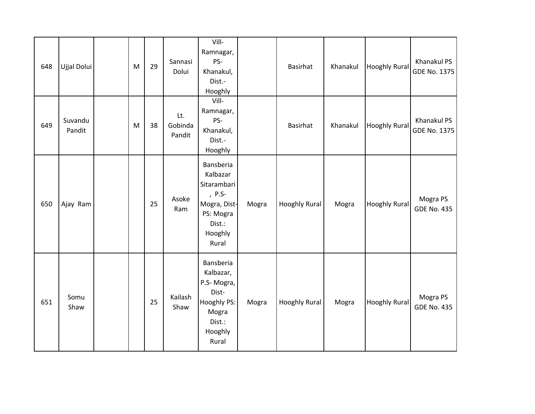| 648 | Ujjal Dolui       | M | 29 | Sannasi<br>Dolui         | Vill-<br>Ramnagar,<br>PS-<br>Khanakul,<br>Dist.-<br>Hooghly                                               |       | <b>Basirhat</b>      | Khanakul | <b>Hooghly Rural</b> | Khanakul PS<br>GDE No. 1375    |
|-----|-------------------|---|----|--------------------------|-----------------------------------------------------------------------------------------------------------|-------|----------------------|----------|----------------------|--------------------------------|
| 649 | Suvandu<br>Pandit | M | 38 | Lt.<br>Gobinda<br>Pandit | Vill-<br>Ramnagar,<br>PS-<br>Khanakul,<br>Dist.-<br>Hooghly                                               |       | <b>Basirhat</b>      | Khanakul | <b>Hooghly Rural</b> | Khanakul PS<br>GDE No. 1375    |
| 650 | Ajay Ram          |   | 25 | Asoke<br>Ram             | Bansberia<br>Kalbazar<br>Sitarambari<br>, P.S-<br>Mogra, Dist-<br>PS: Mogra<br>Dist.:<br>Hooghly<br>Rural | Mogra | <b>Hooghly Rural</b> | Mogra    | Hooghly Rural        | Mogra PS<br><b>GDE No. 435</b> |
| 651 | Somu<br>Shaw      |   | 25 | Kailash<br>Shaw          | Bansberia<br>Kalbazar,<br>P.S-Mogra,<br>Dist-<br>Hooghly PS:<br>Mogra<br>Dist.:<br>Hooghly<br>Rural       | Mogra | <b>Hooghly Rural</b> | Mogra    | <b>Hooghly Rural</b> | Mogra PS<br><b>GDE No. 435</b> |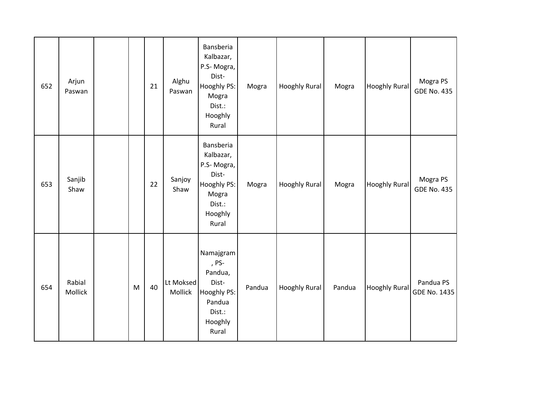| 652 | Arjun<br>Paswan   |           | 21 | Alghu<br>Paswan      | Bansberia<br>Kalbazar,<br>P.S-Mogra,<br>Dist-<br>Hooghly PS:<br>Mogra<br>Dist.:<br>Hooghly<br>Rural | Mogra  | <b>Hooghly Rural</b> | Mogra  | <b>Hooghly Rural</b> | Mogra PS<br><b>GDE No. 435</b> |
|-----|-------------------|-----------|----|----------------------|-----------------------------------------------------------------------------------------------------|--------|----------------------|--------|----------------------|--------------------------------|
| 653 | Sanjib<br>Shaw    |           | 22 | Sanjoy<br>Shaw       | Bansberia<br>Kalbazar,<br>P.S-Mogra,<br>Dist-<br>Hooghly PS:<br>Mogra<br>Dist.:<br>Hooghly<br>Rural | Mogra  | <b>Hooghly Rural</b> | Mogra  | <b>Hooghly Rural</b> | Mogra PS<br><b>GDE No. 435</b> |
| 654 | Rabial<br>Mollick | ${\sf M}$ | 40 | Lt Moksed<br>Mollick | Namajgram<br>, PS-<br>Pandua,<br>Dist-<br>Hooghly PS:<br>Pandua<br>Dist.:<br>Hooghly<br>Rural       | Pandua | <b>Hooghly Rural</b> | Pandua | Hooghly Rural        | Pandua PS<br>GDE No. 1435      |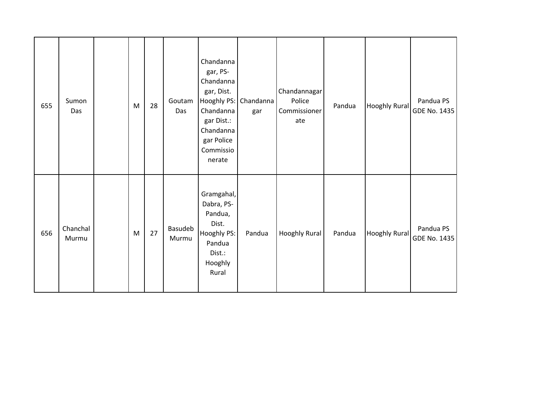| 655 | Sumon<br>Das      | M | 28 | Goutam<br>Das    | Chandanna<br>gar, PS-<br>Chandanna<br>gar, Dist.<br>Hooghly PS: Chandanna<br>Chandanna<br>gar Dist.:<br>Chandanna<br>gar Police<br>Commissio<br>nerate | gar    | Chandannagar<br>Police<br>Commissioner<br>ate | Pandua | <b>Hooghly Rural</b> | Pandua PS<br>GDE No. 1435 |
|-----|-------------------|---|----|------------------|--------------------------------------------------------------------------------------------------------------------------------------------------------|--------|-----------------------------------------------|--------|----------------------|---------------------------|
| 656 | Chanchal<br>Murmu | M | 27 | Basudeb<br>Murmu | Gramgahal,<br>Dabra, PS-<br>Pandua,<br>Dist.<br>Hooghly PS:<br>Pandua<br>Dist.:<br>Hooghly<br>Rural                                                    | Pandua | Hooghly Rural                                 | Pandua | <b>Hooghly Rural</b> | Pandua PS<br>GDE No. 1435 |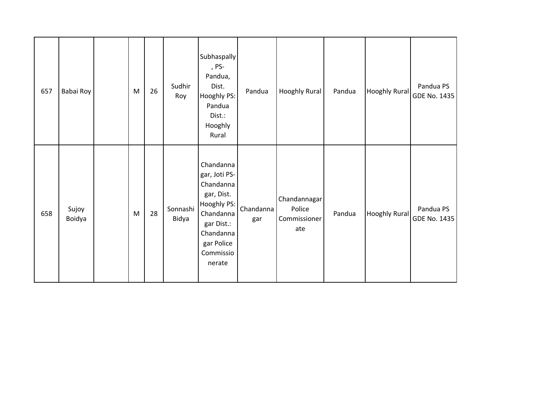| 657 | Babai Roy       | M | 26 | Sudhir<br>Roy     | Subhaspally<br>, PS-<br>Pandua,<br>Dist.<br>Hooghly PS:<br>Pandua<br>Dist.:<br>Hooghly<br>Rural                                                   | Pandua           | Hooghly Rural                                 | Pandua | <b>Hooghly Rural</b> | Pandua PS<br>GDE No. 1435 |
|-----|-----------------|---|----|-------------------|---------------------------------------------------------------------------------------------------------------------------------------------------|------------------|-----------------------------------------------|--------|----------------------|---------------------------|
| 658 | Sujoy<br>Boidya | M | 28 | Sonnashi<br>Bidya | Chandanna<br>gar, Joti PS-<br>Chandanna<br>gar, Dist.<br>Hooghly PS:<br>Chandanna<br>gar Dist.:<br>Chandanna<br>gar Police<br>Commissio<br>nerate | Chandanna<br>gar | Chandannagar<br>Police<br>Commissioner<br>ate | Pandua | <b>Hooghly Rural</b> | Pandua PS<br>GDE No. 1435 |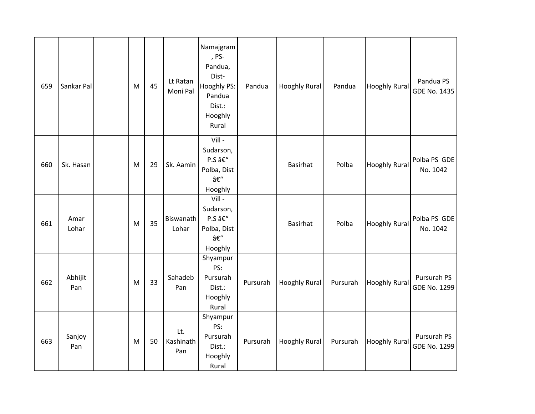| 659 | Sankar Pal     | M         | 45 | Lt Ratan<br>Moni Pal    | Namajgram<br>, PS-<br>Pandua,<br>Dist-<br>Hooghly PS:<br>Pandua<br>Dist.:<br>Hooghly<br>Rural | Pandua   | <b>Hooghly Rural</b> | Pandua   | <b>Hooghly Rural</b> | Pandua PS<br>GDE No. 1435   |
|-----|----------------|-----------|----|-------------------------|-----------------------------------------------------------------------------------------------|----------|----------------------|----------|----------------------|-----------------------------|
| 660 | Sk. Hasan      | ${\sf M}$ | 29 | Sk. Aamin               | Vill-<br>Sudarson,<br>P.S –<br>Polba, Dist<br>–<br>Hooghly                                    |          | <b>Basirhat</b>      | Polba    | <b>Hooghly Rural</b> | Polba PS GDE<br>No. 1042    |
| 661 | Amar<br>Lohar  | ${\sf M}$ | 35 | Biswanath<br>Lohar      | Vill -<br>Sudarson,<br>P.S –<br>Polba, Dist<br>–<br>Hooghly                                   |          | <b>Basirhat</b>      | Polba    | <b>Hooghly Rural</b> | Polba PS GDE<br>No. 1042    |
| 662 | Abhijit<br>Pan | M         | 33 | Sahadeb<br>Pan          | Shyampur<br>PS:<br>Pursurah<br>Dist.:<br>Hooghly<br>Rural                                     | Pursurah | <b>Hooghly Rural</b> | Pursurah | <b>Hooghly Rural</b> | Pursurah PS<br>GDE No. 1299 |
| 663 | Sanjoy<br>Pan  | M         | 50 | Lt.<br>Kashinath<br>Pan | Shyampur<br>PS:<br>Pursurah<br>Dist.:<br>Hooghly<br>Rural                                     | Pursurah | <b>Hooghly Rural</b> | Pursurah | <b>Hooghly Rural</b> | Pursurah PS<br>GDE No. 1299 |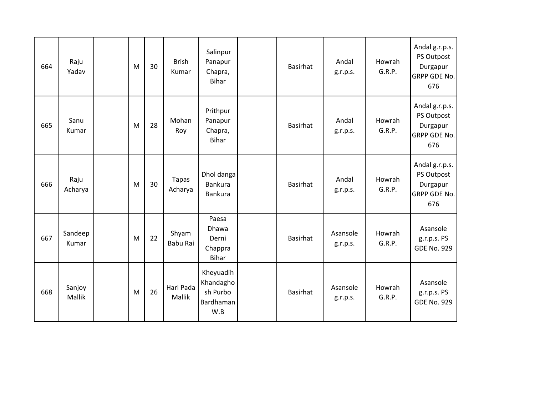| 664 | Raju<br>Yadav    | M | 30 | <b>Brish</b><br>Kumar   | Salinpur<br>Panapur<br>Chapra,<br><b>Bihar</b>         | <b>Basirhat</b> | Andal<br>g.r.p.s.    | Howrah<br>G.R.P. | Andal g.r.p.s.<br>PS Outpost<br>Durgapur<br><b>GRPP GDE No.</b><br>676 |
|-----|------------------|---|----|-------------------------|--------------------------------------------------------|-----------------|----------------------|------------------|------------------------------------------------------------------------|
| 665 | Sanu<br>Kumar    | M | 28 | Mohan<br>Roy            | Prithpur<br>Panapur<br>Chapra,<br><b>Bihar</b>         | <b>Basirhat</b> | Andal<br>g.r.p.s.    | Howrah<br>G.R.P. | Andal g.r.p.s.<br>PS Outpost<br>Durgapur<br><b>GRPP GDE No.</b><br>676 |
| 666 | Raju<br>Acharya  | M | 30 | <b>Tapas</b><br>Acharya | Dhol danga<br>Bankura<br><b>Bankura</b>                | <b>Basirhat</b> | Andal<br>g.r.p.s.    | Howrah<br>G.R.P. | Andal g.r.p.s.<br>PS Outpost<br>Durgapur<br><b>GRPP GDE No.</b><br>676 |
| 667 | Sandeep<br>Kumar | M | 22 | Shyam<br>Babu Rai       | Paesa<br>Dhawa<br>Derni<br>Chappra<br><b>Bihar</b>     | <b>Basirhat</b> | Asansole<br>g.r.p.s. | Howrah<br>G.R.P. | Asansole<br>g.r.p.s. PS<br><b>GDE No. 929</b>                          |
| 668 | Sanjoy<br>Mallik | M | 26 | Hari Pada<br>Mallik     | Kheyuadih<br>Khandagho<br>sh Purbo<br>Bardhaman<br>W.B | <b>Basirhat</b> | Asansole<br>g.r.p.s. | Howrah<br>G.R.P. | Asansole<br>g.r.p.s. PS<br><b>GDE No. 929</b>                          |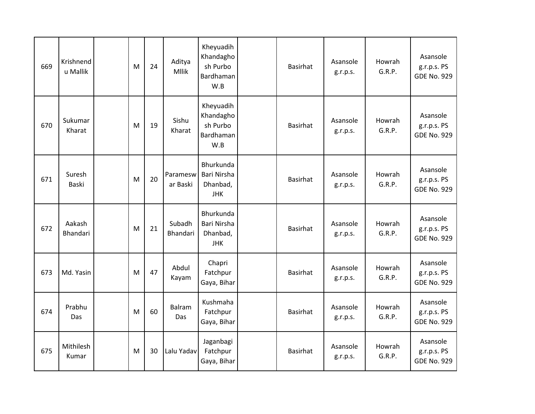| 669 | Krishnend<br>u Mallik | M | 24 | Aditya<br><b>Mllik</b> | Kheyuadih<br>Khandagho<br>sh Purbo<br>Bardhaman<br>W.B | <b>Basirhat</b> | Asansole<br>g.r.p.s. | Howrah<br>G.R.P. | Asansole<br>g.r.p.s. PS<br><b>GDE No. 929</b> |
|-----|-----------------------|---|----|------------------------|--------------------------------------------------------|-----------------|----------------------|------------------|-----------------------------------------------|
| 670 | Sukumar<br>Kharat     | M | 19 | Sishu<br>Kharat        | Kheyuadih<br>Khandagho<br>sh Purbo<br>Bardhaman<br>W.B | <b>Basirhat</b> | Asansole<br>g.r.p.s. | Howrah<br>G.R.P. | Asansole<br>g.r.p.s. PS<br><b>GDE No. 929</b> |
| 671 | Suresh<br>Baski       | M | 20 | Paramesw<br>ar Baski   | Bhurkunda<br>Bari Nirsha<br>Dhanbad,<br><b>JHK</b>     | <b>Basirhat</b> | Asansole<br>g.r.p.s. | Howrah<br>G.R.P. | Asansole<br>g.r.p.s. PS<br><b>GDE No. 929</b> |
| 672 | Aakash<br>Bhandari    | M | 21 | Subadh<br>Bhandari     | Bhurkunda<br>Bari Nirsha<br>Dhanbad,<br><b>JHK</b>     | <b>Basirhat</b> | Asansole<br>g.r.p.s. | Howrah<br>G.R.P. | Asansole<br>g.r.p.s. PS<br><b>GDE No. 929</b> |
| 673 | Md. Yasin             | M | 47 | Abdul<br>Kayam         | Chapri<br>Fatchpur<br>Gaya, Bihar                      | <b>Basirhat</b> | Asansole<br>g.r.p.s. | Howrah<br>G.R.P. | Asansole<br>g.r.p.s. PS<br><b>GDE No. 929</b> |
| 674 | Prabhu<br>Das         | M | 60 | <b>Balram</b><br>Das   | Kushmaha<br>Fatchpur<br>Gaya, Bihar                    | <b>Basirhat</b> | Asansole<br>g.r.p.s. | Howrah<br>G.R.P. | Asansole<br>g.r.p.s. PS<br><b>GDE No. 929</b> |
| 675 | Mithilesh<br>Kumar    | M | 30 | Lalu Yadav             | Jaganbagi<br>Fatchpur<br>Gaya, Bihar                   | <b>Basirhat</b> | Asansole<br>g.r.p.s. | Howrah<br>G.R.P. | Asansole<br>g.r.p.s. PS<br><b>GDE No. 929</b> |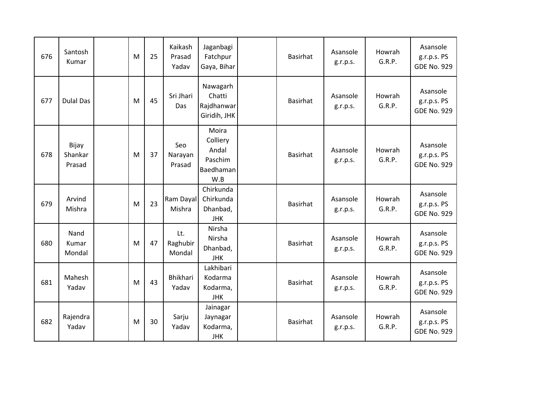| 676 | Santosh<br>Kumar           | M | 25 | Kaikash<br>Prasad<br>Yadav | Jaganbagi<br>Fatchpur<br>Gaya, Bihar                      | <b>Basirhat</b> | Asansole<br>g.r.p.s. | Howrah<br>G.R.P. | Asansole<br>g.r.p.s. PS<br><b>GDE No. 929</b> |
|-----|----------------------------|---|----|----------------------------|-----------------------------------------------------------|-----------------|----------------------|------------------|-----------------------------------------------|
| 677 | <b>Dulal Das</b>           | M | 45 | Sri Jhari<br><b>Das</b>    | Nawagarh<br>Chatti<br>Rajdhanwar<br>Giridih, JHK          | <b>Basirhat</b> | Asansole<br>g.r.p.s. | Howrah<br>G.R.P. | Asansole<br>g.r.p.s. PS<br><b>GDE No. 929</b> |
| 678 | Bijay<br>Shankar<br>Prasad | M | 37 | Seo<br>Narayan<br>Prasad   | Moira<br>Colliery<br>Andal<br>Paschim<br>Baedhaman<br>W.B | <b>Basirhat</b> | Asansole<br>g.r.p.s. | Howrah<br>G.R.P. | Asansole<br>g.r.p.s. PS<br><b>GDE No. 929</b> |
| 679 | Arvind<br>Mishra           | M | 23 | Ram Dayal<br>Mishra        | Chirkunda<br>Chirkunda<br>Dhanbad,<br><b>JHK</b>          | <b>Basirhat</b> | Asansole<br>g.r.p.s. | Howrah<br>G.R.P. | Asansole<br>g.r.p.s. PS<br><b>GDE No. 929</b> |
| 680 | Nand<br>Kumar<br>Mondal    | M | 47 | Lt.<br>Raghubir<br>Mondal  | Nirsha<br>Nirsha<br>Dhanbad,<br><b>JHK</b>                | <b>Basirhat</b> | Asansole<br>g.r.p.s. | Howrah<br>G.R.P. | Asansole<br>g.r.p.s. PS<br><b>GDE No. 929</b> |
| 681 | Mahesh<br>Yadav            | M | 43 | Bhikhari<br>Yadav          | Lakhibari<br>Kodarma<br>Kodarma,<br><b>JHK</b>            | <b>Basirhat</b> | Asansole<br>g.r.p.s. | Howrah<br>G.R.P. | Asansole<br>g.r.p.s. PS<br><b>GDE No. 929</b> |
| 682 | Rajendra<br>Yadav          | M | 30 | Sarju<br>Yadav             | Jainagar<br>Jaynagar<br>Kodarma,<br><b>JHK</b>            | <b>Basirhat</b> | Asansole<br>g.r.p.s. | Howrah<br>G.R.P. | Asansole<br>g.r.p.s. PS<br><b>GDE No. 929</b> |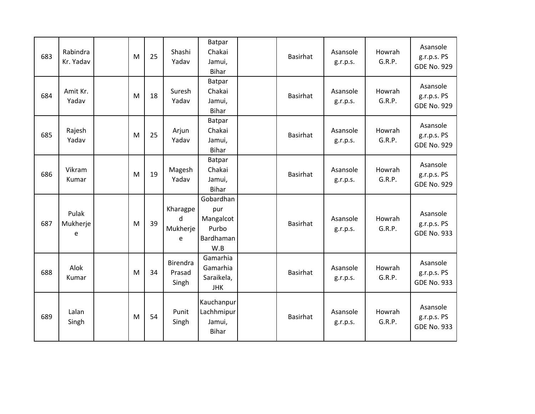| 683 | Rabindra<br>Kr. Yadav  | M | 25 | Shashi<br>Yadav                    | Batpar<br>Chakai<br>Jamui,<br><b>Bihar</b>                 | <b>Basirhat</b> | Asansole<br>g.r.p.s. | Howrah<br>G.R.P. | Asansole<br>g.r.p.s. PS<br><b>GDE No. 929</b> |
|-----|------------------------|---|----|------------------------------------|------------------------------------------------------------|-----------------|----------------------|------------------|-----------------------------------------------|
| 684 | Amit Kr.<br>Yadav      | M | 18 | Suresh<br>Yadav                    | Batpar<br>Chakai<br>Jamui,<br><b>Bihar</b>                 | <b>Basirhat</b> | Asansole<br>g.r.p.s. | Howrah<br>G.R.P. | Asansole<br>g.r.p.s. PS<br><b>GDE No. 929</b> |
| 685 | Rajesh<br>Yadav        | M | 25 | Arjun<br>Yadav                     | Batpar<br>Chakai<br>Jamui,<br><b>Bihar</b>                 | <b>Basirhat</b> | Asansole<br>g.r.p.s. | Howrah<br>G.R.P. | Asansole<br>g.r.p.s. PS<br><b>GDE No. 929</b> |
| 686 | Vikram<br>Kumar        | M | 19 | Magesh<br>Yadav                    | Batpar<br>Chakai<br>Jamui,<br><b>Bihar</b>                 | <b>Basirhat</b> | Asansole<br>g.r.p.s. | Howrah<br>G.R.P. | Asansole<br>g.r.p.s. PS<br><b>GDE No. 929</b> |
| 687 | Pulak<br>Mukherje<br>e | M | 39 | Kharagpe<br>d<br>Mukherje<br>e     | Gobardhan<br>pur<br>Mangalcot<br>Purbo<br>Bardhaman<br>W.B | <b>Basirhat</b> | Asansole<br>g.r.p.s. | Howrah<br>G.R.P. | Asansole<br>g.r.p.s. PS<br><b>GDE No. 933</b> |
| 688 | Alok<br>Kumar          | M | 34 | <b>Birendra</b><br>Prasad<br>Singh | Gamarhia<br>Gamarhia<br>Saraikela,<br><b>JHK</b>           | <b>Basirhat</b> | Asansole<br>g.r.p.s. | Howrah<br>G.R.P. | Asansole<br>g.r.p.s. PS<br><b>GDE No. 933</b> |
| 689 | Lalan<br>Singh         | M | 54 | Punit<br>Singh                     | Kauchanpur<br>Lachhmipur<br>Jamui,<br><b>Bihar</b>         | <b>Basirhat</b> | Asansole<br>g.r.p.s. | Howrah<br>G.R.P. | Asansole<br>g.r.p.s. PS<br><b>GDE No. 933</b> |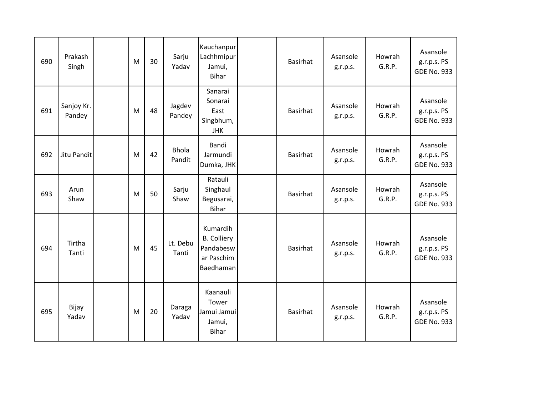| 690 | Prakash<br>Singh     | M | 30 | Sarju<br>Yadav         | Kauchanpur<br>Lachhmipur<br>Jamui,<br><b>Bihar</b>                     | <b>Basirhat</b> | Asansole<br>g.r.p.s. | Howrah<br>G.R.P. | Asansole<br>g.r.p.s. PS<br><b>GDE No. 933</b> |
|-----|----------------------|---|----|------------------------|------------------------------------------------------------------------|-----------------|----------------------|------------------|-----------------------------------------------|
| 691 | Sanjoy Kr.<br>Pandey | M | 48 | Jagdev<br>Pandey       | Sanarai<br>Sonarai<br>East<br>Singbhum,<br><b>JHK</b>                  | <b>Basirhat</b> | Asansole<br>g.r.p.s. | Howrah<br>G.R.P. | Asansole<br>g.r.p.s. PS<br><b>GDE No. 933</b> |
| 692 | Jitu Pandit          | M | 42 | <b>Bhola</b><br>Pandit | Bandi<br>Jarmundi<br>Dumka, JHK                                        | <b>Basirhat</b> | Asansole<br>g.r.p.s. | Howrah<br>G.R.P. | Asansole<br>g.r.p.s. PS<br><b>GDE No. 933</b> |
| 693 | Arun<br>Shaw         | M | 50 | Sarju<br>Shaw          | Ratauli<br>Singhaul<br>Begusarai,<br><b>Bihar</b>                      | <b>Basirhat</b> | Asansole<br>g.r.p.s. | Howrah<br>G.R.P. | Asansole<br>g.r.p.s. PS<br><b>GDE No. 933</b> |
| 694 | Tirtha<br>Tanti      | M | 45 | Lt. Debu<br>Tanti      | Kumardih<br><b>B.</b> Colliery<br>Pandabesw<br>ar Paschim<br>Baedhaman | <b>Basirhat</b> | Asansole<br>g.r.p.s. | Howrah<br>G.R.P. | Asansole<br>g.r.p.s. PS<br><b>GDE No. 933</b> |
| 695 | Bijay<br>Yadav       | M | 20 | Daraga<br>Yadav        | Kaanauli<br>Tower<br>Jamui Jamui<br>Jamui,<br><b>Bihar</b>             | <b>Basirhat</b> | Asansole<br>g.r.p.s. | Howrah<br>G.R.P. | Asansole<br>g.r.p.s. PS<br><b>GDE No. 933</b> |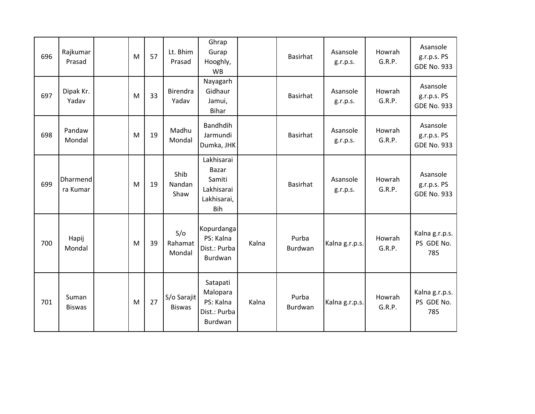| 696 | Rajkumar<br>Prasad          | M | 57 | Lt. Bhim<br>Prasad           | Ghrap<br>Gurap<br>Hooghly,<br><b>WB</b>                                  |       | <b>Basirhat</b>  | Asansole<br>g.r.p.s. | Howrah<br>G.R.P. | Asansole<br>g.r.p.s. PS<br><b>GDE No. 933</b> |
|-----|-----------------------------|---|----|------------------------------|--------------------------------------------------------------------------|-------|------------------|----------------------|------------------|-----------------------------------------------|
| 697 | Dipak Kr.<br>Yadav          | M | 33 | Birendra<br>Yadav            | Nayagarh<br>Gidhaur<br>Jamui,<br>Bihar                                   |       | <b>Basirhat</b>  | Asansole<br>g.r.p.s. | Howrah<br>G.R.P. | Asansole<br>g.r.p.s. PS<br><b>GDE No. 933</b> |
| 698 | Pandaw<br>Mondal            | M | 19 | Madhu<br>Mondal              | <b>Bandhdih</b><br>Jarmundi<br>Dumka, JHK                                |       | <b>Basirhat</b>  | Asansole<br>g.r.p.s. | Howrah<br>G.R.P. | Asansole<br>g.r.p.s. PS<br><b>GDE No. 933</b> |
| 699 | <b>Dharmend</b><br>ra Kumar | M | 19 | Shib<br>Nandan<br>Shaw       | Lakhisarai<br><b>Bazar</b><br>Samiti<br>Lakhisarai<br>Lakhisarai,<br>Bih |       | <b>Basirhat</b>  | Asansole<br>g.r.p.s. | Howrah<br>G.R.P. | Asansole<br>g.r.p.s. PS<br><b>GDE No. 933</b> |
| 700 | Hapij<br>Mondal             | M | 39 | S/O<br>Rahamat<br>Mondal     | Kopurdanga<br>PS: Kalna<br>Dist.: Purba<br>Burdwan                       | Kalna | Purba<br>Burdwan | Kalna g.r.p.s.       | Howrah<br>G.R.P. | Kalna g.r.p.s.<br>PS GDE No.<br>785           |
| 701 | Suman<br><b>Biswas</b>      | M | 27 | S/o Sarajit<br><b>Biswas</b> | Satapati<br>Malopara<br>PS: Kalna<br>Dist.: Purba<br>Burdwan             | Kalna | Purba<br>Burdwan | Kalna g.r.p.s.       | Howrah<br>G.R.P. | Kalna g.r.p.s.<br>PS GDE No.<br>785           |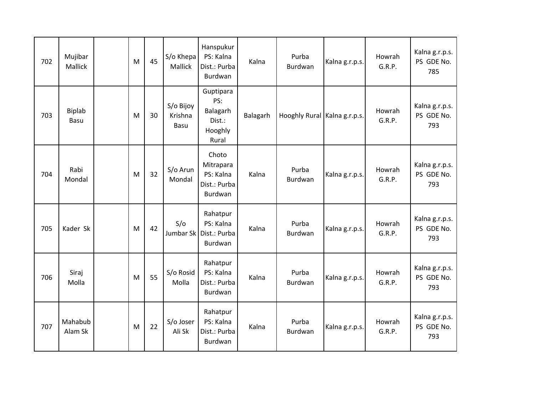| 702 | Mujibar<br>Mallick    | M | 45 | S/o Khepa<br>Mallick         | Hanspukur<br>PS: Kalna<br>Dist.: Purba<br>Burdwan          | Kalna    | Purba<br>Burdwan             | Kalna g.r.p.s. | Howrah<br>G.R.P. | Kalna g.r.p.s.<br>PS GDE No.<br>785 |
|-----|-----------------------|---|----|------------------------------|------------------------------------------------------------|----------|------------------------------|----------------|------------------|-------------------------------------|
| 703 | <b>Biplab</b><br>Basu | M | 30 | S/o Bijoy<br>Krishna<br>Basu | Guptipara<br>PS:<br>Balagarh<br>Dist.:<br>Hooghly<br>Rural | Balagarh | Hooghly Rural Kalna g.r.p.s. |                | Howrah<br>G.R.P. | Kalna g.r.p.s.<br>PS GDE No.<br>793 |
| 704 | Rabi<br>Mondal        | M | 32 | S/o Arun<br>Mondal           | Choto<br>Mitrapara<br>PS: Kalna<br>Dist.: Purba<br>Burdwan | Kalna    | Purba<br>Burdwan             | Kalna g.r.p.s. | Howrah<br>G.R.P. | Kalna g.r.p.s.<br>PS GDE No.<br>793 |
| 705 | Kader Sk              | M | 42 | S/O<br>Jumbar Sk             | Rahatpur<br>PS: Kalna<br>Dist.: Purba<br>Burdwan           | Kalna    | Purba<br>Burdwan             | Kalna g.r.p.s. | Howrah<br>G.R.P. | Kalna g.r.p.s.<br>PS GDE No.<br>793 |
| 706 | Siraj<br>Molla        | M | 55 | S/o Rosid<br>Molla           | Rahatpur<br>PS: Kalna<br>Dist.: Purba<br>Burdwan           | Kalna    | Purba<br>Burdwan             | Kalna g.r.p.s. | Howrah<br>G.R.P. | Kalna g.r.p.s.<br>PS GDE No.<br>793 |
| 707 | Mahabub<br>Alam Sk    | M | 22 | S/o Joser<br>Ali Sk          | Rahatpur<br>PS: Kalna<br>Dist.: Purba<br>Burdwan           | Kalna    | Purba<br>Burdwan             | Kalna g.r.p.s. | Howrah<br>G.R.P. | Kalna g.r.p.s.<br>PS GDE No.<br>793 |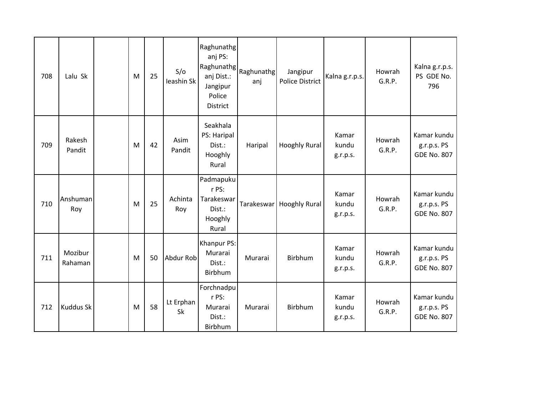| 708 | Lalu Sk            | M | 25 | S/O<br>Ieashin Sk | Raghunathg<br>anj PS:<br>anj Dist.:<br>Jangipur<br>Police<br>District | Raghunathg Raghunathg<br>anj | Jangipur<br><b>Police District</b> | Kalna g.r.p.s.             | Howrah<br>G.R.P. | Kalna g.r.p.s.<br>PS GDE No.<br>796              |
|-----|--------------------|---|----|-------------------|-----------------------------------------------------------------------|------------------------------|------------------------------------|----------------------------|------------------|--------------------------------------------------|
| 709 | Rakesh<br>Pandit   | M | 42 | Asim<br>Pandit    | Seakhala<br>PS: Haripal<br>Dist.:<br>Hooghly<br>Rural                 | Haripal                      | <b>Hooghly Rural</b>               | Kamar<br>kundu<br>g.r.p.s. | Howrah<br>G.R.P. | Kamar kundu<br>g.r.p.s. PS<br><b>GDE No. 807</b> |
| 710 | Anshuman<br>Roy    | M | 25 | Achinta<br>Roy    | Padmapuku<br>r PS:<br>Tarakeswar<br>Dist.:<br>Hooghly<br>Rural        | Tarakeswar                   | <b>Hooghly Rural</b>               | Kamar<br>kundu<br>g.r.p.s. | Howrah<br>G.R.P. | Kamar kundu<br>g.r.p.s. PS<br><b>GDE No. 807</b> |
| 711 | Mozibur<br>Rahaman | M | 50 | Abdur Rob         | Khanpur PS:<br>Murarai<br>Dist.:<br>Birbhum                           | Murarai                      | Birbhum                            | Kamar<br>kundu<br>g.r.p.s. | Howrah<br>G.R.P. | Kamar kundu<br>g.r.p.s. PS<br><b>GDE No. 807</b> |
| 712 | <b>Kuddus Sk</b>   | M | 58 | Lt Erphan<br>Sk   | Forchnadpu<br>r PS:<br>Murarai<br>Dist.:<br>Birbhum                   | Murarai                      | Birbhum                            | Kamar<br>kundu<br>g.r.p.s. | Howrah<br>G.R.P. | Kamar kundu<br>g.r.p.s. PS<br><b>GDE No. 807</b> |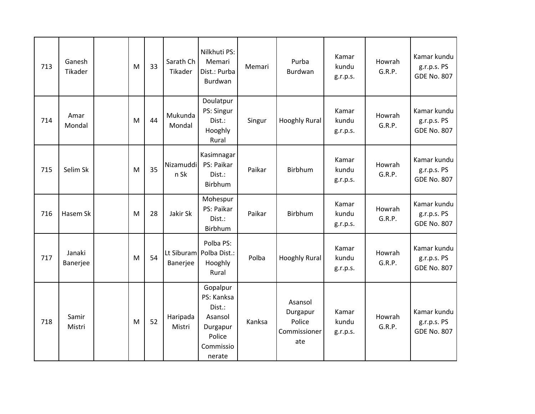| 713 | Ganesh<br>Tikader  | M | 33 | Sarath Ch<br>Tikader | Nilkhuti PS:<br>Memari<br>Dist.: Purba<br>Burdwan                                        | Memari | Purba<br>Burdwan                                     | Kamar<br>kundu<br>g.r.p.s. | Howrah<br>G.R.P. | Kamar kundu<br>g.r.p.s. PS<br><b>GDE No. 807</b> |
|-----|--------------------|---|----|----------------------|------------------------------------------------------------------------------------------|--------|------------------------------------------------------|----------------------------|------------------|--------------------------------------------------|
| 714 | Amar<br>Mondal     | M | 44 | Mukunda<br>Mondal    | Doulatpur<br>PS: Singur<br>Dist.:<br>Hooghly<br>Rural                                    | Singur | <b>Hooghly Rural</b>                                 | Kamar<br>kundu<br>g.r.p.s. | Howrah<br>G.R.P. | Kamar kundu<br>g.r.p.s. PS<br><b>GDE No. 807</b> |
| 715 | Selim Sk           | M | 35 | Nizamuddi<br>n Sk    | Kasimnagar<br>PS: Paikar<br>Dist.:<br>Birbhum                                            | Paikar | Birbhum                                              | Kamar<br>kundu<br>g.r.p.s. | Howrah<br>G.R.P. | Kamar kundu<br>g.r.p.s. PS<br><b>GDE No. 807</b> |
| 716 | Hasem Sk           | M | 28 | Jakir Sk             | Mohespur<br>PS: Paikar<br>Dist.:<br>Birbhum                                              | Paikar | Birbhum                                              | Kamar<br>kundu<br>g.r.p.s. | Howrah<br>G.R.P. | Kamar kundu<br>g.r.p.s. PS<br><b>GDE No. 807</b> |
| 717 | Janaki<br>Banerjee | M | 54 | Banerjee             | Polba PS:<br>Lt Siburam Polba Dist.:<br>Hooghly<br>Rural                                 | Polba  | Hooghly Rural                                        | Kamar<br>kundu<br>g.r.p.s. | Howrah<br>G.R.P. | Kamar kundu<br>g.r.p.s. PS<br><b>GDE No. 807</b> |
| 718 | Samir<br>Mistri    | M | 52 | Haripada<br>Mistri   | Gopalpur<br>PS: Kanksa<br>Dist.:<br>Asansol<br>Durgapur<br>Police<br>Commissio<br>nerate | Kanksa | Asansol<br>Durgapur<br>Police<br>Commissioner<br>ate | Kamar<br>kundu<br>g.r.p.s. | Howrah<br>G.R.P. | Kamar kundu<br>g.r.p.s. PS<br><b>GDE No. 807</b> |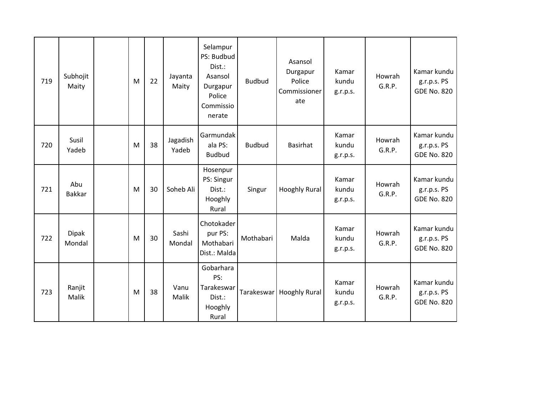| 719 | Subhojit<br>Maity      | M | 22 | Jayanta<br>Maity  | Selampur<br>PS: Budbud<br>Dist.:<br>Asansol<br>Durgapur<br>Police<br>Commissio<br>nerate | <b>Budbud</b> | Asansol<br>Durgapur<br>Police<br>Commissioner<br>ate | Kamar<br>kundu<br>g.r.p.s. | Howrah<br>G.R.P. | Kamar kundu<br>g.r.p.s. PS<br><b>GDE No. 820</b> |
|-----|------------------------|---|----|-------------------|------------------------------------------------------------------------------------------|---------------|------------------------------------------------------|----------------------------|------------------|--------------------------------------------------|
| 720 | Susil<br>Yadeb         | M | 38 | Jagadish<br>Yadeb | Garmundak<br>ala PS:<br><b>Budbud</b>                                                    | <b>Budbud</b> | Basirhat                                             | Kamar<br>kundu<br>g.r.p.s. | Howrah<br>G.R.P. | Kamar kundu<br>g.r.p.s. PS<br><b>GDE No. 820</b> |
| 721 | Abu<br><b>Bakkar</b>   | M | 30 | Soheb Ali         | Hosenpur<br>PS: Singur<br>Dist.:<br>Hooghly<br>Rural                                     | Singur        | <b>Hooghly Rural</b>                                 | Kamar<br>kundu<br>g.r.p.s. | Howrah<br>G.R.P. | Kamar kundu<br>g.r.p.s. PS<br><b>GDE No. 820</b> |
| 722 | <b>Dipak</b><br>Mondal | M | 30 | Sashi<br>Mondal   | Chotokader<br>pur PS:<br>Mothabari<br>Dist.: Malda                                       | Mothabari     | Malda                                                | Kamar<br>kundu<br>g.r.p.s. | Howrah<br>G.R.P. | Kamar kundu<br>g.r.p.s. PS<br><b>GDE No. 820</b> |
| 723 | Ranjit<br>Malik        | M | 38 | Vanu<br>Malik     | Gobarhara<br>PS:<br>Tarakeswar<br>Dist.:<br>Hooghly<br>Rural                             |               | Tarakeswar   Hooghly Rural                           | Kamar<br>kundu<br>g.r.p.s. | Howrah<br>G.R.P. | Kamar kundu<br>g.r.p.s. PS<br><b>GDE No. 820</b> |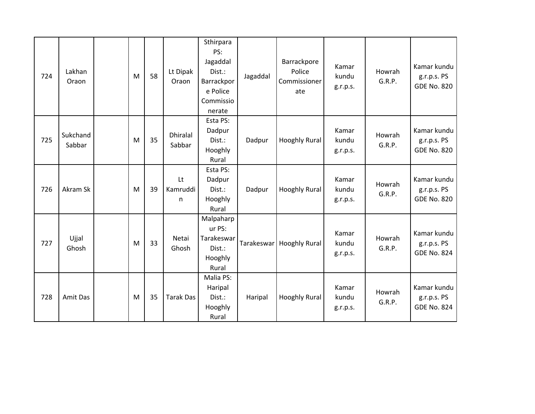| 724 | Lakhan<br>Oraon    | M         | 58 | Lt Dipak<br>Oraon         | Sthirpara<br>PS:<br>Jagaddal<br>Dist.:<br>Barrackpor<br>e Police<br>Commissio<br>nerate | Jagaddal   | Barrackpore<br>Police<br>Commissioner<br>ate | Kamar<br>kundu<br>g.r.p.s. | Howrah<br>G.R.P. | Kamar kundu<br>g.r.p.s. PS<br><b>GDE No. 820</b> |
|-----|--------------------|-----------|----|---------------------------|-----------------------------------------------------------------------------------------|------------|----------------------------------------------|----------------------------|------------------|--------------------------------------------------|
| 725 | Sukchand<br>Sabbar | ${\sf M}$ | 35 | <b>Dhiralal</b><br>Sabbar | Esta PS:<br>Dadpur<br>Dist.:<br>Hooghly<br>Rural                                        | Dadpur     | <b>Hooghly Rural</b>                         | Kamar<br>kundu<br>g.r.p.s. | Howrah<br>G.R.P. | Kamar kundu<br>g.r.p.s. PS<br><b>GDE No. 820</b> |
| 726 | Akram Sk           | M         | 39 | Lt<br>Kamruddi<br>n       | Esta PS:<br>Dadpur<br>Dist.:<br>Hooghly<br>Rural                                        | Dadpur     | Hooghly Rural                                | Kamar<br>kundu<br>g.r.p.s. | Howrah<br>G.R.P. | Kamar kundu<br>g.r.p.s. PS<br><b>GDE No. 820</b> |
| 727 | Ujjal<br>Ghosh     | M         | 33 | Netai<br>Ghosh            | Malpaharp<br>ur PS:<br>Tarakeswar<br>Dist.:<br>Hooghly<br>Rural                         | Tarakeswar | <b>Hooghly Rural</b>                         | Kamar<br>kundu<br>g.r.p.s. | Howrah<br>G.R.P. | Kamar kundu<br>g.r.p.s. PS<br><b>GDE No. 824</b> |
| 728 | Amit Das           | M         | 35 | <b>Tarak Das</b>          | Malia PS:<br>Haripal<br>Dist.:<br>Hooghly<br>Rural                                      | Haripal    | <b>Hooghly Rural</b>                         | Kamar<br>kundu<br>g.r.p.s. | Howrah<br>G.R.P. | Kamar kundu<br>g.r.p.s. PS<br><b>GDE No. 824</b> |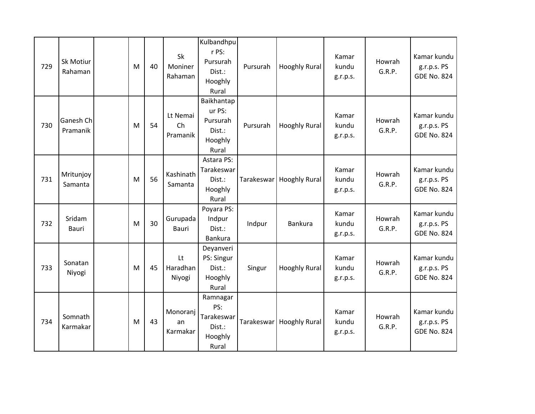| 729 | Sk Motiur<br>Rahaman   | M | 40 | Sk<br>Moniner<br>Rahaman   | Kulbandhpu<br>r PS:<br>Pursurah<br>Dist.:<br>Hooghly<br>Rural  | Pursurah | <b>Hooghly Rural</b>       | Kamar<br>kundu<br>g.r.p.s. | Howrah<br>G.R.P. | Kamar kundu<br>g.r.p.s. PS<br><b>GDE No. 824</b> |
|-----|------------------------|---|----|----------------------------|----------------------------------------------------------------|----------|----------------------------|----------------------------|------------------|--------------------------------------------------|
| 730 | Ganesh Ch<br>Pramanik  | M | 54 | Lt Nemai<br>Ch<br>Pramanik | Baikhantap<br>ur PS:<br>Pursurah<br>Dist.:<br>Hooghly<br>Rural | Pursurah | <b>Hooghly Rural</b>       | Kamar<br>kundu<br>g.r.p.s. | Howrah<br>G.R.P. | Kamar kundu<br>g.r.p.s. PS<br><b>GDE No. 824</b> |
| 731 | Mritunjoy<br>Samanta   | M | 56 | Kashinath<br>Samanta       | Astara PS:<br>Tarakeswar<br>Dist.:<br>Hooghly<br>Rural         |          | Tarakeswar   Hooghly Rural | Kamar<br>kundu<br>g.r.p.s. | Howrah<br>G.R.P. | Kamar kundu<br>g.r.p.s. PS<br><b>GDE No. 824</b> |
| 732 | Sridam<br><b>Bauri</b> | M | 30 | Gurupada<br><b>Bauri</b>   | Poyara PS:<br>Indpur<br>Dist.:<br>Bankura                      | Indpur   | Bankura                    | Kamar<br>kundu<br>g.r.p.s. | Howrah<br>G.R.P. | Kamar kundu<br>g.r.p.s. PS<br><b>GDE No. 824</b> |
| 733 | Sonatan<br>Niyogi      | M | 45 | Lt<br>Haradhan<br>Niyogi   | Deyanveri<br>PS: Singur<br>Dist.:<br>Hooghly<br>Rural          | Singur   | <b>Hooghly Rural</b>       | Kamar<br>kundu<br>g.r.p.s. | Howrah<br>G.R.P. | Kamar kundu<br>g.r.p.s. PS<br><b>GDE No. 824</b> |
| 734 | Somnath<br>Karmakar    | M | 43 | Monoranj<br>an<br>Karmakar | Ramnagar<br>PS:<br>Tarakeswar<br>Dist.:<br>Hooghly<br>Rural    |          | Tarakeswar   Hooghly Rural | Kamar<br>kundu<br>g.r.p.s. | Howrah<br>G.R.P. | Kamar kundu<br>g.r.p.s. PS<br><b>GDE No. 824</b> |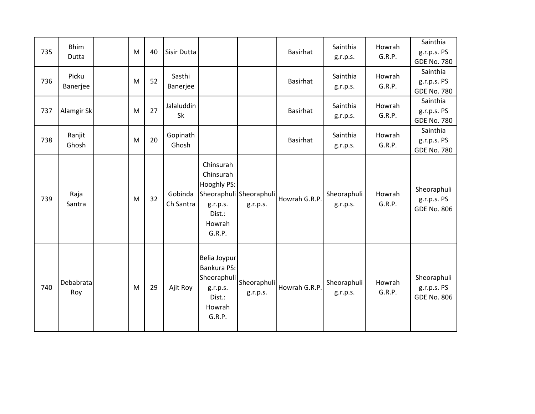| 735 | <b>Bhim</b><br>Dutta | M | 40 | Sisir Dutta          |                                                                                      |                                     | <b>Basirhat</b> | Sainthia<br>g.r.p.s.    | Howrah<br>G.R.P. | Sainthia<br>g.r.p.s. PS<br><b>GDE No. 780</b>    |
|-----|----------------------|---|----|----------------------|--------------------------------------------------------------------------------------|-------------------------------------|-----------------|-------------------------|------------------|--------------------------------------------------|
| 736 | Picku<br>Banerjee    | M | 52 | Sasthi<br>Banerjee   |                                                                                      |                                     | <b>Basirhat</b> | Sainthia<br>g.r.p.s.    | Howrah<br>G.R.P. | Sainthia<br>g.r.p.s. PS<br><b>GDE No. 780</b>    |
| 737 | Alamgir Sk           | M | 27 | Jalaluddin<br>Sk     |                                                                                      |                                     | <b>Basirhat</b> | Sainthia<br>g.r.p.s.    | Howrah<br>G.R.P. | Sainthia<br>g.r.p.s. PS<br><b>GDE No. 780</b>    |
| 738 | Ranjit<br>Ghosh      | M | 20 | Gopinath<br>Ghosh    |                                                                                      |                                     | <b>Basirhat</b> | Sainthia<br>g.r.p.s.    | Howrah<br>G.R.P. | Sainthia<br>g.r.p.s. PS<br><b>GDE No. 780</b>    |
| 739 | Raja<br>Santra       | M | 32 | Gobinda<br>Ch Santra | Chinsurah<br>Chinsurah<br>Hooghly PS:<br>g.r.p.s.<br>Dist.:<br>Howrah<br>G.R.P.      | Sheoraphuli Sheoraphuli<br>g.r.p.s. | Howrah G.R.P.   | Sheoraphuli<br>g.r.p.s. | Howrah<br>G.R.P. | Sheoraphuli<br>g.r.p.s. PS<br><b>GDE No. 806</b> |
| 740 | Debabrata<br>Roy     | M | 29 | Ajit Roy             | Belia Joypur<br>Bankura PS:<br>Sheoraphuli<br>g.r.p.s.<br>Dist.:<br>Howrah<br>G.R.P. | Sheoraphuli<br>g.r.p.s.             | Howrah G.R.P.   | Sheoraphuli<br>g.r.p.s. | Howrah<br>G.R.P. | Sheoraphuli<br>g.r.p.s. PS<br><b>GDE No. 806</b> |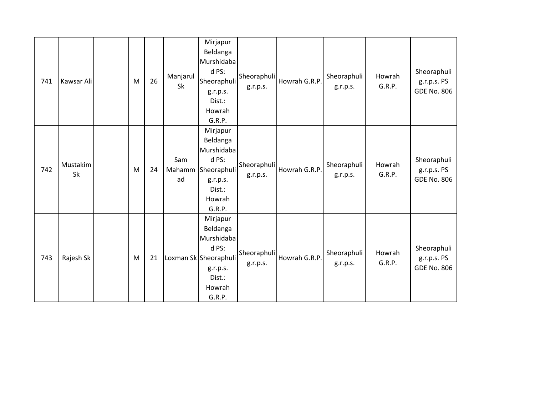| 741 | Kawsar Ali            | M | 26 | Manjarul<br>Sk      | Mirjapur<br>Beldanga<br>Murshidaba<br>d PS:<br>Sheoraphuli<br>g.r.p.s.<br>Dist.:<br>Howrah<br>G.R.P.           | Sheoraphuli<br>g.r.p.s. | Howrah G.R.P. | Sheoraphuli<br>g.r.p.s. | Howrah<br>G.R.P. | Sheoraphuli<br>g.r.p.s. PS<br><b>GDE No. 806</b> |
|-----|-----------------------|---|----|---------------------|----------------------------------------------------------------------------------------------------------------|-------------------------|---------------|-------------------------|------------------|--------------------------------------------------|
| 742 | Mustakim<br><b>Sk</b> | M | 24 | Sam<br>Mahamm<br>ad | Mirjapur<br>Beldanga<br>Murshidaba<br>d PS:<br>Sheoraphuli<br>g.r.p.s.<br>Dist.:<br>Howrah<br>G.R.P.           | Sheoraphuli<br>g.r.p.s. | Howrah G.R.P. | Sheoraphuli<br>g.r.p.s. | Howrah<br>G.R.P. | Sheoraphuli<br>g.r.p.s. PS<br><b>GDE No. 806</b> |
| 743 | Rajesh Sk             | M | 21 |                     | Mirjapur<br>Beldanga<br>Murshidaba<br>d PS:<br>Loxman Sk Sheoraphuli<br>g.r.p.s.<br>Dist.:<br>Howrah<br>G.R.P. | Sheoraphuli<br>g.r.p.s. | Howrah G.R.P. | Sheoraphuli<br>g.r.p.s. | Howrah<br>G.R.P. | Sheoraphuli<br>g.r.p.s. PS<br><b>GDE No. 806</b> |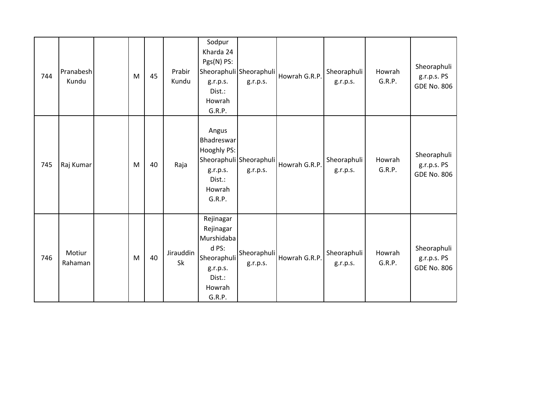| 744 | Pranabesh<br>Kundu | M | 45 | Prabir<br>Kundu | Sodpur<br>Kharda 24<br>Pgs(N) PS:<br>g.r.p.s.<br>Dist.:<br>Howrah<br>G.R.P.                            | Sheoraphuli Sheoraphuli<br>g.r.p.s. | Howrah G.R.P. | Sheoraphuli<br>g.r.p.s. | Howrah<br>G.R.P. | Sheoraphuli<br>g.r.p.s. PS<br><b>GDE No. 806</b> |
|-----|--------------------|---|----|-----------------|--------------------------------------------------------------------------------------------------------|-------------------------------------|---------------|-------------------------|------------------|--------------------------------------------------|
| 745 | Raj Kumar          | M | 40 | Raja            | Angus<br>Bhadreswar<br>Hooghly PS:<br>g.r.p.s.<br>Dist.:<br>Howrah<br>G.R.P.                           | Sheoraphuli Sheoraphuli<br>g.r.p.s. | Howrah G.R.P. | Sheoraphuli<br>g.r.p.s. | Howrah<br>G.R.P. | Sheoraphuli<br>g.r.p.s. PS<br><b>GDE No. 806</b> |
| 746 | Motiur<br>Rahaman  | M | 40 | Jirauddin<br>Sk | Rejinagar<br>Rejinagar<br>Murshidaba<br>d PS:<br>Sheoraphuli<br>g.r.p.s.<br>Dist.:<br>Howrah<br>G.R.P. | Sheoraphuli<br>g.r.p.s.             | Howrah G.R.P. | Sheoraphuli<br>g.r.p.s. | Howrah<br>G.R.P. | Sheoraphuli<br>g.r.p.s. PS<br><b>GDE No. 806</b> |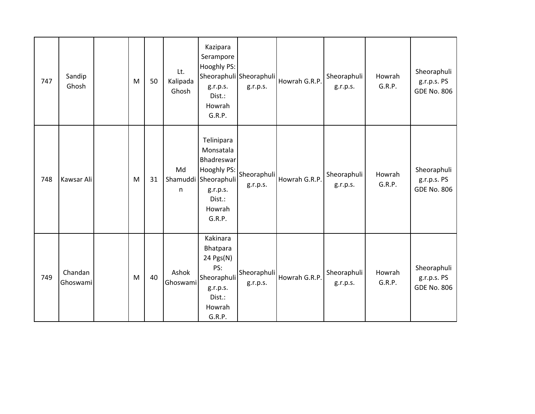| 747 | Sandip<br>Ghosh     | M | 50 | Lt.<br>Kalipada<br>Ghosh | Kazipara<br>Serampore<br>Hooghly PS:<br>g.r.p.s.<br>Dist.:<br>Howrah<br>G.R.P.                                         | Sheoraphuli Sheoraphuli<br>g.r.p.s. | Howrah G.R.P. | Sheoraphuli<br>g.r.p.s. | Howrah<br>G.R.P. | Sheoraphuli<br>g.r.p.s. PS<br><b>GDE No. 806</b> |
|-----|---------------------|---|----|--------------------------|------------------------------------------------------------------------------------------------------------------------|-------------------------------------|---------------|-------------------------|------------------|--------------------------------------------------|
| 748 | Kawsar Ali          | M | 31 | Md<br>n                  | Telinipara<br>Monsatala<br>Bhadreswar<br>Hooghly PS:<br>Shamuddi Sheoraphuli<br>g.r.p.s.<br>Dist.:<br>Howrah<br>G.R.P. | Sheoraphuli<br>g.r.p.s.             | Howrah G.R.P. | Sheoraphuli<br>g.r.p.s. | Howrah<br>G.R.P. | Sheoraphuli<br>g.r.p.s. PS<br><b>GDE No. 806</b> |
| 749 | Chandan<br>Ghoswami | M | 40 | Ashok<br>Ghoswami        | Kakinara<br>Bhatpara<br>24 Pgs(N)<br>PS:<br>Sheoraphuli<br>g.r.p.s.<br>Dist.:<br>Howrah<br>G.R.P.                      | Sheoraphuli<br>g.r.p.s.             | Howrah G.R.P. | Sheoraphuli<br>g.r.p.s. | Howrah<br>G.R.P. | Sheoraphuli<br>g.r.p.s. PS<br><b>GDE No. 806</b> |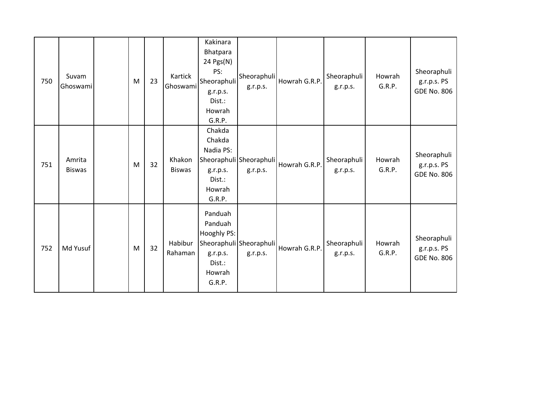| 750 | Suvam<br>Ghoswami       | M | 23 | Kartick<br>Ghoswami     | Kakinara<br>Bhatpara<br>24 Pgs(N)<br>PS:<br>Sheoraphuli<br>g.r.p.s.<br>Dist.:<br>Howrah<br>G.R.P. | Sheoraphuli<br>g.r.p.s.             | Howrah G.R.P. | Sheoraphuli<br>g.r.p.s. | Howrah<br>G.R.P. | Sheoraphuli<br>g.r.p.s. PS<br><b>GDE No. 806</b> |
|-----|-------------------------|---|----|-------------------------|---------------------------------------------------------------------------------------------------|-------------------------------------|---------------|-------------------------|------------------|--------------------------------------------------|
| 751 | Amrita<br><b>Biswas</b> | M | 32 | Khakon<br><b>Biswas</b> | Chakda<br>Chakda<br>Nadia PS:<br>g.r.p.s.<br>Dist.:<br>Howrah<br>G.R.P.                           | Sheoraphuli Sheoraphuli<br>g.r.p.s. | Howrah G.R.P. | Sheoraphuli<br>g.r.p.s. | Howrah<br>G.R.P. | Sheoraphuli<br>g.r.p.s. PS<br><b>GDE No. 806</b> |
| 752 | Md Yusuf                | M | 32 | Habibur<br>Rahaman      | Panduah<br>Panduah<br>Hooghly PS:<br>g.r.p.s.<br>Dist.:<br>Howrah<br>G.R.P.                       | Sheoraphuli Sheoraphuli<br>g.r.p.s. | Howrah G.R.P. | Sheoraphuli<br>g.r.p.s. | Howrah<br>G.R.P. | Sheoraphuli<br>g.r.p.s. PS<br><b>GDE No. 806</b> |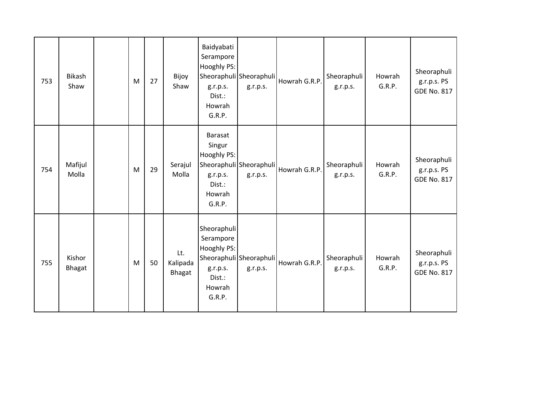| 753 | <b>Bikash</b><br>Shaw | M | 27 | Bijoy<br>Shaw             | Baidyabati<br>Serampore<br>Hooghly PS:<br>g.r.p.s.<br>Dist.:<br>Howrah<br>G.R.P.                                    | Sheoraphuli Sheoraphuli<br>g.r.p.s. | Howrah G.R.P. | Sheoraphuli<br>g.r.p.s. | Howrah<br>G.R.P. | Sheoraphuli<br>g.r.p.s. PS<br><b>GDE No. 817</b> |
|-----|-----------------------|---|----|---------------------------|---------------------------------------------------------------------------------------------------------------------|-------------------------------------|---------------|-------------------------|------------------|--------------------------------------------------|
| 754 | Mafijul<br>Molla      | M | 29 | Serajul<br>Molla          | <b>Barasat</b><br>Singur<br><b>Hooghly PS:</b><br>Sheoraphuli Sheoraphuli<br>g.r.p.s.<br>Dist.:<br>Howrah<br>G.R.P. | g.r.p.s.                            | Howrah G.R.P. | Sheoraphuli<br>g.r.p.s. | Howrah<br>G.R.P. | Sheoraphuli<br>g.r.p.s. PS<br><b>GDE No. 817</b> |
| 755 | Kishor<br>Bhagat      | M | 50 | Lt.<br>Kalipada<br>Bhagat | Sheoraphuli<br>Serampore<br>Hooghly PS:<br>g.r.p.s.<br>Dist.:<br>Howrah<br>G.R.P.                                   | Sheoraphuli Sheoraphuli<br>g.r.p.s. | Howrah G.R.P. | Sheoraphuli<br>g.r.p.s. | Howrah<br>G.R.P. | Sheoraphuli<br>g.r.p.s. PS<br><b>GDE No. 817</b> |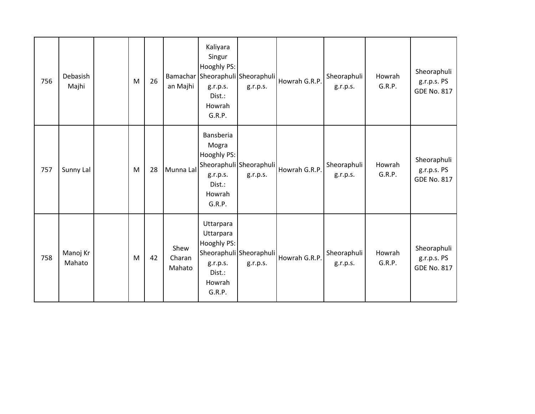| 756 | Debasish<br>Majhi  | M | 26 | an Majhi                 | Kaliyara<br>Singur<br>Hooghly PS:<br>g.r.p.s.<br>Dist.:<br>Howrah<br>G.R.P.     | Bamachar Sheoraphuli Sheoraphuli<br>g.r.p.s. | Howrah G.R.P. | Sheoraphuli<br>g.r.p.s. | Howrah<br>G.R.P. | Sheoraphuli<br>g.r.p.s. PS<br><b>GDE No. 817</b> |
|-----|--------------------|---|----|--------------------------|---------------------------------------------------------------------------------|----------------------------------------------|---------------|-------------------------|------------------|--------------------------------------------------|
| 757 | Sunny Lal          | M | 28 | Munna Lal                | Bansberia<br>Mogra<br>Hooghly PS:<br>g.r.p.s.<br>Dist.:<br>Howrah<br>G.R.P.     | Sheoraphuli Sheoraphuli<br>g.r.p.s.          | Howrah G.R.P. | Sheoraphuli<br>g.r.p.s. | Howrah<br>G.R.P. | Sheoraphuli<br>g.r.p.s. PS<br><b>GDE No. 817</b> |
| 758 | Manoj Kr<br>Mahato | M | 42 | Shew<br>Charan<br>Mahato | Uttarpara<br>Uttarpara<br>Hooghly PS:<br>g.r.p.s.<br>Dist.:<br>Howrah<br>G.R.P. | Sheoraphuli Sheoraphuli<br>g.r.p.s.          | Howrah G.R.P. | Sheoraphuli<br>g.r.p.s. | Howrah<br>G.R.P. | Sheoraphuli<br>g.r.p.s. PS<br><b>GDE No. 817</b> |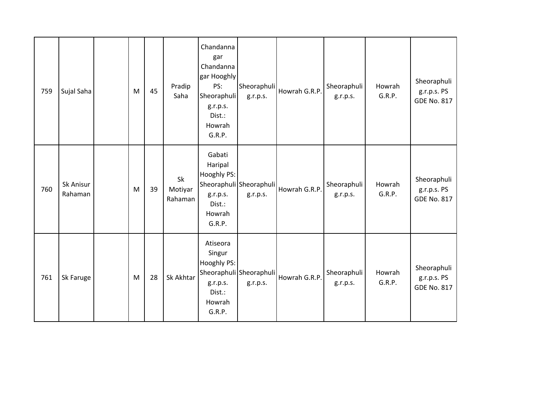| 759 | Sujal Saha           | M | 45 | Pradip<br>Saha           | Chandanna<br>gar<br>Chandanna<br>gar Hooghly<br>PS:<br>Sheoraphuli<br>g.r.p.s.<br>Dist.:<br>Howrah<br>G.R.P. | Sheoraphuli<br>g.r.p.s.             | Howrah G.R.P. | Sheoraphuli<br>g.r.p.s. | Howrah<br>G.R.P. | Sheoraphuli<br>g.r.p.s. PS<br><b>GDE No. 817</b> |
|-----|----------------------|---|----|--------------------------|--------------------------------------------------------------------------------------------------------------|-------------------------------------|---------------|-------------------------|------------------|--------------------------------------------------|
| 760 | Sk Anisur<br>Rahaman | M | 39 | Sk<br>Motiyar<br>Rahaman | Gabati<br>Haripal<br>Hooghly PS:<br>g.r.p.s.<br>Dist.:<br>Howrah<br>G.R.P.                                   | Sheoraphuli Sheoraphuli<br>g.r.p.s. | Howrah G.R.P. | Sheoraphuli<br>g.r.p.s. | Howrah<br>G.R.P. | Sheoraphuli<br>g.r.p.s. PS<br><b>GDE No. 817</b> |
| 761 | Sk Faruge            | M | 28 | Sk Akhtar                | Atiseora<br>Singur<br>Hooghly PS:<br>g.r.p.s.<br>Dist.:<br>Howrah<br>G.R.P.                                  | Sheoraphuli Sheoraphuli<br>g.r.p.s. | Howrah G.R.P. | Sheoraphuli<br>g.r.p.s. | Howrah<br>G.R.P. | Sheoraphuli<br>g.r.p.s. PS<br><b>GDE No. 817</b> |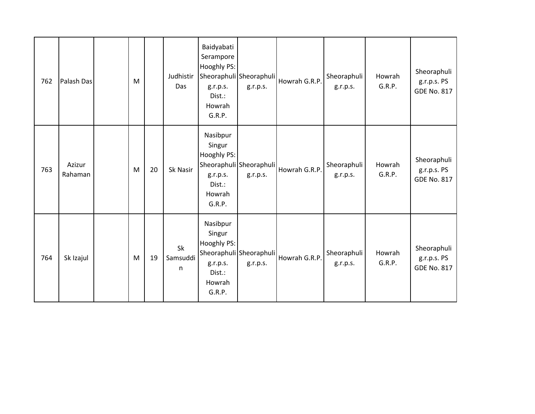| 762 | Palash Das        | M |    | Judhistir<br>Das    | Baidyabati<br>Serampore<br>Hooghly PS:<br>g.r.p.s.<br>Dist.:<br>Howrah<br>G.R.P. | Sheoraphuli Sheoraphuli<br>g.r.p.s. | Howrah G.R.P. | Sheoraphuli<br>g.r.p.s. | Howrah<br>G.R.P. | Sheoraphuli<br>g.r.p.s. PS<br><b>GDE No. 817</b> |
|-----|-------------------|---|----|---------------------|----------------------------------------------------------------------------------|-------------------------------------|---------------|-------------------------|------------------|--------------------------------------------------|
| 763 | Azizur<br>Rahaman | M | 20 | Sk Nasir            | Nasibpur<br>Singur<br>Hooghly PS:<br>g.r.p.s.<br>Dist.:<br>Howrah<br>G.R.P.      | Sheoraphuli Sheoraphuli<br>g.r.p.s. | Howrah G.R.P. | Sheoraphuli<br>g.r.p.s. | Howrah<br>G.R.P. | Sheoraphuli<br>g.r.p.s. PS<br><b>GDE No. 817</b> |
| 764 | Sk Izajul         | M | 19 | Sk<br>Samsuddi<br>n | Nasibpur<br>Singur<br>Hooghly PS:<br>g.r.p.s.<br>Dist.:<br>Howrah<br>G.R.P.      | Sheoraphuli Sheoraphuli<br>g.r.p.s. | Howrah G.R.P. | Sheoraphuli<br>g.r.p.s. | Howrah<br>G.R.P. | Sheoraphuli<br>g.r.p.s. PS<br><b>GDE No. 817</b> |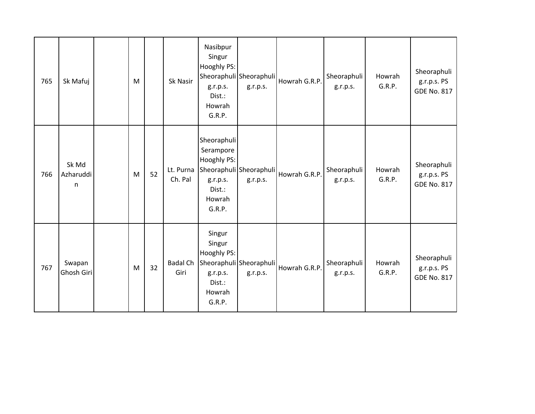| 765 | Sk Mafuj                           | M |    | Sk Nasir                | Nasibpur<br>Singur<br>Hooghly PS:<br>g.r.p.s.<br>Dist.:<br>Howrah<br>G.R.P.                                  | Sheoraphuli Sheoraphuli<br>g.r.p.s. | Howrah G.R.P. | Sheoraphuli<br>g.r.p.s. | Howrah<br>G.R.P. | Sheoraphuli<br>g.r.p.s. PS<br><b>GDE No. 817</b> |
|-----|------------------------------------|---|----|-------------------------|--------------------------------------------------------------------------------------------------------------|-------------------------------------|---------------|-------------------------|------------------|--------------------------------------------------|
| 766 | Sk Md<br>Azharuddi<br>$\mathsf{n}$ | M | 52 | Lt. Purna<br>Ch. Pal    | Sheoraphuli<br>Serampore<br>Hooghly PS:<br>Sheoraphuli Sheoraphuli<br>g.r.p.s.<br>Dist.:<br>Howrah<br>G.R.P. | g.r.p.s.                            | Howrah G.R.P. | Sheoraphuli<br>g.r.p.s. | Howrah<br>G.R.P. | Sheoraphuli<br>g.r.p.s. PS<br><b>GDE No. 817</b> |
| 767 | Swapan<br>Ghosh Giri               | M | 32 | <b>Badal Ch</b><br>Giri | Singur<br>Singur<br>Hooghly PS:<br>Sheoraphuli Sheoraphuli<br>g.r.p.s.<br>Dist.:<br>Howrah<br>G.R.P.         | g.r.p.s.                            | Howrah G.R.P. | Sheoraphuli<br>g.r.p.s. | Howrah<br>G.R.P. | Sheoraphuli<br>g.r.p.s. PS<br><b>GDE No. 817</b> |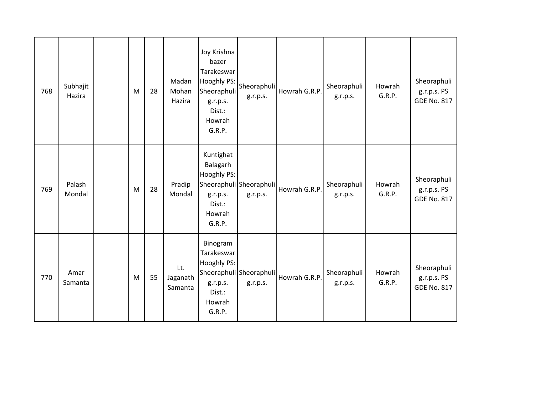| 768 | Subhajit<br>Hazira | M | 28 | Madan<br>Mohan<br>Hazira   | Joy Krishna<br>bazer<br>Tarakeswar<br>Hooghly PS:<br>Sheoraphuli<br>g.r.p.s.<br>Dist.:<br>Howrah<br>G.R.P. | Sheoraphuli<br>g.r.p.s.             | Howrah G.R.P. | Sheoraphuli<br>g.r.p.s. | Howrah<br>G.R.P. | Sheoraphuli<br>g.r.p.s. PS<br><b>GDE No. 817</b> |
|-----|--------------------|---|----|----------------------------|------------------------------------------------------------------------------------------------------------|-------------------------------------|---------------|-------------------------|------------------|--------------------------------------------------|
| 769 | Palash<br>Mondal   | M | 28 | Pradip<br>Mondal           | Kuntighat<br>Balagarh<br>Hooghly PS:<br>g.r.p.s.<br>Dist.:<br>Howrah<br>G.R.P.                             | Sheoraphuli Sheoraphuli<br>g.r.p.s. | Howrah G.R.P. | Sheoraphuli<br>g.r.p.s. | Howrah<br>G.R.P. | Sheoraphuli<br>g.r.p.s. PS<br><b>GDE No. 817</b> |
| 770 | Amar<br>Samanta    | M | 55 | Lt.<br>Jaganath<br>Samanta | Binogram<br>Tarakeswar<br>Hooghly PS:<br>g.r.p.s.<br>Dist.:<br>Howrah<br>G.R.P.                            | Sheoraphuli Sheoraphuli<br>g.r.p.s. | Howrah G.R.P. | Sheoraphuli<br>g.r.p.s. | Howrah<br>G.R.P. | Sheoraphuli<br>g.r.p.s. PS<br><b>GDE No. 817</b> |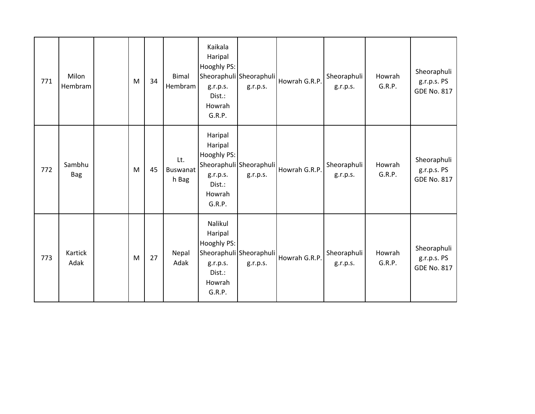| 771 | Milon<br>Hembram     | ${\sf M}$ | 34 | <b>Bimal</b><br>Hembram         | Kaikala<br>Haripal<br>Hooghly PS:<br>g.r.p.s.<br>Dist.:<br>Howrah<br>G.R.P. | Sheoraphuli Sheoraphuli<br>g.r.p.s. | Howrah G.R.P. | Sheoraphuli<br>g.r.p.s. | Howrah<br>G.R.P. | Sheoraphuli<br>g.r.p.s. PS<br><b>GDE No. 817</b> |
|-----|----------------------|-----------|----|---------------------------------|-----------------------------------------------------------------------------|-------------------------------------|---------------|-------------------------|------------------|--------------------------------------------------|
| 772 | Sambhu<br><b>Bag</b> | M         | 45 | Lt.<br><b>Buswanat</b><br>h Bag | Haripal<br>Haripal<br>Hooghly PS:<br>g.r.p.s.<br>Dist.:<br>Howrah<br>G.R.P. | Sheoraphuli Sheoraphuli<br>g.r.p.s. | Howrah G.R.P. | Sheoraphuli<br>g.r.p.s. | Howrah<br>G.R.P. | Sheoraphuli<br>g.r.p.s. PS<br><b>GDE No. 817</b> |
| 773 | Kartick<br>Adak      | M         | 27 | Nepal<br>Adak                   | Nalikul<br>Haripal<br>Hooghly PS:<br>g.r.p.s.<br>Dist.:<br>Howrah<br>G.R.P. | Sheoraphuli Sheoraphuli<br>g.r.p.s. | Howrah G.R.P. | Sheoraphuli<br>g.r.p.s. | Howrah<br>G.R.P. | Sheoraphuli<br>g.r.p.s. PS<br><b>GDE No. 817</b> |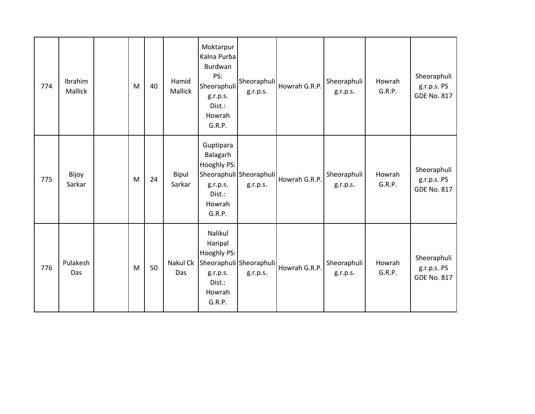| 774 | Ibrahim<br>Mallick | M | 40 | Hamid<br>Mallick | Moktarpur<br>Kalna Purba<br>Burdwan<br>PS:<br>Sheoraphuli<br>g.r.p.s.<br>Dist.:<br>Howrah<br>G.R.P. | Sheoraphuli<br>g.r.p.s.             | Howrah G.R.P. | Sheoraphuli<br>g.r.p.s. | Howrah<br>G.R.P. | Sheoraphuli<br>g.r.p.s. PS<br><b>GDE No. 817</b> |
|-----|--------------------|---|----|------------------|-----------------------------------------------------------------------------------------------------|-------------------------------------|---------------|-------------------------|------------------|--------------------------------------------------|
| 775 | Bijoy<br>Sarkar    | M | 24 | Bipul<br>Sarkar  | Guptipara<br>Balagarh<br>Hooghly PS:<br>g.r.p.s.<br>Dist.:<br>Howrah<br>G.R.P.                      | Sheoraphuli Sheoraphuli<br>g.r.p.s. | Howrah G.R.P. | Sheoraphuli<br>g.r.p.s. | Howrah<br>G.R.P. | Sheoraphuli<br>g.r.p.s. PS<br><b>GDE No. 817</b> |
| 776 | Pulakesh<br>Das    | M | 50 | Nakul Ck<br>Das  | Nalikul<br>Haripal<br>Hooghly PS:<br>g.r.p.s.<br>Dist.:<br>Howrah<br>G.R.P.                         | Sheoraphuli Sheoraphuli<br>g.r.p.s. | Howrah G.R.P. | Sheoraphuli<br>g.r.p.s. | Howrah<br>G.R.P. | Sheoraphuli<br>g.r.p.s. PS<br><b>GDE No. 817</b> |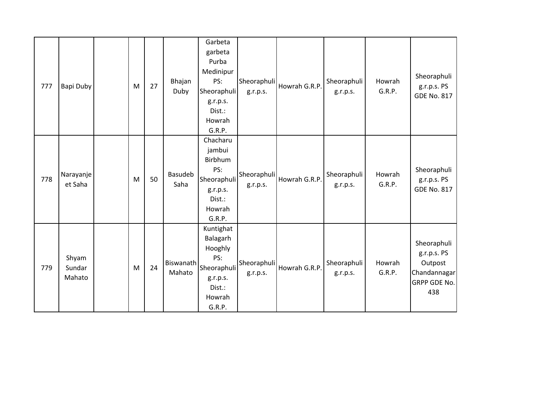| 777 | Bapi Duby                 | M | 27 | Bhajan<br>Duby      | Garbeta<br>garbeta<br>Purba<br>Medinipur<br>PS:<br>Sheoraphuli<br>g.r.p.s.<br>Dist.:<br>Howrah<br>G.R.P. | Sheoraphuli<br>g.r.p.s. | Howrah G.R.P. | Sheoraphuli<br>g.r.p.s. | Howrah<br>G.R.P. | Sheoraphuli<br>g.r.p.s. PS<br><b>GDE No. 817</b>                             |
|-----|---------------------------|---|----|---------------------|----------------------------------------------------------------------------------------------------------|-------------------------|---------------|-------------------------|------------------|------------------------------------------------------------------------------|
| 778 | Narayanje<br>et Saha      | M | 50 | Basudeb<br>Saha     | Chacharu<br>jambui<br>Birbhum<br>PS:<br>Sheoraphuli<br>g.r.p.s.<br>Dist.:<br>Howrah<br>G.R.P.            | Sheoraphuli<br>g.r.p.s. | Howrah G.R.P. | Sheoraphuli<br>g.r.p.s. | Howrah<br>G.R.P. | Sheoraphuli<br>g.r.p.s. PS<br><b>GDE No. 817</b>                             |
| 779 | Shyam<br>Sundar<br>Mahato | M | 24 | Biswanath<br>Mahato | Kuntighat<br>Balagarh<br>Hooghly<br>PS:<br>Sheoraphuli<br>g.r.p.s.<br>Dist.:<br>Howrah<br>G.R.P.         | Sheoraphuli<br>g.r.p.s. | Howrah G.R.P. | Sheoraphuli<br>g.r.p.s. | Howrah<br>G.R.P. | Sheoraphuli<br>g.r.p.s. PS<br>Outpost<br>Chandannagar<br>GRPP GDE No.<br>438 |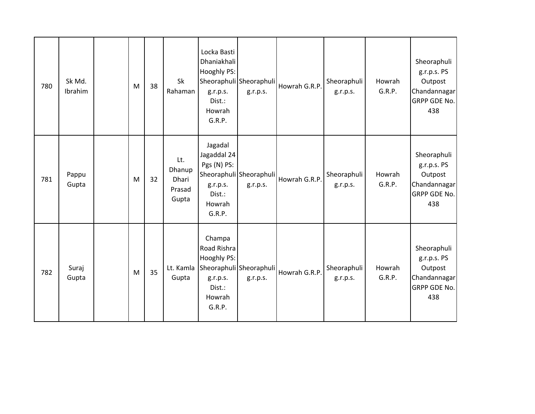| 780 | Sk Md.<br>Ibrahim | M | 38 | Sk<br>Rahaman                             | Locka Basti<br>Dhaniakhali<br>Hooghly PS:<br>g.r.p.s.<br>Dist.:<br>Howrah<br>G.R.P.                                 | Sheoraphuli Sheoraphuli<br>g.r.p.s. | Howrah G.R.P. | Sheoraphuli<br>g.r.p.s. | Howrah<br>G.R.P. | Sheoraphuli<br>g.r.p.s. PS<br>Outpost<br>Chandannagar<br>GRPP GDE No.<br>438        |
|-----|-------------------|---|----|-------------------------------------------|---------------------------------------------------------------------------------------------------------------------|-------------------------------------|---------------|-------------------------|------------------|-------------------------------------------------------------------------------------|
| 781 | Pappu<br>Gupta    | M | 32 | Lt.<br>Dhanup<br>Dhari<br>Prasad<br>Gupta | Jagadal<br>Jagaddal 24<br>Pgs (N) PS:<br>g.r.p.s.<br>Dist.:<br>Howrah<br>G.R.P.                                     | Sheoraphuli Sheoraphuli<br>g.r.p.s. | Howrah G.R.P. | Sheoraphuli<br>g.r.p.s. | Howrah<br>G.R.P. | Sheoraphuli<br>g.r.p.s. PS<br>Outpost<br>Chandannagar<br><b>GRPP GDE No.</b><br>438 |
| 782 | Suraj<br>Gupta    | M | 35 | Gupta                                     | Champa<br>Road Rishra<br>Hooghly PS:<br>Lt. Kamla Sheoraphuli Sheoraphuli<br>g.r.p.s.<br>Dist.:<br>Howrah<br>G.R.P. | g.r.p.s.                            | Howrah G.R.P. | Sheoraphuli<br>g.r.p.s. | Howrah<br>G.R.P. | Sheoraphuli<br>g.r.p.s. PS<br>Outpost<br>Chandannagar<br><b>GRPP GDE No.</b><br>438 |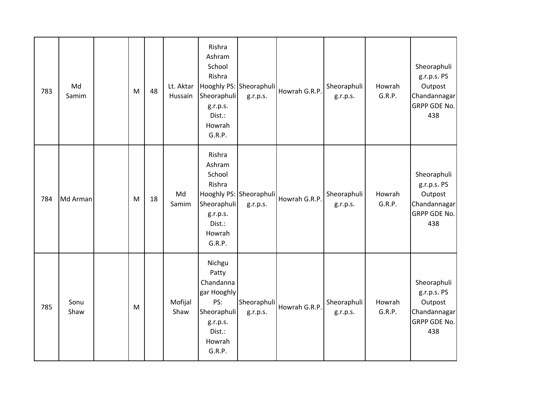| 783 | Md<br>Samim  | M         | 48 | Lt. Aktar<br>Hussain | Rishra<br>Ashram<br>School<br>Rishra<br>Sheoraphuli<br>g.r.p.s.<br>Dist.:<br>Howrah<br>G.R.P.               | Hooghly PS: Sheoraphuli<br>g.r.p.s. | Howrah G.R.P. | Sheoraphuli<br>g.r.p.s. | Howrah<br>G.R.P. | Sheoraphuli<br>g.r.p.s. PS<br>Outpost<br>Chandannagar<br>GRPP GDE No.<br>438 |
|-----|--------------|-----------|----|----------------------|-------------------------------------------------------------------------------------------------------------|-------------------------------------|---------------|-------------------------|------------------|------------------------------------------------------------------------------|
| 784 | Md Arman     | ${\sf M}$ | 18 | Md<br>Samim          | Rishra<br>Ashram<br>School<br>Rishra<br>Sheoraphuli<br>g.r.p.s.<br>Dist.:<br>Howrah<br>G.R.P.               | Hooghly PS: Sheoraphuli<br>g.r.p.s. | Howrah G.R.P. | Sheoraphuli<br>g.r.p.s. | Howrah<br>G.R.P. | Sheoraphuli<br>g.r.p.s. PS<br>Outpost<br>Chandannagar<br>GRPP GDE No.<br>438 |
| 785 | Sonu<br>Shaw | ${\sf M}$ |    | Mofijal<br>Shaw      | Nichgu<br>Patty<br>Chandanna<br>gar Hooghly<br>PS:<br>Sheoraphuli<br>g.r.p.s.<br>Dist.:<br>Howrah<br>G.R.P. | Sheoraphuli<br>g.r.p.s.             | Howrah G.R.P. | Sheoraphuli<br>g.r.p.s. | Howrah<br>G.R.P. | Sheoraphuli<br>g.r.p.s. PS<br>Outpost<br>Chandannagar<br>GRPP GDE No.<br>438 |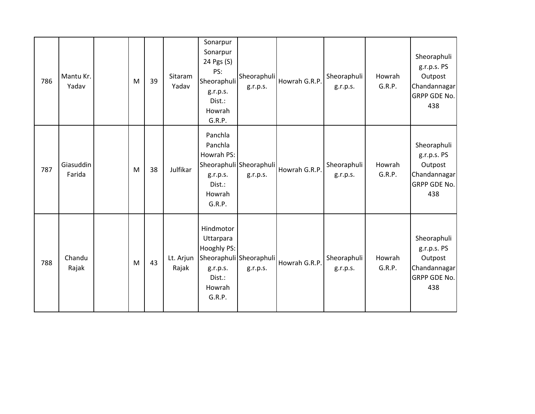| 786 | Mantu Kr.<br>Yadav  | M | 39 | Sitaram<br>Yadav   | Sonarpur<br>Sonarpur<br>24 Pgs (S)<br>PS:<br>Sheoraphuli<br>g.r.p.s.<br>Dist.:<br>Howrah<br>G.R.P. | Sheoraphuli<br>g.r.p.s.             | Howrah G.R.P. | Sheoraphuli<br>g.r.p.s. | Howrah<br>G.R.P. | Sheoraphuli<br>g.r.p.s. PS<br>Outpost<br>Chandannagar<br><b>GRPP GDE No.</b><br>438 |
|-----|---------------------|---|----|--------------------|----------------------------------------------------------------------------------------------------|-------------------------------------|---------------|-------------------------|------------------|-------------------------------------------------------------------------------------|
| 787 | Giasuddin<br>Farida | M | 38 | Julfikar           | Panchla<br>Panchla<br>Howrah PS:<br>g.r.p.s.<br>Dist.:<br>Howrah<br>G.R.P.                         | Sheoraphuli Sheoraphuli<br>g.r.p.s. | Howrah G.R.P. | Sheoraphuli<br>g.r.p.s. | Howrah<br>G.R.P. | Sheoraphuli<br>g.r.p.s. PS<br>Outpost<br>Chandannagar<br><b>GRPP GDE No.</b><br>438 |
| 788 | Chandu<br>Rajak     | M | 43 | Lt. Arjun<br>Rajak | Hindmotor<br>Uttarpara<br>Hooghly PS:<br>g.r.p.s.<br>Dist.:<br>Howrah<br>G.R.P.                    | Sheoraphuli Sheoraphuli<br>g.r.p.s. | Howrah G.R.P. | Sheoraphuli<br>g.r.p.s. | Howrah<br>G.R.P. | Sheoraphuli<br>g.r.p.s. PS<br>Outpost<br>Chandannagar<br><b>GRPP GDE No.</b><br>438 |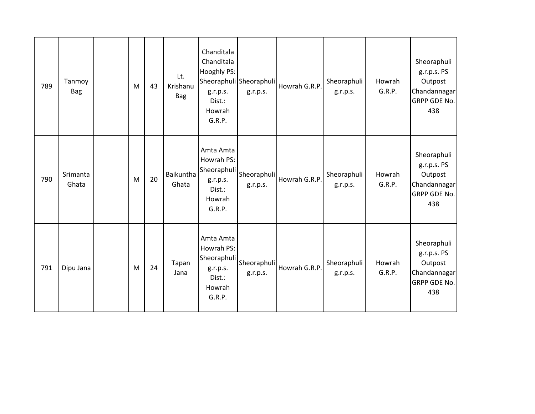| 789 | Tanmoy<br><b>Bag</b> | M | 43 | Lt.<br>Krishanu<br><b>Bag</b> | Chanditala<br>Chanditala<br>Hooghly PS:<br>g.r.p.s.<br>Dist.:<br>Howrah<br>G.R.P.             | Sheoraphuli Sheoraphuli<br>g.r.p.s. | Howrah G.R.P. | Sheoraphuli<br>g.r.p.s. | Howrah<br>G.R.P. | Sheoraphuli<br>g.r.p.s. PS<br>Outpost<br>Chandannagar<br>GRPP GDE No.<br>438 |
|-----|----------------------|---|----|-------------------------------|-----------------------------------------------------------------------------------------------|-------------------------------------|---------------|-------------------------|------------------|------------------------------------------------------------------------------|
| 790 | Srimanta<br>Ghata    | M | 20 | Baikuntha<br>Ghata            | Amta Amta<br>Howrah PS:<br>Sheoraphuli Sheoraphuli<br>g.r.p.s.<br>Dist.:<br>Howrah<br>G.R.P.  | g.r.p.s.                            | Howrah G.R.P. | Sheoraphuli<br>g.r.p.s. | Howrah<br>G.R.P. | Sheoraphuli<br>g.r.p.s. PS<br>Outpost<br>Chandannagar<br>GRPP GDE No.<br>438 |
| 791 | Dipu Jana            | M | 24 | Tapan<br>Jana                 | Amta Amta<br>Howrah PS:<br> Sheoraphuli Sheoraphuli<br>g.r.p.s.<br>Dist.:<br>Howrah<br>G.R.P. | g.r.p.s.                            | Howrah G.R.P. | Sheoraphuli<br>g.r.p.s. | Howrah<br>G.R.P. | Sheoraphuli<br>g.r.p.s. PS<br>Outpost<br>Chandannagar<br>GRPP GDE No.<br>438 |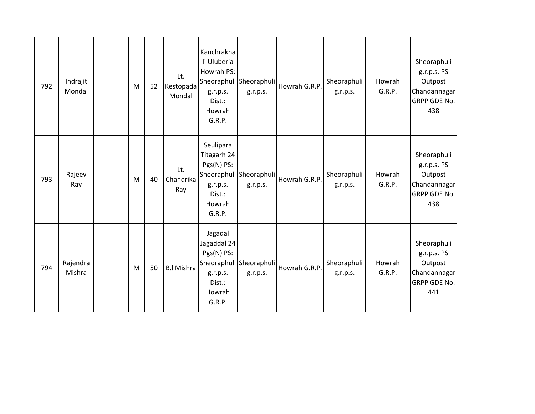| 792 | Indrajit<br>Mondal | M | 52 | Lt.<br>Kestopada<br>Mondal | Kanchrakha<br>li Uluberia<br>Howrah PS:<br>g.r.p.s.<br>Dist.:<br>Howrah<br>G.R.P. | Sheoraphuli Sheoraphuli<br>g.r.p.s. | Howrah G.R.P. | Sheoraphuli<br>g.r.p.s. | Howrah<br>G.R.P. | Sheoraphuli<br>g.r.p.s. PS<br>Outpost<br>Chandannagar<br><b>GRPP GDE No.</b><br>438 |
|-----|--------------------|---|----|----------------------------|-----------------------------------------------------------------------------------|-------------------------------------|---------------|-------------------------|------------------|-------------------------------------------------------------------------------------|
| 793 | Rajeev<br>Ray      | M | 40 | Lt.<br>Chandrika<br>Ray    | Seulipara<br>Titagarh 24<br>Pgs(N) PS:<br>g.r.p.s.<br>Dist.:<br>Howrah<br>G.R.P.  | Sheoraphuli Sheoraphuli<br>g.r.p.s. | Howrah G.R.P. | Sheoraphuli<br>g.r.p.s. | Howrah<br>G.R.P. | Sheoraphuli<br>g.r.p.s. PS<br>Outpost<br>Chandannagar<br><b>GRPP GDE No.</b><br>438 |
| 794 | Rajendra<br>Mishra | M | 50 | <b>B.I Mishra</b>          | Jagadal<br>Jagaddal 24<br>Pgs(N) PS:<br>g.r.p.s.<br>Dist.:<br>Howrah<br>G.R.P.    | Sheoraphuli Sheoraphuli<br>g.r.p.s. | Howrah G.R.P. | Sheoraphuli<br>g.r.p.s. | Howrah<br>G.R.P. | Sheoraphuli<br>g.r.p.s. PS<br>Outpost<br>Chandannagar<br>GRPP GDE No.<br>441        |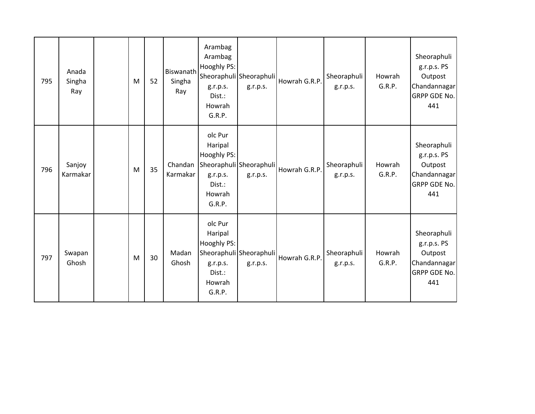| 795 | Anada<br>Singha<br>Ray | M | 52 | Biswanath<br>Singha<br>Ray | Arambag<br>Arambag<br>Hooghly PS:<br>g.r.p.s.<br>Dist.:<br>Howrah<br>G.R.P. | Sheoraphuli Sheoraphuli<br>g.r.p.s. | Howrah G.R.P. | Sheoraphuli<br>g.r.p.s. | Howrah<br>G.R.P. | Sheoraphuli<br>g.r.p.s. PS<br>Outpost<br>Chandannagar<br><b>GRPP GDE No.</b><br>441 |
|-----|------------------------|---|----|----------------------------|-----------------------------------------------------------------------------|-------------------------------------|---------------|-------------------------|------------------|-------------------------------------------------------------------------------------|
| 796 | Sanjoy<br>Karmakar     | M | 35 | Chandan<br>Karmakar        | olc Pur<br>Haripal<br>Hooghly PS:<br>g.r.p.s.<br>Dist.:<br>Howrah<br>G.R.P. | Sheoraphuli Sheoraphuli<br>g.r.p.s. | Howrah G.R.P. | Sheoraphuli<br>g.r.p.s. | Howrah<br>G.R.P. | Sheoraphuli<br>g.r.p.s. PS<br>Outpost<br>Chandannagar<br><b>GRPP GDE No.</b><br>441 |
| 797 | Swapan<br>Ghosh        | M | 30 | Madan<br>Ghosh             | olc Pur<br>Haripal<br>Hooghly PS:<br>g.r.p.s.<br>Dist.:<br>Howrah<br>G.R.P. | Sheoraphuli Sheoraphuli<br>g.r.p.s. | Howrah G.R.P. | Sheoraphuli<br>g.r.p.s. | Howrah<br>G.R.P. | Sheoraphuli<br>g.r.p.s. PS<br>Outpost<br>Chandannagar<br>GRPP GDE No.<br>441        |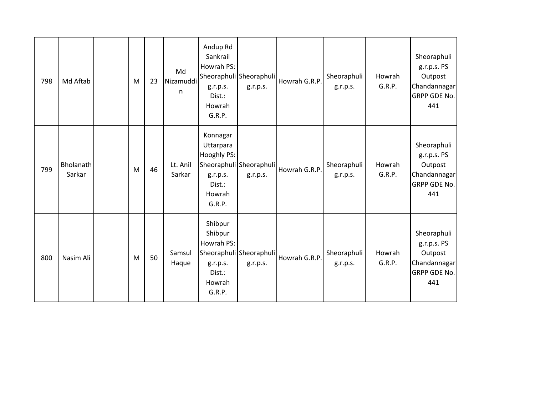| 798 | Md Aftab            | M | 23 | Md<br>Nizamuddi<br>n | Andup Rd<br>Sankrail<br>Howrah PS:<br>g.r.p.s.<br>Dist.:<br>Howrah<br>G.R.P.   | Sheoraphuli Sheoraphuli<br>g.r.p.s. | Howrah G.R.P. | Sheoraphuli<br>g.r.p.s. | Howrah<br>G.R.P. | Sheoraphuli<br>g.r.p.s. PS<br>Outpost<br>Chandannagar<br><b>GRPP GDE No.</b><br>441 |
|-----|---------------------|---|----|----------------------|--------------------------------------------------------------------------------|-------------------------------------|---------------|-------------------------|------------------|-------------------------------------------------------------------------------------|
| 799 | Bholanath<br>Sarkar | M | 46 | Lt. Anil<br>Sarkar   | Konnagar<br>Uttarpara<br>Hooghly PS:<br>g.r.p.s.<br>Dist.:<br>Howrah<br>G.R.P. | Sheoraphuli Sheoraphuli<br>g.r.p.s. | Howrah G.R.P. | Sheoraphuli<br>g.r.p.s. | Howrah<br>G.R.P. | Sheoraphuli<br>g.r.p.s. PS<br>Outpost<br>Chandannagar<br><b>GRPP GDE No.</b><br>441 |
| 800 | Nasim Ali           | M | 50 | Samsul<br>Haque      | Shibpur<br>Shibpur<br>Howrah PS:<br>g.r.p.s.<br>Dist.:<br>Howrah<br>G.R.P.     | Sheoraphuli Sheoraphuli<br>g.r.p.s. | Howrah G.R.P. | Sheoraphuli<br>g.r.p.s. | Howrah<br>G.R.P. | Sheoraphuli<br>g.r.p.s. PS<br>Outpost<br>Chandannagar<br><b>GRPP GDE No.</b><br>441 |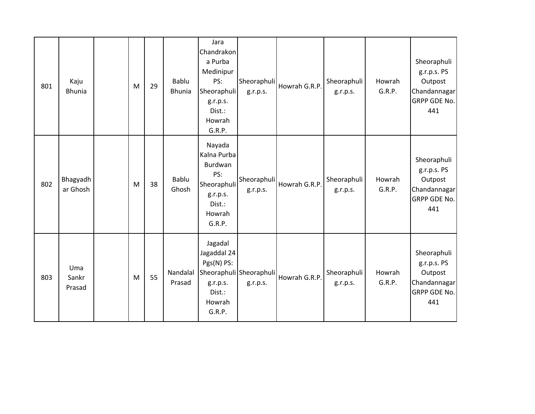| 801 | Kaju<br><b>Bhunia</b>  | M | 29 | <b>Bablu</b><br><b>Bhunia</b> | Jara<br>Chandrakon<br>a Purba<br>Medinipur<br>PS:<br>Sheoraphuli<br>g.r.p.s.<br>Dist.:<br>Howrah<br>G.R.P. | Sheoraphuli<br>g.r.p.s.             | Howrah G.R.P. | Sheoraphuli<br>g.r.p.s. | Howrah<br>G.R.P. | Sheoraphuli<br>g.r.p.s. PS<br>Outpost<br>Chandannagar<br>GRPP GDE No.<br>441        |
|-----|------------------------|---|----|-------------------------------|------------------------------------------------------------------------------------------------------------|-------------------------------------|---------------|-------------------------|------------------|-------------------------------------------------------------------------------------|
| 802 | Bhagyadh<br>ar Ghosh   | M | 38 | Bablu<br>Ghosh                | Nayada<br>Kalna Purba<br>Burdwan<br>PS:<br>Sheoraphuli<br>g.r.p.s.<br>Dist.:<br>Howrah<br>G.R.P.           | Sheoraphuli<br>g.r.p.s.             | Howrah G.R.P. | Sheoraphuli<br>g.r.p.s. | Howrah<br>G.R.P. | Sheoraphuli<br>g.r.p.s. PS<br>Outpost<br>Chandannagar<br><b>GRPP GDE No.</b><br>441 |
| 803 | Uma<br>Sankr<br>Prasad | M | 55 | Nandalal<br>Prasad            | Jagadal<br>Jagaddal 24<br>Pgs(N) PS:<br>g.r.p.s.<br>Dist.:<br>Howrah<br>G.R.P.                             | Sheoraphuli Sheoraphuli<br>g.r.p.s. | Howrah G.R.P. | Sheoraphuli<br>g.r.p.s. | Howrah<br>G.R.P. | Sheoraphuli<br>g.r.p.s. PS<br>Outpost<br>Chandannagar<br><b>GRPP GDE No.</b><br>441 |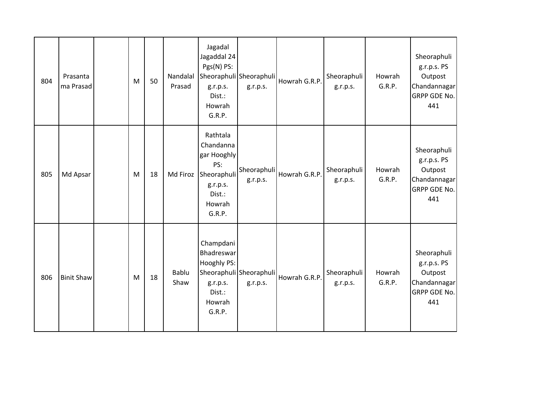| 804 | Prasanta<br>ma Prasad | ${\sf M}$ | 50 | Nandalal<br>Prasad | Jagadal<br>Jagaddal 24<br>Pgs(N) PS:<br>g.r.p.s.<br>Dist.:<br>Howrah<br>G.R.P.                       | Sheoraphuli Sheoraphuli<br>g.r.p.s. | Howrah G.R.P. | Sheoraphuli<br>g.r.p.s. | Howrah<br>G.R.P. | Sheoraphuli<br>g.r.p.s. PS<br>Outpost<br>Chandannagar<br>GRPP GDE No.<br>441        |
|-----|-----------------------|-----------|----|--------------------|------------------------------------------------------------------------------------------------------|-------------------------------------|---------------|-------------------------|------------------|-------------------------------------------------------------------------------------|
| 805 | Md Apsar              | M         | 18 | Md Firoz           | Rathtala<br>Chandanna<br>gar Hooghly<br>PS:<br>Sheoraphuli<br>g.r.p.s.<br>Dist.:<br>Howrah<br>G.R.P. | Sheoraphuli<br>g.r.p.s.             | Howrah G.R.P. | Sheoraphuli<br>g.r.p.s. | Howrah<br>G.R.P. | Sheoraphuli<br>g.r.p.s. PS<br>Outpost<br>Chandannagar<br><b>GRPP GDE No.</b><br>441 |
| 806 | <b>Binit Shaw</b>     | M         | 18 | Bablu<br>Shaw      | Champdani<br>Bhadreswar<br>Hooghly PS:<br>g.r.p.s.<br>Dist.:<br>Howrah<br>G.R.P.                     | Sheoraphuli Sheoraphuli<br>g.r.p.s. | Howrah G.R.P. | Sheoraphuli<br>g.r.p.s. | Howrah<br>G.R.P. | Sheoraphuli<br>g.r.p.s. PS<br>Outpost<br>Chandannagar<br>GRPP GDE No.<br>441        |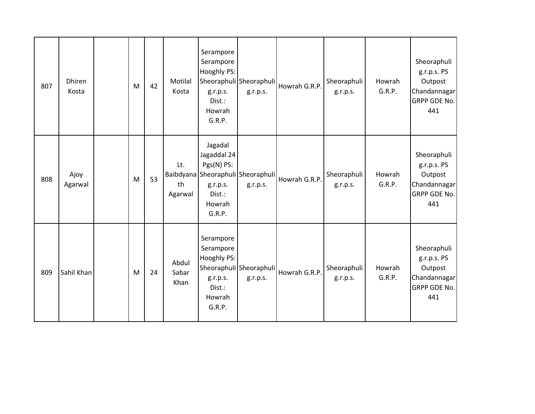| 807 | Dhiren<br>Kosta | M | 42 | Motilal<br>Kosta       | Serampore<br>Serampore<br>Hooghly PS:<br>g.r.p.s.<br>Dist.:<br>Howrah<br>G.R.P. | Sheoraphuli Sheoraphuli<br>g.r.p.s.           | Howrah G.R.P. | Sheoraphuli<br>g.r.p.s. | Howrah<br>G.R.P. | Sheoraphuli<br>g.r.p.s. PS<br>Outpost<br>Chandannagar<br>GRPP GDE No.<br>441        |
|-----|-----------------|---|----|------------------------|---------------------------------------------------------------------------------|-----------------------------------------------|---------------|-------------------------|------------------|-------------------------------------------------------------------------------------|
| 808 | Ajoy<br>Agarwal | M | 53 | Lt.<br>th<br>Agarwal   | Jagadal<br>Jagaddal 24<br>Pgs(N) PS:<br>g.r.p.s.<br>Dist.:<br>Howrah<br>G.R.P.  | Baibdyana Sheoraphuli Sheoraphuli<br>g.r.p.s. | Howrah G.R.P. | Sheoraphuli<br>g.r.p.s. | Howrah<br>G.R.P. | Sheoraphuli<br>g.r.p.s. PS<br>Outpost<br>Chandannagar<br><b>GRPP GDE No.</b><br>441 |
| 809 | Sahil Khan      | M | 24 | Abdul<br>Sabar<br>Khan | Serampore<br>Serampore<br>Hooghly PS:<br>g.r.p.s.<br>Dist.:<br>Howrah<br>G.R.P. | Sheoraphuli Sheoraphuli<br>g.r.p.s.           | Howrah G.R.P. | Sheoraphuli<br>g.r.p.s. | Howrah<br>G.R.P. | Sheoraphuli<br>g.r.p.s. PS<br>Outpost<br>Chandannagar<br><b>GRPP GDE No.</b><br>441 |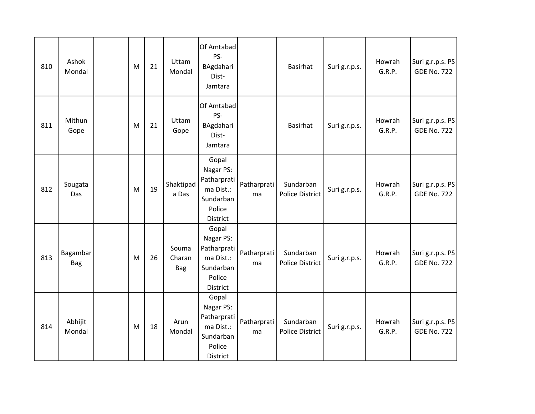| 810 | Ashok<br>Mondal        | M | 21 | Uttam<br>Mondal               | Of Amtabad<br>PS-<br>BAgdahari<br>Dist-<br>Jamtara                                |                   | <b>Basirhat</b>                     | Suri g.r.p.s. | Howrah<br>G.R.P. | Suri g.r.p.s. PS<br><b>GDE No. 722</b> |
|-----|------------------------|---|----|-------------------------------|-----------------------------------------------------------------------------------|-------------------|-------------------------------------|---------------|------------------|----------------------------------------|
| 811 | Mithun<br>Gope         | M | 21 | Uttam<br>Gope                 | Of Amtabad<br>PS-<br>BAgdahari<br>Dist-<br>Jamtara                                |                   | Basirhat                            | Suri g.r.p.s. | Howrah<br>G.R.P. | Suri g.r.p.s. PS<br><b>GDE No. 722</b> |
| 812 | Sougata<br>Das         | M | 19 | Shaktipad<br>a Das            | Gopal<br>Nagar PS:<br>Patharprati<br>ma Dist.:<br>Sundarban<br>Police<br>District | Patharprati<br>ma | Sundarban<br><b>Police District</b> | Suri g.r.p.s. | Howrah<br>G.R.P. | Suri g.r.p.s. PS<br><b>GDE No. 722</b> |
| 813 | Bagambar<br><b>Bag</b> | M | 26 | Souma<br>Charan<br><b>Bag</b> | Gopal<br>Nagar PS:<br>Patharprati<br>ma Dist.:<br>Sundarban<br>Police<br>District | Patharprati<br>ma | Sundarban<br><b>Police District</b> | Suri g.r.p.s. | Howrah<br>G.R.P. | Suri g.r.p.s. PS<br><b>GDE No. 722</b> |
| 814 | Abhijit<br>Mondal      | M | 18 | Arun<br>Mondal                | Gopal<br>Nagar PS:<br>Patharprati<br>ma Dist.:<br>Sundarban<br>Police<br>District | Patharprati<br>ma | Sundarban<br><b>Police District</b> | Suri g.r.p.s. | Howrah<br>G.R.P. | Suri g.r.p.s. PS<br><b>GDE No. 722</b> |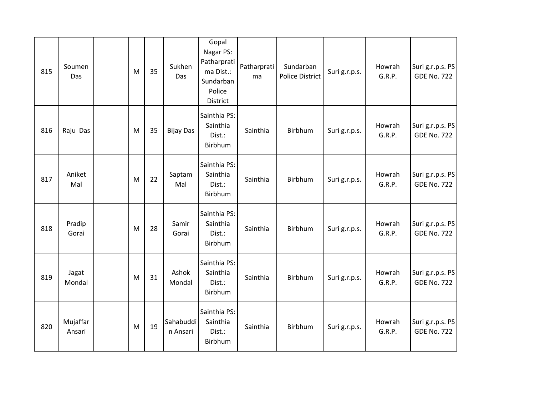| 815 | Soumen<br>Das      | M         | 35 | Sukhen<br>Das         | Gopal<br>Nagar PS:<br>Patharprati<br>ma Dist.:<br>Sundarban<br>Police<br>District | Patharprati<br>ma | Sundarban<br><b>Police District</b> | Suri g.r.p.s. | Howrah<br>G.R.P. | Suri g.r.p.s. PS<br><b>GDE No. 722</b> |
|-----|--------------------|-----------|----|-----------------------|-----------------------------------------------------------------------------------|-------------------|-------------------------------------|---------------|------------------|----------------------------------------|
| 816 | Raju Das           | M         | 35 | <b>Bijay Das</b>      | Sainthia PS:<br>Sainthia<br>Dist.:<br>Birbhum                                     | Sainthia          | Birbhum                             | Suri g.r.p.s. | Howrah<br>G.R.P. | Suri g.r.p.s. PS<br><b>GDE No. 722</b> |
| 817 | Aniket<br>Mal      | M         | 22 | Saptam<br>Mal         | Sainthia PS:<br>Sainthia<br>Dist.:<br>Birbhum                                     | Sainthia          | Birbhum                             | Suri g.r.p.s. | Howrah<br>G.R.P. | Suri g.r.p.s. PS<br><b>GDE No. 722</b> |
| 818 | Pradip<br>Gorai    | M         | 28 | Samir<br>Gorai        | Sainthia PS:<br>Sainthia<br>Dist.:<br>Birbhum                                     | Sainthia          | Birbhum                             | Suri g.r.p.s. | Howrah<br>G.R.P. | Suri g.r.p.s. PS<br><b>GDE No. 722</b> |
| 819 | Jagat<br>Mondal    | M         | 31 | Ashok<br>Mondal       | Sainthia PS:<br>Sainthia<br>Dist.:<br>Birbhum                                     | Sainthia          | Birbhum                             | Suri g.r.p.s. | Howrah<br>G.R.P. | Suri g.r.p.s. PS<br><b>GDE No. 722</b> |
| 820 | Mujaffar<br>Ansari | ${\sf M}$ | 19 | Sahabuddi<br>n Ansari | Sainthia PS:<br>Sainthia<br>Dist.:<br>Birbhum                                     | Sainthia          | Birbhum                             | Suri g.r.p.s. | Howrah<br>G.R.P. | Suri g.r.p.s. PS<br><b>GDE No. 722</b> |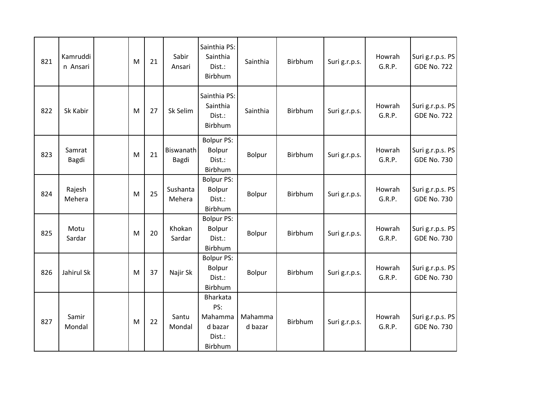| 821 | Kamruddi<br>n Ansari | M         | 21 | Sabir<br>Ansari    | Sainthia PS:<br>Sainthia<br>Dist.:<br>Birbhum              | Sainthia           | Birbhum | Suri g.r.p.s. | Howrah<br>G.R.P. | Suri g.r.p.s. PS<br><b>GDE No. 722</b> |
|-----|----------------------|-----------|----|--------------------|------------------------------------------------------------|--------------------|---------|---------------|------------------|----------------------------------------|
| 822 | Sk Kabir             | M         | 27 | Sk Selim           | Sainthia PS:<br>Sainthia<br>Dist.:<br>Birbhum              | Sainthia           | Birbhum | Suri g.r.p.s. | Howrah<br>G.R.P. | Suri g.r.p.s. PS<br><b>GDE No. 722</b> |
| 823 | Samrat<br>Bagdi      | M         | 21 | Biswanath<br>Bagdi | <b>Bolpur PS:</b><br>Bolpur<br>Dist.:<br>Birbhum           | Bolpur             | Birbhum | Suri g.r.p.s. | Howrah<br>G.R.P. | Suri g.r.p.s. PS<br><b>GDE No. 730</b> |
| 824 | Rajesh<br>Mehera     | M         | 25 | Sushanta<br>Mehera | <b>Bolpur PS:</b><br>Bolpur<br>Dist.:<br>Birbhum           | Bolpur             | Birbhum | Suri g.r.p.s. | Howrah<br>G.R.P. | Suri g.r.p.s. PS<br><b>GDE No. 730</b> |
| 825 | Motu<br>Sardar       | M         | 20 | Khokan<br>Sardar   | <b>Bolpur PS:</b><br><b>Bolpur</b><br>Dist.:<br>Birbhum    | Bolpur             | Birbhum | Suri g.r.p.s. | Howrah<br>G.R.P. | Suri g.r.p.s. PS<br><b>GDE No. 730</b> |
| 826 | Jahirul Sk           | ${\sf M}$ | 37 | Najir Sk           | <b>Bolpur PS:</b><br><b>Bolpur</b><br>Dist.:<br>Birbhum    | Bolpur             | Birbhum | Suri g.r.p.s. | Howrah<br>G.R.P. | Suri g.r.p.s. PS<br><b>GDE No. 730</b> |
| 827 | Samir<br>Mondal      | ${\sf M}$ | 22 | Santu<br>Mondal    | Bharkata<br>PS:<br>Mahamma<br>d bazar<br>Dist.:<br>Birbhum | Mahamma<br>d bazar | Birbhum | Suri g.r.p.s. | Howrah<br>G.R.P. | Suri g.r.p.s. PS<br><b>GDE No. 730</b> |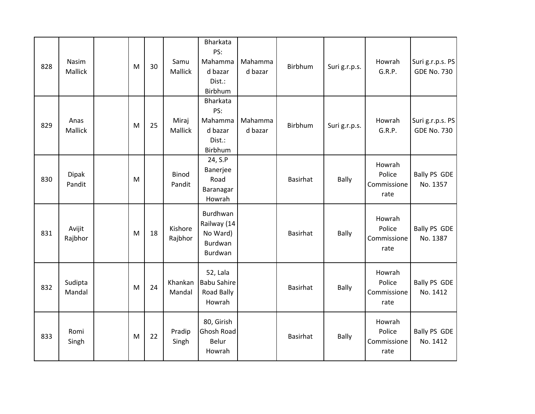| 828 | Nasim<br>Mallick       | M         | 30 | Samu<br>Mallick        | Bharkata<br>PS:<br>Mahamma<br>d bazar<br>Dist.:<br>Birbhum | Mahamma<br>d bazar | Birbhum         | Suri g.r.p.s. | Howrah<br>G.R.P.                        | Suri g.r.p.s. PS<br><b>GDE No. 730</b> |
|-----|------------------------|-----------|----|------------------------|------------------------------------------------------------|--------------------|-----------------|---------------|-----------------------------------------|----------------------------------------|
| 829 | Anas<br><b>Mallick</b> | ${\sf M}$ | 25 | Miraj<br>Mallick       | Bharkata<br>PS:<br>Mahamma<br>d bazar<br>Dist.:<br>Birbhum | Mahamma<br>d bazar | Birbhum         | Suri g.r.p.s. | Howrah<br>G.R.P.                        | Suri g.r.p.s. PS<br><b>GDE No. 730</b> |
| 830 | Dipak<br>Pandit        | ${\sf M}$ |    | <b>Binod</b><br>Pandit | 24, S.P<br>Banerjee<br>Road<br>Baranagar<br>Howrah         |                    | <b>Basirhat</b> | <b>Bally</b>  | Howrah<br>Police<br>Commissione<br>rate | <b>Bally PS GDE</b><br>No. 1357        |
| 831 | Avijit<br>Rajbhor      | M         | 18 | Kishore<br>Rajbhor     | Burdhwan<br>Railway (14<br>No Ward)<br>Burdwan<br>Burdwan  |                    | <b>Basirhat</b> | Bally         | Howrah<br>Police<br>Commissione<br>rate | Bally PS GDE<br>No. 1387               |
| 832 | Sudipta<br>Mandal      | ${\sf M}$ | 24 | Khankan<br>Mandal      | 52, Lala<br><b>Babu Sahire</b><br>Road Bally<br>Howrah     |                    | Basirhat        | Bally         | Howrah<br>Police<br>Commissione<br>rate | <b>Bally PS GDE</b><br>No. 1412        |
| 833 | Romi<br>Singh          | ${\sf M}$ | 22 | Pradip<br>Singh        | 80, Girish<br>Ghosh Road<br>Belur<br>Howrah                |                    | <b>Basirhat</b> | <b>Bally</b>  | Howrah<br>Police<br>Commissione<br>rate | Bally PS GDE<br>No. 1412               |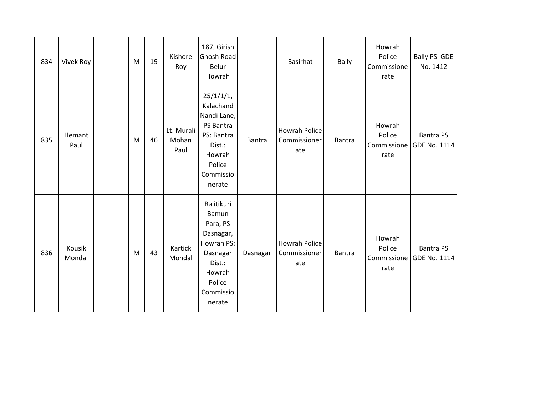| 834 | <b>Vivek Roy</b> | ${\sf M}$ | 19 | Kishore<br>Roy              | 187, Girish<br><b>Ghosh Road</b><br>Belur<br>Howrah                                                                         |          | Basirhat                                    | Bally  | Howrah<br>Police<br>Commissione<br>rate | Bally PS GDE<br>No. 1412         |
|-----|------------------|-----------|----|-----------------------------|-----------------------------------------------------------------------------------------------------------------------------|----------|---------------------------------------------|--------|-----------------------------------------|----------------------------------|
| 835 | Hemant<br>Paul   | ${\sf M}$ | 46 | Lt. Murali<br>Mohan<br>Paul | 25/1/1/1,<br>Kalachand<br>Nandi Lane,<br>PS Bantra<br>PS: Bantra<br>Dist.:<br>Howrah<br>Police<br>Commissio<br>nerate       | Bantra   | Howrah Police<br>Commissioner<br>ate        | Bantra | Howrah<br>Police<br>Commissione<br>rate | <b>Bantra PS</b><br>GDE No. 1114 |
| 836 | Kousik<br>Mondal | ${\sf M}$ | 43 | Kartick<br>Mondal           | Balitikuri<br>Bamun<br>Para, PS<br>Dasnagar,<br>Howrah PS:<br>Dasnagar<br>Dist.:<br>Howrah<br>Police<br>Commissio<br>nerate | Dasnagar | <b>Howrah Police</b><br>Commissioner<br>ate | Bantra | Howrah<br>Police<br>Commissione<br>rate | <b>Bantra PS</b><br>GDE No. 1114 |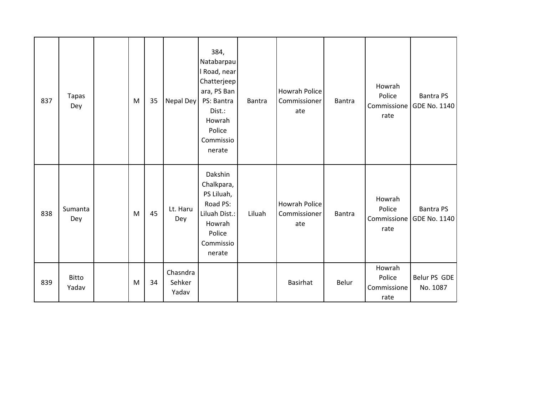| 837 | Tapas<br>Dey   | M | 35 | Nepal Dey                   | 384,<br>Natabarpau<br>I Road, near<br>Chatterjeep<br>ara, PS Ban<br>PS: Bantra<br>Dist.:<br>Howrah<br>Police<br>Commissio<br>nerate | Bantra | <b>Howrah Police</b><br>Commissioner<br>ate | Bantra | Howrah<br>Police<br>Commissione<br>rate | <b>Bantra PS</b><br>GDE No. 1140 |
|-----|----------------|---|----|-----------------------------|-------------------------------------------------------------------------------------------------------------------------------------|--------|---------------------------------------------|--------|-----------------------------------------|----------------------------------|
| 838 | Sumanta<br>Dey | M | 45 | Lt. Haru<br>Dey             | Dakshin<br>Chalkpara,<br>PS Liluah,<br>Road PS:<br>Liluah Dist.:<br>Howrah<br>Police<br>Commissio<br>nerate                         | Liluah | <b>Howrah Police</b><br>Commissioner<br>ate | Bantra | Howrah<br>Police<br>Commissione<br>rate | <b>Bantra PS</b><br>GDE No. 1140 |
| 839 | Bitto<br>Yadav | M | 34 | Chasndra<br>Sehker<br>Yadav |                                                                                                                                     |        | <b>Basirhat</b>                             | Belur  | Howrah<br>Police<br>Commissione<br>rate | Belur PS GDE<br>No. 1087         |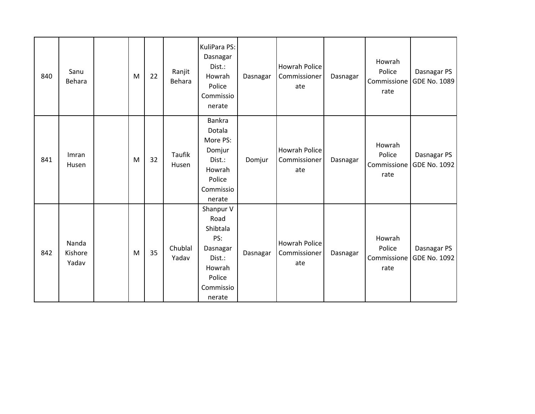| 840 | Sanu<br>Behara            | M | 22 | Ranjit<br>Behara       | KuliPara PS:<br>Dasnagar<br>Dist.:<br>Howrah<br>Police<br>Commissio<br>nerate                         | Dasnagar | <b>Howrah Police</b><br>Commissioner<br>ate | Dasnagar | Howrah<br>Police<br>Commissione<br>rate | Dasnagar PS<br>GDE No. 1089 |
|-----|---------------------------|---|----|------------------------|-------------------------------------------------------------------------------------------------------|----------|---------------------------------------------|----------|-----------------------------------------|-----------------------------|
| 841 | Imran<br>Husen            | M | 32 | <b>Taufik</b><br>Husen | Bankra<br>Dotala<br>More PS:<br>Domjur<br>Dist.:<br>Howrah<br>Police<br>Commissio<br>nerate           | Domjur   | <b>Howrah Police</b><br>Commissioner<br>ate | Dasnagar | Howrah<br>Police<br>Commissione<br>rate | Dasnagar PS<br>GDE No. 1092 |
| 842 | Nanda<br>Kishore<br>Yadav | M | 35 | Chublal<br>Yadav       | Shanpur V<br>Road<br>Shibtala<br>PS:<br>Dasnagar<br>Dist.:<br>Howrah<br>Police<br>Commissio<br>nerate | Dasnagar | <b>Howrah Police</b><br>Commissioner<br>ate | Dasnagar | Howrah<br>Police<br>Commissione<br>rate | Dasnagar PS<br>GDE No. 1092 |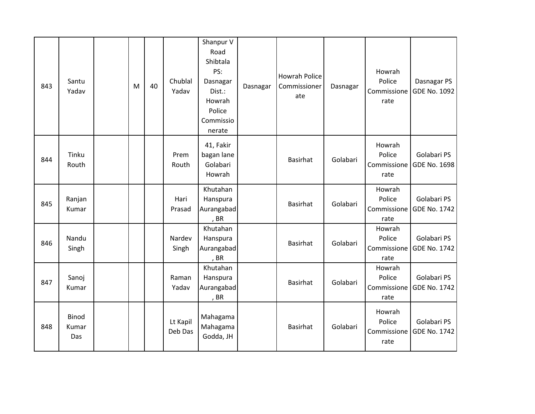| 843 | Santu<br>Yadav               | M | 40 | Chublal<br>Yadav    | Shanpur V<br>Road<br>Shibtala<br>PS:<br>Dasnagar<br>Dist.:<br>Howrah<br>Police<br>Commissio<br>nerate | Dasnagar | <b>Howrah Police</b><br>Commissioner<br>ate | Dasnagar | Howrah<br>Police<br>Commissione<br>rate | Dasnagar PS<br>GDE No. 1092        |
|-----|------------------------------|---|----|---------------------|-------------------------------------------------------------------------------------------------------|----------|---------------------------------------------|----------|-----------------------------------------|------------------------------------|
| 844 | Tinku<br>Routh               |   |    | Prem<br>Routh       | 41, Fakir<br>bagan lane<br>Golabari<br>Howrah                                                         |          | <b>Basirhat</b>                             | Golabari | Howrah<br>Police<br>Commissione<br>rate | Golabari PS<br>GDE No. 1698        |
| 845 | Ranjan<br>Kumar              |   |    | Hari<br>Prasad      | Khutahan<br>Hanspura<br>Aurangabad<br>, BR                                                            |          | <b>Basirhat</b>                             | Golabari | Howrah<br>Police<br>Commissione<br>rate | Golabari PS<br><b>GDE No. 1742</b> |
| 846 | Nandu<br>Singh               |   |    | Nardev<br>Singh     | Khutahan<br>Hanspura<br>Aurangabad<br>, BR                                                            |          | <b>Basirhat</b>                             | Golabari | Howrah<br>Police<br>Commissione<br>rate | Golabari PS<br>GDE No. 1742        |
| 847 | Sanoj<br>Kumar               |   |    | Raman<br>Yadav      | Khutahan<br>Hanspura<br>Aurangabad<br>, BR                                                            |          | <b>Basirhat</b>                             | Golabari | Howrah<br>Police<br>Commissione<br>rate | Golabari PS<br>GDE No. 1742        |
| 848 | <b>Binod</b><br>Kumar<br>Das |   |    | Lt Kapil<br>Deb Das | Mahagama<br>Mahagama<br>Godda, JH                                                                     |          | <b>Basirhat</b>                             | Golabari | Howrah<br>Police<br>Commissione<br>rate | Golabari PS<br>GDE No. 1742        |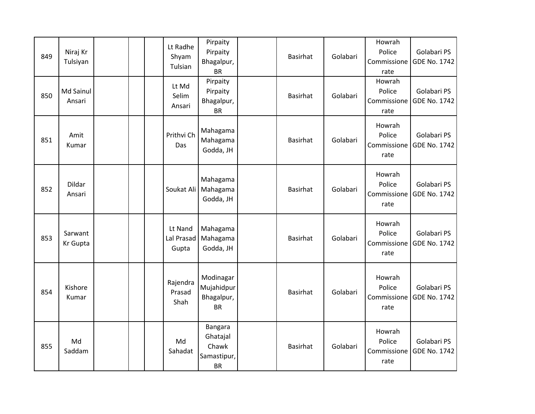| 849 | Niraj Kr<br>Tulsiyan |  | Lt Radhe<br>Shyam<br>Tulsian   | Pirpaity<br>Pirpaity<br>Bhagalpur,<br><b>BR</b>          | <b>Basirhat</b> | Golabari | Howrah<br>Police<br>Commissione<br>rate | Golabari PS<br>GDE No. 1742 |
|-----|----------------------|--|--------------------------------|----------------------------------------------------------|-----------------|----------|-----------------------------------------|-----------------------------|
| 850 | Md Sainul<br>Ansari  |  | Lt Md<br>Selim<br>Ansari       | Pirpaity<br>Pirpaity<br>Bhagalpur,<br><b>BR</b>          | <b>Basirhat</b> | Golabari | Howrah<br>Police<br>Commissione<br>rate | Golabari PS<br>GDE No. 1742 |
| 851 | Amit<br>Kumar        |  | Prithvi Ch<br>Das              | Mahagama<br>Mahagama<br>Godda, JH                        | <b>Basirhat</b> | Golabari | Howrah<br>Police<br>Commissione<br>rate | Golabari PS<br>GDE No. 1742 |
| 852 | Dildar<br>Ansari     |  | Soukat Ali                     | Mahagama<br>Mahagama<br>Godda, JH                        | <b>Basirhat</b> | Golabari | Howrah<br>Police<br>Commissione<br>rate | Golabari PS<br>GDE No. 1742 |
| 853 | Sarwant<br>Kr Gupta  |  | Lt Nand<br>Lal Prasad<br>Gupta | Mahagama<br>Mahagama<br>Godda, JH                        | <b>Basirhat</b> | Golabari | Howrah<br>Police<br>Commissione<br>rate | Golabari PS<br>GDE No. 1742 |
| 854 | Kishore<br>Kumar     |  | Rajendra<br>Prasad<br>Shah     | Modinagar<br>Mujahidpur<br>Bhagalpur,<br><b>BR</b>       | <b>Basirhat</b> | Golabari | Howrah<br>Police<br>Commissione<br>rate | Golabari PS<br>GDE No. 1742 |
| 855 | Md<br>Saddam         |  | Md<br>Sahadat                  | Bangara<br>Ghatajal<br>Chawk<br>Samastipur,<br><b>BR</b> | <b>Basirhat</b> | Golabari | Howrah<br>Police<br>Commissione<br>rate | Golabari PS<br>GDE No. 1742 |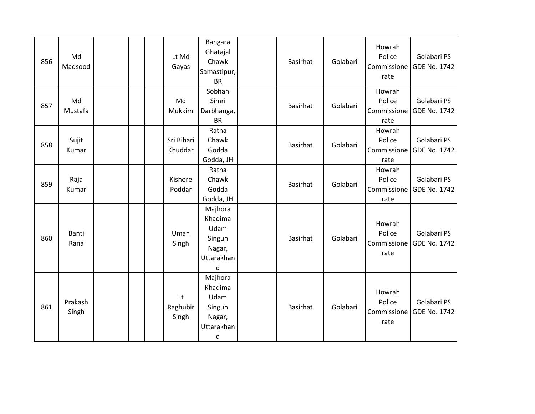| 856 | Md<br>Magsood    |  | Lt Md<br>Gayas          | Bangara<br>Ghatajal<br>Chawk<br>Samastipur,<br><b>BR</b>                     | <b>Basirhat</b> | Golabari | Howrah<br>Police<br>Commissione<br>rate | Golabari PS<br>GDE No. 1742 |
|-----|------------------|--|-------------------------|------------------------------------------------------------------------------|-----------------|----------|-----------------------------------------|-----------------------------|
| 857 | Md<br>Mustafa    |  | Md<br>Mukkim            | Sobhan<br>Simri<br>Darbhanga,<br><b>BR</b>                                   | <b>Basirhat</b> | Golabari | Howrah<br>Police<br>Commissione<br>rate | Golabari PS<br>GDE No. 1742 |
| 858 | Sujit<br>Kumar   |  | Sri Bihari<br>Khuddar   | Ratna<br>Chawk<br>Godda<br>Godda, JH                                         | <b>Basirhat</b> | Golabari | Howrah<br>Police<br>Commissione<br>rate | Golabari PS<br>GDE No. 1742 |
| 859 | Raja<br>Kumar    |  | Kishore<br>Poddar       | Ratna<br>Chawk<br>Godda<br>Godda, JH                                         | <b>Basirhat</b> | Golabari | Howrah<br>Police<br>Commissione<br>rate | Golabari PS<br>GDE No. 1742 |
| 860 | Banti<br>Rana    |  | Uman<br>Singh           | Majhora<br>Khadima<br>Udam<br>Singuh<br>Nagar,<br>Uttarakhan<br>$\mathsf{d}$ | <b>Basirhat</b> | Golabari | Howrah<br>Police<br>Commissione<br>rate | Golabari PS<br>GDE No. 1742 |
| 861 | Prakash<br>Singh |  | Lt<br>Raghubir<br>Singh | Majhora<br>Khadima<br>Udam<br>Singuh<br>Nagar,<br>Uttarakhan<br>d            | <b>Basirhat</b> | Golabari | Howrah<br>Police<br>Commissione<br>rate | Golabari PS<br>GDE No. 1742 |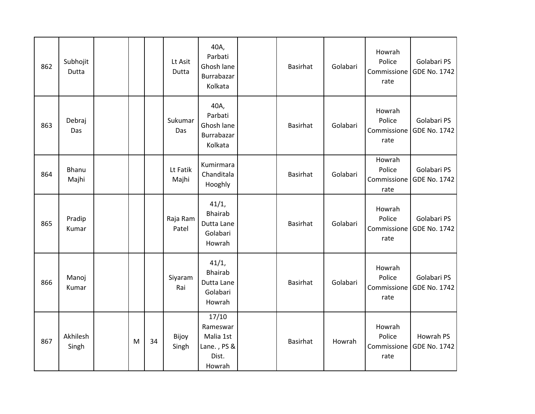| 862 | Subhojit<br>Dutta |   |    | Lt Asit<br>Dutta  | 40A,<br>Parbati<br>Ghosh lane<br>Burrabazar<br>Kolkata           | <b>Basirhat</b> | Golabari | Howrah<br>Police<br>Commissione<br>rate | Golabari PS<br>GDE No. 1742        |
|-----|-------------------|---|----|-------------------|------------------------------------------------------------------|-----------------|----------|-----------------------------------------|------------------------------------|
| 863 | Debraj<br>Das     |   |    | Sukumar<br>Das    | 40A,<br>Parbati<br>Ghosh lane<br>Burrabazar<br>Kolkata           | <b>Basirhat</b> | Golabari | Howrah<br>Police<br>Commissione<br>rate | Golabari PS<br>GDE No. 1742        |
| 864 | Bhanu<br>Majhi    |   |    | Lt Fatik<br>Majhi | Kumirmara<br>Chanditala<br>Hooghly                               | <b>Basirhat</b> | Golabari | Howrah<br>Police<br>Commissione<br>rate | Golabari PS<br>GDE No. 1742        |
| 865 | Pradip<br>Kumar   |   |    | Raja Ram<br>Patel | 41/1,<br><b>Bhairab</b><br>Dutta Lane<br>Golabari<br>Howrah      | <b>Basirhat</b> | Golabari | Howrah<br>Police<br>Commissione<br>rate | Golabari PS<br><b>GDE No. 1742</b> |
| 866 | Manoj<br>Kumar    |   |    | Siyaram<br>Rai    | 41/1,<br><b>Bhairab</b><br>Dutta Lane<br>Golabari<br>Howrah      | <b>Basirhat</b> | Golabari | Howrah<br>Police<br>Commissione<br>rate | Golabari PS<br>GDE No. 1742        |
| 867 | Akhilesh<br>Singh | M | 34 | Bijoy<br>Singh    | 17/10<br>Rameswar<br>Malia 1st<br>Lane., PS &<br>Dist.<br>Howrah | <b>Basirhat</b> | Howrah   | Howrah<br>Police<br>Commissione<br>rate | Howrah PS<br>GDE No. 1742          |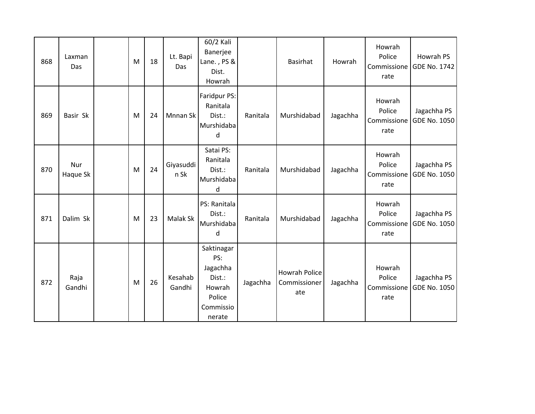| 868 | Laxman<br>Das   | M | 18 | Lt. Bapi<br>Das   | 60/2 Kali<br>Banerjee<br>Lane., PS &<br>Dist.<br>Howrah                            |          | Basirhat                                    | Howrah   | Howrah<br>Police<br>Commissione<br>rate | Howrah PS<br>GDE No. 1742          |
|-----|-----------------|---|----|-------------------|------------------------------------------------------------------------------------|----------|---------------------------------------------|----------|-----------------------------------------|------------------------------------|
| 869 | Basir Sk        | M | 24 | Mnnan Sk          | Faridpur PS:<br>Ranitala<br>Dist.:<br>Murshidaba<br>d                              | Ranitala | Murshidabad                                 | Jagachha | Howrah<br>Police<br>Commissione<br>rate | Jagachha PS<br><b>GDE No. 1050</b> |
| 870 | Nur<br>Haque Sk | M | 24 | Giyasuddi<br>n Sk | Satai PS:<br>Ranitala<br>Dist.:<br>Murshidaba<br>d                                 | Ranitala | Murshidabad                                 | Jagachha | Howrah<br>Police<br>Commissione<br>rate | Jagachha PS<br><b>GDE No. 1050</b> |
| 871 | Dalim Sk        | M | 23 | Malak Sk          | PS: Ranitala<br>Dist.:<br>Murshidaba<br>d                                          | Ranitala | Murshidabad                                 | Jagachha | Howrah<br>Police<br>Commissione<br>rate | Jagachha PS<br><b>GDE No. 1050</b> |
| 872 | Raja<br>Gandhi  | M | 26 | Kesahab<br>Gandhi | Saktinagar<br>PS:<br>Jagachha<br>Dist.:<br>Howrah<br>Police<br>Commissio<br>nerate | Jagachha | <b>Howrah Police</b><br>Commissioner<br>ate | Jagachha | Howrah<br>Police<br>Commissione<br>rate | Jagachha PS<br><b>GDE No. 1050</b> |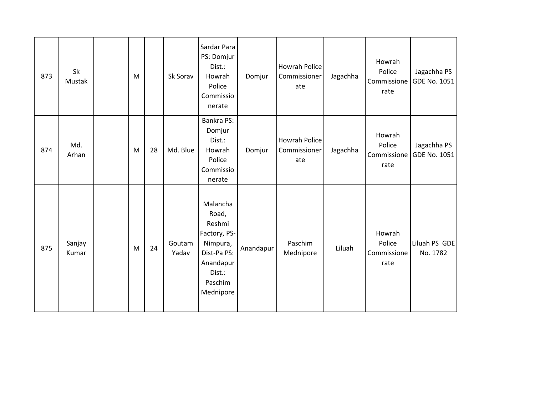| 873 | Sk<br>Mustak    | ${\sf M}$ |    | Sk Sorav        | Sardar Para<br>PS: Domjur<br>Dist.:<br>Howrah<br>Police<br>Commissio<br>nerate                                        | Domjur    | <b>Howrah Police</b><br>Commissioner<br>ate | Jagachha | Howrah<br>Police<br>Commissione<br>rate | Jagachha PS<br>GDE No. 1051 |
|-----|-----------------|-----------|----|-----------------|-----------------------------------------------------------------------------------------------------------------------|-----------|---------------------------------------------|----------|-----------------------------------------|-----------------------------|
| 874 | Md.<br>Arhan    | M         | 28 | Md. Blue        | Bankra PS:<br>Domjur<br>Dist.:<br>Howrah<br>Police<br>Commissio<br>nerate                                             | Domjur    | <b>Howrah Police</b><br>Commissioner<br>ate | Jagachha | Howrah<br>Police<br>Commissione<br>rate | Jagachha PS<br>GDE No. 1051 |
| 875 | Sanjay<br>Kumar | M         | 24 | Goutam<br>Yadav | Malancha<br>Road,<br>Reshmi<br>Factory, PS-<br>Nimpura,<br>Dist-Pa PS:<br>Anandapur<br>Dist.:<br>Paschim<br>Mednipore | Anandapur | Paschim<br>Mednipore                        | Liluah   | Howrah<br>Police<br>Commissione<br>rate | Liluah PS GDE<br>No. 1782   |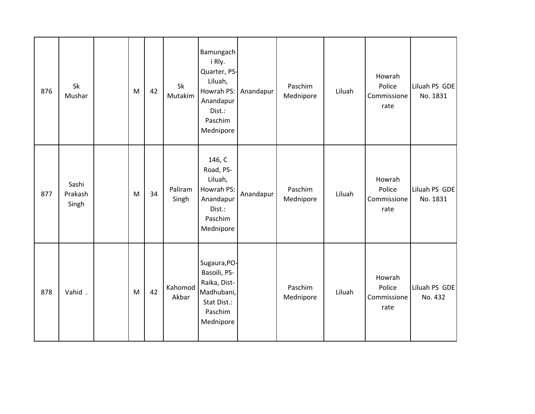| 876 | Sk<br>Mushar              | M | 42 | Sk<br>Mutakim    | Bamungach<br>i Rly.<br>Quarter, PS-<br>Liluah,<br>Howrah PS:<br>Anandapur<br>Dist.:<br>Paschim<br>Mednipore | Anandapur | Paschim<br>Mednipore | Liluah | Howrah<br>Police<br>Commissione<br>rate | Liluah PS GDE<br>No. 1831 |
|-----|---------------------------|---|----|------------------|-------------------------------------------------------------------------------------------------------------|-----------|----------------------|--------|-----------------------------------------|---------------------------|
| 877 | Sashi<br>Prakash<br>Singh | M | 34 | Paliram<br>Singh | 146, C<br>Road, PS-<br>Liluah,<br>Howrah PS:<br>Anandapur<br>Dist.:<br>Paschim<br>Mednipore                 | Anandapur | Paschim<br>Mednipore | Liluah | Howrah<br>Police<br>Commissione<br>rate | Liluah PS GDE<br>No. 1831 |
| 878 | Vahid.                    | M | 42 | Kahomod<br>Akbar | Sugaura, PO-<br>Basoili, PS-<br>Raika, Dist-<br>Madhubani,<br>Stat Dist.:<br>Paschim<br>Mednipore           |           | Paschim<br>Mednipore | Liluah | Howrah<br>Police<br>Commissione<br>rate | Liluah PS GDE<br>No. 432  |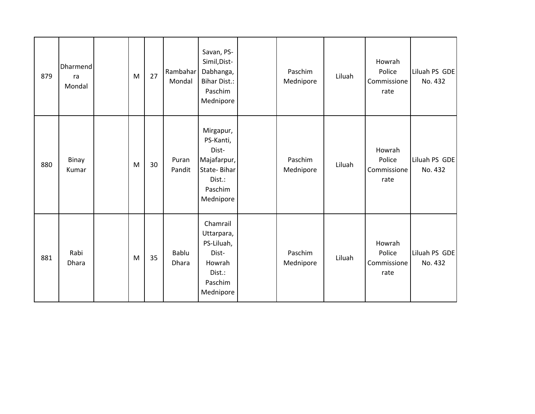| 879 | Dharmend<br>ra<br>Mondal | M | 27 | Rambahar<br>Mondal | Savan, PS-<br>Simil, Dist-<br>Dabhanga,<br><b>Bihar Dist.:</b><br>Paschim<br>Mednipore          | Paschim<br>Mednipore | Liluah | Howrah<br>Police<br>Commissione<br>rate | Liluah PS GDE<br>No. 432 |
|-----|--------------------------|---|----|--------------------|-------------------------------------------------------------------------------------------------|----------------------|--------|-----------------------------------------|--------------------------|
| 880 | Binay<br>Kumar           | M | 30 | Puran<br>Pandit    | Mirgapur,<br>PS-Kanti,<br>Dist-<br>Majafarpur,<br>State-Bihar<br>Dist.:<br>Paschim<br>Mednipore | Paschim<br>Mednipore | Liluah | Howrah<br>Police<br>Commissione<br>rate | Liluah PS GDE<br>No. 432 |
| 881 | Rabi<br>Dhara            | M | 35 | Bablu<br>Dhara     | Chamrail<br>Uttarpara,<br>PS-Liluah,<br>Dist-<br>Howrah<br>Dist.:<br>Paschim<br>Mednipore       | Paschim<br>Mednipore | Liluah | Howrah<br>Police<br>Commissione<br>rate | Liluah PS GDE<br>No. 432 |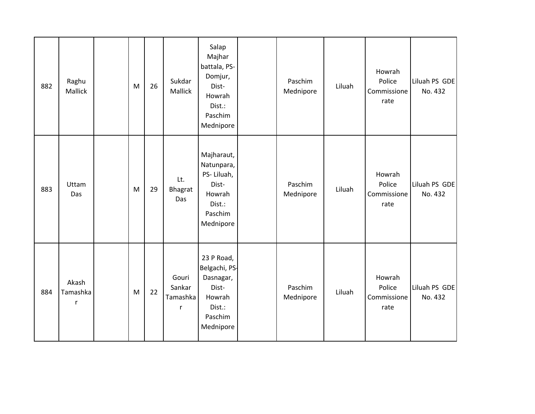| 882 | Raghu<br>Mallick       | M         | 26 | Sukdar<br>Mallick                | Salap<br>Majhar<br>battala, PS-<br>Domjur,<br>Dist-<br>Howrah<br>Dist.:<br>Paschim<br>Mednipore | Paschim<br>Mednipore | Liluah | Howrah<br>Police<br>Commissione<br>rate | Liluah PS GDE<br>No. 432 |
|-----|------------------------|-----------|----|----------------------------------|-------------------------------------------------------------------------------------------------|----------------------|--------|-----------------------------------------|--------------------------|
| 883 | Uttam<br>Das           | M         | 29 | Lt.<br>Bhagrat<br>Das            | Majharaut,<br>Natunpara,<br>PS-Liluah,<br>Dist-<br>Howrah<br>Dist.:<br>Paschim<br>Mednipore     | Paschim<br>Mednipore | Liluah | Howrah<br>Police<br>Commissione<br>rate | Liluah PS GDE<br>No. 432 |
| 884 | Akash<br>Tamashka<br>r | ${\sf M}$ | 22 | Gouri<br>Sankar<br>Tamashka<br>r | 23 P Road,<br>Belgachi, PS-<br>Dasnagar,<br>Dist-<br>Howrah<br>Dist.:<br>Paschim<br>Mednipore   | Paschim<br>Mednipore | Liluah | Howrah<br>Police<br>Commissione<br>rate | Liluah PS GDE<br>No. 432 |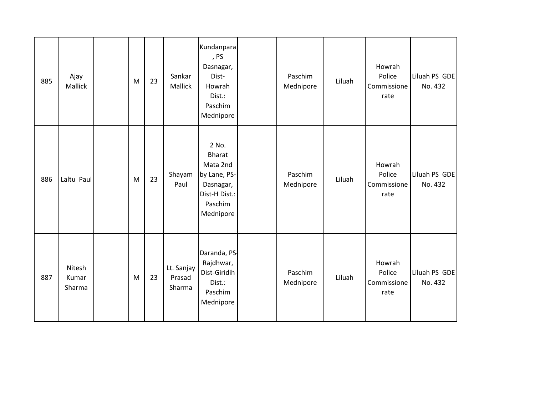| 885 | Ajay<br>Mallick           | ${\sf M}$ | 23 | Sankar<br>Mallick              | Kundanpara<br>, PS<br>Dasnagar,<br>Dist-<br>Howrah<br>Dist.:<br>Paschim<br>Mednipore                     | Paschim<br>Mednipore | Liluah | Howrah<br>Police<br>Commissione<br>rate | Liluah PS GDE<br>No. 432 |
|-----|---------------------------|-----------|----|--------------------------------|----------------------------------------------------------------------------------------------------------|----------------------|--------|-----------------------------------------|--------------------------|
| 886 | Laltu Paul                | M         | 23 | Shayam<br>Paul                 | 2 No.<br><b>Bharat</b><br>Mata 2nd<br>by Lane, PS-<br>Dasnagar,<br>Dist-H Dist.:<br>Paschim<br>Mednipore | Paschim<br>Mednipore | Liluah | Howrah<br>Police<br>Commissione<br>rate | Liluah PS GDE<br>No. 432 |
| 887 | Nitesh<br>Kumar<br>Sharma | ${\sf M}$ | 23 | Lt. Sanjay<br>Prasad<br>Sharma | Daranda, PS-<br>Rajdhwar,<br>Dist-Giridih<br>Dist.:<br>Paschim<br>Mednipore                              | Paschim<br>Mednipore | Liluah | Howrah<br>Police<br>Commissione<br>rate | Liluah PS GDE<br>No. 432 |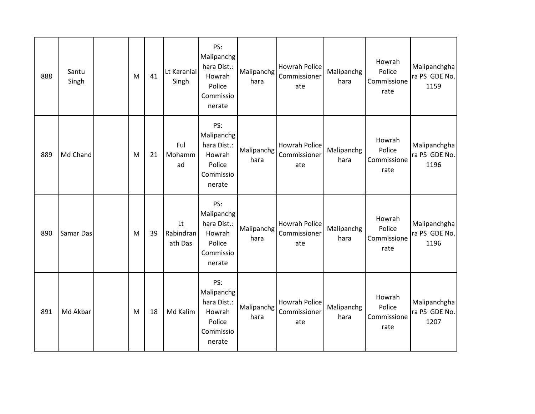| 888 | Santu<br>Singh | M | 41 | Lt Karanlal<br>Singh       | PS:<br>Malipanchg<br>hara Dist.:<br>Howrah<br>Police<br>Commissio<br>nerate | Malipanchg<br>hara | <b>Howrah Police</b><br>Commissioner<br>ate | Malipanchg<br>hara | Howrah<br>Police<br>Commissione<br>rate | Malipanchgha<br>ra PS GDE No.<br>1159 |
|-----|----------------|---|----|----------------------------|-----------------------------------------------------------------------------|--------------------|---------------------------------------------|--------------------|-----------------------------------------|---------------------------------------|
| 889 | Md Chand       | M | 21 | Ful<br>Mohamm<br>ad        | PS:<br>Malipanchg<br>hara Dist.:<br>Howrah<br>Police<br>Commissio<br>nerate | Malipanchg<br>hara | <b>Howrah Police</b><br>Commissioner<br>ate | Malipanchg<br>hara | Howrah<br>Police<br>Commissione<br>rate | Malipanchgha<br>ra PS GDE No.<br>1196 |
| 890 | Samar Das      | M | 39 | Lt<br>Rabindran<br>ath Das | PS:<br>Malipanchg<br>hara Dist.:<br>Howrah<br>Police<br>Commissio<br>nerate | Malipanchg<br>hara | <b>Howrah Police</b><br>Commissioner<br>ate | Malipanchg<br>hara | Howrah<br>Police<br>Commissione<br>rate | Malipanchgha<br>ra PS GDE No.<br>1196 |
| 891 | Md Akbar       | M | 18 | Md Kalim                   | PS:<br>Malipanchg<br>hara Dist.:<br>Howrah<br>Police<br>Commissio<br>nerate | Malipanchg<br>hara | <b>Howrah Police</b><br>Commissioner<br>ate | Malipanchg<br>hara | Howrah<br>Police<br>Commissione<br>rate | Malipanchgha<br>ra PS GDE No.<br>1207 |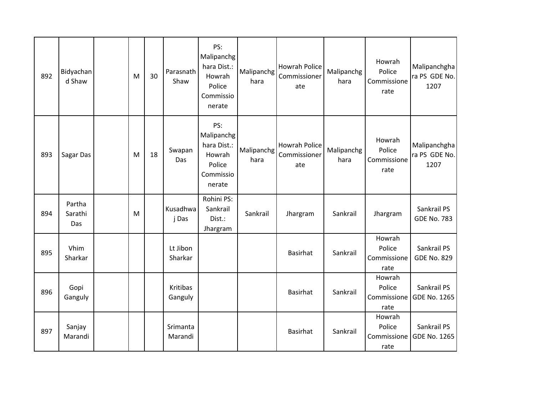| 892 | Bidyachan<br>d Shaw      | ${\sf M}$ | 30 | Parasnath<br>Shaw   | PS:<br>Malipanchg<br>hara Dist.:<br>Howrah<br>Police<br>Commissio<br>nerate | Malipanchg<br>hara | Howrah Police<br>Commissioner<br>ate | Malipanchg<br>hara | Howrah<br>Police<br>Commissione<br>rate | Malipanchgha<br>ra PS GDE No.<br>1207 |
|-----|--------------------------|-----------|----|---------------------|-----------------------------------------------------------------------------|--------------------|--------------------------------------|--------------------|-----------------------------------------|---------------------------------------|
| 893 | Sagar Das                | M         | 18 | Swapan<br>Das       | PS:<br>Malipanchg<br>hara Dist.:<br>Howrah<br>Police<br>Commissio<br>nerate | Malipanchg<br>hara | Howrah Police<br>Commissioner<br>ate | Malipanchg<br>hara | Howrah<br>Police<br>Commissione<br>rate | Malipanchgha<br>ra PS GDE No.<br>1207 |
| 894 | Partha<br>Sarathi<br>Das | M         |    | Kusadhwa<br>j Das   | Rohini PS:<br>Sankrail<br>Dist.:<br>Jhargram                                | Sankrail           | Jhargram                             | Sankrail           | Jhargram                                | Sankrail PS<br><b>GDE No. 783</b>     |
| 895 | Vhim<br>Sharkar          |           |    | Lt Jibon<br>Sharkar |                                                                             |                    | <b>Basirhat</b>                      | Sankrail           | Howrah<br>Police<br>Commissione<br>rate | Sankrail PS<br><b>GDE No. 829</b>     |
| 896 | Gopi<br>Ganguly          |           |    | Kritibas<br>Ganguly |                                                                             |                    | <b>Basirhat</b>                      | Sankrail           | Howrah<br>Police<br>Commissione<br>rate | Sankrail PS<br><b>GDE No. 1265</b>    |
| 897 | Sanjay<br>Marandi        |           |    | Srimanta<br>Marandi |                                                                             |                    | <b>Basirhat</b>                      | Sankrail           | Howrah<br>Police<br>Commissione<br>rate | Sankrail PS<br><b>GDE No. 1265</b>    |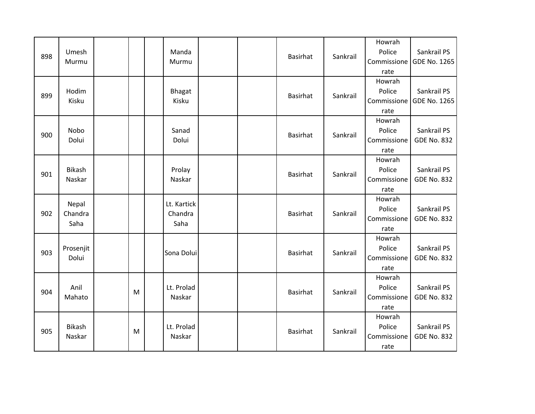| 898 | Umesh<br>Murmu           |   | Manda<br>Murmu                 |  | <b>Basirhat</b> | Sankrail | Howrah<br>Police<br>Commissione<br>rate | Sankrail PS<br><b>GDE No. 1265</b> |
|-----|--------------------------|---|--------------------------------|--|-----------------|----------|-----------------------------------------|------------------------------------|
| 899 | Hodim<br>Kisku           |   | <b>Bhagat</b><br>Kisku         |  | <b>Basirhat</b> | Sankrail | Howrah<br>Police<br>Commissione<br>rate | Sankrail PS<br><b>GDE No. 1265</b> |
| 900 | Nobo<br>Dolui            |   | Sanad<br>Dolui                 |  | <b>Basirhat</b> | Sankrail | Howrah<br>Police<br>Commissione<br>rate | Sankrail PS<br><b>GDE No. 832</b>  |
| 901 | <b>Bikash</b><br>Naskar  |   | Prolay<br>Naskar               |  | <b>Basirhat</b> | Sankrail | Howrah<br>Police<br>Commissione<br>rate | Sankrail PS<br><b>GDE No. 832</b>  |
| 902 | Nepal<br>Chandra<br>Saha |   | Lt. Kartick<br>Chandra<br>Saha |  | <b>Basirhat</b> | Sankrail | Howrah<br>Police<br>Commissione<br>rate | Sankrail PS<br><b>GDE No. 832</b>  |
| 903 | Prosenjit<br>Dolui       |   | Sona Dolui                     |  | <b>Basirhat</b> | Sankrail | Howrah<br>Police<br>Commissione<br>rate | Sankrail PS<br><b>GDE No. 832</b>  |
| 904 | Anil<br>Mahato           | M | Lt. Prolad<br>Naskar           |  | <b>Basirhat</b> | Sankrail | Howrah<br>Police<br>Commissione<br>rate | Sankrail PS<br><b>GDE No. 832</b>  |
| 905 | <b>Bikash</b><br>Naskar  | M | Lt. Prolad<br>Naskar           |  | <b>Basirhat</b> | Sankrail | Howrah<br>Police<br>Commissione<br>rate | Sankrail PS<br><b>GDE No. 832</b>  |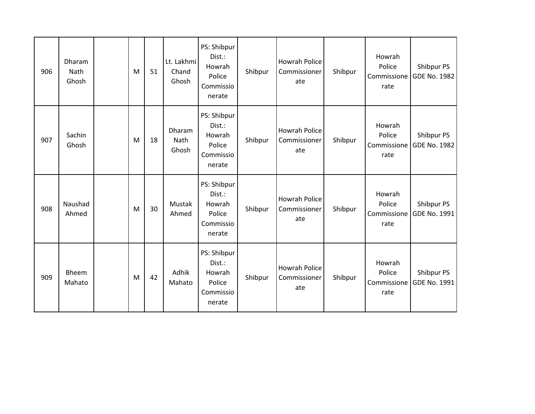| 906 | Dharam<br>Nath<br>Ghosh | M | 51 | Lt. Lakhmi<br>Chand<br>Ghosh | PS: Shibpur<br>Dist.:<br>Howrah<br>Police<br>Commissio<br>nerate | Shibpur | <b>Howrah Police</b><br>Commissioner<br>ate | Shibpur | Howrah<br>Police<br>Commissione<br>rate | Shibpur PS<br>GDE No. 1982        |
|-----|-------------------------|---|----|------------------------------|------------------------------------------------------------------|---------|---------------------------------------------|---------|-----------------------------------------|-----------------------------------|
| 907 | Sachin<br>Ghosh         | M | 18 | Dharam<br>Nath<br>Ghosh      | PS: Shibpur<br>Dist.:<br>Howrah<br>Police<br>Commissio<br>nerate | Shibpur | <b>Howrah Police</b><br>Commissioner<br>ate | Shibpur | Howrah<br>Police<br>Commissione<br>rate | Shibpur PS<br><b>GDE No. 1982</b> |
| 908 | Naushad<br>Ahmed        | M | 30 | Mustak<br>Ahmed              | PS: Shibpur<br>Dist.:<br>Howrah<br>Police<br>Commissio<br>nerate | Shibpur | <b>Howrah Police</b><br>Commissioner<br>ate | Shibpur | Howrah<br>Police<br>Commissione<br>rate | Shibpur PS<br><b>GDE No. 1991</b> |
| 909 | Bheem<br>Mahato         | M | 42 | Adhik<br>Mahato              | PS: Shibpur<br>Dist.:<br>Howrah<br>Police<br>Commissio<br>nerate | Shibpur | <b>Howrah Police</b><br>Commissioner<br>ate | Shibpur | Howrah<br>Police<br>Commissione<br>rate | Shibpur PS<br>GDE No. 1991        |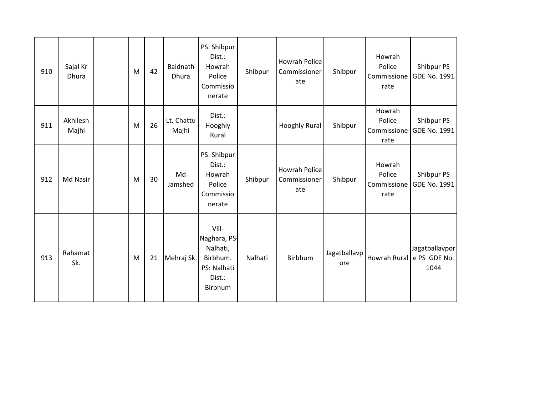| 910 | Sajal Kr<br>Dhura | M | 42 | Baidnath<br>Dhura   | PS: Shibpur<br>Dist.:<br>Howrah<br>Police<br>Commissio<br>nerate                  | Shibpur | <b>Howrah Police</b><br>Commissioner<br>ate | Shibpur             | Howrah<br>Police<br>Commissione<br>rate | Shibpur PS<br>GDE No. 1991                          |
|-----|-------------------|---|----|---------------------|-----------------------------------------------------------------------------------|---------|---------------------------------------------|---------------------|-----------------------------------------|-----------------------------------------------------|
| 911 | Akhilesh<br>Majhi | M | 26 | Lt. Chattu<br>Majhi | Dist.:<br>Hooghly<br>Rural                                                        |         | Hooghly Rural                               | Shibpur             | Howrah<br>Police<br>Commissione<br>rate | Shibpur PS<br>GDE No. 1991                          |
| 912 | Md Nasir          | M | 30 | Md<br>Jamshed       | PS: Shibpur<br>Dist.:<br>Howrah<br>Police<br>Commissio<br>nerate                  | Shibpur | <b>Howrah Police</b><br>Commissioner<br>ate | Shibpur             | Howrah<br>Police<br>Commissione<br>rate | Shibpur PS<br>GDE No. 1991                          |
| 913 | Rahamat<br>Sk.    | M | 21 | Mehraj Sk.          | Vill-<br>Naghara, PS-<br>Nalhati,<br>Birbhum.<br>PS: Nalhati<br>Dist.:<br>Birbhum | Nalhati | Birbhum                                     | Jagatballavp<br>ore |                                         | Jagatballavpor<br>Howrah Rural e PS GDE No.<br>1044 |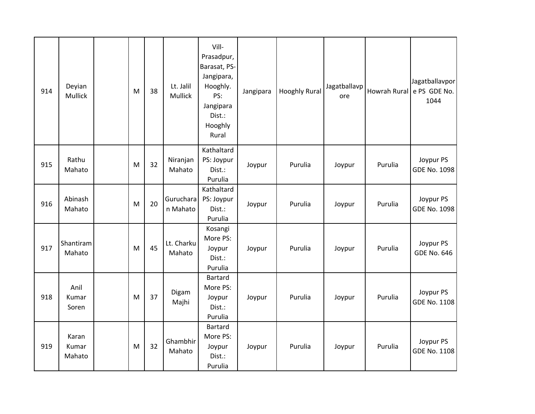| 914 | Deyian<br>Mullick        | M | 38 | Lt. Jalil<br>Mullick  | Vill-<br>Prasadpur,<br>Barasat, PS-<br>Jangipara,<br>Hooghly.<br>PS:<br>Jangipara<br>Dist.:<br>Hooghly<br>Rural | Jangipara | <b>Hooghly Rural</b> | Jagatballavp<br>ore |         | Jagatballavpor<br>Howrah Rural e PS GDE No.<br>1044 |
|-----|--------------------------|---|----|-----------------------|-----------------------------------------------------------------------------------------------------------------|-----------|----------------------|---------------------|---------|-----------------------------------------------------|
| 915 | Rathu<br>Mahato          | M | 32 | Niranjan<br>Mahato    | Kathaltard<br>PS: Joypur<br>Dist.:<br>Purulia                                                                   | Joypur    | Purulia              | Joypur              | Purulia | Joypur PS<br>GDE No. 1098                           |
| 916 | Abinash<br>Mahato        | M | 20 | Guruchara<br>n Mahato | Kathaltard<br>PS: Joypur<br>Dist.:<br>Purulia                                                                   | Joypur    | Purulia              | Joypur              | Purulia | Joypur PS<br><b>GDE No. 1098</b>                    |
| 917 | Shantiram<br>Mahato      | M | 45 | Lt. Charku<br>Mahato  | Kosangi<br>More PS:<br>Joypur<br>Dist.:<br>Purulia                                                              | Joypur    | Purulia              | Joypur              | Purulia | Joypur PS<br><b>GDE No. 646</b>                     |
| 918 | Anil<br>Kumar<br>Soren   | M | 37 | Digam<br>Majhi        | <b>Bartard</b><br>More PS:<br>Joypur<br>Dist.:<br>Purulia                                                       | Joypur    | Purulia              | Joypur              | Purulia | Joypur PS<br>GDE No. 1108                           |
| 919 | Karan<br>Kumar<br>Mahato | M | 32 | Ghambhir<br>Mahato    | <b>Bartard</b><br>More PS:<br>Joypur<br>Dist.:<br>Purulia                                                       | Joypur    | Purulia              | Joypur              | Purulia | Joypur PS<br><b>GDE No. 1108</b>                    |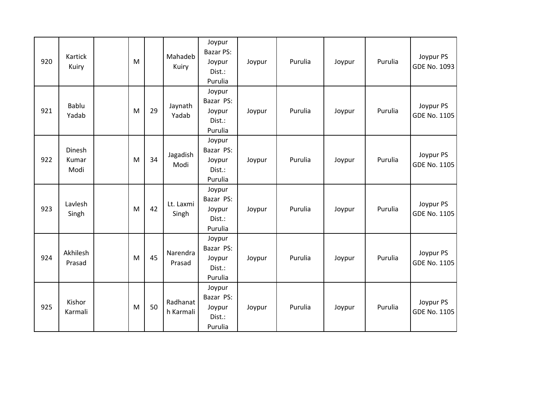| 920 | Kartick<br>Kuiry               | ${\sf M}$ |    | Mahadeb<br>Kuiry      | Joypur<br>Bazar PS:<br>Joypur<br>Dist.:<br>Purulia | Joypur | Purulia | Joypur | Purulia | Joypur PS<br>GDE No. 1093        |
|-----|--------------------------------|-----------|----|-----------------------|----------------------------------------------------|--------|---------|--------|---------|----------------------------------|
| 921 | Bablu<br>Yadab                 | M         | 29 | Jaynath<br>Yadab      | Joypur<br>Bazar PS:<br>Joypur<br>Dist.:<br>Purulia | Joypur | Purulia | Joypur | Purulia | Joypur PS<br><b>GDE No. 1105</b> |
| 922 | <b>Dinesh</b><br>Kumar<br>Modi | M         | 34 | Jagadish<br>Modi      | Joypur<br>Bazar PS:<br>Joypur<br>Dist.:<br>Purulia | Joypur | Purulia | Joypur | Purulia | Joypur PS<br>GDE No. 1105        |
| 923 | Lavlesh<br>Singh               | M         | 42 | Lt. Laxmi<br>Singh    | Joypur<br>Bazar PS:<br>Joypur<br>Dist.:<br>Purulia | Joypur | Purulia | Joypur | Purulia | Joypur PS<br>GDE No. 1105        |
| 924 | Akhilesh<br>Prasad             | M         | 45 | Narendra<br>Prasad    | Joypur<br>Bazar PS:<br>Joypur<br>Dist.:<br>Purulia | Joypur | Purulia | Joypur | Purulia | Joypur PS<br>GDE No. 1105        |
| 925 | Kishor<br>Karmali              | ${\sf M}$ | 50 | Radhanat<br>h Karmali | Joypur<br>Bazar PS:<br>Joypur<br>Dist.:<br>Purulia | Joypur | Purulia | Joypur | Purulia | Joypur PS<br>GDE No. 1105        |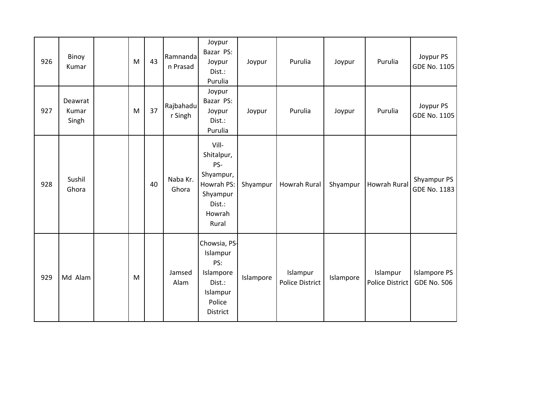| 926 | Binoy<br>Kumar            | ${\sf M}$ | 43 | Ramnanda<br>n Prasad | Joypur<br>Bazar PS:<br>Joypur<br>Dist.:<br>Purulia                                             | Joypur    | Purulia                            | Joypur    | Purulia                            | Joypur PS<br>GDE No. 1105                 |
|-----|---------------------------|-----------|----|----------------------|------------------------------------------------------------------------------------------------|-----------|------------------------------------|-----------|------------------------------------|-------------------------------------------|
| 927 | Deawrat<br>Kumar<br>Singh | ${\sf M}$ | 37 | Rajbahadu<br>r Singh | Joypur<br>Bazar PS:<br>Joypur<br>Dist.:<br>Purulia                                             | Joypur    | Purulia                            | Joypur    | Purulia                            | Joypur PS<br>GDE No. 1105                 |
| 928 | Sushil<br>Ghora           |           | 40 | Naba Kr.<br>Ghora    | Vill-<br>Shitalpur,<br>PS-<br>Shyampur,<br>Howrah PS:<br>Shyampur<br>Dist.:<br>Howrah<br>Rural | Shyampur  | Howrah Rural                       | Shyampur  | <b>Howrah Rural</b>                | Shyampur PS<br>GDE No. 1183               |
| 929 | Md Alam                   | M         |    | Jamsed<br>Alam       | Chowsia, PS-<br>Islampur<br>PS:<br>Islampore<br>Dist.:<br>Islampur<br>Police<br>District       | Islampore | Islampur<br><b>Police District</b> | Islampore | Islampur<br><b>Police District</b> | <b>Islampore PS</b><br><b>GDE No. 506</b> |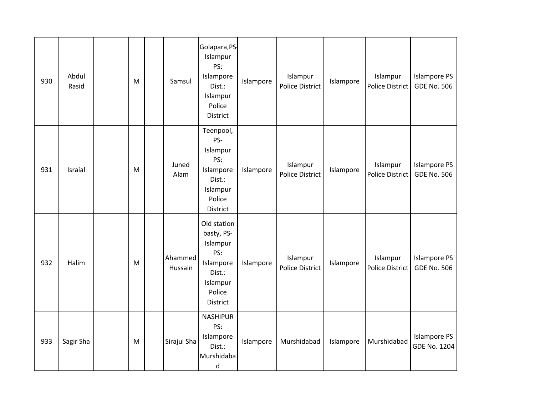| 930 | Abdul<br>Rasid | M         | Samsul             | Golapara, PS-<br>Islampur<br>PS:<br>Islampore<br>Dist.:<br>Islampur<br>Police<br>District             | Islampore | Islampur<br><b>Police District</b> | Islampore | Islampur<br><b>Police District</b> | <b>Islampore PS</b><br><b>GDE No. 506</b>  |
|-----|----------------|-----------|--------------------|-------------------------------------------------------------------------------------------------------|-----------|------------------------------------|-----------|------------------------------------|--------------------------------------------|
| 931 | Israial        | M         | Juned<br>Alam      | Teenpool,<br>PS-<br>Islampur<br>PS:<br>Islampore<br>Dist.:<br>Islampur<br>Police<br>District          | Islampore | Islampur<br><b>Police District</b> | Islampore | Islampur<br>Police District        | <b>Islampore PS</b><br><b>GDE No. 506</b>  |
| 932 | Halim          | ${\sf M}$ | Ahammed<br>Hussain | Old station<br>basty, PS-<br>Islampur<br>PS:<br>Islampore<br>Dist.:<br>Islampur<br>Police<br>District | Islampore | Islampur<br><b>Police District</b> | Islampore | Islampur<br>Police District        | <b>Islampore PS</b><br><b>GDE No. 506</b>  |
| 933 | Sagir Sha      | M         | Sirajul Sha        | <b>NASHIPUR</b><br>PS:<br>Islampore<br>Dist.:<br>Murshidaba<br>${\sf d}$                              | Islampore | Murshidabad                        | Islampore | Murshidabad                        | <b>Islampore PS</b><br><b>GDE No. 1204</b> |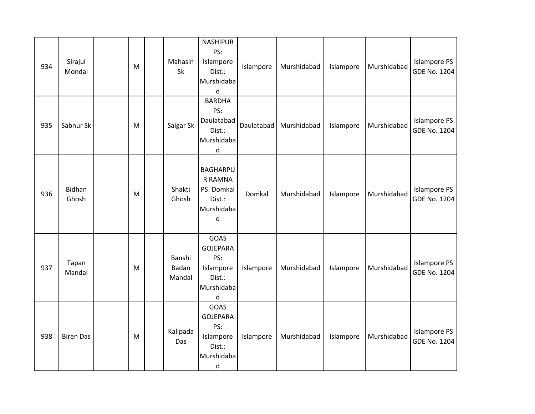| 934 | Sirajul<br>Mondal | ${\sf M}$ | Mahasin<br>Sk             | <b>NASHIPUR</b><br>PS:<br>Islampore<br>Dist.:<br>Murshidaba<br>d               | Islampore  | Murshidabad | Islampore | Murshidabad | <b>Islampore PS</b><br><b>GDE No. 1204</b> |
|-----|-------------------|-----------|---------------------------|--------------------------------------------------------------------------------|------------|-------------|-----------|-------------|--------------------------------------------|
| 935 | Sabnur Sk         | M         | Saigar Sk                 | <b>BARDHA</b><br>PS:<br>Daulatabad<br>Dist.:<br>Murshidaba<br>d                | Daulatabad | Murshidabad | Islampore | Murshidabad | <b>Islampore PS</b><br><b>GDE No. 1204</b> |
| 936 | Bidhan<br>Ghosh   | ${\sf M}$ | Shakti<br>Ghosh           | <b>BAGHARPU</b><br>R RAMNA<br>PS: Domkal<br>Dist.:<br>Murshidaba<br>$\sf d$    | Domkal     | Murshidabad | Islampore | Murshidabad | <b>Islampore PS</b><br><b>GDE No. 1204</b> |
| 937 | Tapan<br>Mandal   | ${\sf M}$ | Banshi<br>Badan<br>Mandal | GOAS<br><b>GOJEPARA</b><br>PS:<br>Islampore<br>Dist.:<br>Murshidaba<br>d       | Islampore  | Murshidabad | Islampore | Murshidabad | <b>Islampore PS</b><br><b>GDE No. 1204</b> |
| 938 | <b>Biren Das</b>  | ${\sf M}$ | Kalipada<br>Das           | GOAS<br><b>GOJEPARA</b><br>PS:<br>Islampore<br>Dist.:<br>Murshidaba<br>$\sf d$ | Islampore  | Murshidabad | Islampore | Murshidabad | <b>Islampore PS</b><br><b>GDE No. 1204</b> |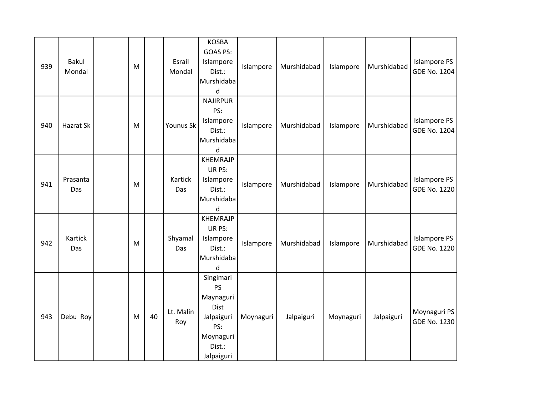| 939 | <b>Bakul</b><br>Mondal | ${\sf M}$ |    | Esrail<br>Mondal | <b>KOSBA</b><br>GOAS PS:<br>Islampore<br>Dist.:<br>Murshidaba<br>$\sf d$                              | Islampore | Murshidabad | Islampore | Murshidabad | <b>Islampore PS</b><br><b>GDE No. 1204</b> |
|-----|------------------------|-----------|----|------------------|-------------------------------------------------------------------------------------------------------|-----------|-------------|-----------|-------------|--------------------------------------------|
| 940 | Hazrat Sk              | ${\sf M}$ |    | Younus Sk        | <b>NAJIRPUR</b><br>PS:<br>Islampore<br>Dist.:<br>Murshidaba<br>d                                      | Islampore | Murshidabad | Islampore | Murshidabad | <b>Islampore PS</b><br><b>GDE No. 1204</b> |
| 941 | Prasanta<br>Das        | M         |    | Kartick<br>Das   | <b>KHEMRAJP</b><br>UR PS:<br>Islampore<br>Dist.:<br>Murshidaba<br>d                                   | Islampore | Murshidabad | Islampore | Murshidabad | <b>Islampore PS</b><br><b>GDE No. 1220</b> |
| 942 | Kartick<br>Das         | M         |    | Shyamal<br>Das   | <b>KHEMRAJP</b><br>UR PS:<br>Islampore<br>Dist.:<br>Murshidaba<br>d                                   | Islampore | Murshidabad | Islampore | Murshidabad | Islampore PS<br><b>GDE No. 1220</b>        |
| 943 | Debu Roy               | ${\sf M}$ | 40 | Lt. Malin<br>Roy | Singimari<br><b>PS</b><br>Maynaguri<br>Dist<br>Jalpaiguri<br>PS:<br>Moynaguri<br>Dist.:<br>Jalpaiguri | Moynaguri | Jalpaiguri  | Moynaguri | Jalpaiguri  | Moynaguri PS<br><b>GDE No. 1230</b>        |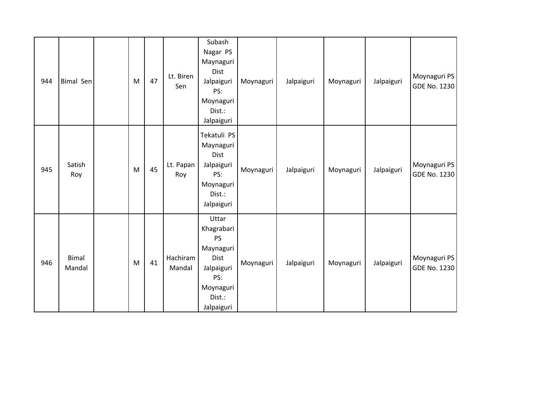| 944 | <b>Bimal Sen</b>       | M | 47 | Lt. Biren<br>Sen   | Subash<br>Nagar PS<br>Maynaguri<br>Dist<br>Jalpaiguri<br>PS:<br>Moynaguri<br>Dist.:<br>Jalpaiguri               | Moynaguri | Jalpaiguri | Moynaguri | Jalpaiguri | Moynaguri PS<br>GDE No. 1230 |
|-----|------------------------|---|----|--------------------|-----------------------------------------------------------------------------------------------------------------|-----------|------------|-----------|------------|------------------------------|
| 945 | Satish<br>Roy          | M | 45 | Lt. Papan<br>Roy   | Tekatuli PS<br>Maynaguri<br>Dist<br>Jalpaiguri<br>PS:<br>Moynaguri<br>Dist.:<br>Jalpaiguri                      | Moynaguri | Jalpaiguri | Moynaguri | Jalpaiguri | Moynaguri PS<br>GDE No. 1230 |
| 946 | <b>Bimal</b><br>Mandal | M | 41 | Hachiram<br>Mandal | Uttar<br>Khagrabari<br><b>PS</b><br>Maynaguri<br>Dist<br>Jalpaiguri<br>PS:<br>Moynaguri<br>Dist.:<br>Jalpaiguri | Moynaguri | Jalpaiguri | Moynaguri | Jalpaiguri | Moynaguri PS<br>GDE No. 1230 |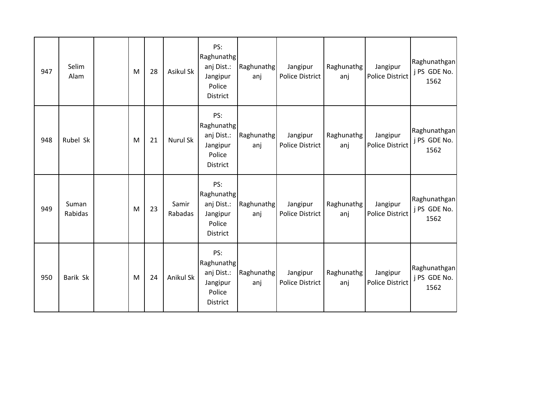| 947 | Selim<br>Alam    | M | 28 | Asikul Sk        | PS:<br>Raghunathg<br>anj Dist.:<br>Jangipur<br>Police<br>District        | Raghunathg<br>anj | Jangipur<br>Police District        | Raghunathg<br>anj | Jangipur<br><b>Police District</b> | Raghunathgan<br>j PS GDE No.<br>1562 |
|-----|------------------|---|----|------------------|--------------------------------------------------------------------------|-------------------|------------------------------------|-------------------|------------------------------------|--------------------------------------|
| 948 | Rubel Sk         | M | 21 | <b>Nurul Sk</b>  | PS:<br>Raghunathg<br>anj Dist.:<br>Jangipur<br>Police<br>District        | Raghunathg<br>anj | Jangipur<br><b>Police District</b> | Raghunathg<br>anj | Jangipur<br><b>Police District</b> | Raghunathgan<br>j PS GDE No.<br>1562 |
| 949 | Suman<br>Rabidas | M | 23 | Samir<br>Rabadas | PS:<br>Raghunathg<br>anj Dist.:<br>Jangipur<br>Police<br><b>District</b> | Raghunathg<br>anj | Jangipur<br><b>Police District</b> | Raghunathg<br>anj | Jangipur<br><b>Police District</b> | Raghunathgan<br>j PS GDE No.<br>1562 |
| 950 | Barik Sk         | M | 24 | Anikul Sk        | PS:<br>Raghunathg<br>anj Dist.:<br>Jangipur<br>Police<br><b>District</b> | Raghunathg<br>anj | Jangipur<br><b>Police District</b> | Raghunathg<br>anj | Jangipur<br><b>Police District</b> | Raghunathgan<br>j PS GDE No.<br>1562 |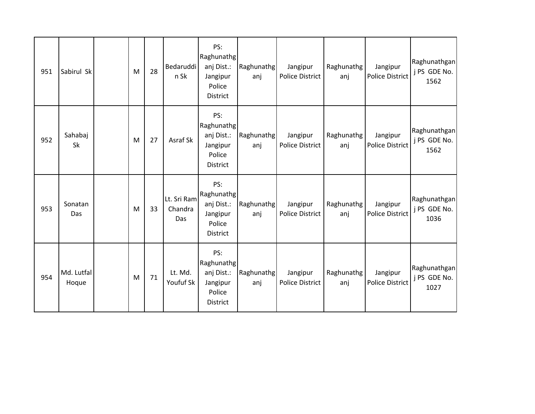| 951 | Sabirul Sk          | M | 28 | Bedaruddi<br>n Sk             | PS:<br>Raghunathg<br>anj Dist.:<br>Jangipur<br>Police<br>District        | Raghunathg<br>anj | Jangipur<br>Police District        | Raghunathg<br>anj | Jangipur<br><b>Police District</b> | Raghunathgan<br>j PS GDE No.<br>1562 |
|-----|---------------------|---|----|-------------------------------|--------------------------------------------------------------------------|-------------------|------------------------------------|-------------------|------------------------------------|--------------------------------------|
| 952 | Sahabaj<br>Sk       | M | 27 | Asraf Sk                      | PS:<br>Raghunathg<br>anj Dist.:<br>Jangipur<br>Police<br><b>District</b> | Raghunathg<br>anj | Jangipur<br><b>Police District</b> | Raghunathg<br>anj | Jangipur<br><b>Police District</b> | Raghunathgan<br>j PS GDE No.<br>1562 |
| 953 | Sonatan<br>Das      | M | 33 | Lt. Sri Ram<br>Chandra<br>Das | PS:<br>Raghunathg<br>anj Dist.:<br>Jangipur<br>Police<br><b>District</b> | Raghunathg<br>anj | Jangipur<br><b>Police District</b> | Raghunathg<br>anj | Jangipur<br><b>Police District</b> | Raghunathgan<br>j PS GDE No.<br>1036 |
| 954 | Md. Lutfal<br>Hoque | M | 71 | Lt. Md.<br>Youfuf Sk          | PS:<br>Raghunathg<br>anj Dist.:<br>Jangipur<br>Police<br><b>District</b> | Raghunathg<br>anj | Jangipur<br><b>Police District</b> | Raghunathg<br>anj | Jangipur<br><b>Police District</b> | Raghunathgan<br>j PS GDE No.<br>1027 |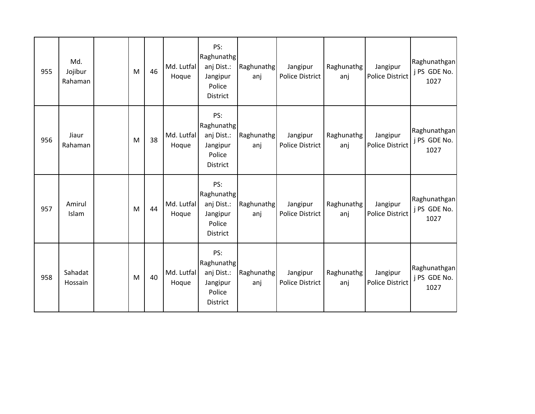| 955 | Md.<br>Jojibur<br>Rahaman | M | 46 | Md. Lutfal<br>Hoque | PS:<br>Raghunathg<br>anj Dist.:<br>Jangipur<br>Police<br><b>District</b> | Raghunathg<br>anj | Jangipur<br><b>Police District</b> | Raghunathg<br>anj | Jangipur<br><b>Police District</b> | Raghunathgan<br>j PS GDE No.<br>1027 |
|-----|---------------------------|---|----|---------------------|--------------------------------------------------------------------------|-------------------|------------------------------------|-------------------|------------------------------------|--------------------------------------|
| 956 | Jiaur<br>Rahaman          | M | 38 | Md. Lutfal<br>Hoque | PS:<br>Raghunathg<br>anj Dist.:<br>Jangipur<br>Police<br><b>District</b> | Raghunathg<br>anj | Jangipur<br><b>Police District</b> | Raghunathg<br>anj | Jangipur<br><b>Police District</b> | Raghunathgan<br>j PS GDE No.<br>1027 |
| 957 | Amirul<br>Islam           | M | 44 | Md. Lutfal<br>Hoque | PS:<br>Raghunathg<br>anj Dist.:<br>Jangipur<br>Police<br>District        | Raghunathg<br>anj | Jangipur<br><b>Police District</b> | Raghunathg<br>anj | Jangipur<br><b>Police District</b> | Raghunathgan<br>j PS GDE No.<br>1027 |
| 958 | Sahadat<br>Hossain        | M | 40 | Md. Lutfal<br>Hoque | PS:<br>Raghunathg<br>anj Dist.:<br>Jangipur<br>Police<br><b>District</b> | Raghunathg<br>anj | Jangipur<br><b>Police District</b> | Raghunathg<br>anj | Jangipur<br><b>Police District</b> | Raghunathgan<br>j PS GDE No.<br>1027 |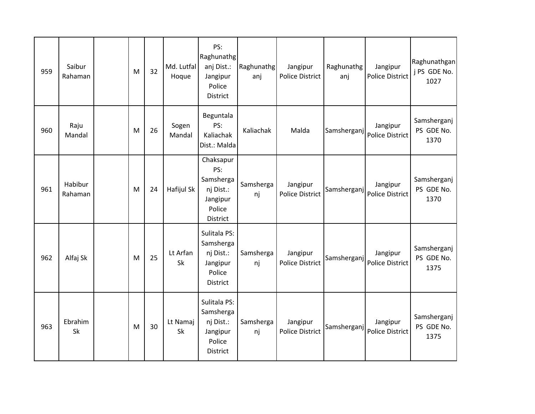| 959 | Saibur<br>Rahaman  | M | 32 | Md. Lutfal<br>Hoque | PS:<br>Raghunathg<br>anj Dist.:<br>Jangipur<br>Police<br><b>District</b>        | Raghunathg<br>anj | Jangipur<br><b>Police District</b> | Raghunathg<br>anj | Jangipur<br><b>Police District</b> | Raghunathgan<br>j PS GDE No.<br>1027 |
|-----|--------------------|---|----|---------------------|---------------------------------------------------------------------------------|-------------------|------------------------------------|-------------------|------------------------------------|--------------------------------------|
| 960 | Raju<br>Mandal     | M | 26 | Sogen<br>Mandal     | Beguntala<br>PS:<br>Kaliachak<br>Dist.: Malda                                   | Kaliachak         | Malda                              | Samsherganj       | Jangipur<br>Police District        | Samsherganj<br>PS GDE No.<br>1370    |
| 961 | Habibur<br>Rahaman | M | 24 | Hafijul Sk          | Chaksapur<br>PS:<br>Samsherga<br>nj Dist.:<br>Jangipur<br>Police<br>District    | Samsherga<br>nj   | Jangipur<br><b>Police District</b> | Samsherganj       | Jangipur<br>Police District        | Samsherganj<br>PS GDE No.<br>1370    |
| 962 | Alfaj Sk           | M | 25 | Lt Arfan<br>Sk      | Sulitala PS:<br>Samsherga<br>nj Dist.:<br>Jangipur<br>Police<br><b>District</b> | Samsherga<br>nj   | Jangipur<br><b>Police District</b> | Samsherganj       | Jangipur<br>Police District        | Samsherganj<br>PS GDE No.<br>1375    |
| 963 | Ebrahim<br>Sk      | M | 30 | Lt Namaj<br>Sk      | Sulitala PS:<br>Samsherga<br>nj Dist.:<br>Jangipur<br>Police<br><b>District</b> | Samsherga<br>nj   | Jangipur<br><b>Police District</b> | Samsherganj       | Jangipur<br>Police District        | Samsherganj<br>PS GDE No.<br>1375    |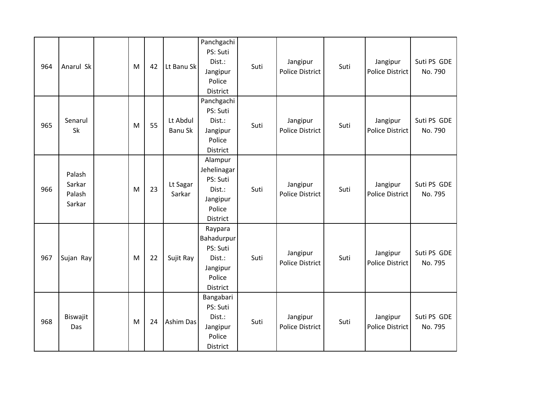| 964 | Anarul Sk                            | M         | 42 | Lt Banu Sk          | Panchgachi<br>PS: Suti<br>Dist.:<br>Jangipur<br>Police<br>District             | Suti | Jangipur<br><b>Police District</b> | Suti | Jangipur<br><b>Police District</b> | Suti PS GDE<br>No. 790 |
|-----|--------------------------------------|-----------|----|---------------------|--------------------------------------------------------------------------------|------|------------------------------------|------|------------------------------------|------------------------|
| 965 | Senarul<br>Sk                        | M         | 55 | Lt Abdul<br>Banu Sk | Panchgachi<br>PS: Suti<br>Dist.:<br>Jangipur<br>Police<br>District             | Suti | Jangipur<br><b>Police District</b> | Suti | Jangipur<br><b>Police District</b> | Suti PS GDE<br>No. 790 |
| 966 | Palash<br>Sarkar<br>Palash<br>Sarkar | M         | 23 | Lt Sagar<br>Sarkar  | Alampur<br>Jehelinagar<br>PS: Suti<br>Dist.:<br>Jangipur<br>Police<br>District | Suti | Jangipur<br><b>Police District</b> | Suti | Jangipur<br><b>Police District</b> | Suti PS GDE<br>No. 795 |
| 967 | Sujan Ray                            | ${\sf M}$ | 22 | Sujit Ray           | Raypara<br>Bahadurpur<br>PS: Suti<br>Dist.:<br>Jangipur<br>Police<br>District  | Suti | Jangipur<br><b>Police District</b> | Suti | Jangipur<br><b>Police District</b> | Suti PS GDE<br>No. 795 |
| 968 | Biswajit<br>Das                      | M         | 24 | Ashim Das           | Bangabari<br>PS: Suti<br>Dist.:<br>Jangipur<br>Police<br>District              | Suti | Jangipur<br><b>Police District</b> | Suti | Jangipur<br><b>Police District</b> | Suti PS GDE<br>No. 795 |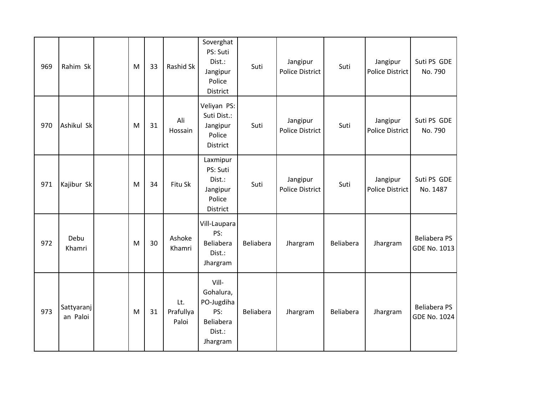| 969 | Rahim Sk               | M | 33 | Rashid Sk                 | Soverghat<br>PS: Suti<br>Dist.:<br>Jangipur<br>Police<br>District          | Suti      | Jangipur<br><b>Police District</b> | Suti      | Jangipur<br>Police District        | Suti PS GDE<br>No. 790                     |
|-----|------------------------|---|----|---------------------------|----------------------------------------------------------------------------|-----------|------------------------------------|-----------|------------------------------------|--------------------------------------------|
| 970 | Ashikul Sk             | M | 31 | Ali<br>Hossain            | Veliyan PS:<br>Suti Dist.:<br>Jangipur<br>Police<br>District               | Suti      | Jangipur<br><b>Police District</b> | Suti      | Jangipur<br>Police District        | Suti PS GDE<br>No. 790                     |
| 971 | Kajibur Sk             | M | 34 | Fitu Sk                   | Laxmipur<br>PS: Suti<br>Dist.:<br>Jangipur<br>Police<br>District           | Suti      | Jangipur<br><b>Police District</b> | Suti      | Jangipur<br><b>Police District</b> | Suti PS GDE<br>No. 1487                    |
| 972 | Debu<br>Khamri         | M | 30 | Ashoke<br>Khamri          | Vill-Laupara<br>PS:<br>Beliabera<br>Dist.:<br>Jhargram                     | Beliabera | Jhargram                           | Beliabera | Jhargram                           | <b>Beliabera PS</b><br>GDE No. 1013        |
| 973 | Sattyaranj<br>an Paloi | M | 31 | Lt.<br>Prafullya<br>Paloi | Vill-<br>Gohalura,<br>PO-Jugdiha<br>PS:<br>Beliabera<br>Dist.:<br>Jhargram | Beliabera | Jhargram                           | Beliabera | Jhargram                           | <b>Beliabera PS</b><br><b>GDE No. 1024</b> |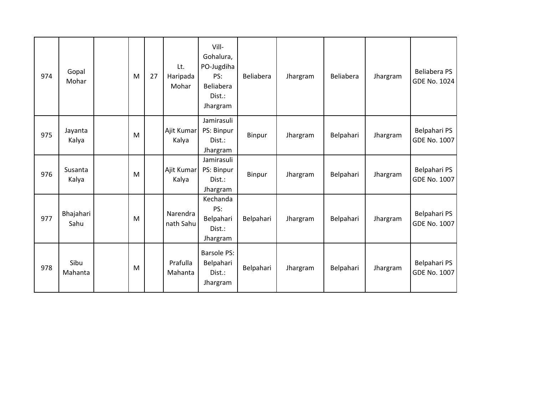| 974 | Gopal<br>Mohar    | M | 27 | Lt.<br>Haripada<br>Mohar | Vill-<br>Gohalura,<br>PO-Jugdiha<br>PS:<br>Beliabera<br>Dist.:<br>Jhargram | Beliabera | Jhargram | Beliabera | Jhargram | <b>Beliabera PS</b><br><b>GDE No. 1024</b> |
|-----|-------------------|---|----|--------------------------|----------------------------------------------------------------------------|-----------|----------|-----------|----------|--------------------------------------------|
| 975 | Jayanta<br>Kalya  | M |    | Ajit Kumar<br>Kalya      | Jamirasuli<br>PS: Binpur<br>Dist.:<br>Jhargram                             | Binpur    | Jhargram | Belpahari | Jhargram | Belpahari PS<br><b>GDE No. 1007</b>        |
| 976 | Susanta<br>Kalya  | M |    | Ajit Kumar<br>Kalya      | Jamirasuli<br>PS: Binpur<br>Dist.:<br>Jhargram                             | Binpur    | Jhargram | Belpahari | Jhargram | Belpahari PS<br><b>GDE No. 1007</b>        |
| 977 | Bhajahari<br>Sahu | M |    | Narendra<br>nath Sahu    | Kechanda<br>PS:<br>Belpahari<br>Dist.:<br>Jhargram                         | Belpahari | Jhargram | Belpahari | Jhargram | Belpahari PS<br><b>GDE No. 1007</b>        |
| 978 | Sibu<br>Mahanta   | M |    | Prafulla<br>Mahanta      | <b>Barsole PS:</b><br>Belpahari<br>$Dist.$ :<br>Jhargram                   | Belpahari | Jhargram | Belpahari | Jhargram | Belpahari PS<br><b>GDE No. 1007</b>        |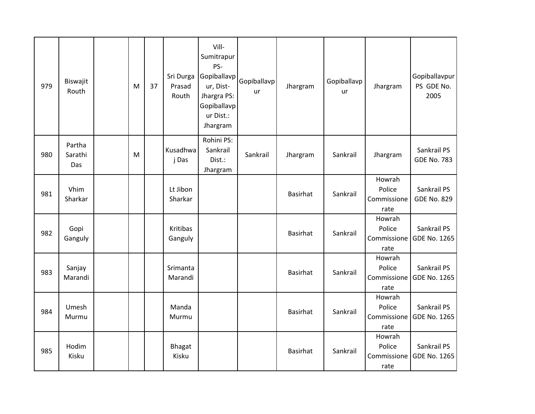| 979 | Biswajit<br>Routh        | M | 37 | Sri Durga<br>Prasad<br>Routh | Vill-<br>Sumitrapur<br>PS-<br>Gopiballavp<br>ur, Dist-<br>Jhargra PS:<br>Gopiballavp<br>ur Dist.:<br>Jhargram | Gopiballavp<br><b>ur</b> | Jhargram        | Gopiballavp<br>ur | Jhargram                                | Gopiballavpur<br>PS GDE No.<br>2005 |
|-----|--------------------------|---|----|------------------------------|---------------------------------------------------------------------------------------------------------------|--------------------------|-----------------|-------------------|-----------------------------------------|-------------------------------------|
| 980 | Partha<br>Sarathi<br>Das | M |    | Kusadhwa<br>j Das            | Rohini PS:<br>Sankrail<br>Dist.:<br>Jhargram                                                                  | Sankrail                 | Jhargram        | Sankrail          | Jhargram                                | Sankrail PS<br><b>GDE No. 783</b>   |
| 981 | Vhim<br>Sharkar          |   |    | Lt Jibon<br>Sharkar          |                                                                                                               |                          | <b>Basirhat</b> | Sankrail          | Howrah<br>Police<br>Commissione<br>rate | Sankrail PS<br><b>GDE No. 829</b>   |
| 982 | Gopi<br>Ganguly          |   |    | Kritibas<br>Ganguly          |                                                                                                               |                          | <b>Basirhat</b> | Sankrail          | Howrah<br>Police<br>Commissione<br>rate | Sankrail PS<br><b>GDE No. 1265</b>  |
| 983 | Sanjay<br>Marandi        |   |    | Srimanta<br>Marandi          |                                                                                                               |                          | <b>Basirhat</b> | Sankrail          | Howrah<br>Police<br>Commissione<br>rate | Sankrail PS<br><b>GDE No. 1265</b>  |
| 984 | Umesh<br>Murmu           |   |    | Manda<br>Murmu               |                                                                                                               |                          | <b>Basirhat</b> | Sankrail          | Howrah<br>Police<br>Commissione<br>rate | Sankrail PS<br><b>GDE No. 1265</b>  |
| 985 | Hodim<br>Kisku           |   |    | <b>Bhagat</b><br>Kisku       |                                                                                                               |                          | <b>Basirhat</b> | Sankrail          | Howrah<br>Police<br>Commissione<br>rate | Sankrail PS<br><b>GDE No. 1265</b>  |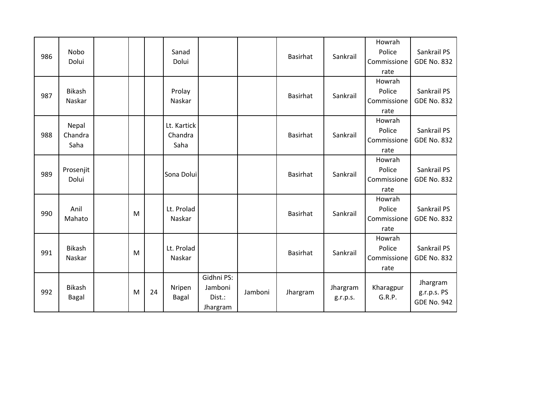|     |               |   |    |             |            |         |                 |          | Howrah      |                    |
|-----|---------------|---|----|-------------|------------|---------|-----------------|----------|-------------|--------------------|
| 986 | <b>Nobo</b>   |   |    | Sanad       |            |         | <b>Basirhat</b> | Sankrail | Police      | Sankrail PS        |
|     | Dolui         |   |    | Dolui       |            |         |                 |          | Commissione | <b>GDE No. 832</b> |
|     |               |   |    |             |            |         |                 |          | rate        |                    |
|     |               |   |    |             |            |         |                 |          | Howrah      |                    |
| 987 | <b>Bikash</b> |   |    | Prolay      |            |         | <b>Basirhat</b> | Sankrail | Police      | Sankrail PS        |
|     | Naskar        |   |    | Naskar      |            |         |                 |          | Commissione | <b>GDE No. 832</b> |
|     |               |   |    |             |            |         |                 |          | rate        |                    |
|     | Nepal         |   |    | Lt. Kartick |            |         |                 |          | Howrah      |                    |
| 988 | Chandra       |   |    | Chandra     |            |         | <b>Basirhat</b> | Sankrail | Police      | Sankrail PS        |
|     | Saha          |   |    | Saha        |            |         |                 |          | Commissione | <b>GDE No. 832</b> |
|     |               |   |    |             |            |         |                 |          | rate        |                    |
|     |               |   |    |             |            |         |                 |          | Howrah      |                    |
| 989 | Prosenjit     |   |    | Sona Dolui  |            |         | <b>Basirhat</b> | Sankrail | Police      | Sankrail PS        |
|     | Dolui         |   |    |             |            |         |                 |          | Commissione | <b>GDE No. 832</b> |
|     |               |   |    |             |            |         |                 |          | rate        |                    |
|     |               |   |    |             |            |         |                 |          | Howrah      |                    |
| 990 | Anil          | M |    | Lt. Prolad  |            |         | <b>Basirhat</b> | Sankrail | Police      | Sankrail PS        |
|     | Mahato        |   |    | Naskar      |            |         |                 |          | Commissione | <b>GDE No. 832</b> |
|     |               |   |    |             |            |         |                 |          | rate        |                    |
|     |               |   |    |             |            |         |                 |          | Howrah      |                    |
| 991 | <b>Bikash</b> |   |    | Lt. Prolad  |            |         | <b>Basirhat</b> | Sankrail | Police      | Sankrail PS        |
|     | Naskar        | M |    | Naskar      |            |         |                 |          | Commissione | <b>GDE No. 832</b> |
|     |               |   |    |             |            |         |                 |          | rate        |                    |
|     |               |   |    |             | Gidhni PS: |         |                 |          |             | Jhargram           |
| 992 | <b>Bikash</b> | M | 24 | Nripen      | Jamboni    | Jamboni | Jhargram        | Jhargram | Kharagpur   | g.r.p.s. PS        |
|     | Bagal         |   |    | Bagal       | Dist.:     |         |                 | g.r.p.s. | G.R.P.      | <b>GDE No. 942</b> |
|     |               |   |    |             | Jhargram   |         |                 |          |             |                    |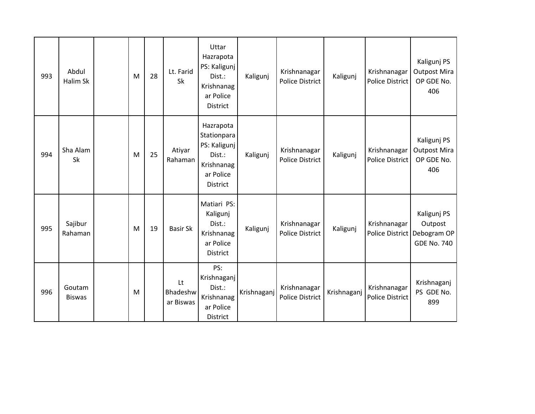| 993 | Abdul<br>Halim Sk       | M | 28 | Lt. Farid<br>Sk             | Uttar<br>Hazrapota<br>PS: Kaligunj<br>Dist.:<br>Krishnanag<br>ar Police                          | Kaligunj    | Krishnanagar<br><b>Police District</b> | Kaligunj    | Krishnanagar<br>Police District        | Kaligunj PS<br><b>Outpost Mira</b><br>OP GDE No.<br>406                       |
|-----|-------------------------|---|----|-----------------------------|--------------------------------------------------------------------------------------------------|-------------|----------------------------------------|-------------|----------------------------------------|-------------------------------------------------------------------------------|
|     |                         |   |    |                             | District                                                                                         |             |                                        |             |                                        |                                                                               |
| 994 | Sha Alam<br>Sk          | M | 25 | Atiyar<br>Rahaman           | Hazrapota<br>Stationpara<br>PS: Kaligunj<br>Dist.:<br>Krishnanag<br>ar Police<br><b>District</b> | Kaligunj    | Krishnanagar<br><b>Police District</b> | Kaligunj    | Krishnanagar<br>Police District        | Kaligunj PS<br><b>Outpost Mira</b><br>OP GDE No.<br>406                       |
| 995 | Sajibur<br>Rahaman      | M | 19 | <b>Basir Sk</b>             | Matiari PS:<br>Kaligunj<br>Dist.:<br>Krishnanag<br>ar Police<br><b>District</b>                  | Kaligunj    | Krishnanagar<br><b>Police District</b> | Kaligunj    | Krishnanagar                           | Kaligunj PS<br>Outpost<br>Police District   Debogram OP<br><b>GDE No. 740</b> |
| 996 | Goutam<br><b>Biswas</b> | M |    | Lt<br>Bhadeshw<br>ar Biswas | PS:<br>Krishnaganj<br>Dist.:<br>Krishnanag<br>ar Police<br>District                              | Krishnaganj | Krishnanagar<br><b>Police District</b> | Krishnaganj | Krishnanagar<br><b>Police District</b> | Krishnaganj<br>PS GDE No.<br>899                                              |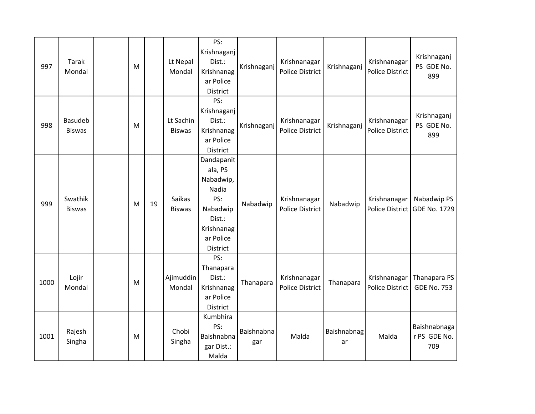| 997  | <b>Tarak</b><br>Mondal          | M         |    | Lt Nepal<br>Mondal         | PS:<br>Krishnaganj<br>Dist.:<br>Krishnanag<br>ar Police<br><b>District</b>                                      | Krishnaganj       | Krishnanagar<br><b>Police District</b> | Krishnaganj       | Krishnanagar<br><b>Police District</b> | Krishnaganj<br>PS GDE No.<br>899            |
|------|---------------------------------|-----------|----|----------------------------|-----------------------------------------------------------------------------------------------------------------|-------------------|----------------------------------------|-------------------|----------------------------------------|---------------------------------------------|
| 998  | <b>Basudeb</b><br><b>Biswas</b> | ${\sf M}$ |    | Lt Sachin<br><b>Biswas</b> | PS:<br>Krishnaganj<br>Dist.:<br>Krishnanag<br>ar Police<br>District                                             | Krishnaganj       | Krishnanagar<br><b>Police District</b> | Krishnaganj       | Krishnanagar<br><b>Police District</b> | Krishnaganj<br>PS GDE No.<br>899            |
| 999  | Swathik<br><b>Biswas</b>        | M         | 19 | Saikas<br><b>Biswas</b>    | Dandapanit<br>ala, PS<br>Nabadwip,<br>Nadia<br>PS:<br>Nabadwip<br>Dist.:<br>Krishnanag<br>ar Police<br>District | Nabadwip          | Krishnanagar<br><b>Police District</b> | Nabadwip          | Krishnanagar                           | Nabadwip PS<br>Police District GDE No. 1729 |
| 1000 | Lojir<br>Mondal                 | M         |    | Ajimuddin<br>Mondal        | PS:<br>Thanapara<br>Dist.:<br>Krishnanag<br>ar Police<br>District                                               | Thanapara         | Krishnanagar<br><b>Police District</b> | Thanapara         | Krishnanagar<br>Police District        | Thanapara PS<br><b>GDE No. 753</b>          |
| 1001 | Rajesh<br>Singha                | M         |    | Chobi<br>Singha            | Kumbhira<br>PS:<br>Baishnabna<br>gar Dist.:<br>Malda                                                            | Baishnabna<br>gar | Malda                                  | Baishnabnag<br>ar | Malda                                  | Baishnabnaga<br>r PS GDE No.<br>709         |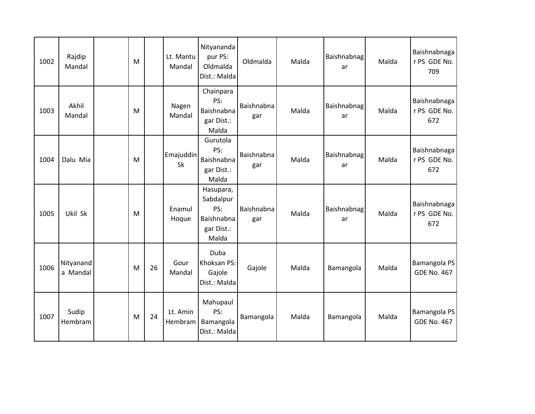| 1002 | Rajdip<br>Mandal      | M |    | Lt. Mantu<br>Mandal | Nityananda<br>pur PS:<br>Oldmalda<br>Dist.: Malda                  | Oldmalda          | Malda | Baishnabnag<br>ar | Malda | Baishnabnaga<br>r PS GDE No.<br>709 |
|------|-----------------------|---|----|---------------------|--------------------------------------------------------------------|-------------------|-------|-------------------|-------|-------------------------------------|
| 1003 | Akhil<br>Mandal       | M |    | Nagen<br>Mandal     | Chainpara<br>PS:<br>Baishnabna<br>gar Dist.:<br>Malda              | Baishnabna<br>gar | Malda | Baishnabnag<br>ar | Malda | Baishnabnaga<br>r PS GDE No.<br>672 |
| 1004 | Dalu Mia              | M |    | Emajuddin<br>Sk     | Gurutola<br>PS:<br>Baishnabna<br>gar Dist.:<br>Malda               | Baishnabna<br>gar | Malda | Baishnabnag<br>ar | Malda | Baishnabnaga<br>r PS GDE No.<br>672 |
| 1005 | Ukil Sk               | M |    | Enamul<br>Hoque     | Hasupara,<br>Sabdalpur<br>PS:<br>Baishnabna<br>gar Dist.:<br>Malda | Baishnabna<br>gar | Malda | Baishnabnag<br>ar | Malda | Baishnabnaga<br>r PS GDE No.<br>672 |
| 1006 | Nityanand<br>a Mandal | M | 26 | Gour<br>Mandal      | Duba<br>Khoksan PS:<br>Gajole<br>Dist.: Malda                      | Gajole            | Malda | Bamangola         | Malda | Bamangola PS<br><b>GDE No. 467</b>  |
| 1007 | Sudip<br>Hembram      | M | 24 | Lt. Amin<br>Hembram | Mahupaul<br>PS:<br>Bamangola<br>Dist.: Malda                       | Bamangola         | Malda | Bamangola         | Malda | Bamangola PS<br><b>GDE No. 467</b>  |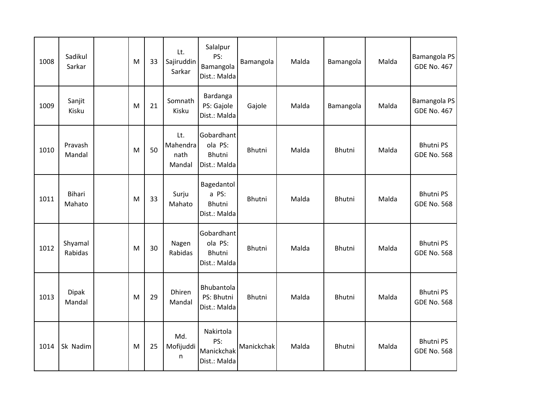| 1008 | Sadikul<br>Sarkar       | M | 33 | Lt.<br>Sajiruddin<br>Sarkar       | Salalpur<br>PS:<br>Bamangola<br>Dist.: Malda           | Bamangola     | Malda | Bamangola | Malda | Bamangola PS<br><b>GDE No. 467</b>     |
|------|-------------------------|---|----|-----------------------------------|--------------------------------------------------------|---------------|-------|-----------|-------|----------------------------------------|
| 1009 | Sanjit<br>Kisku         | M | 21 | Somnath<br>Kisku                  | Bardanga<br>PS: Gajole<br>Dist.: Malda                 | Gajole        | Malda | Bamangola | Malda | Bamangola PS<br><b>GDE No. 467</b>     |
| 1010 | Pravash<br>Mandal       | M | 50 | Lt.<br>Mahendra<br>nath<br>Mandal | Gobardhant<br>ola PS:<br><b>Bhutni</b><br>Dist.: Malda | <b>Bhutni</b> | Malda | Bhutni    | Malda | <b>Bhutni PS</b><br><b>GDE No. 568</b> |
| 1011 | <b>Bihari</b><br>Mahato | M | 33 | Surju<br>Mahato                   | Bagedantol<br>a PS:<br>Bhutni<br>Dist.: Malda          | Bhutni        | Malda | Bhutni    | Malda | <b>Bhutni PS</b><br><b>GDE No. 568</b> |
| 1012 | Shyamal<br>Rabidas      | M | 30 | Nagen<br>Rabidas                  | Gobardhant<br>ola PS:<br><b>Bhutni</b><br>Dist.: Malda | Bhutni        | Malda | Bhutni    | Malda | <b>Bhutni PS</b><br><b>GDE No. 568</b> |
| 1013 | <b>Dipak</b><br>Mandal  | M | 29 | Dhiren<br>Mandal                  | Bhubantola<br>PS: Bhutni<br>Dist.: Malda               | Bhutni        | Malda | Bhutni    | Malda | <b>Bhutni PS</b><br><b>GDE No. 568</b> |
| 1014 | Sk Nadim                | M | 25 | Md.<br>Mofijuddi<br>n             | Nakirtola<br>PS:<br>Manickchak<br>Dist.: Malda         | Manickchak    | Malda | Bhutni    | Malda | <b>Bhutni PS</b><br><b>GDE No. 568</b> |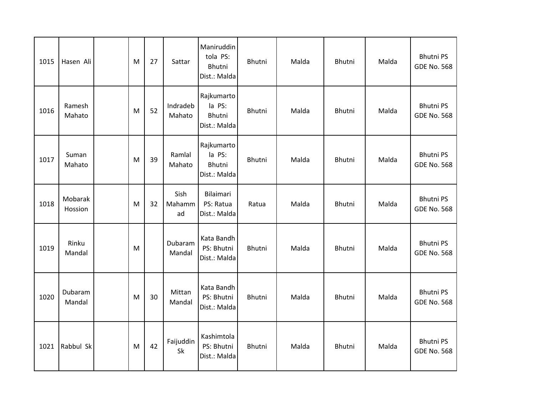| 1015 | Hasen Ali          | M         | 27 | Sattar               | Maniruddin<br>tola PS:<br>Bhutni<br>Dist.: Malda | Bhutni | Malda | Bhutni        | Malda | <b>Bhutni PS</b><br><b>GDE No. 568</b> |
|------|--------------------|-----------|----|----------------------|--------------------------------------------------|--------|-------|---------------|-------|----------------------------------------|
| 1016 | Ramesh<br>Mahato   | M         | 52 | Indradeb<br>Mahato   | Rajkumarto<br>la PS:<br>Bhutni<br>Dist.: Malda   | Bhutni | Malda | Bhutni        | Malda | <b>Bhutni PS</b><br><b>GDE No. 568</b> |
| 1017 | Suman<br>Mahato    | ${\sf M}$ | 39 | Ramlal<br>Mahato     | Rajkumarto<br>la PS:<br>Bhutni<br>Dist.: Malda   | Bhutni | Malda | Bhutni        | Malda | <b>Bhutni PS</b><br><b>GDE No. 568</b> |
| 1018 | Mobarak<br>Hossion | M         | 32 | Sish<br>Mahamm<br>ad | Bilaimari<br>PS: Ratua<br>Dist.: Malda           | Ratua  | Malda | Bhutni        | Malda | <b>Bhutni PS</b><br><b>GDE No. 568</b> |
| 1019 | Rinku<br>Mandal    | M         |    | Dubaram<br>Mandal    | Kata Bandh<br>PS: Bhutni<br>Dist.: Malda         | Bhutni | Malda | Bhutni        | Malda | <b>Bhutni PS</b><br><b>GDE No. 568</b> |
| 1020 | Dubaram<br>Mandal  | M         | 30 | Mittan<br>Mandal     | Kata Bandh<br>PS: Bhutni<br>Dist.: Malda         | Bhutni | Malda | <b>Bhutni</b> | Malda | <b>Bhutni PS</b><br><b>GDE No. 568</b> |
| 1021 | Rabbul Sk          | M         | 42 | Faijuddin<br>Sk      | Kashimtola<br>PS: Bhutni<br>Dist.: Malda         | Bhutni | Malda | Bhutni        | Malda | <b>Bhutni PS</b><br><b>GDE No. 568</b> |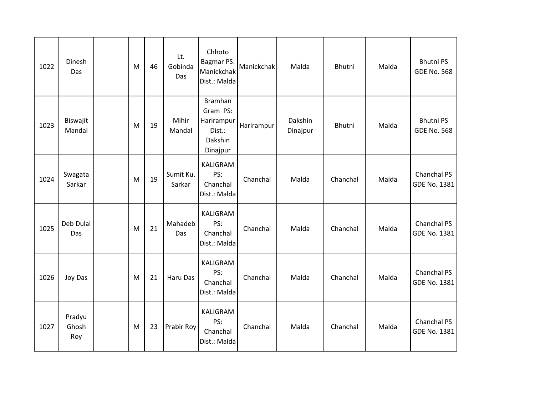| 1022 | Dinesh<br>Das          | M | 46 | Lt.<br>Gobinda<br>Das | Chhoto<br><b>Bagmar PS:</b><br>Manickchak<br>Dist.: Malda          | Manickchak | Malda               | Bhutni   | Malda | <b>Bhutni PS</b><br><b>GDE No. 568</b> |
|------|------------------------|---|----|-----------------------|--------------------------------------------------------------------|------------|---------------------|----------|-------|----------------------------------------|
| 1023 | Biswajit<br>Mandal     | M | 19 | Mihir<br>Mandal       | Bramhan<br>Gram PS:<br>Harirampur<br>Dist.:<br>Dakshin<br>Dinajpur | Harirampur | Dakshin<br>Dinajpur | Bhutni   | Malda | <b>Bhutni PS</b><br><b>GDE No. 568</b> |
| 1024 | Swagata<br>Sarkar      | M | 19 | Sumit Ku.<br>Sarkar   | KALIGRAM<br>PS:<br>Chanchal<br>Dist.: Malda                        | Chanchal   | Malda               | Chanchal | Malda | Chanchal PS<br>GDE No. 1381            |
| 1025 | Deb Dulal<br>Das       | M | 21 | Mahadeb<br>Das        | KALIGRAM<br>PS:<br>Chanchal<br>Dist.: Malda                        | Chanchal   | Malda               | Chanchal | Malda | Chanchal PS<br>GDE No. 1381            |
| 1026 | Joy Das                | M | 21 | Haru Das              | KALIGRAM<br>PS:<br>Chanchal<br>Dist.: Malda                        | Chanchal   | Malda               | Chanchal | Malda | Chanchal PS<br>GDE No. 1381            |
| 1027 | Pradyu<br>Ghosh<br>Roy | M | 23 | Prabir Roy            | KALIGRAM<br>PS:<br>Chanchal<br>Dist.: Malda                        | Chanchal   | Malda               | Chanchal | Malda | Chanchal PS<br>GDE No. 1381            |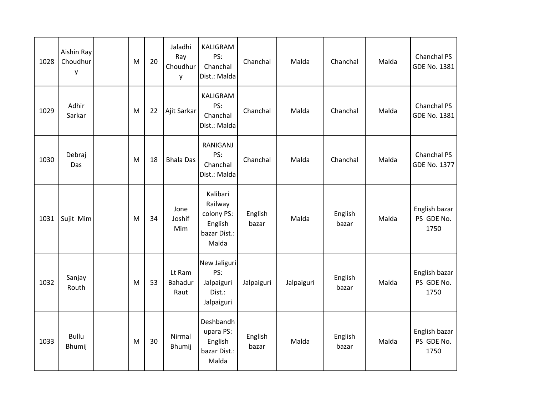| 1028 | Aishin Ray<br>Choudhur<br>у | M | 20 | Jaladhi<br>Ray<br>Choudhur<br>y | <b>KALIGRAM</b><br>PS:<br>Chanchal<br>Dist.: Malda                    | Chanchal         | Malda      | Chanchal         | Malda | Chanchal PS<br><b>GDE No. 1381</b>  |
|------|-----------------------------|---|----|---------------------------------|-----------------------------------------------------------------------|------------------|------------|------------------|-------|-------------------------------------|
| 1029 | Adhir<br>Sarkar             | M | 22 | Ajit Sarkar                     | KALIGRAM<br>PS:<br>Chanchal<br>Dist.: Malda                           | Chanchal         | Malda      | Chanchal         | Malda | Chanchal PS<br>GDE No. 1381         |
| 1030 | Debraj<br>Das               | M | 18 | <b>Bhala Das</b>                | <b>RANIGANJ</b><br>PS:<br>Chanchal<br>Dist.: Malda                    | Chanchal         | Malda      | Chanchal         | Malda | Chanchal PS<br>GDE No. 1377         |
| 1031 | Sujit Mim                   | M | 34 | Jone<br>Joshif<br>Mim           | Kalibari<br>Railway<br>colony PS:<br>English<br>bazar Dist.:<br>Malda | English<br>bazar | Malda      | English<br>bazar | Malda | English bazar<br>PS GDE No.<br>1750 |
| 1032 | Sanjay<br>Routh             | M | 53 | Lt Ram<br>Bahadur<br>Raut       | New Jaliguri<br>PS:<br>Jalpaiguri<br>Dist.:<br>Jalpaiguri             | Jalpaiguri       | Jalpaiguri | English<br>bazar | Malda | English bazar<br>PS GDE No.<br>1750 |
| 1033 | <b>Bullu</b><br>Bhumij      | M | 30 | Nirmal<br>Bhumij                | Deshbandh<br>upara PS:<br>English<br>bazar Dist.:<br>Malda            | English<br>bazar | Malda      | English<br>bazar | Malda | English bazar<br>PS GDE No.<br>1750 |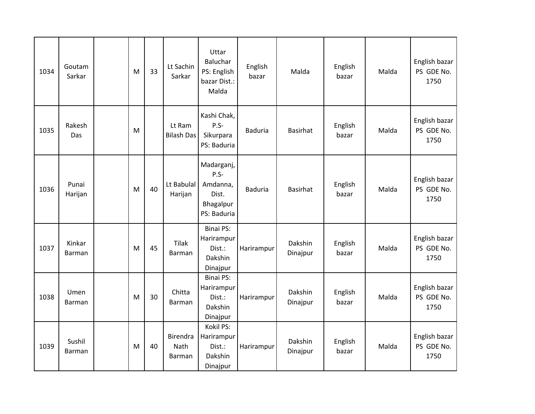| 1034 | Goutam<br>Sarkar        | M | 33 | Lt Sachin<br>Sarkar               | Uttar<br>Baluchar<br>PS: English<br>bazar Dist.:<br>Malda             | English<br>bazar | Malda               | English<br>bazar | Malda | English bazar<br>PS GDE No.<br>1750 |
|------|-------------------------|---|----|-----------------------------------|-----------------------------------------------------------------------|------------------|---------------------|------------------|-------|-------------------------------------|
| 1035 | Rakesh<br>Das           | M |    | Lt Ram<br><b>Bilash Das</b>       | Kashi Chak,<br>$P.S-$<br>Sikurpara<br>PS: Baduria                     | <b>Baduria</b>   | <b>Basirhat</b>     | English<br>bazar | Malda | English bazar<br>PS GDE No.<br>1750 |
| 1036 | Punai<br>Harijan        | M | 40 | Lt Babulal<br>Harijan             | Madarganj,<br>$P.S-$<br>Amdanna,<br>Dist.<br>Bhagalpur<br>PS: Baduria | <b>Baduria</b>   | <b>Basirhat</b>     | English<br>bazar | Malda | English bazar<br>PS GDE No.<br>1750 |
| 1037 | Kinkar<br><b>Barman</b> | M | 45 | <b>Tilak</b><br><b>Barman</b>     | <b>Binai PS:</b><br>Harirampur<br>Dist.:<br>Dakshin<br>Dinajpur       | Harirampur       | Dakshin<br>Dinajpur | English<br>bazar | Malda | English bazar<br>PS GDE No.<br>1750 |
| 1038 | Umen<br><b>Barman</b>   | M | 30 | Chitta<br><b>Barman</b>           | <b>Binai PS:</b><br>Harirampur<br>Dist.:<br>Dakshin<br>Dinajpur       | Harirampur       | Dakshin<br>Dinajpur | English<br>bazar | Malda | English bazar<br>PS GDE No.<br>1750 |
| 1039 | Sushil<br><b>Barman</b> | M | 40 | Birendra<br>Nath<br><b>Barman</b> | Kokil PS:<br>Harirampur<br>Dist.:<br>Dakshin<br>Dinajpur              | Harirampur       | Dakshin<br>Dinajpur | English<br>bazar | Malda | English bazar<br>PS GDE No.<br>1750 |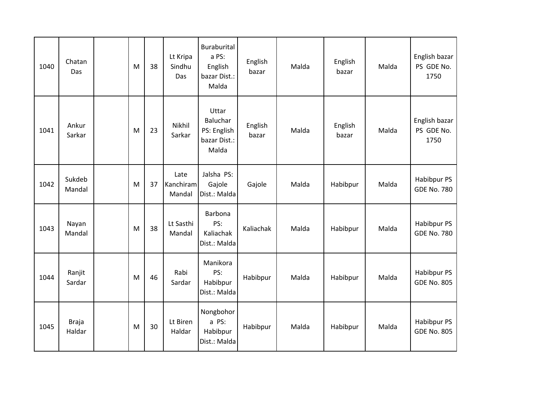| 1040 | Chatan<br>Das          | M | 38 | Lt Kripa<br>Sindhu<br>Das   | Buraburital<br>a PS:<br>English<br>bazar Dist.:<br>Malda         | English<br>bazar | Malda | English<br>bazar | Malda | English bazar<br>PS GDE No.<br>1750 |
|------|------------------------|---|----|-----------------------------|------------------------------------------------------------------|------------------|-------|------------------|-------|-------------------------------------|
| 1041 | Ankur<br>Sarkar        | M | 23 | Nikhil<br>Sarkar            | Uttar<br><b>Baluchar</b><br>PS: English<br>bazar Dist.:<br>Malda | English<br>bazar | Malda | English<br>bazar | Malda | English bazar<br>PS GDE No.<br>1750 |
| 1042 | Sukdeb<br>Mandal       | M | 37 | Late<br>Kanchiram<br>Mandal | Jalsha PS:<br>Gajole<br>Dist.: Malda                             | Gajole           | Malda | Habibpur         | Malda | Habibpur PS<br><b>GDE No. 780</b>   |
| 1043 | Nayan<br>Mandal        | M | 38 | Lt Sasthi<br>Mandal         | Barbona<br>PS:<br>Kaliachak<br>Dist.: Malda                      | Kaliachak        | Malda | Habibpur         | Malda | Habibpur PS<br><b>GDE No. 780</b>   |
| 1044 | Ranjit<br>Sardar       | M | 46 | Rabi<br>Sardar              | Manikora<br>PS:<br>Habibpur<br>Dist.: Malda                      | Habibpur         | Malda | Habibpur         | Malda | Habibpur PS<br><b>GDE No. 805</b>   |
| 1045 | <b>Braja</b><br>Haldar | M | 30 | Lt Biren<br>Haldar          | Nongbohor<br>a PS:<br>Habibpur<br>Dist.: Malda                   | Habibpur         | Malda | Habibpur         | Malda | Habibpur PS<br><b>GDE No. 805</b>   |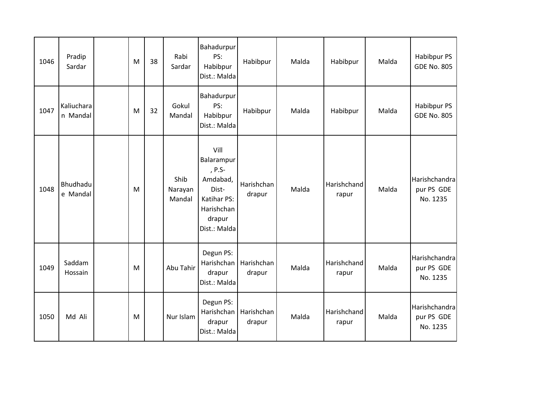| 1046 | Pradip<br>Sardar       | M | 38 | Rabi<br>Sardar            | Bahadurpur<br>PS:<br>Habibpur<br>Dist.: Malda                                                            | Habibpur             | Malda | Habibpur             | Malda | Habibpur PS<br><b>GDE No. 805</b>       |
|------|------------------------|---|----|---------------------------|----------------------------------------------------------------------------------------------------------|----------------------|-------|----------------------|-------|-----------------------------------------|
| 1047 | Kaliuchara<br>n Mandal | M | 32 | Gokul<br>Mandal           | Bahadurpur<br>PS:<br>Habibpur<br>Dist.: Malda                                                            | Habibpur             | Malda | Habibpur             | Malda | Habibpur PS<br><b>GDE No. 805</b>       |
| 1048 | Bhudhadu<br>e Mandal   | M |    | Shib<br>Narayan<br>Mandal | Vill<br>Balarampur<br>, P.S-<br>Amdabad,<br>Dist-<br>Katihar PS:<br>Harishchan<br>drapur<br>Dist.: Malda | Harishchan<br>drapur | Malda | Harishchand<br>rapur | Malda | Harishchandra<br>pur PS GDE<br>No. 1235 |
| 1049 | Saddam<br>Hossain      | M |    | Abu Tahir                 | Degun PS:<br>Harishchan<br>drapur<br>Dist.: Malda                                                        | Harishchan<br>drapur | Malda | Harishchand<br>rapur | Malda | Harishchandra<br>pur PS GDE<br>No. 1235 |
| 1050 | Md Ali                 | M |    | Nur Islam                 | Degun PS:<br>Harishchan<br>drapur<br>Dist.: Malda                                                        | Harishchan<br>drapur | Malda | Harishchand<br>rapur | Malda | Harishchandra<br>pur PS GDE<br>No. 1235 |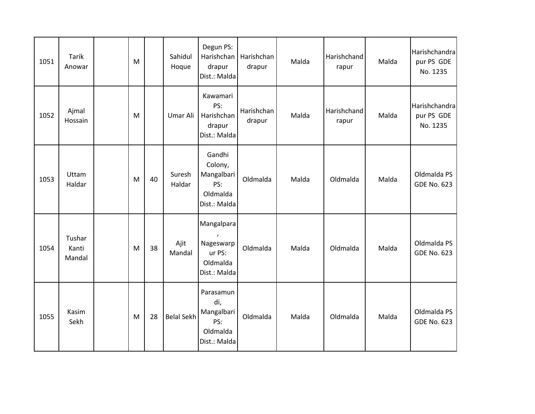| 1051 | <b>Tarik</b><br>Anowar    | M |    | Sahidul<br>Hoque  | Degun PS:<br>Harishchan<br>drapur<br>Dist.: Malda                  | Harishchan<br>drapur | Malda | Harishchand<br>rapur | Malda | Harishchandra<br>pur PS GDE<br>No. 1235 |
|------|---------------------------|---|----|-------------------|--------------------------------------------------------------------|----------------------|-------|----------------------|-------|-----------------------------------------|
| 1052 | Ajmal<br>Hossain          | M |    | Umar Ali          | Kawamari<br>PS:<br>Harishchan<br>drapur<br>Dist.: Malda            | Harishchan<br>drapur | Malda | Harishchand<br>rapur | Malda | Harishchandra<br>pur PS GDE<br>No. 1235 |
| 1053 | Uttam<br>Haldar           | M | 40 | Suresh<br>Haldar  | Gandhi<br>Colony,<br>Mangalbari<br>PS:<br>Oldmalda<br>Dist.: Malda | Oldmalda             | Malda | Oldmalda             | Malda | Oldmalda PS<br><b>GDE No. 623</b>       |
| 1054 | Tushar<br>Kanti<br>Mandal | M | 38 | Ajit<br>Mandal    | Mangalpara<br>Nageswarp<br>ur PS:<br>Oldmalda<br>Dist.: Malda      | Oldmalda             | Malda | Oldmalda             | Malda | Oldmalda PS<br><b>GDE No. 623</b>       |
| 1055 | Kasim<br>Sekh             | M | 28 | <b>Belal Sekh</b> | Parasamun<br>di,<br>Mangalbari<br>PS:<br>Oldmalda<br>Dist.: Malda  | Oldmalda             | Malda | Oldmalda             | Malda | Oldmalda PS<br><b>GDE No. 623</b>       |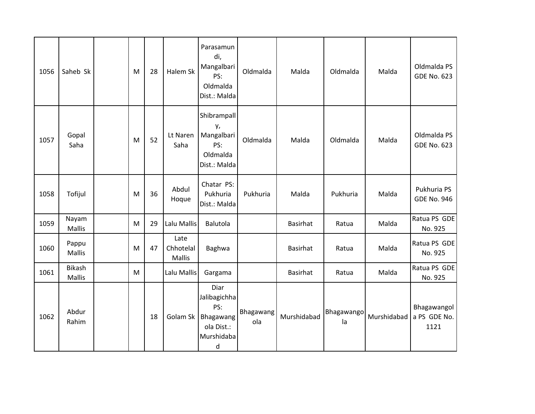| 1056 | Saheb Sk               | M         | 28 | Halem Sk                    | Parasamun<br>di,<br>Mangalbari<br>PS:<br>Oldmalda<br>Dist.: Malda         | Oldmalda         | Malda           | Oldmalda         | Malda       | Oldmalda PS<br><b>GDE No. 623</b>   |
|------|------------------------|-----------|----|-----------------------------|---------------------------------------------------------------------------|------------------|-----------------|------------------|-------------|-------------------------------------|
| 1057 | Gopal<br>Saha          | M         | 52 | Lt Naren<br>Saha            | Shibrampall<br>у,<br>Mangalbari<br>PS:<br>Oldmalda<br>Dist.: Malda        | Oldmalda         | Malda           | Oldmalda         | Malda       | Oldmalda PS<br><b>GDE No. 623</b>   |
| 1058 | Tofijul                | ${\sf M}$ | 36 | Abdul<br>Hoque              | Chatar PS:<br>Pukhuria<br>Dist.: Malda                                    | Pukhuria         | Malda           | Pukhuria         | Malda       | Pukhuria PS<br><b>GDE No. 946</b>   |
| 1059 | Nayam<br><b>Mallis</b> | M         | 29 | Lalu Mallis                 | Balutola                                                                  |                  | <b>Basirhat</b> | Ratua            | Malda       | Ratua PS GDE<br>No. 925             |
| 1060 | Pappu<br>Mallis        | ${\sf M}$ | 47 | Late<br>Chhotelal<br>Mallis | Baghwa                                                                    |                  | <b>Basirhat</b> | Ratua            | Malda       | Ratua PS GDE<br>No. 925             |
| 1061 | Bikash<br>Mallis       | M         |    | Lalu Mallis                 | Gargama                                                                   |                  | <b>Basirhat</b> | Ratua            | Malda       | Ratua PS GDE<br>No. 925             |
| 1062 | Abdur<br>Rahim         |           | 18 | Golam Sk                    | Diar<br>Jalibagichha<br>PS:<br>Bhagawang<br>ola Dist.:<br>Murshidaba<br>d | Bhagawang<br>ola | Murshidabad     | Bhagawango<br>la | Murshidabad | Bhagawangol<br>a PS GDE No.<br>1121 |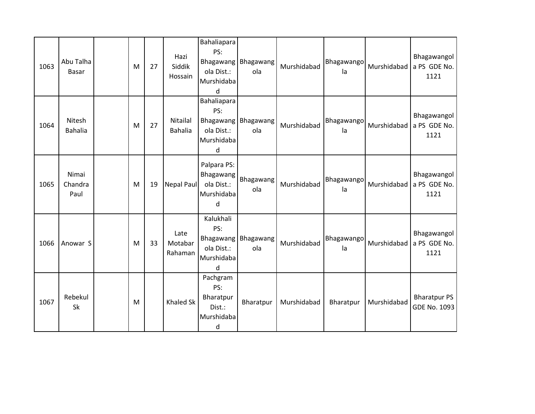| 1063 | Abu Talha<br>Basar       | M         | 27 | Hazi<br>Siddik<br>Hossain  | Bahaliapara<br>PS:<br><b>Bhagawang</b><br>ola Dist.:<br>Murshidaba<br>d | Bhagawang<br>ola | Murshidabad | Bhagawango<br>la        | Murshidabad | Bhagawangol<br>a PS GDE No.<br>1121 |
|------|--------------------------|-----------|----|----------------------------|-------------------------------------------------------------------------|------------------|-------------|-------------------------|-------------|-------------------------------------|
| 1064 | Nitesh<br><b>Bahalia</b> | ${\sf M}$ | 27 | Nitailal<br><b>Bahalia</b> | Bahaliapara<br>PS:<br>Bhagawang<br>ola Dist.:<br>Murshidaba<br>d        | Bhagawang<br>ola | Murshidabad | Bhagawango<br>la        | Murshidabad | Bhagawangol<br>a PS GDE No.<br>1121 |
| 1065 | Nimai<br>Chandra<br>Paul | ${\sf M}$ | 19 | Nepal Paul                 | Palpara PS:<br>Bhagawang<br>ola Dist.:<br>Murshidaba<br>d               | Bhagawang<br>ola | Murshidabad | <b>Bhagawango</b><br>la | Murshidabad | Bhagawangol<br>a PS GDE No.<br>1121 |
| 1066 | Anowar S                 | M         | 33 | Late<br>Motabar<br>Rahaman | Kalukhali<br>PS:<br><b>Bhagawang</b><br>ola Dist.:<br>Murshidaba<br>d   | Bhagawang<br>ola | Murshidabad | Bhagawango<br>la        | Murshidabad | Bhagawangol<br>a PS GDE No.<br>1121 |
| 1067 | Rebekul<br>Sk            | M         |    | <b>Khaled Sk</b>           | Pachgram<br>PS:<br>Bharatpur<br>Dist.:<br>Murshidaba<br>d               | Bharatpur        | Murshidabad | Bharatpur               | Murshidabad | <b>Bharatpur PS</b><br>GDE No. 1093 |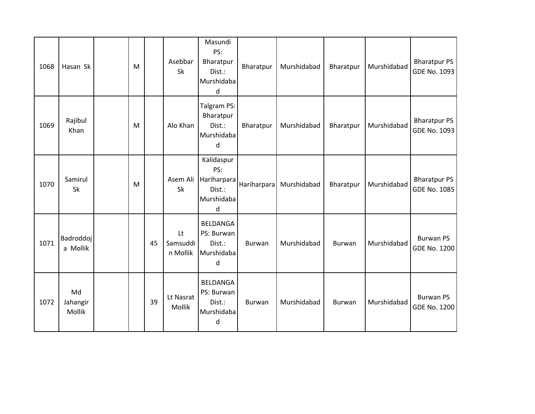| 1068 | Hasan Sk                     | M |    | Asebbar<br>Sk              | Masundi<br>PS:<br>Bharatpur<br>Dist.:<br>Murshidaba<br>d      | Bharatpur     | Murshidabad | Bharatpur | Murshidabad | <b>Bharatpur PS</b><br>GDE No. 1093     |
|------|------------------------------|---|----|----------------------------|---------------------------------------------------------------|---------------|-------------|-----------|-------------|-----------------------------------------|
| 1069 | Rajibul<br>Khan              | M |    | Alo Khan                   | Talgram PS:<br>Bharatpur<br>Dist.:<br>Murshidaba<br>d         | Bharatpur     | Murshidabad | Bharatpur | Murshidabad | <b>Bharatpur PS</b><br>GDE No. 1093     |
| 1070 | Samirul<br>Sk                | M |    | Asem Ali<br>Sk             | Kalidaspur<br>PS:<br>Hariharpara<br>Dist.:<br>Murshidaba<br>d | Hariharpara   | Murshidabad | Bharatpur | Murshidabad | <b>Bharatpur PS</b><br>GDE No. 1085     |
| 1071 | <b>Badroddoj</b><br>a Mollik |   | 45 | Lt<br>Samsuddi<br>n Mollik | <b>BELDANGA</b><br>PS: Burwan<br>Dist.:<br>Murshidaba<br>d    | <b>Burwan</b> | Murshidabad | Burwan    | Murshidabad | <b>Burwan PS</b><br><b>GDE No. 1200</b> |
| 1072 | Md<br>Jahangir<br>Mollik     |   | 39 | Lt Nasrat<br>Mollik        | <b>BELDANGA</b><br>PS: Burwan<br>Dist.:<br>Murshidaba<br>d    | Burwan        | Murshidabad | Burwan    | Murshidabad | <b>Burwan PS</b><br><b>GDE No. 1200</b> |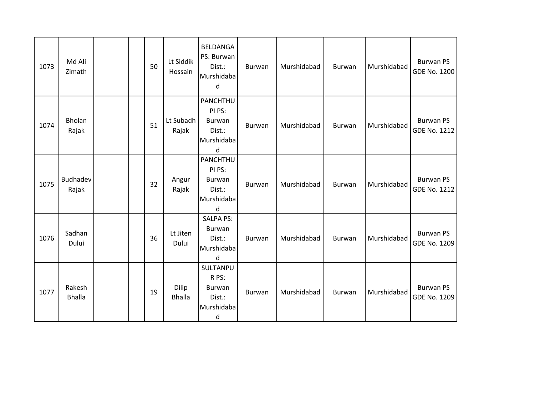| 1073 | Md Ali<br>Zimath        |  | 50 | Lt Siddik<br>Hossain   | BELDANGA<br>PS: Burwan<br>Dist.:<br>Murshidaba<br>d                        | Burwan        | Murshidabad | Burwan | Murshidabad | <b>Burwan PS</b><br>GDE No. 1200        |
|------|-------------------------|--|----|------------------------|----------------------------------------------------------------------------|---------------|-------------|--------|-------------|-----------------------------------------|
| 1074 | Bholan<br>Rajak         |  | 51 | Lt Subadh<br>Rajak     | PANCHTHU<br>PI PS:<br>Burwan<br>Dist.:<br>Murshidaba<br>d                  | <b>Burwan</b> | Murshidabad | Burwan | Murshidabad | <b>Burwan PS</b><br><b>GDE No. 1212</b> |
| 1075 | Budhadev<br>Rajak       |  | 32 | Angur<br>Rajak         | PANCHTHU<br>PI PS:<br>Burwan<br>Dist.:<br>Murshidaba<br>d                  | Burwan        | Murshidabad | Burwan | Murshidabad | <b>Burwan PS</b><br><b>GDE No. 1212</b> |
| 1076 | Sadhan<br>Dului         |  | 36 | Lt Jiten<br>Dului      | <b>SALPA PS:</b><br>Burwan<br>Dist.:<br>Murshidaba<br>d                    | Burwan        | Murshidabad | Burwan | Murshidabad | <b>Burwan PS</b><br>GDE No. 1209        |
| 1077 | Rakesh<br><b>Bhalla</b> |  | 19 | Dilip<br><b>Bhalla</b> | SULTANPU<br>R PS:<br><b>Burwan</b><br>Dist.:<br>Murshidaba<br>$\mathsf{d}$ | Burwan        | Murshidabad | Burwan | Murshidabad | <b>Burwan PS</b><br><b>GDE No. 1209</b> |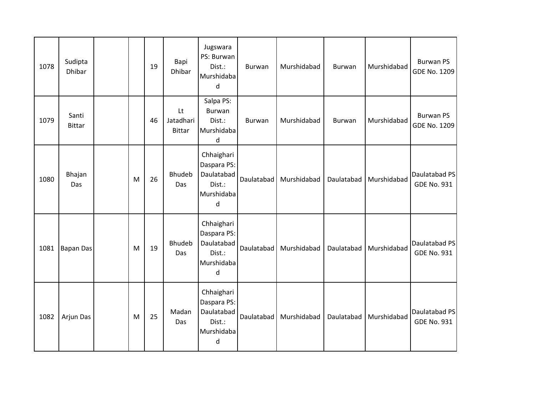| 1078 | Sudipta<br><b>Dhibar</b> |   | 19 | Bapi<br><b>Dhibar</b>            | Jugswara<br>PS: Burwan<br>Dist.:<br>Murshidaba<br>d                  | Burwan     | Murshidabad | <b>Burwan</b> | Murshidabad | <b>Burwan PS</b><br>GDE No. 1209    |
|------|--------------------------|---|----|----------------------------------|----------------------------------------------------------------------|------------|-------------|---------------|-------------|-------------------------------------|
| 1079 | Santi<br><b>Bittar</b>   |   | 46 | Lt<br>Jatadhari<br><b>Bittar</b> | Salpa PS:<br>Burwan<br>Dist.:<br>Murshidaba<br>d                     | Burwan     | Murshidabad | <b>Burwan</b> | Murshidabad | <b>Burwan PS</b><br>GDE No. 1209    |
| 1080 | Bhajan<br>Das            | M | 26 | <b>Bhudeb</b><br>Das             | Chhaighari<br>Daspara PS:<br>Daulatabad<br>Dist.:<br>Murshidaba<br>d | Daulatabad | Murshidabad | Daulatabad    | Murshidabad | Daulatabad PS<br><b>GDE No. 931</b> |
| 1081 | <b>Bapan Das</b>         | M | 19 | <b>Bhudeb</b><br>Das             | Chhaighari<br>Daspara PS:<br>Daulatabad<br>Dist.:<br>Murshidaba<br>d | Daulatabad | Murshidabad | Daulatabad    | Murshidabad | Daulatabad PS<br><b>GDE No. 931</b> |
| 1082 | Arjun Das                | M | 25 | Madan<br>Das                     | Chhaighari<br>Daspara PS:<br>Daulatabad<br>Dist.:<br>Murshidaba<br>d | Daulatabad | Murshidabad | Daulatabad    | Murshidabad | Daulatabad PS<br><b>GDE No. 931</b> |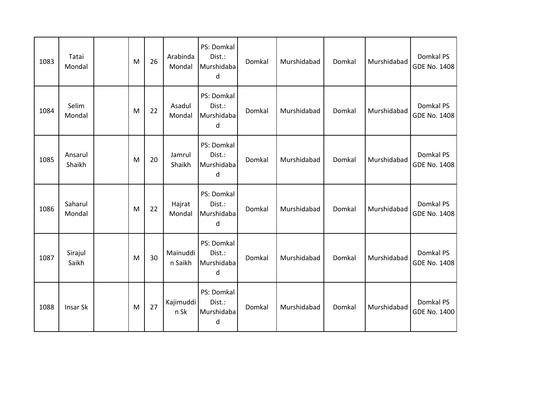| 1083 | Tatai<br>Mondal   | M | 26 | Arabinda<br>Mondal  | PS: Domkal<br>Dist.:<br>Murshidaba<br>d | Domkal | Murshidabad | Domkal | Murshidabad | Domkal PS<br><b>GDE No. 1408</b> |
|------|-------------------|---|----|---------------------|-----------------------------------------|--------|-------------|--------|-------------|----------------------------------|
| 1084 | Selim<br>Mondal   | M | 22 | Asadul<br>Mondal    | PS: Domkal<br>Dist.:<br>Murshidaba<br>d | Domkal | Murshidabad | Domkal | Murshidabad | Domkal PS<br><b>GDE No. 1408</b> |
| 1085 | Ansarul<br>Shaikh | M | 20 | Jamrul<br>Shaikh    | PS: Domkal<br>Dist.:<br>Murshidaba<br>d | Domkal | Murshidabad | Domkal | Murshidabad | Domkal PS<br><b>GDE No. 1408</b> |
| 1086 | Saharul<br>Mondal | M | 22 | Hajrat<br>Mondal    | PS: Domkal<br>Dist.:<br>Murshidaba<br>d | Domkal | Murshidabad | Domkal | Murshidabad | Domkal PS<br><b>GDE No. 1408</b> |
| 1087 | Sirajul<br>Saikh  | M | 30 | Mainuddi<br>n Saikh | PS: Domkal<br>Dist.:<br>Murshidaba<br>d | Domkal | Murshidabad | Domkal | Murshidabad | Domkal PS<br><b>GDE No. 1408</b> |
| 1088 | Insar Sk          | M | 27 | Kajimuddi<br>n Sk   | PS: Domkal<br>Dist.:<br>Murshidaba<br>d | Domkal | Murshidabad | Domkal | Murshidabad | Domkal PS<br><b>GDE No. 1400</b> |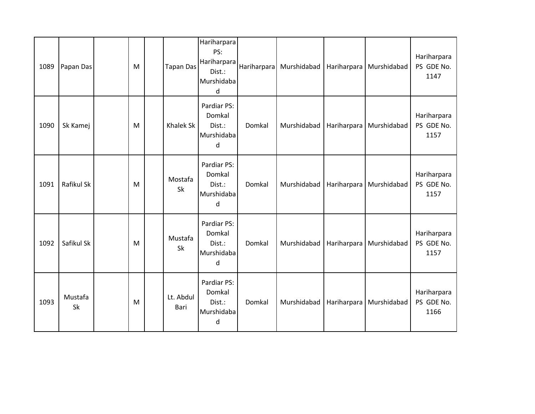| 1089 | Papan Das     | M         | <b>Tapan Das</b>  | Hariharpara<br>PS:<br>Hariharpara<br>Dist.:<br>Murshidaba<br>d | Hariharpara | Murshidabad | Hariharpara | Murshidabad | Hariharpara<br>PS GDE No.<br>1147 |
|------|---------------|-----------|-------------------|----------------------------------------------------------------|-------------|-------------|-------------|-------------|-----------------------------------|
| 1090 | Sk Kamej      | M         | Khalek Sk         | Pardiar PS:<br>Domkal<br>Dist.:<br>Murshidaba<br>d             | Domkal      | Murshidabad | Hariharpara | Murshidabad | Hariharpara<br>PS GDE No.<br>1157 |
| 1091 | Rafikul Sk    | ${\sf M}$ | Mostafa<br>Sk     | Pardiar PS:<br>Domkal<br>Dist.:<br>Murshidaba<br>d             | Domkal      | Murshidabad | Hariharpara | Murshidabad | Hariharpara<br>PS GDE No.<br>1157 |
| 1092 | Safikul Sk    | M         | Mustafa<br>Sk     | Pardiar PS:<br>Domkal<br>Dist.:<br>Murshidaba<br>$\sf d$       | Domkal      | Murshidabad | Hariharpara | Murshidabad | Hariharpara<br>PS GDE No.<br>1157 |
| 1093 | Mustafa<br>Sk | M         | Lt. Abdul<br>Bari | Pardiar PS:<br>Domkal<br>Dist.:<br>Murshidaba<br>d             | Domkal      | Murshidabad | Hariharpara | Murshidabad | Hariharpara<br>PS GDE No.<br>1166 |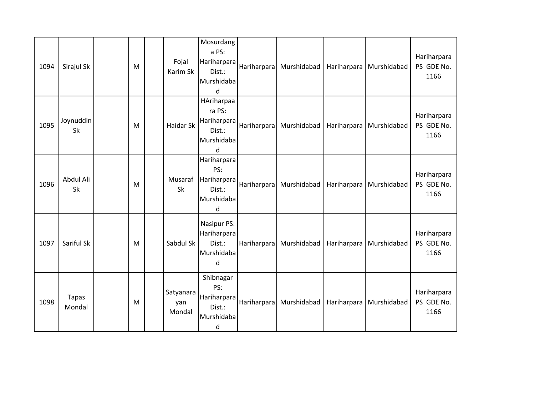| 1094 | Sirajul Sk             | M         | Fojal<br>Karim Sk          | Mosurdang<br>a PS:<br>Hariharpara<br>Dist.:<br>Murshidaba<br>d              |                    | Hariharpara Murshidabad | Hariharpara | Murshidabad | Hariharpara<br>PS GDE No.<br>1166 |
|------|------------------------|-----------|----------------------------|-----------------------------------------------------------------------------|--------------------|-------------------------|-------------|-------------|-----------------------------------|
| 1095 | Joynuddin<br>Sk        | M         | Haidar Sk                  | HAriharpaa<br>ra PS:<br>Hariharpara<br>Dist.:<br>Murshidaba<br>$\mathsf{d}$ | Hariharpara        | Murshidabad             | Hariharpara | Murshidabad | Hariharpara<br>PS GDE No.<br>1166 |
| 1096 | Abdul Ali<br>Sk        | ${\sf M}$ | Musaraf<br>Sk              | Hariharpara<br>PS:<br>Hariharpara<br>Dist.:<br>Murshidaba<br>d              | <b>Hariharpara</b> | Murshidabad             | Hariharpara | Murshidabad | Hariharpara<br>PS GDE No.<br>1166 |
| 1097 | Sariful Sk             | M         | Sabdul Sk                  | Nasipur PS:<br>Hariharpara<br>Dist.:<br>Murshidaba<br>d                     | Hariharpara        | Murshidabad             | Hariharpara | Murshidabad | Hariharpara<br>PS GDE No.<br>1166 |
| 1098 | <b>Tapas</b><br>Mondal | M         | Satyanara<br>yan<br>Mondal | Shibnagar<br>PS:<br>Hariharpara<br>Dist.:<br>Murshidaba<br>d                | Hariharpara        | Murshidabad             | Hariharpara | Murshidabad | Hariharpara<br>PS GDE No.<br>1166 |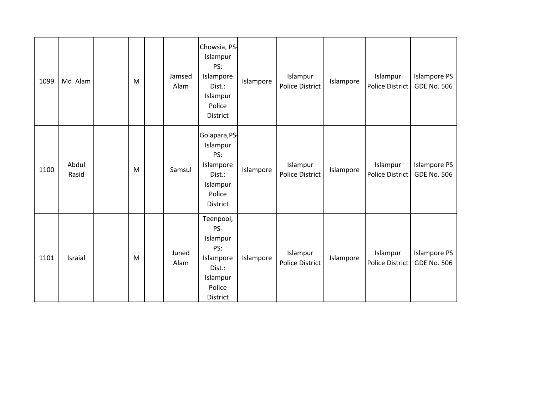| 1099 | Md Alam        | M | Jamsed<br>Alam | Chowsia, PS-<br>Islampur<br>PS:<br>Islampore<br>Dist.:<br>Islampur<br>Police<br>District     | Islampore | Islampur<br><b>Police District</b> | Islampore | Islampur<br><b>Police District</b> | <b>Islampore PS</b><br><b>GDE No. 506</b> |
|------|----------------|---|----------------|----------------------------------------------------------------------------------------------|-----------|------------------------------------|-----------|------------------------------------|-------------------------------------------|
| 1100 | Abdul<br>Rasid | M | Samsul         | Golapara, PS-<br>Islampur<br>PS:<br>Islampore<br>Dist.:<br>Islampur<br>Police<br>District    | Islampore | Islampur<br><b>Police District</b> | Islampore | Islampur<br>Police District        | <b>Islampore PS</b><br><b>GDE No. 506</b> |
| 1101 | Israial        | M | Juned<br>Alam  | Teenpool,<br>PS-<br>Islampur<br>PS:<br>Islampore<br>Dist.:<br>Islampur<br>Police<br>District | Islampore | Islampur<br><b>Police District</b> | Islampore | Islampur<br><b>Police District</b> | <b>Islampore PS</b><br><b>GDE No. 506</b> |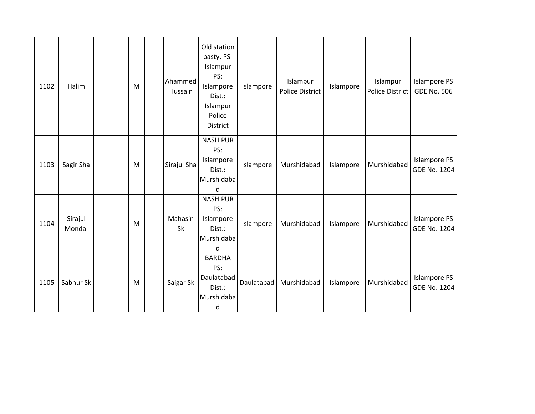| 1102 | Halim             | ${\sf M}$ | Ahammed<br>Hussain | Old station<br>basty, PS-<br>Islampur<br>PS:<br>Islampore<br>Dist.:<br>Islampur<br>Police<br>District | Islampore  | Islampur<br>Police District | Islampore | Islampur<br>Police District | <b>Islampore PS</b><br><b>GDE No. 506</b>  |
|------|-------------------|-----------|--------------------|-------------------------------------------------------------------------------------------------------|------------|-----------------------------|-----------|-----------------------------|--------------------------------------------|
| 1103 | Sagir Sha         | ${\sf M}$ | Sirajul Sha        | <b>NASHIPUR</b><br>PS:<br>Islampore<br>Dist.:<br>Murshidaba<br>d                                      | Islampore  | Murshidabad                 | Islampore | Murshidabad                 | <b>Islampore PS</b><br><b>GDE No. 1204</b> |
| 1104 | Sirajul<br>Mondal | M         | Mahasin<br>Sk      | <b>NASHIPUR</b><br>PS:<br>Islampore<br>Dist.:<br>Murshidaba<br>d                                      | Islampore  | Murshidabad                 | Islampore | Murshidabad                 | <b>Islampore PS</b><br><b>GDE No. 1204</b> |
| 1105 | Sabnur Sk         | M         | Saigar Sk          | <b>BARDHA</b><br>PS:<br>Daulatabad<br>Dist.:<br>Murshidaba<br>d                                       | Daulatabad | Murshidabad                 | Islampore | Murshidabad                 | <b>Islampore PS</b><br><b>GDE No. 1204</b> |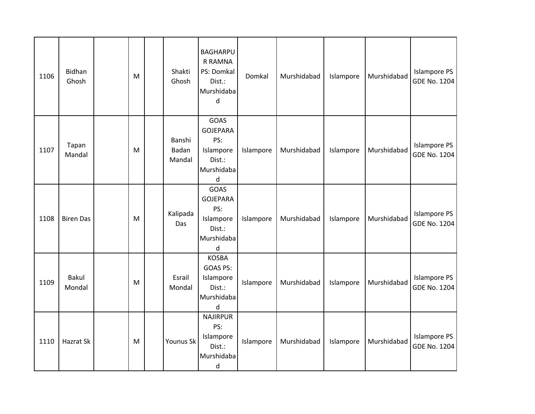| 1106 | Bidhan<br>Ghosh        | M         | Shakti<br>Ghosh           | <b>BAGHARPU</b><br><b>R RAMNA</b><br>PS: Domkal<br>Dist.:<br>Murshidaba<br>d    | Domkal    | Murshidabad | Islampore | Murshidabad | <b>Islampore PS</b><br><b>GDE No. 1204</b> |
|------|------------------------|-----------|---------------------------|---------------------------------------------------------------------------------|-----------|-------------|-----------|-------------|--------------------------------------------|
| 1107 | Tapan<br>Mandal        | ${\sf M}$ | Banshi<br>Badan<br>Mandal | GOAS<br><b>GOJEPARA</b><br>PS:<br>Islampore<br>Dist.:<br>Murshidaba<br>d        | Islampore | Murshidabad | Islampore | Murshidabad | <b>Islampore PS</b><br><b>GDE No. 1204</b> |
| 1108 | <b>Biren Das</b>       | M         | Kalipada<br>Das           | <b>GOAS</b><br><b>GOJEPARA</b><br>PS:<br>Islampore<br>Dist.:<br>Murshidaba<br>d | Islampore | Murshidabad | Islampore | Murshidabad | <b>Islampore PS</b><br><b>GDE No. 1204</b> |
| 1109 | <b>Bakul</b><br>Mondal | M         | Esrail<br>Mondal          | <b>KOSBA</b><br>GOAS PS:<br>Islampore<br>Dist.:<br>Murshidaba<br>d              | Islampore | Murshidabad | Islampore | Murshidabad | <b>Islampore PS</b><br><b>GDE No. 1204</b> |
| 1110 | Hazrat Sk              | M         | Younus Sk                 | <b>NAJIRPUR</b><br>PS:<br>Islampore<br>Dist.:<br>Murshidaba<br>d                | Islampore | Murshidabad | Islampore | Murshidabad | <b>Islampore PS</b><br><b>GDE No. 1204</b> |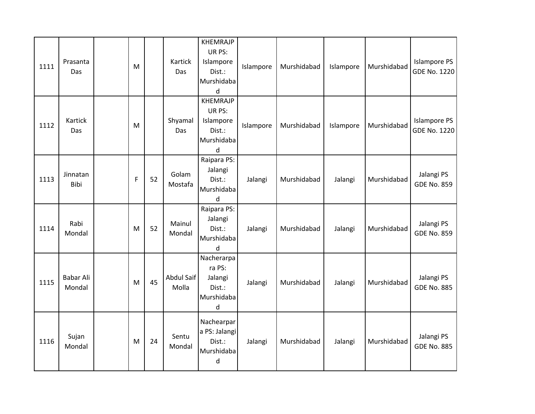| 1111 | Prasanta<br>Das            | М           |    | Kartick<br>Das      | <b>KHEMRAJP</b><br>UR PS:<br>Islampore<br>Dist.:<br>Murshidaba<br>d | Islampore | Murshidabad | Islampore | Murshidabad | <b>Islampore PS</b><br><b>GDE No. 1220</b> |
|------|----------------------------|-------------|----|---------------------|---------------------------------------------------------------------|-----------|-------------|-----------|-------------|--------------------------------------------|
| 1112 | Kartick<br>Das             | M           |    | Shyamal<br>Das      | <b>KHEMRAJP</b><br>UR PS:<br>Islampore<br>Dist.:<br>Murshidaba<br>d | Islampore | Murshidabad | Islampore | Murshidabad | <b>Islampore PS</b><br><b>GDE No. 1220</b> |
| 1113 | Jinnatan<br>Bibi           | $\mathsf F$ | 52 | Golam<br>Mostafa    | Raipara PS:<br>Jalangi<br>Dist.:<br>Murshidaba<br>$\sf d$           | Jalangi   | Murshidabad | Jalangi   | Murshidabad | Jalangi PS<br><b>GDE No. 859</b>           |
| 1114 | Rabi<br>Mondal             | M           | 52 | Mainul<br>Mondal    | Raipara PS:<br>Jalangi<br>Dist.:<br>Murshidaba<br>d                 | Jalangi   | Murshidabad | Jalangi   | Murshidabad | Jalangi PS<br><b>GDE No. 859</b>           |
| 1115 | <b>Babar Ali</b><br>Mondal | M           | 45 | Abdul Saif<br>Molla | Nacherarpa<br>ra PS:<br>Jalangi<br>Dist.:<br>Murshidaba<br>d        | Jalangi   | Murshidabad | Jalangi   | Murshidabad | Jalangi PS<br><b>GDE No. 885</b>           |
| 1116 | Sujan<br>Mondal            | M           | 24 | Sentu<br>Mondal     | Nachearpar<br>a PS: Jalangi<br>Dist.:<br>Murshidaba<br>d            | Jalangi   | Murshidabad | Jalangi   | Murshidabad | Jalangi PS<br><b>GDE No. 885</b>           |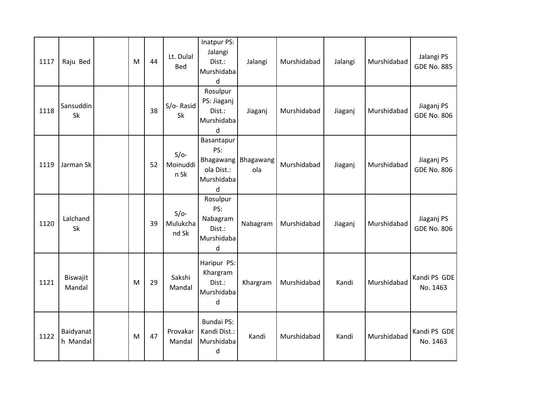| 1117 | Raju Bed              | M | 44 | Lt. Dulal<br><b>Bed</b>     | Inatpur PS:<br>Jalangi<br>Dist.:<br>Murshidaba<br>d                    | Jalangi          | Murshidabad | Jalangi | Murshidabad | Jalangi PS<br><b>GDE No. 885</b> |
|------|-----------------------|---|----|-----------------------------|------------------------------------------------------------------------|------------------|-------------|---------|-------------|----------------------------------|
| 1118 | Sansuddin<br>Sk       |   | 38 | S/o-Rasid<br>Sk             | Rosulpur<br>PS: Jiaganj<br>Dist.:<br>Murshidaba<br>d                   | Jiaganj          | Murshidabad | Jiaganj | Murshidabad | Jiaganj PS<br><b>GDE No. 806</b> |
| 1119 | Jarman Sk             |   | 52 | $S/O-$<br>Moinuddi<br>n Sk  | Basantapur<br>PS:<br><b>Bhagawang</b><br>ola Dist.:<br>Murshidaba<br>d | Bhagawang<br>ola | Murshidabad | Jiaganj | Murshidabad | Jiaganj PS<br><b>GDE No. 806</b> |
| 1120 | Lalchand<br>Sk        |   | 39 | $S/O-$<br>Mulukcha<br>nd Sk | Rosulpur<br>PS:<br>Nabagram<br>Dist.:<br>Murshidaba<br>$\mathsf{d}$    | Nabagram         | Murshidabad | Jiaganj | Murshidabad | Jiaganj PS<br><b>GDE No. 806</b> |
| 1121 | Biswajit<br>Mandal    | M | 29 | Sakshi<br>Mandal            | Haripur PS:<br>Khargram<br>Dist.:<br>Murshidaba<br>d                   | Khargram         | Murshidabad | Kandi   | Murshidabad | Kandi PS GDE<br>No. 1463         |
| 1122 | Baidyanat<br>h Mandal | M | 47 | Provakar<br>Mandal          | <b>Bundai PS:</b><br>Kandi Dist.:<br>Murshidaba<br>d                   | Kandi            | Murshidabad | Kandi   | Murshidabad | Kandi PS GDE<br>No. 1463         |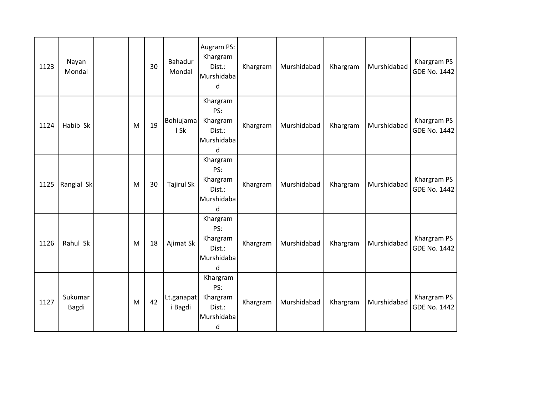| 1123 | Nayan<br>Mondal  |   | 30 | Bahadur<br>Mondal     | Augram PS:<br>Khargram<br>Dist.:<br>Murshidaba<br>d                 | Khargram | Murshidabad | Khargram | Murshidabad | Khargram PS<br><b>GDE No. 1442</b> |
|------|------------------|---|----|-----------------------|---------------------------------------------------------------------|----------|-------------|----------|-------------|------------------------------------|
| 1124 | Habib Sk         | M | 19 | Bohiujama<br>I Sk     | Khargram<br>PS:<br>Khargram<br>Dist.:<br>Murshidaba<br><sub>d</sub> | Khargram | Murshidabad | Khargram | Murshidabad | Khargram PS<br><b>GDE No. 1442</b> |
| 1125 | Ranglal Sk       | M | 30 | <b>Tajirul Sk</b>     | Khargram<br>PS:<br>Khargram<br>Dist.:<br>Murshidaba<br>d            | Khargram | Murshidabad | Khargram | Murshidabad | Khargram PS<br><b>GDE No. 1442</b> |
| 1126 | Rahul Sk         | M | 18 | Ajimat Sk             | Khargram<br>PS:<br>Khargram<br>Dist.:<br>Murshidaba<br>$\mathsf{d}$ | Khargram | Murshidabad | Khargram | Murshidabad | Khargram PS<br><b>GDE No. 1442</b> |
| 1127 | Sukumar<br>Bagdi | M | 42 | Lt.ganapat<br>i Bagdi | Khargram<br>PS:<br>Khargram<br>Dist.:<br>Murshidaba<br>d            | Khargram | Murshidabad | Khargram | Murshidabad | Khargram PS<br><b>GDE No. 1442</b> |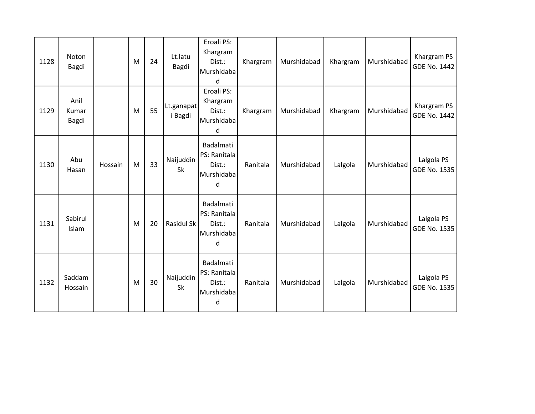| 1128 | Noton<br>Bagdi         |         | M         | 24 | Lt.latu<br>Bagdi      | Eroali PS:<br>Khargram<br>Dist.:<br>Murshidaba<br>d    | Khargram | Murshidabad | Khargram | Murshidabad | Khargram PS<br><b>GDE No. 1442</b> |
|------|------------------------|---------|-----------|----|-----------------------|--------------------------------------------------------|----------|-------------|----------|-------------|------------------------------------|
| 1129 | Anil<br>Kumar<br>Bagdi |         | M         | 55 | Lt.ganapat<br>i Bagdi | Eroali PS:<br>Khargram<br>Dist.:<br>Murshidaba<br>d    | Khargram | Murshidabad | Khargram | Murshidabad | Khargram PS<br><b>GDE No. 1442</b> |
| 1130 | Abu<br>Hasan           | Hossain | M         | 33 | Naijuddin<br>Sk       | Badalmati<br>PS: Ranitala<br>Dist.:<br>Murshidaba<br>d | Ranitala | Murshidabad | Lalgola  | Murshidabad | Lalgola PS<br>GDE No. 1535         |
| 1131 | Sabirul<br>Islam       |         | ${\sf M}$ | 20 | Rasidul Sk            | Badalmati<br>PS: Ranitala<br>Dist.:<br>Murshidaba<br>d | Ranitala | Murshidabad | Lalgola  | Murshidabad | Lalgola PS<br>GDE No. 1535         |
| 1132 | Saddam<br>Hossain      |         | M         | 30 | Naijuddin<br>Sk       | Badalmati<br>PS: Ranitala<br>Dist.:<br>Murshidaba<br>d | Ranitala | Murshidabad | Lalgola  | Murshidabad | Lalgola PS<br>GDE No. 1535         |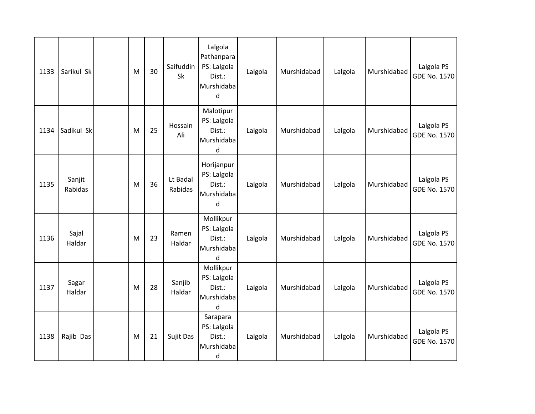| 1133 | Sarikul Sk        | M         | 30 | Saifuddin<br>Sk     | Lalgola<br>Pathanpara<br>PS: Lalgola<br>Dist.:<br>Murshidaba<br>d | Lalgola | Murshidabad | Lalgola | Murshidabad | Lalgola PS<br>GDE No. 1570 |
|------|-------------------|-----------|----|---------------------|-------------------------------------------------------------------|---------|-------------|---------|-------------|----------------------------|
| 1134 | Sadikul Sk        | M         | 25 | Hossain<br>Ali      | Malotipur<br>PS: Lalgola<br>Dist.:<br>Murshidaba<br>d             | Lalgola | Murshidabad | Lalgola | Murshidabad | Lalgola PS<br>GDE No. 1570 |
| 1135 | Sanjit<br>Rabidas | M         | 36 | Lt Badal<br>Rabidas | Horijanpur<br>PS: Lalgola<br>Dist.:<br>Murshidaba<br>d            | Lalgola | Murshidabad | Lalgola | Murshidabad | Lalgola PS<br>GDE No. 1570 |
| 1136 | Sajal<br>Haldar   | ${\sf M}$ | 23 | Ramen<br>Haldar     | Mollikpur<br>PS: Lalgola<br>Dist.:<br>Murshidaba<br>d             | Lalgola | Murshidabad | Lalgola | Murshidabad | Lalgola PS<br>GDE No. 1570 |
| 1137 | Sagar<br>Haldar   | M         | 28 | Sanjib<br>Haldar    | Mollikpur<br>PS: Lalgola<br>Dist.:<br>Murshidaba<br>d             | Lalgola | Murshidabad | Lalgola | Murshidabad | Lalgola PS<br>GDE No. 1570 |
| 1138 | Rajib Das         | ${\sf M}$ | 21 | Sujit Das           | Sarapara<br>PS: Lalgola<br>Dist.:<br>Murshidaba<br>$\mathsf{d}$   | Lalgola | Murshidabad | Lalgola | Murshidabad | Lalgola PS<br>GDE No. 1570 |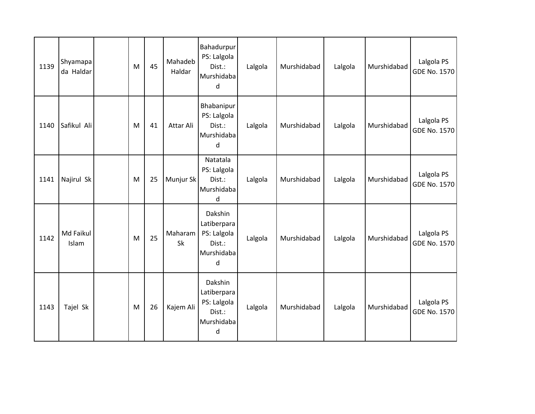| 1139 | Shyamapa<br>da Haldar | M | 45 | Mahadeb<br>Haldar    | Bahadurpur<br>PS: Lalgola<br>Dist.:<br>Murshidaba<br>d             | Lalgola | Murshidabad | Lalgola | Murshidabad | Lalgola PS<br>GDE No. 1570 |
|------|-----------------------|---|----|----------------------|--------------------------------------------------------------------|---------|-------------|---------|-------------|----------------------------|
| 1140 | Safikul Ali           | M | 41 | Attar Ali            | Bhabanipur<br>PS: Lalgola<br>Dist.:<br>Murshidaba<br>d             | Lalgola | Murshidabad | Lalgola | Murshidabad | Lalgola PS<br>GDE No. 1570 |
| 1141 | Najirul Sk            | M | 25 | Munjur Sk            | Natatala<br>PS: Lalgola<br>Dist.:<br>Murshidaba<br>d               | Lalgola | Murshidabad | Lalgola | Murshidabad | Lalgola PS<br>GDE No. 1570 |
| 1142 | Md Faikul<br>Islam    | M | 25 | Maharam<br><b>Sk</b> | Dakshin<br>Latiberpara<br>PS: Lalgola<br>Dist.:<br>Murshidaba<br>d | Lalgola | Murshidabad | Lalgola | Murshidabad | Lalgola PS<br>GDE No. 1570 |
| 1143 | Tajel Sk              | M | 26 | Kajem Ali            | Dakshin<br>Latiberpara<br>PS: Lalgola<br>Dist.:<br>Murshidaba<br>d | Lalgola | Murshidabad | Lalgola | Murshidabad | Lalgola PS<br>GDE No. 1570 |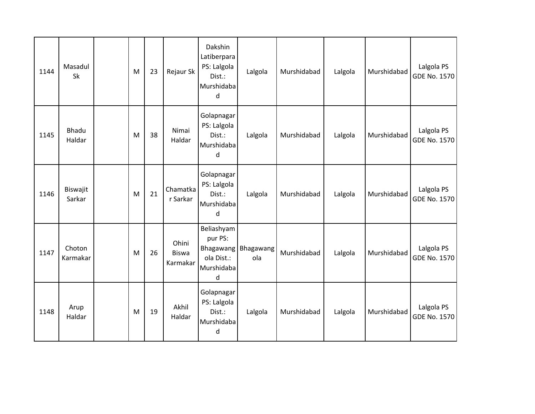| 1144 | Masadul<br>Sk      | M | 23 | Rejaur Sk                         | Dakshin<br>Latiberpara<br>PS: Lalgola<br>Dist.:<br>Murshidaba<br>d  | Lalgola          | Murshidabad | Lalgola | Murshidabad | Lalgola PS<br><b>GDE No. 1570</b> |
|------|--------------------|---|----|-----------------------------------|---------------------------------------------------------------------|------------------|-------------|---------|-------------|-----------------------------------|
| 1145 | Bhadu<br>Haldar    | M | 38 | Nimai<br>Haldar                   | Golapnagar<br>PS: Lalgola<br>Dist.:<br>Murshidaba<br>d              | Lalgola          | Murshidabad | Lalgola | Murshidabad | Lalgola PS<br>GDE No. 1570        |
| 1146 | Biswajit<br>Sarkar | M | 21 | Chamatka<br>r Sarkar              | Golapnagar<br>PS: Lalgola<br>Dist.:<br>Murshidaba<br>d              | Lalgola          | Murshidabad | Lalgola | Murshidabad | Lalgola PS<br><b>GDE No. 1570</b> |
| 1147 | Choton<br>Karmakar | M | 26 | Ohini<br><b>Biswa</b><br>Karmakar | Beliashyam<br>pur PS:<br>Bhagawang<br>ola Dist.:<br>Murshidaba<br>d | Bhagawang<br>ola | Murshidabad | Lalgola | Murshidabad | Lalgola PS<br>GDE No. 1570        |
| 1148 | Arup<br>Haldar     | M | 19 | Akhil<br>Haldar                   | Golapnagar<br>PS: Lalgola<br>Dist.:<br>Murshidaba<br>d              | Lalgola          | Murshidabad | Lalgola | Murshidabad | Lalgola PS<br>GDE No. 1570        |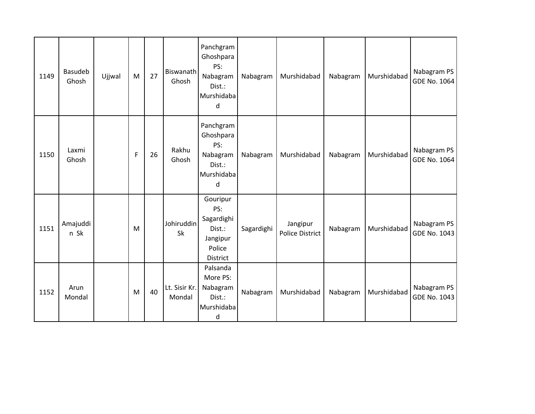| 1149 | Basudeb<br>Ghosh | Ujjwal | M           | 27 | Biswanath<br>Ghosh      | Panchgram<br>Ghoshpara<br>PS:<br>Nabagram<br>Dist.:<br>Murshidaba<br>d    | Nabagram   | Murshidabad                        | Nabagram | Murshidabad | Nabagram PS<br><b>GDE No. 1064</b> |
|------|------------------|--------|-------------|----|-------------------------|---------------------------------------------------------------------------|------------|------------------------------------|----------|-------------|------------------------------------|
| 1150 | Laxmi<br>Ghosh   |        | $\mathsf F$ | 26 | Rakhu<br>Ghosh          | Panchgram<br>Ghoshpara<br>PS:<br>Nabagram<br>Dist.:<br>Murshidaba<br>d    | Nabagram   | Murshidabad                        | Nabagram | Murshidabad | Nabagram PS<br>GDE No. 1064        |
| 1151 | Amajuddi<br>n Sk |        | M           |    | Johiruddin<br>Sk        | Gouripur<br>PS:<br>Sagardighi<br>Dist.:<br>Jangipur<br>Police<br>District | Sagardighi | Jangipur<br><b>Police District</b> | Nabagram | Murshidabad | Nabagram PS<br>GDE No. 1043        |
| 1152 | Arun<br>Mondal   |        | M           | 40 | Lt. Sisir Kr.<br>Mondal | Palsanda<br>More PS:<br>Nabagram<br>Dist.:<br>Murshidaba<br>d             | Nabagram   | Murshidabad                        | Nabagram | Murshidabad | Nabagram PS<br>GDE No. 1043        |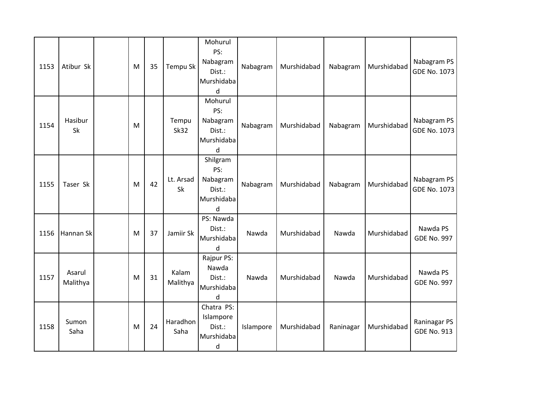| 1153 | Atibur Sk          | M | 35 | Tempu Sk             | Mohurul<br>PS:<br>Nabagram<br>Dist.:<br>Murshidaba<br>d  | Nabagram  | Murshidabad | Nabagram  | Murshidabad | Nabagram PS<br><b>GDE No. 1073</b> |
|------|--------------------|---|----|----------------------|----------------------------------------------------------|-----------|-------------|-----------|-------------|------------------------------------|
| 1154 | Hasibur<br>Sk      | M |    | Tempu<br><b>Sk32</b> | Mohurul<br>PS:<br>Nabagram<br>Dist.:<br>Murshidaba<br>d  | Nabagram  | Murshidabad | Nabagram  | Murshidabad | Nabagram PS<br><b>GDE No. 1073</b> |
| 1155 | Taser Sk           | M | 42 | Lt. Arsad<br>Sk      | Shilgram<br>PS:<br>Nabagram<br>Dist.:<br>Murshidaba<br>d | Nabagram  | Murshidabad | Nabagram  | Murshidabad | Nabagram PS<br>GDE No. 1073        |
| 1156 | Hannan Sk          | M | 37 | Jamiir Sk            | PS: Nawda<br>Dist.:<br>Murshidaba<br>d                   | Nawda     | Murshidabad | Nawda     | Murshidabad | Nawda PS<br><b>GDE No. 997</b>     |
| 1157 | Asarul<br>Malithya | M | 31 | Kalam<br>Malithya    | Rajpur PS:<br>Nawda<br>Dist.:<br>Murshidaba<br>d         | Nawda     | Murshidabad | Nawda     | Murshidabad | Nawda PS<br><b>GDE No. 997</b>     |
| 1158 | Sumon<br>Saha      | M | 24 | Haradhon<br>Saha     | Chatra PS:<br>Islampore<br>Dist.:<br>Murshidaba<br>d     | Islampore | Murshidabad | Raninagar | Murshidabad | Raninagar PS<br><b>GDE No. 913</b> |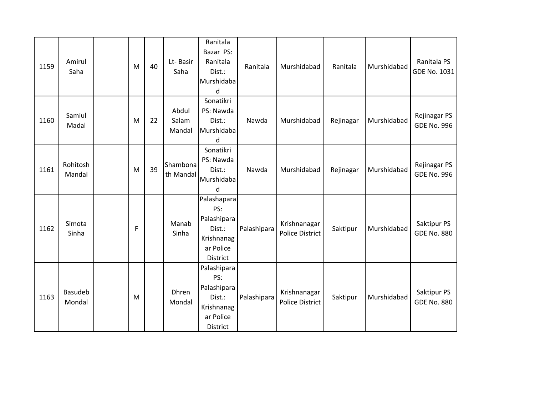| 1159 | Amirul<br>Saha     | M | 40 | Lt-Basir<br>Saha         | Ranitala<br>Bazar PS:<br>Ranitala<br>Dist.:<br>Murshidaba<br>d                     | Ranitala    | Murshidabad                            | Ranitala  | Murshidabad | Ranitala PS<br>GDE No. 1031        |
|------|--------------------|---|----|--------------------------|------------------------------------------------------------------------------------|-------------|----------------------------------------|-----------|-------------|------------------------------------|
| 1160 | Samiul<br>Madal    | M | 22 | Abdul<br>Salam<br>Mandal | Sonatikri<br>PS: Nawda<br>Dist.:<br>Murshidaba<br>d                                | Nawda       | Murshidabad                            | Rejinagar | Murshidabad | Rejinagar PS<br><b>GDE No. 996</b> |
| 1161 | Rohitosh<br>Mandal | M | 39 | Shambona<br>th Mandal    | Sonatikri<br>PS: Nawda<br>Dist.:<br>Murshidaba<br>$\mathbf d$                      | Nawda       | Murshidabad                            | Rejinagar | Murshidabad | Rejinagar PS<br><b>GDE No. 996</b> |
| 1162 | Simota<br>Sinha    | F |    | Manab<br>Sinha           | Palashapara<br>PS:<br>Palashipara<br>Dist.:<br>Krishnanag<br>ar Police<br>District | Palashipara | Krishnanagar<br><b>Police District</b> | Saktipur  | Murshidabad | Saktipur PS<br><b>GDE No. 880</b>  |
| 1163 | Basudeb<br>Mondal  | M |    | Dhren<br>Mondal          | Palashipara<br>PS:<br>Palashipara<br>Dist.:<br>Krishnanag<br>ar Police<br>District | Palashipara | Krishnanagar<br><b>Police District</b> | Saktipur  | Murshidabad | Saktipur PS<br><b>GDE No. 880</b>  |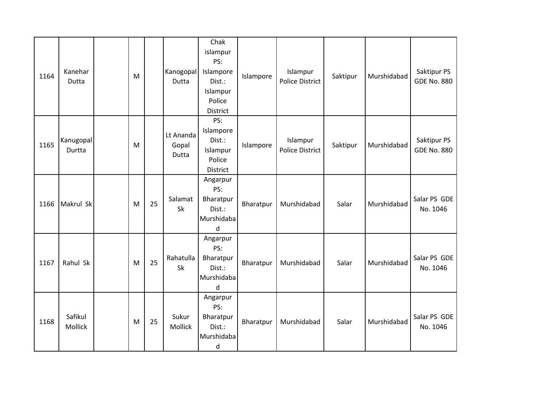| 1164 | Kanehar<br>Dutta    | M |    | Kanogopal<br>Dutta          | Chak<br>islampur<br>PS:<br>Islampore<br>Dist.:<br>Islampur<br>Police<br><b>District</b> | Islampore | Islampur<br><b>Police District</b> | Saktipur | Murshidabad | Saktipur PS<br><b>GDE No. 880</b> |
|------|---------------------|---|----|-----------------------------|-----------------------------------------------------------------------------------------|-----------|------------------------------------|----------|-------------|-----------------------------------|
| 1165 | Kanugopal<br>Durtta | M |    | Lt Ananda<br>Gopal<br>Dutta | PS:<br>Islampore<br>Dist.:<br>Islampur<br>Police<br><b>District</b>                     | Islampore | Islampur<br><b>Police District</b> | Saktipur | Murshidabad | Saktipur PS<br><b>GDE No. 880</b> |
| 1166 | Makrul Sk           | M | 25 | Salamat<br>Sk               | Angarpur<br>PS:<br>Bharatpur<br>Dist.:<br>Murshidaba<br>$\mathsf{d}$                    | Bharatpur | Murshidabad                        | Salar    | Murshidabad | Salar PS GDE<br>No. 1046          |
| 1167 | Rahul Sk            | M | 25 | Rahatulla<br><b>Sk</b>      | Angarpur<br>PS:<br>Bharatpur<br>Dist.:<br>Murshidaba<br>$\mathsf{d}$                    | Bharatpur | Murshidabad                        | Salar    | Murshidabad | Salar PS GDE<br>No. 1046          |
| 1168 | Safikul<br>Mollick  | M | 25 | Sukur<br>Mollick            | Angarpur<br>PS:<br>Bharatpur<br>Dist.:<br>Murshidaba<br>$\sf d$                         | Bharatpur | Murshidabad                        | Salar    | Murshidabad | Salar PS GDE<br>No. 1046          |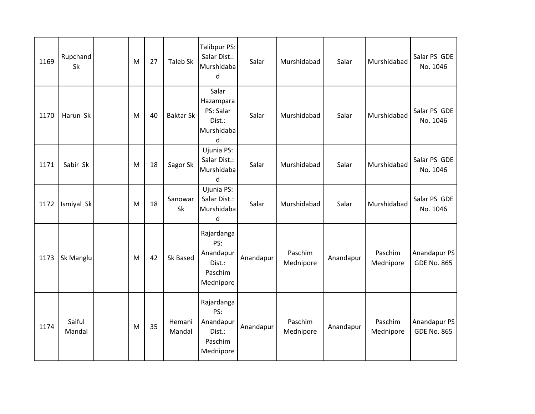| 1169 | Rupchand<br>Sk   | M | 27 | <b>Taleb Sk</b>  | Talibpur PS:<br>Salar Dist.:<br>Murshidaba<br><sub>d</sub>       | Salar     | Murshidabad          | Salar     | Murshidabad          | Salar PS GDE<br>No. 1046           |
|------|------------------|---|----|------------------|------------------------------------------------------------------|-----------|----------------------|-----------|----------------------|------------------------------------|
| 1170 | Harun Sk         | M | 40 | <b>Baktar Sk</b> | Salar<br>Hazampara<br>PS: Salar<br>Dist.:<br>Murshidaba<br>d     | Salar     | Murshidabad          | Salar     | Murshidabad          | Salar PS GDE<br>No. 1046           |
| 1171 | Sabir Sk         | M | 18 | Sagor Sk         | Ujunia PS:<br>Salar Dist.:<br>Murshidaba<br>d                    | Salar     | Murshidabad          | Salar     | Murshidabad          | Salar PS GDE<br>No. 1046           |
| 1172 | Ismiyal Sk       | M | 18 | Sanowar<br>Sk    | Ujunia PS:<br>Salar Dist.:<br>Murshidaba<br>d                    | Salar     | Murshidabad          | Salar     | Murshidabad          | Salar PS GDE<br>No. 1046           |
| 1173 | Sk Manglu        | M | 42 | Sk Based         | Rajardanga<br>PS:<br>Anandapur<br>Dist.:<br>Paschim<br>Mednipore | Anandapur | Paschim<br>Mednipore | Anandapur | Paschim<br>Mednipore | Anandapur PS<br><b>GDE No. 865</b> |
| 1174 | Saiful<br>Mandal | M | 35 | Hemani<br>Mandal | Rajardanga<br>PS:<br>Anandapur<br>Dist.:<br>Paschim<br>Mednipore | Anandapur | Paschim<br>Mednipore | Anandapur | Paschim<br>Mednipore | Anandapur PS<br><b>GDE No. 865</b> |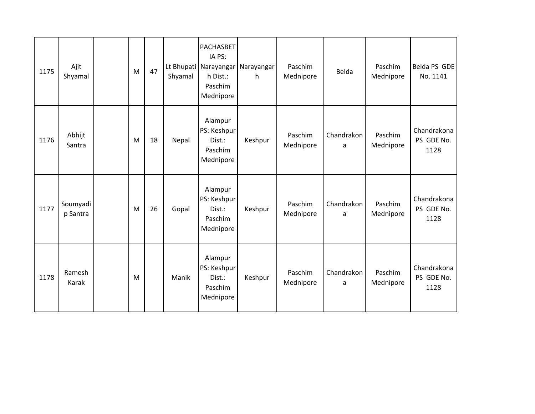| 1175 | Ajit<br>Shyamal      | M | 47 | Shyamal | PACHASBET<br>IA PS:<br>h Dist.:<br>Paschim<br>Mednipore  | Lt Bhupati Narayangar Narayangar<br>h | Paschim<br>Mednipore | Belda           | Paschim<br>Mednipore | Belda PS GDE<br>No. 1141          |
|------|----------------------|---|----|---------|----------------------------------------------------------|---------------------------------------|----------------------|-----------------|----------------------|-----------------------------------|
| 1176 | Abhijt<br>Santra     | M | 18 | Nepal   | Alampur<br>PS: Keshpur<br>Dist.:<br>Paschim<br>Mednipore | Keshpur                               | Paschim<br>Mednipore | Chandrakon<br>a | Paschim<br>Mednipore | Chandrakona<br>PS GDE No.<br>1128 |
| 1177 | Soumyadi<br>p Santra | M | 26 | Gopal   | Alampur<br>PS: Keshpur<br>Dist.:<br>Paschim<br>Mednipore | Keshpur                               | Paschim<br>Mednipore | Chandrakon<br>a | Paschim<br>Mednipore | Chandrakona<br>PS GDE No.<br>1128 |
| 1178 | Ramesh<br>Karak      | M |    | Manik   | Alampur<br>PS: Keshpur<br>Dist.:<br>Paschim<br>Mednipore | Keshpur                               | Paschim<br>Mednipore | Chandrakon<br>a | Paschim<br>Mednipore | Chandrakona<br>PS GDE No.<br>1128 |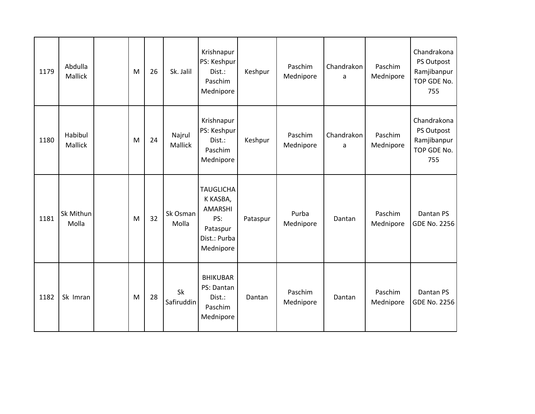| 1179 | Abdulla<br>Mallick | M | 26 | Sk. Jalil               | Krishnapur<br>PS: Keshpur<br>Dist.:<br>Paschim<br>Mednipore                                    | Keshpur  | Paschim<br>Mednipore | Chandrakon<br>a | Paschim<br>Mednipore | Chandrakona<br>PS Outpost<br>Ramjibanpur<br>TOP GDE No.<br>755 |
|------|--------------------|---|----|-------------------------|------------------------------------------------------------------------------------------------|----------|----------------------|-----------------|----------------------|----------------------------------------------------------------|
| 1180 | Habibul<br>Mallick | M | 24 | Najrul<br>Mallick       | Krishnapur<br>PS: Keshpur<br>Dist.:<br>Paschim<br>Mednipore                                    | Keshpur  | Paschim<br>Mednipore | Chandrakon<br>a | Paschim<br>Mednipore | Chandrakona<br>PS Outpost<br>Ramjibanpur<br>TOP GDE No.<br>755 |
| 1181 | Sk Mithun<br>Molla | M | 32 | Sk Osman<br>Molla       | <b>TAUGLICHA</b><br>K KASBA,<br><b>AMARSHI</b><br>PS:<br>Pataspur<br>Dist.: Purba<br>Mednipore | Pataspur | Purba<br>Mednipore   | Dantan          | Paschim<br>Mednipore | Dantan PS<br><b>GDE No. 2256</b>                               |
| 1182 | Sk Imran           | M | 28 | <b>Sk</b><br>Safiruddin | <b>BHIKUBAR</b><br>PS: Dantan<br>Dist.:<br>Paschim<br>Mednipore                                | Dantan   | Paschim<br>Mednipore | Dantan          | Paschim<br>Mednipore | Dantan PS<br><b>GDE No. 2256</b>                               |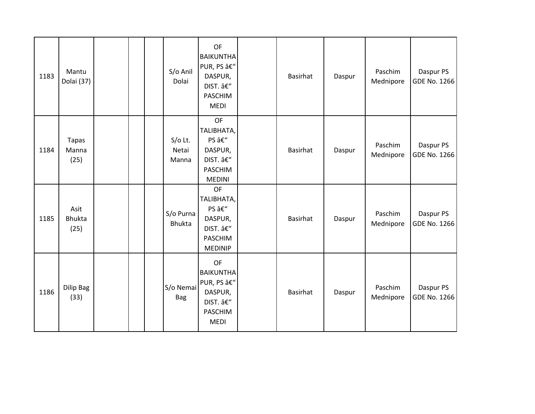| 1183 | Mantu<br>Dolai (37)           |  | S/o Anil<br>Dolai           | OF<br><b>BAIKUNTHA</b><br>PUR, PS –<br>DASPUR,<br>DIST. –<br>PASCHIM<br><b>MEDI</b>  | Basirhat        | Daspur | Paschim<br>Mednipore | Daspur PS<br>GDE No. 1266 |
|------|-------------------------------|--|-----------------------------|--------------------------------------------------------------------------------------|-----------------|--------|----------------------|---------------------------|
| 1184 | <b>Tapas</b><br>Manna<br>(25) |  | $S/O$ Lt.<br>Netai<br>Manna | <b>OF</b><br>TALIBHATA,<br>PS –<br>DASPUR,<br>DIST. –<br>PASCHIM<br><b>MEDINI</b>    | Basirhat        | Daspur | Paschim<br>Mednipore | Daspur PS<br>GDE No. 1266 |
| 1185 | Asit<br><b>Bhukta</b><br>(25) |  | S/o Purna<br><b>Bhukta</b>  | OF<br>TALIBHATA,<br>PS –<br>DASPUR,<br>DIST. â€"<br><b>PASCHIM</b><br><b>MEDINIP</b> | <b>Basirhat</b> | Daspur | Paschim<br>Mednipore | Daspur PS<br>GDE No. 1266 |
| 1186 | Dilip Bag<br>(33)             |  | S/o Nemai<br><b>Bag</b>     | OF<br><b>BAIKUNTHA</b><br>PUR, PS –<br>DASPUR,<br>DIST. –<br>PASCHIM<br><b>MEDI</b>  | <b>Basirhat</b> | Daspur | Paschim<br>Mednipore | Daspur PS<br>GDE No. 1266 |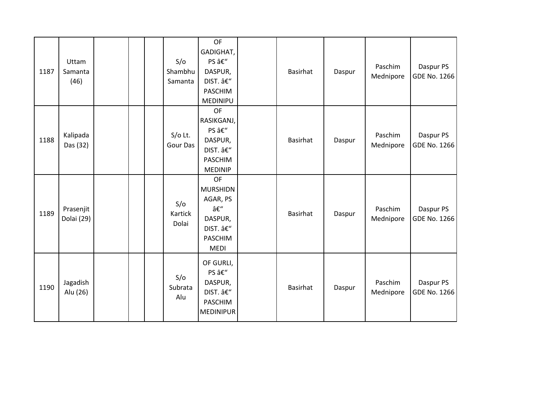| 1187 | Uttam<br>Samanta<br>(46) |  | S/O<br>Shambhu<br>Samanta    | OF<br>GADIGHAT,<br>PS –<br>DASPUR,<br>DIST. â€"<br>PASCHIM<br>MEDINIPU                   | <b>Basirhat</b> | Daspur | Paschim<br>Mednipore | Daspur PS<br>GDE No. 1266 |
|------|--------------------------|--|------------------------------|------------------------------------------------------------------------------------------|-----------------|--------|----------------------|---------------------------|
| 1188 | Kalipada<br>Das (32)     |  | $S/O$ Lt.<br><b>Gour Das</b> | OF<br>RASIKGANJ,<br>PS –<br>DASPUR,<br>DIST. –<br>PASCHIM<br><b>MEDINIP</b>              | <b>Basirhat</b> | Daspur | Paschim<br>Mednipore | Daspur PS<br>GDE No. 1266 |
| 1189 | Prasenjit<br>Dolai (29)  |  | S/O<br>Kartick<br>Dolai      | OF<br><b>MURSHIDN</b><br>AGAR, PS<br>–<br>DASPUR,<br>DIST. â€"<br>PASCHIM<br><b>MEDI</b> | Basirhat        | Daspur | Paschim<br>Mednipore | Daspur PS<br>GDE No. 1266 |
| 1190 | Jagadish<br>Alu (26)     |  | S/O<br>Subrata<br>Alu        | OF GURLI,<br>PS –<br>DASPUR,<br>DIST. –<br>PASCHIM<br><b>MEDINIPUR</b>                   | Basirhat        | Daspur | Paschim<br>Mednipore | Daspur PS<br>GDE No. 1266 |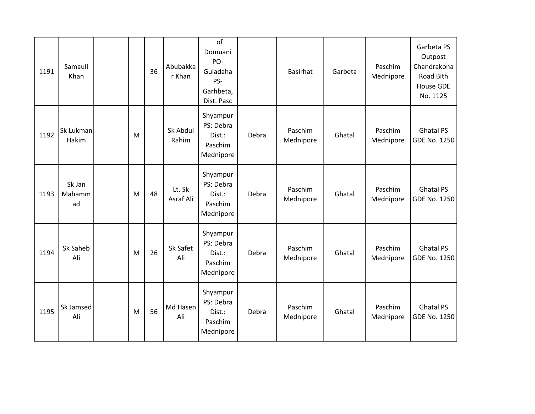| 1191 | Samaull<br>Khan        |   | 36 | Abubakka<br>r Khan  | of<br>Domuani<br>PO-<br>Guiadaha<br>PS-<br>Garhbeta,<br>Dist. Pasc |       | <b>Basirhat</b>      | Garbeta | Paschim<br>Mednipore | Garbeta PS<br>Outpost<br>Chandrakona<br>Road Bith<br><b>House GDE</b><br>No. 1125 |
|------|------------------------|---|----|---------------------|--------------------------------------------------------------------|-------|----------------------|---------|----------------------|-----------------------------------------------------------------------------------|
| 1192 | Sk Lukman<br>Hakim     | M |    | Sk Abdul<br>Rahim   | Shyampur<br>PS: Debra<br>Dist.:<br>Paschim<br>Mednipore            | Debra | Paschim<br>Mednipore | Ghatal  | Paschim<br>Mednipore | <b>Ghatal PS</b><br><b>GDE No. 1250</b>                                           |
| 1193 | Sk Jan<br>Mahamm<br>ad | M | 48 | Lt. Sk<br>Asraf Ali | Shyampur<br>PS: Debra<br>Dist.:<br>Paschim<br>Mednipore            | Debra | Paschim<br>Mednipore | Ghatal  | Paschim<br>Mednipore | <b>Ghatal PS</b><br>GDE No. 1250                                                  |
| 1194 | Sk Saheb<br>Ali        | M | 26 | Sk Safet<br>Ali     | Shyampur<br>PS: Debra<br>Dist.:<br>Paschim<br>Mednipore            | Debra | Paschim<br>Mednipore | Ghatal  | Paschim<br>Mednipore | <b>Ghatal PS</b><br><b>GDE No. 1250</b>                                           |
| 1195 | Sk Jamsed<br>Ali       | M | 56 | Md Hasen<br>Ali     | Shyampur<br>PS: Debra<br>Dist.:<br>Paschim<br>Mednipore            | Debra | Paschim<br>Mednipore | Ghatal  | Paschim<br>Mednipore | <b>Ghatal PS</b><br>GDE No. 1250                                                  |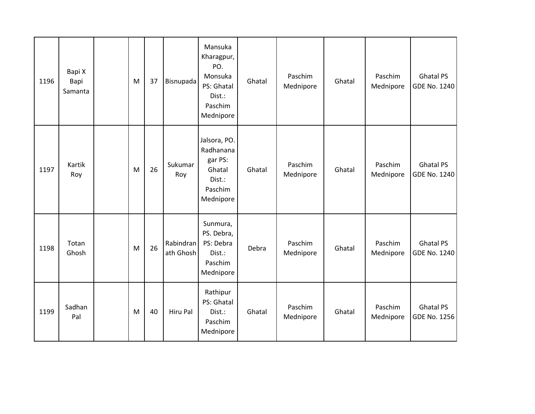| 1196 | Bapi X<br>Bapi<br>Samanta | M | 37 | Bisnupada              | Mansuka<br>Kharagpur,<br>PO.<br>Monsuka<br>PS: Ghatal<br>Dist.:<br>Paschim<br>Mednipore | Ghatal | Paschim<br>Mednipore | Ghatal | Paschim<br>Mednipore | <b>Ghatal PS</b><br>GDE No. 1240 |
|------|---------------------------|---|----|------------------------|-----------------------------------------------------------------------------------------|--------|----------------------|--------|----------------------|----------------------------------|
| 1197 | Kartik<br>Roy             | M | 26 | Sukumar<br>Roy         | Jalsora, PO.<br>Radhanana<br>gar PS:<br>Ghatal<br>Dist.:<br>Paschim<br>Mednipore        | Ghatal | Paschim<br>Mednipore | Ghatal | Paschim<br>Mednipore | <b>Ghatal PS</b><br>GDE No. 1240 |
| 1198 | Totan<br>Ghosh            | M | 26 | Rabindran<br>ath Ghosh | Sunmura,<br>PS. Debra,<br>PS: Debra<br>Dist.:<br>Paschim<br>Mednipore                   | Debra  | Paschim<br>Mednipore | Ghatal | Paschim<br>Mednipore | <b>Ghatal PS</b><br>GDE No. 1240 |
| 1199 | Sadhan<br>Pal             | M | 40 | Hiru Pal               | Rathipur<br>PS: Ghatal<br>Dist.:<br>Paschim<br>Mednipore                                | Ghatal | Paschim<br>Mednipore | Ghatal | Paschim<br>Mednipore | <b>Ghatal PS</b><br>GDE No. 1256 |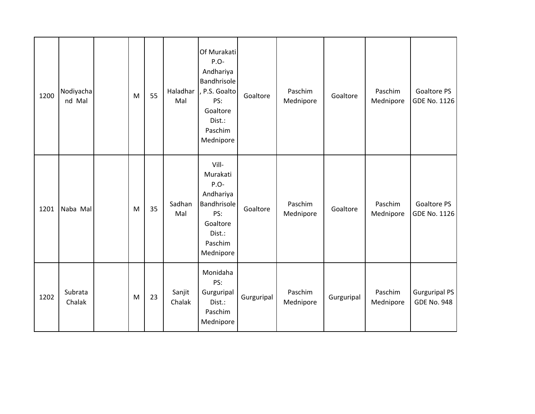| 1200 | Nodiyacha<br>nd Mal | M | 55 | Haladhar<br>Mal  | Of Murakati<br>P.O-<br>Andhariya<br>Bandhrisole<br>P.S. Goalto<br>PS:<br>Goaltore<br>Dist.:<br>Paschim<br>Mednipore | Goaltore   | Paschim<br>Mednipore | Goaltore   | Paschim<br>Mednipore | <b>Goaltore PS</b><br><b>GDE No. 1126</b>  |
|------|---------------------|---|----|------------------|---------------------------------------------------------------------------------------------------------------------|------------|----------------------|------------|----------------------|--------------------------------------------|
| 1201 | Naba Mal            | M | 35 | Sadhan<br>Mal    | Vill-<br>Murakati<br>P.O-<br>Andhariya<br>Bandhrisole<br>PS:<br>Goaltore<br>Dist.:<br>Paschim<br>Mednipore          | Goaltore   | Paschim<br>Mednipore | Goaltore   | Paschim<br>Mednipore | Goaltore PS<br><b>GDE No. 1126</b>         |
| 1202 | Subrata<br>Chalak   | M | 23 | Sanjit<br>Chalak | Monidaha<br>PS:<br>Gurguripal<br>Dist.:<br>Paschim<br>Mednipore                                                     | Gurguripal | Paschim<br>Mednipore | Gurguripal | Paschim<br>Mednipore | <b>Gurguripal PS</b><br><b>GDE No. 948</b> |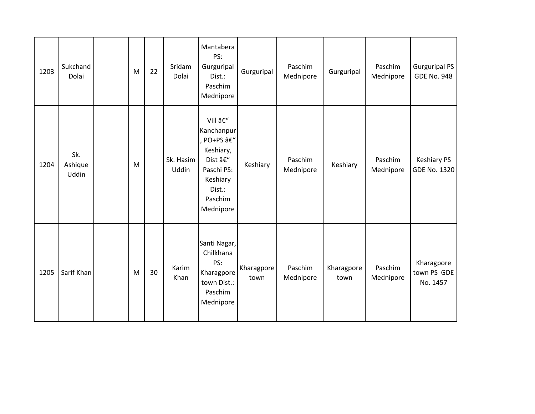| 1203 | Sukchand<br>Dolai       | ${\sf M}$ | 22 | Sridam<br>Dolai    | Mantabera<br>PS:<br>Gurguripal<br>Dist.:<br>Paschim<br>Mednipore                                                     | Gurguripal         | Paschim<br>Mednipore | Gurguripal         | Paschim<br>Mednipore | <b>Gurguripal PS</b><br><b>GDE No. 948</b> |
|------|-------------------------|-----------|----|--------------------|----------------------------------------------------------------------------------------------------------------------|--------------------|----------------------|--------------------|----------------------|--------------------------------------------|
| 1204 | Sk.<br>Ashique<br>Uddin | M         |    | Sk. Hasim<br>Uddin | Vill –<br>Kanchanpur<br>, PO+PS –<br>Keshiary,<br>Dist –<br>Paschi PS:<br>Keshiary<br>Dist.:<br>Paschim<br>Mednipore | Keshiary           | Paschim<br>Mednipore | Keshiary           | Paschim<br>Mednipore | <b>Keshiary PS</b><br>GDE No. 1320         |
| 1205 | Sarif Khan              | M         | 30 | Karim<br>Khan      | Santi Nagar,<br>Chilkhana<br>PS:<br>Kharagpore<br>town Dist.:<br>Paschim<br>Mednipore                                | Kharagpore<br>town | Paschim<br>Mednipore | Kharagpore<br>town | Paschim<br>Mednipore | Kharagpore<br>town PS GDE<br>No. 1457      |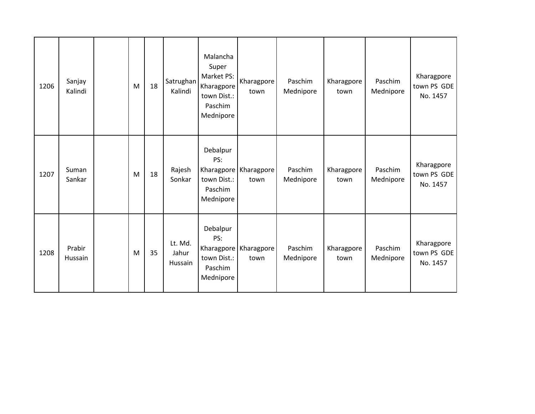| 1206 | Sanjay<br>Kalindi | M | 18 | Satrughan<br>Kalindi        | Malancha<br>Super<br>Market PS:<br>Kharagpore<br>town Dist.:<br>Paschim<br>Mednipore | Kharagpore<br>town                | Paschim<br>Mednipore | Kharagpore<br>town | Paschim<br>Mednipore | Kharagpore<br>town PS GDE<br>No. 1457 |
|------|-------------------|---|----|-----------------------------|--------------------------------------------------------------------------------------|-----------------------------------|----------------------|--------------------|----------------------|---------------------------------------|
| 1207 | Suman<br>Sankar   | M | 18 | Rajesh<br>Sonkar            | Debalpur<br>PS:<br>town Dist.:<br>Paschim<br>Mednipore                               | Kharagpore   Kharagpore<br>town   | Paschim<br>Mednipore | Kharagpore<br>town | Paschim<br>Mednipore | Kharagpore<br>town PS GDE<br>No. 1457 |
| 1208 | Prabir<br>Hussain | M | 35 | Lt. Md.<br>Jahur<br>Hussain | Debalpur<br>PS:<br>town Dist.:<br>Paschim<br>Mednipore                               | Kharagpore   Kharagpore  <br>town | Paschim<br>Mednipore | Kharagpore<br>town | Paschim<br>Mednipore | Kharagpore<br>town PS GDE<br>No. 1457 |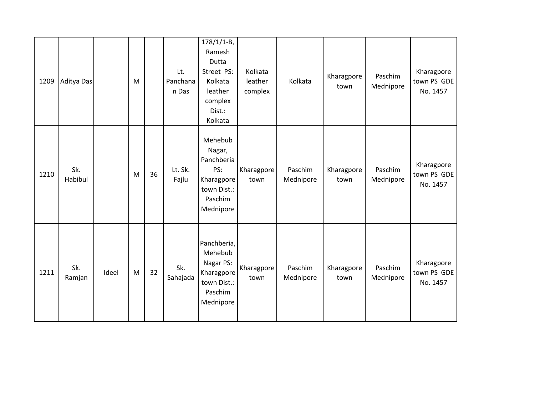| 1209 | Aditya Das     |       | M |    | Lt.<br>Panchana<br>n Das | $178/1/1 - B$ ,<br>Ramesh<br>Dutta<br>Street PS:<br>Kolkata<br>leather<br>complex<br>Dist.:<br>Kolkata | Kolkata<br>leather<br>complex | Kolkata              | Kharagpore<br>town | Paschim<br>Mednipore | Kharagpore<br>town PS GDE<br>No. 1457 |
|------|----------------|-------|---|----|--------------------------|--------------------------------------------------------------------------------------------------------|-------------------------------|----------------------|--------------------|----------------------|---------------------------------------|
| 1210 | Sk.<br>Habibul |       | M | 36 | Lt. Sk.<br>Fajlu         | Mehebub<br>Nagar,<br>Panchberia<br>PS:<br>Kharagpore<br>town Dist.:<br>Paschim<br>Mednipore            | Kharagpore<br>town            | Paschim<br>Mednipore | Kharagpore<br>town | Paschim<br>Mednipore | Kharagpore<br>town PS GDE<br>No. 1457 |
| 1211 | Sk.<br>Ramjan  | Ideel | M | 32 | Sk.<br>Sahajada          | Panchberia,<br>Mehebub<br>Nagar PS:<br>Kharagpore<br>town Dist.:<br>Paschim<br>Mednipore               | Kharagpore<br>town            | Paschim<br>Mednipore | Kharagpore<br>town | Paschim<br>Mednipore | Kharagpore<br>town PS GDE<br>No. 1457 |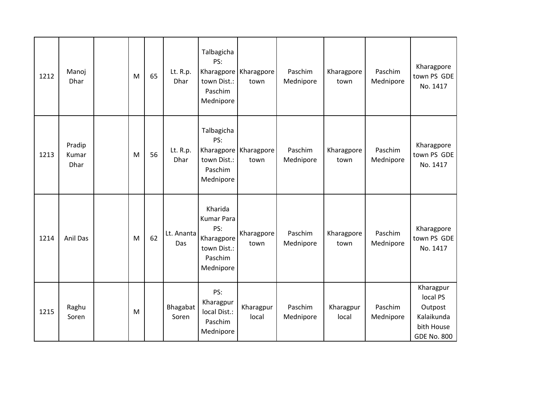| 1212 | Manoj<br>Dhar                  | M | 65 | Lt. R.p.<br>Dhar        | Talbagicha<br>PS:<br>town Dist.:<br>Paschim<br>Mednipore                                 | Kharagpore   Kharagpore<br>town | Paschim<br>Mednipore | Kharagpore<br>town | Paschim<br>Mednipore | Kharagpore<br>town PS GDE<br>No. 1417                                              |
|------|--------------------------------|---|----|-------------------------|------------------------------------------------------------------------------------------|---------------------------------|----------------------|--------------------|----------------------|------------------------------------------------------------------------------------|
| 1213 | Pradip<br>Kumar<br><b>Dhar</b> | M | 56 | Lt. R.p.<br><b>Dhar</b> | Talbagicha<br>PS:<br>town Dist.:<br>Paschim<br>Mednipore                                 | Kharagpore   Kharagpore<br>town | Paschim<br>Mednipore | Kharagpore<br>town | Paschim<br>Mednipore | Kharagpore<br>town PS GDE<br>No. 1417                                              |
| 1214 | Anil Das                       | M | 62 | Lt. Ananta<br>Das       | Kharida<br><b>Kumar Para</b><br>PS:<br>Kharagpore<br>town Dist.:<br>Paschim<br>Mednipore | Kharagpore<br>town              | Paschim<br>Mednipore | Kharagpore<br>town | Paschim<br>Mednipore | Kharagpore<br>town PS GDE<br>No. 1417                                              |
| 1215 | Raghu<br>Soren                 | M |    | Bhagabat<br>Soren       | PS:<br>Kharagpur<br>local Dist.:<br>Paschim<br>Mednipore                                 | Kharagpur<br>local              | Paschim<br>Mednipore | Kharagpur<br>local | Paschim<br>Mednipore | Kharagpur<br>local PS<br>Outpost<br>Kalaikunda<br>bith House<br><b>GDE No. 800</b> |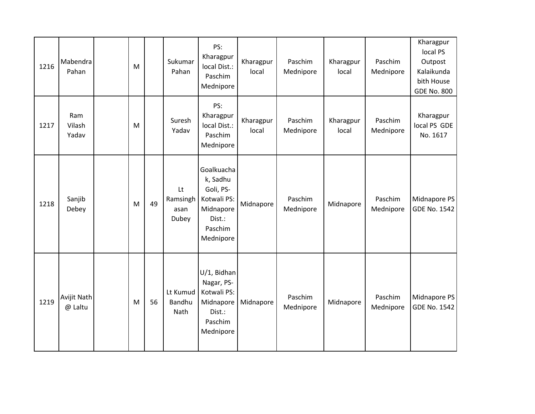| 1216 | Mabendra<br>Pahan      | M |    | Sukumar<br>Pahan                  | PS:<br>Kharagpur<br>local Dist.:<br>Paschim<br>Mednipore                                          | Kharagpur<br>local | Paschim<br>Mednipore | Kharagpur<br>local | Paschim<br>Mednipore | Kharagpur<br>local PS<br>Outpost<br>Kalaikunda<br>bith House<br><b>GDE No. 800</b> |
|------|------------------------|---|----|-----------------------------------|---------------------------------------------------------------------------------------------------|--------------------|----------------------|--------------------|----------------------|------------------------------------------------------------------------------------|
| 1217 | Ram<br>Vilash<br>Yadav | M |    | Suresh<br>Yadav                   | PS:<br>Kharagpur<br>local Dist.:<br>Paschim<br>Mednipore                                          | Kharagpur<br>local | Paschim<br>Mednipore | Kharagpur<br>local | Paschim<br>Mednipore | Kharagpur<br>local PS GDE<br>No. 1617                                              |
| 1218 | Sanjib<br>Debey        | M | 49 | Lt<br>Ramsingh<br>asan<br>Dubey   | Goalkuacha<br>k, Sadhu<br>Goli, PS-<br>Kotwali PS:<br>Midnapore<br>Dist.:<br>Paschim<br>Mednipore | Midnapore          | Paschim<br>Mednipore | Midnapore          | Paschim<br>Mednipore | Midnapore PS<br><b>GDE No. 1542</b>                                                |
| 1219 | Avijit Nath<br>@ Laltu | M | 56 | Lt Kumud<br><b>Bandhu</b><br>Nath | U/1, Bidhan<br>Nagar, PS-<br>Kotwali PS:<br>Midnapore<br>Dist.:<br>Paschim<br>Mednipore           | Midnapore          | Paschim<br>Mednipore | Midnapore          | Paschim<br>Mednipore | Midnapore PS<br><b>GDE No. 1542</b>                                                |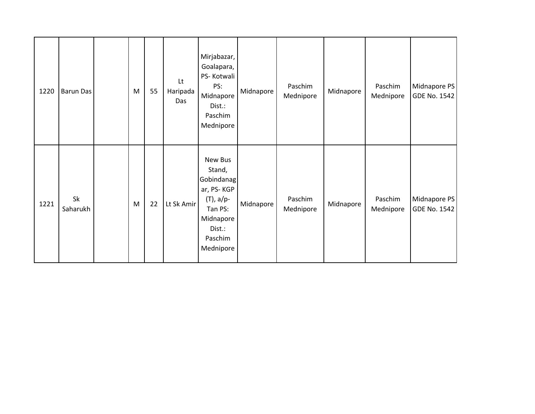| 1220 | <b>Barun Das</b> | M | 55 | Lt<br>Haripada<br>Das | Mirjabazar,<br>Goalapara,<br>PS-Kotwali<br>PS:<br>Midnapore<br>Dist.:<br>Paschim<br>Mednipore                           | Midnapore | Paschim<br>Mednipore | Midnapore | Paschim<br>Mednipore | Midnapore PS<br>GDE No. 1542 |
|------|------------------|---|----|-----------------------|-------------------------------------------------------------------------------------------------------------------------|-----------|----------------------|-----------|----------------------|------------------------------|
| 1221 | Sk<br>Saharukh   | M | 22 | Lt Sk Amir            | New Bus<br>Stand,<br>Gobindanag<br>ar, PS-KGP<br>$(T)$ , a/p-<br>Tan PS:<br>Midnapore<br>Dist.:<br>Paschim<br>Mednipore | Midnapore | Paschim<br>Mednipore | Midnapore | Paschim<br>Mednipore | Midnapore PS<br>GDE No. 1542 |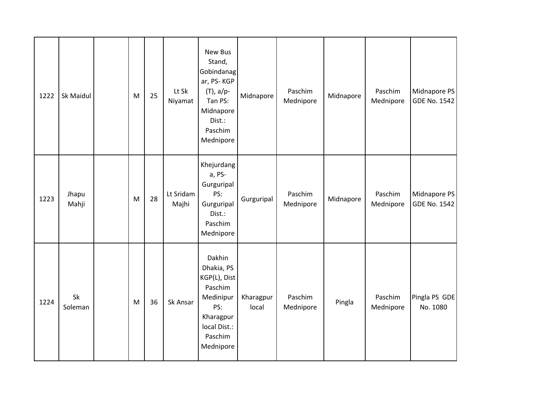| 1222 | Sk Maidul      | M                                                                                     | 25 | Lt Sk<br>Niyamat   | New Bus<br>Stand,<br>Gobindanag<br>ar, PS-KGP<br>$(T)$ , a/p-<br>Tan PS:<br>Midnapore<br>Dist.:<br>Paschim<br>Mednipore  | Midnapore          | Paschim<br>Mednipore | Midnapore | Paschim<br>Mednipore | Midnapore PS<br><b>GDE No. 1542</b> |
|------|----------------|---------------------------------------------------------------------------------------|----|--------------------|--------------------------------------------------------------------------------------------------------------------------|--------------------|----------------------|-----------|----------------------|-------------------------------------|
| 1223 | Jhapu<br>Mahji | $\mathsf{M}% _{T}=\mathsf{M}_{T}\!\left( a,b\right) ,\ \mathsf{M}_{T}=\mathsf{M}_{T}$ | 28 | Lt Sridam<br>Majhi | Khejurdang<br>a, PS-<br>Gurguripal<br>PS:<br>Gurguripal<br>Dist.:<br>Paschim<br>Mednipore                                | Gurguripal         | Paschim<br>Mednipore | Midnapore | Paschim<br>Mednipore | Midnapore PS<br><b>GDE No. 1542</b> |
| 1224 | Sk<br>Soleman  | M                                                                                     | 36 | Sk Ansar           | Dakhin<br>Dhakia, PS<br>KGP(L), Dist<br>Paschim<br>Medinipur<br>PS:<br>Kharagpur<br>local Dist.:<br>Paschim<br>Mednipore | Kharagpur<br>local | Paschim<br>Mednipore | Pingla    | Paschim<br>Mednipore | Pingla PS GDE<br>No. 1080           |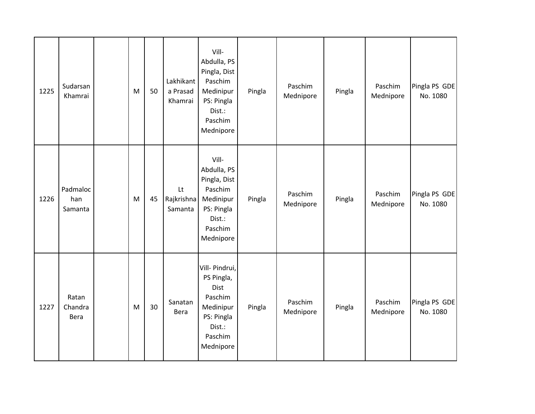| 1225 | Sudarsan<br>Khamrai        | $\mathsf{M}% _{T}=\mathsf{M}_{T}\!\left( a,b\right) ,\ \mathsf{M}_{T}=\mathsf{M}_{T}$ | 50 | Lakhikant<br>a Prasad<br>Khamrai | Vill-<br>Abdulla, PS<br>Pingla, Dist<br>Paschim<br>Medinipur<br>PS: Pingla<br>Dist.:<br>Paschim<br>Mednipore | Pingla | Paschim<br>Mednipore | Pingla | Paschim<br>Mednipore | Pingla PS GDE<br>No. 1080 |
|------|----------------------------|---------------------------------------------------------------------------------------|----|----------------------------------|--------------------------------------------------------------------------------------------------------------|--------|----------------------|--------|----------------------|---------------------------|
| 1226 | Padmaloc<br>han<br>Samanta | M                                                                                     | 45 | Lt<br>Rajkrishna<br>Samanta      | Vill-<br>Abdulla, PS<br>Pingla, Dist<br>Paschim<br>Medinipur<br>PS: Pingla<br>Dist.:<br>Paschim<br>Mednipore | Pingla | Paschim<br>Mednipore | Pingla | Paschim<br>Mednipore | Pingla PS GDE<br>No. 1080 |
| 1227 | Ratan<br>Chandra<br>Bera   | M                                                                                     | 30 | Sanatan<br>Bera                  | Vill- Pindrui,<br>PS Pingla,<br>Dist<br>Paschim<br>Medinipur<br>PS: Pingla<br>Dist.:<br>Paschim<br>Mednipore | Pingla | Paschim<br>Mednipore | Pingla | Paschim<br>Mednipore | Pingla PS GDE<br>No. 1080 |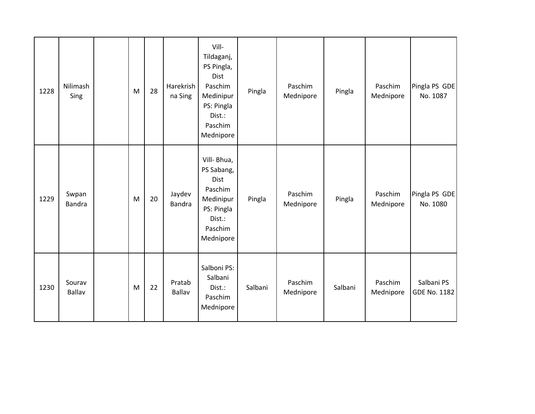| 1228 | Nilimash<br>Sing        | M | 28 | Harekrish<br>na Sing    | Vill-<br>Tildaganj,<br>PS Pingla,<br>Dist<br>Paschim<br>Medinipur<br>PS: Pingla<br>Dist.:<br>Paschim<br>Mednipore | Pingla  | Paschim<br>Mednipore | Pingla  | Paschim<br>Mednipore | Pingla PS GDE<br>No. 1087         |
|------|-------------------------|---|----|-------------------------|-------------------------------------------------------------------------------------------------------------------|---------|----------------------|---------|----------------------|-----------------------------------|
| 1229 | Swpan<br><b>Bandra</b>  | M | 20 | Jaydev<br><b>Bandra</b> | Vill- Bhua,<br>PS Sabang,<br>Dist<br>Paschim<br>Medinipur<br>PS: Pingla<br>Dist.:<br>Paschim<br>Mednipore         | Pingla  | Paschim<br>Mednipore | Pingla  | Paschim<br>Mednipore | Pingla PS GDE<br>No. 1080         |
| 1230 | Sourav<br><b>Ballav</b> | M | 22 | Pratab<br>Ballav        | Salboni PS:<br>Salbani<br>Dist.:<br>Paschim<br>Mednipore                                                          | Salbani | Paschim<br>Mednipore | Salbani | Paschim<br>Mednipore | Salbani PS<br><b>GDE No. 1182</b> |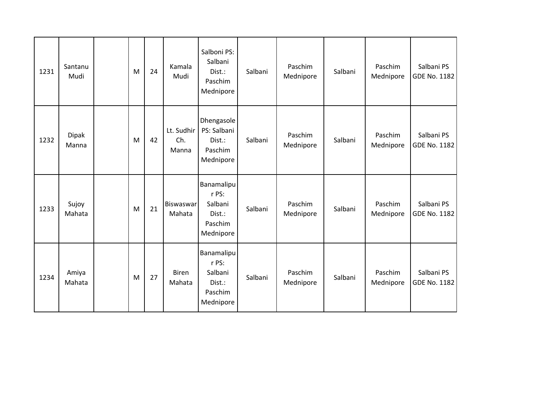| 1231 | Santanu<br>Mudi       | M | 24 | Kamala<br>Mudi             | Salboni PS:<br>Salbani<br>Dist.:<br>Paschim<br>Mednipore         | Salbani | Paschim<br>Mednipore | Salbani | Paschim<br>Mednipore | Salbani PS<br>GDE No. 1182 |
|------|-----------------------|---|----|----------------------------|------------------------------------------------------------------|---------|----------------------|---------|----------------------|----------------------------|
| 1232 | <b>Dipak</b><br>Manna | M | 42 | Lt. Sudhir<br>Ch.<br>Manna | Dhengasole<br>PS: Salbani<br>Dist.:<br>Paschim<br>Mednipore      | Salbani | Paschim<br>Mednipore | Salbani | Paschim<br>Mednipore | Salbani PS<br>GDE No. 1182 |
| 1233 | Sujoy<br>Mahata       | M | 21 | Biswaswar<br>Mahata        | Banamalipu<br>r PS:<br>Salbani<br>Dist.:<br>Paschim<br>Mednipore | Salbani | Paschim<br>Mednipore | Salbani | Paschim<br>Mednipore | Salbani PS<br>GDE No. 1182 |
| 1234 | Amiya<br>Mahata       | M | 27 | <b>Biren</b><br>Mahata     | Banamalipu<br>r PS:<br>Salbani<br>Dist.:<br>Paschim<br>Mednipore | Salbani | Paschim<br>Mednipore | Salbani | Paschim<br>Mednipore | Salbani PS<br>GDE No. 1182 |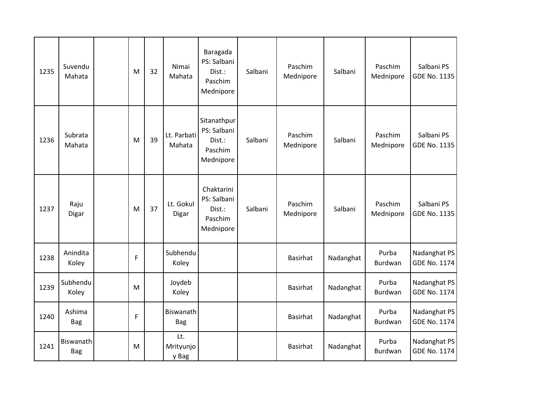| 1235 | Suvendu<br>Mahata       | M | 32 | Nimai<br>Mahata           | Baragada<br>PS: Salbani<br>Dist.:<br>Paschim<br>Mednipore    | Salbani | Paschim<br>Mednipore | Salbani   | Paschim<br>Mednipore    | Salbani PS<br><b>GDE No. 1135</b>   |
|------|-------------------------|---|----|---------------------------|--------------------------------------------------------------|---------|----------------------|-----------|-------------------------|-------------------------------------|
| 1236 | Subrata<br>Mahata       | M | 39 | Lt. Parbati<br>Mahata     | Sitanathpur<br>PS: Salbani<br>Dist.:<br>Paschim<br>Mednipore | Salbani | Paschim<br>Mednipore | Salbani   | Paschim<br>Mednipore    | Salbani PS<br>GDE No. 1135          |
| 1237 | Raju<br>Digar           | M | 37 | Lt. Gokul<br>Digar        | Chaktarini<br>PS: Salbani<br>Dist.:<br>Paschim<br>Mednipore  | Salbani | Paschim<br>Mednipore | Salbani   | Paschim<br>Mednipore    | Salbani PS<br><b>GDE No. 1135</b>   |
| 1238 | Anindita<br>Koley       | F |    | Subhendu<br>Koley         |                                                              |         | <b>Basirhat</b>      | Nadanghat | Purba<br><b>Burdwan</b> | Nadanghat PS<br>GDE No. 1174        |
| 1239 | Subhendu<br>Koley       | M |    | Joydeb<br>Koley           |                                                              |         | <b>Basirhat</b>      | Nadanghat | Purba<br>Burdwan        | Nadanghat PS<br><b>GDE No. 1174</b> |
| 1240 | Ashima<br><b>Bag</b>    | F |    | Biswanath<br><b>Bag</b>   |                                                              |         | <b>Basirhat</b>      | Nadanghat | Purba<br><b>Burdwan</b> | Nadanghat PS<br><b>GDE No. 1174</b> |
| 1241 | Biswanath<br><b>Bag</b> | M |    | Lt.<br>Mrityunjo<br>y Bag |                                                              |         | <b>Basirhat</b>      | Nadanghat | Purba<br>Burdwan        | Nadanghat PS<br><b>GDE No. 1174</b> |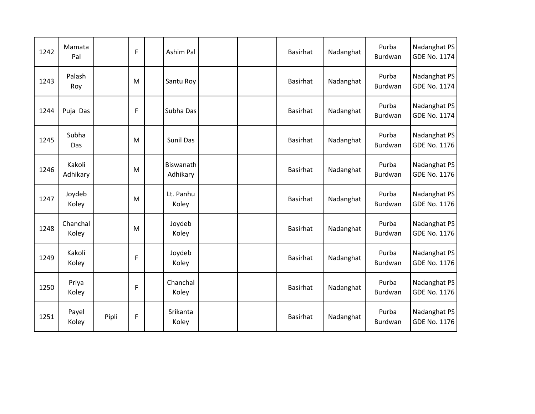| 1242 | Mamata<br>Pal      |       | F | Ashim Pal             |  | <b>Basirhat</b> | Nadanghat | Purba<br>Burdwan | Nadanghat PS<br><b>GDE No. 1174</b> |
|------|--------------------|-------|---|-----------------------|--|-----------------|-----------|------------------|-------------------------------------|
| 1243 | Palash<br>Roy      |       | M | Santu Roy             |  | <b>Basirhat</b> | Nadanghat | Purba<br>Burdwan | Nadanghat PS<br><b>GDE No. 1174</b> |
| 1244 | Puja Das           |       | F | Subha Das             |  | <b>Basirhat</b> | Nadanghat | Purba<br>Burdwan | Nadanghat PS<br><b>GDE No. 1174</b> |
| 1245 | Subha<br>Das       |       | M | <b>Sunil Das</b>      |  | <b>Basirhat</b> | Nadanghat | Purba<br>Burdwan | Nadanghat PS<br><b>GDE No. 1176</b> |
| 1246 | Kakoli<br>Adhikary |       | M | Biswanath<br>Adhikary |  | <b>Basirhat</b> | Nadanghat | Purba<br>Burdwan | Nadanghat PS<br><b>GDE No. 1176</b> |
| 1247 | Joydeb<br>Koley    |       | M | Lt. Panhu<br>Koley    |  | <b>Basirhat</b> | Nadanghat | Purba<br>Burdwan | Nadanghat PS<br><b>GDE No. 1176</b> |
| 1248 | Chanchal<br>Koley  |       | M | Joydeb<br>Koley       |  | <b>Basirhat</b> | Nadanghat | Purba<br>Burdwan | Nadanghat PS<br><b>GDE No. 1176</b> |
| 1249 | Kakoli<br>Koley    |       | F | Joydeb<br>Koley       |  | <b>Basirhat</b> | Nadanghat | Purba<br>Burdwan | Nadanghat PS<br><b>GDE No. 1176</b> |
| 1250 | Priya<br>Koley     |       | F | Chanchal<br>Koley     |  | <b>Basirhat</b> | Nadanghat | Purba<br>Burdwan | Nadanghat PS<br><b>GDE No. 1176</b> |
| 1251 | Payel<br>Koley     | Pipli | F | Srikanta<br>Koley     |  | <b>Basirhat</b> | Nadanghat | Purba<br>Burdwan | Nadanghat PS<br><b>GDE No. 1176</b> |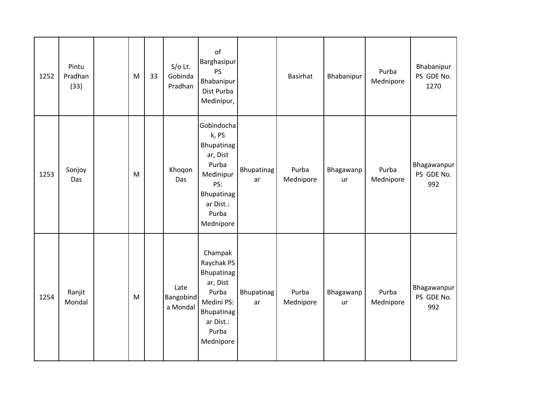| 1252 | Pintu<br>Pradhan<br>(33) | M | 33 | $S/O$ Lt.<br>Gobinda<br>Pradhan      | of<br>Barghasipur<br><b>PS</b><br>Bhabanipur<br>Dist Purba<br>Medinipur,                                                    |                  | Basirhat           | Bhabanipur             | Purba<br>Mednipore | Bhabanipur<br>PS GDE No.<br>1270 |
|------|--------------------------|---|----|--------------------------------------|-----------------------------------------------------------------------------------------------------------------------------|------------------|--------------------|------------------------|--------------------|----------------------------------|
| 1253 | Sonjoy<br>Das            | M |    | Khoqon<br>Das                        | Gobindocha<br>k, PS<br>Bhupatinag<br>ar, Dist<br>Purba<br>Medinipur<br>PS:<br>Bhupatinag<br>ar Dist.:<br>Purba<br>Mednipore | Bhupatinag<br>ar | Purba<br>Mednipore | Bhagawanp<br>ur        | Purba<br>Mednipore | Bhagawanpur<br>PS GDE No.<br>992 |
| 1254 | Ranjit<br>Mondal         | M |    | Late<br><b>Bangobind</b><br>a Mondal | Champak<br>Raychak PS<br>Bhupatinag<br>ar, Dist<br>Purba<br>Medini PS:<br>Bhupatinag<br>ar Dist.:<br>Purba<br>Mednipore     | Bhupatinag<br>ar | Purba<br>Mednipore | Bhagawanp<br><b>ur</b> | Purba<br>Mednipore | Bhagawanpur<br>PS GDE No.<br>992 |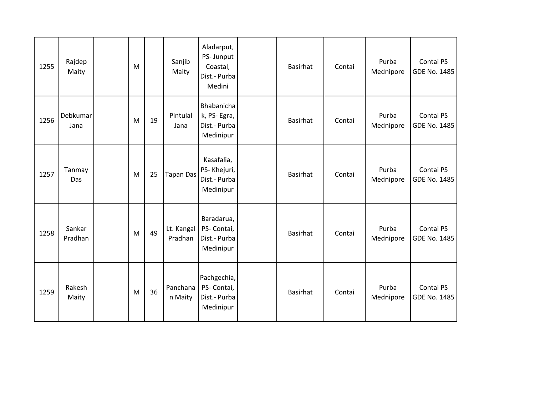| 1255 | Rajdep<br>Maity   | M |    | Sanjib<br>Maity       | Aladarput,<br>PS- Junput<br>Coastal,<br>Dist.- Purba<br>Medini | Basirhat        | Contai | Purba<br>Mednipore | Contai PS<br>GDE No. 1485 |
|------|-------------------|---|----|-----------------------|----------------------------------------------------------------|-----------------|--------|--------------------|---------------------------|
| 1256 | Debkumar<br>Jana  | M | 19 | Pintulal<br>Jana      | Bhabanicha<br>k, PS-Egra,<br>Dist.- Purba<br>Medinipur         | <b>Basirhat</b> | Contai | Purba<br>Mednipore | Contai PS<br>GDE No. 1485 |
| 1257 | Tanmay<br>Das     | M | 25 | <b>Tapan Das</b>      | Kasafalia,<br>PS-Khejuri,<br>Dist.- Purba<br>Medinipur         | <b>Basirhat</b> | Contai | Purba<br>Mednipore | Contai PS<br>GDE No. 1485 |
| 1258 | Sankar<br>Pradhan | M | 49 | Lt. Kangal<br>Pradhan | Baradarua,<br>PS- Contai,<br>Dist.- Purba<br>Medinipur         | Basirhat        | Contai | Purba<br>Mednipore | Contai PS<br>GDE No. 1485 |
| 1259 | Rakesh<br>Maity   | M | 36 | Panchana<br>n Maity   | Pachgechia,<br>PS- Contai,<br>Dist.- Purba<br>Medinipur        | <b>Basirhat</b> | Contai | Purba<br>Mednipore | Contai PS<br>GDE No. 1485 |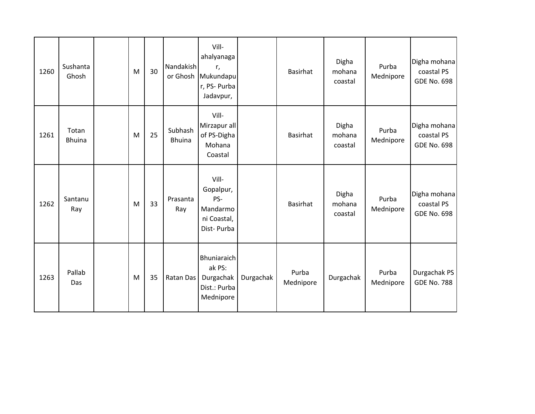| 1260 | Sushanta<br>Ghosh      | ${\sf M}$ | 30 | Nandakish<br>or Ghosh    | Vill-<br>ahalyanaga<br>r,<br>Mukundapu<br>r, PS- Purba<br>Jadavpur, |           | <b>Basirhat</b>    | Digha<br>mohana<br>coastal | Purba<br>Mednipore | Digha mohana<br>coastal PS<br><b>GDE No. 698</b> |
|------|------------------------|-----------|----|--------------------------|---------------------------------------------------------------------|-----------|--------------------|----------------------------|--------------------|--------------------------------------------------|
| 1261 | Totan<br><b>Bhuina</b> | ${\sf M}$ | 25 | Subhash<br><b>Bhuina</b> | Vill-<br>Mirzapur all<br>of PS-Digha<br>Mohana<br>Coastal           |           | <b>Basirhat</b>    | Digha<br>mohana<br>coastal | Purba<br>Mednipore | Digha mohana<br>coastal PS<br><b>GDE No. 698</b> |
| 1262 | Santanu<br>Ray         | ${\sf M}$ | 33 | Prasanta<br>Ray          | Vill-<br>Gopalpur,<br>PS-<br>Mandarmo<br>ni Coastal,<br>Dist-Purba  |           | <b>Basirhat</b>    | Digha<br>mohana<br>coastal | Purba<br>Mednipore | Digha mohana<br>coastal PS<br><b>GDE No. 698</b> |
| 1263 | Pallab<br>Das          | M         | 35 | Ratan Das                | Bhuniaraich<br>ak PS:<br>Durgachak<br>Dist.: Purba<br>Mednipore     | Durgachak | Purba<br>Mednipore | Durgachak                  | Purba<br>Mednipore | Durgachak PS<br><b>GDE No. 788</b>               |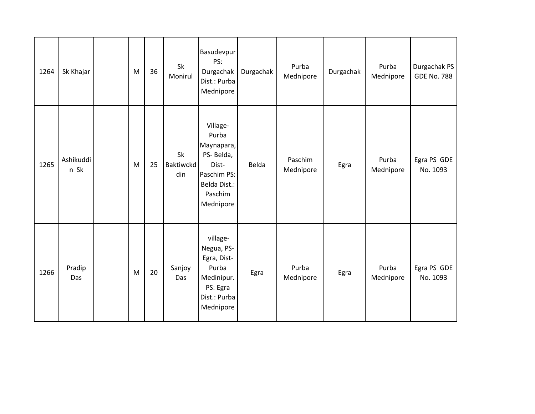| 1264 | Sk Khajar         | M | 36 | Sk<br>Monirul          | Basudevpur<br>PS:<br>Durgachak<br>Dist.: Purba<br>Mednipore                                                  | Durgachak | Purba<br>Mednipore   | Durgachak | Purba<br>Mednipore | Durgachak PS<br><b>GDE No. 788</b> |
|------|-------------------|---|----|------------------------|--------------------------------------------------------------------------------------------------------------|-----------|----------------------|-----------|--------------------|------------------------------------|
| 1265 | Ashikuddi<br>n Sk | M | 25 | Sk<br>Baktiwckd<br>din | Village-<br>Purba<br>Maynapara,<br>PS-Belda,<br>Dist-<br>Paschim PS:<br>Belda Dist.:<br>Paschim<br>Mednipore | Belda     | Paschim<br>Mednipore | Egra      | Purba<br>Mednipore | Egra PS GDE<br>No. 1093            |
| 1266 | Pradip<br>Das     | M | 20 | Sanjoy<br>Das          | village-<br>Negua, PS-<br>Egra, Dist-<br>Purba<br>Medinipur.<br>PS: Egra<br>Dist.: Purba<br>Mednipore        | Egra      | Purba<br>Mednipore   | Egra      | Purba<br>Mednipore | Egra PS GDE<br>No. 1093            |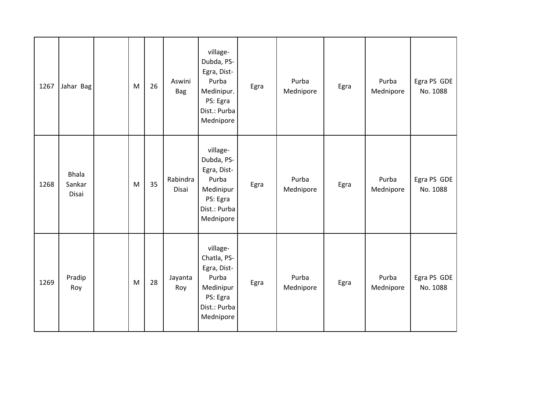| 1267 | Jahar Bag                       | M                                                                                     | 26 | Aswini<br>Bag     | village-<br>Dubda, PS-<br>Egra, Dist-<br>Purba<br>Medinipur.<br>PS: Egra<br>Dist.: Purba<br>Mednipore | Egra | Purba<br>Mednipore | Egra | Purba<br>Mednipore | Egra PS GDE<br>No. 1088 |
|------|---------------------------------|---------------------------------------------------------------------------------------|----|-------------------|-------------------------------------------------------------------------------------------------------|------|--------------------|------|--------------------|-------------------------|
| 1268 | <b>Bhala</b><br>Sankar<br>Disai | M                                                                                     | 35 | Rabindra<br>Disai | village-<br>Dubda, PS-<br>Egra, Dist-<br>Purba<br>Medinipur<br>PS: Egra<br>Dist.: Purba<br>Mednipore  | Egra | Purba<br>Mednipore | Egra | Purba<br>Mednipore | Egra PS GDE<br>No. 1088 |
| 1269 | Pradip<br>Roy                   | $\mathsf{M}% _{T}=\mathsf{M}_{T}\!\left( a,b\right) ,\ \mathsf{M}_{T}=\mathsf{M}_{T}$ | 28 | Jayanta<br>Roy    | village-<br>Chatla, PS-<br>Egra, Dist-<br>Purba<br>Medinipur<br>PS: Egra<br>Dist.: Purba<br>Mednipore | Egra | Purba<br>Mednipore | Egra | Purba<br>Mednipore | Egra PS GDE<br>No. 1088 |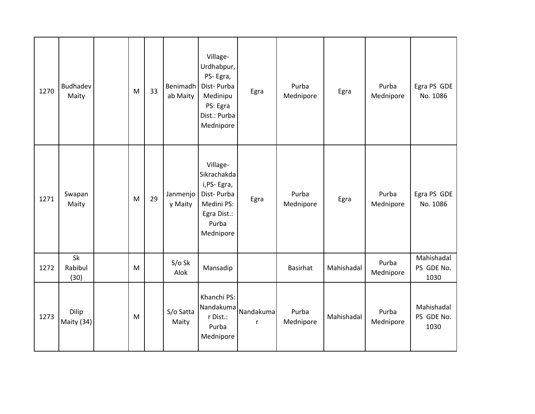| 1270 | <b>Budhadev</b><br>Maity | M | 33 | Benimadh<br>ab Maity | Village-<br>Urdhabpur,<br>PS-Egra,<br>Dist-Purba<br>Medinipu<br>PS: Egra<br>Dist.: Purba<br>Mednipore   | Egra           | Purba<br>Mednipore | Egra       | Purba<br>Mednipore | Egra PS GDE<br>No. 1086          |
|------|--------------------------|---|----|----------------------|---------------------------------------------------------------------------------------------------------|----------------|--------------------|------------|--------------------|----------------------------------|
| 1271 | Swapan<br>Maity          | M | 29 | Janmenjo<br>y Maity  | Village-<br>Sikrachakda<br>i, PS-Egra,<br>Dist-Purba<br>Medini PS:<br>Egra Dist.:<br>Purba<br>Mednipore | Egra           | Purba<br>Mednipore | Egra       | Purba<br>Mednipore | Egra PS GDE<br>No. 1086          |
| 1272 | Sk<br>Rabibul<br>(30)    | M |    | $S/O$ Sk<br>Alok     | Mansadip                                                                                                |                | <b>Basirhat</b>    | Mahishadal | Purba<br>Mednipore | Mahishadal<br>PS GDE No.<br>1030 |
| 1273 | Dilip<br>Maity (34)      | M |    | S/o Satta<br>Maity   | Khanchi PS:<br>Nandakuma<br>r Dist.:<br>Purba<br>Mednipore                                              | Nandakuma<br>r | Purba<br>Mednipore | Mahishadal | Purba<br>Mednipore | Mahishadal<br>PS GDE No.<br>1030 |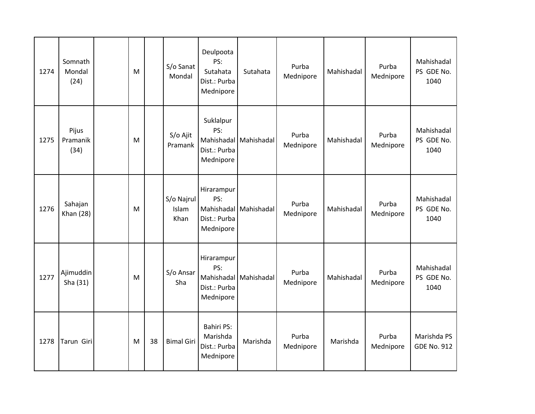| 1274 | Somnath<br>Mondal<br>(24)   | M |    | S/o Sanat<br>Mondal         | Deulpoota<br>PS:<br>Sutahata<br>Dist.: Purba<br>Mednipore  | Sutahata              | Purba<br>Mednipore | Mahishadal | Purba<br>Mednipore | Mahishadal<br>PS GDE No.<br>1040  |
|------|-----------------------------|---|----|-----------------------------|------------------------------------------------------------|-----------------------|--------------------|------------|--------------------|-----------------------------------|
| 1275 | Pijus<br>Pramanik<br>(34)   | M |    | S/o Ajit<br>Pramank         | Suklalpur<br>PS:<br>Dist.: Purba<br>Mednipore              | Mahishadal Mahishadal | Purba<br>Mednipore | Mahishadal | Purba<br>Mednipore | Mahishadal<br>PS GDE No.<br>1040  |
| 1276 | Sahajan<br><b>Khan</b> (28) | M |    | S/o Najrul<br>Islam<br>Khan | Hirarampur<br>PS:<br>Dist.: Purba<br>Mednipore             | Mahishadal Mahishadal | Purba<br>Mednipore | Mahishadal | Purba<br>Mednipore | Mahishadal<br>PS GDE No.<br>1040  |
| 1277 | Ajimuddin<br>Sha (31)       | M |    | S/o Ansar<br>Sha            | Hirarampur<br>PS:<br>Dist.: Purba<br>Mednipore             | Mahishadal Mahishadal | Purba<br>Mednipore | Mahishadal | Purba<br>Mednipore | Mahishadal<br>PS GDE No.<br>1040  |
| 1278 | Tarun Giri                  | M | 38 | <b>Bimal Giri</b>           | <b>Bahiri PS:</b><br>Marishda<br>Dist.: Purba<br>Mednipore | Marishda              | Purba<br>Mednipore | Marishda   | Purba<br>Mednipore | Marishda PS<br><b>GDE No. 912</b> |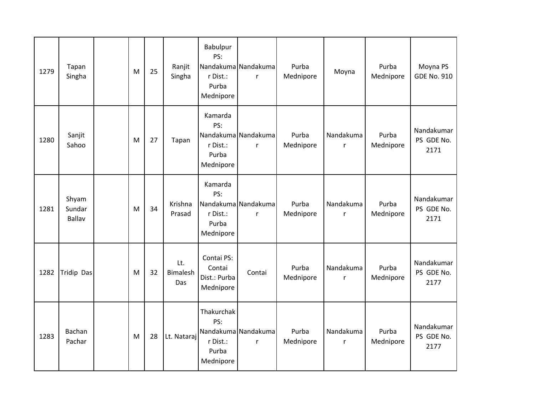| 1279 | Tapan<br>Singha                  | M | 25 | Ranjit<br>Singha              | Babulpur<br>PS:<br>r Dist.:<br>Purba<br>Mednipore   | Nandakuma Nandakuma<br>r            | Purba<br>Mednipore | Moyna          | Purba<br>Mednipore | Moyna PS<br><b>GDE No. 910</b>   |
|------|----------------------------------|---|----|-------------------------------|-----------------------------------------------------|-------------------------------------|--------------------|----------------|--------------------|----------------------------------|
| 1280 | Sanjit<br>Sahoo                  | M | 27 | Tapan                         | Kamarda<br>PS:<br>r Dist.:<br>Purba<br>Mednipore    | Nandakuma Nandakuma<br>$\mathsf{r}$ | Purba<br>Mednipore | Nandakuma<br>r | Purba<br>Mednipore | Nandakumar<br>PS GDE No.<br>2171 |
| 1281 | Shyam<br>Sundar<br><b>Ballav</b> | M | 34 | Krishna<br>Prasad             | Kamarda<br>PS:<br>r Dist.:<br>Purba<br>Mednipore    | Nandakuma Nandakuma<br>$\mathsf{r}$ | Purba<br>Mednipore | Nandakuma<br>r | Purba<br>Mednipore | Nandakumar<br>PS GDE No.<br>2171 |
| 1282 | Tridip Das                       | M | 32 | Lt.<br><b>Bimalesh</b><br>Das | Contai PS:<br>Contai<br>Dist.: Purba<br>Mednipore   | Contai                              | Purba<br>Mednipore | Nandakuma<br>r | Purba<br>Mednipore | Nandakumar<br>PS GDE No.<br>2177 |
| 1283 | Bachan<br>Pachar                 | M | 28 | Lt. Nataraj                   | Thakurchak<br>PS:<br>r Dist.:<br>Purba<br>Mednipore | Nandakuma Nandakuma<br>$\mathsf{r}$ | Purba<br>Mednipore | Nandakuma<br>r | Purba<br>Mednipore | Nandakumar<br>PS GDE No.<br>2177 |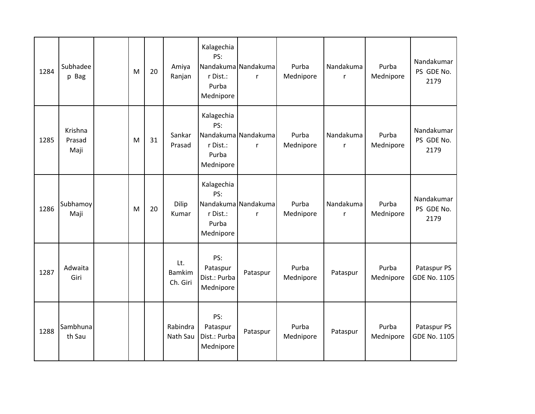| 1284 | Subhadee<br>p Bag         | M | 20 | Amiya<br>Ranjan                  | Kalagechia<br>PS:<br>r Dist.:<br>Purba<br>Mednipore | Nandakuma Nandakuma<br>r | Purba<br>Mednipore | Nandakuma<br>r | Purba<br>Mednipore | Nandakumar<br>PS GDE No.<br>2179   |
|------|---------------------------|---|----|----------------------------------|-----------------------------------------------------|--------------------------|--------------------|----------------|--------------------|------------------------------------|
| 1285 | Krishna<br>Prasad<br>Maji | M | 31 | Sankar<br>Prasad                 | Kalagechia<br>PS:<br>r Dist.:<br>Purba<br>Mednipore | Nandakuma Nandakuma<br>r | Purba<br>Mednipore | Nandakuma<br>r | Purba<br>Mednipore | Nandakumar<br>PS GDE No.<br>2179   |
| 1286 | Subhamoy<br>Maji          | M | 20 | Dilip<br>Kumar                   | Kalagechia<br>PS:<br>r Dist.:<br>Purba<br>Mednipore | Nandakuma Nandakuma<br>r | Purba<br>Mednipore | Nandakuma<br>r | Purba<br>Mednipore | Nandakumar<br>PS GDE No.<br>2179   |
| 1287 | Adwaita<br>Giri           |   |    | Lt.<br><b>Bamkim</b><br>Ch. Giri | PS:<br>Pataspur<br>Dist.: Purba<br>Mednipore        | Pataspur                 | Purba<br>Mednipore | Pataspur       | Purba<br>Mednipore | Pataspur PS<br><b>GDE No. 1105</b> |
| 1288 | Sambhuna<br>th Sau        |   |    | Rabindra<br>Nath Sau             | PS:<br>Pataspur<br>Dist.: Purba<br>Mednipore        | Pataspur                 | Purba<br>Mednipore | Pataspur       | Purba<br>Mednipore | Pataspur PS<br><b>GDE No. 1105</b> |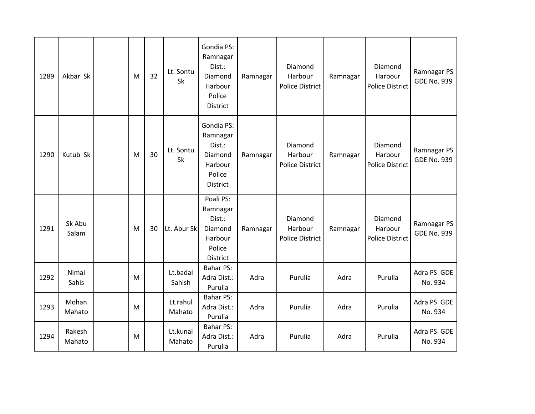| 1289 | Akbar Sk         | M | 32 | Lt. Sontu<br><b>Sk</b> | Gondia PS:<br>Ramnagar<br>Dist.:<br>Diamond<br>Harbour<br>Police<br>District | Ramnagar | Diamond<br>Harbour<br><b>Police District</b> | Ramnagar | Diamond<br>Harbour<br><b>Police District</b> | Ramnagar PS<br><b>GDE No. 939</b> |
|------|------------------|---|----|------------------------|------------------------------------------------------------------------------|----------|----------------------------------------------|----------|----------------------------------------------|-----------------------------------|
| 1290 | Kutub Sk         | M | 30 | Lt. Sontu<br>Sk        | Gondia PS:<br>Ramnagar<br>Dist.:<br>Diamond<br>Harbour<br>Police<br>District | Ramnagar | Diamond<br>Harbour<br><b>Police District</b> | Ramnagar | Diamond<br>Harbour<br><b>Police District</b> | Ramnagar PS<br><b>GDE No. 939</b> |
| 1291 | Sk Abu<br>Salam  | M | 30 | Lt. Abur Sk            | Poali PS:<br>Ramnagar<br>Dist.:<br>Diamond<br>Harbour<br>Police<br>District  | Ramnagar | Diamond<br>Harbour<br><b>Police District</b> | Ramnagar | Diamond<br>Harbour<br>Police District        | Ramnagar PS<br><b>GDE No. 939</b> |
| 1292 | Nimai<br>Sahis   | M |    | Lt.badal<br>Sahish     | <b>Bahar PS:</b><br>Adra Dist.:<br>Purulia                                   | Adra     | Purulia                                      | Adra     | Purulia                                      | Adra PS GDE<br>No. 934            |
| 1293 | Mohan<br>Mahato  | M |    | Lt.rahul<br>Mahato     | <b>Bahar PS:</b><br>Adra Dist.:<br>Purulia                                   | Adra     | Purulia                                      | Adra     | Purulia                                      | Adra PS GDE<br>No. 934            |
| 1294 | Rakesh<br>Mahato | M |    | Lt.kunal<br>Mahato     | <b>Bahar PS:</b><br>Adra Dist.:<br>Purulia                                   | Adra     | Purulia                                      | Adra     | Purulia                                      | Adra PS GDE<br>No. 934            |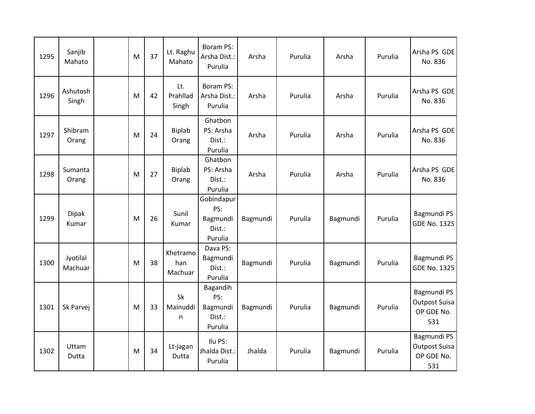| 1295 | Sanjib<br>Mahato      | M | 37 | Lt. Raghu<br>Mahato        | Boram PS:<br>Arsha Dist.:<br>Purulia               | Arsha    | Purulia | Arsha    | Purulia | Arsha PS GDE<br>No. 836                                  |
|------|-----------------------|---|----|----------------------------|----------------------------------------------------|----------|---------|----------|---------|----------------------------------------------------------|
| 1296 | Ashutosh<br>Singh     | M | 42 | Lt.<br>Prahllad<br>Singh   | Boram PS:<br>Arsha Dist.:<br>Purulia               | Arsha    | Purulia | Arsha    | Purulia | Arsha PS GDE<br>No. 836                                  |
| 1297 | Shibram<br>Orang      | M | 24 | Biplab<br>Orang            | Ghatbon<br>PS: Arsha<br>Dist.:<br>Purulia          | Arsha    | Purulia | Arsha    | Purulia | Arsha PS GDE<br>No. 836                                  |
| 1298 | Sumanta<br>Orang      | M | 27 | Biplab<br>Orang            | Ghatbon<br>PS: Arsha<br>Dist.:<br>Purulia          | Arsha    | Purulia | Arsha    | Purulia | Arsha PS GDE<br>No. 836                                  |
| 1299 | <b>Dipak</b><br>Kumar | M | 26 | Sunil<br>Kumar             | Gobindapur<br>PS:<br>Bagmundi<br>Dist.:<br>Purulia | Bagmundi | Purulia | Bagmundi | Purulia | Bagmundi PS<br><b>GDE No. 1325</b>                       |
| 1300 | Jyotilal<br>Machuar   | M | 38 | Khetramo<br>han<br>Machuar | Dava PS:<br>Bagmundi<br>Dist.:<br>Purulia          | Bagmundi | Purulia | Bagmundi | Purulia | Bagmundi PS<br><b>GDE No. 1325</b>                       |
| 1301 | Sk Parvej             | M | 33 | Sk<br>Mainuddi<br>n        | Bagandih<br>PS:<br>Bagmundi<br>Dist.:<br>Purulia   | Bagmundi | Purulia | Bagmundi | Purulia | Bagmundi PS<br><b>Outpost Suisa</b><br>OP GDE No.<br>531 |
| 1302 | Uttam<br>Dutta        | M | 34 | Lt-jagan<br>Dutta          | Ilu PS:<br>Jhalda Dist.:<br>Purulia                | Jhalda   | Purulia | Bagmundi | Purulia | Bagmundi PS<br><b>Outpost Suisa</b><br>OP GDE No.<br>531 |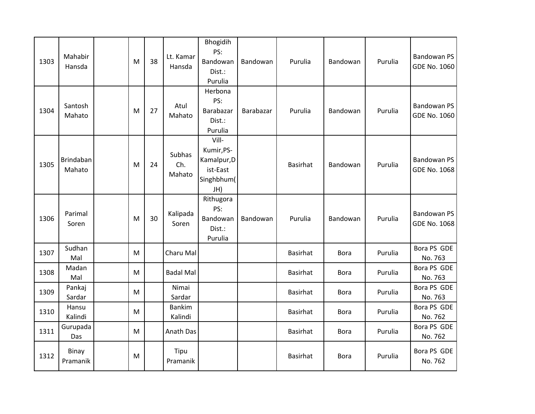| 1303 | Mahabir<br>Hansda          | M | 38 | Lt. Kamar<br>Hansda      | Bhogidih<br>PS:<br>Bandowan<br>Dist.:<br>Purulia                    | Bandowan  | Purulia         | Bandowan    | Purulia | <b>Bandowan PS</b><br>GDE No. 1060        |
|------|----------------------------|---|----|--------------------------|---------------------------------------------------------------------|-----------|-----------------|-------------|---------|-------------------------------------------|
| 1304 | Santosh<br>Mahato          | M | 27 | Atul<br>Mahato           | Herbona<br>PS:<br>Barabazar<br>Dist.:<br>Purulia                    | Barabazar | Purulia         | Bandowan    | Purulia | <b>Bandowan PS</b><br><b>GDE No. 1060</b> |
| 1305 | <b>Brindaban</b><br>Mahato | M | 24 | Subhas<br>Ch.<br>Mahato  | Vill-<br>Kumir, PS-<br>Kamalpur, D<br>ist-East<br>Singhbhum(<br>JH) |           | <b>Basirhat</b> | Bandowan    | Purulia | <b>Bandowan PS</b><br><b>GDE No. 1068</b> |
| 1306 | Parimal<br>Soren           | M | 30 | Kalipada<br>Soren        | Rithugora<br>PS:<br>Bandowan<br>Dist.:<br>Purulia                   | Bandowan  | Purulia         | Bandowan    | Purulia | <b>Bandowan PS</b><br><b>GDE No. 1068</b> |
| 1307 | Sudhan<br>Mal              | M |    | Charu Mal                |                                                                     |           | <b>Basirhat</b> | <b>Bora</b> | Purulia | Bora PS GDE<br>No. 763                    |
| 1308 | Madan<br>Mal               | M |    | <b>Badal Mal</b>         |                                                                     |           | <b>Basirhat</b> | <b>Bora</b> | Purulia | Bora PS GDE<br>No. 763                    |
| 1309 | Pankaj<br>Sardar           | M |    | Nimai<br>Sardar          |                                                                     |           | <b>Basirhat</b> | <b>Bora</b> | Purulia | Bora PS GDE<br>No. 763                    |
| 1310 | Hansu<br>Kalindi           | M |    | <b>Bankim</b><br>Kalindi |                                                                     |           | <b>Basirhat</b> | <b>Bora</b> | Purulia | Bora PS GDE<br>No. 762                    |
| 1311 | Gurupada<br>Das            | M |    | Anath Das                |                                                                     |           | <b>Basirhat</b> | <b>Bora</b> | Purulia | Bora PS GDE<br>No. 762                    |
| 1312 | Binay<br>Pramanik          | M |    | Tipu<br>Pramanik         |                                                                     |           | <b>Basirhat</b> | <b>Bora</b> | Purulia | Bora PS GDE<br>No. 762                    |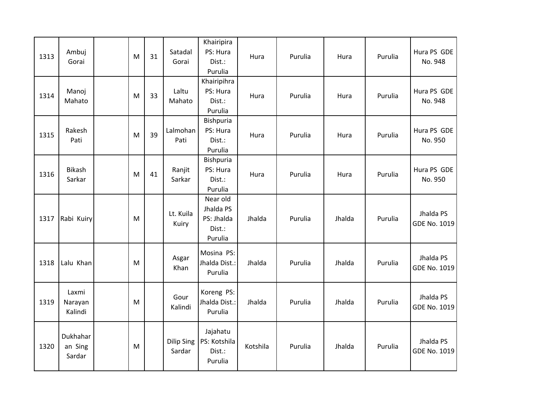| 1313 | Ambuj<br>Gorai                | M | 31 | Satadal<br>Gorai            | Khairipira<br>PS: Hura<br>Dist.:<br>Purulia              | Hura     | Purulia | Hura   | Purulia | Hura PS GDE<br>No. 948    |
|------|-------------------------------|---|----|-----------------------------|----------------------------------------------------------|----------|---------|--------|---------|---------------------------|
| 1314 | Manoj<br>Mahato               | M | 33 | Laltu<br>Mahato             | Khairipihra<br>PS: Hura<br>Dist.:<br>Purulia             | Hura     | Purulia | Hura   | Purulia | Hura PS GDE<br>No. 948    |
| 1315 | Rakesh<br>Pati                | M | 39 | Lalmohan<br>Pati            | Bishpuria<br>PS: Hura<br>Dist.:<br>Purulia               | Hura     | Purulia | Hura   | Purulia | Hura PS GDE<br>No. 950    |
| 1316 | Bikash<br>Sarkar              | M | 41 | Ranjit<br>Sarkar            | Bishpuria<br>PS: Hura<br>Dist.:<br>Purulia               | Hura     | Purulia | Hura   | Purulia | Hura PS GDE<br>No. 950    |
| 1317 | Rabi Kuiry                    | M |    | Lt. Kuila<br>Kuiry          | Near old<br>Jhalda PS<br>PS: Jhalda<br>Dist.:<br>Purulia | Jhalda   | Purulia | Jhalda | Purulia | Jhalda PS<br>GDE No. 1019 |
| 1318 | Lalu Khan                     | M |    | Asgar<br>Khan               | Mosina PS:<br>Jhalda Dist.:<br>Purulia                   | Jhalda   | Purulia | Jhalda | Purulia | Jhalda PS<br>GDE No. 1019 |
| 1319 | Laxmi<br>Narayan<br>Kalindi   | M |    | Gour<br>Kalindi             | Koreng PS:<br>Jhalda Dist.:<br>Purulia                   | Jhalda   | Purulia | Jhalda | Purulia | Jhalda PS<br>GDE No. 1019 |
| 1320 | Dukhahar<br>an Sing<br>Sardar | M |    | <b>Dilip Sing</b><br>Sardar | Jajahatu<br>PS: Kotshila<br>Dist.:<br>Purulia            | Kotshila | Purulia | Jhalda | Purulia | Jhalda PS<br>GDE No. 1019 |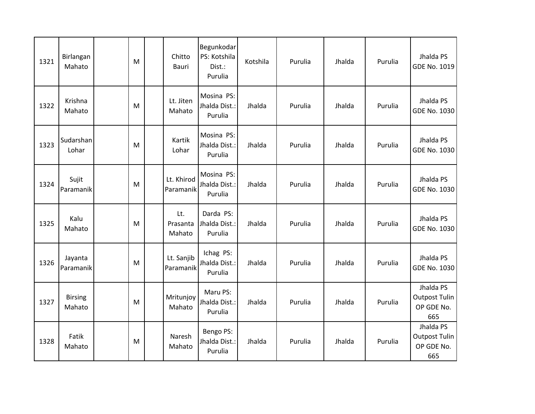| 1321 | Birlangan<br>Mahato      | M | Chitto<br>Bauri           | Begunkodar<br>PS: Kotshila<br>Dist.:<br>Purulia | Kotshila | Purulia | Jhalda | Purulia | Jhalda PS<br>GDE No. 1019                              |
|------|--------------------------|---|---------------------------|-------------------------------------------------|----------|---------|--------|---------|--------------------------------------------------------|
| 1322 | Krishna<br>Mahato        | M | Lt. Jiten<br>Mahato       | Mosina PS:<br>Jhalda Dist.:<br>Purulia          | Jhalda   | Purulia | Jhalda | Purulia | Jhalda PS<br>GDE No. 1030                              |
| 1323 | Sudarshan<br>Lohar       | M | Kartik<br>Lohar           | Mosina PS:<br>Jhalda Dist.:<br>Purulia          | Jhalda   | Purulia | Jhalda | Purulia | Jhalda PS<br>GDE No. 1030                              |
| 1324 | Sujit<br>Paramanik       | M | Lt. Khirod<br>Paramanik   | Mosina PS:<br>Jhalda Dist.:<br>Purulia          | Jhalda   | Purulia | Jhalda | Purulia | Jhalda PS<br>GDE No. 1030                              |
| 1325 | Kalu<br>Mahato           | M | Lt.<br>Prasanta<br>Mahato | Darda PS:<br>Jhalda Dist.:<br>Purulia           | Jhalda   | Purulia | Jhalda | Purulia | Jhalda PS<br>GDE No. 1030                              |
| 1326 | Jayanta<br>Paramanik     | M | Lt. Sanjib<br>Paramanik   | Ichag PS:<br>Jhalda Dist.:<br>Purulia           | Jhalda   | Purulia | Jhalda | Purulia | Jhalda PS<br>GDE No. 1030                              |
| 1327 | <b>Birsing</b><br>Mahato | M | Mritunjoy<br>Mahato       | Maru PS:<br>Jhalda Dist.:<br>Purulia            | Jhalda   | Purulia | Jhalda | Purulia | Jhalda PS<br><b>Outpost Tulin</b><br>OP GDE No.<br>665 |
| 1328 | Fatik<br>Mahato          | M | Naresh<br>Mahato          | Bengo PS:<br>Jhalda Dist.:<br>Purulia           | Jhalda   | Purulia | Jhalda | Purulia | Jhalda PS<br><b>Outpost Tulin</b><br>OP GDE No.<br>665 |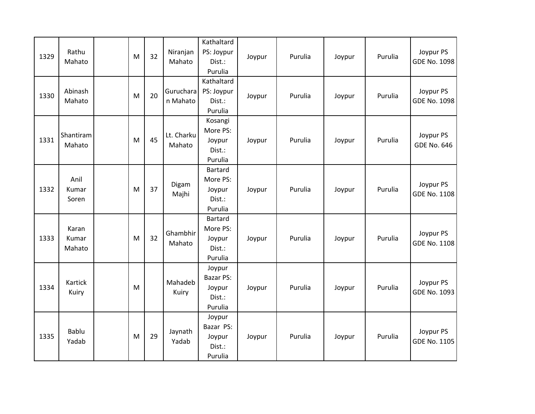| 1329 | Rathu<br>Mahato          | ${\sf M}$ | 32 | Niranjan<br>Mahato    | Kathaltard<br>PS: Joypur<br>Dist.:<br>Purulia             | Joypur | Purulia | Joypur | Purulia | Joypur PS<br>GDE No. 1098        |
|------|--------------------------|-----------|----|-----------------------|-----------------------------------------------------------|--------|---------|--------|---------|----------------------------------|
| 1330 | Abinash<br>Mahato        | ${\sf M}$ | 20 | Guruchara<br>n Mahato | Kathaltard<br>PS: Joypur<br>Dist.:<br>Purulia             | Joypur | Purulia | Joypur | Purulia | Joypur PS<br>GDE No. 1098        |
| 1331 | Shantiram<br>Mahato      | M         | 45 | Lt. Charku<br>Mahato  | Kosangi<br>More PS:<br>Joypur<br>Dist.:<br>Purulia        | Joypur | Purulia | Joypur | Purulia | Joypur PS<br><b>GDE No. 646</b>  |
| 1332 | Anil<br>Kumar<br>Soren   | ${\sf M}$ | 37 | Digam<br>Majhi        | <b>Bartard</b><br>More PS:<br>Joypur<br>Dist.:<br>Purulia | Joypur | Purulia | Joypur | Purulia | Joypur PS<br>GDE No. 1108        |
| 1333 | Karan<br>Kumar<br>Mahato | M         | 32 | Ghambhir<br>Mahato    | Bartard<br>More PS:<br>Joypur<br>Dist.:<br>Purulia        | Joypur | Purulia | Joypur | Purulia | Joypur PS<br><b>GDE No. 1108</b> |
| 1334 | Kartick<br>Kuiry         | M         |    | Mahadeb<br>Kuiry      | Joypur<br><b>Bazar PS:</b><br>Joypur<br>Dist.:<br>Purulia | Joypur | Purulia | Joypur | Purulia | Joypur PS<br>GDE No. 1093        |
| 1335 | Bablu<br>Yadab           | M         | 29 | Jaynath<br>Yadab      | Joypur<br>Bazar PS:<br>Joypur<br>Dist.:<br>Purulia        | Joypur | Purulia | Joypur | Purulia | Joypur PS<br><b>GDE No. 1105</b> |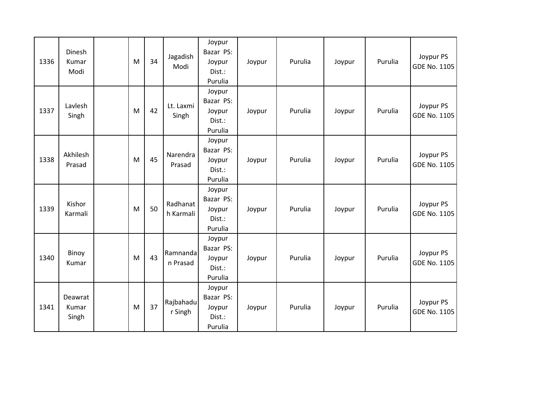| 1336 | Dinesh<br>Kumar<br>Modi   | M | 34 | Jagadish<br>Modi      | Joypur<br>Bazar PS:<br>Joypur<br>Dist.:<br>Purulia | Joypur | Purulia | Joypur | Purulia | Joypur PS<br>GDE No. 1105        |
|------|---------------------------|---|----|-----------------------|----------------------------------------------------|--------|---------|--------|---------|----------------------------------|
| 1337 | Lavlesh<br>Singh          | M | 42 | Lt. Laxmi<br>Singh    | Joypur<br>Bazar PS:<br>Joypur<br>Dist.:<br>Purulia | Joypur | Purulia | Joypur | Purulia | Joypur PS<br><b>GDE No. 1105</b> |
| 1338 | Akhilesh<br>Prasad        | M | 45 | Narendra<br>Prasad    | Joypur<br>Bazar PS:<br>Joypur<br>Dist.:<br>Purulia | Joypur | Purulia | Joypur | Purulia | Joypur PS<br>GDE No. 1105        |
| 1339 | Kishor<br>Karmali         | M | 50 | Radhanat<br>h Karmali | Joypur<br>Bazar PS:<br>Joypur<br>Dist.:<br>Purulia | Joypur | Purulia | Joypur | Purulia | Joypur PS<br>GDE No. 1105        |
| 1340 | Binoy<br>Kumar            | M | 43 | Ramnanda<br>n Prasad  | Joypur<br>Bazar PS:<br>Joypur<br>Dist.:<br>Purulia | Joypur | Purulia | Joypur | Purulia | Joypur PS<br>GDE No. 1105        |
| 1341 | Deawrat<br>Kumar<br>Singh | M | 37 | Rajbahadu<br>r Singh  | Joypur<br>Bazar PS:<br>Joypur<br>Dist.:<br>Purulia | Joypur | Purulia | Joypur | Purulia | Joypur PS<br>GDE No. 1105        |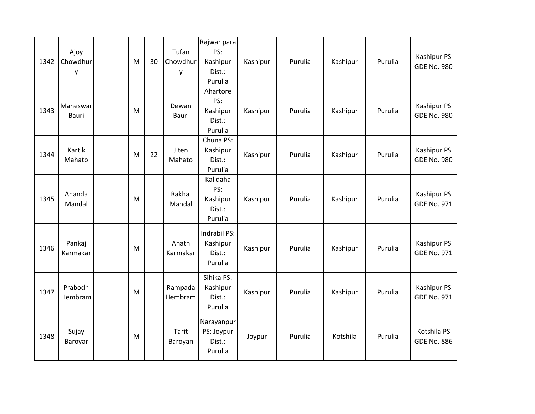| 1342 | Ajoy<br>Chowdhur<br>y    | M | 30 | Tufan<br>Chowdhur<br>у | Rajwar para<br>PS:<br>Kashipur<br>Dist.:<br>Purulia | Kashipur | Purulia | Kashipur | Purulia | Kashipur PS<br><b>GDE No. 980</b> |
|------|--------------------------|---|----|------------------------|-----------------------------------------------------|----------|---------|----------|---------|-----------------------------------|
| 1343 | Maheswar<br><b>Bauri</b> | M |    | Dewan<br>Bauri         | Ahartore<br>PS:<br>Kashipur<br>Dist.:<br>Purulia    | Kashipur | Purulia | Kashipur | Purulia | Kashipur PS<br><b>GDE No. 980</b> |
| 1344 | Kartik<br>Mahato         | M | 22 | Jiten<br>Mahato        | Chuna PS:<br>Kashipur<br>Dist.:<br>Purulia          | Kashipur | Purulia | Kashipur | Purulia | Kashipur PS<br><b>GDE No. 980</b> |
| 1345 | Ananda<br>Mandal         | M |    | Rakhal<br>Mandal       | Kalidaha<br>PS:<br>Kashipur<br>Dist.:<br>Purulia    | Kashipur | Purulia | Kashipur | Purulia | Kashipur PS<br><b>GDE No. 971</b> |
| 1346 | Pankaj<br>Karmakar       | M |    | Anath<br>Karmakar      | Indrabil PS:<br>Kashipur<br>Dist.:<br>Purulia       | Kashipur | Purulia | Kashipur | Purulia | Kashipur PS<br><b>GDE No. 971</b> |
| 1347 | Prabodh<br>Hembram       | M |    | Rampada<br>Hembram     | Sihika PS:<br>Kashipur<br>Dist.:<br>Purulia         | Kashipur | Purulia | Kashipur | Purulia | Kashipur PS<br><b>GDE No. 971</b> |
| 1348 | Sujay<br>Baroyar         | M |    | Tarit<br>Baroyan       | Narayanpur<br>PS: Joypur<br>Dist.:<br>Purulia       | Joypur   | Purulia | Kotshila | Purulia | Kotshila PS<br><b>GDE No. 886</b> |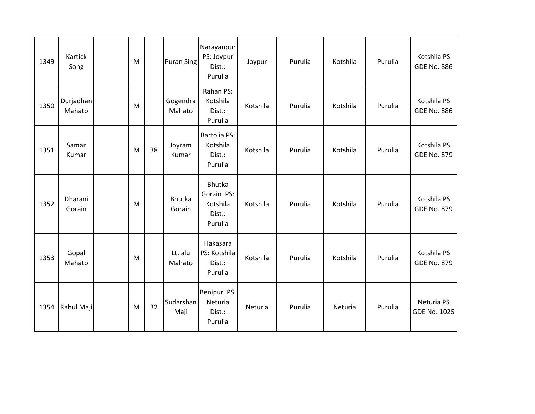| 1349 | Kartick<br>Song     | M |    | <b>Puran Sing</b>  | Narayanpur<br>PS: Joypur<br>Dist.:<br>Purulia         | Joypur   | Purulia | Kotshila | Purulia | Kotshila PS<br><b>GDE No. 886</b> |
|------|---------------------|---|----|--------------------|-------------------------------------------------------|----------|---------|----------|---------|-----------------------------------|
| 1350 | Durjadhan<br>Mahato | M |    | Gogendra<br>Mahato | Rahan PS:<br>Kotshila<br>Dist.:<br>Purulia            | Kotshila | Purulia | Kotshila | Purulia | Kotshila PS<br><b>GDE No. 886</b> |
| 1351 | Samar<br>Kumar      | M | 38 | Joyram<br>Kumar    | <b>Bartolia PS:</b><br>Kotshila<br>Dist.:<br>Purulia  | Kotshila | Purulia | Kotshila | Purulia | Kotshila PS<br><b>GDE No. 879</b> |
| 1352 | Dharani<br>Gorain   | M |    | Bhutka<br>Gorain   | Bhutka<br>Gorain PS:<br>Kotshila<br>Dist.:<br>Purulia | Kotshila | Purulia | Kotshila | Purulia | Kotshila PS<br><b>GDE No. 879</b> |
| 1353 | Gopal<br>Mahato     | M |    | Lt.lalu<br>Mahato  | Hakasara<br>PS: Kotshila<br>Dist.:<br>Purulia         | Kotshila | Purulia | Kotshila | Purulia | Kotshila PS<br><b>GDE No. 879</b> |
| 1354 | Rahul Maji          | M | 32 | Sudarshan<br>Maji  | Benipur PS:<br>Neturia<br>Dist.:<br>Purulia           | Neturia  | Purulia | Neturia  | Purulia | Neturia PS<br><b>GDE No. 1025</b> |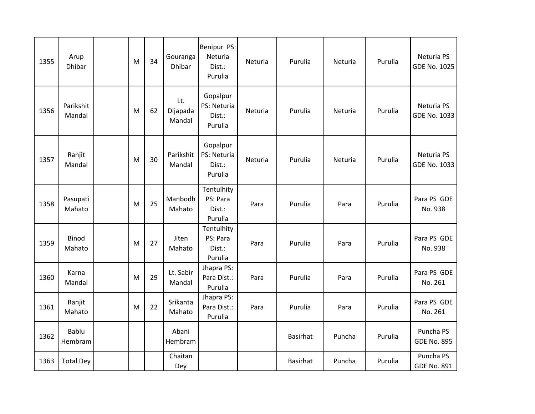| 1355 | Arup<br><b>Dhibar</b>  | M | 34 | Gouranga<br><b>Dhibar</b> | Benipur PS:<br>Neturia<br>Dist.:<br>Purulia  | Neturia | Purulia         | Neturia | Purulia | Neturia PS<br><b>GDE No. 1025</b> |
|------|------------------------|---|----|---------------------------|----------------------------------------------|---------|-----------------|---------|---------|-----------------------------------|
| 1356 | Parikshit<br>Mandal    | M | 62 | Lt.<br>Dijapada<br>Mandal | Gopalpur<br>PS: Neturia<br>Dist.:<br>Purulia | Neturia | Purulia         | Neturia | Purulia | Neturia PS<br>GDE No. 1033        |
| 1357 | Ranjit<br>Mandal       | M | 30 | Parikshit<br>Mandal       | Gopalpur<br>PS: Neturia<br>Dist.:<br>Purulia | Neturia | Purulia         | Neturia | Purulia | Neturia PS<br>GDE No. 1033        |
| 1358 | Pasupati<br>Mahato     | M | 25 | Manbodh<br>Mahato         | Tentulhity<br>PS: Para<br>Dist.:<br>Purulia  | Para    | Purulia         | Para    | Purulia | Para PS GDE<br>No. 938            |
| 1359 | <b>Binod</b><br>Mahato | M | 27 | Jiten<br>Mahato           | Tentulhity<br>PS: Para<br>Dist.:<br>Purulia  | Para    | Purulia         | Para    | Purulia | Para PS GDE<br>No. 938            |
| 1360 | Karna<br>Mandal        | M | 29 | Lt. Sabir<br>Mandal       | Jhapra PS:<br>Para Dist.:<br>Purulia         | Para    | Purulia         | Para    | Purulia | Para PS GDE<br>No. 261            |
| 1361 | Ranjit<br>Mahato       | M | 22 | Srikanta<br>Mahato        | Jhapra PS:<br>Para Dist.:<br>Purulia         | Para    | Purulia         | Para    | Purulia | Para PS GDE<br>No. 261            |
| 1362 | Bablu<br>Hembram       |   |    | Abani<br>Hembram          |                                              |         | <b>Basirhat</b> | Puncha  | Purulia | Puncha PS<br><b>GDE No. 895</b>   |
| 1363 | <b>Total Dey</b>       |   |    | Chaitan<br>Dey            |                                              |         | <b>Basirhat</b> | Puncha  | Purulia | Puncha PS<br><b>GDE No. 891</b>   |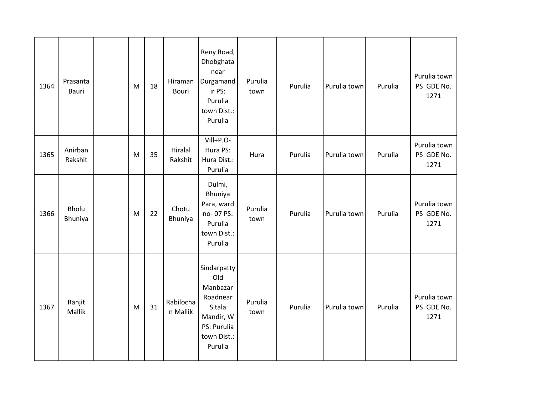| 1364 | Prasanta<br>Bauri       | ${\sf M}$ | 18 | Hiraman<br><b>Bouri</b> | Reny Road,<br>Dhobghata<br>near<br>Durgamand<br>ir PS:<br>Purulia<br>town Dist.:<br>Purulia                | Purulia<br>town | Purulia | Purulia town | Purulia | Purulia town<br>PS GDE No.<br>1271 |
|------|-------------------------|-----------|----|-------------------------|------------------------------------------------------------------------------------------------------------|-----------------|---------|--------------|---------|------------------------------------|
| 1365 | Anirban<br>Rakshit      | M         | 35 | Hiralal<br>Rakshit      | Vill+P.O-<br>Hura PS:<br>Hura Dist.:<br>Purulia                                                            | Hura            | Purulia | Purulia town | Purulia | Purulia town<br>PS GDE No.<br>1271 |
| 1366 | <b>Bholu</b><br>Bhuniya | M         | 22 | Chotu<br>Bhuniya        | Dulmi,<br>Bhuniya<br>Para, ward<br>no-07 PS:<br>Purulia<br>town Dist.:<br>Purulia                          | Purulia<br>town | Purulia | Purulia town | Purulia | Purulia town<br>PS GDE No.<br>1271 |
| 1367 | Ranjit<br>Mallik        | M         | 31 | Rabilocha<br>n Mallik   | Sindarpatty<br>Old<br>Manbazar<br>Roadnear<br>Sitala<br>Mandir, W<br>PS: Purulia<br>town Dist.:<br>Purulia | Purulia<br>town | Purulia | Purulia town | Purulia | Purulia town<br>PS GDE No.<br>1271 |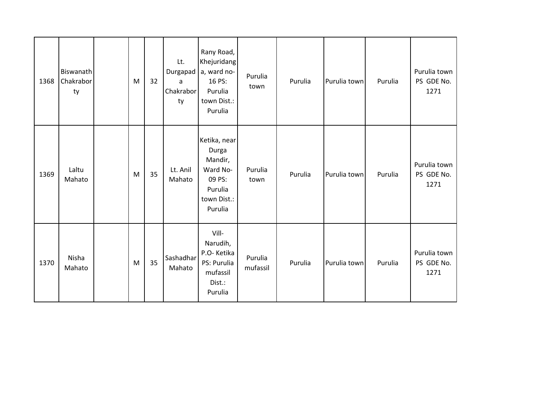| 1368 | Biswanath<br>Chakrabor<br>ty | M | 32 | Lt.<br>Durgapad<br>a<br>Chakrabor<br>ty | Rany Road,<br>Khejuridang<br>a, ward no-<br>16 PS:<br>Purulia<br>town Dist.:<br>Purulia     | Purulia<br>town     | Purulia | Purulia town | Purulia | Purulia town<br>PS GDE No.<br>1271 |
|------|------------------------------|---|----|-----------------------------------------|---------------------------------------------------------------------------------------------|---------------------|---------|--------------|---------|------------------------------------|
| 1369 | Laltu<br>Mahato              | M | 35 | Lt. Anil<br>Mahato                      | Ketika, near<br>Durga<br>Mandir,<br>Ward No-<br>09 PS:<br>Purulia<br>town Dist.:<br>Purulia | Purulia<br>town     | Purulia | Purulia town | Purulia | Purulia town<br>PS GDE No.<br>1271 |
| 1370 | Nisha<br>Mahato              | M | 35 | Sashadhar<br>Mahato                     | Vill-<br>Narudih,<br>P.O-Ketika<br>PS: Purulia<br>mufassil<br>Dist.:<br>Purulia             | Purulia<br>mufassil | Purulia | Purulia town | Purulia | Purulia town<br>PS GDE No.<br>1271 |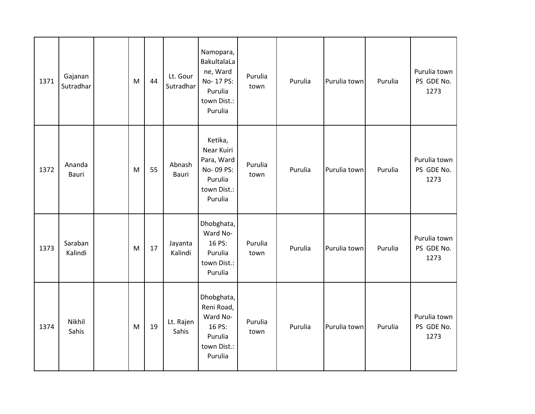| 1371 | Gajanan<br>Sutradhar | M | 44 | Lt. Gour<br>Sutradhar | Namopara,<br>BakultalaLa<br>ne, Ward<br>No-17 PS:<br>Purulia<br>town Dist.:<br>Purulia | Purulia<br>town | Purulia | Purulia town | Purulia | Purulia town<br>PS GDE No.<br>1273 |
|------|----------------------|---|----|-----------------------|----------------------------------------------------------------------------------------|-----------------|---------|--------------|---------|------------------------------------|
| 1372 | Ananda<br>Bauri      | M | 55 | Abnash<br>Bauri       | Ketika,<br>Near Kuiri<br>Para, Ward<br>No-09 PS:<br>Purulia<br>town Dist.:<br>Purulia  | Purulia<br>town | Purulia | Purulia town | Purulia | Purulia town<br>PS GDE No.<br>1273 |
| 1373 | Saraban<br>Kalindi   | M | 17 | Jayanta<br>Kalindi    | Dhobghata,<br>Ward No-<br>16 PS:<br>Purulia<br>town Dist.:<br>Purulia                  | Purulia<br>town | Purulia | Purulia town | Purulia | Purulia town<br>PS GDE No.<br>1273 |
| 1374 | Nikhil<br>Sahis      | M | 19 | Lt. Rajen<br>Sahis    | Dhobghata,<br>Reni Road,<br>Ward No-<br>16 PS:<br>Purulia<br>town Dist.:<br>Purulia    | Purulia<br>town | Purulia | Purulia town | Purulia | Purulia town<br>PS GDE No.<br>1273 |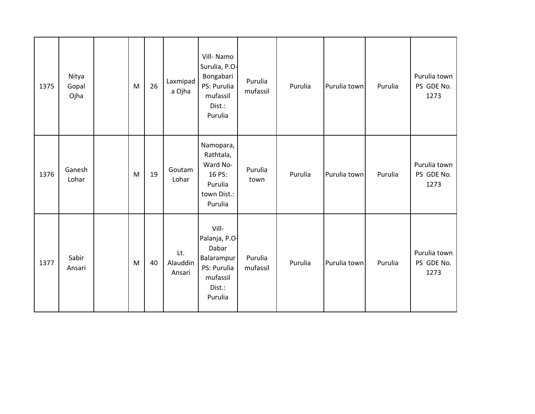| 1375 | Nitya<br>Gopal<br>Ojha | ${\sf M}$ | 26 | Laxmipad<br>a Ojha        | Vill-Namo<br>Surulia, P.O-<br>Bongabari<br>PS: Purulia<br>mufassil<br>Dist.:<br>Purulia       | Purulia<br>mufassil | Purulia | Purulia town | Purulia | Purulia town<br>PS GDE No.<br>1273 |
|------|------------------------|-----------|----|---------------------------|-----------------------------------------------------------------------------------------------|---------------------|---------|--------------|---------|------------------------------------|
| 1376 | Ganesh<br>Lohar        | ${\sf M}$ | 19 | Goutam<br>Lohar           | Namopara,<br>Rathtala,<br>Ward No-<br>16 PS:<br>Purulia<br>town Dist.:<br>Purulia             | Purulia<br>town     | Purulia | Purulia town | Purulia | Purulia town<br>PS GDE No.<br>1273 |
| 1377 | Sabir<br>Ansari        | M         | 40 | Lt.<br>Alauddin<br>Ansari | Vill-<br>Palanja, P.O-<br>Dabar<br>Balarampur<br>PS: Purulia<br>mufassil<br>Dist.:<br>Purulia | Purulia<br>mufassil | Purulia | Purulia town | Purulia | Purulia town<br>PS GDE No.<br>1273 |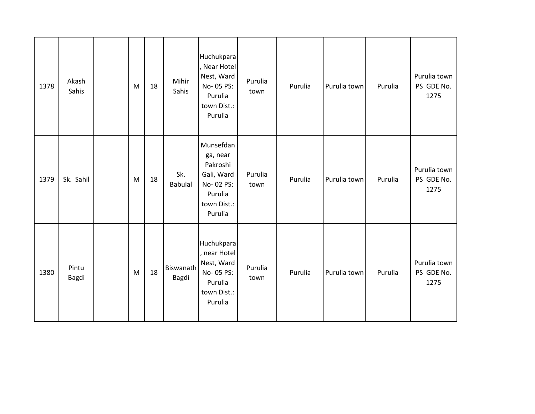| 1378 | Akash<br>Sahis | ${\sf M}$                                                                             | 18 | Mihir<br>Sahis        | Huchukpara<br>, Near Hotel<br>Nest, Ward<br>No-05 PS:<br>Purulia<br>town Dist.:<br>Purulia        | Purulia<br>town | Purulia | Purulia town | Purulia | Purulia town<br>PS GDE No.<br>1275 |
|------|----------------|---------------------------------------------------------------------------------------|----|-----------------------|---------------------------------------------------------------------------------------------------|-----------------|---------|--------------|---------|------------------------------------|
| 1379 | Sk. Sahil      | $\mathsf{M}% _{T}=\mathsf{M}_{T}\!\left( a,b\right) ,\ \mathsf{M}_{T}=\mathsf{M}_{T}$ | 18 | Sk.<br><b>Babulal</b> | Munsefdan<br>ga, near<br>Pakroshi<br>Gali, Ward<br>No-02 PS:<br>Purulia<br>town Dist.:<br>Purulia | Purulia<br>town | Purulia | Purulia town | Purulia | Purulia town<br>PS GDE No.<br>1275 |
| 1380 | Pintu<br>Bagdi | M                                                                                     | 18 | Biswanath<br>Bagdi    | Huchukpara<br>, near Hotel<br>Nest, Ward<br>No-05 PS:<br>Purulia<br>town Dist.:<br>Purulia        | Purulia<br>town | Purulia | Purulia town | Purulia | Purulia town<br>PS GDE No.<br>1275 |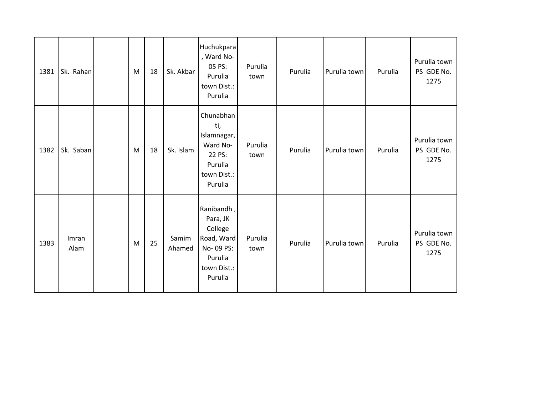| 1381 | Sk. Rahan     | M         | 18 | Sk. Akbar       | Huchukpara<br>, Ward No-<br>05 PS:<br>Purulia<br>town Dist.:<br>Purulia                           | Purulia<br>town | Purulia | Purulia town | Purulia | Purulia town<br>PS GDE No.<br>1275 |
|------|---------------|-----------|----|-----------------|---------------------------------------------------------------------------------------------------|-----------------|---------|--------------|---------|------------------------------------|
| 1382 | Sk. Saban     | M         | 18 | Sk. Islam       | Chunabhan<br>ti,<br>Islamnagar,<br>Ward No-<br>22 PS:<br>Purulia<br>town Dist.:<br>Purulia        | Purulia<br>town | Purulia | Purulia town | Purulia | Purulia town<br>PS GDE No.<br>1275 |
| 1383 | Imran<br>Alam | ${\sf M}$ | 25 | Samim<br>Ahamed | Ranibandh,<br>Para, JK<br>College<br>Road, Ward<br>No-09 PS:<br>Purulia<br>town Dist.:<br>Purulia | Purulia<br>town | Purulia | Purulia town | Purulia | Purulia town<br>PS GDE No.<br>1275 |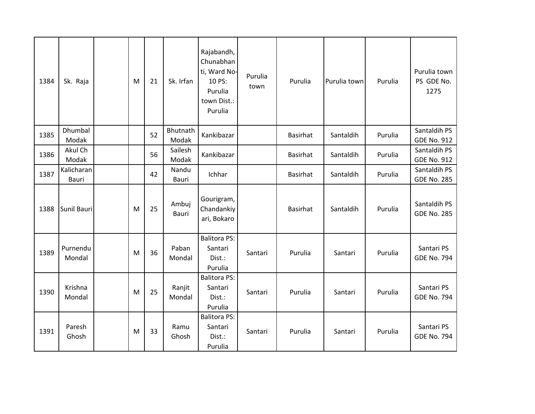| 1384 | Sk. Raja            | M | 21 | Sk. Irfan         | Rajabandh,<br>Chunabhan<br>ti, Ward No-<br>10 PS:<br>Purulia<br>town Dist.:<br>Purulia | Purulia<br>town | Purulia         | Purulia town | Purulia | Purulia town<br>PS GDE No.<br>1275 |
|------|---------------------|---|----|-------------------|----------------------------------------------------------------------------------------|-----------------|-----------------|--------------|---------|------------------------------------|
| 1385 | Dhumbal<br>Modak    |   | 52 | Bhutnath<br>Modak | Kankibazar                                                                             |                 | <b>Basirhat</b> | Santaldih    | Purulia | Santaldih PS<br><b>GDE No. 912</b> |
| 1386 | Akul Ch<br>Modak    |   | 56 | Sailesh<br>Modak  | Kankibazar                                                                             |                 | <b>Basirhat</b> | Santaldih    | Purulia | Santaldih PS<br><b>GDE No. 912</b> |
| 1387 | Kalicharan<br>Bauri |   | 42 | Nandu<br>Bauri    | Ichhar                                                                                 |                 | <b>Basirhat</b> | Santaldih    | Purulia | Santaldih PS<br><b>GDE No. 285</b> |
| 1388 | Sunil Bauri         | M | 25 | Ambuj<br>Bauri    | Gourigram,<br>Chandankiy<br>ari, Bokaro                                                |                 | <b>Basirhat</b> | Santaldih    | Purulia | Santaldih PS<br><b>GDE No. 285</b> |
| 1389 | Purnendu<br>Mondal  | M | 36 | Paban<br>Mondal   | <b>Balitora PS:</b><br>Santari<br>Dist.:<br>Purulia                                    | Santari         | Purulia         | Santari      | Purulia | Santari PS<br><b>GDE No. 794</b>   |
| 1390 | Krishna<br>Mondal   | M | 25 | Ranjit<br>Mondal  | <b>Balitora PS:</b><br>Santari<br>Dist.:<br>Purulia                                    | Santari         | Purulia         | Santari      | Purulia | Santari PS<br><b>GDE No. 794</b>   |
| 1391 | Paresh<br>Ghosh     | M | 33 | Ramu<br>Ghosh     | <b>Balitora PS:</b><br>Santari<br>Dist.:<br>Purulia                                    | Santari         | Purulia         | Santari      | Purulia | Santari PS<br><b>GDE No. 794</b>   |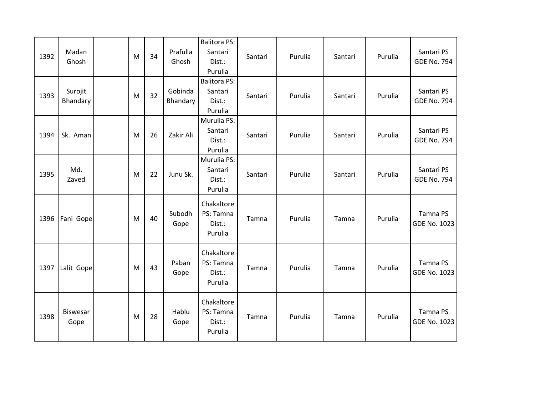| 1392 | Madan<br>Ghosh      | M | 34 | Prafulla<br>Ghosh   | <b>Balitora PS:</b><br>Santari<br>Dist.:<br>Purulia | Santari | Purulia | Santari | Purulia | Santari PS<br><b>GDE No. 794</b> |
|------|---------------------|---|----|---------------------|-----------------------------------------------------|---------|---------|---------|---------|----------------------------------|
| 1393 | Surojit<br>Bhandary | M | 32 | Gobinda<br>Bhandary | <b>Balitora PS:</b><br>Santari<br>Dist.:<br>Purulia | Santari | Purulia | Santari | Purulia | Santari PS<br><b>GDE No. 794</b> |
| 1394 | Sk. Aman            | M | 26 | Zakir Ali           | Murulia PS:<br>Santari<br>Dist.:<br>Purulia         | Santari | Purulia | Santari | Purulia | Santari PS<br><b>GDE No. 794</b> |
| 1395 | Md.<br>Zaved        | M | 22 | Junu Sk.            | Murulia PS:<br>Santari<br>Dist.:<br>Purulia         | Santari | Purulia | Santari | Purulia | Santari PS<br><b>GDE No. 794</b> |
| 1396 | Fani Gope           | M | 40 | Subodh<br>Gope      | Chakaltore<br>PS: Tamna<br>Dist.:<br>Purulia        | Tamna   | Purulia | Tamna   | Purulia | Tamna PS<br><b>GDE No. 1023</b>  |
| 1397 | Lalit Gope          | M | 43 | Paban<br>Gope       | Chakaltore<br>PS: Tamna<br>Dist.:<br>Purulia        | Tamna   | Purulia | Tamna   | Purulia | Tamna PS<br>GDE No. 1023         |
| 1398 | Biswesar<br>Gope    | M | 28 | Hablu<br>Gope       | Chakaltore<br>PS: Tamna<br>Dist.:<br>Purulia        | Tamna   | Purulia | Tamna   | Purulia | Tamna PS<br>GDE No. 1023         |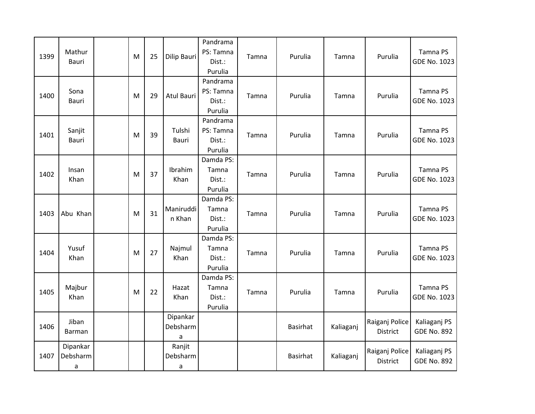| 1399 | Mathur<br>Bauri           | M | 25 | Dilip Bauri               | Pandrama<br>PS: Tamna<br>Dist.:<br>Purulia | Tamna | Purulia         | Tamna     | Purulia                    | Tamna PS<br><b>GDE No. 1023</b>    |
|------|---------------------------|---|----|---------------------------|--------------------------------------------|-------|-----------------|-----------|----------------------------|------------------------------------|
| 1400 | Sona<br>Bauri             | M | 29 | <b>Atul Bauri</b>         | Pandrama<br>PS: Tamna<br>Dist.:<br>Purulia | Tamna | Purulia         | Tamna     | Purulia                    | Tamna PS<br><b>GDE No. 1023</b>    |
| 1401 | Sanjit<br>Bauri           | M | 39 | Tulshi<br><b>Bauri</b>    | Pandrama<br>PS: Tamna<br>Dist.:<br>Purulia | Tamna | Purulia         | Tamna     | Purulia                    | Tamna PS<br><b>GDE No. 1023</b>    |
| 1402 | Insan<br>Khan             | M | 37 | Ibrahim<br>Khan           | Damda PS:<br>Tamna<br>Dist.:<br>Purulia    | Tamna | Purulia         | Tamna     | Purulia                    | Tamna PS<br><b>GDE No. 1023</b>    |
| 1403 | Abu Khan                  | M | 31 | Maniruddi<br>n Khan       | Damda PS:<br>Tamna<br>Dist.:<br>Purulia    | Tamna | Purulia         | Tamna     | Purulia                    | Tamna PS<br><b>GDE No. 1023</b>    |
| 1404 | Yusuf<br>Khan             | M | 27 | Najmul<br>Khan            | Damda PS:<br>Tamna<br>Dist.:<br>Purulia    | Tamna | Purulia         | Tamna     | Purulia                    | Tamna PS<br><b>GDE No. 1023</b>    |
| 1405 | Majbur<br>Khan            | M | 22 | Hazat<br>Khan             | Damda PS:<br>Tamna<br>Dist.:<br>Purulia    | Tamna | Purulia         | Tamna     | Purulia                    | Tamna PS<br><b>GDE No. 1023</b>    |
| 1406 | Jiban<br>Barman           |   |    | Dipankar<br>Debsharm<br>a |                                            |       | <b>Basirhat</b> | Kaliaganj | Raiganj Police<br>District | Kaliaganj PS<br><b>GDE No. 892</b> |
| 1407 | Dipankar<br>Debsharm<br>a |   |    | Ranjit<br>Debsharm<br>a   |                                            |       | <b>Basirhat</b> | Kaliaganj | Raiganj Police<br>District | Kaliaganj PS<br><b>GDE No. 892</b> |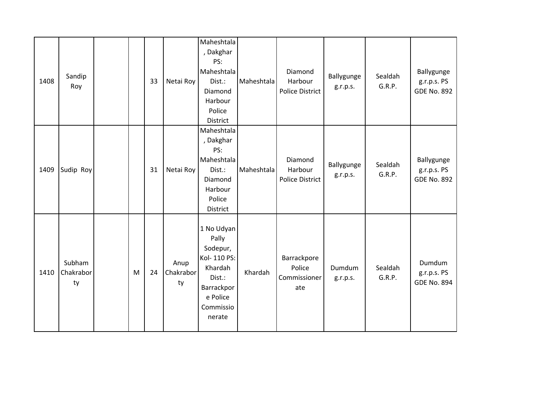| 1408 | Sandip<br>Roy             |   | 33 | Netai Roy               | Maheshtala<br>, Dakghar<br>PS:<br>Maheshtala<br>Dist.:<br>Diamond<br>Harbour<br>Police<br><b>District</b>             | Maheshtala | Diamond<br>Harbour<br><b>Police District</b> | Ballygunge<br>g.r.p.s. | Sealdah<br>G.R.P. | Ballygunge<br>g.r.p.s. PS<br><b>GDE No. 892</b> |
|------|---------------------------|---|----|-------------------------|-----------------------------------------------------------------------------------------------------------------------|------------|----------------------------------------------|------------------------|-------------------|-------------------------------------------------|
| 1409 | Sudip Roy                 |   | 31 | Netai Roy               | Maheshtala<br>, Dakghar<br>PS:<br>Maheshtala<br>Dist.:<br>Diamond<br>Harbour<br>Police<br>District                    | Maheshtala | Diamond<br>Harbour<br><b>Police District</b> | Ballygunge<br>g.r.p.s. | Sealdah<br>G.R.P. | Ballygunge<br>g.r.p.s. PS<br><b>GDE No. 892</b> |
| 1410 | Subham<br>Chakrabor<br>ty | M | 24 | Anup<br>Chakrabor<br>ty | 1 No Udyan<br>Pally<br>Sodepur,<br>Kol- 110 PS:<br>Khardah<br>Dist.:<br>Barrackpor<br>e Police<br>Commissio<br>nerate | Khardah    | Barrackpore<br>Police<br>Commissioner<br>ate | Dumdum<br>g.r.p.s.     | Sealdah<br>G.R.P. | Dumdum<br>g.r.p.s. PS<br><b>GDE No. 894</b>     |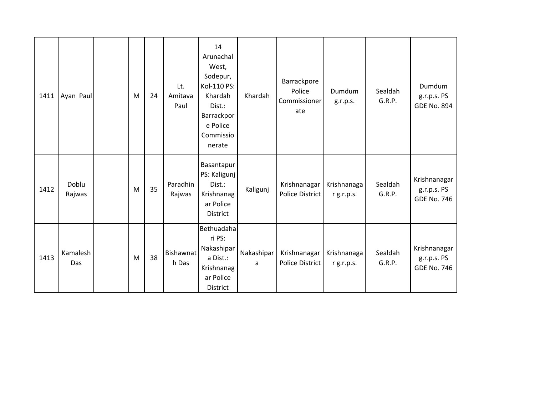| 1411 | Ayan Paul       | M | 24 | Lt.<br>Amitava<br>Paul | 14<br>Arunachal<br>West,<br>Sodepur,<br>Kol-110 PS:<br>Khardah<br>Dist.:<br>Barrackpor<br>e Police<br>Commissio<br>nerate | Khardah         | Barrackpore<br>Police<br>Commissioner<br>ate | Dumdum<br>g.r.p.s.        | Sealdah<br>G.R.P. | Dumdum<br>g.r.p.s. PS<br><b>GDE No. 894</b>       |
|------|-----------------|---|----|------------------------|---------------------------------------------------------------------------------------------------------------------------|-----------------|----------------------------------------------|---------------------------|-------------------|---------------------------------------------------|
| 1412 | Doblu<br>Rajwas | M | 35 | Paradhin<br>Rajwas     | Basantapur<br>PS: Kaligunj<br>Dist.:<br>Krishnanag<br>ar Police<br><b>District</b>                                        | Kaligunj        | Krishnanagar<br><b>Police District</b>       | Krishnanaga<br>r g.r.p.s. | Sealdah<br>G.R.P. | Krishnanagar<br>g.r.p.s. PS<br><b>GDE No. 746</b> |
| 1413 | Kamalesh<br>Das | M | 38 | Bishawnat<br>h Das     | Bethuadaha<br>ri PS:<br>Nakashipar<br>a Dist.:<br>Krishnanag<br>ar Police<br>District                                     | Nakashipar<br>a | Krishnanagar<br><b>Police District</b>       | Krishnanaga<br>r g.r.p.s. | Sealdah<br>G.R.P. | Krishnanagar<br>g.r.p.s. PS<br><b>GDE No. 746</b> |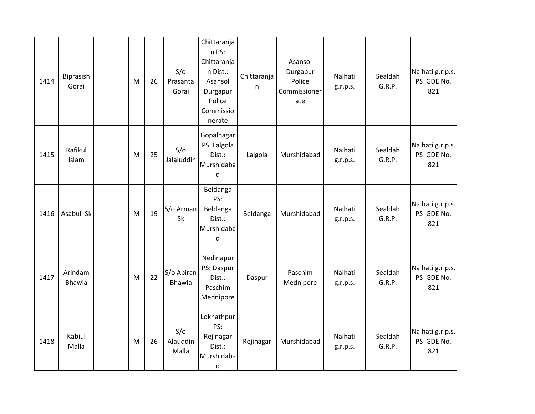| 1414 | Biprasish<br>Gorai       | M | 26 | S/O<br>Prasanta<br>Gorai    | Chittaranja<br>n PS:<br>Chittaranja<br>n Dist.:<br>Asansol<br>Durgapur<br>Police<br>Commissio<br>nerate | Chittaranja<br>n | Asansol<br>Durgapur<br>Police<br>Commissioner<br>ate | Naihati<br>g.r.p.s. | Sealdah<br>G.R.P. | Naihati g.r.p.s.<br>PS GDE No.<br>821 |
|------|--------------------------|---|----|-----------------------------|---------------------------------------------------------------------------------------------------------|------------------|------------------------------------------------------|---------------------|-------------------|---------------------------------------|
| 1415 | Rafikul<br>Islam         | M | 25 | S/O<br>Jalaluddin           | Gopalnagar<br>PS: Lalgola<br>Dist.:<br>Murshidaba<br>d                                                  | Lalgola          | Murshidabad                                          | Naihati<br>g.r.p.s. | Sealdah<br>G.R.P. | Naihati g.r.p.s.<br>PS GDE No.<br>821 |
| 1416 | Asabul Sk                | M | 19 | S/o Arman<br><b>Sk</b>      | Beldanga<br>PS:<br>Beldanga<br>Dist.:<br>Murshidaba<br>d                                                | Beldanga         | Murshidabad                                          | Naihati<br>g.r.p.s. | Sealdah<br>G.R.P. | Naihati g.r.p.s.<br>PS GDE No.<br>821 |
| 1417 | Arindam<br><b>Bhawia</b> | M | 22 | S/o Abiran<br><b>Bhawia</b> | Nedinapur<br>PS: Daspur<br>Dist.:<br>Paschim<br>Mednipore                                               | Daspur           | Paschim<br>Mednipore                                 | Naihati<br>g.r.p.s. | Sealdah<br>G.R.P. | Naihati g.r.p.s.<br>PS GDE No.<br>821 |
| 1418 | Kabiul<br>Malla          | M | 26 | S/O<br>Alauddin<br>Malla    | Loknathpur<br>PS:<br>Rejinagar<br>Dist.:<br>Murshidaba<br>d                                             | Rejinagar        | Murshidabad                                          | Naihati<br>g.r.p.s. | Sealdah<br>G.R.P. | Naihati g.r.p.s.<br>PS GDE No.<br>821 |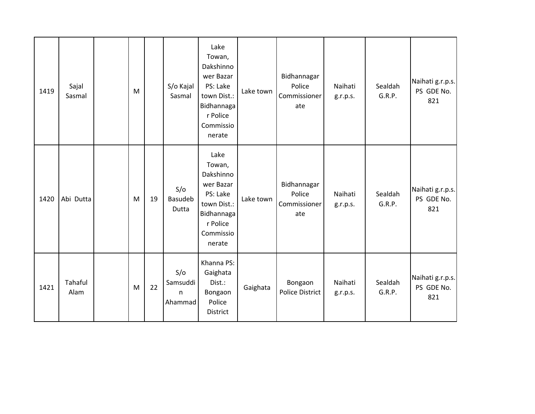| 1419 | Sajal<br>Sasmal | M |    | S/o Kajal<br>Sasmal             | Lake<br>Towan,<br>Dakshinno<br>wer Bazar<br>PS: Lake<br>town Dist.:<br>Bidhannaga<br>r Police<br>Commissio<br>nerate | Lake town | Bidhannagar<br>Police<br>Commissioner<br>ate | Naihati<br>g.r.p.s. | Sealdah<br>G.R.P. | Naihati g.r.p.s.<br>PS GDE No.<br>821 |
|------|-----------------|---|----|---------------------------------|----------------------------------------------------------------------------------------------------------------------|-----------|----------------------------------------------|---------------------|-------------------|---------------------------------------|
| 1420 | Abi Dutta       | M | 19 | S/O<br>Basudeb<br>Dutta         | Lake<br>Towan,<br>Dakshinno<br>wer Bazar<br>PS: Lake<br>town Dist.:<br>Bidhannaga<br>r Police<br>Commissio<br>nerate | Lake town | Bidhannagar<br>Police<br>Commissioner<br>ate | Naihati<br>g.r.p.s. | Sealdah<br>G.R.P. | Naihati g.r.p.s.<br>PS GDE No.<br>821 |
| 1421 | Tahaful<br>Alam | M | 22 | S/O<br>Samsuddi<br>n<br>Ahammad | Khanna PS:<br>Gaighata<br>Dist.:<br>Bongaon<br>Police<br>District                                                    | Gaighata  | Bongaon<br><b>Police District</b>            | Naihati<br>g.r.p.s. | Sealdah<br>G.R.P. | Naihati g.r.p.s.<br>PS GDE No.<br>821 |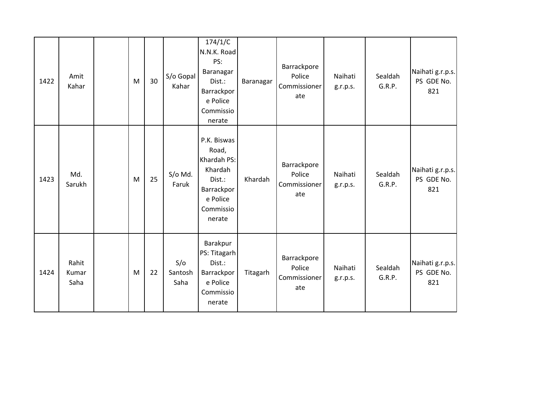| 1422 | Amit<br>Kahar          | M                                                                                                          | 30 | S/o Gopal<br>Kahar     | 174/1/C<br>N.N.K. Road<br>PS:<br>Baranagar<br>Dist.:<br>Barrackpor<br>e Police<br>Commissio<br>nerate     | Baranagar | Barrackpore<br>Police<br>Commissioner<br>ate | Naihati<br>g.r.p.s. | Sealdah<br>G.R.P. | Naihati g.r.p.s.<br>PS GDE No.<br>821 |
|------|------------------------|------------------------------------------------------------------------------------------------------------|----|------------------------|-----------------------------------------------------------------------------------------------------------|-----------|----------------------------------------------|---------------------|-------------------|---------------------------------------|
| 1423 | Md.<br>Sarukh          | $\mathsf{M}% _{T}=\mathsf{M}_{T}\!\left( a,b\right) ,\ \mathsf{M}_{T}=\mathsf{M}_{T}\!\left( a,b\right) ,$ | 25 | S/o Md.<br>Faruk       | P.K. Biswas<br>Road,<br>Khardah PS:<br>Khardah<br>Dist.:<br>Barrackpor<br>e Police<br>Commissio<br>nerate | Khardah   | Barrackpore<br>Police<br>Commissioner<br>ate | Naihati<br>g.r.p.s. | Sealdah<br>G.R.P. | Naihati g.r.p.s.<br>PS GDE No.<br>821 |
| 1424 | Rahit<br>Kumar<br>Saha | M                                                                                                          | 22 | S/O<br>Santosh<br>Saha | Barakpur<br>PS: Titagarh<br>Dist.:<br>Barrackpor<br>e Police<br>Commissio<br>nerate                       | Titagarh  | Barrackpore<br>Police<br>Commissioner<br>ate | Naihati<br>g.r.p.s. | Sealdah<br>G.R.P. | Naihati g.r.p.s.<br>PS GDE No.<br>821 |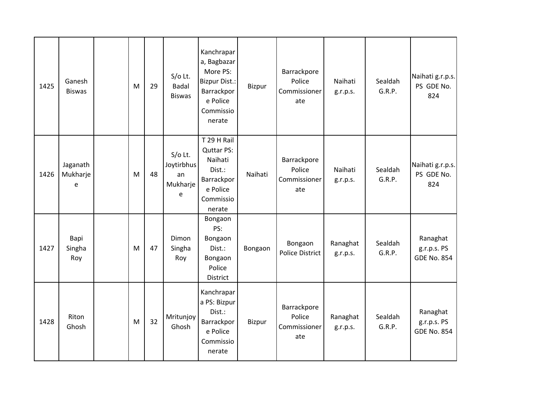| 1425 | Ganesh<br><b>Biswas</b>   | M | 29 | $S/O$ Lt.<br><b>Badal</b><br><b>Biswas</b>     | Kanchrapar<br>a, Bagbazar<br>More PS:<br><b>Bizpur Dist.:</b><br>Barrackpor<br>e Police<br>Commissio<br>nerate | Bizpur  | Barrackpore<br>Police<br>Commissioner<br>ate | Naihati<br>g.r.p.s.  | Sealdah<br>G.R.P. | Naihati g.r.p.s.<br>PS GDE No.<br>824         |
|------|---------------------------|---|----|------------------------------------------------|----------------------------------------------------------------------------------------------------------------|---------|----------------------------------------------|----------------------|-------------------|-----------------------------------------------|
| 1426 | Jaganath<br>Mukharje<br>e | M | 48 | $S/O$ Lt.<br>Joytirbhus<br>an<br>Mukharje<br>e | T 29 H Rail<br><b>Quttar PS:</b><br>Naihati<br>Dist.:<br>Barrackpor<br>e Police<br>Commissio<br>nerate         | Naihati | Barrackpore<br>Police<br>Commissioner<br>ate | Naihati<br>g.r.p.s.  | Sealdah<br>G.R.P. | Naihati g.r.p.s.<br>PS GDE No.<br>824         |
| 1427 | Bapi<br>Singha<br>Roy     | M | 47 | Dimon<br>Singha<br>Roy                         | Bongaon<br>PS:<br>Bongaon<br>Dist.:<br>Bongaon<br>Police<br>District                                           | Bongaon | Bongaon<br><b>Police District</b>            | Ranaghat<br>g.r.p.s. | Sealdah<br>G.R.P. | Ranaghat<br>g.r.p.s. PS<br><b>GDE No. 854</b> |
| 1428 | Riton<br>Ghosh            | M | 32 | Mritunjoy<br>Ghosh                             | Kanchrapar<br>a PS: Bizpur<br>Dist.:<br>Barrackpor<br>e Police<br>Commissio<br>nerate                          | Bizpur  | Barrackpore<br>Police<br>Commissioner<br>ate | Ranaghat<br>g.r.p.s. | Sealdah<br>G.R.P. | Ranaghat<br>g.r.p.s. PS<br><b>GDE No. 854</b> |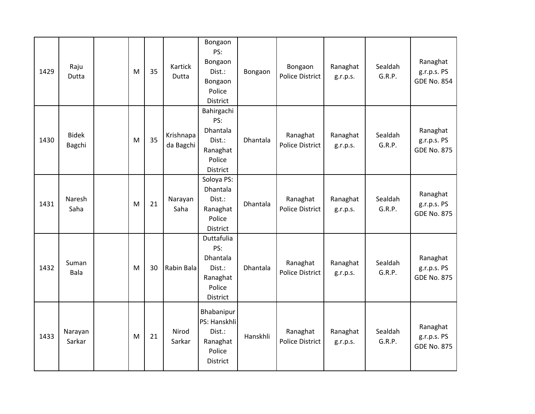| 1429 | Raju<br>Dutta          | M | 35 | Kartick<br>Dutta       | Bongaon<br>PS:<br>Bongaon<br>Dist.:<br>Bongaon<br>Police<br><b>District</b>             | Bongaon  | Bongaon<br><b>Police District</b>  | Ranaghat<br>g.r.p.s. | Sealdah<br>G.R.P. | Ranaghat<br>g.r.p.s. PS<br><b>GDE No. 854</b> |
|------|------------------------|---|----|------------------------|-----------------------------------------------------------------------------------------|----------|------------------------------------|----------------------|-------------------|-----------------------------------------------|
| 1430 | <b>Bidek</b><br>Bagchi | M | 35 | Krishnapa<br>da Bagchi | Bahirgachi<br>PS:<br>Dhantala<br>Dist.:<br>Ranaghat<br>Police<br>District               | Dhantala | Ranaghat<br><b>Police District</b> | Ranaghat<br>g.r.p.s. | Sealdah<br>G.R.P. | Ranaghat<br>g.r.p.s. PS<br><b>GDE No. 875</b> |
| 1431 | Naresh<br>Saha         | M | 21 | Narayan<br>Saha        | Soloya PS:<br>Dhantala<br>Dist.:<br>Ranaghat<br>Police<br>District                      | Dhantala | Ranaghat<br><b>Police District</b> | Ranaghat<br>g.r.p.s. | Sealdah<br>G.R.P. | Ranaghat<br>g.r.p.s. PS<br><b>GDE No. 875</b> |
| 1432 | Suman<br>Bala          | M | 30 | Rabin Bala             | Duttafulia<br>PS:<br><b>Dhantala</b><br>Dist.:<br>Ranaghat<br>Police<br><b>District</b> | Dhantala | Ranaghat<br><b>Police District</b> | Ranaghat<br>g.r.p.s. | Sealdah<br>G.R.P. | Ranaghat<br>g.r.p.s. PS<br><b>GDE No. 875</b> |
| 1433 | Narayan<br>Sarkar      | M | 21 | Nirod<br>Sarkar        | Bhabanipur<br>PS: Hanskhli<br>Dist.:<br>Ranaghat<br>Police<br><b>District</b>           | Hanskhli | Ranaghat<br>Police District        | Ranaghat<br>g.r.p.s. | Sealdah<br>G.R.P. | Ranaghat<br>g.r.p.s. PS<br><b>GDE No. 875</b> |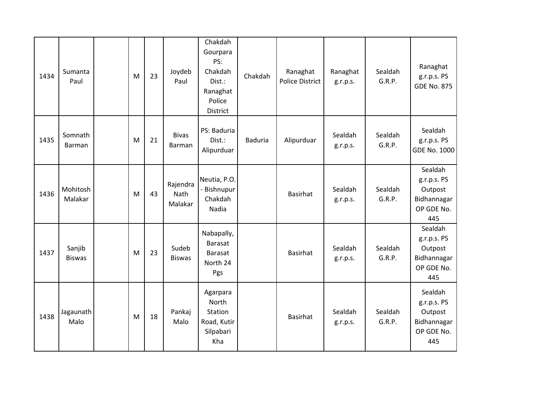| 1434 | Sumanta<br>Paul         | M | 23 | Joydeb<br>Paul                     | Chakdah<br>Gourpara<br>PS:<br>Chakdah<br>Dist.:<br>Ranaghat<br>Police<br>District | Chakdah        | Ranaghat<br><b>Police District</b> | Ranaghat<br>g.r.p.s. | Sealdah<br>G.R.P. | Ranaghat<br>g.r.p.s. PS<br><b>GDE No. 875</b>                         |
|------|-------------------------|---|----|------------------------------------|-----------------------------------------------------------------------------------|----------------|------------------------------------|----------------------|-------------------|-----------------------------------------------------------------------|
| 1435 | Somnath<br>Barman       | M | 21 | <b>Bivas</b><br>Barman             | PS: Baduria<br>Dist.:<br>Alipurduar                                               | <b>Baduria</b> | Alipurduar                         | Sealdah<br>g.r.p.s.  | Sealdah<br>G.R.P. | Sealdah<br>g.r.p.s. PS<br><b>GDE No. 1000</b>                         |
| 1436 | Mohitosh<br>Malakar     | M | 43 | Rajendra<br><b>Nath</b><br>Malakar | Neutia, P.O.<br>- Bishnupur<br>Chakdah<br>Nadia                                   |                | <b>Basirhat</b>                    | Sealdah<br>g.r.p.s.  | Sealdah<br>G.R.P. | Sealdah<br>g.r.p.s. PS<br>Outpost<br>Bidhannagar<br>OP GDE No.<br>445 |
| 1437 | Sanjib<br><b>Biswas</b> | M | 23 | Sudeb<br><b>Biswas</b>             | Nabapally,<br><b>Barasat</b><br>Barasat<br>North 24<br>Pgs                        |                | <b>Basirhat</b>                    | Sealdah<br>g.r.p.s.  | Sealdah<br>G.R.P. | Sealdah<br>g.r.p.s. PS<br>Outpost<br>Bidhannagar<br>OP GDE No.<br>445 |
| 1438 | Jagaunath<br>Malo       | M | 18 | Pankaj<br>Malo                     | Agarpara<br>North<br><b>Station</b><br>Road, Kutir<br>Silpabari<br>Kha            |                | <b>Basirhat</b>                    | Sealdah<br>g.r.p.s.  | Sealdah<br>G.R.P. | Sealdah<br>g.r.p.s. PS<br>Outpost<br>Bidhannagar<br>OP GDE No.<br>445 |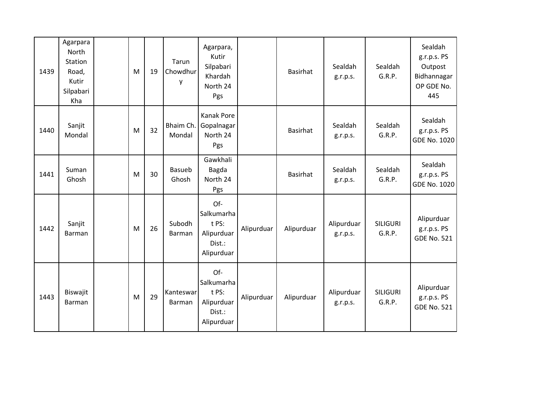| 1439 | Agarpara<br>North<br><b>Station</b><br>Road,<br>Kutir<br>Silpabari<br>Kha | M | 19 | Tarun<br>Chowdhur<br>у | Agarpara,<br>Kutir<br>Silpabari<br>Khardah<br>North 24<br>Pgs    |            | <b>Basirhat</b> | Sealdah<br>g.r.p.s.    | Sealdah<br>G.R.P.         | Sealdah<br>g.r.p.s. PS<br>Outpost<br>Bidhannagar<br>OP GDE No.<br>445 |
|------|---------------------------------------------------------------------------|---|----|------------------------|------------------------------------------------------------------|------------|-----------------|------------------------|---------------------------|-----------------------------------------------------------------------|
| 1440 | Sanjit<br>Mondal                                                          | M | 32 | Bhaim Ch.<br>Mondal    | <b>Kanak Pore</b><br>Gopalnagar<br>North 24<br>Pgs               |            | <b>Basirhat</b> | Sealdah<br>g.r.p.s.    | Sealdah<br>G.R.P.         | Sealdah<br>g.r.p.s. PS<br>GDE No. 1020                                |
| 1441 | Suman<br>Ghosh                                                            | M | 30 | <b>Basueb</b><br>Ghosh | Gawkhali<br>Bagda<br>North 24<br>Pgs                             |            | <b>Basirhat</b> | Sealdah<br>g.r.p.s.    | Sealdah<br>G.R.P.         | Sealdah<br>g.r.p.s. PS<br>GDE No. 1020                                |
| 1442 | Sanjit<br>Barman                                                          | M | 26 | Subodh<br>Barman       | Of-<br>Salkumarha<br>t PS:<br>Alipurduar<br>Dist.:<br>Alipurduar | Alipurduar | Alipurduar      | Alipurduar<br>g.r.p.s. | <b>SILIGURI</b><br>G.R.P. | Alipurduar<br>g.r.p.s. PS<br><b>GDE No. 521</b>                       |
| 1443 | Biswajit<br>Barman                                                        | M | 29 | Kanteswar<br>Barman    | Of-<br>Salkumarha<br>t PS:<br>Alipurduar<br>Dist.:<br>Alipurduar | Alipurduar | Alipurduar      | Alipurduar<br>g.r.p.s. | <b>SILIGURI</b><br>G.R.P. | Alipurduar<br>g.r.p.s. PS<br><b>GDE No. 521</b>                       |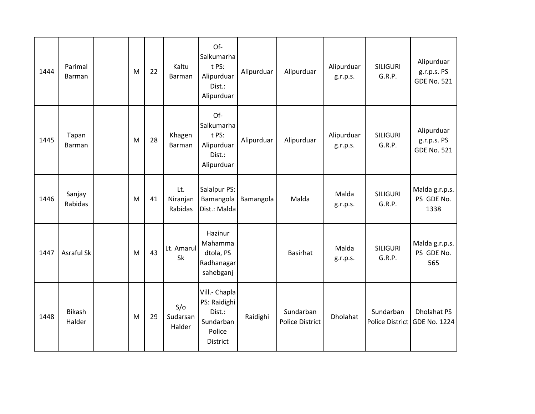| 1444 | Parimal<br>Barman       | M | 22 | Kaltu<br><b>Barman</b>     | Of-<br>Salkumarha<br>t PS:<br>Alipurduar<br>Dist.:<br>Alipurduar                  | Alipurduar | Alipurduar                          | Alipurduar<br>g.r.p.s. | <b>SILIGURI</b><br>G.R.P. | Alipurduar<br>g.r.p.s. PS<br><b>GDE No. 521</b>    |
|------|-------------------------|---|----|----------------------------|-----------------------------------------------------------------------------------|------------|-------------------------------------|------------------------|---------------------------|----------------------------------------------------|
| 1445 | Tapan<br>Barman         | M | 28 | Khagen<br><b>Barman</b>    | Of-<br>Salkumarha<br>t PS:<br>Alipurduar<br>Dist.:<br>Alipurduar                  | Alipurduar | Alipurduar                          | Alipurduar<br>g.r.p.s. | <b>SILIGURI</b><br>G.R.P. | Alipurduar<br>g.r.p.s. PS<br><b>GDE No. 521</b>    |
| 1446 | Sanjay<br>Rabidas       | M | 41 | Lt.<br>Niranjan<br>Rabidas | Salalpur PS:<br>Bamangola<br>Dist.: Malda                                         | Bamangola  | Malda                               | Malda<br>g.r.p.s.      | <b>SILIGURI</b><br>G.R.P. | Malda g.r.p.s.<br>PS GDE No.<br>1338               |
| 1447 | Asraful Sk              | M | 43 | Lt. Amarul<br><b>Sk</b>    | Hazinur<br>Mahamma<br>dtola, PS<br>Radhanagar<br>sahebganj                        |            | <b>Basirhat</b>                     | Malda<br>g.r.p.s.      | <b>SILIGURI</b><br>G.R.P. | Malda g.r.p.s.<br>PS GDE No.<br>565                |
| 1448 | <b>Bikash</b><br>Halder | M | 29 | S/O<br>Sudarsan<br>Halder  | Vill.- Chapla<br>PS: Raidighi<br>Dist.:<br>Sundarban<br>Police<br><b>District</b> | Raidighi   | Sundarban<br><b>Police District</b> | Dholahat               | Sundarban                 | <b>Dholahat PS</b><br>Police District GDE No. 1224 |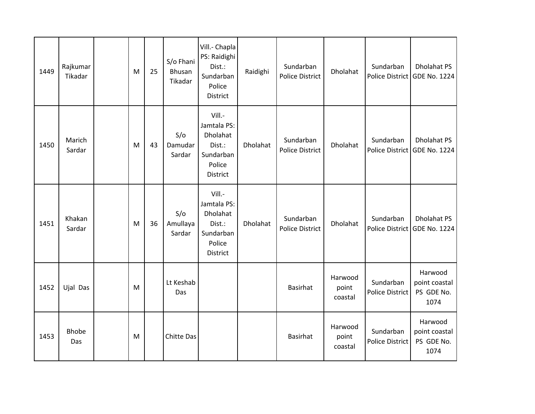| 1449 | Rajkumar<br>Tikadar | M | 25 | S/o Fhani<br>Bhusan<br>Tikadar | Vill.- Chapla<br>PS: Raidighi<br>Dist.:<br>Sundarban<br>Police<br>District     | Raidighi | Sundarban<br><b>Police District</b> | Dholahat                    | Sundarban                           | <b>Dholahat PS</b><br>Police District GDE No. 1224 |
|------|---------------------|---|----|--------------------------------|--------------------------------------------------------------------------------|----------|-------------------------------------|-----------------------------|-------------------------------------|----------------------------------------------------|
| 1450 | Marich<br>Sardar    | M | 43 | S/O<br>Damudar<br>Sardar       | Vill.-<br>Jamtala PS:<br>Dholahat<br>Dist.:<br>Sundarban<br>Police<br>District | Dholahat | Sundarban<br>Police District        | Dholahat                    | Sundarban                           | <b>Dholahat PS</b><br>Police District GDE No. 1224 |
| 1451 | Khakan<br>Sardar    | M | 36 | S/O<br>Amullaya<br>Sardar      | Vill.-<br>Jamtala PS:<br>Dholahat<br>Dist.:<br>Sundarban<br>Police<br>District | Dholahat | Sundarban<br><b>Police District</b> | Dholahat                    | Sundarban                           | <b>Dholahat PS</b><br>Police District GDE No. 1224 |
| 1452 | Ujal Das            | M |    | Lt Keshab<br>Das               |                                                                                |          | <b>Basirhat</b>                     | Harwood<br>point<br>coastal | Sundarban<br><b>Police District</b> | Harwood<br>point coastal<br>PS GDE No.<br>1074     |
| 1453 | <b>Bhobe</b><br>Das | M |    | Chitte Das                     |                                                                                |          | <b>Basirhat</b>                     | Harwood<br>point<br>coastal | Sundarban<br><b>Police District</b> | Harwood<br>point coastal<br>PS GDE No.<br>1074     |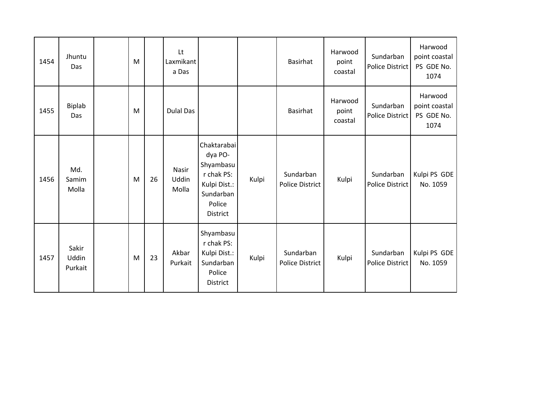| 1454 | Jhuntu<br>Das             | M |    | Lt<br>Laxmikant<br>a Das |                                                                                                             |       | Basirhat                            | Harwood<br>point<br>coastal | Sundarban<br>Police District        | Harwood<br>point coastal<br>PS GDE No.<br>1074 |
|------|---------------------------|---|----|--------------------------|-------------------------------------------------------------------------------------------------------------|-------|-------------------------------------|-----------------------------|-------------------------------------|------------------------------------------------|
| 1455 | Biplab<br>Das             | M |    | <b>Dulal Das</b>         |                                                                                                             |       | Basirhat                            | Harwood<br>point<br>coastal | Sundarban<br>Police District        | Harwood<br>point coastal<br>PS GDE No.<br>1074 |
| 1456 | Md.<br>Samim<br>Molla     | M | 26 | Nasir<br>Uddin<br>Molla  | Chaktarabai<br>dya PO-<br>Shyambasu<br>r chak PS:<br>Kulpi Dist.:<br>Sundarban<br>Police<br><b>District</b> | Kulpi | Sundarban<br><b>Police District</b> | Kulpi                       | Sundarban<br>Police District        | Kulpi PS GDE<br>No. 1059                       |
| 1457 | Sakir<br>Uddin<br>Purkait | M | 23 | Akbar<br>Purkait         | Shyambasu<br>r chak PS:<br>Kulpi Dist.:<br>Sundarban<br>Police<br><b>District</b>                           | Kulpi | Sundarban<br><b>Police District</b> | Kulpi                       | Sundarban<br><b>Police District</b> | Kulpi PS GDE<br>No. 1059                       |